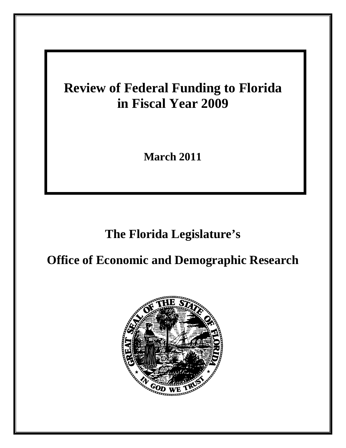# **Review of Federal Funding to Florida in Fiscal Year 2009**

**March 2011** 

**The Florida Legislature's** 

**Office of Economic and Demographic Research** 

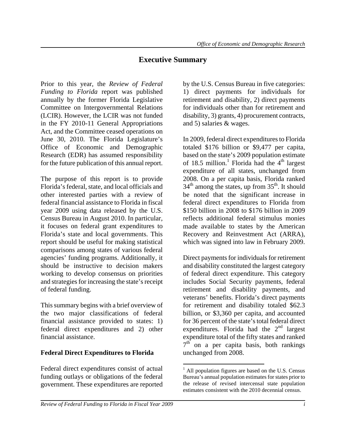# **Executive Summary**

Prior to this year, the *Review of Federal Funding to Florida* report was published annually by the former Florida Legislative Committee on Intergovernmental Relations (LCIR). However, the LCIR was not funded in the FY 2010-11 General Appropriations Act, and the Committee ceased operations on June 30, 2010. The Florida Legislature's Office of Economic and Demographic Research (EDR) has assumed responsibility for the future publication of this annual report.

The purpose of this report is to provide Florida's federal, state, and local officials and other interested parties with a review of federal financial assistance to Florida in fiscal year 2009 using data released by the U.S. Census Bureau in August 2010. In particular, it focuses on federal grant expenditures to Florida's state and local governments. This report should be useful for making statistical comparisons among states of various federal agencies' funding programs. Additionally, it should be instructive to decision makers working to develop consensus on priorities and strategies for increasing the state's receipt of federal funding.

This summary begins with a brief overview of the two major classifications of federal financial assistance provided to states: 1) federal direct expenditures and 2) other financial assistance.

## **Federal Direct Expenditures to Florida**

Federal direct expenditures consist of actual funding outlays or obligations of the federal government. These expenditures are reported by the U.S. Census Bureau in five categories: 1) direct payments for individuals for retirement and disability, 2) direct payments for individuals other than for retirement and disability, 3) grants, 4) procurement contracts, and 5) salaries & wages.

In 2009, federal direct expenditures to Florida totaled \$176 billion or \$9,477 per capita, based on the state's 2009 population estimate of 18.5 million.<sup>1</sup> Florida had the  $4<sup>th</sup>$  largest expenditure of all states, unchanged from 2008. On a per capita basis, Florida ranked  $34<sup>th</sup>$  among the states, up from  $35<sup>th</sup>$ . It should be noted that the significant increase in federal direct expenditures to Florida from \$150 billion in 2008 to \$176 billion in 2009 reflects additional federal stimulus monies made available to states by the American Recovery and Reinvestment Act (ARRA), which was signed into law in February 2009.

Direct payments for individuals for retirement and disability constituted the largest category of federal direct expenditure. This category includes Social Security payments, federal retirement and disability payments, and veterans' benefits. Florida's direct payments for retirement and disability totaled \$62.3 billion, or \$3,360 per capita, and accounted for 36 percent of the state's total federal direct expenditures. Florida had the  $2<sup>nd</sup>$  largest expenditure total of the fifty states and ranked  $7<sup>th</sup>$  on a per capita basis, both rankings unchanged from 2008.

 $\overline{a}$ 

 $<sup>1</sup>$  All population figures are based on the U.S. Census</sup> Bureau's annual population estimates for states prior to the release of revised intercensal state population estimates consistent with the 2010 decennial census.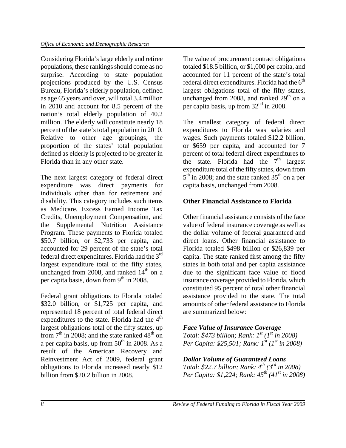Considering Florida's large elderly and retiree populations, these rankings should come as no surprise. According to state population projections produced by the U.S. Census Bureau, Florida's elderly population, defined as age 65 years and over, will total 3.4 million in 2010 and account for 8.5 percent of the nation's total elderly population of 40.2 million. The elderly will constitute nearly 18 percent of the state's total population in 2010. Relative to other age groupings, the proportion of the states' total population defined as elderly is projected to be greater in Florida than in any other state.

The next largest category of federal direct expenditure was direct payments for individuals other than for retirement and disability. This category includes such items as Medicare, Excess Earned Income Tax Credits, Unemployment Compensation, and the Supplemental Nutrition Assistance Program. These payments to Florida totaled \$50.7 billion, or \$2,733 per capita, and accounted for 29 percent of the state's total federal direct expenditures. Florida had the  $3<sup>rd</sup>$ largest expenditure total of the fifty states, unchanged from 2008, and ranked  $14<sup>th</sup>$  on a per capita basis, down from  $9<sup>th</sup>$  in 2008.

Federal grant obligations to Florida totaled \$32.0 billion, or \$1,725 per capita, and represented 18 percent of total federal direct expenditures to the state. Florida had the  $4<sup>th</sup>$ largest obligations total of the fifty states, up from  $7<sup>th</sup>$  in 2008; and the state ranked 48<sup>th</sup> on a per capita basis, up from  $50<sup>th</sup>$  in 2008. As a result of the American Recovery and Reinvestment Act of 2009, federal grant obligations to Florida increased nearly \$12 billion from \$20.2 billion in 2008.

The value of procurement contract obligations totaled \$18.5 billion, or \$1,000 per capita, and accounted for 11 percent of the state's total federal direct expenditures. Florida had the  $6<sup>th</sup>$ largest obligations total of the fifty states, unchanged from 2008, and ranked  $29<sup>th</sup>$  on a per capita basis, up from  $32<sup>nd</sup>$  in 2008.

The smallest category of federal direct expenditures to Florida was salaries and wages. Such payments totaled \$12.2 billion, or \$659 per capita, and accounted for 7 percent of total federal direct expenditures to the state. Florida had the  $7<sup>th</sup>$  largest expenditure total of the fifty states, down from  $5<sup>th</sup>$  in 2008; and the state ranked 35<sup>th</sup> on a per capita basis, unchanged from 2008.

#### **Other Financial Assistance to Florida**

Other financial assistance consists of the face value of federal insurance coverage as well as the dollar volume of federal guaranteed and direct loans. Other financial assistance to Florida totaled \$498 billion or \$26,839 per capita. The state ranked first among the fifty states in both total and per capita assistance due to the significant face value of flood insurance coverage provided to Florida, which constituted 95 percent of total other financial assistance provided to the state. The total amounts of other federal assistance to Florida are summarized below:

#### *Face Value of Insurance Coverage*

*Total: \$473 billion; Rank: 1st (1st in 2008) Per Capita: \$25,501; Rank: 1<sup>st</sup> (1<sup>st</sup> in 2008)* 

## *Dollar Volume of Guaranteed Loans*

*Total: \$22.7 billion; Rank: 4th (3rd in 2008) Per Capita: \$1,224; Rank: 45th (41st in 2008)*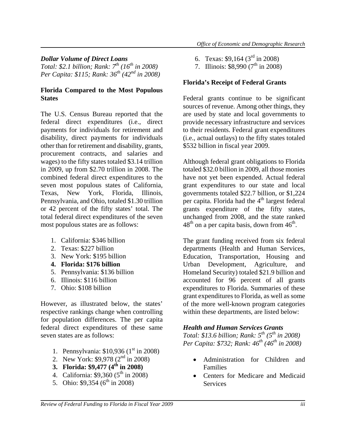#### *Dollar Volume of Direct Loans*

*Total: \$2.1 billion; Rank: 7<sup>th</sup> (16<sup>th</sup> in 2008) Per Capita: \$115; Rank: 36th (42nd in 2008)* 

#### **Florida Compared to the Most Populous States**

The U.S. Census Bureau reported that the federal direct expenditures (i.e., direct payments for individuals for retirement and disability, direct payments for individuals other than for retirement and disability, grants, procurement contracts, and salaries and wages) to the fifty states totaled \$3.14 trillion in 2009, up from \$2.70 trillion in 2008. The combined federal direct expenditures to the seven most populous states of California, Texas, New York, Florida, Illinois, Pennsylvania, and Ohio, totaled \$1.30 trillion or 42 percent of the fifty states' total. The total federal direct expenditures of the seven most populous states are as follows:

- 1. California: \$346 billion
- 2. Texas: \$227 billion
- 3. New York: \$195 billion
- **4. Florida: \$176 billion**
- 5. Pennsylvania: \$136 billion
- 6. Illinois: \$116 billion
- 7. Ohio: \$108 billion

However, as illustrated below, the states' respective rankings change when controlling for population differences. The per capita federal direct expenditures of these same seven states are as follows:

- 1. Pennsylvania:  $$10,936$  (1<sup>st</sup> in 2008)
- 2. New York: \$9,978 (2nd in 2008)
- **3. Florida:** \$9,477 (4<sup>th</sup> in 2008)
- 4. California:  $$9,360 (5<sup>th</sup> in 2008)$
- 5. Ohio:  $$9,354$  (6<sup>th</sup> in 2008)
- 6. Texas: \$9,164 (3rd in 2008)
- 7. Illinois:  $$8,990$  (7<sup>th</sup> in 2008)

## **Florida's Receipt of Federal Grants**

Federal grants continue to be significant sources of revenue. Among other things, they are used by state and local governments to provide necessary infrastructure and services to their residents. Federal grant expenditures (i.e., actual outlays) to the fifty states totaled \$532 billion in fiscal year 2009.

Although federal grant obligations to Florida totaled \$32.0 billion in 2009, all those monies have not yet been expended. Actual federal grant expenditures to our state and local governments totaled \$22.7 billion, or \$1,224 per capita. Florida had the  $4<sup>th</sup>$  largest federal grants expenditure of the fifty states, unchanged from 2008, and the state ranked  $48<sup>th</sup>$  on a per capita basis, down from  $46<sup>th</sup>$ .

The grant funding received from six federal departments (Health and Human Services, Education, Transportation, Housing and Urban Development, Agriculture, and Homeland Security) totaled \$21.9 billion and accounted for 96 percent of all grants expenditures to Florida. Summaries of these grant expenditures to Florida, as well as some of the more well-known program categories within these departments, are listed below:

## *Health and Human Services Grants*

*Total: \$13.6 billion; Rank: 5th (5th in 2008) Per Capita: \$732; Rank: 46<sup>th</sup> (46<sup>th</sup> in 2008)* 

- Administration for Children and Families
- Centers for Medicare and Medicaid **Services**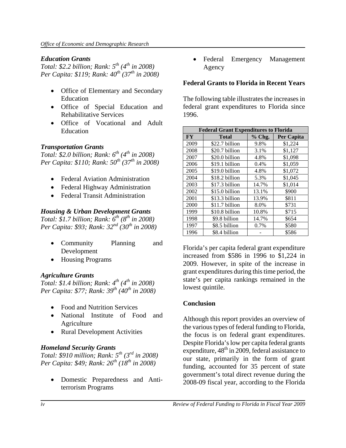#### *Education Grants*

*Total: \$2.2 billion; Rank: 5th (4th in 2008) Per Capita: \$119; Rank: 40th (37th in 2008)* 

- Office of Elementary and Secondary Education
- Office of Special Education and Rehabilitative Services
- Office of Vocational and Adult Education

#### *Transportation Grants*

*Total: \$2.0 billion; Rank:*  $6^{th}$  (4<sup>th</sup> in 2008) *Per Capita: \$110; Rank: 50<sup>th</sup> (37<sup>th</sup> in 2008)* 

- Federal Aviation Administration
- Federal Highway Administration
- Federal Transit Administration

#### *Housing & Urban Development Grants*

*Total: \$1.7 billion; Rank: 6th (8th in 2008) Per Capita: \$93; Rank: 32<sup>nd</sup> (30<sup>th</sup> in 2008)* 

- Community Planning and Development
- Housing Programs

#### *Agriculture Grants*

*Total: \$1.4 billion; Rank: 4th (4th in 2008) Per Capita: \$77; Rank: 39<sup>th</sup> (40<sup>th</sup> in 2008)* 

- Food and Nutrition Services
- National Institute of Food and Agriculture
- Rural Development Activities

#### *Homeland Security Grants*

*Total: \$910 million; Rank: 5th (3rd in 2008) Per Capita: \$49; Rank: 26th (18th in 2008)* 

• Domestic Preparedness and Antiterrorism Programs

• Federal Emergency Management Agency

#### **Federal Grants to Florida in Recent Years**

The following table illustrates the increases in federal grant expenditures to Florida since 1996.

| <b>Federal Grant Expenditures to Florida</b> |                |        |            |  |
|----------------------------------------------|----------------|--------|------------|--|
| <b>FY</b>                                    | <b>Total</b>   | % Chg. | Per Capita |  |
| 2009                                         | \$22.7 billion | 9.8%   | \$1,224    |  |
| 2008                                         | \$20.7 billion | 3.1%   | \$1,127    |  |
| 2007                                         | \$20.0 billion | 4.8%   | \$1,098    |  |
| 2006                                         | \$19.1 billion | 0.4%   | \$1,059    |  |
| 2005                                         | \$19.0 billion | 4.8%   | \$1,072    |  |
| 2004                                         | \$18.2 billion | 5.3%   | \$1,045    |  |
| 2003                                         | \$17.3 billion | 14.7%  | \$1,014    |  |
| 2002                                         | \$15.0 billion | 13.1%  | \$900      |  |
| 2001                                         | \$13.3 billion | 13.9%  | \$811      |  |
| 2000                                         | \$11.7 billion | 8.0%   | \$731      |  |
| 1999                                         | \$10.8 billion | 10.8%  | \$715      |  |
| 1998                                         | \$9.8 billion  | 14.7%  | \$654      |  |
| 1997                                         | \$8.5 billion  | 0.7%   | \$580      |  |
| 1996                                         | \$8.4 billion  |        | \$586      |  |

Florida's per capita federal grant expenditure increased from \$586 in 1996 to \$1,224 in 2009. However, in spite of the increase in grant expenditures during this time period, the state's per capita rankings remained in the lowest quintile.

## **Conclusion**

Although this report provides an overview of the various types of federal funding to Florida, the focus is on federal grant expenditures. Despite Florida's low per capita federal grants expenditure,  $48<sup>th</sup>$  in 2009, federal assistance to our state, primarily in the form of grant funding, accounted for 35 percent of state government's total direct revenue during the 2008-09 fiscal year, according to the Florida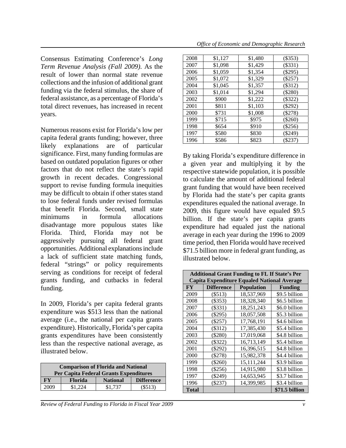Consensus Estimating Conference's *Long Term Revenue Analysis (Fall 2009)*. As the result of lower than normal state revenue collections and the infusion of additional grant funding via the federal stimulus, the share of federal assistance, as a percentage of Florida's total direct revenues, has increased in recent years.

Numerous reasons exist for Florida's low per capita federal grants funding; however, three likely explanations are of particular significance. First, many funding formulas are based on outdated population figures or other factors that do not reflect the state's rapid growth in recent decades. Congressional support to revise funding formula inequities may be difficult to obtain if other states stand to lose federal funds under revised formulas that benefit Florida. Second, small state minimums in formula allocations disadvantage more populous states like Florida. Third, Florida may not be aggressively pursuing all federal grant opportunities. Additional explanations include a lack of sufficient state matching funds, federal "strings" or policy requirements serving as conditions for receipt of federal grants funding, and cutbacks in federal funding.

In 2009, Florida's per capita federal grants expenditure was \$513 less than the national average (i.e., the national per capita grants expenditure). Historically, Florida's per capita grants expenditures have been consistently less than the respective national average, as illustrated below.

| <b>Comparison of Florida and National</b>                                                              |         |         |           |
|--------------------------------------------------------------------------------------------------------|---------|---------|-----------|
| Per Capita Federal Grants Expenditures<br><b>Difference</b><br><b>Florida</b><br><b>National</b><br>FY |         |         |           |
| 2009                                                                                                   | \$1.224 | \$1.737 | $(\$513)$ |

 *Office of Economic and Demographic Research*

| 2008 | \$1,127 | \$1,480 | $($ \$353 $)$ |
|------|---------|---------|---------------|
| 2007 | \$1,098 | \$1,429 | $(\$331)$     |
| 2006 | \$1,059 | \$1,354 | $(\$295)$     |
| 2005 | \$1,072 | \$1,329 | $(\$257)$     |
| 2004 | \$1,045 | \$1,357 | $(\$312)$     |
| 2003 | \$1,014 | \$1,294 | $(\$280)$     |
| 2002 | \$900   | \$1,222 | $(\$322)$     |
| 2001 | \$811   | \$1,103 | $(\$292)$     |
| 2000 | \$731   | \$1,008 | $(\$278)$     |
| 1999 | \$715   | \$975   | $(\$260)$     |
| 1998 | \$654   | \$910   | (\$256)       |
| 1997 | \$580   | \$830   | (\$249)       |
| 1996 | \$586   | \$823   | (\$237)       |

By taking Florida's expenditure difference in a given year and multiplying it by the respective statewide population, it is possible to calculate the amount of additional federal grant funding that would have been received by Florida had the state's per capita grants expenditures equaled the national average. In 2009, this figure would have equaled \$9.5 billion. If the state's per capita grants expenditure had equaled just the national average in each year during the 1996 to 2009 time period, then Florida would have received \$71.5 billion more in federal grant funding, as illustrated below.

| <b>Additional Grant Funding to FL If State's Per</b> |                   |                                             |                |  |
|------------------------------------------------------|-------------------|---------------------------------------------|----------------|--|
|                                                      |                   | Capita Expenditure Equaled National Average |                |  |
| <b>FY</b>                                            | <b>Difference</b> | <b>Population</b>                           | <b>Funding</b> |  |
| 2009                                                 | $($ \$513)        | 18,537,969                                  | \$9.5 billion  |  |
| 2008                                                 | $(\$353)$         | 18,328,340                                  | \$6.5 billion  |  |
| 2007                                                 | $(\$331)$         | 18,251,243                                  | \$6.0 billion  |  |
| 2006                                                 | $(\$295)$         | 18,057,508                                  | \$5.3 billion  |  |
| 2005                                                 | $(\$257)$         | 17,768,191                                  | \$4.6 billion  |  |
| 2004                                                 | (\$312)           | 17,385,430                                  | \$5.4 billion  |  |
| 2003                                                 | $(\$280)$         | 17,019,068                                  | \$4.8 billion  |  |
| 2002                                                 | $(\$322)$         | 16,713,149                                  | \$5.4 billion  |  |
| 2001                                                 | $(\$292)$         | 16,396,515                                  | \$4.8 billion  |  |
| 2000                                                 | $(\$278)$         | 15,982,378                                  | \$4.4 billion  |  |
| 1999                                                 | $(\$260)$         | 15, 111, 244                                | \$3.9 billion  |  |
| 1998                                                 | $(\$256)$         | 14,915,980                                  | \$3.8 billion  |  |
| 1997                                                 | (\$249)           | 14,653,945                                  | \$3.7 billion  |  |
| 1996                                                 | (S237)            | 14,399,985                                  | \$3.4 billion  |  |
| Total                                                |                   |                                             | \$71.5 billion |  |

*Review of Federal Funding to Florida in Fiscal Year 2009 v*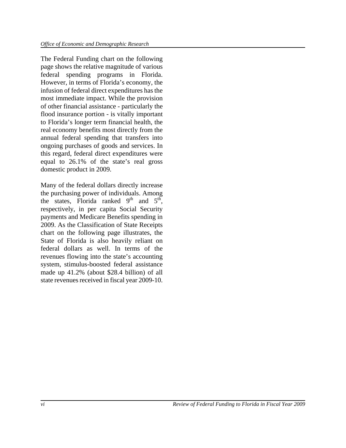The Federal Funding chart on the following page shows the relative magnitude of various federal spending programs in Florida. However, in terms of Florida's economy, the infusion of federal direct expenditures has the most immediate impact. While the provision of other financial assistance - particularly the flood insurance portion - is vitally important to Florida's longer term financial health, the real economy benefits most directly from the annual federal spending that transfers into ongoing purchases of goods and services. In this regard, federal direct expenditures were equal to 26.1% of the state's real gross domestic product in 2009.

Many of the federal dollars directly increase the purchasing power of individuals. Among the states, Florida ranked  $9<sup>th</sup>$  and  $5<sup>th</sup>$ , respectively, in per capita Social Security payments and Medicare Benefits spending in 2009. As the Classification of State Receipts chart on the following page illustrates, the State of Florida is also heavily reliant on federal dollars as well. In terms of the revenues flowing into the state's accounting system, stimulus-boosted federal assistance made up 41.2% (about \$28.4 billion) of all state revenues received in fiscal year 2009-10.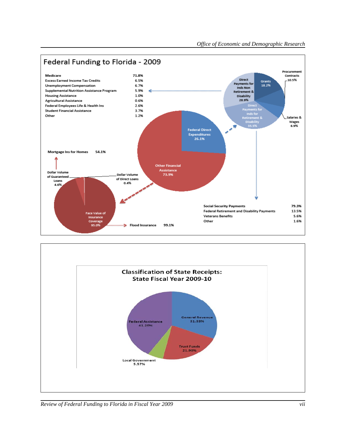



*Review of Federal Funding to Florida in Fiscal Year 2009* vii viimel viimel viimel viimel viimel viimel viimel vii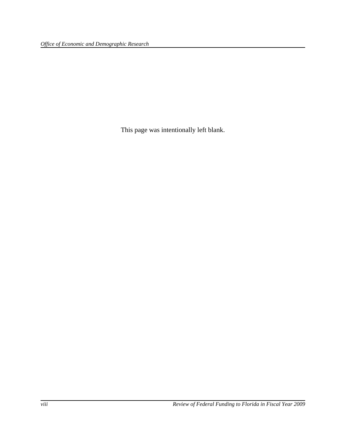This page was intentionally left blank.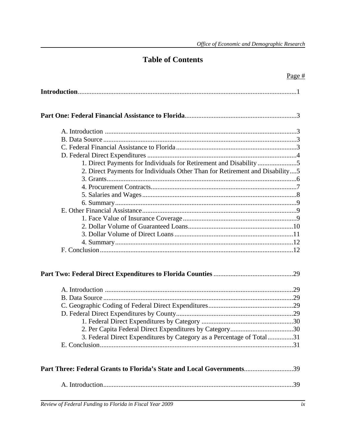# **Table of Contents**

|                                                                              | Page # |
|------------------------------------------------------------------------------|--------|
|                                                                              |        |
|                                                                              |        |
|                                                                              |        |
|                                                                              |        |
|                                                                              |        |
|                                                                              |        |
|                                                                              |        |
| 2. Direct Payments for Individuals Other Than for Retirement and Disability5 |        |
|                                                                              |        |
|                                                                              |        |
|                                                                              |        |
|                                                                              |        |
|                                                                              |        |
|                                                                              |        |
|                                                                              |        |
|                                                                              |        |
|                                                                              |        |
|                                                                              |        |
|                                                                              |        |
|                                                                              |        |
|                                                                              |        |
|                                                                              |        |
|                                                                              |        |
|                                                                              |        |
|                                                                              |        |
| 3. Federal Direct Expenditures by Category as a Percentage of Total31        |        |
|                                                                              |        |
| Part Three: Federal Grants to Florida's State and Local Governments39        |        |
|                                                                              |        |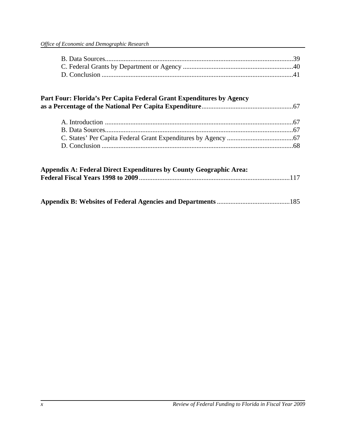| Part Four: Florida's Per Capita Federal Grant Expenditures by Agency |  |
|----------------------------------------------------------------------|--|
|                                                                      |  |
|                                                                      |  |
|                                                                      |  |
|                                                                      |  |
|                                                                      |  |

| <b>Appendix A: Federal Direct Expenditures by County Geographic Area:</b> |  |
|---------------------------------------------------------------------------|--|
|                                                                           |  |
|                                                                           |  |

|--|--|--|--|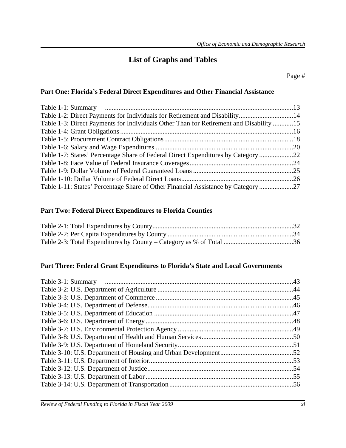# **List of Graphs and Tables**

#### Page #

## **Part One: Florida's Federal Direct Expenditures and Other Financial Assistance**

| Table 1-2: Direct Payments for Individuals for Retirement and Disability14             |  |
|----------------------------------------------------------------------------------------|--|
| Table 1-3: Direct Payments for Individuals Other Than for Retirement and Disability 15 |  |
|                                                                                        |  |
|                                                                                        |  |
|                                                                                        |  |
| Table 1-7: States' Percentage Share of Federal Direct Expenditures by Category 22      |  |
|                                                                                        |  |
|                                                                                        |  |
|                                                                                        |  |
| Table 1-11: States' Percentage Share of Other Financial Assistance by Category         |  |

## **Part Two: Federal Direct Expenditures to Florida Counties**

## **Part Three: Federal Grant Expenditures to Florida's State and Local Governments**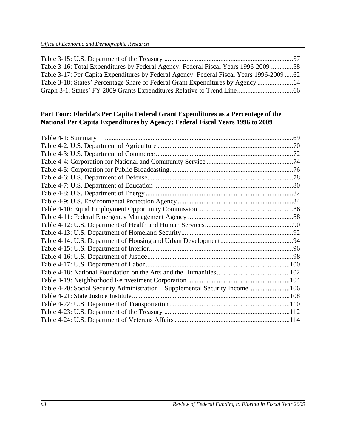| Table 3-16: Total Expenditures by Federal Agency: Federal Fiscal Years 1996-2009 58       |  |
|-------------------------------------------------------------------------------------------|--|
| Table 3-17: Per Capita Expenditures by Federal Agency: Federal Fiscal Years 1996-2009  62 |  |
|                                                                                           |  |
|                                                                                           |  |

## **Part Four: Florida's Per Capita Federal Grant Expenditures as a Percentage of the National Per Capita Expenditures by Agency: Federal Fiscal Years 1996 to 2009**

| Table 4-20: Social Security Administration - Supplemental Security Income106 |  |
|------------------------------------------------------------------------------|--|
|                                                                              |  |
|                                                                              |  |
|                                                                              |  |
|                                                                              |  |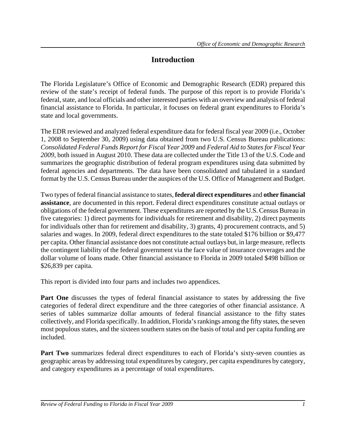# **Introduction**

The Florida Legislature's Office of Economic and Demographic Research (EDR) prepared this review of the state's receipt of federal funds. The purpose of this report is to provide Florida's federal, state, and local officials and other interested parties with an overview and analysis of federal financial assistance to Florida. In particular, it focuses on federal grant expenditures to Florida's state and local governments.

The EDR reviewed and analyzed federal expenditure data for federal fiscal year 2009 (i.e., October 1, 2008 to September 30, 2009) using data obtained from two U.S. Census Bureau publications: *Consolidated Federal Funds Report for Fiscal Year 2009* and *Federal Aid to States for Fiscal Year 2009*, both issued in August 2010. These data are collected under the Title 13 of the U.S. Code and summarizes the geographic distribution of federal program expenditures using data submitted by federal agencies and departments. The data have been consolidated and tabulated in a standard format by the U.S. Census Bureau under the auspices of the U.S. Office of Management and Budget.

Two types of federal financial assistance to states, **federal direct expenditures** and **other financial assistance**, are documented in this report. Federal direct expenditures constitute actual outlays or obligations of the federal government. These expenditures are reported by the U.S. Census Bureau in five categories: 1) direct payments for individuals for retirement and disability, 2) direct payments for individuals other than for retirement and disability, 3) grants, 4) procurement contracts, and 5) salaries and wages. In 2009, federal direct expenditures to the state totaled \$176 billion or \$9,477 per capita. Other financial assistance does not constitute actual outlays but, in large measure, reflects the contingent liability of the federal government via the face value of insurance coverages and the dollar volume of loans made. Other financial assistance to Florida in 2009 totaled \$498 billion or \$26,839 per capita.

This report is divided into four parts and includes two appendices.

**Part One** discusses the types of federal financial assistance to states by addressing the five categories of federal direct expenditure and the three categories of other financial assistance. A series of tables summarize dollar amounts of federal financial assistance to the fifty states collectively, and Florida specifically. In addition, Florida's rankings among the fifty states, the seven most populous states, and the sixteen southern states on the basis of total and per capita funding are included.

Part Two summarizes federal direct expenditures to each of Florida's sixty-seven counties as geographic areas by addressing total expenditures by category, per capita expenditures by category, and category expenditures as a percentage of total expenditures.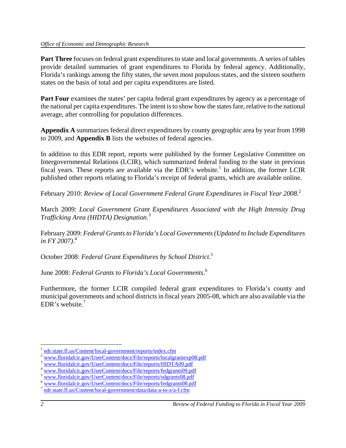**Part Three** focuses on federal grant expenditures to state and local governments. A series of tables provide detailed summaries of grant expenditures to Florida by federal agency. Additionally, Florida's rankings among the fifty states, the seven most populous states, and the sixteen southern states on the basis of total and per capita expenditures are listed.

**Part Four** examines the states' per capita federal grant expenditures by agency as a percentage of the national per capita expenditures. The intent is to show how the states fare, relative to the national average, after controlling for population differences.

**Appendix A** summarizes federal direct expenditures by county geographic area by year from 1998 to 2009, and **Appendix B** lists the websites of federal agencies.

In addition to this EDR report, reports were published by the former Legislative Committee on Intergovernmental Relations (LCIR), which summarized federal funding to the state in previous fiscal years. These reports are available via the EDR's website.<sup>1</sup> In addition, the former LCIR published other reports relating to Florida's receipt of federal grants, which are available online.

February 2010: *Review of Local Government Federal Grant Expenditures in Fiscal Year 2008*. 2

March 2009: *Local Government Grant Expenditures Associated with the High Intensity Drug Trafficking Area (HIDTA) Designation*. 3

February 2009: *Federal Grants to Florida's Local Governments (Updated to Include Expenditures in FY 2007)*. 4

October 2008: *Federal Grant Expenditures by School District*. 5

June 2008: *Federal Grants to Florida's Local Governments*. 6

Furthermore, the former LCIR compiled federal grant expenditures to Florida's county and municipal governments and school districts in fiscal years 2005-08, which are also available via the EDR's website.<sup>7</sup>

 $\overline{a}$ 

<sup>1</sup> edr.state.fl.us/Content/local-government/reports/index.cfm

www.floridalcir.gov/UserContent/docs/File/reports/localgrantexp08.pdf<br>www.floridalcir.gov/UserContent/docs/File/reports/HIDTA09.pdf<br>www.floridalcir.gov/UserContent/docs/File/reports/fedgrants09.pdf<br>www.floridalcir.gov/User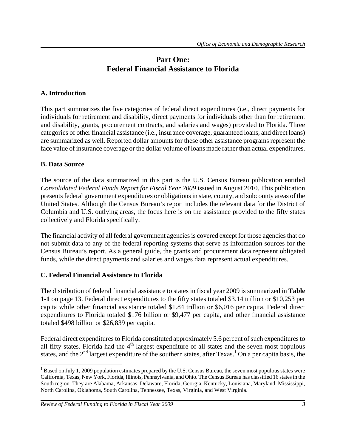## **Part One: Federal Financial Assistance to Florida**

#### **A. Introduction**

This part summarizes the five categories of federal direct expenditures (i.e., direct payments for individuals for retirement and disability, direct payments for individuals other than for retirement and disability, grants, procurement contracts, and salaries and wages) provided to Florida. Three categories of other financial assistance (i.e., insurance coverage, guaranteed loans, and direct loans) are summarized as well. Reported dollar amounts for these other assistance programs represent the face value of insurance coverage or the dollar volume of loans made rather than actual expenditures.

#### **B. Data Source**

 $\overline{a}$ 

The source of the data summarized in this part is the U.S. Census Bureau publication entitled *Consolidated Federal Funds Report for Fiscal Year 2009* issued in August 2010. This publication presents federal government expenditures or obligations in state, county, and subcounty areas of the United States. Although the Census Bureau's report includes the relevant data for the District of Columbia and U.S. outlying areas, the focus here is on the assistance provided to the fifty states collectively and Florida specifically.

The financial activity of all federal government agencies is covered except for those agencies that do not submit data to any of the federal reporting systems that serve as information sources for the Census Bureau's report. As a general guide, the grants and procurement data represent obligated funds, while the direct payments and salaries and wages data represent actual expenditures.

#### **C. Federal Financial Assistance to Florida**

The distribution of federal financial assistance to states in fiscal year 2009 is summarized in **Table 1-1** on page 13. Federal direct expenditures to the fifty states totaled \$3.14 trillion or \$10,253 per capita while other financial assistance totaled \$1.84 trillion or \$6,016 per capita. Federal direct expenditures to Florida totaled \$176 billion or \$9,477 per capita, and other financial assistance totaled \$498 billion or \$26,839 per capita.

Federal direct expenditures to Florida constituted approximately 5.6 percent of such expenditures to all fifty states. Florida had the  $4<sup>th</sup>$  largest expenditure of all states and the seven most populous states, and the  $2<sup>nd</sup>$  largest expenditure of the southern states, after Texas.<sup>1</sup> On a per capita basis, the

 $1$  Based on July 1, 2009 population estimates prepared by the U.S. Census Bureau, the seven most populous states were California, Texas, New York, Florida, Illinois, Pennsylvania, and Ohio. The Census Bureau has classified 16 states in the South region. They are Alabama, Arkansas, Delaware, Florida, Georgia, Kentucky, Louisiana, Maryland, Mississippi, North Carolina, Oklahoma, South Carolina, Tennessee, Texas, Virginia, and West Virginia.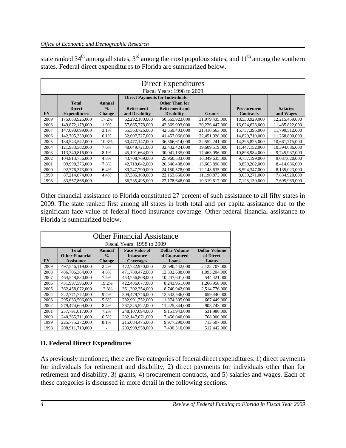state ranked 34<sup>th</sup> among all states,  $3<sup>rd</sup>$  among the most populous states, and  $11<sup>th</sup>$  among the southern states. Federal direct expenditures to Florida are summarized below.

|           | Direct Expenditures<br>Fiscal Years: 1998 to 2009 |               |                   |                                        |                |                    |                 |  |  |  |
|-----------|---------------------------------------------------|---------------|-------------------|----------------------------------------|----------------|--------------------|-----------------|--|--|--|
|           |                                                   |               |                   | <b>Direct Payments for Individuals</b> |                |                    |                 |  |  |  |
|           | <b>Total</b>                                      | Annual        |                   | <b>Other Than for</b>                  |                |                    |                 |  |  |  |
|           | <b>Direct</b>                                     | $\frac{0}{0}$ | <b>Retirement</b> | <b>Retirement and</b>                  |                | <b>Procurement</b> | <b>Salaries</b> |  |  |  |
| <b>FY</b> | <b>Expenditures</b>                               | <b>Change</b> | and Disability    | <b>Disability</b>                      | <b>Grants</b>  | <b>Contracts</b>   | and Wages       |  |  |  |
| 2009      | 175,683,926,000                                   | 17.2%         | 62,292,180,000    | 50,665,923,000                         | 31,979,435,000 | 18,530,929,000     | 12,215,459,000  |  |  |  |
| 2008      | 149.872.178.000                                   | 1.9%          | 57,665,378,000    | 43.869.903.000                         | 20.226.447.000 | 16,624,628,000     | 11,485,822,000  |  |  |  |
| 2007      | 147,090,699,000                                   | 3.1%          | 55, 563, 726, 000 | 42,559,403,000                         | 21,410,663,000 | 15,757,395,000     | 11,799,512,000  |  |  |  |
| 2006      | 142,705,330,000                                   | 6.1%          | 52,697,727,000    | 41,457,066,000                         | 22,451,928,000 | 14,829,719,000     | 11,268,890,000  |  |  |  |
| 2005      | 134,543,542,000                                   | 10.3%         | 50,477,147,000    | 36,566,614,000                         | 22,552,241,000 | 14,295,825,000     | 10,661,715,000  |  |  |  |
| 2004      | 121,933,502,000                                   | 7.6%          | 48,049,721,000    | 32,432,424,000                         | 19,609,519,000 | 11,447,152,000     | 10,394,686,000  |  |  |  |
| 2003      | 113,340,816,000                                   | 8.1%          | 45,191,664,000    | 30.041.135,000                         | 17,463,096,000 | 10.898.984.000     | 9,745,937,000   |  |  |  |
| 2002      | 104,813,756,000                                   | 4.8%          | 43,708,769,000    | 25,960,533,000                         | 16,349,635,000 | 9,757,199,000      | 9,037,620,000   |  |  |  |
| 2001      | 99,998,376,000                                    | 7.8%          | 42,718,042,000    | 26,340,488,000                         | 13,665,898,000 | 8,859,262,000      | 8,414,686,000   |  |  |  |
| 2000      | 92,776,373,000                                    | 6.4%          | 39,747,790,000    | 24,150,578,000                         | 12,148,635,000 | 8,594,347,000      | 8,135,023,000   |  |  |  |
| 1999      | 87,214,874,000                                    | 4.4%          | 37,386,160,000    | 22,163,650,000                         | 11,190,873,000 | 8,639,271,000      | 7,834,920,000   |  |  |  |
| 1998      | 83,557,868,000                                    |               | 36,235,495,000    | 22,178,648,000                         | 10,319,617,000 | 7,128,139,000      | 7,695,969,000   |  |  |  |

Other financial assistance to Florida constituted 27 percent of such assistance to all fifty states in 2009. The state ranked first among all states in both total and per capita assistance due to the significant face value of federal flood insurance coverage. Other federal financial assistance to Florida is summarized below.

|           | <b>Other Financial Assistance</b> |               |                      |                      |                      |  |  |  |  |  |
|-----------|-----------------------------------|---------------|----------------------|----------------------|----------------------|--|--|--|--|--|
|           | Fiscal Years: 1998 to 2009        |               |                      |                      |                      |  |  |  |  |  |
|           | <b>Total</b>                      | Annual        | <b>Face Value of</b> | <b>Dollar Volume</b> | <b>Dollar Volume</b> |  |  |  |  |  |
|           | <b>Other Financial</b>            | $\frac{0}{0}$ | <b>Insurance</b>     | of Guaranteed        | of Direct            |  |  |  |  |  |
| <b>FY</b> | <b>Assistance</b>                 | <b>Change</b> | <b>Coverages</b>     | Loans                | Loans                |  |  |  |  |  |
| 2009      | 497,546,119,000                   | 2.2%          | 472,732,970,000      | 22,690,442,000       | 2,122,707,000        |  |  |  |  |  |
| 2008      | 486,706,364,000                   | 4.8%          | 471,780,472,000      | 13,832,688,000       | 1,093,204,000        |  |  |  |  |  |
| 2007      | 464,548,830,000                   | 7.5%          | 453,756,808,000      | 10,247,601,000       | 544,421,000          |  |  |  |  |  |
| 2006      | 431.997.596.000                   | 19.2%         | 422,486,677,000      | 8,243,961,000        | 1.266.958.000        |  |  |  |  |  |
| 2005      | 362,458,072,000                   | 12.3%         | 351.202.354.000      | 8.740.942.000        | 2,514,776,000        |  |  |  |  |  |
| 2004      | 322,771,772,000                   | 9.4%          | 309,479,746,000      | 12,632,586,000       | 659,440,000          |  |  |  |  |  |
| 2003      | 295.033.506.000                   | 5.6%          | 282.991.752.000      | 11,374,305,000       | 667,449,000          |  |  |  |  |  |
| 2002      | 279,474,609,000                   | 8.4%          | 267.345.522.000      | 11,225,344,000       | 903,743,000          |  |  |  |  |  |
| 2001      | 257.791.017.000                   | 7.2%          | 248.107.094.000      | 9.151.943.000        | 531.980.000          |  |  |  |  |  |
| 2000      | 240, 365, 711, 000                | 6.5%          | 232,147,671,000      | 7.450.040.000        | 768,000,000          |  |  |  |  |  |
| 1999      | 225,775,272,000                   | 8.1%          | 215,084,475,000      | 9,977,290,000        | 713,507,000          |  |  |  |  |  |
| 1998      | 208,911,710,000                   |               | 200,998,958,000      | 7,400,310,000        | 512,442,000          |  |  |  |  |  |

## **D. Federal Direct Expenditures**

As previously mentioned, there are five categories of federal direct expenditures: 1) direct payments for individuals for retirement and disability, 2) direct payments for individuals other than for retirement and disability, 3) grants, 4) procurement contracts, and 5) salaries and wages. Each of these categories is discussed in more detail in the following sections.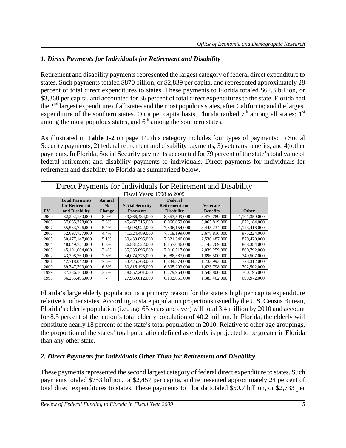## *1. Direct Payments for Individuals for Retirement and Disability*

Retirement and disability payments represented the largest category of federal direct expenditure to states. Such payments totaled \$870 billion, or \$2,839 per capita, and represented approximately 28 percent of total direct expenditures to states. These payments to Florida totaled \$62.3 billion, or \$3,360 per capita, and accounted for 36 percent of total direct expenditures to the state. Florida had the  $2<sup>nd</sup>$  largest expenditure of all states and the most populous states, after California; and the largest expenditure of the southern states. On a per capita basis, Florida ranked 7<sup>th</sup> among all states; 1<sup>st</sup> among the most populous states, and  $6<sup>th</sup>$  among the southern states.

As illustrated in **Table 1-2** on page 14, this category includes four types of payments: 1) Social Security payments, 2) federal retirement and disability payments, 3) veterans benefits, and 4) other payments. In Florida, Social Security payments accounted for 79 percent of the state's total value of federal retirement and disability payments to individuals. Direct payments for individuals for retirement and disability to Florida are summarized below.

|           | Direct Payments for Individuals for Retirement and Disability |               |                        |                       |                 |               |  |  |  |  |  |
|-----------|---------------------------------------------------------------|---------------|------------------------|-----------------------|-----------------|---------------|--|--|--|--|--|
|           | Fiscal Years: 1998 to 2009                                    |               |                        |                       |                 |               |  |  |  |  |  |
|           | <b>Total Payments</b>                                         | Annual        |                        | Federal               |                 |               |  |  |  |  |  |
|           | for Retirement                                                | $\frac{0}{0}$ | <b>Social Security</b> | <b>Retirement and</b> | <b>Veterans</b> |               |  |  |  |  |  |
| <b>FY</b> | and Disability                                                | <b>Change</b> | <b>Payments</b>        | <b>Disability</b>     | <b>Benefits</b> | <b>Other</b>  |  |  |  |  |  |
| 2009      | 62,292,180,000                                                | 8.0%          | 49,366,434,000         | 8,353,599,000         | 3,470,789,000   | 1,101,359,000 |  |  |  |  |  |
| 2008      | 57,665,378,000                                                | 3.8%          | 45,467,315,000         | 8,060,059,000         | 3,065,819,000   | 1,072,184,000 |  |  |  |  |  |
| 2007      | 55, 563, 726, 000                                             | 5.4%          | 43.098.922.000         | 7.896.154.000         | 3.445.234.000   | 1.123.416.000 |  |  |  |  |  |
| 2006      | 52,697,727,000                                                | 4.4%          | 41,324,489,000         | 7,719,199,000         | 2,678,816,000   | 975,224,000   |  |  |  |  |  |
| 2005      | 50,477,147,000                                                | 5.1%          | 39,439,895,000         | 7,621,346,000         | 2,536,487,000   | 879,420,000   |  |  |  |  |  |
| 2004      | 48,049,721,000                                                | 6.3%          | 36.881.522.000         | 8.157.046.000         | 2.142.769.000   | 868,384,000   |  |  |  |  |  |
| 2003      | 45.191.664.000                                                | 3.4%          | 35,335,096,000         | 7,016,517,000         | 2.039.259.000   | 800,792,000   |  |  |  |  |  |
| 2002      | 43,708,769,000                                                | 2.3%          | 34,074,375,000         | 6.988.387.000         | 1.896.500.000   | 749,507,000   |  |  |  |  |  |
| 2001      | 42,718,042,000                                                | 7.5%          | 33,426,363,000         | 6,834,374,000         | 1,733,993,000   | 723,312,000   |  |  |  |  |  |
| 2000      | 39,747,790,000                                                | 6.3%          | 30,816,196,000         | 6,605,293,000         | 1,623,798,000   | 702,502,000   |  |  |  |  |  |
| 1999      | 37,386,160,000                                                | 3.2%          | 28,857,201,000         | 6,279,964,000         | 1,548,800,000   | 700,195,000   |  |  |  |  |  |
| 1998      | 36,235,495,000                                                |               | 27.969.012.000         | 6,192,051,000         | 1,383,462,000   | 690,972,000   |  |  |  |  |  |

Florida's large elderly population is a primary reason for the state's high per capita expenditure relative to other states. According to state population projections issued by the U.S. Census Bureau, Florida's elderly population (i.e., age 65 years and over) will total 3.4 million by 2010 and account for 8.5 percent of the nation's total elderly population of 40.2 million. In Florida, the elderly will constitute nearly 18 percent of the state's total population in 2010. Relative to other age groupings, the proportion of the states' total population defined as elderly is projected to be greater in Florida than any other state.

## *2. Direct Payments for Individuals Other Than for Retirement and Disability*

These payments represented the second largest category of federal direct expenditure to states. Such payments totaled \$753 billion, or \$2,457 per capita, and represented approximately 24 percent of total direct expenditures to states. These payments to Florida totaled \$50.7 billion, or \$2,733 per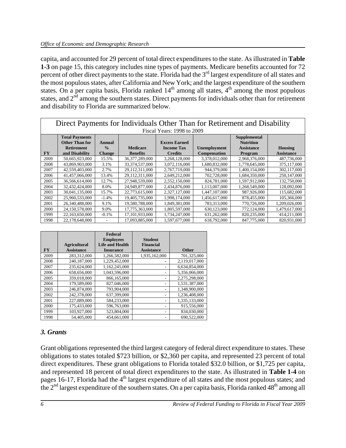capita, and accounted for 29 percent of total direct expenditures to the state. As illustrated in **Table 1-3** on page 15, this category includes nine types of payments. Medicare benefits accounted for 72 percent of other direct payments to the state. Florida had the 3rd largest expenditure of all states and the most populous states, after California and New York; and the largest expenditure of the southern states. On a per capita basis, Florida ranked  $14<sup>th</sup>$  among all states,  $4<sup>th</sup>$  among the most populous states, and  $2<sup>nd</sup>$  among the southern states. Direct payments for individuals other than for retirement and disability to Florida are summarized below.

|           | Direct Payments for Individuals Other Than for Retirement and Disability |                                |                   |                                           |                     |                                                       |                   |  |  |  |  |
|-----------|--------------------------------------------------------------------------|--------------------------------|-------------------|-------------------------------------------|---------------------|-------------------------------------------------------|-------------------|--|--|--|--|
|           | Fiscal Years: 1998 to 2009                                               |                                |                   |                                           |                     |                                                       |                   |  |  |  |  |
|           | <b>Total Payments</b><br><b>Other Than for</b><br><b>Retirement</b>      | <b>Annual</b><br>$\frac{0}{n}$ | <b>Medicare</b>   | <b>Excess Earned</b><br><b>Income Tax</b> | <b>Unemployment</b> | Supplemental<br><b>Nutrition</b><br><b>Assistance</b> | Housing           |  |  |  |  |
| <b>FY</b> | and Disability                                                           | <b>Change</b>                  | <b>Benefits</b>   | <b>Credits</b>                            | <b>Compensation</b> | Program                                               | <b>Assistance</b> |  |  |  |  |
| 2009      | 50,665,923,000                                                           | 15.5%                          | 36,377,289,000    | 3,268,128,000                             | 3,378,012,000       | 2,968,376,000                                         | 487,736,000       |  |  |  |  |
| 2008      | 43,869,903,000                                                           | 3.1%                           | 33, 374, 537, 000 | 3,072,116,000                             | 1,680,832,000       | 1,778,645,000                                         | 375,117,000       |  |  |  |  |
| 2007      | 42,559,403,000                                                           | 2.7%                           | 29,112,311,000    | 2,767,719,000                             | 944,379,000         | 1,400,154,000                                         | 302,117,000       |  |  |  |  |
| 2006      | 41.457.066.000                                                           | 13.4%                          | 29,112,311,000    | 2,649,212,000                             | 702,728,000         | 1,684,350,000                                         | 250, 147, 000     |  |  |  |  |
| 2005      | 36,566,614,000                                                           | 12.7%                          | 27,948,539,000    | 2,552,150,000                             | 824,781,000         | 1,597,912,000                                         | 132,750,000       |  |  |  |  |
| 2004      | 32,432,424,000                                                           | 8.0%                           | 24,949,877,000    | 2,434,876,000                             | 1,113,007,000       | 1,268,549,000                                         | 128,092,000       |  |  |  |  |
| 2003      | 30,041,135,000                                                           | 15.7%                          | 22,773,615,000    | 2,327,127,000                             | 1,447,107,000       | 987,926,000                                           | 115,682,000       |  |  |  |  |
| 2002      | 25,960,533,000                                                           | $-1.4%$                        | 19,405,735,000    | 1,998,174,000                             | 1,456,617,000       | 878,455,000                                           | 105,366,000       |  |  |  |  |
| 2001      | 26,340,488,000                                                           | 9.1%                           | 19,580,788,000    | 1,849,381,000                             | 783,313,000         | 770,726,000                                           | 1,209,026,000     |  |  |  |  |
| 2000      | 24,150,578,000                                                           | 9.0%                           | 17,775,363,000    | 1,805,597,000                             | 630,123,000         | 772,124,000                                           | 1,479,617,000     |  |  |  |  |
| 1999      | 22,163,650,000                                                           | $-0.1%$                        | 17,101,933,000    | 1,734,247,000                             | 631,262,000         | 820,235,000                                           | 414,211,000       |  |  |  |  |
| 1998      | 22,178,648,000                                                           |                                | 17,093,885,000    | 1,597,677,000                             | 618,792,000         | 847,775,000                                           | 820,931,000       |  |  |  |  |

|           |                     | Federal<br><b>Employees</b> | <b>Student</b>    |               |
|-----------|---------------------|-----------------------------|-------------------|---------------|
|           | <b>Agricultural</b> | <b>Life and Health</b>      | <b>Financial</b>  |               |
| <b>FY</b> | <b>Assistance</b>   | <b>Insurance</b>            | <b>Assistance</b> | <b>Other</b>  |
| 2009      | 283.312.000         | 1.266.582.000               | 1,935,162,000     | 701,325,000   |
| 2008      | 240.187.000         | 1.229.452.000               |                   | 2,119,017,000 |
| 2007      | 235,624,000         | 1,162,245,000               | -                 | 6.634.854.000 |
| 2006      | 658,656,000         | 1.043.596.000               | -                 | 5.356.066.000 |
| 2005      | 359,018,000         | 866,165,000                 | -                 | 2,275,298,000 |
| 2004      | 179,589,000         | 827,046,000                 | ٠                 | 1,531,387,000 |
| 2003      | 246,874,000         | 793,904,000                 | -                 | 1.348.900.000 |
| 2002      | 242,378,000         | 637,399,000                 | -                 | 1,236,408,000 |
| 2001      | 227,889,000         | 584,233,000                 | -                 | 1.335.133.000 |
| 2000      | 175,433,000         | 596,763,000                 | ٠                 | 915.556.000   |
| 1999      | 103,927,000         | 523,804,000                 | ۰                 | 834,030,000   |
| 1998      | 54,405,000          | 454,661,000                 |                   | 690.522,000   |

## *3. Grants*

Grant obligations represented the third largest category of federal direct expenditure to states. These obligations to states totaled \$723 billion, or \$2,360 per capita, and represented 23 percent of total direct expenditures. These grant obligations to Florida totaled \$32.0 billion, or \$1,725 per capita, and represented 18 percent of total direct expenditures to the state. As illustrated in **Table 1-4** on pages 16-17, Florida had the  $4<sup>th</sup>$  largest expenditure of all states and the most populous states; and the  $2<sup>nd</sup>$  largest expenditure of the southern states. On a per capita basis, Florida ranked 48<sup>th</sup> among all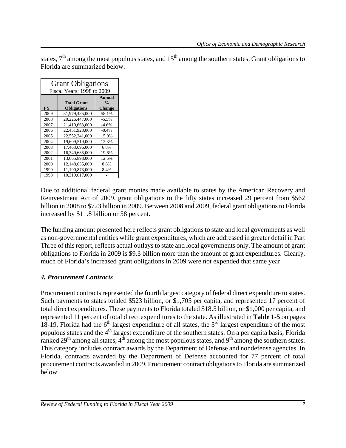states,  $7<sup>th</sup>$  among the most populous states, and  $15<sup>th</sup>$  among the southern states. Grant obligations to Florida are summarized below.

| <b>Grant Obligations</b> |                            |               |  |  |  |  |  |  |
|--------------------------|----------------------------|---------------|--|--|--|--|--|--|
|                          | Fiscal Years: 1998 to 2009 |               |  |  |  |  |  |  |
|                          | Annual                     |               |  |  |  |  |  |  |
|                          | <b>Total Grant</b>         | $\frac{0}{0}$ |  |  |  |  |  |  |
| <b>FY</b>                | <b>Obligations</b>         | <b>Change</b> |  |  |  |  |  |  |
| 2009                     | 31,979,435,000             | 58.1%         |  |  |  |  |  |  |
| 2008                     | 20,226,447,000             | $-5.5\%$      |  |  |  |  |  |  |
| 2007                     | 21.410.663.000             | $-4.6%$       |  |  |  |  |  |  |
| 2006                     | 22,451,928,000             | $-0.4%$       |  |  |  |  |  |  |
| 2005                     | 22,552,241,000             | 15.0%         |  |  |  |  |  |  |
| 2004                     | 19.609.519.000             | 12.3%         |  |  |  |  |  |  |
| 2003                     | 17,463,096,000             | 6.8%          |  |  |  |  |  |  |
| 2002                     | 16,349,635,000             | 19.6%         |  |  |  |  |  |  |
| 2001                     | 13,665,898,000             | 12.5%         |  |  |  |  |  |  |
| 2000                     | 12,148,635,000             | 8.6%          |  |  |  |  |  |  |
| 1999                     | 11,190,873,000             | 8.4%          |  |  |  |  |  |  |
| 1998                     | 10,319,617,000             |               |  |  |  |  |  |  |

Due to additional federal grant monies made available to states by the American Recovery and Reinvestment Act of 2009, grant obligations to the fifty states increased 29 percent from \$562 billion in 2008 to \$723 billion in 2009. Between 2008 and 2009, federal grant obligations to Florida increased by \$11.8 billion or 58 percent.

The funding amount presented here reflects grant obligations to state and local governments as well as non-governmental entities while grant expenditures, which are addressed in greater detail in Part Three of this report, reflects actual outlays to state and local governments only. The amount of grant obligations to Florida in 2009 is \$9.3 billion more than the amount of grant expenditures. Clearly, much of Florida's increased grant obligations in 2009 were not expended that same year.

## *4. Procurement Contracts*

Procurement contracts represented the fourth largest category of federal direct expenditure to states. Such payments to states totaled \$523 billion, or \$1,705 per capita, and represented 17 percent of total direct expenditures. These payments to Florida totaled \$18.5 billion, or \$1,000 per capita, and represented 11 percent of total direct expenditures to the state. As illustrated in **Table 1-5** on pages 18-19, Florida had the  $6<sup>th</sup>$  largest expenditure of all states, the  $3<sup>rd</sup>$  largest expenditure of the most populous states and the  $4<sup>th</sup>$  largest expenditure of the southern states. On a per capita basis, Florida ranked 29<sup>th</sup> among all states, 4<sup>th</sup> among the most populous states, and 9<sup>th</sup> among the southern states. This category includes contract awards by the Department of Defense and nondefense agencies. In Florida, contracts awarded by the Department of Defense accounted for 77 percent of total procurement contracts awarded in 2009. Procurement contract obligations to Florida are summarized below.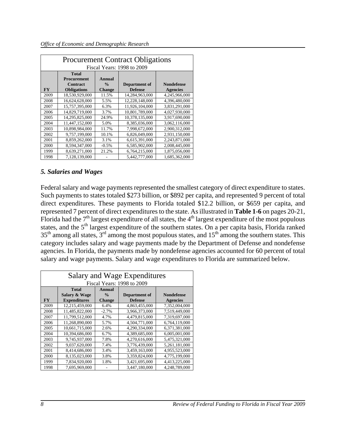| <b>Procurement Contract Obligations</b><br>Fiscal Years: 1998 to 2009 |                                                                             |                                          |                                 |                                      |  |  |  |  |  |
|-----------------------------------------------------------------------|-----------------------------------------------------------------------------|------------------------------------------|---------------------------------|--------------------------------------|--|--|--|--|--|
| <b>FY</b>                                                             | <b>Total</b><br><b>Procurement</b><br><b>Contract</b><br><b>Obligations</b> | Annual<br>$\frac{0}{0}$<br><b>Change</b> | Department of<br><b>Defense</b> | <b>Nondefense</b><br><b>Agencies</b> |  |  |  |  |  |
| 2009                                                                  | 18,530,929,000                                                              | 11.5%                                    | 14,284,963,000                  | 4,245,966,000                        |  |  |  |  |  |
| 2008                                                                  | 16,624,628,000                                                              | 5.5%                                     | 12,228,148,000                  | 4,396,480,000                        |  |  |  |  |  |
| 2007                                                                  | 15,757,395,000                                                              | 6.3%                                     | 11,926,104,000                  | 3,831,291,000                        |  |  |  |  |  |
| 2006                                                                  | 14.829.719.000                                                              | 3.7%                                     | 10,801,789,000                  | 4,027,930,000                        |  |  |  |  |  |
| 2005                                                                  | 14,295,825,000                                                              | 24.9%                                    | 10,378,135,000                  | 3,917,690,000                        |  |  |  |  |  |
| 2004                                                                  | 11,447,152,000                                                              | 5.0%                                     | 8,385,036,000                   | 3,062,116,000                        |  |  |  |  |  |
| 2003                                                                  | 10.898.984.000                                                              | 11.7%                                    | 7,998,672,000                   | 2,900,312,000                        |  |  |  |  |  |
| 2002                                                                  | 9,757,199,000                                                               | 10.1%                                    | 6,826,049,000                   | 2,931,150,000                        |  |  |  |  |  |
| 2001                                                                  | 8,859,262,000                                                               | 3.1%                                     | 6,615,391,000                   | 2,243,871,000                        |  |  |  |  |  |
| 2000                                                                  | 8,594,347,000                                                               | $-0.5%$                                  | 6,585,902,000                   | 2,008,445,000                        |  |  |  |  |  |
| 1999                                                                  | 8,639,271,000                                                               | 21.2%                                    | 6,764,215,000                   | 1,875,056,000                        |  |  |  |  |  |
| 1998                                                                  | 7,128,139,000                                                               |                                          | 5,442,777,000                   | 1,685,362,000                        |  |  |  |  |  |

#### *5. Salaries and Wages*

Federal salary and wage payments represented the smallest category of direct expenditure to states. Such payments to states totaled \$273 billion, or \$892 per capita, and represented 9 percent of total direct expenditures. These payments to Florida totaled \$12.2 billion, or \$659 per capita, and represented 7 percent of direct expenditures to the state. As illustrated in **Table 1-6** on pages 20-21, Florida had the  $7<sup>th</sup>$  largest expenditure of all states, the 4<sup>th</sup> largest expenditure of the most populous states, and the 5<sup>th</sup> largest expenditure of the southern states. On a per capita basis, Florida ranked  $35<sup>th</sup>$  among all states,  $3<sup>rd</sup>$  among the most populous states, and  $15<sup>th</sup>$  among the southern states. This category includes salary and wage payments made by the Department of Defense and nondefense agencies. In Florida, the payments made by nondefense agencies accounted for 60 percent of total salary and wage payments. Salary and wage expenditures to Florida are summarized below.

|           | Salary and Wage Expenditures |               |                |                   |  |  |  |  |  |  |
|-----------|------------------------------|---------------|----------------|-------------------|--|--|--|--|--|--|
|           | Fiscal Years: 1998 to 2009   |               |                |                   |  |  |  |  |  |  |
|           | <b>Total</b>                 | Annual        |                |                   |  |  |  |  |  |  |
|           | Salary & Wage                | $\frac{0}{0}$ | Department of  | <b>Nondefense</b> |  |  |  |  |  |  |
| <b>FY</b> | <b>Expenditures</b>          | <b>Change</b> | <b>Defense</b> | <b>Agencies</b>   |  |  |  |  |  |  |
| 2009      | 12.215.459.000               | 6.4%          | 4,863,455,000  | 7,352,004,000     |  |  |  |  |  |  |
| 2008      | 11,485,822,000               | $-2.7%$       | 3,966,373,000  | 7,519,449,000     |  |  |  |  |  |  |
| 2007      | 11.799.512.000               | 4.7%          | 4.479.815.000  | 7.319.697.000     |  |  |  |  |  |  |
| 2006      | 11.268.890.000               | 5.7%          | 4.504.771.000  | 6.764.119.000     |  |  |  |  |  |  |
| 2005      | 10,661,715,000               | 2.6%          | 4,290,334,000  | 6,371,381,000     |  |  |  |  |  |  |
| 2004      | 10,394,686,000               | 6.7%          | 4,389,685,000  | 6,005,001,000     |  |  |  |  |  |  |
| 2003      | 9.745.937.000                | 7.8%          | 4,270,616,000  | 5,475,321,000     |  |  |  |  |  |  |
| 2002      | 9.037.620.000                | 7.4%          | 3,776,439,000  | 5,261,181,000     |  |  |  |  |  |  |
| 2001      | 8,414,686,000                | 3.4%          | 3,459,163,000  | 4,955,523,000     |  |  |  |  |  |  |
| 2000      | 8,135,023,000                | 3.8%          | 3,359,824,000  | 4,775,199,000     |  |  |  |  |  |  |
| 1999      | 7,834,920,000                | 1.8%          | 3,421,695,000  | 4,413,225,000     |  |  |  |  |  |  |
| 1998      | 7.695.969.000                |               | 3,447,180,000  | 4.248.789.000     |  |  |  |  |  |  |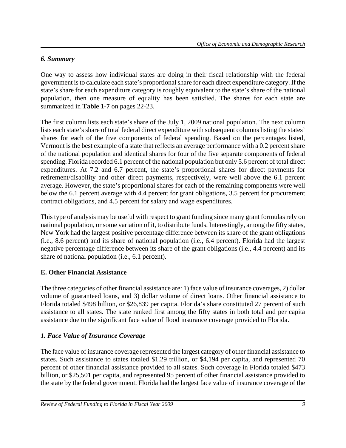## *6. Summary*

One way to assess how individual states are doing in their fiscal relationship with the federal government is to calculate each state's proportional share for each direct expenditure category. If the state's share for each expenditure category is roughly equivalent to the state's share of the national population, then one measure of equality has been satisfied. The shares for each state are summarized in **Table 1-7** on pages 22-23.

The first column lists each state's share of the July 1, 2009 national population. The next column lists each state's share of total federal direct expenditure with subsequent columns listing the states' shares for each of the five components of federal spending. Based on the percentages listed, Vermont is the best example of a state that reflects an average performance with a 0.2 percent share of the national population and identical shares for four of the five separate components of federal spending. Florida recorded 6.1 percent of the national population but only 5.6 percent of total direct expenditures. At 7.2 and 6.7 percent, the state's proportional shares for direct payments for retirement/disability and other direct payments, respectively, were well above the 6.1 percent average. However, the state's proportional shares for each of the remaining components were well below the 6.1 percent average with 4.4 percent for grant obligations, 3.5 percent for procurement contract obligations, and 4.5 percent for salary and wage expenditures.

This type of analysis may be useful with respect to grant funding since many grant formulas rely on national population, or some variation of it, to distribute funds. Interestingly, among the fifty states, New York had the largest positive percentage difference between its share of the grant obligations (i.e., 8.6 percent) and its share of national population (i.e., 6.4 percent). Florida had the largest negative percentage difference between its share of the grant obligations (i.e., 4.4 percent) and its share of national population (i.e., 6.1 percent).

## **E. Other Financial Assistance**

The three categories of other financial assistance are: 1) face value of insurance coverages, 2) dollar volume of guaranteed loans, and 3) dollar volume of direct loans. Other financial assistance to Florida totaled \$498 billion, or \$26,839 per capita. Florida's share constituted 27 percent of such assistance to all states. The state ranked first among the fifty states in both total and per capita assistance due to the significant face value of flood insurance coverage provided to Florida.

## *1. Face Value of Insurance Coverage*

The face value of insurance coverage represented the largest category of other financial assistance to states. Such assistance to states totaled \$1.29 trillion, or \$4,194 per capita, and represented 70 percent of other financial assistance provided to all states. Such coverage in Florida totaled \$473 billion, or \$25,501 per capita, and represented 95 percent of other financial assistance provided to the state by the federal government. Florida had the largest face value of insurance coverage of the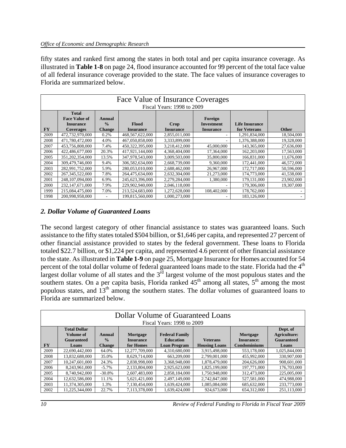fifty states and ranked first among the states in both total and per capita insurance coverage. As illustrated in **Table 1-8** on page 24, flood insurance accounted for 99 percent of the total face value of all federal insurance coverage provided to the state. The face values of insurance coverages to Florida are summarized below.

|           | Face Value of Insurance Coverages<br>Fiscal Years: 1998 to 2009 |                         |                  |                  |                              |                |            |  |  |  |  |
|-----------|-----------------------------------------------------------------|-------------------------|------------------|------------------|------------------------------|----------------|------------|--|--|--|--|
|           | <b>Total</b><br><b>Face Value of</b><br><b>Insurance</b>        | Annual<br>$\frac{0}{0}$ | <b>Flood</b>     | Crop             | Foreign<br><b>Investment</b> | Life Insurance |            |  |  |  |  |
| <b>FY</b> | <b>Coverages</b>                                                | <b>Change</b>           | <b>Insurance</b> | <b>Insurance</b> | <b>Insurance</b>             | for Veterans   | Other      |  |  |  |  |
| 2009      | 472,732,970,000                                                 | 0.2%                    | 468,567,622,000  | 2,855,011,000    | ٠                            | 1,291,834,000  | 18,504,000 |  |  |  |  |
| 2008      | 471,780,472,000                                                 | 4.0%                    | 467,050,858,000  | 3,333,899,000    |                              | 1,376,388,000  | 19,328,000 |  |  |  |  |
| 2007      | 453,756,808,000                                                 | 7.4%                    | 450,322,395,000  | 3,218,412,000    | 45,000,000                   | 143,365,000    | 27,636,000 |  |  |  |  |
| 2006      | 422,486,677,000                                                 | 20.3%                   | 417,921,144,000  | 4,368,404,000    | 17,364,000                   | 162,203,000    | 17,563,000 |  |  |  |  |
| 2005      | 351,202,354,000                                                 | 13.5%                   | 347,978,543,000  | 3,009,503,000    | 35,800,000                   | 166,831,000    | 11,676,000 |  |  |  |  |
| 2004      | 309,479,746,000                                                 | 9.4%                    | 306,582,634,000  | 2,668,739,000    | 9,360,000                    | 172,441,000    | 46,572,000 |  |  |  |  |
| 2003      | 282,991,752,000                                                 | 5.9%                    | 280,053,010,000  | 2,688,462,000    | 26,967,000                   | 172,717,000    | 50,596,000 |  |  |  |  |
| 2002      | 267, 345, 522, 000                                              | 7.8%                    | 264,475,634,000  | 2,632,304,000    | 21,273,000                   | 174,773,000    | 41,538,000 |  |  |  |  |
| 2001      | 248, 107, 094, 000                                              | 6.9%                    | 245,623,396,000  | 2,279,284,000    | 1,380,000                    | 179,131,000    | 23,902,000 |  |  |  |  |
| 2000      | 232,147,671,000                                                 | 7.9%                    | 229,902,940,000  | 2,046,118,000    |                              | 179,306,000    | 19,307,000 |  |  |  |  |
| 1999      | 215,084,475,000                                                 | 7.0%                    | 213,524,683,000  | 1,272,628,000    | 108,402,000                  | 178,762,000    |            |  |  |  |  |
| 1998      | 200,998,958,000                                                 |                         | 199,815,560,000  | 1,000,273,000    |                              | 183,126,000    |            |  |  |  |  |

## *2. Dollar Volume of Guaranteed Loans*

The second largest category of other financial assistance to states was guaranteed loans. Such assistance to the fifty states totaled \$504 billion, or \$1,646 per capita, and represented 27 percent of other financial assistance provided to states by the federal government. These loans to Florida totaled \$22.7 billion, or \$1,224 per capita, and represented 4.6 percent of other financial assistance to the state. As illustrated in **Table 1-9** on page 25, Mortgage Insurance for Homes accounted for 54 percent of the total dollar volume of federal guaranteed loans made to the state. Florida had the 4<sup>th</sup> largest dollar volume of all states and the  $3<sup>rd</sup>$  largest volume of the most populous states and the southern states. On a per capita basis, Florida ranked  $45<sup>th</sup>$  among all states,  $5<sup>th</sup>$  among the most populous states, and  $13<sup>th</sup>$  among the southern states. The dollar volumes of guaranteed loans to Florida are summarized below.

|           | Dollar Volume of Guaranteed Loans                                     |                                          |                                           |                                                                  |                                         |                                                      |                                                        |  |  |  |  |
|-----------|-----------------------------------------------------------------------|------------------------------------------|-------------------------------------------|------------------------------------------------------------------|-----------------------------------------|------------------------------------------------------|--------------------------------------------------------|--|--|--|--|
|           | Fiscal Years: 1998 to 2009                                            |                                          |                                           |                                                                  |                                         |                                                      |                                                        |  |  |  |  |
| <b>FY</b> | <b>Total Dollar</b><br><b>Volume of</b><br><b>Guaranteed</b><br>Loans | Annual<br>$\frac{0}{0}$<br><b>Change</b> | Mortgage<br><b>Insurance</b><br>for Homes | <b>Federal Family</b><br><b>Education</b><br><b>Loan Program</b> | <b>Veterans</b><br><b>Housing Loans</b> | Mortgage<br><b>Insurance:</b><br><b>Condominiums</b> | Dept. of<br>Agriculture:<br><b>Guaranteed</b><br>Loans |  |  |  |  |
| 2009      | 22,690,442,000                                                        | 64.0%                                    | 12,277,709,000                            | 4,310,680,000                                                    | 3,915,498,000                           | 553,178,000                                          | 1,025,844,000                                          |  |  |  |  |
| 2008      | 13,832,688,000                                                        | 35.0%                                    | 8,629,714,000                             | 663,209,000                                                      | 2,799,001,000                           | 455,992,000                                          | 330,907,000                                            |  |  |  |  |
| 2007      | 10.247.601.000                                                        | 24.3%                                    | 2.838.998.000                             | 3.368.948.000                                                    | 1.878.479.000                           | 204,626,000                                          | 908,601,000                                            |  |  |  |  |
| 2006      | 8,243,961,000                                                         | $-5.7\%$                                 | 2,133,804,000                             | 2,925,623,000                                                    | 1.825.199.000                           | 197,771,000                                          | 176,703,000                                            |  |  |  |  |
| 2005      | 8,740,942,000                                                         | $-30.8%$                                 | 2,607,483,000                             | 2,858,184,000                                                    | 1,750,948,000                           | 312,473,000                                          | 225,005,000                                            |  |  |  |  |
| 2004      | 12,632,586,000                                                        | 11.1%                                    | 5,621,421,000                             | 2,497,149,000                                                    | 2.742.847.000                           | 527,581,000                                          | 474,988,000                                            |  |  |  |  |
| 2003      | 11,374,305,000                                                        | 1.3%                                     | 7,130,454,000                             | 1,639,424,000                                                    | 1,085,084,000                           | 685,632,000                                          | 233,773,000                                            |  |  |  |  |
| 2002      | 11,225,344,000                                                        | 22.7%                                    | 7,113,378,000                             | 1,639,424,000                                                    | 924,673,000                             | 654,312,000                                          | 251,113,000                                            |  |  |  |  |

*10 Review of Federal Funding to Florida in Fiscal Year 2009*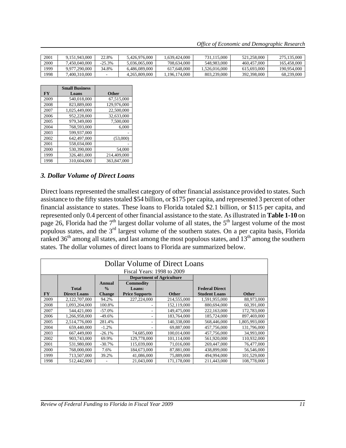| 2001 | 9.151.943.000 | 22.8%    | 5.426.976.000 | 1.639.424.000 | 731.115.000   | 521.258,000 | 275,135,000 |
|------|---------------|----------|---------------|---------------|---------------|-------------|-------------|
| 2000 | 7,450,040,000 | $-25.3%$ | 5.036.065.000 | 708.634.000   | 548.983.000   | 460,457,000 | 165.458.000 |
| 1999 | 9.977.290.000 | 34.8%    | 6.486.089.000 | 617.648.000   | 1.526.016.000 | 615.693.000 | 190.954.000 |
| 1998 | .400.310.000  | -        | 4.265.809.000 | 196.174.000   | 803.239,000   | 392,398,000 | 68.239,000  |

|           | <b>Small Business</b> |             |
|-----------|-----------------------|-------------|
| <b>FY</b> | Loans                 | Other       |
| 2009      | 540,018,000           | 67,515,000  |
| 2008      | 823,889,000           | 129,976,000 |
| 2007      | 1,025,449,000         | 22,500,000  |
| 2006      | 952.228.000           | 32,633,000  |
| 2005      | 979,349,000           | 7,500,000   |
| 2004      | 768,593,000           | 6.000       |
| 2003      | 599.937.000           |             |
| 2002      | 642.497.000           | (53,000)    |
| 2001      | 558,034,000           |             |
| 2000      | 530,390,000           | 54,000      |
| 1999      | 326,481,000           | 214,409,000 |
| 1998      | 310,604,000           | 363,847,000 |

#### *3. Dollar Volume of Direct Loans*

Direct loans represented the smallest category of other financial assistance provided to states. Such assistance to the fifty states totaled \$54 billion, or \$175 per capita, and represented 3 percent of other financial assistance to states. These loans to Florida totaled \$2.1 billion, or \$115 per capita, and represented only 0.4 percent of other financial assistance to the state. As illustrated in **Table 1-10** on page 26, Florida had the  $7<sup>th</sup>$  largest dollar volume of all states, the  $5<sup>th</sup>$  largest volume of the most populous states, and the 3rd largest volume of the southern states. On a per capita basis, Florida ranked  $36<sup>th</sup>$  among all states, and last among the most populous states, and  $13<sup>th</sup>$  among the southern states. The dollar volumes of direct loans to Florida are summarized below.

|           |                     |               | Dollar Volume of Direct Loans    |              |                       |               |
|-----------|---------------------|---------------|----------------------------------|--------------|-----------------------|---------------|
|           |                     |               | Fiscal Years: 1998 to 2009       |              |                       |               |
|           |                     |               | <b>Department of Agriculture</b> |              |                       |               |
|           |                     | Annual        | <b>Commodity</b>                 |              |                       |               |
|           | <b>Total</b>        | $\frac{0}{0}$ | Loans:                           |              | <b>Federal Direct</b> |               |
| <b>FY</b> | <b>Direct Loans</b> | <b>Change</b> | <b>Price Supports</b>            | <b>Other</b> | <b>Student Loans</b>  | Other         |
| 2009      | 2,122,707,000       | 94.2%         | 227,224,000                      | 214,555,000  | 1,591,955,000         | 88,973,000    |
| 2008      | 1,093,204,000       | 100.8%        |                                  | 152,119,000  | 880,694,000           | 60,391,000    |
| 2007      | 544,421,000         | $-57.0%$      |                                  | 149,475,000  | 222,163,000           | 172,783,000   |
| 2006      | 1,266,958,000       | $-49.6%$      |                                  | 183,764,000  | 185,724,000           | 897,469,000   |
| 2005      | 2,514,776,000       | 281.4%        |                                  | 140,338,000  | 568,446,000           | 1,805,993,000 |
| 2004      | 659,440,000         | $-1.2%$       |                                  | 69,887,000   | 457,756,000           | 131,796,000   |
| 2003      | 667,449,000         | $-26.1%$      | 74,685,000                       | 100,014,000  | 457,756,000           | 34,993,000    |
| 2002      | 903,743,000         | 69.9%         | 129,778,000                      | 101,114,000  | 561,920,000           | 110,932,000   |
| 2001      | 531,980,000         | $-30.7%$      | 115,039,000                      | 71,016,000   | 269,447,000           | 76,477,000    |
| 2000      | 768,000,000         | 7.6%          | 184,673,000                      | 87,881,000   | 438,899,000           | 56,546,000    |
| 1999      | 713,507,000         | 39.2%         | 41,086,000                       | 75,889,000   | 494,994,000           | 101,529,000   |
| 1998      | 512,442,000         |               | 21,043,000                       | 171.178.000  | 211.443.000           | 108,778,000   |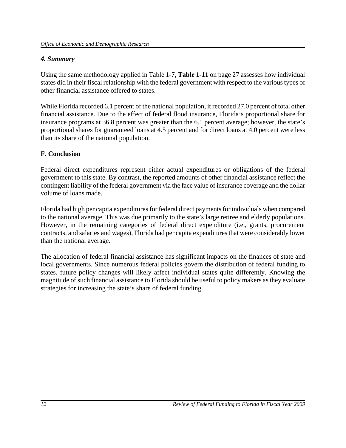#### *4. Summary*

Using the same methodology applied in Table 1-7, **Table 1-11** on page 27 assesses how individual states did in their fiscal relationship with the federal government with respect to the various types of other financial assistance offered to states.

While Florida recorded 6.1 percent of the national population, it recorded 27.0 percent of total other financial assistance. Due to the effect of federal flood insurance, Florida's proportional share for insurance programs at 36.8 percent was greater than the 6.1 percent average; however, the state's proportional shares for guaranteed loans at 4.5 percent and for direct loans at 4.0 percent were less than its share of the national population.

## **F. Conclusion**

Federal direct expenditures represent either actual expenditures or obligations of the federal government to this state. By contrast, the reported amounts of other financial assistance reflect the contingent liability of the federal government via the face value of insurance coverage and the dollar volume of loans made.

Florida had high per capita expenditures for federal direct payments for individuals when compared to the national average. This was due primarily to the state's large retiree and elderly populations. However, in the remaining categories of federal direct expenditure (i.e., grants, procurement contracts, and salaries and wages), Florida had per capita expenditures that were considerably lower than the national average.

The allocation of federal financial assistance has significant impacts on the finances of state and local governments. Since numerous federal policies govern the distribution of federal funding to states, future policy changes will likely affect individual states quite differently. Knowing the magnitude of such financial assistance to Florida should be useful to policy makers as they evaluate strategies for increasing the state's share of federal funding.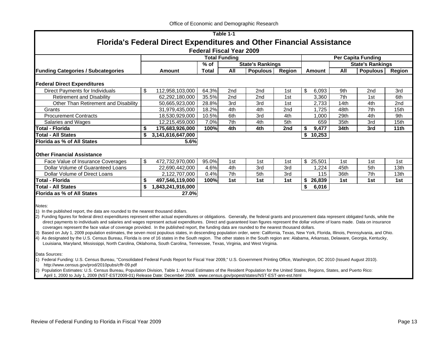| Table 1-1                                                                                                                                                                                                                                                                                                                                                                               |                      |                                                                             |              |                                 |                         |                 |              |      |                           |                  |
|-----------------------------------------------------------------------------------------------------------------------------------------------------------------------------------------------------------------------------------------------------------------------------------------------------------------------------------------------------------------------------------------|----------------------|-----------------------------------------------------------------------------|--------------|---------------------------------|-------------------------|-----------------|--------------|------|---------------------------|------------------|
|                                                                                                                                                                                                                                                                                                                                                                                         |                      | <b>Florida's Federal Direct Expenditures and Other Financial Assistance</b> |              |                                 |                         |                 |              |      |                           |                  |
|                                                                                                                                                                                                                                                                                                                                                                                         |                      |                                                                             |              | <b>Federal Fiscal Year 2009</b> |                         |                 |              |      |                           |                  |
|                                                                                                                                                                                                                                                                                                                                                                                         | <b>Total Funding</b> |                                                                             |              |                                 |                         |                 |              |      | <b>Per Capita Funding</b> |                  |
|                                                                                                                                                                                                                                                                                                                                                                                         |                      |                                                                             | $%$ of       |                                 | <b>State's Rankings</b> |                 |              |      | <b>State's Rankings</b>   |                  |
| <b>Funding Categories / Subcategories</b>                                                                                                                                                                                                                                                                                                                                               |                      | Amount                                                                      | <b>Total</b> | All                             | <b>Populous</b>         | <b>Region</b>   | Amount       | All  | <b>Populous</b>           | Region           |
| <b>Federal Direct Expenditures</b>                                                                                                                                                                                                                                                                                                                                                      |                      |                                                                             |              |                                 |                         |                 |              |      |                           |                  |
| Direct Payments for Individuals                                                                                                                                                                                                                                                                                                                                                         | \$                   | 112,958,103,000                                                             | 64.3%        | 2 <sub>nd</sub>                 | 2 <sub>nd</sub>         | 1st             | \$<br>6,093  | 9th  | 2 <sub>nd</sub>           | 3rd              |
| <b>Retirement and Disability</b>                                                                                                                                                                                                                                                                                                                                                        |                      | 62,292,180,000                                                              | 35.5%        | 2nd                             | 2 <sub>nd</sub>         | 1st             | 3,360        | 7th  | 1st                       | 6th              |
| Other Than Retirement and Disability                                                                                                                                                                                                                                                                                                                                                    |                      | 50,665,923,000                                                              | 28.8%        | 3rd                             | 3rd                     | 1st             | 2,733        | 14th | 4th                       | 2 <sub>nd</sub>  |
| Grants                                                                                                                                                                                                                                                                                                                                                                                  |                      | 31,979,435,000                                                              | 18.2%        | 4th                             | 4th                     | 2 <sub>nd</sub> | 1.725        | 48th | 7th                       | 15th             |
| <b>Procurement Contracts</b>                                                                                                                                                                                                                                                                                                                                                            |                      | 18,530,929,000                                                              | 10.5%        | 6th                             | 3rd                     | 4th             | 1,000        | 29th | 4th                       | 9th              |
| Salaries and Wages                                                                                                                                                                                                                                                                                                                                                                      |                      | 12,215,459,000                                                              | 7.0%         | 7th                             | 4th                     | 5th             | 659          | 35th | 3rd                       | 15th             |
| <b>Total - Florida</b>                                                                                                                                                                                                                                                                                                                                                                  |                      | 175,683,926,000                                                             | 100%         | 4th                             | 4th                     | 2nd             | 9,477<br>\$  | 34th | 3rd                       | 11th             |
| <b>Total - All States</b>                                                                                                                                                                                                                                                                                                                                                               | \$                   | 3,141,616,647,000                                                           |              |                                 |                         |                 | \$<br>10,253 |      |                           |                  |
| <b>Florida as % of All States</b>                                                                                                                                                                                                                                                                                                                                                       |                      | 5.6%                                                                        |              |                                 |                         |                 |              |      |                           |                  |
|                                                                                                                                                                                                                                                                                                                                                                                         |                      |                                                                             |              |                                 |                         |                 |              |      |                           |                  |
| <b>Other Financial Assistance</b>                                                                                                                                                                                                                                                                                                                                                       |                      |                                                                             |              |                                 |                         |                 |              |      |                           |                  |
| Face Value of Insurance Coverages                                                                                                                                                                                                                                                                                                                                                       | \$                   | 472,732,970,000                                                             | 95.0%        | 1st                             | 1st                     | 1st             | \$25,501     | 1st  | 1st                       | 1st              |
| Dollar Volume of Guaranteed Loans                                                                                                                                                                                                                                                                                                                                                       |                      | 22,690,442,000                                                              | 4.6%         | 4th                             | 3rd                     | 3rd             | 1,224        | 45th | 5th                       | 13 <sub>th</sub> |
| Dollar Volume of Direct Loans                                                                                                                                                                                                                                                                                                                                                           |                      | 2,122,707,000                                                               | 0.4%         | 7th                             | 5th                     | 3rd             | 115          | 36th | 7th                       | 13th             |
| <b>Total - Florida</b>                                                                                                                                                                                                                                                                                                                                                                  | \$                   | 497,546,119,000                                                             | 100%         | 1st                             | 1st                     | 1st             | \$26,839     | 1st  | 1st                       | 1st              |
| <b>Total - All States</b>                                                                                                                                                                                                                                                                                                                                                               | \$                   | 1,843,241,916,000                                                           |              |                                 |                         |                 | \$<br>6,016  |      |                           |                  |
| <b>Florida as % of All States</b>                                                                                                                                                                                                                                                                                                                                                       |                      | 27.0%                                                                       |              |                                 |                         |                 |              |      |                           |                  |
|                                                                                                                                                                                                                                                                                                                                                                                         |                      |                                                                             |              |                                 |                         |                 |              |      |                           |                  |
| Notes:                                                                                                                                                                                                                                                                                                                                                                                  |                      |                                                                             |              |                                 |                         |                 |              |      |                           |                  |
| 1) In the published report, the data are rounded to the nearest thousand dollars.                                                                                                                                                                                                                                                                                                       |                      |                                                                             |              |                                 |                         |                 |              |      |                           |                  |
| 2) Funding figures for federal direct expenditures represent either actual expenditures or obligations. Generally, the federal grants and procurement data represent obligated funds, while the<br>direct payments to individuals and salaries and wages represent actual expenditures. Direct and guaranteed loan figures represent the dollar volume of loans made. Data on insurance |                      |                                                                             |              |                                 |                         |                 |              |      |                           |                  |
| coverages represent the face value of coverage provided. In the published report, the funding data are rounded to the nearest thousand dollars.                                                                                                                                                                                                                                         |                      |                                                                             |              |                                 |                         |                 |              |      |                           |                  |
| Based on July 1, 2009 population estimates, the seven most populous states, in descending population order, were: California, Texas, New York, Florida, Illinois, Pennsylvania, and Ohio.<br>3).                                                                                                                                                                                        |                      |                                                                             |              |                                 |                         |                 |              |      |                           |                  |
| 4) As designated by the U.S. Census Bureau, Florida is one of 16 states in the South region. The other states in the South region are: Alabama, Arkansas, Delaware, Georgia, Kentucky,                                                                                                                                                                                                  |                      |                                                                             |              |                                 |                         |                 |              |      |                           |                  |
| Louisiana, Maryland, Mississippi, North Carolina, Oklahoma, South Carolina, Tennessee, Texas, Virginia, and West Virginia.                                                                                                                                                                                                                                                              |                      |                                                                             |              |                                 |                         |                 |              |      |                           |                  |
| $\sim$ $\sim$                                                                                                                                                                                                                                                                                                                                                                           |                      |                                                                             |              |                                 |                         |                 |              |      |                           |                  |

Data Sources:

1) Federal Funding: U.S. Census Bureau, "Consolidated Federal Funds Report for Fiscal Year 2009," U.S. Government Printing Office, Washington, DC 2010 (Issued August 2010). http://www.census.gov/prod/2010pubs/cffr-09.pdf

2) Population Estimates: U.S. Census Bureau, Population Division, Table 1: Annual Estimates of the Resident Population for the United States, Regions, States, and Puerto Rico:

April 1, 2000 to July 1, 2009 (NST-EST2009-01) Release Date: December 2009. www.census.gov/popest/states/NST-EST-ann-est.html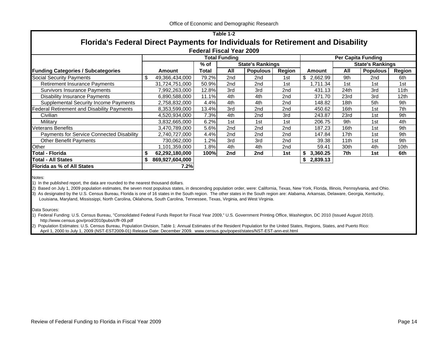|                                                                                 | Table 1-2                                                                                            |                 |        |                                 |                 |                 |                         |                           |                 |                  |  |  |  |
|---------------------------------------------------------------------------------|------------------------------------------------------------------------------------------------------|-----------------|--------|---------------------------------|-----------------|-----------------|-------------------------|---------------------------|-----------------|------------------|--|--|--|
| Florida's Federal Direct Payments for Individuals for Retirement and Disability |                                                                                                      |                 |        |                                 |                 |                 |                         |                           |                 |                  |  |  |  |
|                                                                                 |                                                                                                      |                 |        | <b>Federal Fiscal Year 2009</b> |                 |                 |                         |                           |                 |                  |  |  |  |
|                                                                                 |                                                                                                      |                 |        | <b>Total Funding</b>            |                 |                 |                         | <b>Per Capita Funding</b> |                 |                  |  |  |  |
|                                                                                 |                                                                                                      |                 |        | <b>State's Rankings</b>         |                 |                 | <b>State's Rankings</b> |                           |                 |                  |  |  |  |
| <b>Funding Categories / Subcategories</b>                                       |                                                                                                      | <b>Amount</b>   | Total  | All                             | <b>Populous</b> | Region          | Amount                  | All                       | <b>Populous</b> | Region           |  |  |  |
| Social Security Payments                                                        | \$                                                                                                   | 49,366,434,000  | 79.2%  | 2 <sub>nd</sub>                 | 2nd             | 1st             | \$2,662.99              | 9th                       | 2nd             | 6th              |  |  |  |
| <b>Retirement Insurance Payments</b>                                            |                                                                                                      | 31,724,751,000  | 50.9%  | 2 <sub>nd</sub>                 | 2nd             | 1st             | 1,711.34                | 1st                       | 1st             | 1st              |  |  |  |
| Survivors Insurance Payments                                                    | 3rd<br>2 <sub>nd</sub><br>24th<br>11 <sub>th</sub><br>7,992,263,000<br>12.8%<br>3rd<br>431.13<br>3rd |                 |        |                                 |                 |                 |                         |                           |                 |                  |  |  |  |
| <b>Disability Insurance Payments</b>                                            |                                                                                                      | 6,890,588,000   | 11.1%l | 4th                             | 4th             | 2nd             | 371.70                  | 23rd                      | 3rd             | 12 <sub>th</sub> |  |  |  |
| Supplemental Security Income Payments                                           |                                                                                                      | 2,758,832,000   | 4.4%   | 4th                             | 4th             | 2nd             | 148.82                  | 18 <sub>th</sub>          | 5th             | 9th              |  |  |  |
| <b>Federal Retirement and Disability Payments</b>                               |                                                                                                      | 8,353,599,000   | 13.4%  | 3rd                             | 2nd             | 2nd             | 450.62                  | 16th                      | 1st             | 7th              |  |  |  |
| Civilian                                                                        |                                                                                                      | 4,520,934,000   | 7.3%   | 4th                             | 2nd             | 3rd             | 243.87                  | 23rd                      | 1st             | 9th              |  |  |  |
| Military                                                                        |                                                                                                      | 3,832,665,000   | 6.2%   | 1st                             | 1st             | 1st             | 206.75                  | 9th                       | 1st             | 4th              |  |  |  |
| Veterans Benefits                                                               |                                                                                                      | 3,470,789,000   | 5.6%   | 2 <sub>nd</sub>                 | 2nd             | 2nd             | 187.23                  | 16th                      | 1st             | 9th              |  |  |  |
| <b>Payments for Service Connected Disability</b>                                |                                                                                                      | 2,740,727,000   | 4.4%   | 2nd                             | 2 <sub>nd</sub> | 2 <sub>nd</sub> | 147.84                  | 17th                      | 1st             | 9th              |  |  |  |
| <b>Other Benefit Payments</b>                                                   |                                                                                                      | 730,062,000     | 1.2%   | 3rd                             | 3rd             | 2nd             | 39.38                   | 11th                      | 1st             | 9th              |  |  |  |
| Other                                                                           |                                                                                                      | 1,101,359,000   | 1.8%   | 4th                             | 4th             | 2 <sub>nd</sub> | 59.41                   | 30th                      | 4th             | 10th             |  |  |  |
| Total - Florida                                                                 | \$                                                                                                   | 62,292,180,000  | 100%   | 2nd                             | 2nd             | 1st             | S<br>3,360.25           | 7th.                      | 1st             | 6th              |  |  |  |
| <b>Total - All States</b>                                                       | \$                                                                                                   | 869,927,604,000 |        |                                 |                 |                 | \$<br>2,839.13          |                           |                 |                  |  |  |  |
| <b>Florida as % of All States</b>                                               |                                                                                                      | 7.2%            |        |                                 |                 |                 |                         |                           |                 |                  |  |  |  |

Notes:

1) In the published report, the data are rounded to the nearest thousand dollars.

2) Based on July 1, 2009 population estimates, the seven most populous states, in descending population order, were: California, Texas, New York, Florida, Illinois, Pennsylvania, and Ohio.

3) As designated by the U.S. Census Bureau, Florida is one of 16 states in the South region. The other states in the South region are: Alabama, Arkansas, Delaware, Georgia, Kentucky, Louisiana, Maryland, Mississippi, North Carolina, Oklahoma, South Carolina, Tennessee, Texas, Virginia, and West Virginia.

Data Sources:

1) Federal Funding: U.S. Census Bureau, "Consolidated Federal Funds Report for Fiscal Year 2009," U.S. Government Printing Office, Washington, DC 2010 (Issued August 2010). http://www.census.gov/prod/2010pubs/cffr-09.pdf

2) Population Estimates: U.S. Census Bureau, Population Division, Table 1: Annual Estimates of the Resident Population for the United States, Regions, States, and Puerto Rico: April 1, 2000 to July 1, 2009 (NST-EST2009-01) Release Date: December 2009. www.census.gov/popest/states/NST-EST-ann-est.html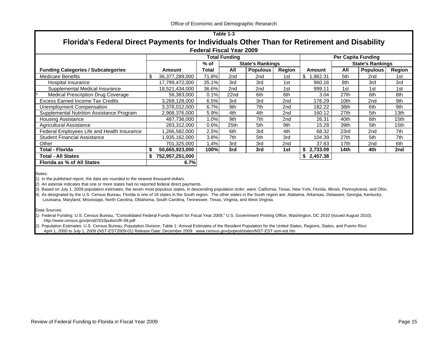|                                                                                            |                                 |                 |         | Table 1-3     |                         |                    |                |                         |                 |        |  |
|--------------------------------------------------------------------------------------------|---------------------------------|-----------------|---------|---------------|-------------------------|--------------------|----------------|-------------------------|-----------------|--------|--|
| Florida's Federal Direct Payments for Individuals Other Than for Retirement and Disability |                                 |                 |         |               |                         |                    |                |                         |                 |        |  |
|                                                                                            | <b>Federal Fiscal Year 2009</b> |                 |         |               |                         |                    |                |                         |                 |        |  |
|                                                                                            |                                 |                 |         | Total Funding |                         | Per Capita Funding |                |                         |                 |        |  |
|                                                                                            |                                 |                 | $%$ of  |               | <b>State's Rankings</b> |                    |                | <b>State's Rankings</b> |                 |        |  |
| <b>Funding Categories / Subcategories</b>                                                  |                                 | Amount          | Total   | All           | <b>Populous</b>         | Region             | Amount         | All                     | <b>Populous</b> | Region |  |
| <b>Medicare Benefits</b>                                                                   | \$                              | 36,377,289,000  | 71.8%   | 2nd           | 2 <sub>nd</sub>         | 1st                | \$<br>1,962.31 | 5th                     | 2 <sub>nd</sub> | 1st    |  |
| <b>Hospital Insurance</b>                                                                  |                                 | 17,799,472,000  | 35.1%   | 3rd           | 3rd                     | 1st                | 960.16         | 8th                     | 3rd             | 3rd    |  |
| Supplemental Medical Insurance                                                             |                                 | 18,521,434,000  | 36.6%   | 2nd           | 2nd                     | 1st                | 999.11         | 1st                     | 1st             | 1st    |  |
| <b>Medical Prescription Drug Coverage</b>                                                  |                                 | 56.383.000      | 0.1%    | 22nd          | 6th                     | 6th                | 3.04           | 27th                    | 6th             | 8th    |  |
| <b>Excess Earned Income Tax Credits</b>                                                    |                                 | 3,268,128,000   | 6.5%    | 3rd           | 3rd                     | 2nd                | 176.29         | 10 <sub>th</sub>        | 2nd             | 9th    |  |
| Unemployment Compensation                                                                  |                                 | 3,378,012,000   | 6.7%    | 9th           | 7th                     | 2 <sub>nd</sub>    | 182.22         | 38th                    | 6th             | 9th    |  |
| Supplemental Nutrition Assistance Program                                                  |                                 | 2,968,376,000   | 5.9%    | 4th           | 4th                     | 2 <sub>nd</sub>    | 160.12         | 27th                    | 5th             | 13th   |  |
| <b>Housing Assistance</b>                                                                  |                                 | 487.736.000     | $1.0\%$ | 9th           | 7th                     | 2nd                | 26.31          | 40th                    | 6th             | 15th   |  |
| Agricultural Assistance                                                                    |                                 | 283.312.000     | 0.6%    | 25th          | 5th                     | 9th                | 15.28          | 39th                    | 5th             | 15th   |  |
| Federal Employees Life and Health Insurance                                                |                                 | .266,582,000    | 2.5%    | 6th           | 3rd                     | 4th                | 68.32          | 23rd                    | 2nd             | 7th    |  |
| <b>Student Financial Assistance</b>                                                        |                                 | .935,162,000    | 3.8%    | 7th           | 5th                     | 3rd                | 104.39         | 27th                    | 5th             | 7th    |  |
| Other                                                                                      |                                 | 701,325,000     | 1.4%    | 3rd           | 3rd                     | 2 <sub>nd</sub>    | 37.83          | 17 <sub>th</sub>        | 2 <sub>nd</sub> | 6th    |  |
| <b>Total - Florida</b>                                                                     |                                 | 50,665,923,000  | 100%    | 3rd           | 3rd                     | 1st                | 2,733.09       | 14th                    | 4th             | 2nd    |  |
| Total - All States                                                                         |                                 | 752,957,251,000 |         |               |                         |                    | 2,457.38<br>\$ |                         |                 |        |  |
| Florida as % of All States                                                                 |                                 | 6.7%            |         |               |                         |                    |                |                         |                 |        |  |

Notes:

1) In the published report, the data are rounded to the nearest thousand dollars.

2) An asterisk indicates that one or more states had no reported federal direct payments.

3) Based on July 1, 2009 population estimates, the seven most populous states, in descending population order, were: California, Texas, New York, Florida, Illinois, Pennsylvania, and Ohio. 4) As designated by the U.S. Census Bureau, Florida is one of 16 states in the South region. The other states in the South region are: Alabama, Arkansas, Delaware, Georgia, Kentucky,

Louisiana, Maryland, Mississippi, North Carolina, Oklahoma, South Carolina, Tennessee, Texas, Virginia, and West Virginia.

Data Sources:

1) Federal Funding: U.S. Census Bureau, "Consolidated Federal Funds Report for Fiscal Year 2009," U.S. Government Printing Office, Washington, DC 2010 (Issued August 2010). http://www.census.gov/prod/2010pubs/cffr-09.pdf

2) Population Estimates: U.S. Census Bureau, Population Division, Table 1: Annual Estimates of the Resident Population for the United States, Regions, States, and Puerto Rico:

April 1, 2000 to July 1, 2009 (NST-EST2009-01) Release Date: December 2009. www.census.gov/popest/states/NST-EST-ann-est.htm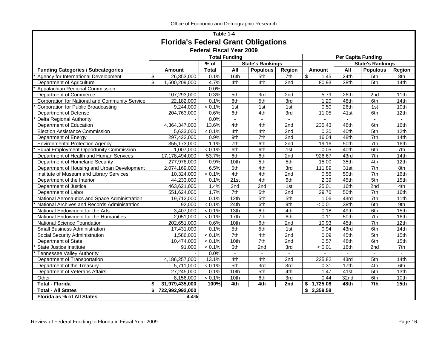| Table 1-4                                                            |                                            |              |                                 |                         |                     |                |                             |                          |                   |  |  |
|----------------------------------------------------------------------|--------------------------------------------|--------------|---------------------------------|-------------------------|---------------------|----------------|-----------------------------|--------------------------|-------------------|--|--|
|                                                                      | <b>Florida's Federal Grant Obligations</b> |              |                                 |                         |                     |                |                             |                          |                   |  |  |
|                                                                      |                                            |              | <b>Federal Fiscal Year 2009</b> |                         |                     |                |                             |                          |                   |  |  |
|                                                                      |                                            |              | <b>Total Funding</b>            |                         |                     |                | <b>Per Capita Funding</b>   |                          |                   |  |  |
|                                                                      |                                            | $%$ of       |                                 | <b>State's Rankings</b> |                     |                |                             | <b>State's Rankings</b>  |                   |  |  |
| <b>Funding Categories / Subcategories</b>                            | <b>Amount</b>                              | <b>Total</b> | <b>All</b>                      | <b>Populous</b>         | Region              | <b>Amount</b>  | <b>All</b>                  | <b>Populous</b>          | Region            |  |  |
| Agency for International Development                                 | \$<br>26,853,000                           | 0.1%         | 16th                            | 5th                     | 7th                 | \$<br>1.45     | 24th                        | 5th                      | 8th               |  |  |
| <b>Department of Agriculture</b>                                     | $\mathfrak{L}$<br>1,500,209,000            | 4.7%         | 4th                             | 4th                     | 2nd                 | 80.93          | 38th                        | 5th                      | 14th              |  |  |
| Appalachian Regional Commission                                      |                                            | 0.0%         | $\sim$                          |                         |                     |                |                             |                          |                   |  |  |
| Department of Commerce                                               | 107,293,000                                | 0.3%         | 5th                             | 3rd                     | 2nd                 | 5.79           | 26th                        | 2nd                      | 11th              |  |  |
| Corporation for National and Community Service                       | 22,182,000                                 | 0.1%         | 8th                             | 5th                     | 3rd                 | 1.20           | 48th                        | 6th                      | 14th              |  |  |
| Corporation for Public Broadcasting                                  | $\overline{9,244,000}$                     | < 0.1%       | 1st                             | 1st                     | 1st                 | 0.50           | 26th                        | 1st                      | 10th              |  |  |
| Department of Defense                                                | 204,763,000                                | 0.6%         | 6th                             | 4th                     | 3rd                 | 11.05          | 41st                        | 6th                      | 12th              |  |  |
| <b>Delta Regional Authority</b>                                      |                                            | 0.0%         | $\omega$                        | $\mathcal{L}$           | $\omega$            |                | $\mathbf{r}$                | $\mathbf{u}$             | $\mathbf{r}$      |  |  |
| Department of Education                                              | 4,364,347,000                              | 13.6%        | 4th                             | 4th                     | 2nd                 | 235.43         | 48th                        | 6th                      | 16th              |  |  |
| <b>Election Assistance Commission</b>                                | 5,633,000                                  | $< 0.1\%$    | 4th                             | 4th                     | 2nd                 | 0.30           | 40th                        | 5th                      | 12th              |  |  |
| Department of Energy                                                 | 297,422,000                                | 0.9%         | 9th                             | 7th                     | 2nd                 | 16.04          | 48th                        | 7th                      | 14th              |  |  |
| <b>Environmental Protection Agency</b>                               | 355,173,000                                | 1.1%         | $\overline{7}$ th               | 6th                     | 2nd                 | 19.16          | 50th                        | $\overline{7}$ th        | 16th              |  |  |
| Equal Employment Opportunity Commission                              | 1,007,000                                  | $< 0.1\%$    | 6th                             | 6th                     | 1st                 | 0.05           | 40th                        | 6th                      | $\overline{7}$ th |  |  |
| Department of Health and Human Services                              | 17,178,494,000                             | 53.7%        | 6th                             | 6th                     | 2nd                 | 926.67         | 43rd                        | 7th                      | 14th              |  |  |
| Department of Homeland Security                                      | 277,978,000                                | 0.9%         | 10th                            | 5th                     | 5th                 | 15.00          | 35th                        | 4th                      | 12th              |  |  |
| Department of Housing and Urban Development                          | 2,074,169,000                              | 6.5%         | 5th                             | 4th                     | 3rd                 | 111.89         | 31st                        | 7th                      | 8th               |  |  |
| Institute of Museum and Library Services                             | 10,324,000                                 | $< 0.1\%$    | 4th                             | 4th                     | 2nd                 | 0.56           | 50th                        | 7th                      | 16th              |  |  |
| Department of the Interior                                           | 44,233,000                                 | 0.1%         | 21st                            | 4th                     | 6th                 | 2.39           | 45th                        | 5th                      | 15th              |  |  |
|                                                                      |                                            | 1.4%         |                                 |                         |                     |                | 16th                        |                          | 4th               |  |  |
| Department of Justice                                                | 463,621,000                                | 1.7%         | 2nd<br>$\overline{7}$ th        | 2nd<br>6th              | 1st<br>2nd          | 25.01<br>29.76 | 50th                        | 2nd<br>$\overline{7}$ th | 16th              |  |  |
| Department of Labor<br>National Aeronautics and Space Administration | 551,624,000                                | 0.1%         | 12th                            | 5th                     | 5th                 |                | 43rd                        | $\overline{7}$ th        |                   |  |  |
|                                                                      | 19,712,000                                 | $< 0.1\%$    |                                 |                         | 9th                 | 1.06           | 38th                        | 6th                      | 11th<br>9th       |  |  |
| National Archives and Records Administration                         | 92,000                                     |              | 24th                            | 6th                     | 4th                 | < 0.01         |                             | 6th                      |                   |  |  |
| National Endowment for the Arts                                      | 3,407,000                                  | $< 0.1\%$    | 13th                            | 6th                     |                     | 0.18           | 49th                        |                          | 15th              |  |  |
| National Endowment for the Humanities                                | 2,051,000                                  | $< 0.1\%$    | 17th                            | 7th                     | 6th                 | 0.11           | 50th                        | 7th                      | 16th              |  |  |
| National Science Foundation                                          | 202,651,000                                | 0.6%         | 10th                            | 6th                     | 2nd                 | 10.93<br>0.94  | 45th                        | 7th                      | 12th              |  |  |
| <b>Small Business Administration</b>                                 | 17,431,000                                 | 0.1%         | 5th                             | 5th                     | $\overline{1}$ st   |                | 43rd                        | 6th                      | 14th              |  |  |
| Social Security Administration                                       | 1,586,000                                  | $< 0.1\%$    | 7th                             | 4th                     | 2nd                 | 0.09           | 45th                        | 5th                      | 15th              |  |  |
| Department of State                                                  | 10,474,000                                 | $< 0.1\%$    | 10th                            | 7th                     | 2nd                 | 0.57           | 48th                        | 6th                      | 15th              |  |  |
| State Justice Institute                                              | 91,000                                     | $< 0.1\%$    | 6th                             | 2nd                     | 3rd<br>$\mathbf{r}$ | < 0.01         | 18th                        | 2nd                      | 7th               |  |  |
| <b>Tennessee Valley Authority</b>                                    |                                            | 0.0%         | $\sim$                          | $\mathcal{L}$           |                     | $\sim$         | $\mathcal{L}^{\mathcal{A}}$ | $\mathbf{r}$             | $\sim$            |  |  |
| Department of Transportation                                         | 4,186,257,000                              | 13.1%        | 4th                             | 4th                     | 2nd                 | 225.82         | 43rd                        | 5th                      | 14th              |  |  |
| Department of the Treasury                                           | 5,711,000                                  | $< 0.1\%$    | 5th                             | 3rd                     | 3rd                 | 0.31           | 17th                        | 4th                      | 6th               |  |  |
| Department of Veterans Affairs                                       | 27,245,000                                 | 0.1%         | 10th                            | 5th                     | 4th                 | 1.47           | 41st                        | 5th                      | 13th              |  |  |
| Other                                                                | 8,156,000                                  | < 0.1%       | 10th                            | 6th                     | 3rd                 | 0.44           | 32nd                        | 6th                      | 10th              |  |  |
| <b>Total - Florida</b>                                               | 31,979,435,000<br>\$                       | 100%         | 4th                             | 4th                     | 2nd                 | \$1,725.08     | 48th                        | 7th                      | 15 <sub>th</sub>  |  |  |
| <b>Total - All States</b>                                            | 722,992,992,000<br>\$                      |              |                                 |                         |                     | 2,359.58<br>\$ |                             |                          |                   |  |  |
| Florida as % of All States                                           | 4.4%                                       |              |                                 |                         |                     |                |                             |                          |                   |  |  |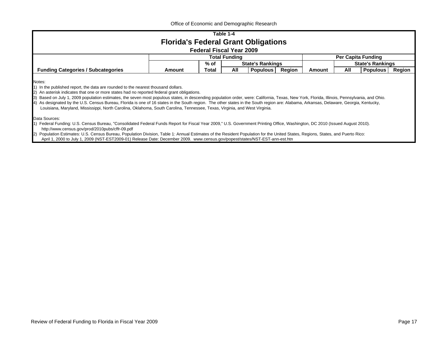|                                                                                                                                                                                                                                                                                                                                                                                                                                                                                                                                                                                                                                                                                                                       | <b>Florida's Federal Grant Obligations</b> | <b>Federal Fiscal Year 2009</b> | Table 1-4                        |                         |        |     |                 |                         |  |
|-----------------------------------------------------------------------------------------------------------------------------------------------------------------------------------------------------------------------------------------------------------------------------------------------------------------------------------------------------------------------------------------------------------------------------------------------------------------------------------------------------------------------------------------------------------------------------------------------------------------------------------------------------------------------------------------------------------------------|--------------------------------------------|---------------------------------|----------------------------------|-------------------------|--------|-----|-----------------|-------------------------|--|
|                                                                                                                                                                                                                                                                                                                                                                                                                                                                                                                                                                                                                                                                                                                       |                                            |                                 | <b>Total Funding</b>             |                         |        |     |                 | Per Capita Funding      |  |
|                                                                                                                                                                                                                                                                                                                                                                                                                                                                                                                                                                                                                                                                                                                       |                                            | % of                            |                                  | <b>State's Rankings</b> |        |     |                 | <b>State's Rankings</b> |  |
| <b>Funding Categories / Subcategories</b>                                                                                                                                                                                                                                                                                                                                                                                                                                                                                                                                                                                                                                                                             | Amount                                     | Total                           | All<br>Region<br><b>Populous</b> |                         | Amount | All | <b>Populous</b> | <b>Region</b>           |  |
| Notes:<br>1) In the published report, the data are rounded to the nearest thousand dollars.<br>2) An asterisk indicates that one or more states had no reported federal grant obligations.<br>3) Based on July 1, 2009 population estimates, the seven most populous states, in descending population order, were: California, Texas, New York, Florida, Illinois, Pennsylvania, and Ohio.<br>As designated by the U.S. Census Bureau, Florida is one of 16 states in the South region. The other states in the South region are: Alabama, Arkansas, Delaware, Georgia, Kentucky,<br>4)<br>Louisiana, Maryland, Mississippi, North Carolina, Oklahoma, South Carolina, Tennessee, Texas, Virginia, and West Virginia. |                                            |                                 |                                  |                         |        |     |                 |                         |  |

Data Sources:

1) Federal Funding: U.S. Census Bureau, "Consolidated Federal Funds Report for Fiscal Year 2009," U.S. Government Printing Office, Washington, DC 2010 (Issued August 2010). http://www.census.gov/prod/2010pubs/cffr-09.pdf

2) Population Estimates: U.S. Census Bureau, Population Division, Table 1: Annual Estimates of the Resident Population for the United States, Regions, States, and Puerto Rico: April 1, 2000 to July 1, 2009 (NST-EST2009-01) Release Date: December 2009. www.census.gov/popest/states/NST-EST-ann-est.htm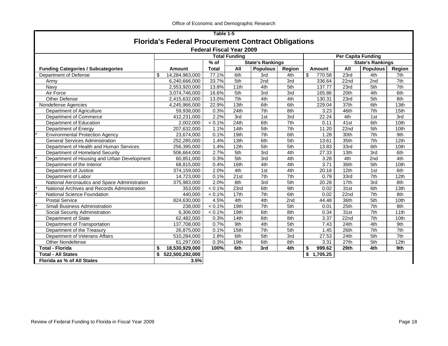| Table 1-5                                     |                                                           |              |                                 |                         |                   |                |                           |                   |               |  |  |
|-----------------------------------------------|-----------------------------------------------------------|--------------|---------------------------------|-------------------------|-------------------|----------------|---------------------------|-------------------|---------------|--|--|
|                                               | <b>Florida's Federal Procurement Contract Obligations</b> |              |                                 |                         |                   |                |                           |                   |               |  |  |
|                                               |                                                           |              |                                 |                         |                   |                |                           |                   |               |  |  |
|                                               |                                                           |              | <b>Federal Fiscal Year 2009</b> |                         |                   |                |                           |                   |               |  |  |
|                                               |                                                           |              | <b>Total Funding</b>            |                         |                   |                | <b>Per Capita Funding</b> |                   |               |  |  |
|                                               |                                                           | $%$ of       |                                 | <b>State's Rankings</b> |                   |                | <b>State's Rankings</b>   |                   |               |  |  |
| <b>Funding Categories / Subcategories</b>     | Amount                                                    | <b>Total</b> | <b>All</b>                      | <b>Populous</b>         | Region            | Amount         | <b>All</b>                | <b>Populous</b>   | <b>Region</b> |  |  |
| Department of Defense                         | \$<br>14,284,963,000                                      | 77.1%        | 6th                             | 3rd                     | 4th               | \$<br>770.58   | 23rd                      | 4th               | 7th           |  |  |
| Army                                          | 6,240,666,000                                             | 33.7%        | 5th                             | 2nd                     | 3rd               | 336.64         | 22 <sub>nd</sub>          | 2nd               | 7th           |  |  |
| Navy                                          | 2,553,920,000                                             | 13.8%        | 11th                            | 4th                     | 5th               | 137.77         | 23rd                      | 5th               | 7th           |  |  |
| <b>Air Force</b>                              | 3,074,746,000                                             | 16.6%        | 5th                             | 3rd                     | 3rd               | 165.86         | 20th                      | 4th               | 6th           |  |  |
| <b>Other Defense</b>                          | 2,415,632,000                                             | 13.0%        | $\overline{7}$ th               | 4th                     | 4th               | 130.31         | 23rd                      | 5th               | 8th           |  |  |
| Nondefense Agencies                           | 4,245,966,000                                             | 22.9%        | 13th                            | 6th                     | 6th               | 229.04         | 37th                      | 6th               | 13th          |  |  |
| Department of Agriculture                     | 59,938,000                                                | 0.3%         | 24th                            | 7th                     | 8th               | 3.23           | 46th                      | $\overline{7}$ th | 15th          |  |  |
| Department of Commerce                        | 412,231,000                                               | 2.2%         | 3rd                             | 1st                     | 3rd               | 22.24          | 4th                       | 1st               | 3rd           |  |  |
| Department of Education                       | 2,002,000                                                 | $< 0.1\%$    | 24th                            | 6th                     | $\overline{7}$ th | 0.11           | 41st                      | 6th               | 10th          |  |  |
| Department of Energy                          | 207,632,000                                               | 1.1%         | 14th                            | 5th                     | 7th               | 11.20          | 22nd                      | 5th               | 10th          |  |  |
| <b>Environmental Protection Agency</b>        | 23,674,000                                                | 0.1%         | 19 <sub>th</sub>                | 7th                     | 6th               | 1.28           | 30th                      | 7th               | 9th           |  |  |
| General Services Administration               | 252,285,000                                               | 1.4%         | 13th                            | 6th                     | 5th               | 13.61          | 35th                      | 7th               | 12th          |  |  |
| Department of Health and Human Services       | 256,395,000                                               | 1.4%         | 12th                            | 5th                     | 5th               | 13.83          | 33rd                      | 6th               | 10th          |  |  |
| Department of Homeland Security               | 506,664,000                                               | 2.7%         | 5th                             | 3rd                     | 4th               | 27.33          | 13 <sub>th</sub>          | 3rd               | 6th           |  |  |
| Department of Housing and Urban Development   | 60.851.000                                                | 0.3%         | 5th                             | 3rd                     | 4th               | 3.28           | 4th                       | 2nd               | 4th           |  |  |
| Department of the Interior                    | 68,815,000                                                | 0.4%         | 16th                            | 4th                     | 4th               | 3.71           | 36th                      | 5th               | 10th          |  |  |
| Department of Justice                         | 374,159,000                                               | 2.0%         | 4th                             | 1st                     | 4th               | 20.18          | 12th                      | 1st               | 6th           |  |  |
| Department of Labor                           | 14,723,000                                                | 0.1%         | 21st                            | 7th                     | $\overline{7}$ th | 0.79           | 33rd                      | 7th               | 12th          |  |  |
| National Aeronautics and Space Administration | 375,983,000                                               | 2.0%         | 8th                             | 3rd                     | 5th               | 20.28          | 17th                      | 3rd               | 8th           |  |  |
| National Archives and Records Administration  | 353,000                                                   | $< 0.1\%$    | 23rd                            | 6th                     | 9th               | 0.02           | 31st                      | 6th               | 13th          |  |  |
| National Science Foundation                   | 440,000                                                   | $< 0.1\%$    | 17th                            | 7th                     | 6th               | 0.02           | 22nd                      | 7th               | 8th           |  |  |
| <b>Postal Service</b>                         | 824,630,000                                               | 4.5%         | 4th                             | 4th                     | 2nd               | 44.48          | 36th                      | 5th               | 10th          |  |  |
| <b>Small Business Administration</b>          | 238.000                                                   | $< 0.1\%$    | 19th                            | 7th                     | 5th               | 0.01           | 25th                      | 7th               | 8th           |  |  |
| Social Security Administration                | 6,306,000                                                 | $< 0.1\%$    | 19th                            | 6th                     | 8th               | 0.34           | 31st                      | 7th               | 11th          |  |  |
| Department of State                           | 62,482,000                                                | 0.3%         | 14th                            | 6th                     | 8th               | 3.37           | 22nd                      | $\overline{7}$ th | 10th          |  |  |
| Department of Transportation                  | 137,708,000                                               | 0.7%         | 9th                             | 4th                     | 5th               | 7.43           | 24th                      | 4th               | 9th           |  |  |
| Department of the Treasury                    | 26,875,000                                                | 0.1%         | 15th                            | $\overline{7}$ th       | 5th               | 1.45           | 26th                      | 7th               | 7th           |  |  |
| Department of Veterans Affairs                | 510,284,000                                               | 2.8%         | 6th                             | 5th                     | 3rd               | 27.53          | 24th                      | 5th               | 7th           |  |  |
| Other Nondefense                              | 61,297,000                                                | 0.3%         | 19 <sub>th</sub>                | 6th                     | 8th               | 3.31           | 27th                      | 5th               | 12th          |  |  |
| <b>Total - Florida</b>                        | 18,530,929,000<br>\$                                      | 100%         | 6th                             | 3rd                     | 4th               | 999.62<br>\$   | 29th                      | 4th               | 9th           |  |  |
| <b>Total - All States</b>                     | \$<br>522,500,292,000                                     |              |                                 |                         |                   | \$<br>1,705.25 |                           |                   |               |  |  |
| 3.5%<br>Florida as % of All States            |                                                           |              |                                 |                         |                   |                |                           |                   |               |  |  |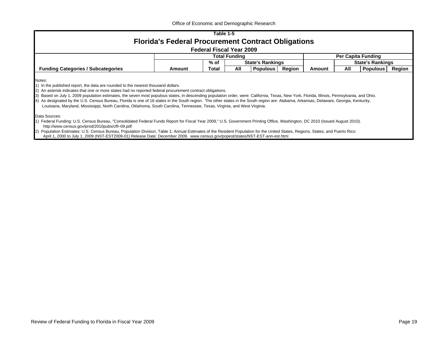#### Office of Economic and Demographic Research

| Table 1-5                                                                                                                                                                                                                                                                                                                                                                                                                                                                                                                                                                                                                                                                                                                                      |                                                           |       |     |                 |        |        |     |          |        |  |  |
|------------------------------------------------------------------------------------------------------------------------------------------------------------------------------------------------------------------------------------------------------------------------------------------------------------------------------------------------------------------------------------------------------------------------------------------------------------------------------------------------------------------------------------------------------------------------------------------------------------------------------------------------------------------------------------------------------------------------------------------------|-----------------------------------------------------------|-------|-----|-----------------|--------|--------|-----|----------|--------|--|--|
|                                                                                                                                                                                                                                                                                                                                                                                                                                                                                                                                                                                                                                                                                                                                                | <b>Florida's Federal Procurement Contract Obligations</b> |       |     |                 |        |        |     |          |        |  |  |
| <b>Federal Fiscal Year 2009</b>                                                                                                                                                                                                                                                                                                                                                                                                                                                                                                                                                                                                                                                                                                                |                                                           |       |     |                 |        |        |     |          |        |  |  |
| <b>Total Funding</b><br>Per Capita Funding                                                                                                                                                                                                                                                                                                                                                                                                                                                                                                                                                                                                                                                                                                     |                                                           |       |     |                 |        |        |     |          |        |  |  |
| % of<br><b>State's Rankings</b><br><b>State's Rankings</b>                                                                                                                                                                                                                                                                                                                                                                                                                                                                                                                                                                                                                                                                                     |                                                           |       |     |                 |        |        |     |          |        |  |  |
| <b>Funding Categories / Subcategories</b>                                                                                                                                                                                                                                                                                                                                                                                                                                                                                                                                                                                                                                                                                                      | Amount                                                    | Total | All | <b>Populous</b> | Region | Amount | All | Populous | Region |  |  |
| In the published report, the data are rounded to the nearest thousand dollars.<br>An asterisk indicates that one or more states had no reported federal procurement contract obligations.<br>2)<br>Based on July 1, 2009 population estimates, the seven most populous states, in descending population order, were: California, Texas, New York, Florida, Illinois, Pennsylvania, and Ohio.<br>3)<br>As designated by the U.S. Census Bureau, Florida is one of 16 states in the South region. The other states in the South region are: Alabama, Arkansas, Delaware, Georgia, Kentucky,<br>4)<br>Louisiana, Maryland, Mississippi, North Carolina, Oklahoma, South Carolina, Tennessee, Texas, Virginia, and West Virginia.<br>Data Sources: |                                                           |       |     |                 |        |        |     |          |        |  |  |
| Federal Funding: U.S. Census Bureau, "Consolidated Federal Funds Report for Fiscal Year 2009," U.S. Government Printing Office, Washington, DC 2010 (Issued August 2010).<br>11<br>http://www.census.gov/prod/2010pubs/cffr-09.pdf                                                                                                                                                                                                                                                                                                                                                                                                                                                                                                             |                                                           |       |     |                 |        |        |     |          |        |  |  |
| Population Estimates: U.S. Census Bureau, Population Division, Table 1: Annual Estimates of the Resident Population for the United States, Regions, States, and Puerto Rico:<br>$\mathbf{2}$<br>April 1, 2000 to July 1, 2009 (NST-EST2009-01) Release Date: December 2009. www.census.gov/popest/states/NST-EST-ann-est.html                                                                                                                                                                                                                                                                                                                                                                                                                  |                                                           |       |     |                 |        |        |     |          |        |  |  |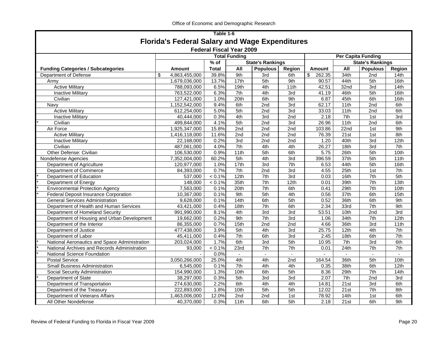| Table 1-6                                     |                                                       |                                 |                      |                          |                   |               |                    |                           |                   |  |  |
|-----------------------------------------------|-------------------------------------------------------|---------------------------------|----------------------|--------------------------|-------------------|---------------|--------------------|---------------------------|-------------------|--|--|
|                                               | <b>Florida's Federal Salary and Wage Expenditures</b> |                                 |                      |                          |                   |               |                    |                           |                   |  |  |
|                                               |                                                       | <b>Federal Fiscal Year 2009</b> |                      |                          |                   |               |                    |                           |                   |  |  |
|                                               |                                                       |                                 | <b>Total Funding</b> |                          |                   |               |                    | <b>Per Capita Funding</b> |                   |  |  |
|                                               |                                                       | $%$ of                          |                      | <b>State's Rankings</b>  |                   |               |                    | <b>State's Rankings</b>   |                   |  |  |
| <b>Funding Categories / Subcategories</b>     | <b>Amount</b>                                         | <b>Total</b>                    | All                  | <b>Populous</b>          | Region            | <b>Amount</b> | All                | <b>Populous</b>           | Region            |  |  |
| Department of Defense                         | \$<br>4,863,455,000                                   | 39.8%                           | 9th                  | 3rd                      | 6th               | \$<br>262.35  | 34th               | 2nd                       | 14 <sub>th</sub>  |  |  |
| Army                                          | 1,679,036,000                                         | 13.7%                           | 17th                 | 5th                      | 9th               | 90.57         | 44th               | 5th                       | 16th              |  |  |
| <b>Active Military</b>                        | 788,093,000                                           | 6.5%                            | 19th                 | 4th                      | 11th              | 42.51         | 32nd               | 3rd                       | 14th              |  |  |
| <b>Inactive Military</b>                      | 763,522,000                                           | 6.3%                            | 7th                  | 4th                      | 3rd               | 41.19         | 46th               | 5th                       | 16th              |  |  |
| Civilian                                      | 127,421,000                                           | 1.0%                            | 20th                 | 6th                      | 9th               | 6.87          | 45th               | 6th                       | 16th              |  |  |
| Navy                                          | 1,152,542,000                                         | 9.4%                            | 6th                  | 2nd                      | 3rd               | 62.17         | 11th               | 2nd                       | 6th               |  |  |
| <b>Active Military</b>                        | 612,254,000                                           | 5.0%                            | 5th                  | 2nd                      | 3rd               | 33.03         | 11th               | 2nd                       | 6th               |  |  |
| <b>Inactive Military</b>                      | 40,444,000                                            | 0.3%                            | 4th                  | 3rd                      | 2nd               | 2.18          | 7th                | 1st                       | 3rd               |  |  |
| Civilian                                      | 499,844,000                                           | 4.1%                            | 5th                  | 2nd                      | 3rd               | 26.96         | 11th               | 2nd                       | 6th               |  |  |
| Air Force                                     | 1,925,347,000                                         | 15.8%                           | 2nd                  | 2nd                      | 2nd               | 103.86        | 22nd               | 1st                       | 9th               |  |  |
| <b>Active Military</b>                        | 1,416,118,000                                         | 11.6%                           | 2nd                  | 2nd                      | 2nd               | 76.39         | 21st               | 1st                       | 8th               |  |  |
| <b>Inactive Military</b>                      | 22,168,000                                            | 0.2%                            | 3rd                  | 2nd                      | 2nd               | 1.20          | 40th               | 3rd                       | 12th              |  |  |
| Civilian                                      | 487,061,000                                           | 4.0%                            | 7th                  | 4th                      | 4th               | 26.27         | 18th               | 3rd                       | $\overline{7}$ th |  |  |
| Other Defense: Civilian                       | 106,530,000                                           | 0.9%                            | 11th                 | 5th                      | 6th               | 5.75          | 26th               | 5th                       | 10th              |  |  |
| Nondefense Agencies                           | 7,352,004,000                                         | 60.2%                           | 5th                  | 4th                      | 3rd               | 396.59        | 37th               | 5th                       | 11th              |  |  |
| <b>Department of Agriculture</b>              | 120,977,000                                           | 1.0%                            | 17th                 | 3rd                      | 7th               | 6.53          | 44th               | 5th                       | 16th              |  |  |
| Department of Commerce                        | 84,393,000                                            | 0.7%                            | 7th                  | 2nd                      | 3rd               | 4.55          | 25th               | 1st                       | 7th               |  |  |
| Department of Education                       | 537,000                                               | $< 0.1\%$                       | 12th                 | 7th                      | 3rd               | 0.03          | 16th               | 7th                       | 5th               |  |  |
| Department of Energy                          | 148,000                                               | $< 0.1\%$                       | 35th                 | 7th                      | 12th              | 0.01          | 39th               | 7th                       | 13th              |  |  |
| <b>Environmental Protection Agency</b>        | 7,563,000                                             | 0.1%                            | 20th                 | $\overline{7}$ th        | 6th               | 0.41          | 29th               | 7th                       | 10th              |  |  |
| Federal Deposit Insurance Corporation         | 10,367,000                                            | 0.1%                            | 9th                  | 5th                      | 4th               | 0.56          | 37th               | 6th                       | 15th              |  |  |
| <b>General Services Administration</b>        | 9,628,000                                             | 0.1%                            | 14th                 | 6th                      | 5th               | 0.52          | 36th               | 6th                       | 9th               |  |  |
| Department of Health and Human Services       | 43,421,000                                            | 0.4%                            | 18th                 | 7th                      | 6th               | 2.34          | 33rd               | 7th                       | 9th               |  |  |
| Department of Homeland Security               | 991,990,000                                           | 8.1%                            | 4th                  | 3rd                      | 3rd               | 53.51         | 10th               | 2nd                       | 3rd               |  |  |
| Department of Housing and Urban Development   | 19,662,000                                            | 0.2%                            | 9th                  | 7th                      | 3rd               | 1.06          | 34th               | 7th                       | 12th              |  |  |
| Department of the Interior                    | 86,355,000                                            | 0.7%                            | 15th                 | 2nd                      | 2nd               | 4.66          | 36th               | 3rd                       | 11th              |  |  |
| Department of Justice                         | 477,438,000                                           | 3.9%                            | 5th                  | 4th                      | 3rd               | 25.75         | 12th               | 4th                       | 7th               |  |  |
| Department of Labor                           | 45,411,000                                            | 0.4%                            | 7th                  | 6th                      | 3rd               | 2.45          | 18th               | 6th                       | 7th               |  |  |
| National Aeronautics and Space Administration | 203,024,000                                           | 1.7%                            | 6th                  | 3rd                      | 5th               | 10.95         | 7th                | 3rd                       | 6th               |  |  |
| National Archives and Records Administration  | 93.000                                                | $< 0.1\%$                       | 23rd                 | $\overline{7}$ th        | $\overline{7}$ th | 0.01          | 24th               | $\overline{7}$ th         | $\overline{7}$ th |  |  |
| National Science Foundation                   |                                                       | 0.0%                            | $\sim$               | $\overline{\phantom{a}}$ | $\sim$            | $\sim$        | $\blacksquare$     | $\sim$                    |                   |  |  |
| <b>Postal Service</b>                         | 3,050,266,000                                         | 25.0%                           | 4th                  | 4th                      | 2nd               | 164.54        | 36th               | 5th                       | 10th              |  |  |
| <b>Small Business Administration</b>          | 6,545,000                                             | 0.1%                            | 7th                  | 4th                      | 4th               | 0.35          | 38th               | 6th                       | 12th              |  |  |
| Social Security Administration                | 154,990,000                                           | 1.3%                            | 10th                 | 6th                      | 5th               | 8.36          | 29th               | 7th                       | 14th              |  |  |
| Department of State                           | 38,297,000                                            | 0.3%                            | 5th                  | 3rd                      | 3rd               | 2.07          | 7th                | 2nd                       | 3rd               |  |  |
| Department of Transportation                  | 274,630,000                                           | 2.2%                            | 6th                  | 4th                      | 4th               | 14.81         | 21st               | 3rd                       | 6th               |  |  |
| Department of the Treasury                    | 222,893,000                                           | 1.8%                            | 10th                 | 5th                      | 5th               | 12.02         | 21st               | 7th                       | 8th               |  |  |
| Department of Veterans Affairs                | 1,463,006,000                                         | 12.0%                           | 2nd                  | 2nd                      | 1st               | 78.92         | 14th               | 1st                       | 6th               |  |  |
| All Other Nondefense                          | 40,370,000                                            | 0.3%                            | 11th                 | 6th                      | 5th               | 2.18          | $\overline{2}$ 1st | 6th                       | 9th               |  |  |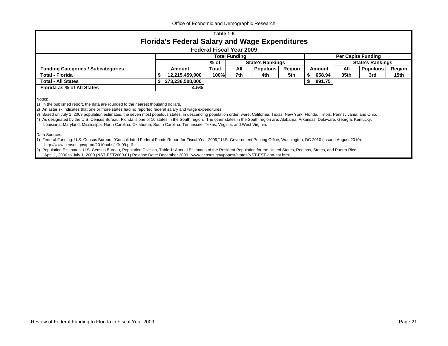| Table 1-6<br><b>Florida's Federal Salary and Wage Expenditures</b>                          |  |                 |       |     |                         |        |  |        |      |                         |        |
|---------------------------------------------------------------------------------------------|--|-----------------|-------|-----|-------------------------|--------|--|--------|------|-------------------------|--------|
| <b>Federal Fiscal Year 2009</b>                                                             |  |                 |       |     |                         |        |  |        |      |                         |        |
| Per Capita Funding<br><b>Total Funding</b>                                                  |  |                 |       |     |                         |        |  |        |      |                         |        |
|                                                                                             |  |                 | % of  |     | <b>State's Rankings</b> |        |  |        |      | <b>State's Rankings</b> |        |
| <b>Funding Categories / Subcategories</b>                                                   |  | Amount          | Total | All | <b>Populous</b>         | Region |  | Amount | All  | <b>Populous</b>         | Region |
| <b>Total - Florida</b>                                                                      |  | 12,215,459,000  | 100%  | 7th | 4th                     | 5th    |  | 658.94 | 35th | 3rd                     | 15th   |
| <b>Total - All States</b>                                                                   |  | 273,238,508,000 |       |     |                         |        |  | 891.75 |      |                         |        |
| Florida as % of All States                                                                  |  | 4.5%            |       |     |                         |        |  |        |      |                         |        |
| Notes:<br>1) In the published report, the data are rounded to the nearest thousand dollars. |  |                 |       |     |                         |        |  |        |      |                         |        |

2) An asterisk indicates that one or more states had no reported federal salary and wage expenditures.

3) Based on July 1, 2009 population estimates, the seven most populous states, in descending population order, were: California, Texas, New York, Florida, Illinois, Pennsylvania, and Ohio.

4) As designated by the U.S. Census Bureau, Florida is one of 16 states in the South region. The other states in the South region are: Alabama, Arkansas, Delaware, Georgia, Kentucky, Louisiana, Maryland, Mississippi, North Carolina, Oklahoma, South Carolina, Tennessee, Texas, Virginia, and West Virginia.

Data Sources:

1) Federal Funding: U.S. Census Bureau, "Consolidated Federal Funds Report for Fiscal Year 2009," U.S. Government Printing Office, Washington, DC 2010 (Issued August 2010). http://www.census.gov/prod/2010pubs/cffr-09.pdf

2) Population Estimates: U.S. Census Bureau, Population Division, Table 1: Annual Estimates of the Resident Population for the United States, Regions, States, and Puerto Rico: April 1, 2000 to July 1, 2009 (NST-EST2009-01) Release Date: December 2009. www.census.gov/popest/states/NST-EST-ann-est.html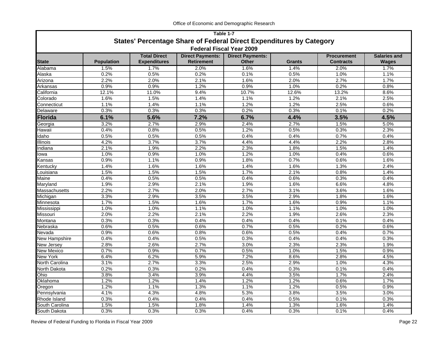| Table 1-7<br>States' Percentage Share of Federal Direct Expenditures by Category |                   |                     |                   |              |               |                  |       |
|----------------------------------------------------------------------------------|-------------------|---------------------|-------------------|--------------|---------------|------------------|-------|
|                                                                                  |                   |                     |                   |              |               |                  |       |
| <b>State</b>                                                                     | <b>Population</b> | <b>Expenditures</b> | <b>Retirement</b> | <b>Other</b> | <b>Grants</b> | <b>Contracts</b> | Wages |
| Alabama                                                                          | 1.5%              | 1.7%                | 2.0%              | 1.6%         | 1.4%          | 2.0%             | 1.7%  |
| Alaska                                                                           | 0.2%              | 0.5%                | 0.2%              | 0.1%         | 0.5%          | 1.0%             | 1.1%  |
| Arizona                                                                          | 2.2%              | 2.0%                | 2.1%              | 1.6%         | 2.0%          | 2.7%             | 1.7%  |
| Arkansas                                                                         | 0.9%              | 0.9%                | 1.2%              | 0.9%         | 1.0%          | 0.2%             | 0.8%  |
| California                                                                       | 12.1%             | 11.0%               | 9.4%              | 10.7%        | 12.6%         | 13.2%            | 8.6%  |
| Colorado                                                                         | 1.6%              | 1.5%                | 1.4%              | 1.1%         | 1.2%          | 2.1%             | 2.5%  |
| Connecticut                                                                      | 1.1%              | 1.4%                | 1.1%              | 1.2%         | 1.2%          | 2.5%             | 0.6%  |
| Delaware                                                                         | 0.3%              | 0.3%                | 0.3%              | 0.2%         | 0.3%          | 0.1%             | 0.2%  |
| Florida                                                                          | 6.1%              | 5.6%                | 7.2%              | 6.7%         | 4.4%          | 3.5%             | 4.5%  |
| Georgia                                                                          | 3.2%              | 2.7%                | 2.9%              | 2.4%         | 2.7%          | 1.5%             | 5.0%  |
| Hawaii                                                                           | 0.4%              | 0.8%                | 0.5%              | 1.2%         | 0.5%          | 0.3%             | 2.3%  |
| ldaho                                                                            | 0.5%              | 0.5%                | 0.5%              | 0.4%         | 0.4%          | 0.7%             | 0.4%  |
| Illinois                                                                         | 4.2%              | 3.7%                | 3.7%              | 4.4%         | 4.4%          | 2.2%             | 2.8%  |
| Indiana                                                                          | 2.1%              | 1.9%                | 2.2%              | 2.3%         | 1.8%          | 1.5%             | 1.4%  |
| lowa                                                                             | 1.0%              | 0.9%                | 1.0%              | 1.2%         | 1.0%          | 0.4%             | 0.6%  |
| Kansas                                                                           | 0.9%              | 1.1%                | 0.9%              | 1.8%         | 0.7%          | 0.6%             | 1.6%  |
| Kentucky                                                                         | 1.4%              | 1.6%                | 1.6%              | 1.4%         | 1.6%          | 1.3%             | 2.4%  |
| Louisiana                                                                        | 1.5%              | 1.5%                | 1.5%              | 1.7%         | 2.1%          | 0.8%             | 1.4%  |
| Maine                                                                            | 0.4%              | 0.5%                | 0.5%              | 0.4%         | 0.6%          | 0.3%             | 0.4%  |
| Maryland                                                                         | 1.9%              | 2.9%                | 2.1%              | 1.9%         | 1.6%          | 6.6%             | 4.8%  |
| Massachusetts                                                                    | 2.2%              | 2.7%                | 2.0%              | 2.7%         | 3.1%          | 3.6%             | 1.6%  |
| Michigan                                                                         | 3.3%              | 2.9%                | 3.5%              | 3.5%         | 2.9%          | 1.8%             | 1.6%  |
| Minnesota                                                                        | 1.7%              | 1.5%                | 1.6%              | 1.7%         | 1.6%          | 0.9%             | 1.1%  |
| Mississippi                                                                      | 1.0%              | 1.0%                | 1.1%              | 1.0%         | 1.1%          | 1.0%             | 1.0%  |
| Missouri                                                                         | 2.0%              | 2.2%                | 2.1%              | 2.2%         | 1.9%          | 2.6%             | 2.3%  |
| Montana                                                                          | 0.3%              | 0.3%                | 0.4%              | 0.4%         | 0.4%          | 0.1%             | 0.4%  |
| Nebraska                                                                         | 0.6%              | 0.5%                | 0.6%              | 0.7%         | 0.5%          | 0.2%             | 0.6%  |
| Nevada                                                                           | 0.9%              | 0.6%                | 0.8%              | 0.6%         | 0.5%          | 0.4%             | 0.7%  |
| New Hampshire                                                                    | 0.4%              | 0.4%                | 0.5%              | 0.3%         | 0.4%          | 0.4%             | 0.3%  |
| New Jersey                                                                       | 2.8%              | 2.6%                | 2.7%              | 3.0%         | 2.3%          | 2.3%             | 1.9%  |
| <b>New Mexico</b>                                                                | 0.7%              | 0.9%                | 0.7%              | 0.5%         | 1.0%          | 1.5%             | 0.9%  |
| New York                                                                         | 6.4%              | 6.2%                | 5.9%              | 7.2%         | 8.6%          | 2.8%             | 4.5%  |
| North Carolina                                                                   | 3.1%              | 2.7%                | 3.3%              | 2.5%         | 2.9%          | 1.0%             | 4.3%  |
| North Dakota                                                                     | 0.2%              | 0.3%                | 0.2%              | 0.4%         | 0.3%          | 0.1%             | 0.4%  |
| Ohio                                                                             | 3.8%              | 3.4%                | 3.9%              | 4.4%         | 3.5%          | 1.7%             | 2.4%  |
| Oklahoma                                                                         | 1.2%              | 1.2%                | 1.4%              | 1.2%         | 1.2%          | 0.6%             | 1.7%  |
| Oregon                                                                           | 1.2%              | 1.1%                | 1.3%              | 1.1%         | 1.2%          | 0.5%             | 0.9%  |
| Pennsylvania                                                                     | 4.1%              | 4.3%                | 4.8%              | 5.3%         | 3.8%          | 3.5%             | 3.0%  |
| Rhode Island                                                                     | 0.3%              | 0.4%                | 0.4%              | 0.4%         | 0.5%          | 0.1%             | 0.3%  |
| South Carolina                                                                   | 1.5%              | 1.5%                | 1.8%              | 1.4%         | 1.3%          | 1.6%             | 1.4%  |
| South Dakota                                                                     | 0.3%              | 0.3%                | 0.3%              | 0.4%         | 0.3%          | 0.1%             | 0.4%  |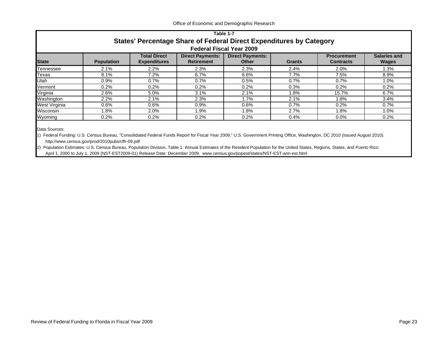| Table 1-7<br>States' Percentage Share of Federal Direct Expenditures by Category<br><b>Federal Fiscal Year 2009</b> |                   |                                            |                                              |                                  |               |                                        |                              |
|---------------------------------------------------------------------------------------------------------------------|-------------------|--------------------------------------------|----------------------------------------------|----------------------------------|---------------|----------------------------------------|------------------------------|
| <b>State</b>                                                                                                        | <b>Population</b> | <b>Total Direct</b><br><b>Expenditures</b> | <b>Direct Payments:</b><br><b>Retirement</b> | <b>Direct Payments:</b><br>Other | <b>Grants</b> | <b>Procurement</b><br><b>Contracts</b> | Salaries and<br><b>Wages</b> |
| Tennessee                                                                                                           | 2.1%              | 2.2%                                       | 2.3%                                         | 2.3%                             | 2.4%          | 2.0%                                   | 1.3%                         |
| <b>Texas</b>                                                                                                        | 8.1%              | 7.2%                                       | 6.7%                                         | 6.6%                             | 7.7%          | 7.5%                                   | 8.9%                         |
| Utah                                                                                                                | 0.9%              | 0.7%                                       | 0.7%                                         | 0.5%                             | 0.7%          | 0.7%                                   | 1.0%                         |
| Vermont                                                                                                             | 0.2%              | 0.2%                                       | $0.2\%$                                      | 0.2%                             | $0.3\%$       | 0.2%                                   | 0.2%                         |
| Virginia                                                                                                            | 2.6%              | 5.0%                                       | 3.1%                                         | 2.1%                             | $1.8\%$       | 15.7%                                  | 6.7%                         |
| Washington                                                                                                          | 2.2%              | 2.1%                                       | 2.3%                                         | 1.7%                             | 2.1%          | 1.8%                                   | 3.4%                         |
| West Virginia                                                                                                       | 0.6%              | $0.6\%$                                    | 0.9%                                         | 0.6%                             | 0.7%          | 0.2%                                   | 0.7%                         |
| Wisconsin                                                                                                           | .8%               | 2.0%                                       | .9% ا                                        | 1.8%                             | 2.7%          | .8%                                    | $1.0\%$                      |
| Wyoming                                                                                                             | 0.2%              | 0.2%                                       | $0.2\%$                                      | 0.2%                             | $0.4\%$       | $0.0\%$                                | 0.2%                         |

Data Sources:

1) Federal Funding: U.S. Census Bureau, "Consolidated Federal Funds Report for Fiscal Year 2009," U.S. Government Printing Office, Washington, DC 2010 (Issued August 2010). http://www.census.gov/prod/2010pubs/cffr-09.pdf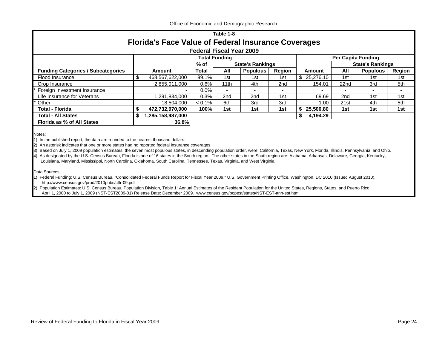|                                           | Table 1-8                                                  |                  |           |                          |                          |                          |                 |                           |                         |        |
|-------------------------------------------|------------------------------------------------------------|------------------|-----------|--------------------------|--------------------------|--------------------------|-----------------|---------------------------|-------------------------|--------|
|                                           | <b>Florida's Face Value of Federal Insurance Coverages</b> |                  |           |                          |                          |                          |                 |                           |                         |        |
|                                           | <b>Federal Fiscal Year 2009</b>                            |                  |           |                          |                          |                          |                 |                           |                         |        |
|                                           |                                                            |                  |           | <b>Total Funding</b>     |                          |                          |                 | <b>Per Capita Funding</b> |                         |        |
|                                           |                                                            |                  | % of      |                          | <b>State's Rankings</b>  |                          |                 |                           | <b>State's Rankings</b> |        |
| <b>Funding Categories / Subcategories</b> |                                                            | Amount           | Total     | All                      | <b>Populous</b>          | Region                   | Amount          | All                       | <b>Populous</b>         | Region |
| Flood Insurance                           | \$                                                         | 468,567,622,000  | 99.1%     | 1st                      | 1st                      | 1st                      | \$<br>25.276.10 | 1st                       | 1st                     | 1st    |
| Crop Insurance                            |                                                            | 2.855.011.000    | 0.6%      | 11th                     | 4th                      | 2nd                      | 154.01          | 22 <sub>nd</sub>          | 3rd                     | 5th    |
| Foreign Investment Insurance              |                                                            |                  | $0.0\%$   | $\overline{\phantom{0}}$ | $\overline{\phantom{0}}$ | $\overline{\phantom{0}}$ |                 |                           |                         |        |
| Life Insurance for Veterans               |                                                            | 1,291,834,000    | 0.3%      | 2 <sub>nd</sub>          | 2nd                      | 1st                      | 69.69           | 2nd                       | 1st                     | 1st    |
| Other                                     |                                                            | 18.504.000       | $< 0.1\%$ | 6th                      | 3rd                      | 3rd                      | .00             | 21st                      | 4th                     | 5th    |
| <b>Total - Florida</b>                    | S                                                          | 472,732,970,000  | 100%      | 1st                      | 1st                      | 1st                      | 25.500.80       | 1st                       | 1st                     | 1st    |
| <b>Total - All States</b>                 | \$                                                         | ,285,158,987,000 |           |                          |                          |                          | S<br>4,194.29   |                           |                         |        |
| Florida as % of All States                |                                                            | 36.8%            |           |                          |                          |                          |                 |                           |                         |        |

1) In the published report, the data are rounded to the nearest thousand dollars.

2) An asterisk indicates that one or more states had no reported federal insurance coverages.

3) Based on July 1, 2009 population estimates, the seven most populous states, in descending population order, were: California, Texas, New York, Florida, Illinois, Pennsylvania, and Ohio.

4) As designated by the U.S. Census Bureau, Florida is one of 16 states in the South region. The other states in the South region are: Alabama, Arkansas, Delaware, Georgia, Kentucky, Louisiana, Maryland, Mississippi, North Carolina, Oklahoma, South Carolina, Tennessee, Texas, Virginia, and West Virginia.

Data Sources:

1) Federal Funding: U.S. Census Bureau, "Consolidated Federal Funds Report for Fiscal Year 2009," U.S. Government Printing Office, Washington, DC 2010 (Issued August 2010). http://www.census.gov/prod/2010pubs/cffr-09.pdf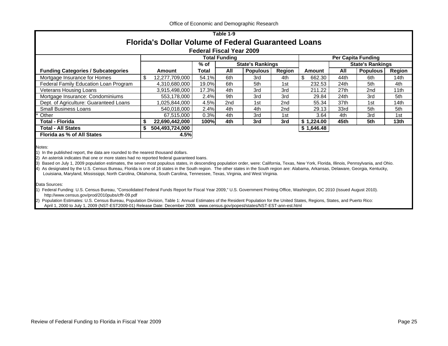|                                           |                                                            |                 | Table 1-9 |                                 |                         |        |  |            |      |                           |                  |
|-------------------------------------------|------------------------------------------------------------|-----------------|-----------|---------------------------------|-------------------------|--------|--|------------|------|---------------------------|------------------|
|                                           | <b>Florida's Dollar Volume of Federal Guaranteed Loans</b> |                 |           |                                 |                         |        |  |            |      |                           |                  |
|                                           |                                                            |                 |           | <b>Federal Fiscal Year 2009</b> |                         |        |  |            |      |                           |                  |
|                                           |                                                            |                 |           | <b>Total Funding</b>            |                         |        |  |            |      | <b>Per Capita Funding</b> |                  |
|                                           |                                                            |                 | $%$ of    |                                 | <b>State's Rankings</b> |        |  |            |      | <b>State's Rankings</b>   |                  |
| <b>Funding Categories / Subcategories</b> |                                                            | Amount          | Total     | All                             | <b>Populous</b>         | Region |  | Amount     | All  | <b>Populous</b>           | Region           |
| Mortgage Insurance for Homes              | \$                                                         | 12,277,709,000  | 54.1%     | 6th                             | 3rd                     | 4th    |  | 662.30     | 44th | 6th                       | 14th             |
| Federal Family Education Loan Program     |                                                            | 4,310,680,000   | 19.0%     | 6th                             | 5th                     | 1st    |  | 232.53     | 24th | 5th                       | 4th              |
| <b>Veterans Housing Loans</b>             |                                                            | 3.915.498.000   | 17.3%     | 4th                             | 3rd                     | 3rd    |  | 211.22     | 27th | 2nd                       | 11th             |
| Mortgage Insurance: Condominiums          |                                                            | 553.178.000     | 2.4%      | 9th                             | 3rd                     | 3rd    |  | 29.84      | 24th | 3rd                       | 5th              |
| Dept. of Agriculture: Guaranteed Loans    |                                                            | 1.025.844.000   | 4.5%      | 2nd                             | 1st                     | 2nd    |  | 55.34      | 37th | 1st                       | 14th             |
| <b>Small Business Loans</b>               |                                                            | 540.018.000     | 2.4%      | 4th                             | 4th                     | 2nd    |  | 29.13      | 33rd | 5th                       | 5th              |
| Other                                     |                                                            | 67.515.000      | 0.3%      | 4th                             | 3rd                     | 1st    |  | 3.64       | 4th  | 3rd                       | 1st              |
| <b>Total - Florida</b>                    |                                                            | 22,690,442,000  | 100%      | 4th                             | 3rd                     | 3rd    |  | \$1.224.00 | 45th | 5th                       | 13 <sub>th</sub> |
| <b>Total - All States</b>                 | S                                                          | 504,493,724,000 |           |                                 |                         |        |  | \$1,646.48 |      |                           |                  |
| Florida as % of All States                |                                                            | 4.5%            |           |                                 |                         |        |  |            |      |                           |                  |

1) In the published report, the data are rounded to the nearest thousand dollars.

2) An asterisk indicates that one or more states had no reported federal guaranteed loans.

3) Based on July 1, 2009 population estimates, the seven most populous states, in descending population order, were: California, Texas, New York, Florida, Illinois, Pennsylvania, and Ohio. 4) As designated by the U.S. Census Bureau, Florida is one of 16 states in the South region. The other states in the South region are: Alabama, Arkansas, Delaware, Georgia, Kentucky,

Louisiana, Maryland, Mississippi, North Carolina, Oklahoma, South Carolina, Tennessee, Texas, Virginia, and West Virginia.

Data Sources:

1) Federal Funding: U.S. Census Bureau, "Consolidated Federal Funds Report for Fiscal Year 2009," U.S. Government Printing Office, Washington, DC 2010 (Issued August 2010). http://www.census.gov/prod/2010pubs/cffr-09.pdf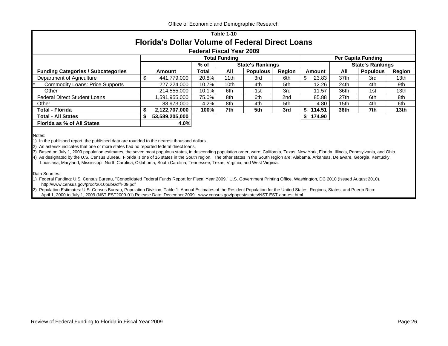| <b>Table 1-10</b><br><b>Florida's Dollar Volume of Federal Direct Loans</b> |    |                |       |                                 |                         |                 |              |      |                           |        |
|-----------------------------------------------------------------------------|----|----------------|-------|---------------------------------|-------------------------|-----------------|--------------|------|---------------------------|--------|
|                                                                             |    |                |       | <b>Federal Fiscal Year 2009</b> |                         |                 |              |      |                           |        |
|                                                                             |    |                |       | <b>Total Funding</b>            |                         |                 |              |      | <b>Per Capita Funding</b> |        |
|                                                                             |    |                | % of  |                                 | <b>State's Rankings</b> |                 |              |      | <b>State's Rankings</b>   |        |
| <b>Funding Categories / Subcategories</b>                                   |    | Amount         | Total | All                             | <b>Populous</b>         | Region          | Amount       | All  | <b>Populous</b>           | Region |
| Department of Agriculture                                                   | \$ | 441.779.000    | 20.8% | 11th                            | 3rd                     | 6th             | \$<br>23.83  | 37th | 3rd                       | 13th   |
| $\star$<br><b>Commodity Loans: Price Supports</b>                           |    | 227.224.000    | 10.7% | 10th                            | 4th                     | 5th             | 12.26        | 24th | 4th                       | 9th    |
| Other                                                                       |    | 214.555.000    | 10.1% | 6th                             | 1st                     | 3rd             | 11.57        | 36th | 1st                       | 13th   |
| <b>Federal Direct Student Loans</b>                                         |    | .591.955.000   | 75.0% | 8th                             | 6th                     | 2 <sub>nd</sub> | 85.88        | 27th | 6th                       | 8th    |
| Other                                                                       |    | 88.973.000     | 4.2%  | 8th                             | 4th                     | 5th             | 4.80         | 15th | 4th                       | 6th    |
| <b>Total - Florida</b>                                                      |    | 2,122,707,000  | 100%  | 7th                             | 5th                     | 3rd             | 114.51<br>S  | 36th | 7th                       | 13th   |
| <b>Total - All States</b>                                                   | S  | 53,589,205,000 |       |                                 |                         |                 | 174.90<br>\$ |      |                           |        |
| Florida as % of All States                                                  |    | 4.0%           |       |                                 |                         |                 |              |      |                           |        |

1) In the published report, the published data are rounded to the nearest thousand dollars.

2) An asterisk indicates that one or more states had no reported federal direct loans.

3) Based on July 1, 2009 population estimates, the seven most populous states, in descending population order, were: California, Texas, New York, Florida, Illinois, Pennsylvania, and Ohio.

4) As designated by the U.S. Census Bureau, Florida is one of 16 states in the South region. The other states in the South region are: Alabama, Arkansas, Delaware, Georgia, Kentucky, Louisiana, Maryland, Mississippi, North Carolina, Oklahoma, South Carolina, Tennessee, Texas, Virginia, and West Virginia.

Data Sources:

1) Federal Funding: U.S. Census Bureau, "Consolidated Federal Funds Report for Fiscal Year 2009," U.S. Government Printing Office, Washington, DC 2010 (Issued August 2010). http://www.census.gov/prod/2010pubs/cffr-09.pdf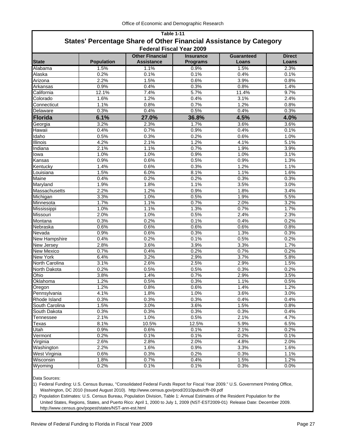| <b>Table 1-11</b>     |                   |                                                                    |                  |                   |               |  |
|-----------------------|-------------------|--------------------------------------------------------------------|------------------|-------------------|---------------|--|
|                       |                   | States' Percentage Share of Other Financial Assistance by Category |                  |                   |               |  |
|                       |                   | <b>Federal Fiscal Year 2009</b>                                    |                  |                   |               |  |
|                       |                   | <b>Other Financial</b>                                             | <b>Insurance</b> | <b>Guaranteed</b> | <b>Direct</b> |  |
| <b>State</b>          | <b>Population</b> | <b>Assistance</b>                                                  | <b>Programs</b>  | Loans             | Loans         |  |
| Alabama               | 1.5%              | 1.1%                                                               | 0.9%             | 1.5%              | 2.3%          |  |
| Alaska                | 0.2%              | 0.1%                                                               | 0.1%             | 0.4%              | 0.1%          |  |
| Arizona               | 2.2%              | 1.5%                                                               | 0.6%             | 3.9%              | 0.8%          |  |
| Arkansas              | 0.9%              | 0.4%                                                               | 0.3%             | 0.8%              | 1.4%          |  |
| California            | 12.1%             | 7.4%                                                               | 5.7%             | 11.4%             | 9.7%          |  |
| Colorado              | 1.6%              | 1.2%                                                               | 0.4%             | 3.1%              | 2.4%          |  |
| Connecticut           | 1.1%              | 0.8%                                                               | 0.7%             | 1.2%              | 0.8%          |  |
| Delaware              | 0.3%              | 0.4%                                                               | 0.5%             | 0.4%              | 0.3%          |  |
| <b>Florida</b>        | 6.1%              | 27.0%                                                              | 36.8%            | 4.5%              | 4.0%          |  |
|                       | 3.2%              |                                                                    |                  |                   |               |  |
| Georgia               |                   | 2.3%                                                               | 1.7%             | 3.6%              | 3.6%          |  |
| Hawaii                | 0.4%              | 0.7%                                                               | 0.9%             | 0.4%              | 0.1%          |  |
| Idaho                 | 0.5%              | 0.3%                                                               | 0.2%<br>1.2%     | 0.6%<br>4.1%      | 1.0%<br>5.1%  |  |
| Illinois              | 4.2%              | 2.1%                                                               |                  |                   |               |  |
| Indiana               | 2.1%              | 1.1%                                                               | 0.7%             | 1.9%              | 3.9%          |  |
| Iowa                  | 1.0%              | 1.0%                                                               | 0.9%             | 1.0%              | 3.1%          |  |
| Kansas                | 0.9%              | 0.6%                                                               | 0.5%             | 0.9%              | 1.3%          |  |
| Kentucky              | 1.4%              | 0.6%                                                               | 0.3%             | 1.2%              | 1.1%          |  |
| Louisiana             | 1.5%              | 6.0%                                                               | 8.1%             | 1.1%              | 1.6%          |  |
| Maine                 | 0.4%              | 0.2%                                                               | 0.2%             | 0.3%              | 0.3%          |  |
| Maryland              | 1.9%              | 1.8%                                                               | 1.1%             | 3.5%              | 3.0%          |  |
| Massachusetts         | 2.2%              | 1.2%                                                               | 0.9%             | 1.8%              | 3.4%          |  |
| Michigan              | 3.3%              | 1.0%                                                               | 0.5%             | 1.9%              | 5.5%          |  |
| Minnesota             | 1.7%              | 1.1%                                                               | 0.7%             | 2.0%              | 3.2%          |  |
| Mississippi           | 1.0%              | 1.1%                                                               | 1.3%             | 0.7%              | 1.7%          |  |
| Missouri              | 2.0%              | 1.0%                                                               | 0.5%             | 2.4%              | 2.3%          |  |
| Montana               | 0.3%              | 0.2%                                                               | 0.1%             | 0.4%              | 0.2%          |  |
| Nebraska              | 0.6%              | 0.6%                                                               | 0.6%             | 0.6%              | 0.8%          |  |
| Nevada                | 0.9%              | 0.6%                                                               | 0.3%             | 1.3%              | 0.3%          |  |
| New Hampshire         | 0.4%              | 0.2%                                                               | 0.1%             | 0.5%              | 0.2%          |  |
| New Jersey            | 2.8%              | 3.6%                                                               | 3.9%             | 3.3%              | 1.7%          |  |
| New Mexico            | 0.7%              | 0.4%                                                               | 0.2%             | 0.7%              | 0.2%          |  |
| <b>New York</b>       | 6.4%              | 3.2%                                                               | 2.9%             | 3.7%              | 5.8%          |  |
| <b>North Carolina</b> | 3.1%              | 2.6%                                                               | 2.5%             | 2.9%              | 1.5%          |  |
| North Dakota          | 0.2%              | 0.5%                                                               | 0.5%             | 0.3%              | 0.2%          |  |
| Ohio                  | 3.8%              | 1.4%                                                               | 0.7%             | 2.9%              | 3.5%          |  |
| Oklahoma              | 1.2%              | 0.5%                                                               | 0.3%             | 1.1%              | 0.5%          |  |
| Oregon                | 1.2%              | 0.8%                                                               | 0.6%             | 1.4%              | 1.2%          |  |
| Pennsylvania          | 4.1%              | 1.8%                                                               | 1.0%             | 3.6%              | 3.0%          |  |
| Rhode Island          | 0.3%              | 0.3%                                                               | 0.3%             | 0.4%              | 0.4%          |  |
| South Carolina        | 1.5%              | 3.0%                                                               | 3.6%             | 1.5%              | 0.8%          |  |
| South Dakota          | 0.3%              | 0.3%                                                               | 0.3%             | 0.3%              | 0.4%          |  |
| Tennessee             | 2.1%              | 1.0%                                                               | 0.5%             | 2.1%              | 4.7%          |  |
| <b>Texas</b>          | 8.1%              | 10.5%                                                              | 12.5%            | 5.9%              | 6.5%          |  |
| Utah                  | 0.9%              | 0.6%                                                               | 0.1%             | 2.1%              | 0.2%          |  |
| Vermont               | 0.2%              | 0.1%                                                               | 0.1%             | 0.2%              | 0.1%          |  |
| Virginia              | 2.6%              | 2.8%                                                               | 2.0%             | 4.8%              | 2.0%          |  |
| Washington            | 2.2%              | 1.6%                                                               | 0.9%             | 3.3%              | 1.6%          |  |
| <b>West Virginia</b>  | 0.6%              | 0.3%                                                               | 0.2%             | 0.3%              | 1.1%          |  |
| Wisconsin             | 1.8%              | 0.7%                                                               | 0.4%             | 1.5%              | 1.2%          |  |
| Wyoming               | 0.2%              | 0.1%                                                               | 0.1%             | 0.3%              | 0.0%          |  |

Data Sources:

1) Federal Funding: U.S. Census Bureau, "Consolidated Federal Funds Report for Fiscal Year 2009." U.S. Government Printing Office, Washington, DC 2010 (Issued August 2010). http://www.census.gov/prod/2010pubs/cffr-09.pdf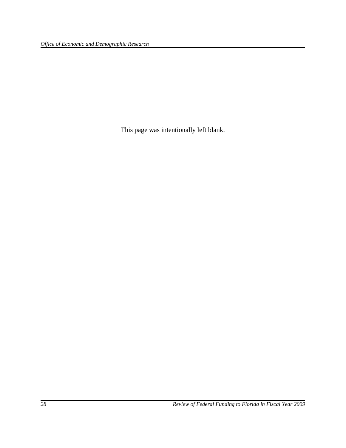This page was intentionally left blank.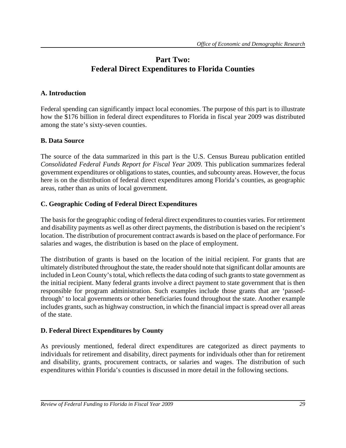# **Part Two: Federal Direct Expenditures to Florida Counties**

### **A. Introduction**

Federal spending can significantly impact local economies. The purpose of this part is to illustrate how the \$176 billion in federal direct expenditures to Florida in fiscal year 2009 was distributed among the state's sixty-seven counties.

## **B. Data Source**

The source of the data summarized in this part is the U.S. Census Bureau publication entitled *Consolidated Federal Funds Report for Fiscal Year 2009*. This publication summarizes federal government expenditures or obligations to states, counties, and subcounty areas. However, the focus here is on the distribution of federal direct expenditures among Florida's counties, as geographic areas, rather than as units of local government.

## **C. Geographic Coding of Federal Direct Expenditures**

The basis for the geographic coding of federal direct expenditures to counties varies. For retirement and disability payments as well as other direct payments, the distribution is based on the recipient's location. The distribution of procurement contract awards is based on the place of performance. For salaries and wages, the distribution is based on the place of employment.

The distribution of grants is based on the location of the initial recipient. For grants that are ultimately distributed throughout the state, the reader should note that significant dollar amounts are included in Leon County's total, which reflects the data coding of such grants to state government as the initial recipient. Many federal grants involve a direct payment to state government that is then responsible for program administration. Such examples include those grants that are 'passedthrough' to local governments or other beneficiaries found throughout the state. Another example includes grants, such as highway construction, in which the financial impact is spread over all areas of the state.

### **D. Federal Direct Expenditures by County**

As previously mentioned, federal direct expenditures are categorized as direct payments to individuals for retirement and disability, direct payments for individuals other than for retirement and disability, grants, procurement contracts, or salaries and wages. The distribution of such expenditures within Florida's counties is discussed in more detail in the following sections.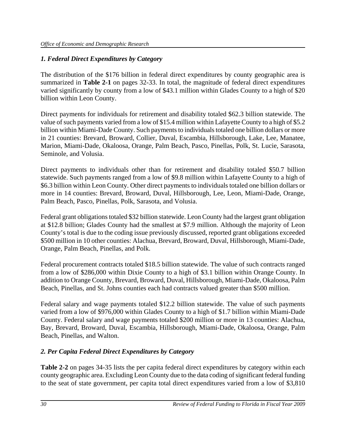## *1. Federal Direct Expenditures by Category*

The distribution of the \$176 billion in federal direct expenditures by county geographic area is summarized in **Table 2-1** on pages 32-33. In total, the magnitude of federal direct expenditures varied significantly by county from a low of \$43.1 million within Glades County to a high of \$20 billion within Leon County.

Direct payments for individuals for retirement and disability totaled \$62.3 billion statewide. The value of such payments varied from a low of \$15.4 million within Lafayette County to a high of \$5.2 billion within Miami-Dade County. Such payments to individuals totaled one billion dollars or more in 21 counties: Brevard, Broward, Collier, Duval, Escambia, Hillsborough, Lake, Lee, Manatee, Marion, Miami-Dade, Okaloosa, Orange, Palm Beach, Pasco, Pinellas, Polk, St. Lucie, Sarasota, Seminole, and Volusia.

Direct payments to individuals other than for retirement and disability totaled \$50.7 billion statewide. Such payments ranged from a low of \$9.8 million within Lafayette County to a high of \$6.3 billion within Leon County. Other direct payments to individuals totaled one billion dollars or more in 14 counties: Brevard, Broward, Duval, Hillsborough, Lee, Leon, Miami-Dade, Orange, Palm Beach, Pasco, Pinellas, Polk, Sarasota, and Volusia.

Federal grant obligations totaled \$32 billion statewide. Leon County had the largest grant obligation at \$12.8 billion; Glades County had the smallest at \$7.9 million. Although the majority of Leon County's total is due to the coding issue previously discussed, reported grant obligations exceeded \$500 million in 10 other counties: Alachua, Brevard, Broward, Duval, Hillsborough, Miami-Dade, Orange, Palm Beach, Pinellas, and Polk.

Federal procurement contracts totaled \$18.5 billion statewide. The value of such contracts ranged from a low of \$286,000 within Dixie County to a high of \$3.1 billion within Orange County. In addition to Orange County, Brevard, Broward, Duval, Hillsborough, Miami-Dade, Okaloosa, Palm Beach, Pinellas, and St. Johns counties each had contracts valued greater than \$500 million.

Federal salary and wage payments totaled \$12.2 billion statewide. The value of such payments varied from a low of \$976,000 within Glades County to a high of \$1.7 billion within Miami-Dade County. Federal salary and wage payments totaled \$200 million or more in 13 counties: Alachua, Bay, Brevard, Broward, Duval, Escambia, Hillsborough, Miami-Dade, Okaloosa, Orange, Palm Beach, Pinellas, and Walton.

## *2. Per Capita Federal Direct Expenditures by Category*

**Table 2-2** on pages 34-35 lists the per capita federal direct expenditures by category within each county geographic area. Excluding Leon County due to the data coding of significant federal funding to the seat of state government, per capita total direct expenditures varied from a low of \$3,810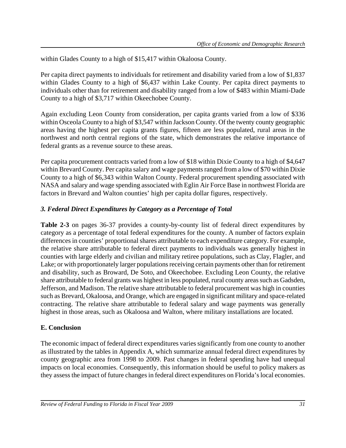within Glades County to a high of \$15,417 within Okaloosa County.

Per capita direct payments to individuals for retirement and disability varied from a low of \$1,837 within Glades County to a high of \$6,437 within Lake County. Per capita direct payments to individuals other than for retirement and disability ranged from a low of \$483 within Miami-Dade County to a high of \$3,717 within Okeechobee County.

Again excluding Leon County from consideration, per capita grants varied from a low of \$336 within Osceola County to a high of \$3,547 within Jackson County. Of the twenty county geographic areas having the highest per capita grants figures, fifteen are less populated, rural areas in the northwest and north central regions of the state, which demonstrates the relative importance of federal grants as a revenue source to these areas.

Per capita procurement contracts varied from a low of \$18 within Dixie County to a high of \$4,647 within Brevard County. Per capita salary and wage payments ranged from a low of \$70 within Dixie County to a high of \$6,343 within Walton County. Federal procurement spending associated with NASA and salary and wage spending associated with Eglin Air Force Base in northwest Florida are factors in Brevard and Walton counties' high per capita dollar figures, respectively.

## *3. Federal Direct Expenditures by Category as a Percentage of Total*

**Table 2-3** on pages 36-37 provides a county-by-county list of federal direct expenditures by category as a percentage of total federal expenditures for the county. A number of factors explain differences in counties' proportional shares attributable to each expenditure category. For example, the relative share attributable to federal direct payments to individuals was generally highest in counties with large elderly and civilian and military retiree populations, such as Clay, Flagler, and Lake; or with proportionately larger populations receiving certain payments other than for retirement and disability, such as Broward, De Soto, and Okeechobee. Excluding Leon County, the relative share attributable to federal grants was highest in less populated, rural county areas such as Gadsden, Jefferson, and Madison. The relative share attributable to federal procurement was high in counties such as Brevard, Okaloosa, and Orange, which are engaged in significant military and space-related contracting. The relative share attributable to federal salary and wage payments was generally highest in those areas, such as Okaloosa and Walton, where military installations are located.

## **E. Conclusion**

The economic impact of federal direct expenditures varies significantly from one county to another as illustrated by the tables in Appendix A, which summarize annual federal direct expenditures by county geographic area from 1998 to 2009. Past changes in federal spending have had unequal impacts on local economies. Consequently, this information should be useful to policy makers as they assess the impact of future changes in federal direct expenditures on Florida's local economies.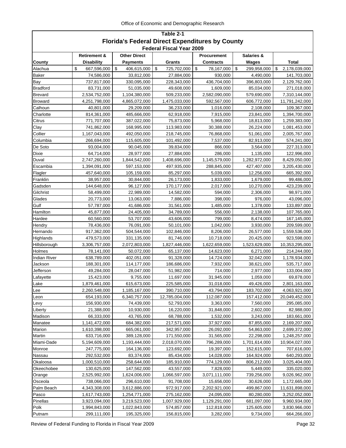| Table 2-1           |                         |                     |                                                        |                  |                   |                     |
|---------------------|-------------------------|---------------------|--------------------------------------------------------|------------------|-------------------|---------------------|
|                     |                         |                     | <b>Florida's Federal Direct Expenditures by County</b> |                  |                   |                     |
|                     |                         |                     | <b>Federal Fiscal Year 2009</b>                        |                  |                   |                     |
|                     | <b>Retirement &amp;</b> | <b>Other Direct</b> |                                                        | Procurement      | Salaries &        |                     |
| County              | <b>Disability</b>       | <b>Payments</b>     | <b>Grants</b>                                          | <b>Contracts</b> | <b>Wages</b>      | <b>Total</b>        |
| Alachua             | \$<br>667,596,000       | \$<br>406,615,000   | \$<br>725,702,000                                      | \$<br>78,167,000 | \$<br>299,958,000 | \$<br>2,178,039,000 |
| Baker               | 74,586,000              | 33,812,000          | 27,884,000                                             | 930,000          | 4,490,000         | 141,703,000         |
| Bay                 | 737,817,000             | 330,095,000         | 228,343,000                                            | 436,704,000      | 396,803,000       | 2,129,762,000       |
| <b>Bradford</b>     | 83,731,000              | 51,035,000          | 49,608,000                                             | 1,609,000        | 85,034,000        | 271,018,000         |
| <b>Brevard</b>      | 2,534,752,000           | 1,104,380,000       | 509,233,000                                            | 2,582,090,000    | 579,690,000       | 7,310,144,000       |
| <b>Broward</b>      | 4,251,798,000           | 4,865,072,000       | 1,475,033,000                                          | 592,567,000      | 606,772,000       | 11,791,242,000      |
| Calhoun             | 40,801,000              | 29,209,000          | 36,233,000                                             | 1,016,000        | 2,108,000         | 109,367,000         |
| Charlotte           | 814,361,000             | 485,666,000         | 62,918,000                                             | 7,915,000        | 23,841,000        | 1,394,700,000       |
| Citrus              | 771,707,000             | 387,022,000         | 75,873,000                                             | 5,968,000        | 18,813,000        | 1,259,383,000       |
| Clay                | 741,862,000             | 168,995,000         | 113,983,000                                            | 30,388,000       | 26,224,000        | 1,081,453,000       |
| Collier             | 1,167,043,000           | 492,050,000         | 218,745,000                                            | 76,868,000       | 51,061,000        | 2,005,767,000       |
| Columbia            | 266,694,000             | 115,605,000         | 101,492,000                                            | 7,537,000        | 82,913,000        | 574,241,000         |
| De Soto             | 93,004,000              | 90,045,000          | 39,834,000                                             | 866,000          | 3,564,000         | 227,313,000         |
| Dixie               | 64,714,000              | 28,977,000          | 27,884,000                                             | 286,000          | 1,135,000         | 122,996,000         |
| Duval               | 2,747,260,000           | 1,844,542,000       | 1,408,696,000                                          | 1,145,579,000    | 1,282,972,000     | 8,429,050,000       |
| Escambia            | 1,394,091,000           | 597,153,000         | 497,935,000                                            | 288,845,000      | 427,407,000       | 3,205,430,000       |
| Flagler             | 457,640,000             | 105,159,000         | 85,297,000                                             | 5,039,000        | 12,256,000        | 665,392,000         |
| Franklin            | 38,957,000              | 30,844,000          | 26,173,000                                             | 1,833,000        | 1,679,000         | 99,486,000          |
| Gadsden             | 144,648,000             | 96,127,000          | 170,177,000                                            | 2,017,000        | 10,270,000        | 423,239,000         |
| Gilchrist           | 58,499,000              | 22,989,000          | 14,582,000                                             | 594,000          | 2,306,000         | 98,971,000          |
| Glades              | 20,773,000              | 13,063,000          | 7,886,000                                              | 398,000          | 976,000           | 43,096,000          |
| Gulf                | 57,787,000              | 41,686,000          | 31,561,000                                             | 1,485,000        | 1,378,000         | 133,897,000         |
| Hamilton            | 45,877,000              | 24,405,000          | 34,789,000                                             | 556,000          | 2,138,000         | 107,765,000         |
| Hardee              | 60,560,000              | 53,707,000          | 43,606,000                                             | 799,000          | 8,474,000         | 167,145,000         |
| Hendry              | 78,436,000              | 76,091,000          | 50,101,000                                             | 1,042,000        | 3,930,000         | 209,599,000         |
| Hernando            | 917,362,000             | 504,544,000         | 102,846,000                                            | 8,206,000        | 26,577,000        | 1,559,536,000       |
| Highlands           | 479,573,000             | 331,135,000         | 81,746,000                                             | 10,718,000       | 20,425,000        | 923,598,000         |
| Hillsborough        | 3,306,757,000           | 2,072,803,000       | 1,827,446,000                                          | 1,622,659,000    | 1,523,629,000     | 10,353,295,000      |
| Holmes              | 78,141,000              | 50,072,000          | 65,137,000                                             | 14,623,000       | 6,271,000         | 214,244,000         |
| <b>Indian River</b> | 638,789,000             | 402,051,000         | 91,328,000                                             | 14,724,000       | 32,042,000        | 1,178,934,000       |
| Jackson             | 188,301,000             | 114,177,000         | 186,686,000                                            | 7,932,000        | 38,621,000        | 535,717,000         |
| Jefferson           | 49,284,000              | 28,047,000          | 51,982,000                                             | 714,000          | 2,977,000         | 133,004,000         |
| Lafayette           | 15,423,000              | 9,755,000           | 11,697,000                                             | 31,945,000       | 1,059,000         | 69,878,000          |
| Lake                | 1,879,461,000           | 615,673,000         | 225,585,000                                            | 31,018,000       | 49,426,000        | 2,801,163,000       |
| Lee                 | 2,260,548,000           | 1,185,167,000       | 390,710,000                                            | 43,794,000       | 183,702,000       | 4,063,921,000       |
| Leon                | 654,193,000             | 6,340,757,000       | 12,785,004,000                                         | 112,087,000      | 157,412,000       | 20,049,452,000      |
| Levy                | 156,930,000             | 74,439,000          | 52,793,000                                             | 3,363,000        | 7,560,000         | 295,085,000         |
| Liberty             | 21,388,000              | 10,930,000          | 16,220,000                                             | 31,848,000       | 2,602,000         | 82,988,000          |
| Madison             | 66,333,000              | 43,765,000          | 68,788,000                                             | 1,532,000        | 3,243,000         | 183,661,000         |
| Manatee             | 1,141,472,000           | 684,382,000         | 217,571,000                                            | 37,927,000       | 87,855,000        | 2,169,207,000       |
| Marion              | 1,610,398,000           | 665,061,000         | 342,957,000                                            | 26,092,000       | 54,863,000        | 2,699,372,000       |
| Martin              | 633,716,000             | 389,128,000         | 171,550,000                                            | 31,565,000       | 22,298,000        | 1,248,257,000       |
| Miami-Dade          | 5,194,609,000           | 1,193,444,000       | 2,018,070,000                                          | 796,289,000      | 1,701,614,000     | 10,904,027,000      |
| Monroe              | 247,775,000             | 164,136,000         | 123,692,000                                            | 19,397,000       | 152,615,000       | 707,616,000         |
| Nassau              | 292,532,000             | 83,374,000          | 85,434,000                                             | 14,028,000       | 164,924,000       | 640,293,000         |
| Okaloosa            | 1,000,510,000           | 258,644,000         | 185,910,000                                            | 774,129,000      | 806,212,000       | 3,025,404,000       |
| Okeechobee          | 130,625,000             | 147,562,000         | 43,557,000                                             | 7,828,000        | 5,449,000         | 335,020,000         |
| Orange              | 2,525,992,000           | 1,624,006,000       | 1,066,597,000                                          | 3,071,111,000    | 739,256,000       | 9,026,962,000       |
| Osceola             | 738,066,000             | 296,610,000         | 91,708,000                                             | 15,656,000       | 30,626,000        | 1,172,665,000       |
| Palm Beach          | 4,343,308,000           | 3,612,886,000       | 972,917,000                                            | 2,202,921,000    | 499,867,000       | 11,631,898,000      |
| Pasco               | 1,617,743,000           | 1,254,771,000       | 275,162,000                                            | 24,095,000       | 80,280,000        | 3,252,052,000       |
| Pinellas            | 3,923,094,000           | 3,219,523,000       | 1,007,929,000                                          | 1,129,291,000    | 681,097,000       | 9,960,934,000       |
| Polk                | 1,994,843,000           | 1,022,843,000       | 574,857,000                                            | 112,818,000      | 125,605,000       | 3,830,966,000       |
| Putnam              | 299,111,000             | 195,325,000         | 156,815,000                                            | 3,282,000        | 9,734,000         | 664,266,000         |

Review of Federal Funding to Florida in Fiscal Year 2009 **Page 32** Page 32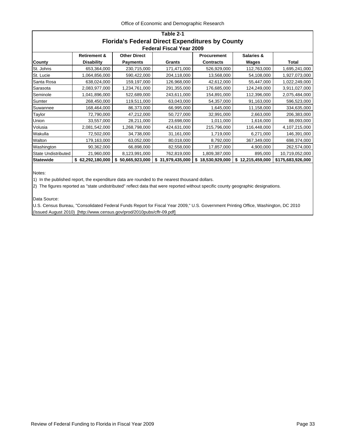|                            |                         |                      | Table 2-1                                              |                      |                  |                   |
|----------------------------|-------------------------|----------------------|--------------------------------------------------------|----------------------|------------------|-------------------|
|                            |                         |                      | <b>Florida's Federal Direct Expenditures by County</b> |                      |                  |                   |
|                            |                         |                      | <b>Federal Fiscal Year 2009</b>                        |                      |                  |                   |
|                            | <b>Retirement &amp;</b> | <b>Other Direct</b>  |                                                        | <b>Procurement</b>   | Salaries &       |                   |
| <b>County</b>              | <b>Disability</b>       | <b>Payments</b>      | Grants                                                 | <b>Contracts</b>     | Wages            | <b>Total</b>      |
| St. Johns                  | 653,364,000             | 230,715,000          | 171,471,000                                            | 526,929,000          | 112,763,000      | 1,695,241,000     |
| St. Lucie                  | 1,064,856,000           | 590,422,000          | 204,118,000                                            | 13,568,000           | 54,108,000       | 1,927,073,000     |
| Santa Rosa                 | 638,024,000             | 159,197,000          | 126,968,000                                            | 42,612,000           | 55,447,000       | 1,022,249,000     |
| Sarasota                   | 2,083,977,000           | 1,234,761,000        | 291,355,000                                            | 176,685,000          | 124,249,000      | 3,911,027,000     |
| Seminole                   | 1,041,896,000           | 522,689,000          | 243,611,000                                            | 154,891,000          | 112,396,000      | 2,075,484,000     |
| Sumter                     | 268,450,000             | 119,511,000          | 63,043,000                                             | 54,357,000           | 91,163,000       | 596,523,000       |
| Suwannee                   | 168,464,000             | 86,373,000           | 66,995,000                                             | 1,645,000            | 11,158,000       | 334,635,000       |
| Taylor                     | 72,790,000              | 47,212,000           | 50,727,000                                             | 32,991,000           | 2,663,000        | 206,383,000       |
| Union                      | 33,557,000              | 28,211,000           | 23,698,000                                             | 1,011,000            | 1,616,000        | 88,093,000        |
| Volusia                    | 2,081,542,000           | 1,268,798,000        | 424,631,000                                            | 215,796,000          | 116,448,000      | 4,107,215,000     |
| Wakulla                    | 72,502,000              | 34,738,000           | 31,161,000                                             | 1,719,000            | 6,271,000        | 146,391,000       |
| Walton                     | 179,163,000             | 63,052,000           | 80,018,000                                             | 8,792,000            | 367,349,000      | 698,374,000       |
| Washington                 | 90,362,000              | 66,898,000           | 82,558,000                                             | 17,857,000           | 4,900,000        | 262,574,000       |
| <b>State Undistributed</b> | 21,960,000              | 8,123,991,000        | 762,819,000                                            | 1,809,387,000        | 895,000          | 10,719,052,000    |
| Statewide                  | \$62,292,180,000        | 50,665,923,000<br>\$ | \$31,979,435,000                                       | 18,530,929,000<br>\$ | \$12,215,459,000 | \$175,683,926,000 |

1) In the published report, the expenditure data are rounded to the nearest thousand dollars.

2) The figures reported as "state undistributed" reflect data that were reported without specific county geographic designations.

Data Source:

U.S. Census Bureau, "Consolidated Federal Funds Report for Fiscal Year 2009," U.S. Government Printing Office, Washington, DC 2010 (Issued August 2010) [http://www.census.gov/prod/2010pubs/cffr-09.pdf]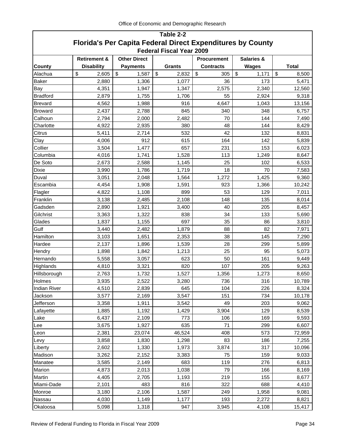|                     |                         |                     | Table 2-2                       |                                                                   |              |              |
|---------------------|-------------------------|---------------------|---------------------------------|-------------------------------------------------------------------|--------------|--------------|
|                     |                         |                     | <b>Federal Fiscal Year 2009</b> | <b>Florida's Per Capita Federal Direct Expenditures by County</b> |              |              |
|                     | <b>Retirement &amp;</b> | <b>Other Direct</b> |                                 | <b>Procurement</b>                                                | Salaries &   |              |
| <b>County</b>       | <b>Disability</b>       | <b>Payments</b>     | <b>Grants</b>                   | <b>Contracts</b>                                                  | <b>Wages</b> | <b>Total</b> |
| Alachua             | \$<br>2,605             | \$<br>1,587         | \$<br>2,832                     | \$<br>305                                                         | \$<br>1,171  | \$<br>8,500  |
| <b>Baker</b>        | 2,880                   | 1,306               | 1,077                           | 36                                                                | 173          | 5,471        |
| Bay                 | 4,351                   | 1,947               | 1,347                           | 2,575                                                             | 2,340        | 12,560       |
| <b>Bradford</b>     | 2,879                   | 1,755               | 1,706                           | 55                                                                | 2,924        | 9,318        |
| <b>Brevard</b>      | 4,562                   | 1,988               | 916                             | 4,647                                                             | 1,043        | 13,156       |
| <b>Broward</b>      | 2,437                   | 2,788               | 845                             | 340                                                               | 348          | 6,757        |
| Calhoun             | 2,794                   | 2,000               | 2,482                           | 70                                                                | 144          | 7,490        |
| Charlotte           | 4,922                   | 2,935               | 380                             | 48                                                                | 144          | 8,429        |
| Citrus              | 5,411                   | 2,714               | 532                             | 42                                                                | 132          | 8,831        |
| Clay                | 4,006                   | 912                 | 615                             | 164                                                               | 142          | 5,839        |
| Collier             | 3,504                   | 1,477               | 657                             | 231                                                               | 153          | 6,023        |
| Columbia            | 4,016                   | 1,741               | 1,528                           | 113                                                               | 1,249        | 8,647        |
| De Soto             | 2,673                   | 2,588               | 1,145                           | 25                                                                | 102          | 6,533        |
| <b>Dixie</b>        | 3,990                   | 1,786               | 1,719                           | 18                                                                | 70           | 7,583        |
| Duval               | 3,051                   | 2,048               | 1,564                           | 1,272                                                             | 1,425        | 9,360        |
| Escambia            | 4,454                   | 1,908               | 1,591                           | 923                                                               | 1,366        | 10,242       |
| Flagler             | 4,822                   | 1,108               | 899                             | 53                                                                | 129          | 7,011        |
| Franklin            | 3,138                   | 2,485               | 2,108                           | 148                                                               | 135          | 8,014        |
| Gadsden             | 2,890                   | 1,921               | 3,400                           | 40                                                                | 205          | 8,457        |
| Gilchrist           | 3,363                   | 1,322               | 838                             | 34                                                                | 133          | 5,690        |
| Glades              | 1,837                   | 1,155               | 697                             | 35                                                                | 86           | 3,810        |
| Gulf                | 3,440                   | 2,482               | 1,879                           | 88                                                                | 82           | 7,971        |
| Hamilton            | 3,103                   | 1,651               | 2,353                           | 38                                                                | 145          | 7,290        |
| Hardee              | 2,137                   | 1,896               | 1,539                           | 28                                                                | 299          | 5,899        |
| Hendry              | 1,898                   | 1,842               | 1,213                           | 25                                                                | 95           | 5,073        |
| Hernando            | 5,558                   | 3,057               | 623                             | 50                                                                | 161          | 9,449        |
| Highlands           | 4,810                   | 3,321               | 820                             | 107                                                               | 205          | 9,263        |
| Hillsborough        | 2,763                   | 1,732               | 1,527                           | 1,356                                                             | 1,273        | 8,650        |
| Holmes              | 3,935                   | 2,522               | 3,280                           | 736                                                               | 316          | 10,789       |
| <b>Indian River</b> | 4,510                   | 2,839               | 645                             | 104                                                               | 226          | 8,324        |
| Jackson             | 3,577                   | 2,169               | 3,547                           | 151                                                               | 734          | 10,178       |
| Jefferson           | 3,358                   | 1,911               | 3,542                           | 49                                                                | 203          | 9,062        |
| Lafayette           | 1,885                   | 1,192               | 1,429                           | 3,904                                                             | 129          | 8,539        |
| Lake                | 6,437                   | 2,109               | 773                             | 106                                                               | 169          | 9,593        |
| Lee                 | 3,675                   | 1,927               | 635                             | 71                                                                | 299          | 6,607        |
| Leon                | 2,381                   | 23,074              | 46,524                          | 408                                                               | 573          | 72,959       |
| Levy                | 3,858                   | 1,830               | 1,298                           | 83                                                                | 186          | 7,255        |
| Liberty             | 2,602                   | 1,330               | 1,973                           | 3,874                                                             | 317          | 10,096       |
| Madison             | 3,262                   | 2,152               | 3,383                           | 75                                                                | 159          | 9,033        |
| Manatee             | 3,585                   | 2,149               | 683                             | 119                                                               | 276          | 6,813        |
| Marion              | 4,873                   | 2,013               | 1,038                           | 79                                                                | 166          | 8,169        |
| Martin              | 4,405                   | 2,705               | 1,193                           | 219                                                               | 155          | 8,677        |
| Miami-Dade          | 2,101                   | 483                 | 816                             | 322                                                               | 688          | 4,410        |
| Monroe              | 3,180                   | 2,106               | 1,587                           | 249                                                               | 1,958        | 9,081        |
| Nassau              | 4,030                   | 1,149               | 1,177                           | 193                                                               | 2,272        | 8,821        |
| Okaloosa            | 5,098                   | 1,318               | 947                             | 3,945                                                             | 4,108        | 15,417       |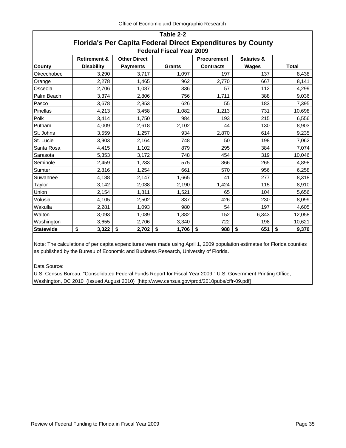|                  | Table 2-2                       |                     |                                                                   |                    |              |              |  |  |
|------------------|---------------------------------|---------------------|-------------------------------------------------------------------|--------------------|--------------|--------------|--|--|
|                  |                                 |                     | <b>Florida's Per Capita Federal Direct Expenditures by County</b> |                    |              |              |  |  |
|                  | <b>Federal Fiscal Year 2009</b> |                     |                                                                   |                    |              |              |  |  |
|                  | <b>Retirement &amp;</b>         | <b>Other Direct</b> |                                                                   | <b>Procurement</b> | Salaries &   |              |  |  |
| <b>County</b>    | <b>Disability</b>               | <b>Payments</b>     | <b>Grants</b>                                                     | <b>Contracts</b>   | <b>Wages</b> | <b>Total</b> |  |  |
| Okeechobee       | 3,290                           | 3,717               | 1,097                                                             | 197                | 137          | 8,438        |  |  |
| Orange           | 2,278                           | 1,465               | 962                                                               | 2,770              | 667          | 8,141        |  |  |
| Osceola          | 2,706                           | 1,087               | 336                                                               | 57                 | 112          | 4,299        |  |  |
| Palm Beach       | 3,374                           | 2,806               | 756                                                               | 1,711              | 388          | 9,036        |  |  |
| Pasco            | 3,678                           | 2,853               | 626                                                               | 55                 | 183          | 7,395        |  |  |
| Pinellas         | 4,213                           | 3,458               | 1,082                                                             | 1,213              | 731          | 10,698       |  |  |
| Polk             | 3,414                           | 1,750               | 984                                                               | 193                | 215          | 6,556        |  |  |
| Putnam           | 4,009                           | 2,618               | 2,102                                                             | 44                 | 130          | 8,903        |  |  |
| St. Johns        | 3,559                           | 1,257               | 934                                                               | 2,870              | 614          | 9,235        |  |  |
| St. Lucie        | 3,903                           | 2,164               | 748                                                               | 50                 | 198          | 7,062        |  |  |
| Santa Rosa       | 4,415                           | 1,102               | 879                                                               | 295                | 384          | 7,074        |  |  |
| Sarasota         | 5,353                           | 3,172               | 748                                                               | 454                | 319          | 10,046       |  |  |
| Seminole         | 2,459                           | 1,233               | 575                                                               | 366                | 265          | 4,898        |  |  |
| Sumter           | 2,816                           | 1,254               | 661                                                               | 570                | 956          | 6,258        |  |  |
| Suwannee         | 4,188                           | 2,147               | 1,665                                                             | 41                 | 277          | 8,318        |  |  |
| Taylor           | 3,142                           | 2,038               | 2,190                                                             | 1,424              | 115          | 8,910        |  |  |
| Union            | 2,154                           | 1,811               | 1,521                                                             | 65                 | 104          | 5,656        |  |  |
| Volusia          | 4,105                           | 2,502               | 837                                                               | 426                | 230          | 8,099        |  |  |
| Wakulla          | 2,281                           | 1,093               | 980                                                               | 54                 | 197          | 4,605        |  |  |
| Walton           | 3,093                           | 1,089               | 1,382                                                             | 152                | 6,343        | 12,058       |  |  |
| Washington       | 3,655                           | 2,706               | 3,340                                                             | 722                | 198          | 10,621       |  |  |
| <b>Statewide</b> | \$<br>3,322                     | \$<br>2,702         | \$<br>1,706                                                       | \$<br>988          | \$<br>651    | \$<br>9,370  |  |  |

Note: The calculations of per capita expenditures were made using April 1, 2009 population estimates for Florida counties as published by the Bureau of Economic and Business Research, University of Florida.

Data Source:

U.S. Census Bureau, "Consolidated Federal Funds Report for Fiscal Year 2009," U.S. Government Printing Office, Washington, DC 2010 (Issued August 2010) [http://www.census.gov/prod/2010pubs/cffr-09.pdf]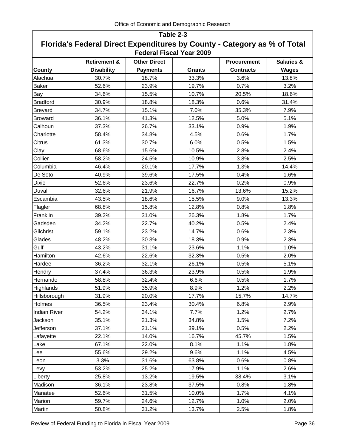| Table 2-3           |                                                                                                             |                     |               |                    |              |  |  |
|---------------------|-------------------------------------------------------------------------------------------------------------|---------------------|---------------|--------------------|--------------|--|--|
|                     | Florida's Federal Direct Expenditures by County - Category as % of Total<br><b>Federal Fiscal Year 2009</b> |                     |               |                    |              |  |  |
|                     | <b>Retirement &amp;</b>                                                                                     | <b>Other Direct</b> |               | <b>Procurement</b> | Salaries &   |  |  |
| County              | <b>Disability</b>                                                                                           | <b>Payments</b>     | <b>Grants</b> | <b>Contracts</b>   | <b>Wages</b> |  |  |
| Alachua             | 30.7%                                                                                                       | 18.7%               | 33.3%         | 3.6%               | 13.8%        |  |  |
| <b>Baker</b>        | 52.6%                                                                                                       | 23.9%               | 19.7%         | 0.7%               | 3.2%         |  |  |
| Bay                 | 34.6%                                                                                                       | 15.5%               | 10.7%         | 20.5%              | 18.6%        |  |  |
| <b>Bradford</b>     | 30.9%                                                                                                       | 18.8%               | 18.3%         | 0.6%               | 31.4%        |  |  |
| <b>Brevard</b>      | 34.7%                                                                                                       | 15.1%               | 7.0%          | 35.3%              | 7.9%         |  |  |
| <b>Broward</b>      | 36.1%                                                                                                       | 41.3%               | 12.5%         | 5.0%               | 5.1%         |  |  |
| Calhoun             | 37.3%                                                                                                       | 26.7%               | 33.1%         | 0.9%               | 1.9%         |  |  |
| Charlotte           | 58.4%                                                                                                       | 34.8%               | 4.5%          | 0.6%               | 1.7%         |  |  |
| Citrus              | 61.3%                                                                                                       | 30.7%               | 6.0%          | 0.5%               | 1.5%         |  |  |
| Clay                | 68.6%                                                                                                       | 15.6%               | 10.5%         | 2.8%               | 2.4%         |  |  |
| Collier             | 58.2%                                                                                                       | 24.5%               | 10.9%         | 3.8%               | 2.5%         |  |  |
| Columbia            | 46.4%                                                                                                       | 20.1%               | 17.7%         | 1.3%               | 14.4%        |  |  |
| De Soto             | 40.9%                                                                                                       | 39.6%               | 17.5%         | 0.4%               | 1.6%         |  |  |
| <b>Dixie</b>        | 52.6%                                                                                                       | 23.6%               | 22.7%         | 0.2%               | 0.9%         |  |  |
| Duval               | 32.6%                                                                                                       | 21.9%               | 16.7%         | 13.6%              | 15.2%        |  |  |
| Escambia            | 43.5%                                                                                                       | 18.6%               | 15.5%         | 9.0%               | 13.3%        |  |  |
| Flagler             | 68.8%                                                                                                       | 15.8%               | 12.8%         | 0.8%               | 1.8%         |  |  |
| Franklin            | 39.2%                                                                                                       | 31.0%               | 26.3%         | 1.8%               | 1.7%         |  |  |
| Gadsden             | 34.2%                                                                                                       | 22.7%               | 40.2%         | 0.5%               | 2.4%         |  |  |
| Gilchrist           | 59.1%                                                                                                       | 23.2%               | 14.7%         | 0.6%               | 2.3%         |  |  |
| Glades              | 48.2%                                                                                                       | 30.3%               | 18.3%         | 0.9%               | 2.3%         |  |  |
| Gulf                | 43.2%                                                                                                       | 31.1%               | 23.6%         | 1.1%               | 1.0%         |  |  |
| Hamilton            | 42.6%                                                                                                       | 22.6%               | 32.3%         | 0.5%               | 2.0%         |  |  |
| Hardee              | 36.2%                                                                                                       | 32.1%               | 26.1%         | 0.5%               | 5.1%         |  |  |
| Hendry              | 37.4%                                                                                                       | 36.3%               | 23.9%         | 0.5%               | 1.9%         |  |  |
| Hernando            | 58.8%                                                                                                       | 32.4%               | 6.6%          | 0.5%               | 1.7%         |  |  |
| Highlands           | 51.9%                                                                                                       | 35.9%               | 8.9%          | 1.2%               | 2.2%         |  |  |
| Hillsborough        | 31.9%                                                                                                       | 20.0%               | 17.7%         | 15.7%              | 14.7%        |  |  |
| Holmes              | 36.5%                                                                                                       | 23.4%               | 30.4%         | 6.8%               | 2.9%         |  |  |
| <b>Indian River</b> | 54.2%                                                                                                       | 34.1%               | 7.7%          | 1.2%               | 2.7%         |  |  |
| Jackson             | 35.1%                                                                                                       | 21.3%               | 34.8%         | 1.5%               | 7.2%         |  |  |
| Jefferson           | 37.1%                                                                                                       | 21.1%               | 39.1%         | 0.5%               | 2.2%         |  |  |
| Lafayette           | 22.1%                                                                                                       | 14.0%               | 16.7%         | 45.7%              | 1.5%         |  |  |
| Lake                | 67.1%                                                                                                       | 22.0%               | 8.1%          | 1.1%               | 1.8%         |  |  |
| Lee                 | 55.6%                                                                                                       | 29.2%               | 9.6%          | 1.1%               | 4.5%         |  |  |
| Leon                | 3.3%                                                                                                        | 31.6%               | 63.8%         | 0.6%               | 0.8%         |  |  |
| Levy                | 53.2%                                                                                                       | 25.2%               | 17.9%         | 1.1%               | 2.6%         |  |  |
| Liberty             | 25.8%                                                                                                       | 13.2%               | 19.5%         | 38.4%              | 3.1%         |  |  |
| Madison             | 36.1%                                                                                                       | 23.8%               | 37.5%         | 0.8%               | 1.8%         |  |  |
| Manatee             | 52.6%                                                                                                       | 31.5%               | 10.0%         | 1.7%               | 4.1%         |  |  |
| Marion              | 59.7%                                                                                                       | 24.6%               | 12.7%         | 1.0%               | 2.0%         |  |  |
| Martin              | 50.8%                                                                                                       | 31.2%               | 13.7%         | 2.5%               | 1.8%         |  |  |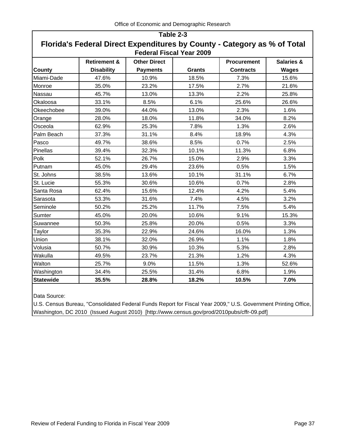|                  | Table 2-3                                                                |                     |                                 |                    |              |  |
|------------------|--------------------------------------------------------------------------|---------------------|---------------------------------|--------------------|--------------|--|
|                  | Florida's Federal Direct Expenditures by County - Category as % of Total |                     |                                 |                    |              |  |
|                  |                                                                          |                     | <b>Federal Fiscal Year 2009</b> |                    |              |  |
|                  | <b>Retirement &amp;</b>                                                  | <b>Other Direct</b> |                                 | <b>Procurement</b> | Salaries &   |  |
| <b>County</b>    | <b>Disability</b>                                                        | <b>Payments</b>     | <b>Grants</b>                   | <b>Contracts</b>   | <b>Wages</b> |  |
| Miami-Dade       | 47.6%                                                                    | 10.9%               | 18.5%                           | 7.3%               | 15.6%        |  |
| Monroe           | 35.0%                                                                    | 23.2%               | 17.5%                           | 2.7%               | 21.6%        |  |
| Nassau           | 45.7%                                                                    | 13.0%               | 13.3%                           | 2.2%               | 25.8%        |  |
| Okaloosa         | 33.1%                                                                    | 8.5%                | 6.1%                            | 25.6%              | 26.6%        |  |
| Okeechobee       | 39.0%                                                                    | 44.0%               | 13.0%                           | 2.3%               | 1.6%         |  |
| Orange           | 28.0%                                                                    | 18.0%               | 11.8%                           | 34.0%              | 8.2%         |  |
| Osceola          | 62.9%                                                                    | 25.3%               | 7.8%                            | 1.3%               | 2.6%         |  |
| Palm Beach       | 37.3%                                                                    | 31.1%               | 8.4%                            | 18.9%              | 4.3%         |  |
| Pasco            | 49.7%                                                                    | 38.6%               | 8.5%                            | 0.7%               | 2.5%         |  |
| Pinellas         | 39.4%                                                                    | 32.3%               | 10.1%                           | 11.3%              | 6.8%         |  |
| Polk             | 52.1%                                                                    | 26.7%               | 15.0%                           | 2.9%               | 3.3%         |  |
| Putnam           | 45.0%                                                                    | 29.4%               | 23.6%                           | 0.5%               | 1.5%         |  |
| St. Johns        | 38.5%                                                                    | 13.6%               | 10.1%                           | 31.1%              | 6.7%         |  |
| St. Lucie        | 55.3%                                                                    | 30.6%               | 10.6%                           | 0.7%               | 2.8%         |  |
| Santa Rosa       | 62.4%                                                                    | 15.6%               | 12.4%                           | 4.2%               | 5.4%         |  |
| Sarasota         | 53.3%                                                                    | 31.6%               | 7.4%                            | 4.5%               | 3.2%         |  |
| Seminole         | 50.2%                                                                    | 25.2%               | 11.7%                           | 7.5%               | 5.4%         |  |
| Sumter           | 45.0%                                                                    | 20.0%               | 10.6%                           | 9.1%               | 15.3%        |  |
| Suwannee         | 50.3%                                                                    | 25.8%               | 20.0%                           | 0.5%               | 3.3%         |  |
| Taylor           | 35.3%                                                                    | 22.9%               | 24.6%                           | 16.0%              | 1.3%         |  |
| Union            | 38.1%                                                                    | 32.0%               | 26.9%                           | 1.1%               | 1.8%         |  |
| Volusia          | 50.7%                                                                    | 30.9%               | 10.3%                           | 5.3%               | 2.8%         |  |
| Wakulla          | 49.5%                                                                    | 23.7%               | 21.3%                           | 1.2%               | 4.3%         |  |
| Walton           | 25.7%                                                                    | 9.0%                | 11.5%                           | 1.3%               | 52.6%        |  |
| Washington       | 34.4%                                                                    | 25.5%               | 31.4%                           | 6.8%               | 1.9%         |  |
| <b>Statewide</b> | 35.5%                                                                    | 28.8%               | 18.2%                           | 10.5%              | 7.0%         |  |

Data Source:

U.S. Census Bureau, "Consolidated Federal Funds Report for Fiscal Year 2009," U.S. Government Printing Office, Washington, DC 2010 (Issued August 2010) [http://www.census.gov/prod/2010pubs/cffr-09.pdf]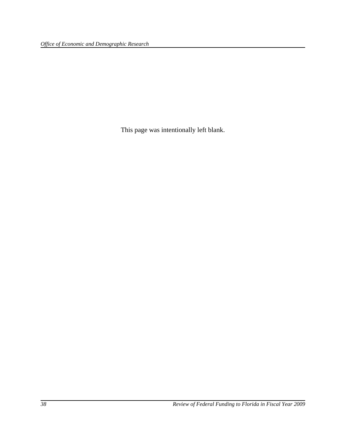This page was intentionally left blank.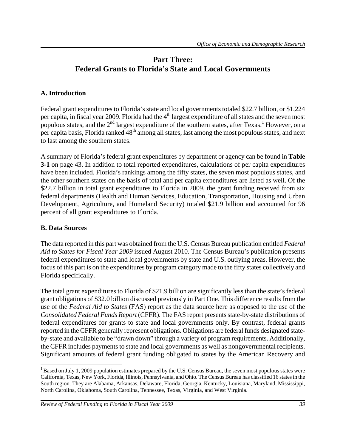# **Part Three: Federal Grants to Florida's State and Local Governments**

## **A. Introduction**

Federal grant expenditures to Florida's state and local governments totaled \$22.7 billion, or \$1,224 per capita, in fiscal year 2009. Florida had the 4<sup>th</sup> largest expenditure of all states and the seven most populous states, and the  $2<sup>nd</sup>$  largest expenditure of the southern states, after Texas.<sup>1</sup> However, on a per capita basis, Florida ranked  $48<sup>th</sup>$  among all states, last among the most populous states, and next to last among the southern states.

A summary of Florida's federal grant expenditures by department or agency can be found in **Table 3-1** on page 43. In addition to total reported expenditures, calculations of per capita expenditures have been included. Florida's rankings among the fifty states, the seven most populous states, and the other southern states on the basis of total and per capita expenditures are listed as well. Of the \$22.7 billion in total grant expenditures to Florida in 2009, the grant funding received from six federal departments (Health and Human Services, Education, Transportation, Housing and Urban Development, Agriculture, and Homeland Security) totaled \$21.9 billion and accounted for 96 percent of all grant expenditures to Florida.

### **B. Data Sources**

<u>.</u>

The data reported in this part was obtained from the U.S. Census Bureau publication entitled *Federal Aid to States for Fiscal Year 2009* issued August 2010. The Census Bureau's publication presents federal expenditures to state and local governments by state and U.S. outlying areas. However, the focus of this part is on the expenditures by program category made to the fifty states collectively and Florida specifically.

The total grant expenditures to Florida of \$21.9 billion are significantly less than the state's federal grant obligations of \$32.0 billion discussed previously in Part One. This difference results from the use of the *Federal Aid to States* (FAS) report as the data source here as opposed to the use of the *Consolidated Federal Funds Report* (CFFR). The FAS report presents state-by-state distributions of federal expenditures for grants to state and local governments only. By contrast, federal grants reported in the CFFR generally represent obligations. Obligations are federal funds designated stateby-state and available to be "drawn down" through a variety of program requirements. Additionally, the CFFR includes payments to state and local governments as well as nongovernmental recipients. Significant amounts of federal grant funding obligated to states by the American Recovery and

<sup>&</sup>lt;sup>1</sup> Based on July 1, 2009 population estimates prepared by the U.S. Census Bureau, the seven most populous states were California, Texas, New York, Florida, Illinois, Pennsylvania, and Ohio. The Census Bureau has classified 16 states in the South region. They are Alabama, Arkansas, Delaware, Florida, Georgia, Kentucky, Louisiana, Maryland, Mississippi, North Carolina, Oklahoma, South Carolina, Tennessee, Texas, Virginia, and West Virginia.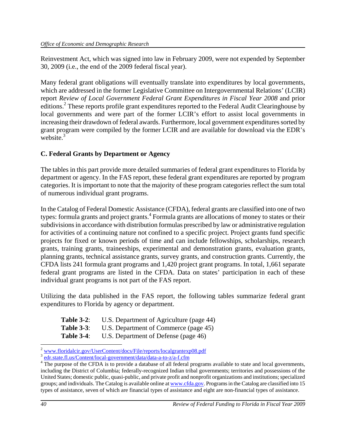Reinvestment Act, which was signed into law in February 2009, were not expended by September 30, 2009 (i.e., the end of the 2009 federal fiscal year).

Many federal grant obligations will eventually translate into expenditures by local governments, which are addressed in the former Legislative Committee on Intergovernmental Relations' (LCIR) report *Review of Local Government Federal Grant Expenditures in Fiscal Year 2008* and prior editions.<sup>2</sup> These reports profile grant expenditures reported to the Federal Audit Clearinghouse by local governments and were part of the former LCIR's effort to assist local governments in increasing their drawdown of federal awards. Furthermore, local government expenditures sorted by grant program were compiled by the former LCIR and are available for download via the EDR's website. $3$ 

## **C. Federal Grants by Department or Agency**

The tables in this part provide more detailed summaries of federal grant expenditures to Florida by department or agency. In the FAS report, these federal grant expenditures are reported by program categories. It is important to note that the majority of these program categories reflect the sum total of numerous individual grant programs.

In the Catalog of Federal Domestic Assistance (CFDA), federal grants are classified into one of two types: formula grants and project grants.<sup>4</sup> Formula grants are allocations of money to states or their subdivisions in accordance with distribution formulas prescribed by law or administrative regulation for activities of a continuing nature not confined to a specific project. Project grants fund specific projects for fixed or known periods of time and can include fellowships, scholarships, research grants, training grants, traineeships, experimental and demonstration grants, evaluation grants, planning grants, technical assistance grants, survey grants, and construction grants. Currently, the CFDA lists 241 formula grant programs and 1,420 project grant programs. In total, 1,661 separate federal grant programs are listed in the CFDA. Data on states' participation in each of these individual grant programs is not part of the FAS report.

Utilizing the data published in the FAS report, the following tables summarize federal grant expenditures to Florida by agency or department.

| <b>Table 3-2:</b> | U.S. Department of Agriculture (page 44) |
|-------------------|------------------------------------------|
| <b>Table 3-3:</b> | U.S. Department of Commerce (page 45)    |
| <b>Table 3-4:</b> | U.S. Department of Defense (page 46)     |

www.floridalcir.gov/UserContent/docs/File/reports/localgrantexp08.pdf<br>edr.state.fl.us/Content/local-government/data/data-a-to-z/a-f.cfm

 $\overline{a}$ 

<sup>&</sup>lt;sup>4</sup> The purpose of the CFDA is to provide a database of all federal programs available to state and local governments, including the District of Columbia; federally-recognized Indian tribal governments; territories and possessions of the United States; domestic public, quasi-public, and private profit and nonprofit organizations and institutions; specialized groups; and individuals. The Catalog is available online at www.cfda.gov. Programs in the Catalog are classified into 15 types of assistance, seven of which are financial types of assistance and eight are non-financial types of assistance.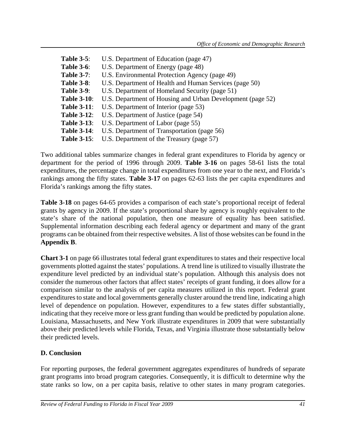| <b>Table 3-5:</b>  | U.S. Department of Education (page 47)                     |
|--------------------|------------------------------------------------------------|
| <b>Table 3-6:</b>  | U.S. Department of Energy (page 48)                        |
| <b>Table 3-7:</b>  | U.S. Environmental Protection Agency (page 49)             |
| <b>Table 3-8:</b>  | U.S. Department of Health and Human Services (page 50)     |
| <b>Table 3-9:</b>  | U.S. Department of Homeland Security (page 51)             |
| <b>Table 3-10:</b> | U.S. Department of Housing and Urban Development (page 52) |
| <b>Table 3-11:</b> | U.S. Department of Interior (page 53)                      |
| <b>Table 3-12:</b> | U.S. Department of Justice (page 54)                       |
| <b>Table 3-13:</b> | U.S. Department of Labor (page 55)                         |
| <b>Table 3-14:</b> | U.S. Department of Transportation (page 56)                |
| <b>Table 3-15:</b> | U.S. Department of the Treasury (page 57)                  |

Two additional tables summarize changes in federal grant expenditures to Florida by agency or department for the period of 1996 through 2009. **Table 3-16** on pages 58-61 lists the total expenditures, the percentage change in total expenditures from one year to the next, and Florida's rankings among the fifty states. **Table 3-17** on pages 62-63 lists the per capita expenditures and Florida's rankings among the fifty states.

**Table 3-18** on pages 64-65 provides a comparison of each state's proportional receipt of federal grants by agency in 2009. If the state's proportional share by agency is roughly equivalent to the state's share of the national population, then one measure of equality has been satisfied. Supplemental information describing each federal agency or department and many of the grant programs can be obtained from their respective websites. A list of those websites can be found in the **Appendix B**.

**Chart 3-1** on page 66 illustrates total federal grant expenditures to states and their respective local governments plotted against the states' populations. A trend line is utilized to visually illustrate the expenditure level predicted by an individual state's population. Although this analysis does not consider the numerous other factors that affect states' receipts of grant funding, it does allow for a comparison similar to the analysis of per capita measures utilized in this report. Federal grant expenditures to state and local governments generally cluster around the trend line, indicating a high level of dependence on population. However, expenditures to a few states differ substantially, indicating that they receive more or less grant funding than would be predicted by population alone. Louisiana, Massachusetts, and New York illustrate expenditures in 2009 that were substantially above their predicted levels while Florida, Texas, and Virginia illustrate those substantially below their predicted levels.

## **D. Conclusion**

For reporting purposes, the federal government aggregates expenditures of hundreds of separate grant programs into broad program categories. Consequently, it is difficult to determine why the state ranks so low, on a per capita basis, relative to other states in many program categories.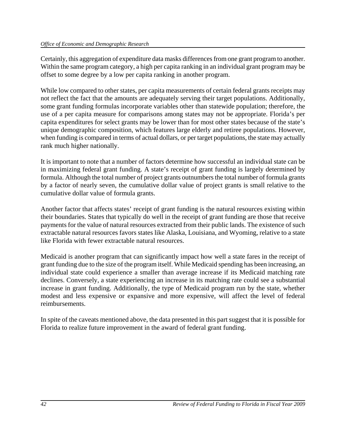Certainly, this aggregation of expenditure data masks differences from one grant program to another. Within the same program category, a high per capita ranking in an individual grant program may be offset to some degree by a low per capita ranking in another program.

While low compared to other states, per capita measurements of certain federal grants receipts may not reflect the fact that the amounts are adequately serving their target populations. Additionally, some grant funding formulas incorporate variables other than statewide population; therefore, the use of a per capita measure for comparisons among states may not be appropriate. Florida's per capita expenditures for select grants may be lower than for most other states because of the state's unique demographic composition, which features large elderly and retiree populations. However, when funding is compared in terms of actual dollars, or per target populations, the state may actually rank much higher nationally.

It is important to note that a number of factors determine how successful an individual state can be in maximizing federal grant funding. A state's receipt of grant funding is largely determined by formula. Although the total number of project grants outnumbers the total number of formula grants by a factor of nearly seven, the cumulative dollar value of project grants is small relative to the cumulative dollar value of formula grants.

Another factor that affects states' receipt of grant funding is the natural resources existing within their boundaries. States that typically do well in the receipt of grant funding are those that receive payments for the value of natural resources extracted from their public lands. The existence of such extractable natural resources favors states like Alaska, Louisiana, and Wyoming, relative to a state like Florida with fewer extractable natural resources.

Medicaid is another program that can significantly impact how well a state fares in the receipt of grant funding due to the size of the program itself. While Medicaid spending has been increasing, an individual state could experience a smaller than average increase if its Medicaid matching rate declines. Conversely, a state experiencing an increase in its matching rate could see a substantial increase in grant funding. Additionally, the type of Medicaid program run by the state, whether modest and less expensive or expansive and more expensive, will affect the level of federal reimbursements.

In spite of the caveats mentioned above, the data presented in this part suggest that it is possible for Florida to realize future improvement in the award of federal grant funding.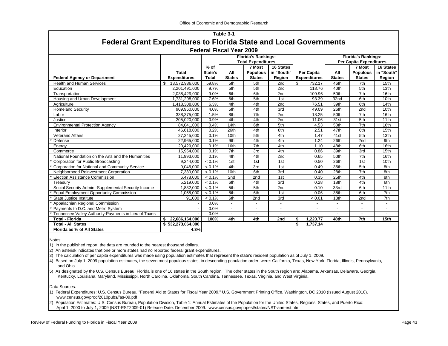| Table 3-1                                                                |
|--------------------------------------------------------------------------|
| <b>Federal Grant Expenditures to Florida State and Local Governments</b> |

| <b>Federal Fiscal Year 2009</b> |  |
|---------------------------------|--|
|---------------------------------|--|

|                                                      |                       |           | Federal Fiscal Year 2009 |                            |                          |                          |                  |                                |                          |
|------------------------------------------------------|-----------------------|-----------|--------------------------|----------------------------|--------------------------|--------------------------|------------------|--------------------------------|--------------------------|
|                                                      |                       |           |                          | <b>Florida's Rankings:</b> |                          |                          |                  | <b>Florida's Rankings:</b>     |                          |
|                                                      |                       |           |                          | <b>Total Expenditures</b>  |                          |                          |                  | <b>Per Capita Expenditures</b> |                          |
|                                                      |                       | $%$ of    |                          | 7 Most                     | 16 States                |                          |                  | 7 Most                         | 16 States                |
|                                                      | <b>Total</b>          | State's   | All                      | <b>Populous</b>            | in "South"               | Per Capita               | All              | <b>Populous</b>                | in "South"               |
| <b>Federal Agency or Department</b>                  | <b>Expenditures</b>   | Total     | <b>States</b>            | <b>States</b>              | Region                   | <b>Expenditures</b>      | <b>States</b>    | <b>States</b>                  | Region                   |
| <b>Health and Human Services</b>                     | 13,572,936,000<br>\$. | 59.8%     | 5th                      | 5th                        | 2 <sub>nd</sub>          | 732.17<br>\$             | 46th             | 7th                            | 15th                     |
| Education                                            | 2,201,491,000         | 9.7%      | 5th                      | 5th                        | 2 <sub>nd</sub>          | 118.76                   | 40th             | 5th                            | 13th                     |
| Transportation                                       | 2,038,429,000         | 9.0%      | 6th                      | 6th                        | 2nd                      | 109.96                   | 50th             | 7th                            | 16th                     |
| Housing and Urban Development                        | 1,731,298,000         | 7.6%      | 6th                      | 5th                        | 1st                      | 93.39                    | 32nd             | 6th                            | 10th                     |
| Agriculture                                          | 1,418,308,000         | 6.3%      | 4th                      | 4th                        | 2nd                      | 76.51                    | 39th             | 6th                            | 14th                     |
| <b>Homeland Security</b>                             | 909,960,000           | 4.0%      | 5th                      | 4th                        | 3rd                      | 49.09                    | 26th             | 2nd                            | 10th                     |
| Labor                                                | 338,375,000           | 1.5%      | 8th                      | $\overline{7}$ th          | 2nd                      | 18.25                    | 50th             | 7th                            | 16th                     |
| Justice                                              | 205,020,000           | 0.9%      | 4th                      | 4th                        | 2nd                      | 11.06                    | 31st             | 5th                            | 11th                     |
| <b>Environmental Protection Agency</b>               | 84,041,000            | 0.4%      | 14th                     | 6th                        | 5th                      | 4.53                     | 50th             | 7th                            | 16th                     |
| Interior                                             | 46,618,000            | 0.2%      | 26th                     | 4th                        | 8th                      | 2.51                     | 47th             | 6th                            | 15th                     |
| <b>Veterans Affairs</b>                              | 27,245,000            | 0.1%      | 10th                     | 5th                        | 4th                      | 1.47                     | 41 <sub>st</sub> | 5th                            | 13 <sub>th</sub>         |
| Defense                                              | 22,965,000            | 0.1%      | 9th                      | 4th                        | 4th                      | 1.24                     | 26th             | 2nd                            | 9th                      |
| Energy                                               | 20,429,000            | 0.1%      | 16th                     | 7th                        | 4th                      | 1.10                     | 48th             | 6th                            | 16th                     |
| Commerce                                             | 15,954,000            | 0.1%      | 7th                      | 3rd                        | 4th                      | 0.86                     | 39th             | 3rd                            | 15th                     |
| National Foundation on the Arts and the Humanities   | 11,993,000            | 0.1%      | 4th                      | 4th                        | 2nd                      | 0.65                     | 50th             | 7th                            | 16th                     |
| Corporation for Public Broadcasting                  | 9,244,000             | $< 0.1\%$ | 1st                      | 1st                        | 1st                      | 0.50                     | 26th             | 1st                            | 10th                     |
| Corporation for National and Community Service       | 9,046,000             | $< 0.1\%$ | 4th                      | 3rd                        | 1st                      | 0.49                     | 36th             | 5th                            | 8th                      |
| Neighborhood Reinvestment Corporation                | 7,330,000             | $< 0.1\%$ | 10th                     | 6th                        | 3rd                      | 0.40                     | 28th             | 7th                            | 8th                      |
| <b>Election Assistance Commission</b>                | 6,478,000             | $< 0.1\%$ | 2nd                      | 2nd                        | 1st                      | 0.35                     | 25th             | 4th                            | 8th                      |
| Treasurv                                             | 5,219,000             | $< 0.1\%$ | 6th                      | 4th                        | 3rd                      | 0.28                     | 18th             | 4th                            | 6th                      |
| Social Security Admin.-Supplemental Security Income  | 1,832,000             | $< 0.1\%$ | 5th                      | 5th                        | 2nd                      | 0.10                     | 33rd             | 6th                            | 11th                     |
| <b>Equal Employment Opportunity Commission</b>       | 1,058,000             | $< 0.1\%$ | 8th                      | 6th                        | 1st                      | 0.06                     | 38th             | 6th                            | 7th                      |
| State Justice Institute                              | 91,000                | $< 0.1\%$ | 6th                      | 2nd                        | 3rd                      | < 0.01                   | 18th             | 2nd                            | 7th                      |
| Appalachian Regional Commission                      |                       | 0.0%      | $\overline{a}$           | $\overline{a}$             | ÷,                       |                          |                  |                                |                          |
| Payments to D.C. and Metro System                    |                       | 0.0%      | $\overline{a}$           | $\blacksquare$             | $\overline{\phantom{a}}$ |                          | $\overline{a}$   |                                | $\overline{\phantom{a}}$ |
| Tennessee Valley Authority-Payments in Lieu of Taxes |                       | 0.0%      |                          | $\overline{\phantom{a}}$   |                          | $\overline{\phantom{a}}$ |                  |                                |                          |
| <b>Total - Florida</b>                               | \$<br>22,686,164,000  | 100%      | 4th                      | 4th                        | 2nd                      | \$<br>1,223.77           | 48th             | 7th                            | 15 <sub>th</sub>         |
| <b>Total - All States</b>                            | \$<br>532,273,064,000 |           |                          |                            |                          | \$<br>1,737.14           |                  |                                |                          |
| Florida as % of All States                           | 4.3%                  |           |                          |                            |                          |                          |                  |                                |                          |

1) In the published report, the data are rounded to the nearest thousand dollars.

2) An asterisk indicates that one or more states had no reported federal grant expenditures.

3) The calculation of per capita expenditures was made using population estimates that represent the state's resident population as of July 1, 2009.

4) Based on July 1, 2009 population estimates, the seven most populous states, in descending population order, were: California, Texas, New York, Florida, Illinois, Pennsylvania, and Ohio.

5) As designated by the U.S. Census Bureau, Florida is one of 16 states in the South region. The other states in the South region are: Alabama, Arkansas, Delaware, Georgia, Kentucky, Louisiana, Maryland, Mississippi, North Carolina, Oklahoma, South Carolina, Tennessee, Texas, Virginia, and West Virginia.

Data Sources:

1) Federal Expenditures: U.S. Census Bureau, "Federal Aid to States for Fiscal Year 2009," U.S. Government Printing Office, Washington, DC 2010 (Issued August 2010). www.census.gov/prod/2010pubs/fas-09.pdf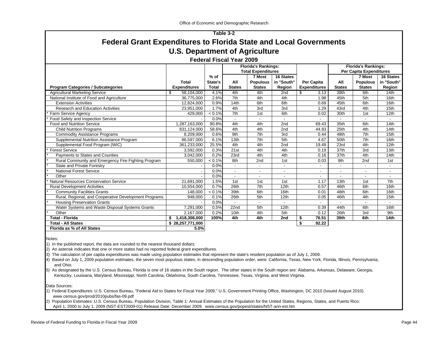| Table 3-2                                                                |
|--------------------------------------------------------------------------|
| <b>Federal Grant Expenditures to Florida State and Local Governments</b> |
| U.S. Department of Agriculture                                           |

#### **Federal Fiscal Year 2009**

|                                                       |                     |              |                          | <b>Florida's Rankings:</b> |                          |                     | <b>Florida's Rankings:</b> |                                |                          |  |  |  |
|-------------------------------------------------------|---------------------|--------------|--------------------------|----------------------------|--------------------------|---------------------|----------------------------|--------------------------------|--------------------------|--|--|--|
|                                                       |                     |              |                          | <b>Total Expenditures</b>  |                          |                     |                            | <b>Per Capita Expenditures</b> |                          |  |  |  |
|                                                       |                     | $%$ of       |                          | 7 Most                     | 16 States                |                     |                            | 7 Most                         | 16 States                |  |  |  |
|                                                       | Total               | State's      | All                      | <b>Populous</b>            | in "South"               | <b>Per Capita</b>   | All                        | <b>Populous</b>                | in "South"               |  |  |  |
| <b>Program Categories / Subcategories</b>             | <b>Expenditures</b> | <b>Total</b> | <b>States</b>            | <b>States</b>              | Region                   | <b>Expenditures</b> | <b>States</b>              | <b>States</b>                  | Region                   |  |  |  |
| <b>Agricultural Marketing Service</b>                 | 58.104.000<br>\$    | 4.1%         | 4th                      | 4th                        | 2nd                      | \$<br>3.13          | 39th                       | 6th                            | 14th                     |  |  |  |
| National Institute of Food and Agriculture            | 36,775,000          | 2.6%         | 7th                      | 4th                        | 4th                      | 1.98                | 45th                       | 5th                            | 16th                     |  |  |  |
| <b>Extension Activities</b>                           | 12,824,000          | 0.9%         | 14th                     | 6th                        | 6th                      | 0.69                | 45th                       | 6th                            | 16th                     |  |  |  |
| Research and Education Activities                     | 23,951,000          | 1.7%         | 4th                      | 3rd                        | 3rd                      | 1.29                | 43rd                       | 4th                            | 15th                     |  |  |  |
| Farm Service Agency                                   | 429,000             | $< 0.1\%$    | 7th                      | 1st                        | 6th                      | 0.02                | 30th                       | 1st                            | 12th                     |  |  |  |
| Food Safety and Inspection Service                    |                     | 0.0%         |                          |                            |                          |                     |                            |                                |                          |  |  |  |
| Food and Nutrition Service                            | 1.287.163.000       | 90.8%        | 4th                      | 4th                        | 2nd                      | 69.43               | 35th                       | 6th                            | 14th                     |  |  |  |
| <b>Child Nutrition Programs</b>                       | 831.124.000         | 58.6%        | 4th                      | 4th                        | 2nd                      | 44.83               | 25th                       | 4th                            | 14th                     |  |  |  |
| <b>Commodity Assistance Programs</b>                  | 8,209,000           | 0.6%         | 9th                      | 7th                        | 3rd                      | 0.44                | 48th                       | 7th                            | 15th                     |  |  |  |
| Supplemental Nutrition Assistance Program             | 86,597,000          | 6.1%         | 13th                     | 7th                        | 5th                      | 4.67                | 50th                       | 7th                            | 16th                     |  |  |  |
| Supplemental Food Program (WIC)                       | 361,233,000         | 25.5%        | 4th                      | 4th                        | 2nd                      | 19.49               | 23rd                       | 4th                            | 12th                     |  |  |  |
| <b>Forest Service</b>                                 | 3.592.000           | 0.3%         | 21st                     | 4th                        | 4th                      | 0.19                | 37th                       | 3rd                            | 13 <sub>th</sub>         |  |  |  |
| Payments to States and Counties                       | 3.042.000           | 0.2%         | 23rd                     | 4th                        | 4th                      | 0.16                | 37th                       | 4th                            | 14th                     |  |  |  |
| Rural Community and Emergency Fire Fighting Program   | 550,000             | $< 0.1\%$    | 8th                      | 2nd                        | 1st                      | 0.03                | 9th                        | 2 <sub>nd</sub>                | 1st                      |  |  |  |
| <b>State and Private Forestry</b>                     |                     | 0.0%         | $\overline{\phantom{a}}$ | $\overline{\phantom{a}}$   | $\overline{\phantom{a}}$ |                     | $\overline{\phantom{0}}$   | $\overline{\phantom{0}}$       | $\overline{\phantom{a}}$ |  |  |  |
| <b>National Forest Service</b>                        |                     | 0.0%         |                          | $\overline{\phantom{a}}$   |                          |                     |                            |                                |                          |  |  |  |
| Other                                                 |                     | 0.0%         |                          |                            |                          |                     |                            |                                |                          |  |  |  |
| Natural Resources Conservation Service                | 21.691.000          | 1.5%         | 1st                      | 1st                        | 1st                      | 1.17                | 13th                       | 1st                            | 7th                      |  |  |  |
| <b>Rural Development Activities</b>                   | 10,554,000          | 0.7%         | 26th                     | 7th                        | 12th                     | 0.57                | 46th                       | 6th                            | 16th                     |  |  |  |
| <b>Community Facilities Grants</b>                    | 148,000             | $< 0.1\%$    | 39th                     | 6th                        | 16th                     | 0.01                | 48th                       | 6th                            | 16th                     |  |  |  |
| Rural, Regional, and Cooperative Development Programs | 948,000             | 0.1%         | 26th                     | 5th                        | 12th                     | 0.05                | 46th                       | 4th                            | 15th                     |  |  |  |
| <b>Housing Preservation Grants</b>                    |                     | 0.0%         |                          | $\overline{a}$             |                          |                     |                            |                                | $\overline{a}$           |  |  |  |
| Water Systems and Waste Disposal Systems Grants       | 7.291.000           | 0.5%         | 22 <sub>nd</sub>         | 5th                        | 12th                     | 0.39                | 44th                       | 6th                            | 16th                     |  |  |  |
| Other                                                 | 2.167.000           | 0.2%         | 10th                     | 4th                        | 5th                      | 0.12                | 26th                       | 3rd                            | 9th                      |  |  |  |
| <b>Total - Florida</b>                                | \$1,418,308,000     | 100%         | 4th                      | 4th                        | 2nd                      | 76.51<br>\$         | 39th                       | 6th                            | 14th                     |  |  |  |
| <b>Total - All States</b>                             | \$28,257,771,000    |              |                          |                            |                          | \$<br>92.22         |                            |                                |                          |  |  |  |
| Florida as % of All States                            | 5.0%                |              |                          |                            |                          |                     |                            |                                |                          |  |  |  |

Notes:

1) In the published report, the data are rounded to the nearest thousand dollars.

2) An asterisk indicates that one or more states had no reported federal grant expenditures.

3) The calculation of per capita expenditures was made using population estimates that represent the state's resident population as of July 1, 2009.

4) Based on July 1, 2009 population estimates, the seven most populous states, in descending population order, were: California, Texas, New York, Florida, Illinois, Pennsylvania, and Ohio.

5) As designated by the U.S. Census Bureau, Florida is one of 16 states in the South region. The other states in the South region are: Alabama, Arkansas, Delaware, Georgia, Kentucky, Louisiana, Maryland, Mississippi, North Carolina, Oklahoma, South Carolina, Tennessee, Texas, Virginia, and West Virginia.

Data Sources:

1) Federal Expenditures: U.S. Census Bureau, "Federal Aid to States for Fiscal Year 2009," U.S. Government Printing Office, Washington, DC 2010 (Issued August 2010). www.census.gov/prod/2010pubs/fas-09.pdf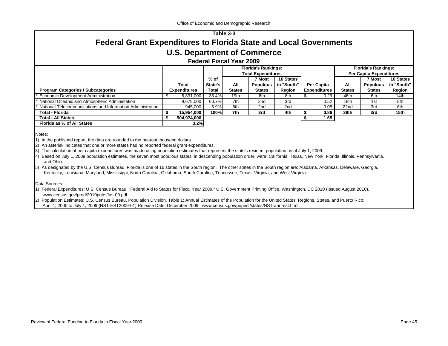# **Table 3-3U.S. Department of Commerce Federal Grant Expenditures to Florida State and Local Governments**

### **Federal Fiscal Year 2009**

|                                                              |                              |                          | <b>Florida's Rankings:</b><br><b>Total Expenditures</b> |                                            |                                   |                                          | <b>Florida's Rankings:</b><br><b>Per Capita Expenditures</b> |                                            |                                          |
|--------------------------------------------------------------|------------------------------|--------------------------|---------------------------------------------------------|--------------------------------------------|-----------------------------------|------------------------------------------|--------------------------------------------------------------|--------------------------------------------|------------------------------------------|
| <b>Program Categories / Subcategories</b>                    | Total<br><b>Expenditures</b> | % of<br>State's<br>Total | All<br><b>States</b>                                    | 7 Most<br><b>Populous</b><br><b>States</b> | 16 States<br>in "South"<br>Region | <b>Per Capita</b><br><b>Expenditures</b> | All<br><b>States</b>                                         | 7 Most<br><b>Populous</b><br><b>States</b> | <b>16 States</b><br>in "South"<br>Region |
| * Economic Development Administration                        | 5,331,000                    | 33.4%                    | 19 <sub>th</sub>                                        | 6th                                        | 8th                               | 0.29                                     | 46th                                                         | 6th                                        | 14th                                     |
| * National Oceanic and Atmospheric Administation             | 9,678,000                    | 60.7%                    | 7th                                                     | 2nd                                        | 3rd                               | 0.52                                     | 18th                                                         |                                            | 8th                                      |
|                                                              |                              |                          |                                                         |                                            |                                   |                                          |                                                              | 1st                                        |                                          |
| * National Telecommunications and Information Administration | 945,000                      | 5.9%                     | 6th                                                     | 2nd                                        | 2 <sub>nd</sub>                   | 0.05                                     | 22nd                                                         | 3rd                                        | 6th                                      |
| <b>Total - Florida</b>                                       | 15.954.000                   | 100%                     | 7th                                                     | 3rd                                        | 4th                               | 0.86                                     | 39th                                                         | 3rd                                        | 15th                                     |
| <b>Total - All States</b>                                    | 504.974.000                  |                          |                                                         |                                            |                                   | 1.65                                     |                                                              |                                            |                                          |
| Florida as % of All States                                   | 3.2%                         |                          |                                                         |                                            |                                   |                                          |                                                              |                                            |                                          |

Notes:

1) In the published report, the data are rounded to the nearest thousand dollars.

2) An asterisk indicates that one or more states had no reported federal grant expenditures.

3) The calculation of per capita expenditures was made using population estimates that represent the state's resident population as of July 1, 2009.

4) Based on July 1, 2009 population estimates, the seven most populous states, in descending population order, were: California, Texas, New York, Florida, Illinois, Pennsylvania, and Ohio.

5) As designated by the U.S. Census Bureau, Florida is one of 16 states in the South region. The other states in the South region are: Alabama, Arkansas, Delaware, Georgia, Kentucky, Louisiana, Maryland, Mississippi, North Carolina, Oklahoma, South Carolina, Tennessee, Texas, Virginia, and West Virginia.

Data Sources:

1) Federal Expenditures: U.S. Census Bureau, "Federal Aid to States for Fiscal Year 2009," U.S. Government Printing Office, Washington, DC 2010 (Issued August 2010). www.census.gov/prod/2010pubs/fas-09.pdf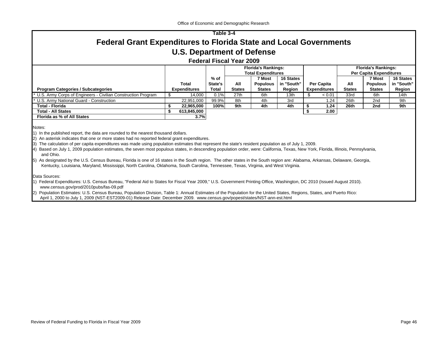# **Table 3-4U.S. Department of Defense Federal Grant Expenditures to Florida State and Local Governments**

#### **Federal Fiscal Year 2009**

|                                                                |                     |         | <b>Florida's Rankings:</b> |                 |            |                     | <b>Florida's Rankings:</b>     |                 |                  |
|----------------------------------------------------------------|---------------------|---------|----------------------------|-----------------|------------|---------------------|--------------------------------|-----------------|------------------|
|                                                                |                     |         | <b>Total Expenditures</b>  |                 |            |                     | <b>Per Capita Expenditures</b> |                 |                  |
|                                                                |                     | % of    |                            | 7 Most          | 16 States  |                     |                                | 7 Most          | <b>16 States</b> |
|                                                                | Total               | State's | All                        | <b>Populous</b> | in "South" | Per Capita          | All                            | <b>Populous</b> | in "South"       |
| <b>Program Categories / Subcategories</b>                      | <b>Expenditures</b> | Total   | <b>States</b>              | <b>States</b>   | Region     | <b>Expenditures</b> | <b>States</b>                  | <b>States</b>   | Region           |
| * U.S. Army Corps of Engineers - Civilian Construction Program | 14.000              | 0.1%    | 27th                       | 6th             | 13th       | < 0.01              | 33rd                           | 6th             | 14th             |
| * U.S. Army National Guard - Construction                      | 22,951,000          | 99.9%   | 8th                        | 4th             | 3rd        | $\overline{24}$     | 26th                           | 2nd             | 9th              |
| <b>Total - Florida</b>                                         | 22.965.000          | 100%    | 9th                        | 4th             | 4th        | 1.24                | 26th                           | 2nd             | 9th              |
| <b>Total - All States</b>                                      | 613.845.000         |         |                            |                 |            | 2.00                |                                |                 |                  |
| Florida as % of All States                                     | 3.7%                |         |                            |                 |            |                     |                                |                 |                  |

Notes:

1) In the published report, the data are rounded to the nearest thousand dollars.

2) An asterisk indicates that one or more states had no reported federal grant expenditures.

3) The calculation of per capita expenditures was made using population estimates that represent the state's resident population as of July 1, 2009.

4) Based on July 1, 2009 population estimates, the seven most populous states, in descending population order, were: California, Texas, New York, Florida, Illinois, Pennsylvania, and Ohio.

5) As designated by the U.S. Census Bureau, Florida is one of 16 states in the South region. The other states in the South region are: Alabama, Arkansas, Delaware, Georgia, Kentucky, Louisiana, Maryland, Mississippi, North Carolina, Oklahoma, South Carolina, Tennessee, Texas, Virginia, and West Virginia.

Data Sources:

1) Federal Expenditures: U.S. Census Bureau, "Federal Aid to States for Fiscal Year 2009," U.S. Government Printing Office, Washington, DC 2010 (Issued August 2010). www.census.gov/prod/2010pubs/fas-09.pdf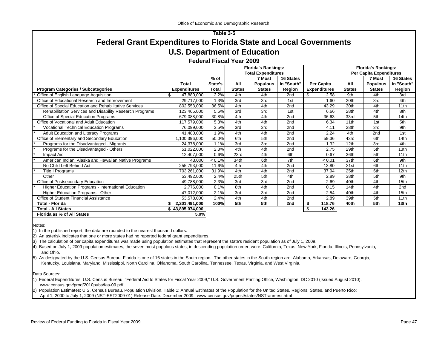# **Table 3-5U.S. Department of Education Federal Grant Expenditures to Florida State and Local Governments**

#### **Federal Fiscal Year 2009**

|                                                          |                     |              |               | <b>Florida's Rankings:</b> |                 |                     |                  | <b>Florida's Rankings:</b>     |                  |
|----------------------------------------------------------|---------------------|--------------|---------------|----------------------------|-----------------|---------------------|------------------|--------------------------------|------------------|
|                                                          |                     |              |               | <b>Total Expenditures</b>  |                 |                     |                  | <b>Per Capita Expenditures</b> |                  |
|                                                          |                     | $%$ of       |               | 7 Most                     | 16 States       |                     |                  | 7 Most                         | 16 States        |
|                                                          | Total               | State's      | All           | <b>Populous</b>            | in "South"      | Per Capita          | All              | <b>Populous</b>                | in "South"       |
| <b>Program Categories / Subcategories</b>                | <b>Expenditures</b> | <b>Total</b> | <b>States</b> | <b>States</b>              | Region          | <b>Expenditures</b> | <b>States</b>    | <b>States</b>                  | Region           |
| Office of English Language Acquisition                   | 47,880,000<br>\$    | 2.2%         | 4th           | 4th                        | 2nd             | 2.58<br>\$          | 9th              | 4th                            | 3rd              |
| Office of Educational Research and Improvement           | 29,717,000          | 1.3%         | 3rd           | 3rd                        | 1st             | 1.60                | 20th             | 3rd                            | 4th              |
| Office of Special Education and Rehabilitative Services  | 802,553,000         | 36.5%        | 4th           | 4th                        | 2 <sub>nd</sub> | 43.29               | 30th             | 4th                            | 11th             |
| Rehabilitation Services and Disability Research Programs | 123.465.000         | 5.6%         | 3rd           | 3rd                        | 1st             | 6.66                | 28th             | 4th                            | 8th              |
| Office of Special Education Programs                     | 679,088,000         | 30.8%        | 4th           | 4th                        | 2nd             | 36.63               | 33rd             | 5th                            | 14th             |
| Office of Vocational and Adult Education                 | 117,579,000         | 5.3%         | 4th           | 4th                        | 2 <sub>nd</sub> | 6.34                | 11th             | 1st                            | 5th              |
| Vocational Technical Education Programs                  | 76.099.000          | 3.5%         | 3rd           | 3rd                        | 2nd             | 4.11                | 28th             | 3rd                            | 9th              |
| Adult Education and Literacy Programs                    | 41,480,000          | 1.9%         | 4th           | 4th                        | 2nd             | 2.24                | 4th              | 2nd                            | 1st              |
| Office of Elementary and Secondary Education             | ,100,396,000        | 50.0%        | 6th           | 5th                        | 2nd             | 59.36               | 43rd             | 6th                            | 14th             |
| Programs for the Disadvantaged - Migrants                | 24,378,000          | 1.1%         | 3rd           | 3rd                        | 2 <sub>nd</sub> | 1.32                | 12 <sub>th</sub> | 3rd                            | 4th              |
| Programs for the Disadvantaged - Others                  | 51,022,000          | 2.3%         | 4th           | 4th                        | 2nd             | 2.75                | 29th             | 5th                            | 13th             |
| Impact Aid                                               | 12,407,000          | 0.6%         | 23rd          | 4th                        | 6th             | 0.67                | 36th             | 5th                            | 11th             |
| American Indian, Alaska and Hawaiian Native Programs     | 43,000              | $< 0.1\%$    | 34th          | 6th                        | 7th             | < 0.01              | 37th             | 6th                            | 9th              |
| No Child Left Behind Act                                 | 255,793,000         | 11.6%        | 4th           | 4th                        | 2 <sub>nd</sub> | 13.80               | 31st             | 6th                            | 11th             |
| Title I Programs                                         | 703,261,000         | 31.9%        | 4th           | 4th                        | 2 <sub>nd</sub> | 37.94               | 25th             | 6th                            | 12th             |
| Other                                                    | 53,492,000          | 2.4%         | 25th          | 5th                        | 4th             | 2.89                | 38th             | 5th                            | 9 <sub>th</sub>  |
| Office of Postsecondary Education                        | 49,788,000          | 2.3%         | 3rd           | 3rd                        | 2 <sub>nd</sub> | 2.69                | 40th             | 4th                            | 15th             |
| Higher Education Programs - International Education      | 2,776,000           | 0.1%         | 8th           | 4th                        | 2 <sub>nd</sub> | 0.15                | 14th             | 4th                            | 2 <sub>nd</sub>  |
| Higher Education Programs - Other                        | 47,012,000          | 2.1%         | 3rd           | 3rd                        | 2nd             | 2.54                | 40th             | 4th                            | 15th             |
| Office of Student Financial Assistance                   | 53,578,000          | 2.4%         | 4th           | 4th                        | 2nd             | 2.89                | 39th             | 5th                            | 11th             |
| Total - Florida                                          | 2,201,491,000       | 100%         | 5th           | 5th                        | 2nd             | 118.76              | 40th             | 5th                            | 13 <sub>th</sub> |
| <b>Total - All States</b>                                | \$43,895,074,000    |              |               |                            |                 | \$<br>143.26        |                  |                                |                  |
| Florida as % of All States                               | 5.0%                |              |               |                            |                 |                     |                  |                                |                  |

Notes:

1) In the published report, the data are rounded to the nearest thousand dollars.

2) An asterisk indicates that one or more states had no reported federal grant expenditures.

3) The calculation of per capita expenditures was made using population estimates that represent the state's resident population as of July 1, 2009.

4) Based on July 1, 2009 population estimates, the seven most populous states, in descending population order, were: California, Texas, New York, Florida, Illinois, Pennsylvania, and Ohio.

5) As designated by the U.S. Census Bureau, Florida is one of 16 states in the South region. The other states in the South region are: Alabama, Arkansas, Delaware, Georgia, Kentucky, Louisiana, Maryland, Mississippi, North Carolina, Oklahoma, South Carolina, Tennessee, Texas, Virginia, and West Virginia.

Data Sources:

1) Federal Expenditures: U.S. Census Bureau, "Federal Aid to States for Fiscal Year 2009," U.S. Government Printing Office, Washington, DC 2010 (Issued August 2010). www.census.gov/prod/2010pubs/fas-09.pdf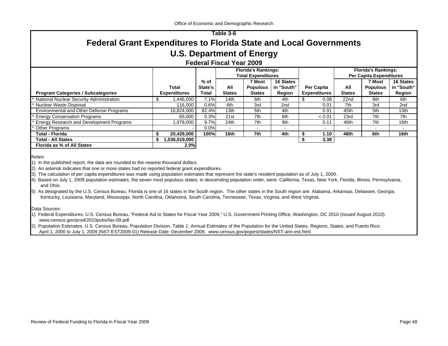# **Table 3-6U.S. Department of Energy Federal Grant Expenditures to Florida State and Local Governments**

### **Federal Fiscal Year 2009**

|                                           |                     |         |                          | <b>Florida's Rankings:</b> |            |                     | <b>Florida's Rankings:</b><br><b>Per Capita Expenditures</b> |                 |            |  |
|-------------------------------------------|---------------------|---------|--------------------------|----------------------------|------------|---------------------|--------------------------------------------------------------|-----------------|------------|--|
|                                           |                     |         |                          | <b>Total Expenditures</b>  |            |                     |                                                              |                 |            |  |
|                                           |                     | $%$ of  |                          | 7 Most                     | 16 States  |                     |                                                              | 7 Most          | 16 States  |  |
|                                           | Total               | State's | All                      | <b>Populous</b>            | in "South" | Per Capita          | All                                                          | <b>Populous</b> | in "South" |  |
| <b>Program Categories / Subcategories</b> | <b>Expenditures</b> | Total   | <b>States</b>            | <b>States</b>              | Region     | <b>Expenditures</b> | <b>States</b>                                                | <b>States</b>   | Region     |  |
| National Nuclear Security Administration  | .446,000            | 7.1%    | 14th                     | 6th                        | 4th        | 0.08                | 22nd                                                         | 6th             | 6th        |  |
| Nuclear Waste Disposal                    | 116.000             | 0.6%    | 6th                      | 3rd                        | 2nd        | 0.01                | 7th                                                          | 3rd             | 2nd        |  |
| Environmental and Other Defense Programs  | 16,824,000          | 82.4%   | 13th                     | 5th                        | 4th        | 0.91                | 45th                                                         | 5th             | 13th       |  |
| <b>Energy Conservation Programs</b>       | 65.000              | 0.3%    | 21st                     | 7th                        | 6th        | < 0.01              | 23rd                                                         | 7th             | 7th        |  |
| Energy Research and Development Programs  | .978.000            | 9.7%    | 24th                     | 7th                        | 9th        | 0.11                | 48th                                                         | 7th             | 16th       |  |
| Other Programs                            | $\sim$              | 0.0%    | $\overline{\phantom{0}}$ |                            |            |                     |                                                              |                 |            |  |
| <b>Total - Florida</b>                    | 20,429,000          | 100%    | 16 <sub>th</sub>         | 7th                        | 4th        | 1.10                | 48th                                                         | 6th             | 16th       |  |
| <b>Total - All States</b>                 | .036.019.000<br>£.  |         |                          |                            |            | 3.38                |                                                              |                 |            |  |
| Florida as % of All States                | 2.0%                |         |                          |                            |            |                     |                                                              |                 |            |  |

Notes:

1) In the published report, the data are rounded to the nearest thousand dollars.

2) An asterisk indicates that one or more states had no reported federal grant expenditures.

3) The calculation of per capita expenditures was made using population estimates that represent the state's resident population as of July 1, 2009.

4) Based on July 1, 2009 population estimates, the seven most populous states, in descending population order, were: California, Texas, New York, Florida, Illinois, Pennsylvania, and Ohio.

5) As designated by the U.S. Census Bureau, Florida is one of 16 states in the South region. The other states in the South region are: Alabama, Arkansas, Delaware, Georgia, Kentucky, Louisiana, Maryland, Mississippi, North Carolina, Oklahoma, South Carolina, Tennessee, Texas, Virginia, and West Virginia.

Data Sources:

1) Federal Expenditures: U.S. Census Bureau, "Federal Aid to States for Fiscal Year 2009," U.S. Government Printing Office, Washington, DC 2010 (Issued August 2010). www.census.gov/prod/2010pubs/fas-09.pdf

2) Population Estimates: U.S. Census Bureau, Population Division, Table 1: Annual Estimates of the Population for the United States, Regions, States, and Puerto Rico:

April 1, 2000 to July 1, 2009 (NST-EST2009-01) Release Date: December 2009. www.census.gov/popest/states/NST-ann-est.html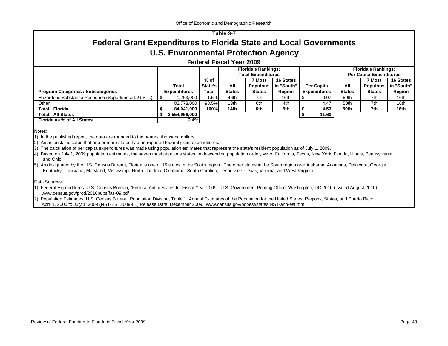## **Table 3-7U.S. Environmental Protection Agency Federal Grant Expenditures to Florida State and Local Governments**

#### **Federal Fiscal Year 2009**

|                                                     |                     |              | <b>Florida's Rankings:</b> |                 |            |  |                     | <b>Florida's Rankings:</b> |                                |            |
|-----------------------------------------------------|---------------------|--------------|----------------------------|-----------------|------------|--|---------------------|----------------------------|--------------------------------|------------|
|                                                     |                     |              | <b>Total Expenditures</b>  |                 |            |  |                     |                            | <b>Per Capita Expenditures</b> |            |
|                                                     |                     | % of         |                            | 7 Most          | 16 States  |  |                     |                            | 7 Most                         | 16 States  |
|                                                     | Total               | State's      | All                        | <b>Populous</b> | in "South" |  | Per Capita          | All                        | <b>Populous</b>                | in "South" |
| <b>Program Categories / Subcategories</b>           | <b>Expenditures</b> | <b>Total</b> | <b>States</b>              | <b>States</b>   | Region     |  | <b>Expenditures</b> | <b>States</b>              | <b>States</b>                  | Region     |
| Hazardous Substance Response (Superfund & L.U.S.T.) | .263,000            | . .5%        | 46th                       | 7th             | 16th       |  | 0.07                | 50th                       | 7th                            | 16th       |
| Other                                               | 82,778,000          | 98.5%        | 13 <sub>th</sub>           | 6th             | 4th        |  | 4.47                | 50th                       | 7th                            | 16th       |
| <b>Total - Florida</b>                              | 84.041.000          | 100%         | 14th                       | 6th             | 5th        |  | 4.53                | 50th                       | 7th                            | 16th       |
| <b>Total - All States</b>                           | 3,554,956,000       |              |                            |                 |            |  | 11.60               |                            |                                |            |
| Florida as % of All States                          | 2.4%                |              |                            |                 |            |  |                     |                            |                                |            |

Notes:

1) In the published report, the data are rounded to the nearest thousand dollars.

2) An asterisk indicates that one or more states had no reported federal grant expenditures.

3) The calculation of per capita expenditures was made using population estimates that represent the state's resident population as of July 1, 2009.

4) Based on July 1, 2009 population estimates, the seven most populous states, in descending population order, were: California, Texas, New York, Florida, Illinois, Pennsylvania, and Ohio.

5) As designated by the U.S. Census Bureau, Florida is one of 16 states in the South region. The other states in the South region are: Alabama, Arkansas, Delaware, Georgia, Kentucky, Louisiana, Maryland, Mississippi, North Carolina, Oklahoma, South Carolina, Tennessee, Texas, Virginia, and West Virginia.

Data Sources:

1) Federal Expenditures: U.S. Census Bureau, "Federal Aid to States for Fiscal Year 2009," U.S. Government Printing Office, Washington, DC 2010 (Issued August 2010). www.census.gov/prod/2010pubs/fas-09.pdf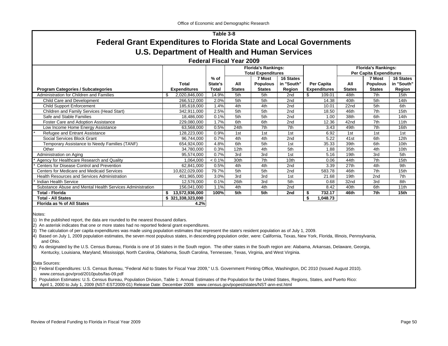## **Table 3-8U.S. Department of Health and Human Services Federal Grant Expenditures to Florida State and Local Governments**

#### **Federal Fiscal Year 2009**

|                                                           |                      |              | LANGI LIPO I LAI TANGG |                            |                 |                     |                  |                                |                  |
|-----------------------------------------------------------|----------------------|--------------|------------------------|----------------------------|-----------------|---------------------|------------------|--------------------------------|------------------|
|                                                           |                      |              |                        | <b>Florida's Rankings:</b> |                 |                     |                  | <b>Florida's Rankings:</b>     |                  |
|                                                           |                      |              |                        | <b>Total Expenditures</b>  |                 |                     |                  | <b>Per Capita Expenditures</b> |                  |
|                                                           |                      | $%$ of       |                        | 7 Most                     | 16 States       |                     |                  | 7 Most                         | 16 States        |
|                                                           | Total                | State's      | All                    | <b>Populous</b>            | in "South"      | Per Capita          | All              | <b>Populous</b>                | in "South"       |
| <b>Program Categories / Subcategories</b>                 | <b>Expenditures</b>  | <b>Total</b> | <b>States</b>          | <b>States</b>              | Region          | <b>Expenditures</b> | <b>States</b>    | <b>States</b>                  | Region           |
| Administration for Children and Families                  | 2,020,846,000<br>\$  | 14.9%        | 5th                    | 5th                        | 2 <sub>nd</sub> | \$.<br>109.01       | 48th             | 7th                            | 15 <sub>th</sub> |
| Child Care and Development                                | 266,512,000          | 2.0%         | 5th                    | 5th                        | 2nd             | 14.38               | 40th             | 5th                            | 14th             |
| <b>Child Support Enforcement</b>                          | 185,618,000          | 1.4%         | 4th                    | 4th                        | 2nd             | 10.01               | 22nd             | 5th                            | 6th              |
| Children and Family Services (Head Start)                 | 342,911,000          | 2.5%         | 5th                    | 5th                        | 2 <sub>nd</sub> | 18.50               | 46th             | 7th                            | 15th             |
| Safe and Stable Families                                  | 18,486,000           | 0.1%         | 5th                    | 5th                        | 2 <sub>nd</sub> | 1.00                | 38th             | 6th                            | 14th             |
| Foster Care and Adoption Assistance                       | 229,080,000          | 1.7%         | 6th                    | 6th                        | 2nd             | 12.36               | 42nd             | 7th                            | 11 <sub>th</sub> |
| Low Income Home Energy Assistance                         | 63,568,000           | 0.5%         | 24th                   | 7th                        | 7th             | 3.43                | 49th             | 7th                            | 16th             |
| Refugee and Entrant Assistance                            | 128,223,000          | 0.9%         | 1st                    | 1st                        | 1st             | 6.92                | 1st              | 1st                            | 1st              |
| Social Services Block Grant                               | 96,744,000           | 0.7%         | 4th                    | 4th                        | 2nd             | 5.22                | 41st             | 6th                            | 12th             |
| Temporary Assistance to Needy Families (TANF)             | 654,924,000          | 4.8%         | 6th                    | 5th                        | 1st             | 35.33               | 39th             | 6th                            | 10th             |
| Other                                                     | 34,780,000           | 0.3%         | 12 <sub>th</sub>       | 4th                        | 5th             | 1.88                | 35th             | 4th                            | 10th             |
| Administration on Aging                                   | 95,574,000           | 0.7%         | 3rd                    | 3rd                        | 1st             | 5.16                | 19 <sub>th</sub> | 3rd                            | 5th              |
| Agency for Healthcare Research and Quality                | 1,064,000            | $< 0.1\%$    | 30th                   | 7th                        | 10th            | 0.06                | 44th             | 7th                            | 15th             |
| Centers for Disease Control and Prevention                | 62,841,000           | 0.5%         | 4th                    | 4th                        | 2nd             | 3.39                | 27th             | 4th                            | 9th              |
| Centers for Medicare and Medicaid Services                | 10,822,029,000       | 79.7%        | 5th                    | 5th                        | 2 <sub>nd</sub> | 583.78              | 46th             | 7th                            | 15th             |
| Health Resources and Services Administration              | 401,965,000          | 3.0%         | 3rd                    | 3rd                        | 1st             | 21.68               | 19th             | 2 <sub>nd</sub>                | 7th              |
| Indian Health Service                                     | 12,576,000           | 0.1%         | 26th                   | 3rd                        | 5th             | 0.68                | 32nd             | 3rd                            | 8th              |
| Substance Abuse and Mental Health Services Administration | 156,041,000          | 1.1%         | 4th                    | 4th                        | 2nd             | 8.42                | 40th             | 6th                            | 11th             |
| <b>Total - Florida</b>                                    | \$<br>13,572,936,000 | 100%         | 5th                    | 5th                        | 2nd             | 732.17              | 46th             | 7th                            | 15th             |
| <b>Total - All States</b>                                 | \$321,338,323,000    |              |                        |                            |                 | 1,048.73            |                  |                                |                  |
| Florida as % of All States                                | 4.2%                 |              |                        |                            |                 |                     |                  |                                |                  |

Notes:

1) In the published report, the data are rounded to the nearest thousand dollars.

2) An asterisk indicates that one or more states had no reported federal grant expenditures.

3) The calculation of per capita expenditures was made using population estimates that represent the state's resident population as of July 1, 2009.

4) Based on July 1, 2009 population estimates, the seven most populous states, in descending population order, were: California, Texas, New York, Florida, Illinois, Pennsylvania, and Ohio.

5) As designated by the U.S. Census Bureau, Florida is one of 16 states in the South region. The other states in the South region are: Alabama, Arkansas, Delaware, Georgia, Kentucky, Louisiana, Maryland, Mississippi, North Carolina, Oklahoma, South Carolina, Tennessee, Texas, Virginia, and West Virginia.

Data Sources:

1) Federal Expenditures: U.S. Census Bureau, "Federal Aid to States for Fiscal Year 2009," U.S. Government Printing Office, Washington, DC 2010 (Issued August 2010). www.census.gov/prod/2010pubs/fas-09.pdf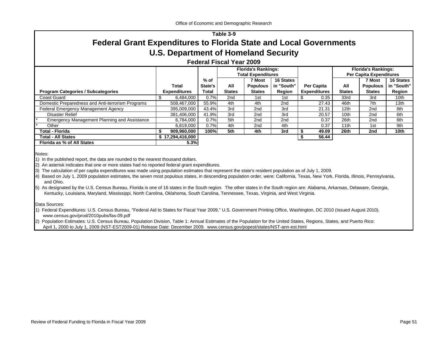# **Table 3-9U.S. Department of Homeland Security Federal Grant Expenditures to Florida State and Local Governments**

### **Federal Fiscal Year 2009**

|                                                        |                              |                            | <b>Florida's Rankings:</b><br><b>Total Expenditures</b> |                           |                                                    |  |                                                           | <b>Florida's Rankings:</b><br><b>Per Capita Expenditures</b> |                                            |                                   |  |
|--------------------------------------------------------|------------------------------|----------------------------|---------------------------------------------------------|---------------------------|----------------------------------------------------|--|-----------------------------------------------------------|--------------------------------------------------------------|--------------------------------------------|-----------------------------------|--|
| <b>Program Categories / Subcategories</b>              | Total<br><b>Expenditures</b> | $%$ of<br>State's<br>Total | All<br><b>States</b>                                    | 7 Most<br><b>Populous</b> | 16 States<br>in "South"<br>Region<br><b>States</b> |  | All<br>Per Capita<br><b>Expenditures</b><br><b>States</b> |                                                              | 7 Most<br><b>Populous</b><br><b>States</b> | 16 States<br>in "South"<br>Region |  |
| <b>Coast Guard</b>                                     | 6.484.000                    | 0.7%                       | 2 <sub>nd</sub>                                         | 1st                       | 1st                                                |  | 0.35                                                      | 33rd                                                         | 3rd                                        | 10 <sub>th</sub>                  |  |
| Domestic Preparedness and Anti-terrorism Programs      | 508,467,000                  | 55.9%                      | 4th                                                     | 4th                       | 2 <sub>nd</sub>                                    |  | 27.43                                                     | 46th                                                         | 7th                                        | 13th                              |  |
| Federal Emergency Management Agency                    | 395,009,000                  | 43.4%                      | 3rd                                                     | 2nd                       | 3rd                                                |  | 21.31                                                     | 12 <sub>th</sub>                                             | 2nd                                        | 8th                               |  |
| <b>Disaster Relief</b>                                 | 381,406,000                  | 41.9%                      | 3rd                                                     | 2 <sub>nd</sub>           | 3rd                                                |  | 20.57                                                     | 10th                                                         | 2nd                                        | 6th                               |  |
| $\ast$<br>Emergency Management Planning and Assistance | 6,784,000                    | 0.7%                       | 5th                                                     | 2nd                       | 2nd                                                |  | 0.37                                                      | 26th                                                         | 2nd                                        | 8th                               |  |
| $\star$<br>Other                                       | 6.819.000                    | 0.7%                       | 4th                                                     | 2nd                       | 4th                                                |  | 0.37                                                      | 11th                                                         | 1st                                        | 9th                               |  |
| <b>Total - Florida</b>                                 | 909,960,000                  | 100%                       | 5th                                                     | 4th                       | 3rd                                                |  | 49.09                                                     | 26th                                                         | 2nd                                        | 10th                              |  |
| <b>Total - All States</b>                              | \$17,294,416,000             |                            |                                                         |                           |                                                    |  | 56.44                                                     |                                                              |                                            |                                   |  |
| Florida as % of All States                             | 5.3%                         |                            |                                                         |                           |                                                    |  |                                                           |                                                              |                                            |                                   |  |

Notes:

1) In the published report, the data are rounded to the nearest thousand dollars.

2) An asterisk indicates that one or more states had no reported federal grant expenditures.

3) The calculation of per capita expenditures was made using population estimates that represent the state's resident population as of July 1, 2009.

4) Based on July 1, 2009 population estimates, the seven most populous states, in descending population order, were: California, Texas, New York, Florida, Illinois, Pennsylvania, and Ohio.

5) As designated by the U.S. Census Bureau, Florida is one of 16 states in the South region. The other states in the South region are: Alabama, Arkansas, Delaware, Georgia, Kentucky, Louisiana, Maryland, Mississippi, North Carolina, Oklahoma, South Carolina, Tennessee, Texas, Virginia, and West Virginia.

Data Sources:

1) Federal Expenditures: U.S. Census Bureau, "Federal Aid to States for Fiscal Year 2009," U.S. Government Printing Office, Washington, DC 2010 (Issued August 2010). www.census.gov/prod/2010pubs/fas-09.pdf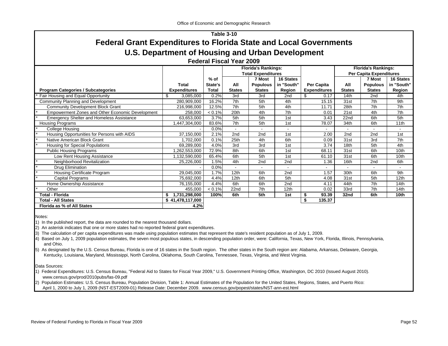## **Table 3-10U.S. Department of Housing and Urban Development Federal Grant Expenditures to Florida State and Local Governments**

#### **Federal Fiscal Year 2009**

|                                                         |                     |           | <u> 9891 811 19981 1998</u> |                            |                 |                     |                            |                                |                  |  |  |
|---------------------------------------------------------|---------------------|-----------|-----------------------------|----------------------------|-----------------|---------------------|----------------------------|--------------------------------|------------------|--|--|
|                                                         |                     |           |                             | <b>Florida's Rankings:</b> |                 |                     | <b>Florida's Rankings:</b> |                                |                  |  |  |
|                                                         |                     |           |                             | <b>Total Expenditures</b>  |                 |                     |                            | <b>Per Capita Expenditures</b> |                  |  |  |
|                                                         |                     | % of      |                             | 7 Most                     | 16 States       |                     |                            | 7 Most                         | <b>16 States</b> |  |  |
|                                                         | Total               | State's   | All                         | <b>Populous</b>            | in "South"      | Per Capita          | All                        | <b>Populous</b>                | in "South"       |  |  |
| <b>Program Categories / Subcategories</b>               | <b>Expenditures</b> | Total     | <b>States</b>               | <b>States</b>              | Region          | <b>Expenditures</b> | <b>States</b>              | <b>States</b>                  | Region           |  |  |
| Fair Housing and Equal Opportunity                      | \$<br>3,085,000     | 0.2%      | 3rd                         | 3rd                        | 2nd             | 0.17<br>\$          | 14 <sub>th</sub>           | 2nd                            | 4th              |  |  |
| Community Planning and Development                      | 280,909,000         | 16.2%     | 7th                         | 5th                        | 4th             | 15.15               | 31st                       | 7th                            | 9th              |  |  |
| <b>Community Development Block Grant</b>                | 216,998,000         | 12.5%     | 7th                         | 5th                        | 4th             | 11.71               | 28th                       | 7th                            | 7th              |  |  |
| <b>Empowerment Zones and Other Economic Development</b> | 258,000             | $< 0.1\%$ | 20th                        | 4th                        | 7th             | 0.01                | 21st                       | 4th                            | 7th              |  |  |
| <b>Emergency Shelter and Homeless Assistance</b>        | 63,653,000          | 3.7%      | 5th                         | 5th                        | 1st             | 3.43                | 22nd                       | 6th                            | 5th              |  |  |
| Housing Programs                                        | 1,447,304,000       | 83.6%     | 7th                         | 5th                        | 1st             | 78.07               | 34th                       | 6th                            | 11th             |  |  |
| College Housing                                         |                     | 0.0%      |                             |                            | $\blacksquare$  |                     |                            |                                |                  |  |  |
| Housing Opportunities for Persons with AIDS             | 37,150,000          | 2.1%      | 2nd                         | 2 <sub>nd</sub>            | 1st             | 2.00                | 2 <sub>nd</sub>            | 2nd                            | 1st              |  |  |
| Native American Block Grant                             | 1,702,000           | 0.1%      | 25th                        | 4th                        | 6th             | 0.09                | 31st                       | 3rd                            | 7th              |  |  |
| Housing for Special Populations                         | 69,289,000          | 4.0%      | 3rd                         | 3rd                        | 1st             | 3.74                | 18th                       | 5th                            | 4th              |  |  |
| <b>Public Housing Programs</b>                          | ,262,553,000        | 72.9%     | 8th                         | 6th                        | 1st             | 68.11               | 31st                       | 6th                            | 10th             |  |  |
| Low Rent Housing Assistance                             | 132,590,000         | 65.4%     | 6th                         | 5th                        | 1st             | 61.10               | 31st                       | 6th                            | 10 <sub>th</sub> |  |  |
| Neighborhood Revitalization                             | 25,226,000          | 1.5%      | 4th                         | 2nd                        | 2nd             | 1.36                | 16th                       | 2nd                            | 6th              |  |  |
| Drug Elimination                                        |                     | 0.0%      |                             |                            |                 |                     |                            |                                |                  |  |  |
| Housing Certificate Program                             | 29,045,000          | 1.7%      | 12th                        | 6th                        | 2 <sub>nd</sub> | 1.57                | 30th                       | 6th                            | 9th              |  |  |
| Capital Programs                                        | 75,692,000          | 4.4%      | 12 <sub>th</sub>            | 6th                        | 5th             | 4.08                | 31st                       | 5th                            | 12 <sub>th</sub> |  |  |
| Home Ownership Assistance                               | 76,155,000          | 4.4%      | 6th                         | 6th                        | 2 <sub>nd</sub> | 4.11                | 44th                       | 7th                            | 14th             |  |  |
| Other                                                   | 455,000             | $< 0.1\%$ | 22nd                        | 7th                        | 12th            | 0.02                | 33rd                       | 7th                            | 14th             |  |  |
| <b>Total - Florida</b>                                  | 1,731,298,000<br>\$ | 100%      | 6th                         | 5th                        | 1st             | \$<br>93.39         | 32nd                       | 6th                            | 10th             |  |  |
| Total - All States                                      | \$41,478,117,000    |           |                             |                            |                 | \$<br>135.37        |                            |                                |                  |  |  |
| Florida as % of All States                              | 4.2%                |           |                             |                            |                 |                     |                            |                                |                  |  |  |

Notes:

1) In the published report, the data are rounded to the nearest thousand dollars.

2) An asterisk indicates that one or more states had no reported federal grant expenditures.

3) The calculation of per capita expenditures was made using population estimates that represent the state's resident population as of July 1, 2009.

4) Based on July 1, 2009 population estimates, the seven most populous states, in descending population order, were: California, Texas, New York, Florida, Illinois, Pennsylvania, and Ohio.

5) As designated by the U.S. Census Bureau, Florida is one of 16 states in the South region. The other states in the South region are: Alabama, Arkansas, Delaware, Georgia, Kentucky, Louisiana, Maryland, Mississippi, North Carolina, Oklahoma, South Carolina, Tennessee, Texas, Virginia, and West Virginia.

Data Sources:

1) Federal Expenditures: U.S. Census Bureau, "Federal Aid to States for Fiscal Year 2009," U.S. Government Printing Office, Washington, DC 2010 (Issued August 2010). www.census.gov/prod/2010pubs/fas-09.pdf

2) Population Estimates: U.S. Census Bureau, Population Division, Table 1: Annual Estimates of the Population for the United States, Regions, States, and Puerto Rico:

April 1, 2000 to July 1, 2009 (NST-EST2009-01) Release Date: December 2009. www.census.gov/popest/states/NST-ann-est.html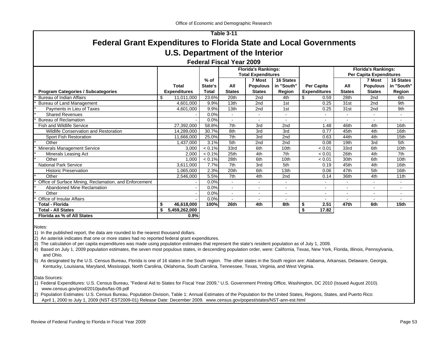| Table 3-11                                                               |
|--------------------------------------------------------------------------|
| <b>Federal Grant Expenditures to Florida State and Local Governments</b> |
| U.S. Department of the Interior                                          |

#### **Federal Fiscal Year 2009**

|                                                        |                     |              | 1 GUGIUI 1 1900 1 1 GUI <i>1</i> 000 |                            |                  |                            |                     |               |                                |                          |  |
|--------------------------------------------------------|---------------------|--------------|--------------------------------------|----------------------------|------------------|----------------------------|---------------------|---------------|--------------------------------|--------------------------|--|
|                                                        |                     |              |                                      | <b>Florida's Rankings:</b> |                  | <b>Florida's Rankings:</b> |                     |               |                                |                          |  |
|                                                        |                     |              |                                      | <b>Total Expenditures</b>  |                  |                            |                     |               | <b>Per Capita Expenditures</b> |                          |  |
|                                                        |                     | $%$ of       |                                      | 7 Most                     | 16 States        |                            |                     |               | 7 Most                         | <b>16 States</b>         |  |
|                                                        | Total               | State's      | All                                  | <b>Populous</b>            | in "South"       |                            | Per Capita          | All           | <b>Populous</b>                | in "South"               |  |
| <b>Program Categories / Subcategories</b>              | <b>Expenditures</b> | <b>Total</b> | <b>States</b>                        | <b>States</b>              | Region           |                            | <b>Expenditures</b> | <b>States</b> | <b>States</b>                  | Region                   |  |
| <b>Bureau of Indian Affairs</b>                        | \$<br>11,011,000    | 23.6%        | 20th                                 | 2 <sub>nd</sub>            | 4th              | \$.                        | 0.59                | 28th          | 2 <sub>nd</sub>                | 6th                      |  |
| Bureau of Land Management                              | 4.601.000           | 9.9%         | 13 <sub>th</sub>                     | 2nd                        | 1st              |                            | 0.25                | 31st          | 2 <sub>nd</sub>                | 9th                      |  |
| Payments in Lieu of Taxes                              | 4,601,000           | 9.9%         | 13 <sub>th</sub>                     | 2 <sub>nd</sub>            | 1st              |                            | 0.25                | 31st          | 2nd                            | 9th                      |  |
| <b>Shared Revenues</b>                                 |                     | 0.0%         |                                      | $\blacksquare$             |                  |                            |                     |               |                                | $\sim$                   |  |
| <b>Bureau of Reclamation</b>                           |                     | 0.0%         |                                      | $\blacksquare$             |                  |                            |                     |               |                                |                          |  |
| <b>Fish and Wildlife Service</b>                       | 27,392,000          | 58.8%        | 7th                                  | 3rd                        | 2nd              |                            | 1.48                | 46th          | 4th                            | 16th                     |  |
| <b>Wildlife Conservation and Restoration</b>           | 14,289,000          | 30.7%        | 8th                                  | 3rd                        | 3rd              |                            | 0.77                | 45th          | 4th                            | 16th                     |  |
| Sport Fish Restoration                                 | 11,666,000          | 25.0%        | 7th                                  | 3rd                        | 2nd              |                            | 0.63                | 44th          | 4th                            | 15th                     |  |
| Other                                                  | .437.000            | 3.1%         | 5th                                  | 2 <sub>nd</sub>            | 2nd              |                            | 0.08                | 19th          | 3rd                            | 5th                      |  |
| Minerals Management Service                            | 3.000               | $< 0.1\%$    | 33rd                                 | 6th                        | 10th             |                            | < 0.01              | 33rd          | 6th                            | 10th                     |  |
| Minerals Leasing Act                                   | 2,000               | $< 0.1\%$    | 25th                                 | 4th                        | 7th              |                            | < 0.01              | 26th          | 4th                            | 7th                      |  |
| Other                                                  | 1,000               | $< 0.1\%$    | 28th                                 | 6th                        | 10 <sub>th</sub> |                            | < 0.01              | 30th          | 6th                            | 10th                     |  |
| <b>National Park Service</b>                           | 3,611,000           | 7.7%         | 7th                                  | 3rd                        | 5th              |                            | 0.19                | 45th          | 4th                            | 16th                     |  |
| <b>Historic Preservation</b>                           | ,065,000            | 2.3%         | 20th                                 | 6th                        | 13th             |                            | 0.06                | 47th          | 5th                            | 16th                     |  |
| Other                                                  | 2,546,000           | 5.5%         | 7th                                  | 4th                        | 2nd              |                            | 0.14                | 36th          | 4th                            | 11th                     |  |
| Office of Surface Mining, Reclamation, and Enforcement |                     | 0.0%         |                                      | $\blacksquare$             | $\blacksquare$   |                            |                     |               |                                | $\sim$                   |  |
| Abandoned Mine Reclamation                             |                     | 0.0%         |                                      | $\blacksquare$             |                  |                            |                     |               |                                |                          |  |
| Other                                                  |                     | 0.0%         |                                      | $\overline{\phantom{a}}$   | $\overline{a}$   |                            | $\blacksquare$      |               |                                | $\overline{\phantom{a}}$ |  |
| Office of Insular Affairs                              |                     | 0.0%         |                                      | $\blacksquare$             | $\blacksquare$   |                            | $\blacksquare$      |               |                                |                          |  |
| <b>Total - Florida</b>                                 | \$<br>46,618,000    | 100%         | 26 <sub>th</sub>                     | 4th                        | 8th              |                            | 2.51                | 47th          | 6th                            | 15 <sub>th</sub>         |  |
| <b>Total - All States</b>                              | 5,459,262,000       |              |                                      |                            |                  |                            | 17.82               |               |                                |                          |  |
| Florida as % of All States                             | 0.9%                |              |                                      |                            |                  |                            |                     |               |                                |                          |  |

Notes:

1) In the published report, the data are rounded to the nearest thousand dollars.

2) An asterisk indicates that one or more states had no reported federal grant expenditures.

3) The calculation of per capita expenditures was made using population estimates that represent the state's resident population as of July 1, 2009.

4) Based on July 1, 2009 population estimates, the seven most populous states, in descending population order, were: California, Texas, New York, Florida, Illinois, Pennsylvania, and Ohio.

5) As designated by the U.S. Census Bureau, Florida is one of 16 states in the South region. The other states in the South region are: Alabama, Arkansas, Delaware, Georgia, Kentucky, Louisiana, Maryland, Mississippi, North Carolina, Oklahoma, South Carolina, Tennessee, Texas, Virginia, and West Virginia.

Data Sources:

1) Federal Expenditures: U.S. Census Bureau, "Federal Aid to States for Fiscal Year 2009," U.S. Government Printing Office, Washington, DC 2010 (Issued August 2010). www.census.gov/prod/2010pubs/fas-09.pdf

2) Population Estimates: U.S. Census Bureau, Population Division, Table 1: Annual Estimates of the Population for the United States, Regions, States, and Puerto Rico:

April 1, 2000 to July 1, 2009 (NST-EST2009-01) Release Date: December 2009. www.census.gov/popest/states/NST-ann-est.html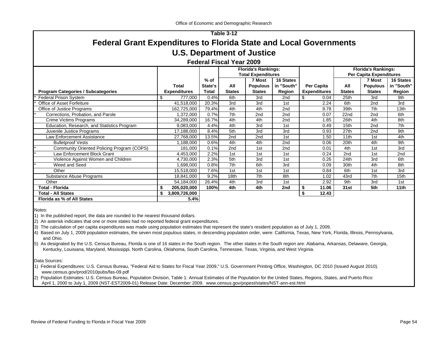## **Table 3-12U.S. Department of Justice Federal Grant Expenditures to Florida State and Local Governments**

#### **Federal Fiscal Year 2009**

|                                             |                     |         |                  | <b>Florida's Rankings:</b> |                  |                     | <b>Florida's Rankings:</b> |                                |                  |  |  |
|---------------------------------------------|---------------------|---------|------------------|----------------------------|------------------|---------------------|----------------------------|--------------------------------|------------------|--|--|
|                                             |                     |         |                  | <b>Total Expenditures</b>  |                  |                     |                            | <b>Per Capita Expenditures</b> |                  |  |  |
|                                             |                     | $%$ of  |                  | 7 Most                     | <b>16 States</b> |                     |                            | 7 Most                         | 16 States        |  |  |
|                                             | Total               | State's | All              | <b>Populous</b>            | in "South"       | Per Capita          | All                        | <b>Populous</b>                | in "South"       |  |  |
| <b>Program Categories / Subcategories</b>   | <b>Expenditures</b> | Total   | <b>States</b>    | <b>States</b>              | Region           | <b>Expenditures</b> | <b>States</b>              | <b>States</b>                  | Region           |  |  |
| <b>Federal Prison System</b>                | 777.000<br>S        | 0.4%    | 6th              | 3rd                        | 2nd              | 0.04                | 25th                       | 3rd                            | 9th              |  |  |
| Office of Asset Forfeiture                  | 41,518,000          | 20.3%   | 3rd              | 3rd                        | 1 <sub>st</sub>  | 2.24                | 6th                        | 2nd                            | 3rd              |  |  |
| Office of Justice Programs                  | 162,725,000         | 79.4%   | 4th              | 4th                        | 2 <sub>nd</sub>  | 8.78                | 39th                       | 7th                            | 13th             |  |  |
| Corrections, Probation, and Parole          | ,372,000            | 0.7%    | 7th              | 2 <sub>nd</sub>            | 2 <sub>nd</sub>  | 0.07                | 22nd                       | 2 <sub>nd</sub>                | 6th              |  |  |
| Crime Victims Programs                      | 34,289,000          | 16.7%   | 4th              | 4th                        | 2 <sub>nd</sub>  | 1.85                | 26th                       | 4th                            | 8th              |  |  |
| Education, Research, and Statistics Program | 9,083,000           | 4.4%    | 4th              | 3rd                        | 1st              | 0.49                | 15 <sub>th</sub>           | 2 <sub>nd</sub>                | 7th              |  |  |
| Juvenile Justice Programs                   | 17,188,000          | 8.4%    | 5th              | 3rd                        | 3rd              | 0.93                | 27th                       | 2 <sub>nd</sub>                | 9th              |  |  |
| <b>Law Enforcement Assistance</b>           | 27,768,000          | 13.5%   | 2nd              | 2 <sub>nd</sub>            | 1st              | 1.50                | 11th                       | 1st                            | 4th              |  |  |
| <b>Bulletproof Vests</b>                    | ,188,000            | 0.6%    | 4th              | 4th                        | 2 <sub>nd</sub>  | 0.06                | 20th                       | 4th                            | 9th              |  |  |
| Community Oriented Policing Program (COPS)  | 181,000             | 0.1%    | 2 <sub>nd</sub>  | 1st                        | 2 <sub>nd</sub>  | 0.01                | 4th                        | 1st                            | 3rd              |  |  |
| Law Enforcement Block Grant                 | 4,453,000           | 2.2%    | 1st              | 1st                        | 1st              | 0.24                | 2 <sub>nd</sub>            | 1st                            | 2nd              |  |  |
| Violence Against Women and Children         | 4,730,000           | 2.3%    | 5th              | 3rd                        | 1st              | 0.26                | 24th                       | 3rd                            | 6th              |  |  |
| Weed and Seed                               | .698,000            | 0.8%    | 7th              | 6th                        | 3rd              | 0.09                | 30th                       | 4th                            | 8th              |  |  |
| Other                                       | 15,518,000          | 7.6%    | 1st              | 1st                        | 1 <sub>st</sub>  | 0.84                | 6th                        | 1st                            | 3rd              |  |  |
| Substance Abuse Programs                    | 18,841,000          | 9.2%    | 18 <sub>th</sub> | 7th                        | 8th              | 1.02                | 43rd                       | 7th                            | 15th             |  |  |
| Other                                       | 54,184,000          | 26.4%   | 4th              | 3rd                        | 1st              | 2.92                | 9th                        | 3rd                            | 1st              |  |  |
| Total - Florida                             | 205,020,000         | 100%    | 4th              | 4th                        | 2nd              | 11.06               | 31st                       | 5th                            | 11 <sub>th</sub> |  |  |
| <b>Total - All States</b>                   | 3,809,726,000<br>S. |         |                  |                            |                  | 12.43               |                            |                                |                  |  |  |
| Florida as % of All States                  | 5.4%                |         |                  |                            |                  |                     |                            |                                |                  |  |  |

Notes:

1) In the published report, the data are rounded to the nearest thousand dollars.

2) An asterisk indicates that one or more states had no reported federal grant expenditures.

3) The calculation of per capita expenditures was made using population estimates that represent the state's resident population as of July 1, 2009.

4) Based on July 1, 2009 population estimates, the seven most populous states, in descending population order, were: California, Texas, New York, Florida, Illinois, Pennsylvania, and Ohio.

5) As designated by the U.S. Census Bureau, Florida is one of 16 states in the South region. The other states in the South region are: Alabama, Arkansas, Delaware, Georgia, Kentucky, Louisiana, Maryland, Mississippi, North Carolina, Oklahoma, South Carolina, Tennessee, Texas, Virginia, and West Virginia.

Data Sources:

1) Federal Expenditures: U.S. Census Bureau, "Federal Aid to States for Fiscal Year 2009," U.S. Government Printing Office, Washington, DC 2010 (Issued August 2010). www.census.gov/prod/2010pubs/fas-09.pdf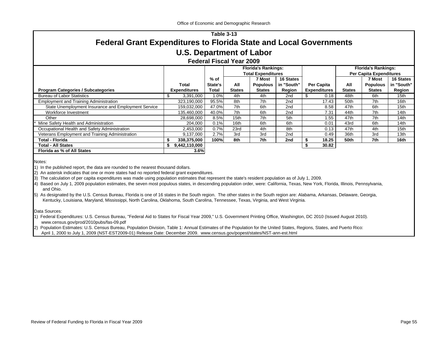# **Table 3-13U.S. Department of Labor Federal Grant Expenditures to Florida State and Local Governments**

#### **Federal Fiscal Year 2009**

|                                                     |                     |         |               | <b>Florida's Rankings:</b><br><b>Total Expenditures</b> |                  |                     | <b>Florida's Rankings:</b><br><b>Per Capita Expenditures</b> |                 |                  |  |
|-----------------------------------------------------|---------------------|---------|---------------|---------------------------------------------------------|------------------|---------------------|--------------------------------------------------------------|-----------------|------------------|--|
|                                                     |                     | % of    |               | 7 Most                                                  | <b>16 States</b> |                     |                                                              | 7 Most          | <b>16 States</b> |  |
|                                                     | Total               | State's | All           | <b>Populous</b>                                         | in "South"       | Per Capita          | All                                                          | <b>Populous</b> | in "South"       |  |
| <b>Program Categories / Subcategories</b>           | <b>Expenditures</b> | Total   | <b>States</b> | <b>States</b>                                           | Region           | <b>Expenditures</b> | <b>States</b>                                                | <b>States</b>   | Region           |  |
| <b>Bureau of Labor Statistics</b>                   | 3,391,000<br>\$     | 1.0%    | 4th           | 4th                                                     | 2 <sub>nd</sub>  | 0.18                | 48th                                                         | 6th             | 15 <sub>th</sub> |  |
| <b>Employment and Training Administration</b>       | 323,190,000         | 95.5%   | 8th           | 7th                                                     | 2nd              | 17.43               | 50th                                                         | 7th             | 16th             |  |
| State Unemployment Insurance and Employment Service | 159,032,000         | 47.0%   | 7th           | 6th                                                     | 2 <sub>nd</sub>  | 8.58                | 47th                                                         | 6th             | 15th             |  |
| Workforce Investment                                | 135.460.000         | 40.0%   | 7th           | 6th                                                     | 2 <sub>nd</sub>  | 7.31                | 44th                                                         | 7th             | 14th             |  |
| Other                                               | 28,698,000          | 8.5%    | 15th          | 7th                                                     | 5th              | 1.55                | 47th                                                         | 7th             | 14 <sub>th</sub> |  |
| Mine Safety Health and Administration               | 204.000             | 0.1%    | 16th          | 6th                                                     | 6th              | 0.01                | 43rd                                                         | 6th             | 14th             |  |
| Occupational Health and Safety Administration       | 2,453,000           | 0.7%    | 23rd          | 4th                                                     | 8th              | 0.13                | 47th                                                         | 4th             | 15th             |  |
| Veterans Employment and Training Administration     | 9,137,000           | 2.7%    | 3rd           | 3rd                                                     | 2nd              | 0.49                | 36th                                                         | 3rd             | 13 <sub>th</sub> |  |
| Total - Florida                                     | 338.375.000<br>S    | 100%    | 8th           | 7th                                                     | 2nd              | 18.25               | 50th                                                         | 7th             | 16th             |  |
| Total - All States                                  | 9,442,110,000<br>\$ |         |               |                                                         |                  | 30.82               |                                                              |                 |                  |  |
| Florida as % of All States                          | 3.6%                |         |               |                                                         |                  |                     |                                                              |                 |                  |  |

Notes:

1) In the published report, the data are rounded to the nearest thousand dollars.

2) An asterisk indicates that one or more states had no reported federal grant expenditures.

3) The calculation of per capita expenditures was made using population estimates that represent the state's resident population as of July 1, 2009.

4) Based on July 1, 2009 population estimates, the seven most populous states, in descending population order, were: California, Texas, New York, Florida, Illinois, Pennsylvania, and Ohio.

5) As designated by the U.S. Census Bureau, Florida is one of 16 states in the South region. The other states in the South region are: Alabama, Arkansas, Delaware, Georgia, Kentucky, Louisiana, Maryland, Mississippi, North Carolina, Oklahoma, South Carolina, Tennessee, Texas, Virginia, and West Virginia.

Data Sources:

1) Federal Expenditures: U.S. Census Bureau, "Federal Aid to States for Fiscal Year 2009," U.S. Government Printing Office, Washington, DC 2010 (Issued August 2010). www.census.gov/prod/2010pubs/fas-09.pdf

2) Population Estimates: U.S. Census Bureau, Population Division, Table 1: Annual Estimates of the Population for the United States, Regions, States, and Puerto Rico:

April 1, 2000 to July 1, 2009 (NST-EST2009-01) Release Date: December 2009. www.census.gov/popest/states/NST-ann-est.html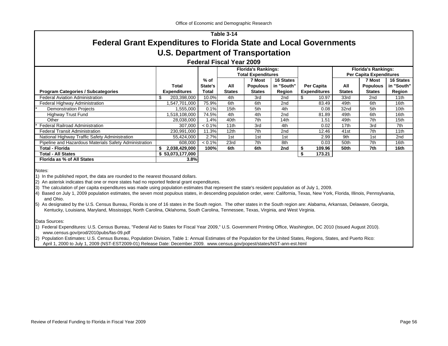# **Table 3-14U.S. Department of Transportation Federal Grant Expenditures to Florida State and Local Governments**

### **Federal Fiscal Year 2009**

|                                                        |                     |           |                  | <b>Florida's Rankings:</b> |            |                     | <b>Florida's Rankings:</b> |                                |                  |  |
|--------------------------------------------------------|---------------------|-----------|------------------|----------------------------|------------|---------------------|----------------------------|--------------------------------|------------------|--|
|                                                        |                     |           |                  | <b>Total Expenditures</b>  |            |                     |                            | <b>Per Capita Expenditures</b> |                  |  |
|                                                        |                     | % of      |                  | 7 Most                     | 16 States  |                     |                            | 7 Most                         | <b>16 States</b> |  |
|                                                        | Total               | State's   | All              | <b>Populous</b>            | in "South" | Per Capita          | All                        | <b>Populous</b>                | in "South"       |  |
| <b>Program Categories / Subcategories</b>              | <b>Expenditures</b> | Total     | <b>States</b>    | <b>States</b>              | Region     | <b>Expenditures</b> | <b>States</b>              | <b>States</b>                  | Region           |  |
| <b>Federal Aviation Administration</b>                 | 203,398,000         | 10.0%     | 4th              | 3rd                        | 2nd        | 10.97               | 33rd                       | 2nd                            | 11th             |  |
| Federal Highway Administration                         | .547,701,000        | 75.9%     | 6th              | 6th                        | 2nd        | 83.49               | 49th                       | 6th                            | 16th             |  |
| <b>Demonstration Projects</b>                          | .555.000            | 0.1%      | 15th             | 5th                        | 4th        | 0.08                | 32nd                       | 5th                            | 10th             |  |
| <b>Highway Trust Fund</b>                              | ,518,108,000        | 74.5%     | 4th              | 4th                        | 2nd        | 81.89               | 49th                       | 6th                            | 16th             |  |
| Other                                                  | 28,038,000          | 1.4%      | 40th             | 7th                        | 14th       | 1.51                | 49th                       | 7th                            | 15th             |  |
| <b>Federal Railroad Administration</b>                 | 307,000             | $< 0.1\%$ | 11th             | 3rd                        | 4th        | 0.02                | 17th                       | 3rd                            | 7th              |  |
| <b>Federal Transit Administration</b>                  | 230.991.000         | 11.3%     | 12 <sub>th</sub> | 7th                        | 2nd        | 12.46               | 41st                       | 7th                            | 11th             |  |
| National Highway Traffic Safety Administration         | 55,424,000          | 2.7%      | 1st              | 1st                        | 1st        | 2.99                | 9th                        | 1st                            | 2nd              |  |
| Pipeline and Hazardous Materials Safety Administration | 608,000             | $< 0.1\%$ | 23rd             | 7th                        | 8th        | 0.03                | 50th                       | 7th                            | 16th             |  |
| Total - Florida                                        | 2,038,429,000       | 100%      | 6th              | 6th                        | 2nd        | 109.96              | 50th                       | 7th                            | 16th             |  |
| <b>Total - All States</b>                              | \$53,073,177,000    |           |                  |                            |            | 173.21<br>5.        |                            |                                |                  |  |
| Florida as % of All States                             | 3.8%                |           |                  |                            |            |                     |                            |                                |                  |  |

Notes:

1) In the published report, the data are rounded to the nearest thousand dollars.

2) An asterisk indicates that one or more states had no reported federal grant expenditures.

3) The calculation of per capita expenditures was made using population estimates that represent the state's resident population as of July 1, 2009.

4) Based on July 1, 2009 population estimates, the seven most populous states, in descending population order, were: California, Texas, New York, Florida, Illinois, Pennsylvania, and Ohio.

5) As designated by the U.S. Census Bureau, Florida is one of 16 states in the South region. The other states in the South region are: Alabama, Arkansas, Delaware, Georgia, Kentucky, Louisiana, Maryland, Mississippi, North Carolina, Oklahoma, South Carolina, Tennessee, Texas, Virginia, and West Virginia.

Data Sources:

1) Federal Expenditures: U.S. Census Bureau, "Federal Aid to States for Fiscal Year 2009," U.S. Government Printing Office, Washington, DC 2010 (Issued August 2010). www.census.gov/prod/2010pubs/fas-09.pdf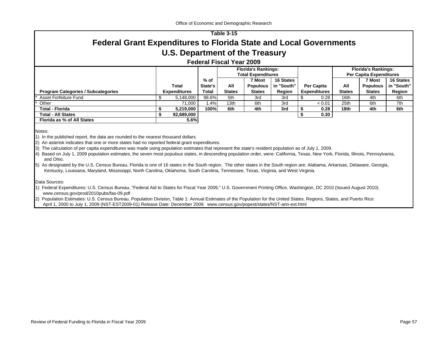# **Table 3-15U.S. Department of the Treasury Federal Grant Expenditures to Florida State and Local Governments**

#### **Federal Fiscal Year 2009**

|                                           |                     |         |                           | <b>Florida's Rankings:</b> |            |  |                     | <b>Florida's Rankings:</b>     |                 |                  |  |
|-------------------------------------------|---------------------|---------|---------------------------|----------------------------|------------|--|---------------------|--------------------------------|-----------------|------------------|--|
|                                           |                     |         | <b>Total Expenditures</b> |                            |            |  |                     | <b>Per Capita Expenditures</b> |                 |                  |  |
|                                           |                     | $%$ of  | 16 States<br>7 Most       |                            |            |  |                     |                                | 7 Most          | <b>16 States</b> |  |
|                                           | Total               | State's | All                       | <b>Populous</b>            | in "South" |  | <b>Per Capita</b>   | All                            | <b>Populous</b> | in "South"       |  |
| <b>Program Categories / Subcategories</b> | <b>Expenditures</b> | Total   | <b>States</b>             | <b>States</b>              | Region     |  | <b>Expenditures</b> | <b>States</b>                  | <b>States</b>   | Region           |  |
| Asset Forfeiture Fund                     | 5,148,000           | 98.6%   | 5th                       | 3rd                        | 3rd        |  | 0.28                | 16th                           | 4th             | 6th              |  |
| Other                                     | 71.000              | $1.4\%$ | 13 <sub>th</sub>          | 6th                        | 3rd        |  | < 0.01              | 25th                           | 6th             | 7th              |  |
| <b>Total - Florida</b>                    | 5.219.000           | 100%    | 6th                       | 4th                        | 3rd        |  | 0.28                | 18th                           | 4th             | 6th              |  |
| <b>Total - All States</b>                 | 92,689,000          |         |                           |                            |            |  | 0.30                |                                |                 |                  |  |
| Florida as % of All States                | 5.6%                |         |                           |                            |            |  |                     |                                |                 |                  |  |

Notes:

1) In the published report, the data are rounded to the nearest thousand dollars.

2) An asterisk indicates that one or more states had no reported federal grant expenditures.

3) The calculation of per capita expenditures was made using population estimates that represent the state's resident population as of July 1, 2009.

4) Based on July 1, 2009 population estimates, the seven most populous states, in descending population order, were: California, Texas, New York, Florida, Illinois, Pennsylvania, and Ohio.

5) As designated by the U.S. Census Bureau, Florida is one of 16 states in the South region. The other states in the South region are: Alabama, Arkansas, Delaware, Georgia, Kentucky, Louisiana, Maryland, Mississippi, North Carolina, Oklahoma, South Carolina, Tennessee, Texas, Virginia, and West Virginia.

Data Sources:

1) Federal Expenditures: U.S. Census Bureau, "Federal Aid to States for Fiscal Year 2009," U.S. Government Printing Office, Washington, DC 2010 (Issued August 2010). www.census.gov/prod/2010pubs/fas-09.pdf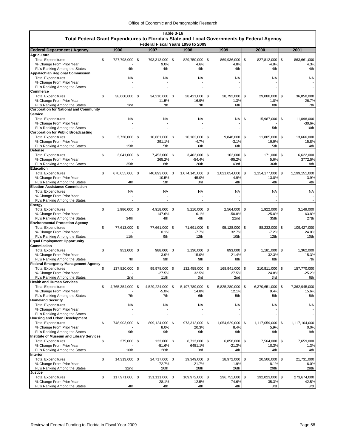| Table 3-16<br>Total Federal Grant Expenditures to Florida's State and Local Governments by Federal Agency |    |                 |    |                      |    |                                   |    |                          |    |                          |    |                       |
|-----------------------------------------------------------------------------------------------------------|----|-----------------|----|----------------------|----|-----------------------------------|----|--------------------------|----|--------------------------|----|-----------------------|
|                                                                                                           |    |                 |    |                      |    | Federal Fiscal Years 1996 to 2009 |    |                          |    |                          |    |                       |
| <b>Federal Department / Agency</b>                                                                        |    | 1996            |    | 1997                 |    | 1998                              |    | 1999                     |    | 2000                     |    | 2001                  |
| <b>Agriculture</b>                                                                                        |    |                 |    |                      |    |                                   |    |                          |    |                          |    |                       |
| <b>Total Expenditures</b>                                                                                 | \$ | 727,798,000     | \$ | 793,313,000          | \$ | 829,750,000                       | \$ | 869,936,000              | \$ | 827,812,000              | \$ | 863,661,000           |
| % Change From Prior Year<br>FL's Ranking Among the States                                                 |    | 4th             |    | 9.0%<br>4th          |    | 4.6%<br>4th                       |    | 4.8%<br>4th              |    | $-4.8%$<br>4th           |    | 4.3%<br>4th           |
| <b>Appalachian Regional Commission</b>                                                                    |    |                 |    |                      |    |                                   |    |                          |    |                          |    |                       |
| <b>Total Expenditures</b>                                                                                 |    | <b>NA</b>       |    | NA                   |    | <b>NA</b>                         |    | NA                       |    | <b>NA</b>                |    | NA                    |
| % Change From Prior Year                                                                                  |    |                 |    |                      |    |                                   |    |                          |    |                          |    |                       |
| FL's Ranking Among the States<br>Commerce                                                                 |    |                 |    |                      |    |                                   |    |                          |    |                          |    |                       |
| <b>Total Expenditures</b>                                                                                 | \$ | 38,660,000      | \$ | 34,210,000           | \$ | 28,421,000                        | \$ | 28,792,000               | \$ | 29,088,000               | \$ | 36,850,000            |
| % Change From Prior Year                                                                                  |    |                 |    | $-11.5%$             |    | $-16.9%$                          |    | 1.3%                     |    | 1.0%                     |    | 26.7%                 |
| FL's Ranking Among the States<br><b>Corporation for National and Community</b>                            |    | 2 <sub>nd</sub> |    | 7th                  |    | 7th                               |    | 6th                      |    | 8th                      |    | 7th                   |
| <b>Service</b>                                                                                            |    |                 |    |                      |    |                                   |    |                          |    |                          |    |                       |
| <b>Total Expenditures</b>                                                                                 |    | <b>NA</b>       |    | <b>NA</b>            |    | <b>NA</b>                         |    | NA                       | \$ | 15,987,000               | \$ | 11,098,000            |
| % Change From Prior Year                                                                                  |    |                 |    |                      |    |                                   |    |                          |    |                          |    | $-30.6%$              |
| FL's Ranking Among the States<br><b>Corporation for Public Broadcasting</b>                               |    |                 |    |                      |    |                                   |    |                          |    | 5th                      |    | 10th                  |
| <b>Total Expenditures</b>                                                                                 | \$ | 2,726,000       | \$ | 10,661,000           | \$ | 10,163,000                        | \$ | 9,848,000                | \$ | 11,805,000               | \$ | 13,666,000            |
| % Change From Prior Year                                                                                  |    |                 |    | 291.1%               |    | $-4.7%$                           |    | $-3.1%$                  |    | 19.9%                    |    | 15.8%                 |
| FL's Ranking Among the States                                                                             |    | 15th            |    | 5th                  |    | 6th                               |    | 6th                      |    | 5th                      |    | 4th                   |
| <b>Defense</b><br><b>Total Expenditures</b>                                                               | \$ | 2,041,000       | \$ | 7,453,000            | \$ | 3.402.000                         | \$ | 162,000                  | \$ | 171,000                  | \$ | 6,622,000             |
| % Change From Prior Year                                                                                  |    |                 |    | 265.2%               |    | $-54.4%$                          |    | $-95.2%$                 |    | 5.6%                     |    | 3772.5%               |
| FL's Ranking Among the States                                                                             |    | 35th            |    | 8th                  |    | 20th                              |    | 43rd                     |    | 36th                     |    | 8th                   |
| Education                                                                                                 |    |                 |    |                      |    |                                   |    |                          |    |                          |    |                       |
| <b>Total Expenditures</b><br>% Change From Prior Year                                                     | \$ | 670,655,000     | \$ | 740,893,000<br>10.5% | \$ | 1,074,145,000<br>45.0%            | \$ | 1,021,054,000<br>$-4.9%$ | \$ | 1,154,177,000<br>13.0%   | \$ | 1,199,151,000<br>3.9% |
| FL's Ranking Among the States                                                                             |    | 4th             |    | 5th                  |    | 3rd                               |    | 4th                      |    | 4th                      |    | 4th                   |
| <b>Election Assistance Commission</b>                                                                     |    |                 |    |                      |    |                                   |    |                          |    |                          |    |                       |
| <b>Total Expenditures</b>                                                                                 |    | <b>NA</b>       |    | NA                   |    | <b>NA</b>                         |    | <b>NA</b>                |    | <b>NA</b>                |    | NA                    |
| % Change From Prior Year<br>FL's Ranking Among the States                                                 |    |                 |    |                      |    |                                   |    |                          |    |                          |    |                       |
| Energy                                                                                                    |    |                 |    |                      |    |                                   |    |                          |    |                          |    |                       |
| <b>Total Expenditures</b>                                                                                 | \$ | 1,986,000       | \$ | 4,918,000            | \$ | 5,216,000                         | \$ | 2,564,000                | \$ | 1,922,000                | \$ | 3,149,000             |
| % Change From Prior Year                                                                                  |    |                 |    | 147.6%               |    | 6.1%                              |    | $-50.8%$                 |    | $-25.0%$                 |    | 63.8%                 |
| FL's Ranking Among the States<br><b>Environmental Protection Agency</b>                                   |    | 34th            |    | 4th                  |    | 4th                               |    | 22nd                     |    | 35th                     |    | 27th                  |
| <b>Total Expenditures</b>                                                                                 | \$ | 77,613,000      | \$ | 77,661,000           | \$ | 71,691,000                        | \$ | 95,128,000               | \$ | 88,232,000               | \$ | 109,427,000           |
| % Change From Prior Year                                                                                  |    |                 |    | 0.1%                 |    | $-7.7%$                           |    | 32.7%                    |    | $-7.2%$                  |    | 24.0%                 |
| FL's Ranking Among the States<br><b>Equal Employment Opportunity</b>                                      |    | 11th            |    | 9th                  |    | 12th                              |    | 10th                     |    | 12th                     |    | 10th                  |
| Commission                                                                                                |    |                 |    |                      |    |                                   |    |                          |    |                          |    |                       |
| <b>Total Expenditures</b>                                                                                 | \$ | 951,000         | \$ | 988,000              | \$ | 1,136,000                         | \$ | 893,000                  | \$ | 1,181,000                | \$ | 1,362,000             |
| % Change From Prior Year                                                                                  |    |                 |    | 3.9%                 |    | 15.0%                             |    | $-21.4%$                 |    | 32.3%                    |    | 15.3%                 |
| FL's Ranking Among the States<br><b>Federal Emergency Management Agency</b>                               |    | 7th             |    | 9th                  |    | 9th                               |    | 8th                      |    | 8th                      |    | 7th                   |
| <b>Total Expenditures</b>                                                                                 | \$ | 137,820,000     | \$ | 99,978,000           | \$ | 132,458,000                       | \$ | 168,941,000              | \$ | 210,811,000              | \$ | 157,770,000           |
| % Change From Prior Year                                                                                  |    |                 |    | $-27.5%$             |    | 32.5%                             |    | 27.5%                    |    | 24.8%                    |    | $-25.2%$              |
| FL's Ranking Among the States<br><b>Health and Human Services</b>                                         |    | 2nd             |    | 11th                 |    | 3rd                               |    | 2nd                      |    | 3rd                      |    | 6th                   |
| <b>Total Expenditures</b>                                                                                 | \$ | 4,765,354,000   | \$ | 4,529,224,000        | \$ | 5,197,789,000                     | \$ | 5,825,280,000            | \$ | 6,370,651,000 \$         |    | 7,362,945,000         |
| % Change From Prior Year                                                                                  |    |                 |    | $-5.0%$              |    | 14.8%                             |    | 12.1%                    |    | 9.4%                     |    | 15.6%                 |
| FL's Ranking Among the States                                                                             |    | 7th             |    | 7th                  |    | 6th                               |    | 5th                      |    | 5th                      |    | 5th                   |
| <b>Homeland Security</b><br><b>Total Expenditures</b>                                                     |    |                 |    |                      |    |                                   |    |                          |    |                          |    |                       |
| % Change From Prior Year                                                                                  |    | NA              |    | NA                   |    | <b>NA</b>                         |    | <b>NA</b>                |    | <b>NA</b>                |    | NA                    |
| FL's Ranking Among the States                                                                             |    |                 |    |                      |    |                                   |    |                          |    |                          |    |                       |
| <b>Housing and Urban Development</b>                                                                      |    |                 |    |                      |    |                                   |    |                          |    |                          |    |                       |
| <b>Total Expenditures</b><br>% Change From Prior Year                                                     | \$ | 748,903,000     | \$ | 809,124,000<br>8.0%  | \$ | 973,312,000<br>20.3%              | \$ | 1,054,629,000<br>8.4%    | \$ | 1,117,059,000 \$<br>5.9% |    | 1,117,104,000<br>0.0% |
| FL's Ranking Among the States                                                                             |    | 9th             |    | 9th                  |    | 9th                               |    | 9th                      |    | 9th                      |    | 9th                   |
| Institute of Museum and Library Services                                                                  |    |                 |    |                      |    |                                   |    |                          |    |                          |    |                       |
| <b>Total Expenditures</b>                                                                                 | \$ | 275,000         | \$ | 133,000              | \$ | 8,713,000                         | \$ | 6,858,000                | \$ | 7,564,000                | \$ | 7,659,000             |
| % Change From Prior Year<br>FL's Ranking Among the States                                                 |    | 10th            |    | $-51.6%$<br>26th     |    | 6451.1%<br>3rd                    |    | $-21.3%$<br>4th          |    | 10.3%<br>4th             |    | 1.3%<br>4th           |
| <b>Interior</b>                                                                                           |    |                 |    |                      |    |                                   |    |                          |    |                          |    |                       |
| <b>Total Expenditures</b>                                                                                 | \$ | 14,313,000      | \$ | 24,717,000           | \$ | 19,349,000                        | \$ | 18,972,000               | \$ | 20,506,000               | \$ | 21,731,000            |
| % Change From Prior Year                                                                                  |    |                 |    | 72.7%                |    | $-21.7%$                          |    | $-1.9%$                  |    | 8.1%                     |    | 6.0%                  |
| FL's Ranking Among the States<br>Justice                                                                  |    | 32nd            |    | 26th                 |    | 28th                              |    | 26th                     |    | 29th                     |    | 28th                  |
| <b>Total Expenditures</b>                                                                                 | \$ | 117,971,000     | \$ | 151,111,000          | \$ | 169,972,000                       | \$ | 296,751,000              | \$ | 192,023,000 \$           |    | 273,674,000           |
| % Change From Prior Year                                                                                  |    |                 |    | 28.1%                |    | 12.5%                             |    | 74.6%                    |    | $-35.3%$                 |    | 42.5%                 |
| FL's Ranking Among the States                                                                             |    | 4th             |    | 4th                  |    | 4th                               |    | 4th                      |    | 3rd                      |    | 3rd                   |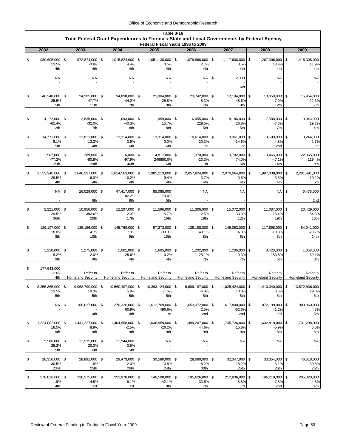|                                        |                                      |                                       |                                        | Table 3-16<br>Federal Fiscal Years 1996 to 2009 | Total Federal Grant Expenditures to Florida's State and Local Governments by Federal Agency |                                       |                                      |
|----------------------------------------|--------------------------------------|---------------------------------------|----------------------------------------|-------------------------------------------------|---------------------------------------------------------------------------------------------|---------------------------------------|--------------------------------------|
| 2002                                   | 2003                                 | 2004                                  | 2005                                   | 2006                                            | 2007                                                                                        | 2008                                  | 2009                                 |
| \$<br>980.605.000<br>13.5%<br>4th      | \$<br>972,874,000<br>$-0.8%$<br>4th  | \$<br>1,015,824,000<br>4.4%<br>4th    | \$<br>1,051,130,000<br>3.5%<br>4th     | \$<br>1,079,860,000<br>2.7%<br>4th              | \$<br>1,117,608,000<br>3.5%<br>4th                                                          | \$<br>1,267,396,000<br>13.4%<br>4th   | \$<br>1,418,308,000<br>11.9%<br>4th  |
| <b>NA</b>                              | NA                                   | <b>NA</b>                             | <b>NA</b>                              | <b>NA</b>                                       | \$<br>2,000<br>16th                                                                         | <b>NA</b>                             | <b>NA</b>                            |
| \$<br>46,248,000<br>25.5%<br>5th       | \$<br>24,205,000<br>$-47.7%$<br>11th | \$<br>34,898,000<br>44.2%<br>7th      | \$<br>25,904,000<br>$-25.8%$<br>9th    | \$<br>23,742,000<br>$-8.3%$<br>7th              | \$<br>12,194,000<br>$-48.6%$<br>18th                                                        | \$<br>13,050,000<br>7.0%<br>12th      | \$<br>15,954,000<br>22.3%<br>7th     |
| \$<br>4,172,000<br>$-62.4%$<br>12th    | \$<br>2,835,000<br>$-32.0%$<br>17th  | \$<br>1,693,000<br>$-40.3%$<br>18th   | \$<br>1,959,000<br>15.7%<br>18th       | \$<br>6,455,000<br>229.5%<br>5th                | \$<br>8,186,000<br>26.8%<br>5th                                                             | \$<br>7,588,000<br>$-7.3%$<br>7th     | \$<br>9,046,000<br>19.2%<br>4th      |
| \$<br>14,771,000<br>8.1%<br>5th        | \$<br>12,811,000<br>$-13.3%$<br>4th  | \$<br>13,314,000<br>3.9%<br>6th       | \$<br>13,314,000<br>0.0%<br>6th        | \$<br>10,614,000<br>$-20.3%$<br>1st             | \$<br>9,061,000<br>$-14.6%$<br>1st                                                          | \$<br>9,500,000<br>4.8%<br>2nd        | \$<br>9,244,000<br>$-2.7%$<br>1st    |
| \$<br>1,507,000<br>$-77.2%$<br>25th    | \$<br>289,000<br>$-80.8%$<br>39th    | \$<br>6,000<br>$-97.9%$<br>46th       | \$<br>14,817,000<br>246850.0%<br>6th   | \$<br>11,370,000<br>$-23.3%$<br>11th            | \$<br>19,782,000<br>74.0%<br>5th                                                            | \$<br>10,465,000<br>$-47.1%$<br>14th  | \$<br>22,965,000<br>119.4%<br>9th    |
| \$<br>1,553,340,000<br>29.5%<br>4th    | \$<br>1,646,297,000<br>6.0%<br>4th   | \$<br>1,814,563,000<br>10.2%<br>4th   | \$<br>1,985,213,000<br>9.4%<br>4th     | \$<br>2,057,824,000<br>3.7%<br>4th              | \$<br>2,070,064,000<br>0.6%<br>4th                                                          | \$<br>1,997,038,000<br>$-3.5%$<br>4th | \$<br>2,201,491,000<br>10.2%<br>5th  |
| NA                                     | \$<br>26,029,000<br>6th              | \$<br>47,417,000<br>82.2%<br>9th      | \$<br>85,085,000<br>79.4%<br>5th       | <b>NA</b>                                       | <b>NA</b>                                                                                   | <b>NA</b>                             | \$<br>6,478,000<br>2nd               |
| \$<br>2,221,000<br>$-29.5%$<br>36th    | \$<br>10,950,000<br>393.0%<br>20th   | \$<br>12,297,000<br>12.3%<br>17th     | \$<br>11,596,000<br>$-5.7%$<br>16th    | \$<br>11,306,000<br>$-2.5%$<br>18th             | \$<br>15,072,000<br>33.3%<br>12th                                                           | \$<br>11,087,000<br>$-26.4%$<br>19th  | \$<br>20,429,000<br>84.3%<br>16th    |
| \$<br>129,107,000<br>18.0%<br>8th      | \$<br>135,156,000<br>4.7%<br>10th    | \$<br>145,769,000<br>7.9%<br>9th      | \$<br>97,273,000<br>$-33.3%$<br>10th   | \$<br>139,188,000<br>43.1%<br>8th               | \$<br>146,053,000<br>4.9%<br>6th                                                            | \$<br>117,898,000<br>$-19.3%$<br>8th  | \$<br>84,041,000<br>$-28.7%$<br>14th |
| \$<br>1,250,000<br>$-8.2%$<br>9th      | \$<br>1,275,000<br>2.0%<br>9th       | \$<br>1,601,000<br>25.6%<br>4th       | \$<br>1,605,000<br>0.2%<br>4th         | \$<br>1,202,000<br>$-25.1%$<br>7th              | \$<br>1,206,000<br>0.3%<br>7th                                                              | \$<br>3,423,000<br>183.8%<br>6th      | 1,058,000<br>\$<br>$-69.1%$<br>8th   |
| \$<br>177,643,000<br>12.6%<br>4th      | Refer to<br><b>Homeland Security</b> | Refer to<br><b>Homeland Security</b>  | Refer to<br><b>Homeland Security</b>   | Refer to<br><b>Homeland Security</b>            | Refer to<br><b>Homeland Security</b>                                                        | Refer to<br><b>Homeland Security</b>  | Refer to<br><b>Homeland Security</b> |
| \$<br>8,355,365,000 \$<br>13.5%<br>5th | 9,968,790,000<br>19.3%<br>5th        | 10,560,497,000<br>\$<br>5.9%<br>5th   | \$<br>10,393,124,000<br>$-1.6%$<br>5th | \$<br>9,689,187,000 \$<br>$-6.8%$<br>5th        | 11,025,424,000<br>13.8%<br>5th                                                              | 11,410,340,000<br>\$<br>3.5%<br>5th   | 13,572,936,000<br>\$<br>19.0%<br>5th |
| <b>NA</b> \$                           | 168,027,000<br>4th                   | \$<br>270,326,000<br>60.9%<br>4th     | 1,612,709,000<br>\$<br>496.6%<br>1st   | 1,653,372,000 \$<br>\$<br>2.5%<br>2nd           | 617,800,000<br>$-62.6%$<br>2nd                                                              | 872,199,000 \$<br>\$<br>41.2%<br>3rd  | 909,960,000<br>4.3%<br>5th           |
| \$<br>1,324,002,000 \$<br>18.5%<br>9th | 1,441,227,000<br>8.9%<br>9th         | \$<br>1,404,958,000<br>$-2.5%$<br>9th | 1,036,959,000<br>\$<br>$-26.2%$<br>9th | \$<br>1,499,207,000 \$<br>44.6%<br>9th          | 1,735,726,000<br>15.8%<br>10th                                                              | \$<br>1,632,819,000<br>$-5.9%$<br>8th | 1,731,298,000<br>\$<br>6.0%<br>6th   |
| \$<br>9,586,000 \$<br>25.2%<br>5th     | 11,535,000<br>20.3%<br>6th           | \$<br>11,944,000<br>3.5%<br>5th       | NA                                     | <b>NA</b>                                       | <b>NA</b>                                                                                   | <b>NA</b>                             | <b>NA</b>                            |
| \$<br>28,356,000 \$<br>30.5%<br>23rd   | 28,891,000<br>1.9%<br>25th           | \$<br>29,473,000<br>2.0%<br>26th      | 30,580,000<br>\$<br>3.8%<br>24th       | 28,080,000 \$<br>\$<br>$-8.2%$<br>30th          | 32,347,000<br>15.2%<br>25th                                                                 | 33,354,000 \$<br>\$<br>3.1%<br>26th   | 46,618,000<br>39.8%<br>26th          |
| \$<br>278,818,000 \$<br>1.9%<br>4th    | 238,375,000<br>$-14.5%$<br>3rd       | \$<br>252,978,000<br>6.1%<br>3rd      | \$<br>146,508,000<br>$-42.1%$<br>9th   | 195,626,000 \$<br>\$<br>33.5%<br>7th            | 212,836,000<br>8.8%<br>3rd                                                                  | \$<br>196,219,000<br>$-7.8%$<br>2nd   | \$<br>205,020,000<br>4.5%<br>4th     |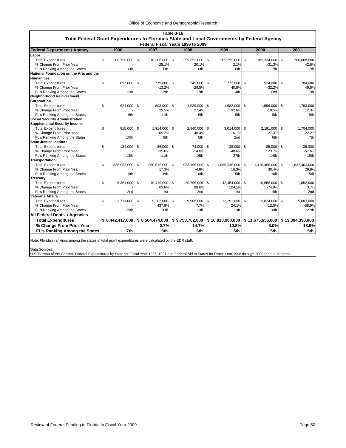| Total Federal Grant Expenditures to Florida's State and Local Governments by Federal Agency<br>Federal Fiscal Years 1996 to 2009<br>1997<br>1996<br>1998<br><b>Federal Department / Agency</b><br>1999<br>2000<br>2001<br>Labor<br>\$<br><b>Total Expenditures</b><br>288.756.000<br>\$<br>216,366,000<br>\$<br>259.853.000<br>$\mathbf{s}$<br>265,255,000 \$<br>182,334,000<br>\$<br>260,008,000<br>% Change From Prior Year<br>$-31.3%$<br>$-25.1%$<br>20.1%<br>2.1%<br>FL's Ranking Among the States<br>6th<br>6th<br>7th<br>6th<br>6th<br>National Foundation on the Arts and the<br><b>Humanities</b><br>\$<br>\$<br>\$<br>\$<br>773,000 \$<br><b>Total Expenditures</b><br>897,000<br>779,000<br>549,000<br>524,000<br>\$<br>$-13.2%$<br>$-32.2%$<br>% Change From Prior Year<br>$-29.5%$<br>40.8%<br>7th<br>FL's Ranking Among the States<br>12th<br>17th<br>4th<br>33rd<br><b>Neighborhood Reinvestment</b><br>Corporation<br>\$<br>\$<br><b>Total Expenditures</b><br>624.000<br>\$<br>808.000<br>$1,029,000$ \$<br>1,982,000 \$<br>1,596,000<br>\$<br>% Change From Prior Year<br>29.5%<br>27.4%<br>92.6%<br>$-19.5%$<br>6th<br>11th<br>9 <sub>th</sub><br>9 <sub>th</sub><br>8th<br>FL's Ranking Among the States<br>Social Security Administration:<br><b>Supplemental Security Income</b><br><b>Total Expenditures</b><br>\$<br>\$<br>\$<br>2.840.000 \$<br>$3,014,000$ \$<br>2.191.000<br>\$<br>915.000<br>1.914.000<br>% Change From Prior Year<br>109.2%<br>48.4%<br>$-27.3%$<br>6.1%<br>FL's Ranking Among the States<br>10th<br>9th<br>5th<br>2 <sub>nd</sub><br>6th<br><b>State Justice Institute</b><br>\$<br>\$<br>134.000<br>\$<br>86.000<br>74,000<br>\$<br>38,000<br>\$<br>85,000<br>\$<br><b>Total Expenditures</b><br>$-35.8%$<br>$-48.6%$<br>123.7%<br>% Change From Prior Year<br>$-14.0%$<br>FL's Ranking Among the States<br>16th<br>27th<br>13th<br>11th<br>14th<br><b>Transportation</b><br>\$<br>\$<br><b>Total Expenditures</b><br>835,953,000<br>980,515,000<br>\$<br>933,196,000<br>\$<br>1,085,345,000 \$<br>1,415,456,000<br>\$<br>1,837,463,000<br>% Change From Prior Year<br>17.3%<br>29.8%<br>$-4.8%$<br>16.3%<br>30.4%<br>FL's Ranking Among the States<br>9th<br>8th<br>8th<br>4th<br>5th<br><b>Treasury</b><br><b>Total Expenditures</b><br>\$<br>6,361,000<br>\$<br>10,419,000<br>\$<br>\$<br>\$<br>11,052,000<br>20.796.000<br>42,454,000 \$<br>10,658,000<br>% Change From Prior Year<br>63.8%<br>104.1%<br>$-74.9%$<br>99.6%<br>FL's Ranking Among the States<br>1st<br>2nd<br>4th<br>2nd<br>1st<br><b>Veterans Affairs</b><br>\$<br><b>Total Expenditures</b><br>1.711.000<br>\$<br>9,202,000<br>\$<br>9,908,000<br>\$<br>12,291,000 \$<br>13.824.000<br>\$<br>% Change From Prior Year<br>437.8%<br>7.7%<br>24.1%<br>12.5%<br>FL's Ranking Among the States<br>39th<br>10th<br>11th<br>11th<br>10th |  |  |  | Table 3-16 |  |  |                 |
|--------------------------------------------------------------------------------------------------------------------------------------------------------------------------------------------------------------------------------------------------------------------------------------------------------------------------------------------------------------------------------------------------------------------------------------------------------------------------------------------------------------------------------------------------------------------------------------------------------------------------------------------------------------------------------------------------------------------------------------------------------------------------------------------------------------------------------------------------------------------------------------------------------------------------------------------------------------------------------------------------------------------------------------------------------------------------------------------------------------------------------------------------------------------------------------------------------------------------------------------------------------------------------------------------------------------------------------------------------------------------------------------------------------------------------------------------------------------------------------------------------------------------------------------------------------------------------------------------------------------------------------------------------------------------------------------------------------------------------------------------------------------------------------------------------------------------------------------------------------------------------------------------------------------------------------------------------------------------------------------------------------------------------------------------------------------------------------------------------------------------------------------------------------------------------------------------------------------------------------------------------------------------------------------------------------------------------------------------------------------------------------------------------------------------------------------------------------------------------------------------------------------------------------------------------------------------------------------------------------------------------------------------------------------------------------------------------------------------------------------------------------------------------------------------------------------------------------------------------|--|--|--|------------|--|--|-----------------|
|                                                                                                                                                                                                                                                                                                                                                                                                                                                                                                                                                                                                                                                                                                                                                                                                                                                                                                                                                                                                                                                                                                                                                                                                                                                                                                                                                                                                                                                                                                                                                                                                                                                                                                                                                                                                                                                                                                                                                                                                                                                                                                                                                                                                                                                                                                                                                                                                                                                                                                                                                                                                                                                                                                                                                                                                                                                        |  |  |  |            |  |  |                 |
|                                                                                                                                                                                                                                                                                                                                                                                                                                                                                                                                                                                                                                                                                                                                                                                                                                                                                                                                                                                                                                                                                                                                                                                                                                                                                                                                                                                                                                                                                                                                                                                                                                                                                                                                                                                                                                                                                                                                                                                                                                                                                                                                                                                                                                                                                                                                                                                                                                                                                                                                                                                                                                                                                                                                                                                                                                                        |  |  |  |            |  |  |                 |
|                                                                                                                                                                                                                                                                                                                                                                                                                                                                                                                                                                                                                                                                                                                                                                                                                                                                                                                                                                                                                                                                                                                                                                                                                                                                                                                                                                                                                                                                                                                                                                                                                                                                                                                                                                                                                                                                                                                                                                                                                                                                                                                                                                                                                                                                                                                                                                                                                                                                                                                                                                                                                                                                                                                                                                                                                                                        |  |  |  |            |  |  |                 |
|                                                                                                                                                                                                                                                                                                                                                                                                                                                                                                                                                                                                                                                                                                                                                                                                                                                                                                                                                                                                                                                                                                                                                                                                                                                                                                                                                                                                                                                                                                                                                                                                                                                                                                                                                                                                                                                                                                                                                                                                                                                                                                                                                                                                                                                                                                                                                                                                                                                                                                                                                                                                                                                                                                                                                                                                                                                        |  |  |  |            |  |  |                 |
|                                                                                                                                                                                                                                                                                                                                                                                                                                                                                                                                                                                                                                                                                                                                                                                                                                                                                                                                                                                                                                                                                                                                                                                                                                                                                                                                                                                                                                                                                                                                                                                                                                                                                                                                                                                                                                                                                                                                                                                                                                                                                                                                                                                                                                                                                                                                                                                                                                                                                                                                                                                                                                                                                                                                                                                                                                                        |  |  |  |            |  |  | 42.6%           |
|                                                                                                                                                                                                                                                                                                                                                                                                                                                                                                                                                                                                                                                                                                                                                                                                                                                                                                                                                                                                                                                                                                                                                                                                                                                                                                                                                                                                                                                                                                                                                                                                                                                                                                                                                                                                                                                                                                                                                                                                                                                                                                                                                                                                                                                                                                                                                                                                                                                                                                                                                                                                                                                                                                                                                                                                                                                        |  |  |  |            |  |  | 7th             |
|                                                                                                                                                                                                                                                                                                                                                                                                                                                                                                                                                                                                                                                                                                                                                                                                                                                                                                                                                                                                                                                                                                                                                                                                                                                                                                                                                                                                                                                                                                                                                                                                                                                                                                                                                                                                                                                                                                                                                                                                                                                                                                                                                                                                                                                                                                                                                                                                                                                                                                                                                                                                                                                                                                                                                                                                                                                        |  |  |  |            |  |  |                 |
|                                                                                                                                                                                                                                                                                                                                                                                                                                                                                                                                                                                                                                                                                                                                                                                                                                                                                                                                                                                                                                                                                                                                                                                                                                                                                                                                                                                                                                                                                                                                                                                                                                                                                                                                                                                                                                                                                                                                                                                                                                                                                                                                                                                                                                                                                                                                                                                                                                                                                                                                                                                                                                                                                                                                                                                                                                                        |  |  |  |            |  |  |                 |
|                                                                                                                                                                                                                                                                                                                                                                                                                                                                                                                                                                                                                                                                                                                                                                                                                                                                                                                                                                                                                                                                                                                                                                                                                                                                                                                                                                                                                                                                                                                                                                                                                                                                                                                                                                                                                                                                                                                                                                                                                                                                                                                                                                                                                                                                                                                                                                                                                                                                                                                                                                                                                                                                                                                                                                                                                                                        |  |  |  |            |  |  | 784,000         |
|                                                                                                                                                                                                                                                                                                                                                                                                                                                                                                                                                                                                                                                                                                                                                                                                                                                                                                                                                                                                                                                                                                                                                                                                                                                                                                                                                                                                                                                                                                                                                                                                                                                                                                                                                                                                                                                                                                                                                                                                                                                                                                                                                                                                                                                                                                                                                                                                                                                                                                                                                                                                                                                                                                                                                                                                                                                        |  |  |  |            |  |  | 49.6%           |
|                                                                                                                                                                                                                                                                                                                                                                                                                                                                                                                                                                                                                                                                                                                                                                                                                                                                                                                                                                                                                                                                                                                                                                                                                                                                                                                                                                                                                                                                                                                                                                                                                                                                                                                                                                                                                                                                                                                                                                                                                                                                                                                                                                                                                                                                                                                                                                                                                                                                                                                                                                                                                                                                                                                                                                                                                                                        |  |  |  |            |  |  | 7th             |
|                                                                                                                                                                                                                                                                                                                                                                                                                                                                                                                                                                                                                                                                                                                                                                                                                                                                                                                                                                                                                                                                                                                                                                                                                                                                                                                                                                                                                                                                                                                                                                                                                                                                                                                                                                                                                                                                                                                                                                                                                                                                                                                                                                                                                                                                                                                                                                                                                                                                                                                                                                                                                                                                                                                                                                                                                                                        |  |  |  |            |  |  |                 |
|                                                                                                                                                                                                                                                                                                                                                                                                                                                                                                                                                                                                                                                                                                                                                                                                                                                                                                                                                                                                                                                                                                                                                                                                                                                                                                                                                                                                                                                                                                                                                                                                                                                                                                                                                                                                                                                                                                                                                                                                                                                                                                                                                                                                                                                                                                                                                                                                                                                                                                                                                                                                                                                                                                                                                                                                                                                        |  |  |  |            |  |  |                 |
|                                                                                                                                                                                                                                                                                                                                                                                                                                                                                                                                                                                                                                                                                                                                                                                                                                                                                                                                                                                                                                                                                                                                                                                                                                                                                                                                                                                                                                                                                                                                                                                                                                                                                                                                                                                                                                                                                                                                                                                                                                                                                                                                                                                                                                                                                                                                                                                                                                                                                                                                                                                                                                                                                                                                                                                                                                                        |  |  |  |            |  |  | 1,793,000       |
|                                                                                                                                                                                                                                                                                                                                                                                                                                                                                                                                                                                                                                                                                                                                                                                                                                                                                                                                                                                                                                                                                                                                                                                                                                                                                                                                                                                                                                                                                                                                                                                                                                                                                                                                                                                                                                                                                                                                                                                                                                                                                                                                                                                                                                                                                                                                                                                                                                                                                                                                                                                                                                                                                                                                                                                                                                                        |  |  |  |            |  |  | 12.3%           |
|                                                                                                                                                                                                                                                                                                                                                                                                                                                                                                                                                                                                                                                                                                                                                                                                                                                                                                                                                                                                                                                                                                                                                                                                                                                                                                                                                                                                                                                                                                                                                                                                                                                                                                                                                                                                                                                                                                                                                                                                                                                                                                                                                                                                                                                                                                                                                                                                                                                                                                                                                                                                                                                                                                                                                                                                                                                        |  |  |  |            |  |  | 9th             |
|                                                                                                                                                                                                                                                                                                                                                                                                                                                                                                                                                                                                                                                                                                                                                                                                                                                                                                                                                                                                                                                                                                                                                                                                                                                                                                                                                                                                                                                                                                                                                                                                                                                                                                                                                                                                                                                                                                                                                                                                                                                                                                                                                                                                                                                                                                                                                                                                                                                                                                                                                                                                                                                                                                                                                                                                                                                        |  |  |  |            |  |  |                 |
|                                                                                                                                                                                                                                                                                                                                                                                                                                                                                                                                                                                                                                                                                                                                                                                                                                                                                                                                                                                                                                                                                                                                                                                                                                                                                                                                                                                                                                                                                                                                                                                                                                                                                                                                                                                                                                                                                                                                                                                                                                                                                                                                                                                                                                                                                                                                                                                                                                                                                                                                                                                                                                                                                                                                                                                                                                                        |  |  |  |            |  |  |                 |
|                                                                                                                                                                                                                                                                                                                                                                                                                                                                                                                                                                                                                                                                                                                                                                                                                                                                                                                                                                                                                                                                                                                                                                                                                                                                                                                                                                                                                                                                                                                                                                                                                                                                                                                                                                                                                                                                                                                                                                                                                                                                                                                                                                                                                                                                                                                                                                                                                                                                                                                                                                                                                                                                                                                                                                                                                                                        |  |  |  |            |  |  | 1,704,000       |
|                                                                                                                                                                                                                                                                                                                                                                                                                                                                                                                                                                                                                                                                                                                                                                                                                                                                                                                                                                                                                                                                                                                                                                                                                                                                                                                                                                                                                                                                                                                                                                                                                                                                                                                                                                                                                                                                                                                                                                                                                                                                                                                                                                                                                                                                                                                                                                                                                                                                                                                                                                                                                                                                                                                                                                                                                                                        |  |  |  |            |  |  | $-22.2%$        |
|                                                                                                                                                                                                                                                                                                                                                                                                                                                                                                                                                                                                                                                                                                                                                                                                                                                                                                                                                                                                                                                                                                                                                                                                                                                                                                                                                                                                                                                                                                                                                                                                                                                                                                                                                                                                                                                                                                                                                                                                                                                                                                                                                                                                                                                                                                                                                                                                                                                                                                                                                                                                                                                                                                                                                                                                                                                        |  |  |  |            |  |  | 7th             |
|                                                                                                                                                                                                                                                                                                                                                                                                                                                                                                                                                                                                                                                                                                                                                                                                                                                                                                                                                                                                                                                                                                                                                                                                                                                                                                                                                                                                                                                                                                                                                                                                                                                                                                                                                                                                                                                                                                                                                                                                                                                                                                                                                                                                                                                                                                                                                                                                                                                                                                                                                                                                                                                                                                                                                                                                                                                        |  |  |  |            |  |  |                 |
|                                                                                                                                                                                                                                                                                                                                                                                                                                                                                                                                                                                                                                                                                                                                                                                                                                                                                                                                                                                                                                                                                                                                                                                                                                                                                                                                                                                                                                                                                                                                                                                                                                                                                                                                                                                                                                                                                                                                                                                                                                                                                                                                                                                                                                                                                                                                                                                                                                                                                                                                                                                                                                                                                                                                                                                                                                                        |  |  |  |            |  |  | 36.000          |
|                                                                                                                                                                                                                                                                                                                                                                                                                                                                                                                                                                                                                                                                                                                                                                                                                                                                                                                                                                                                                                                                                                                                                                                                                                                                                                                                                                                                                                                                                                                                                                                                                                                                                                                                                                                                                                                                                                                                                                                                                                                                                                                                                                                                                                                                                                                                                                                                                                                                                                                                                                                                                                                                                                                                                                                                                                                        |  |  |  |            |  |  | $-57.6%$        |
|                                                                                                                                                                                                                                                                                                                                                                                                                                                                                                                                                                                                                                                                                                                                                                                                                                                                                                                                                                                                                                                                                                                                                                                                                                                                                                                                                                                                                                                                                                                                                                                                                                                                                                                                                                                                                                                                                                                                                                                                                                                                                                                                                                                                                                                                                                                                                                                                                                                                                                                                                                                                                                                                                                                                                                                                                                                        |  |  |  |            |  |  | 19th            |
|                                                                                                                                                                                                                                                                                                                                                                                                                                                                                                                                                                                                                                                                                                                                                                                                                                                                                                                                                                                                                                                                                                                                                                                                                                                                                                                                                                                                                                                                                                                                                                                                                                                                                                                                                                                                                                                                                                                                                                                                                                                                                                                                                                                                                                                                                                                                                                                                                                                                                                                                                                                                                                                                                                                                                                                                                                                        |  |  |  |            |  |  |                 |
|                                                                                                                                                                                                                                                                                                                                                                                                                                                                                                                                                                                                                                                                                                                                                                                                                                                                                                                                                                                                                                                                                                                                                                                                                                                                                                                                                                                                                                                                                                                                                                                                                                                                                                                                                                                                                                                                                                                                                                                                                                                                                                                                                                                                                                                                                                                                                                                                                                                                                                                                                                                                                                                                                                                                                                                                                                                        |  |  |  |            |  |  |                 |
|                                                                                                                                                                                                                                                                                                                                                                                                                                                                                                                                                                                                                                                                                                                                                                                                                                                                                                                                                                                                                                                                                                                                                                                                                                                                                                                                                                                                                                                                                                                                                                                                                                                                                                                                                                                                                                                                                                                                                                                                                                                                                                                                                                                                                                                                                                                                                                                                                                                                                                                                                                                                                                                                                                                                                                                                                                                        |  |  |  |            |  |  | 5th             |
|                                                                                                                                                                                                                                                                                                                                                                                                                                                                                                                                                                                                                                                                                                                                                                                                                                                                                                                                                                                                                                                                                                                                                                                                                                                                                                                                                                                                                                                                                                                                                                                                                                                                                                                                                                                                                                                                                                                                                                                                                                                                                                                                                                                                                                                                                                                                                                                                                                                                                                                                                                                                                                                                                                                                                                                                                                                        |  |  |  |            |  |  |                 |
|                                                                                                                                                                                                                                                                                                                                                                                                                                                                                                                                                                                                                                                                                                                                                                                                                                                                                                                                                                                                                                                                                                                                                                                                                                                                                                                                                                                                                                                                                                                                                                                                                                                                                                                                                                                                                                                                                                                                                                                                                                                                                                                                                                                                                                                                                                                                                                                                                                                                                                                                                                                                                                                                                                                                                                                                                                                        |  |  |  |            |  |  |                 |
|                                                                                                                                                                                                                                                                                                                                                                                                                                                                                                                                                                                                                                                                                                                                                                                                                                                                                                                                                                                                                                                                                                                                                                                                                                                                                                                                                                                                                                                                                                                                                                                                                                                                                                                                                                                                                                                                                                                                                                                                                                                                                                                                                                                                                                                                                                                                                                                                                                                                                                                                                                                                                                                                                                                                                                                                                                                        |  |  |  |            |  |  | 3.7%            |
|                                                                                                                                                                                                                                                                                                                                                                                                                                                                                                                                                                                                                                                                                                                                                                                                                                                                                                                                                                                                                                                                                                                                                                                                                                                                                                                                                                                                                                                                                                                                                                                                                                                                                                                                                                                                                                                                                                                                                                                                                                                                                                                                                                                                                                                                                                                                                                                                                                                                                                                                                                                                                                                                                                                                                                                                                                                        |  |  |  |            |  |  | 2 <sub>nd</sub> |
|                                                                                                                                                                                                                                                                                                                                                                                                                                                                                                                                                                                                                                                                                                                                                                                                                                                                                                                                                                                                                                                                                                                                                                                                                                                                                                                                                                                                                                                                                                                                                                                                                                                                                                                                                                                                                                                                                                                                                                                                                                                                                                                                                                                                                                                                                                                                                                                                                                                                                                                                                                                                                                                                                                                                                                                                                                                        |  |  |  |            |  |  |                 |
|                                                                                                                                                                                                                                                                                                                                                                                                                                                                                                                                                                                                                                                                                                                                                                                                                                                                                                                                                                                                                                                                                                                                                                                                                                                                                                                                                                                                                                                                                                                                                                                                                                                                                                                                                                                                                                                                                                                                                                                                                                                                                                                                                                                                                                                                                                                                                                                                                                                                                                                                                                                                                                                                                                                                                                                                                                                        |  |  |  |            |  |  | 5,687,000       |
|                                                                                                                                                                                                                                                                                                                                                                                                                                                                                                                                                                                                                                                                                                                                                                                                                                                                                                                                                                                                                                                                                                                                                                                                                                                                                                                                                                                                                                                                                                                                                                                                                                                                                                                                                                                                                                                                                                                                                                                                                                                                                                                                                                                                                                                                                                                                                                                                                                                                                                                                                                                                                                                                                                                                                                                                                                                        |  |  |  |            |  |  | $-58.9%$        |
|                                                                                                                                                                                                                                                                                                                                                                                                                                                                                                                                                                                                                                                                                                                                                                                                                                                                                                                                                                                                                                                                                                                                                                                                                                                                                                                                                                                                                                                                                                                                                                                                                                                                                                                                                                                                                                                                                                                                                                                                                                                                                                                                                                                                                                                                                                                                                                                                                                                                                                                                                                                                                                                                                                                                                                                                                                                        |  |  |  |            |  |  | 27th            |
| All Federal Depts. / Agencies                                                                                                                                                                                                                                                                                                                                                                                                                                                                                                                                                                                                                                                                                                                                                                                                                                                                                                                                                                                                                                                                                                                                                                                                                                                                                                                                                                                                                                                                                                                                                                                                                                                                                                                                                                                                                                                                                                                                                                                                                                                                                                                                                                                                                                                                                                                                                                                                                                                                                                                                                                                                                                                                                                                                                                                                                          |  |  |  |            |  |  |                 |
| <b>Total Expenditures</b><br>\$8,442,417,000<br>\$8,504,474,000<br>\$9,753,762,000<br>\$10,810,960,000<br>\$11,675,656,000<br>\$13,304,398,000                                                                                                                                                                                                                                                                                                                                                                                                                                                                                                                                                                                                                                                                                                                                                                                                                                                                                                                                                                                                                                                                                                                                                                                                                                                                                                                                                                                                                                                                                                                                                                                                                                                                                                                                                                                                                                                                                                                                                                                                                                                                                                                                                                                                                                                                                                                                                                                                                                                                                                                                                                                                                                                                                                         |  |  |  |            |  |  |                 |
| % Change From Prior Year<br>8.0%<br>0.7%<br>14.7%<br>10.8%                                                                                                                                                                                                                                                                                                                                                                                                                                                                                                                                                                                                                                                                                                                                                                                                                                                                                                                                                                                                                                                                                                                                                                                                                                                                                                                                                                                                                                                                                                                                                                                                                                                                                                                                                                                                                                                                                                                                                                                                                                                                                                                                                                                                                                                                                                                                                                                                                                                                                                                                                                                                                                                                                                                                                                                             |  |  |  |            |  |  | 13.9%           |
| <b>FL's Ranking Among the States</b><br>6th<br>6th<br>5th<br>5th<br>7th                                                                                                                                                                                                                                                                                                                                                                                                                                                                                                                                                                                                                                                                                                                                                                                                                                                                                                                                                                                                                                                                                                                                                                                                                                                                                                                                                                                                                                                                                                                                                                                                                                                                                                                                                                                                                                                                                                                                                                                                                                                                                                                                                                                                                                                                                                                                                                                                                                                                                                                                                                                                                                                                                                                                                                                |  |  |  |            |  |  | 5th             |

Note: Florida's rankings among the states in total grant expenditures were calculated by the EDR staff.

Data Sources:

U.S. Bureau of the Census. Federal Expenditures by State for Fiscal Year 1996, 1997 and Federal Aid to States for Fiscal Year 1998 through 2009 (annual reports).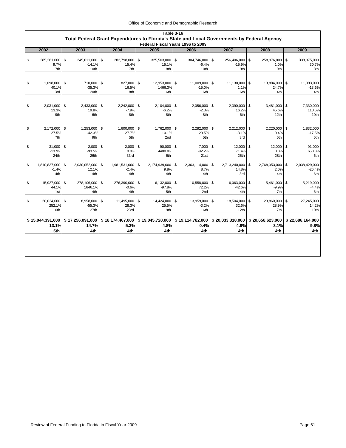|                                       |                                       | Total Federal Grant Expenditures to Florida's State and Local Governments by Federal Agency |                                    | <b>Table 3-16</b><br>Federal Fiscal Years 1996 to 2009 |                                         |                                    |                                                |
|---------------------------------------|---------------------------------------|---------------------------------------------------------------------------------------------|------------------------------------|--------------------------------------------------------|-----------------------------------------|------------------------------------|------------------------------------------------|
| 2002                                  | 2003                                  | 2004                                                                                        | 2005                               | 2006                                                   | 2007                                    | 2008                               | 2009                                           |
| \$<br>285,281,000<br>9.7%<br>7th      | \$<br>245,011,000<br>$-14.1%$<br>10th | \$<br>282,798,000<br>15.4%<br>7th                                                           | \$<br>325,503,000<br>15.1%<br>8th  | \$<br>304,746,000<br>$-6.4%$<br>10th                   | \$<br>256,406,000<br>$-15.9%$<br>9th    | 258,976,000<br>\$<br>1.0%<br>9th   | \$<br>338,375,000<br>30.7%<br>8th              |
| \$<br>1,098,000<br>40.1%<br>3rd       | 710,000 \$<br>\$<br>$-35.3%$<br>20th  | 827,000<br>16.5%<br>8th                                                                     | \$<br>12,953,000<br>1466.3%<br>6th | \$<br>11,009,000<br>$-15.0%$<br>6th                    | \$<br>11,130,000<br>1.1%<br>6th         | \$<br>13,884,000<br>24.7%<br>4th   | $\mathcal{S}$<br>11,993,000<br>$-13.6%$<br>4th |
| \$<br>2,031,000<br>13.3%<br>9th       | \$<br>2,433,000<br>19.8%<br>6th       | \$<br>2,242,000<br>$-7.9%$<br>8th                                                           | \$<br>2,104,000<br>$-6.2%$<br>8th  | $2,056,000$ \$<br>\$<br>$-2.3%$<br>8th                 | 2,390,000<br>16.2%<br>6th               | \$<br>3,481,000<br>45.6%<br>12th   | \$<br>7,330,000<br>110.6%<br>10th              |
| \$<br>2,172,000<br>27.5%<br>7th       | \$<br>1,253,000<br>$-42.3%$<br>9th    | \$<br>1,600,000<br>27.7%<br>5th                                                             | \$<br>1,762,000<br>10.1%<br>2nd    | \$<br>2,282,000 \$<br>29.5%<br>5th                     | 2,212,000<br>$-3.1%$<br>3rd             | \$<br>2,220,000<br>0.4%<br>5th     | \$<br>1,832,000<br>$-17.5%$<br>5th             |
| \$<br>31,000<br>$-13.9%$<br>24th      | \$<br>2,000<br>$-93.5%$<br>26th       | \$<br>2,000<br>0.0%<br>33rd                                                                 | \$<br>90,000<br>4400.0%<br>6th     | \$<br>7,000<br>$-92.2%$<br>21st                        | \$<br>12,000<br>71.4%<br>25th           | \$<br>12,000<br>0.0%<br>28th       | \$<br>91,000<br>658.3%<br>6th                  |
| \$<br>1,810,837,000<br>$-1.4%$<br>4th | \$<br>2,030,052,000<br>12.1%<br>4th   | \$<br>1,981,531,000<br>$-2.4%$<br>4th                                                       | \$<br>2,174,939,000<br>9.8%<br>4th | \$<br>2,363,114,000<br>8.7%<br>4th                     | \$<br>2,713,240,000<br>14.8%<br>3rd     | \$<br>2,768,353,000<br>2.0%<br>4th | \$<br>2,038,429,000<br>$-26.4%$<br>6th         |
| \$<br>15,927,000<br>44.1%<br>1st      | \$<br>278,106,000<br>1646.1%<br>4th   | \$<br>276,390,000<br>$-0.6%$<br>4th                                                         | \$<br>6,132,000<br>$-97.8%$<br>5th | 10,558,000 \$<br>\$<br>72.2%<br>2nd                    | 6,063,000<br>$-42.6%$<br>4th            | \$<br>5,461,000<br>$-9.9%$<br>7th  | \$<br>5,219,000<br>$-4.4%$<br>6th              |
| \$<br>20,024,000<br>252.1%<br>6th     | \$<br>8,958,000<br>$-55.3%$<br>27th   | \$<br>11,495,000<br>28.3%<br>23rd                                                           | \$<br>14,424,000<br>25.5%<br>19th  | 13,959,000 \$<br>\$<br>$-3.2%$<br>16th                 | 18,504,000<br>32.6%<br>12 <sub>th</sub> | \$<br>23,860,000<br>28.9%<br>7th   | \$<br>27,245,000<br>14.2%<br>10th              |
| \$15,044,391,000<br>13.1%             | \$17,256,091,000<br>14.7%             | \$18,174,467,000<br>5.3%                                                                    | \$19,045,720,000<br>4.8%           | \$19,114,782,000<br>0.4%                               | \$20,033,318,000<br>4.8%                | \$20,658,623,000<br>3.1%           | \$22,686,164,000<br>9.8%                       |
| 5th                                   | 4th                                   | 4th                                                                                         | 4th                                | 4th                                                    | 4th                                     | 4th                                | 4th                                            |
|                                       |                                       |                                                                                             |                                    |                                                        |                                         |                                    |                                                |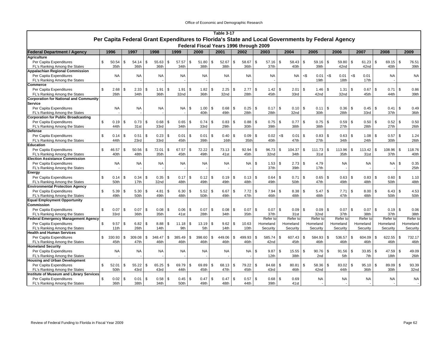|                                                                                                                                                                                                                                                                                                     |              |              |              |              |                |              |            |              |    |              |    | Table 3-17       |              |              |                                                                                                                                            |          |                       |              |              |          |              |        |              |              |    |                  |
|-----------------------------------------------------------------------------------------------------------------------------------------------------------------------------------------------------------------------------------------------------------------------------------------------------|--------------|--------------|--------------|--------------|----------------|--------------|------------|--------------|----|--------------|----|------------------|--------------|--------------|--------------------------------------------------------------------------------------------------------------------------------------------|----------|-----------------------|--------------|--------------|----------|--------------|--------|--------------|--------------|----|------------------|
|                                                                                                                                                                                                                                                                                                     |              |              |              |              |                |              |            |              |    |              |    |                  |              |              | Per Capita Federal Grant Expenditures to Florida's State and Local Governments by Federal Agency<br>Federal Fiscal Years 1996 through 2009 |          |                       |              |              |          |              |        |              |              |    |                  |
| <b>Federal Department / Agency</b>                                                                                                                                                                                                                                                                  |              | 1996         |              | 1997         |                | 1998         |            | 1999         |    | 2000         |    | 2001             |              | 2002         | 2003                                                                                                                                       |          | 2004                  |              | 2005         |          | 2006         |        | 2007         | 2008         |    | 2009             |
| <b>Agriculture</b>                                                                                                                                                                                                                                                                                  |              |              |              |              |                |              |            |              |    |              |    |                  |              |              |                                                                                                                                            |          |                       |              |              |          |              |        |              |              |    |                  |
| Per Capita Expenditures                                                                                                                                                                                                                                                                             | $\mathbb{S}$ | 50.54        | \$           | 54.14        | $$\mathbb{S}$$ | 55.63        | $\sqrt{3}$ | 57.57        | \$ | 51.80        | \$ | 52.67            | \$           | 58.67        | \$<br>$57.16$ \$                                                                                                                           |          |                       |              | $59.16$ \$   |          | 59.80        | \$     | 61.23        | \$<br>69.15  | \$ | 76.51            |
| FL's Ranking Among the States                                                                                                                                                                                                                                                                       |              | 35th         |              | 36th         |                | 36th         |            | 34th         |    | 38th         |    | 38th             |              | 36th         | 37th                                                                                                                                       |          | 40th                  |              | 39th         |          | 42nd         |        | 42nd         | 40th         |    | 39th             |
| <b>Appalachian Regional Commission</b>                                                                                                                                                                                                                                                              |              |              |              |              |                |              |            |              |    |              |    |                  |              |              |                                                                                                                                            |          |                       |              |              |          |              |        |              |              |    |                  |
| Per Capita Expenditures                                                                                                                                                                                                                                                                             |              | <b>NA</b>    |              | <b>NA</b>    |                | NA           |            | NA           |    | <b>NA</b>    |    | NA               |              | NA           | NA                                                                                                                                         |          | NA                    | $<$ \$       | 0.01         | $<$ \$   | 0.01         | $<$ \$ | 0.01         | <b>NA</b>    |    | NA               |
| FL's Ranking Among the States                                                                                                                                                                                                                                                                       |              |              |              |              |                |              |            |              |    |              |    |                  |              |              |                                                                                                                                            |          |                       |              | 19th         |          | 18th         |        | 17th         |              |    |                  |
| <b>Commerce</b>                                                                                                                                                                                                                                                                                     |              |              |              |              |                |              |            |              |    |              |    |                  |              |              |                                                                                                                                            |          |                       |              |              |          |              |        |              |              |    |                  |
| Per Capita Expenditures                                                                                                                                                                                                                                                                             | $\mathbf{s}$ | 2.68         | $\mathbf{s}$ | 2.33         | \$             | 1.91         | l \$       | 1.91         | \$ | 1.82         | \$ | 2.25             | <b>S</b>     | 2.77         | \$<br>$1.42 \,$ \ \$                                                                                                                       |          | $2.01$ \$             |              | $1.46$ \$    |          | 1.31         | \$     | 0.67         | \$<br>0.71   | \$ | 0.86             |
| FL's Ranking Among the States                                                                                                                                                                                                                                                                       |              | 26th         |              | 34th         |                | 36th         |            | 32nd         |    | 36th         |    | 32nd             |              | 28th         | 45th                                                                                                                                       |          | 33rd                  |              | 42nd         |          | 32nd         |        | 45th         | 44th         |    | 39th             |
| <b>Corporation for National and Community</b>                                                                                                                                                                                                                                                       |              |              |              |              |                |              |            |              |    |              |    |                  |              |              |                                                                                                                                            |          |                       |              |              |          |              |        |              |              |    |                  |
| Service                                                                                                                                                                                                                                                                                             |              |              |              |              |                |              |            |              |    |              |    |                  |              |              |                                                                                                                                            |          |                       |              |              |          |              |        |              |              |    |                  |
| Per Capita Expenditures                                                                                                                                                                                                                                                                             |              | <b>NA</b>    |              | <b>NA</b>    |                | <b>NA</b>    |            | <b>NA</b>    | \$ | 1.00         | \$ | 0.68             | $\mathsf{s}$ | 0.25         | \$                                                                                                                                         |          | $0.10$ \ \$           |              | 0.11         | <b>S</b> | 0.36         | \$     | 0.45         | \$<br>0.41   | \$ | 0.49             |
| FL's Ranking Among the States                                                                                                                                                                                                                                                                       |              |              |              |              |                |              |            |              |    | 40th         |    | 49th             |              | 28th         | 28th                                                                                                                                       |          | 32nd                  |              | 30th         |          | 28th         |        | 33rd         | 37th         |    | 36th             |
| <b>Corporation for Public Broadcasting</b>                                                                                                                                                                                                                                                          |              |              |              |              |                |              |            |              |    |              |    |                  |              |              |                                                                                                                                            |          |                       |              |              |          |              |        |              |              |    |                  |
| Per Capita Expenditures                                                                                                                                                                                                                                                                             | \$           | 0.19         | \$           | 0.73         | <b>S</b>       | 0.68         | \$         | 0.65         | \$ | 0.74         | \$ | 0.83             | $\mathbf{s}$ | 0.88         | \$<br>$0.75$ \$                                                                                                                            |          |                       |              | 0.75         | \$       | 0.59         | \$     | 0.50         | \$<br>0.52   | \$ | 0.50             |
|                                                                                                                                                                                                                                                                                                     |              | 44th         |              | 31st         |                | 33rd         |            | 34th         |    | 33rd         |    | 29th             |              | 30th         | 39th                                                                                                                                       |          | 38th                  |              | 38th         |          | 27th         |        | 28th         | 27th         |    | 26th             |
| FL's Ranking Among the States<br><b>Defense</b><br>$\mathbb{S}$<br>\$<br>$<$ \$<br>\$<br>\$<br>0.23<br>\$<br>0.01<br>\$<br>0.40<br>$\mathfrak{s}$<br>\$<br>$0.01$ \ \ \$<br>\$<br>\$<br>\$<br>0.57<br>\$<br>Per Capita Expenditures<br>0.14<br>0.51<br>0.01<br>0.09<br>0.02<br>0.83<br>0.63<br>1.08 |              |              |              |              |                |              |            |              |    |              |    |                  |              |              |                                                                                                                                            |          |                       |              |              |          |              |        |              |              |    |                  |
| FL's Ranking Among the States<br>44th<br>23rd<br>33rd<br>45th<br>39th<br>16th<br>35th<br>40th<br>47th<br>27th<br>34th<br>24th<br>30th                                                                                                                                                               |              |              |              |              |                |              |            |              |    |              |    |                  |              |              | 1.24                                                                                                                                       |          |                       |              |              |          |              |        |              |              |    |                  |
|                                                                                                                                                                                                                                                                                                     |              |              |              |              |                |              |            |              |    |              |    |                  |              |              |                                                                                                                                            |          |                       |              |              |          |              |        |              |              |    | 26th             |
| ducation:                                                                                                                                                                                                                                                                                           |              |              |              |              |                |              |            |              |    |              |    |                  |              |              |                                                                                                                                            |          |                       |              |              |          |              |        |              |              |    |                  |
| Per Capita Expenditures                                                                                                                                                                                                                                                                             | \$           | 46.57        | \$           | 50.56        | \$             | 72.01        | \$         | 67.57        | \$ | 72.22        | \$ | 73.13            | -\$          | 92.94        | \$<br>96.73                                                                                                                                | \$       | 104.37                | $\mathbf{s}$ | 111.73       | \$       | 113.96       | \$     | 113.42       | \$<br>108.96 | \$ | 118.76           |
| FL's Ranking Among the States                                                                                                                                                                                                                                                                       |              | 40th         |              | 48th         |                | 35th         |            | 45th         |    | 49th         |    | 41 <sub>st</sub> |              | 45th         | 32nd                                                                                                                                       |          | 34th                  |              | 31st         |          | 35th         |        | 31st         | 37th         |    | 40th             |
| <b>Election Assistance Commission</b>                                                                                                                                                                                                                                                               |              |              |              |              |                |              |            |              |    |              |    |                  |              |              |                                                                                                                                            |          |                       |              |              |          |              |        |              |              |    |                  |
| Per Capita Expenditures                                                                                                                                                                                                                                                                             |              | <b>NA</b>    |              | <b>NA</b>    |                | NA           |            | <b>NA</b>    |    | <b>NA</b>    |    | <b>NA</b>        |              | <b>NA</b>    | \$<br>1.53                                                                                                                                 | <b>S</b> | $2.73$ \$             |              | 4.79         |          | <b>NA</b>    |        | <b>NA</b>    | NA           | \$ | 0.35             |
| FL's Ranking Among the States                                                                                                                                                                                                                                                                       |              |              |              |              |                |              |            |              |    |              |    |                  |              |              | 37th                                                                                                                                       |          | 39th                  |              | 17th         |          |              |        |              |              |    | 25th             |
| Energy                                                                                                                                                                                                                                                                                              |              |              |              |              |                |              |            |              |    |              |    |                  |              |              |                                                                                                                                            |          |                       |              |              |          |              |        |              |              |    |                  |
| Per Capita Expenditures                                                                                                                                                                                                                                                                             | \$           | 0.14         | \$           | 0.34         | \$             | 0.35         | \$         | 0.17         | \$ | 0.12         | \$ | 0.19             | \$           | 0.13         | \$<br>0.64                                                                                                                                 | \$       |                       |              | 0.65         | \$       | 0.63         | \$     | 0.83         | \$<br>0.60   | \$ | 1.10             |
| FL's Ranking Among the States                                                                                                                                                                                                                                                                       |              | 50th         |              | 17th         |                | 32nd         |            | 48th         |    | 49th         |    | 49th             |              | 48th         | 49th                                                                                                                                       |          | 50th                  |              | 47th         |          | 49th         |        | 48th         | 50th         |    | 48th             |
| <b>Environmental Protection Agency</b>                                                                                                                                                                                                                                                              |              |              |              |              |                |              |            |              |    |              |    |                  |              |              |                                                                                                                                            |          |                       |              |              |          |              |        |              |              |    |                  |
|                                                                                                                                                                                                                                                                                                     | \$           |              | \$           |              | \$             |              |            |              | \$ |              | \$ |                  | \$           |              | \$                                                                                                                                         | \$       |                       |              |              | \$       |              | \$     |              | \$           | \$ |                  |
| Per Capita Expenditures<br>FL's Ranking Among the States                                                                                                                                                                                                                                            |              | 5.39<br>49th |              | 5.30<br>50th |                | 4.81<br>49th | \$         | 6.30<br>48th |    | 5.52<br>50th |    | 6.67<br>49th     |              | 7.72<br>47th | 7.94<br>46th                                                                                                                               |          | $8.38$ \ \ \$<br>48th |              | 5.47<br>48th |          | 7.71<br>47th |        | 8.00<br>48th | 6.43<br>50th |    | 4.53<br>50th     |
| <b>Equal Employment Opportunity</b>                                                                                                                                                                                                                                                                 |              |              |              |              |                |              |            |              |    |              |    |                  |              |              |                                                                                                                                            |          |                       |              |              |          |              |        |              |              |    |                  |
|                                                                                                                                                                                                                                                                                                     |              |              |              |              |                |              |            |              |    |              |    |                  |              |              |                                                                                                                                            |          |                       |              |              |          |              |        |              |              |    |                  |
| <b>Commission</b>                                                                                                                                                                                                                                                                                   | $\mathbf{s}$ | 0.07         | \$           | 0.07         | \$             | 0.08         | \$         | 0.06         | \$ | 0.07         | \$ | 0.08             | \$           | 0.07         | \$<br>0.07                                                                                                                                 | \$       | $0.09$ \$             |              | 0.09         | \$       | 0.07         | \$     | 0.07         | \$<br>0.19   | \$ |                  |
| Per Capita Expenditures                                                                                                                                                                                                                                                                             |              | 33rd         |              | 36th         |                | 35th         |            |              |    | 28th         |    |                  |              | 35th         | 37th                                                                                                                                       |          | 31st                  |              | 32nd         |          | 37th         |        | 38th         | 37th         |    | 0.06             |
| FL's Ranking Among the States<br><b>Federal Emergency Management Agency</b>                                                                                                                                                                                                                         |              |              |              |              |                |              |            | 41st         |    |              |    | 34th             |              |              | Refer to                                                                                                                                   |          | Refer to              |              | Refer to     |          | Refer to     |        | Refer to     | Refer to     |    | 38th<br>Refer to |
|                                                                                                                                                                                                                                                                                                     |              |              | \$           |              | \$             |              |            |              | \$ |              | \$ |                  |              |              |                                                                                                                                            |          |                       |              |              |          |              |        |              |              |    |                  |
| Per Capita Expenditures                                                                                                                                                                                                                                                                             | \$           | 9.57         |              | 6.82         |                | 8.88         | \$         | 11.18        |    | 13.19        |    | 9.62             | \$           | 10.63        | Homeland                                                                                                                                   |          | Homeland              |              | Homeland     |          | Homeland     |        | Homeland     | Homeland     |    | Homeland         |
| FL's Ranking Among the States<br><b>Health and Human Services</b>                                                                                                                                                                                                                                   |              | 11th         |              | 26th         |                | 14th         |            | 9th          |    | 5th          |    | 14th             |              | 10th         | Security                                                                                                                                   |          | Security              |              | Security     |          | Security     |        | Security     | Security     |    | Security         |
|                                                                                                                                                                                                                                                                                                     | \$           |              |              |              |                |              |            |              |    |              |    |                  |              |              |                                                                                                                                            |          |                       |              |              |          |              |        |              |              |    |                  |
| Per Capita Expenditures                                                                                                                                                                                                                                                                             |              | 330.93       | \$           | 309.08       | \$             | 348.47       | \$         | 385.49       | \$ | 398.60       | \$ | 449.06           | -\$          | 499.93       | \$<br>585.74                                                                                                                               | \$       | 607.43                | <b>S</b>     | 584.93       | \$       | 536.57       | \$     | 604.09       | \$<br>622.55 | \$ | 732.17           |
| FL's Ranking Among the States                                                                                                                                                                                                                                                                       |              | 45th         |              | 47th         |                | 46th         |            | 46th         |    | 46th         |    | 46th             |              | 46th         | 42nd                                                                                                                                       |          | 45th                  |              | 46th         |          | 46th         |        | 46th         | 46th         |    | 46th             |
| <b>Homeland Security</b>                                                                                                                                                                                                                                                                            |              |              |              |              |                |              |            |              |    |              |    |                  |              |              |                                                                                                                                            |          |                       |              |              |          |              |        |              |              |    |                  |
| Per Capita Expenditures                                                                                                                                                                                                                                                                             |              | <b>NA</b>    |              | <b>NA</b>    |                | NA           |            | <b>NA</b>    |    | <b>NA</b>    |    | <b>NA</b>        |              | <b>NA</b>    | \$<br>9.87                                                                                                                                 | \$       | $15.55$ \$            |              | 90.76        | \$       | 91.56        | \$     | 33.85        | \$<br>47.59  | \$ | 49.09            |
| FL's Ranking Among the States                                                                                                                                                                                                                                                                       |              |              |              |              |                |              |            |              |    |              |    |                  |              |              | 12th                                                                                                                                       |          | 38th                  |              | 2nd          |          | 5th          |        | 7th          | 18th         |    | 26th             |
| <b>Housing and Urban Development</b>                                                                                                                                                                                                                                                                |              |              |              |              |                |              |            |              |    |              |    |                  |              |              |                                                                                                                                            |          |                       |              |              |          |              |        |              |              |    |                  |
| Per Capita Expenditures                                                                                                                                                                                                                                                                             | \$           | 52.01        | \$           | 55.22        | \$             | 65.25        | \$         | 69.79        | \$ | 69.89        | \$ | 68.13            | \$           | 79.22        | \$<br>84.68                                                                                                                                | \$       | 80.81                 | <b>S</b>     | 58.36        | \$       | 83.02        | \$     | 95.10        | \$<br>89.09  | \$ | 93.39            |
| FL's Ranking Among the States                                                                                                                                                                                                                                                                       |              | 50th         |              | 43rd         |                | 43rd         |            | 44th         |    | 45th         |    | 47th             |              | 45th         | 43rd                                                                                                                                       |          | 46th                  |              | 42nd         |          | 44th         |        | 36th         | 30th         |    | 32nd             |
| Institute of Museum and Library Services                                                                                                                                                                                                                                                            |              |              |              |              |                |              |            |              |    |              |    |                  |              |              |                                                                                                                                            |          |                       |              |              |          |              |        |              |              |    |                  |
| Per Capita Expenditures                                                                                                                                                                                                                                                                             | \$           | 0.02         | \$           | 0.01         | \$             | 0.58         | \$         | 0.45         | \$ | 0.47         | \$ | 0.47             | \$           | 0.57         | \$                                                                                                                                         |          | 0.69                  |              | <b>NA</b>    |          | <b>NA</b>    |        | <b>NA</b>    | <b>NA</b>    |    | NA               |
| FL's Ranking Among the States                                                                                                                                                                                                                                                                       |              | 36th         |              | 38th         |                | 34th         |            | 50th         |    | 49th         |    | 48th             |              | 44th         | 39th                                                                                                                                       |          | 41st                  |              |              |          |              |        |              |              |    |                  |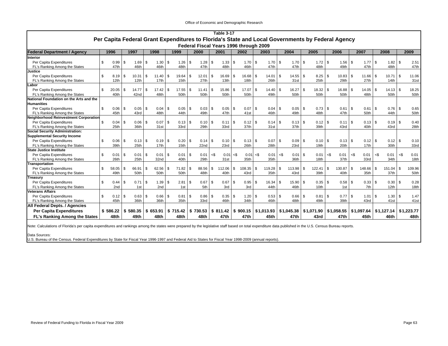|                                              |                     |                |           |                   |                 |           |     |          |        | Table 3-17       |          |                                        |            |                                 |          |                  |                                                                                                  |        |            |        |            |                |           |      |            |
|----------------------------------------------|---------------------|----------------|-----------|-------------------|-----------------|-----------|-----|----------|--------|------------------|----------|----------------------------------------|------------|---------------------------------|----------|------------------|--------------------------------------------------------------------------------------------------|--------|------------|--------|------------|----------------|-----------|------|------------|
|                                              |                     |                |           |                   |                 |           |     |          |        |                  |          |                                        |            |                                 |          |                  | Per Capita Federal Grant Expenditures to Florida's State and Local Governments by Federal Agency |        |            |        |            |                |           |      |            |
|                                              |                     |                |           |                   |                 |           |     |          |        |                  |          | Federal Fiscal Years 1996 through 2009 |            |                                 |          |                  |                                                                                                  |        |            |        |            |                |           |      |            |
| <b>Federal Department / Agency</b>           | 1996                | 1997           |           | 1998              |                 | 1999      |     | 2000     |        | 2001             |          | 2002                                   |            | 2003                            |          | 2004             | 2005                                                                                             |        | 2006       |        | 2007       | 2008           |           |      | 2009       |
| <b>Interior</b>                              |                     |                |           |                   |                 |           |     |          |        |                  |          |                                        |            |                                 |          |                  |                                                                                                  |        |            |        |            |                |           |      |            |
| Per Capita Expenditures                      | \$<br>$0.99$ \$     |                | 1.69      | Ŝ.<br>1.30        | l \$            | 1.26      | \$  | 1.28     | \$     | 1.33             | l \$     | 1.70                                   | $\sqrt{3}$ | 1.70                            | \$       | 1.70             | \$<br>1.72                                                                                       | \$     | 1.56       | - \$   | 1.77       | \$             | 1.82      | \$   | 2.51       |
| FL's Ranking Among the States                | 47th                |                | 46th      | 46th              |                 | 48th      |     | 47th     |        | 48th             |          | 46th                                   |            | 47th                            |          | 47th             | 48th                                                                                             |        | 49th       |        | 47th       |                | 48th      |      | 47th       |
| <b>Justice</b>                               |                     |                |           |                   |                 |           |     |          |        |                  |          |                                        |            |                                 |          |                  |                                                                                                  |        |            |        |            |                |           |      |            |
| Per Capita Expenditures                      | \$<br>8.19          | \$             | 10.31     | 11.40<br>. ጽ      | l \$            | 19.64     | \$  | 12.01    | \$     | 16.69            | <b>S</b> | 16.68                                  | - \$       | 14.01                           | \$       | 14.55            | $\mathbf{s}$<br>8.25                                                                             | \$     |            |        | 11.66      | \$             | 10.71     | \$   | 11.06      |
| FL's Ranking Among the States                | 12th                |                | 12th      | 17th              |                 | 15th      |     | 27th     |        | 13 <sub>th</sub> |          | 18th                                   |            | 26th                            |          | 31st             | 25th                                                                                             |        | 29th       |        | 27th       |                | 14th      |      | 31st       |
| Labor                                        |                     |                |           |                   |                 |           |     |          |        |                  |          |                                        |            |                                 |          |                  |                                                                                                  |        |            |        |            |                |           |      |            |
| Per Capita Expenditures                      | \$<br>$20.05$ \$    |                | 14.77     | Ŝ.                |                 | 17.55     | \$  | 11.41    | \$     | 15.86            | l \$     | 17.07                                  | \$         | 14.40                           | \$       | $16.27$ \$       | 18.32                                                                                            | \$     |            |        | 14.05      | \$             |           |      | 18.25      |
| FL's Ranking Among the States                | 40th                |                | 42nd      | 48th              |                 | 50th      |     | 50th     |        | 50th             |          | 50th                                   |            | 49th                            |          | 50th             | 50th                                                                                             |        | 50th       |        | 48th       |                | 50th      |      | 50th       |
| National Foundation on the Arts and the      |                     |                |           |                   |                 |           |     |          |        |                  |          |                                        |            |                                 |          |                  |                                                                                                  |        |            |        |            |                |           |      |            |
| <b>Humanities</b>                            |                     |                |           |                   |                 |           |     |          |        |                  |          |                                        |            |                                 |          |                  |                                                                                                  |        |            |        |            |                |           |      |            |
| Per Capita Expenditures                      | \$<br>$0.06$ \ \ \$ |                | 0.05      | $0.04$ \$<br>- \$ |                 | $0.05$ \$ |     | 0.03     | \$     | 0.05             | <b>S</b> | 0.07                                   | l \$       |                                 |          | 0.05             | - \$<br>0.73                                                                                     | \$     | $0.61$ \$  |        | 0.61       | \$             | $0.76$ \$ |      | 0.65       |
| FL's Ranking Among the States                | 45th                |                | 43rd      | 48th              |                 | 44th      |     | 49th     |        | 47th             |          | 41 <sub>st</sub>                       |            | 46th                            |          | 49th             | 48th                                                                                             |        | 47th       |        | 50th       |                | 44th      |      | 50th       |
| <b>Neighborhood Reinvestment Corporation</b> |                     |                |           |                   |                 |           |     |          |        |                  |          |                                        |            |                                 |          |                  |                                                                                                  |        |            |        |            |                |           |      |            |
| Per Capita Expenditures                      | 0.04                | $\mathfrak{L}$ | 0.06      | 0.07<br>\$        | $\mathsf{s}$    | 0.13      | \$. | 0.10     | \$     | 0.11             | l \$     | 0.12                                   | - \$       | 0.14                            | l \$     | 0.13             | \$<br>0.12                                                                                       | \$     | $0.11$ \\$ |        | 0.13       | $\mathfrak{s}$ | 0.19      | - \$ | 0.40       |
| FL's Ranking Among the States                | 25th                |                | 36th      | 31st              |                 | 33rd      |     | 29th     |        | 33rd             |          | 37th                                   |            | 31st                            |          | 37 <sub>th</sub> | 39th                                                                                             |        | 43rd       |        | 40th       |                | 43rd      |      | 28th       |
| <b>Social Security Administration:</b>       |                     |                |           |                   |                 |           |     |          |        |                  |          |                                        |            |                                 |          |                  |                                                                                                  |        |            |        |            |                |           |      |            |
| <b>Supplemental Security Income</b>          |                     |                |           |                   |                 |           |     |          |        |                  |          |                                        |            |                                 |          |                  |                                                                                                  |        |            |        |            |                |           |      |            |
| Per Capita Expenditures                      | \$<br>$0.06$ \ \ \$ |                | $0.13$ \$ | $0.19$ \$         |                 | $0.20$ \$ |     | 0.14     | \$     | 0.10             | <b>S</b> |                                        |            | 0.07                            | <b>S</b> | $0.09$ \$        | 0.10                                                                                             | \$     |            |        | 0.12       | \$             | $0.12$ \$ |      | 0.10       |
| FL's Ranking Among the States                | 39th                |                | 25th      | 17th              |                 | 15th      |     | 22nd     |        | 23rd             |          | 26th                                   |            | 28th                            |          | 23rd             | 19th                                                                                             |        | 20th       |        | 17th       |                | 30th      |      | 33rd       |
| <b>State Justice Institute</b>               |                     |                |           |                   |                 |           |     |          |        |                  |          |                                        |            |                                 |          |                  |                                                                                                  |        |            |        |            |                |           |      |            |
| Per Capita Expenditures                      | \$<br>$0.01$ \$     |                | 0.01      | Ŝ.<br>0.01        | $\mathsf{I}$ \$ | 0.01      | \$  | 0.01     | $\leq$ | 0.01             | $<$ \$   | 0.01                                   | $<$ \$     | 0.01                            | $<$ \$   | $0.01$ \$        | 0.01                                                                                             | $<$ \$ | 0.01       | $<$ \$ | 0.01       | $<$ \$         | 0.01      | <    | 0.01       |
| FL's Ranking Among the States                | 26th                |                | 25th      | 32nd              |                 | 40th      |     | 29th     |        | 31st             |          | 35th                                   |            | 35th                            |          | 36th             | 18th                                                                                             |        | 37th       |        | 33rd       |                | 34th      |      | 18th       |
| <b>Transportation</b>                        |                     |                |           |                   |                 |           |     |          |        |                  |          |                                        |            |                                 |          |                  |                                                                                                  |        |            |        |            |                |           |      |            |
| Per Capita Expenditures                      | \$<br>58.05         | - \$           | 66.91     | 62.56<br>- \$     |                 | 71.82     | \$  | 88.56    | \$     | 112.06           | l \$     | 108.35                                 | - \$       | 119.28                          | \$       | 113.98           | \$<br>122.41                                                                                     | \$     | 130.87     | \$     | 148.66     | \$             | 151.04    | -\$  | 109.96     |
| FL's Ranking Among the States                | 49th                |                | 50th      | 50th              |                 | 50th      |     | 48th     |        | 40th             |          | 43rd                                   |            | 35th                            |          | 43rd             | 39th                                                                                             |        | 40th       |        | 35th       |                | 37th      |      | 50th       |
| <b>Treasury</b>                              |                     |                |           |                   |                 |           |     |          |        |                  |          |                                        |            |                                 |          |                  |                                                                                                  |        |            |        |            |                |           |      |            |
| Per Capita Expenditures                      | \$                  |                | 0.71      | Ŝ.                |                 | 2.81      | \$  | 0.67     | \$     | 0.67             | l \$     | $0.95$ \$                              |            | 16.34                           | <b>S</b> | 15.90 \$         | 0.35                                                                                             | \$     |            |        | 0.33       | \$             |           |      | 0.28       |
| FL's Ranking Among the States                | 2nd                 |                | 1st       | 2nd               |                 | 1st       |     | 5th      |        | 3rd              |          | 3rd                                    |            | 44th                            |          | 46th             | 10th                                                                                             |        | 1st        |        | 7th        |                | 12th      |      | 18th       |
| <b>Veterans Affairs</b>                      |                     |                |           |                   |                 |           |     |          |        |                  |          |                                        |            |                                 |          |                  |                                                                                                  |        |            |        |            |                |           |      |            |
| Per Capita Expenditures                      | \$<br>0.12          | $\mathfrak{L}$ | 0.63      | \$<br>$0.66$ \ \$ |                 | 0.81      | \$  | 0.86     | \$     | 0.35             | l \$     | 1.20                                   | - \$       |                                 |          | 0.66             | \$<br>0.81                                                                                       | \$     | $0.77$ \$  |        | 1.01       | \$             |           |      | 1.47       |
| FL's Ranking Among the States                | 45th                |                | 36th      | 36th              |                 | 35th      |     | 33rd     |        | 46th             |          | 34th                                   |            | 46th                            |          | 48th             | 49th                                                                                             |        | 39th       |        | 43rd       |                | 41st      |      | 41st       |
| All Federal Depts. / Agencies                |                     |                |           |                   |                 |           |     |          |        |                  |          |                                        |            |                                 |          |                  |                                                                                                  |        |            |        |            |                |           |      |            |
| <b>Per Capita Expenditures</b>               | \$586.22            | \$<br>580.35   |           | \$653.91          |                 | \$715.42  |     | \$730.53 |        |                  |          |                                        |            | $$811.42$ $$900.15$ $$1.013.93$ |          |                  | $$1.045.38$ $$1.071.90$                                                                          |        | \$1.058.55 |        | \$1,097.64 | \$1.127.14     |           |      | \$1,223,77 |
| <b>FL's Ranking Among the States</b>         | 48th                |                | 49th      | 48th              |                 | 48th      |     | 48th     |        | 47th             |          | 47th                                   |            | 45th                            |          | 47th             | 43rd                                                                                             |        | 47th       |        | 45th       |                | 46th      |      | 48th       |

Note: Calculations of Florida's per capita expenditures and rankings among the states were prepared by the legislative staff based on total expenditure data published in the U.S. Census Bureau reports.

Data Sources:

U.S. Bureau of the Census. Federal Expenditures by State for Fiscal Year 1996-1997 and Federal Aid to States for Fiscal Year 1998-2009 (annual reports).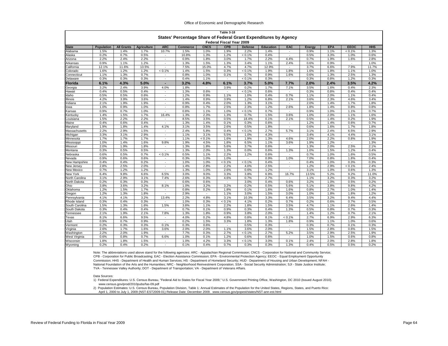|                |                   |                   |                    |                          |                 |              | Table 3-18                      |                |                                                                  |                          |               |            |        |            |
|----------------|-------------------|-------------------|--------------------|--------------------------|-----------------|--------------|---------------------------------|----------------|------------------------------------------------------------------|--------------------------|---------------|------------|--------|------------|
|                |                   |                   |                    |                          |                 |              |                                 |                | States' Percentage Share of Federal Grant Expenditures by Agency |                          |               |            |        |            |
|                |                   |                   |                    |                          |                 |              | <b>Federal Fiscal Year 2009</b> |                |                                                                  |                          |               |            |        |            |
| <b>State</b>   | <b>Population</b> | <b>All Grants</b> | <b>Agriculture</b> | <b>ARC</b>               | <b>Commerce</b> | <b>CNCS</b>  | <b>CPB</b>                      | <b>Defense</b> | <b>Education</b>                                                 | <b>EAC</b>               | <b>Energy</b> | <b>EPA</b> | EEOC   | <b>HHS</b> |
| Alabama        | 1.5%              | 1.4%              | 1.7%               | 10.7%                    | 1.5%            | 1.0%         | 1.9%                            | 2.2%           | 1.4%                                                             | $\sim$                   | 0.9%          | 1.1%       | < 0.1% | 1.3%       |
| Alaska         | 0.2%              | 0.7%              | 0.5%               | $\overline{\phantom{a}}$ | 10.8%           | 1.3%         | 1.2%                            | < 0.1%         | 0.4%                                                             | $\sim$                   | 0.5%          | 3.3%       | 1.0%   | 0.6%       |
| Arizona        | 2.2%              | 2.4%              | 2.2%               | ÷.                       | 0.9%            | 1.8%         | 3.0%                            | 1.7%           | 2.2%                                                             | 4.4%                     | 0.7%          | 1.9%       | 1.6%   | 2.8%       |
| Arkansas       | 0.9%              | 1.1%              | 1.2%               | ÷.                       | 1.3%            | 1.5%         | 1.3%                            | 3.4%           | 1.1%                                                             | 2.4%                     | 0.6%          | 0.9%       | ÷,     | 1.0%       |
| California     | 12.1%             | 11.6%             | 13.5%              | $\sim$                   | 7.5%            | 15.0%        | 4.7%                            | 4.7%           | 12.9%                                                            | $\sim$                   | 3.7%          | 6.6%       | 7.9%   | 11.7%      |
| Colorado       | 1.6%              | 1.2%              | 1.2%               | < 0.1%                   | 1.4%            | 1.5%         | 0.3%                            | < 0.1%         | 1.9%                                                             | 1.8%                     | 1.6%          | 1.8%       | 1.1%   | 1.0%       |
| Connecticut    | 1.1%              | 1.3%              | 0.7%               |                          | 0.8%            | 1.0%         | 0.1%                            | 0.7%           | 0.9%                                                             | 1.6%                     | 0.6%          | 1.3%       | 2.5%   | 1.3%       |
| Delaware       | 0.3%              | 0.3%              | 0.3%               | $\sim$                   | 0.4%            | 1.1%         | $\epsilon$                      | < 0.1%         | 0.3%                                                             | $\sim$                   | 0.3%          | 0.8%       | 1.2%   | 0.3%       |
| <b>Florida</b> | 6.1%              | 4.3%              | 5.0%               | $\overline{a}$           | 3.2%            | 4.8%         | 6.1%                            | 3.7%           | 5.0%                                                             | 7.7%                     | 2.0%          | 2.4%       | 3.5%   | 4.2%       |
| Georgia        | 3.2%              | 2.4%              | 3.9%               | 4.0%                     | 1.8%            | $\mathbf{r}$ | 3.9%                            | 0.2%           | 1.7%                                                             | 7.1%                     | 3.5%          | 1.6%       | 0.4%   | 2.3%       |
| Hawaii         | 0.4%              | 0.5%              | 0.4%               | $\overline{\phantom{a}}$ | 1.3%            | 0.6%         | ٠                               | < 0.1%         | 0.6%                                                             | $\sim$                   | 0.3%          | 0.8%       | 0.4%   | 0.4%       |
| daho           | 0.5%              | 0.5%              | 0.6%               |                          | 1.2%            | 0.9%         | 1.1%                            | 1.0%           | 0.4%                                                             | 0.7%                     | 1.1%          | 2.0%       | 1.1%   | 0.4%       |
| Illinois       | 4.2%              | 3.9%              | 3.6%               | ÷.                       | 1.4%            | 0.9%         | 3.9%                            | 1.2%           | 6.8%                                                             | 2.1%                     | 3.6%          | 2.3%       | 4.6%   | 3.4%       |
| ndiana         | 2.1%              | 1.9%              | 1.9%               | $\overline{\phantom{a}}$ | 0.9%            | 0.4%         | 2.0%                            | 1.3%           | 3.1%                                                             | $\sim$                   | 2.0%          | 1.4%       | 1.7%   | 1.8%       |
| owa            | 1.0%              | 0.9%              | 1.0%               | $\sim$                   | 0.8%            | 1.7%         | 2.5%                            | 2.3%           | 1.2%                                                             | 2.6%                     | 1.8%          | 1.4%       | 0.8%   | 0.8%       |
| Kansas         | 0.9%              | 0.7%              | 1.0%               |                          | 0.8%            | 1.1%         | 1.0%                            | < 0.1%         | 0.7%                                                             |                          | 0.9%          | 1.0%       | 1.1%   | 0.7%       |
| (entuck        | 1.4%              | 1.5%              | 1.7%               | 16.4%                    | 1.3%            | 2.3%         | 1.3%                            | 0.7%           | 1.5%                                                             | 3.6%                     | 1.0%          | 2.0%       | 1.1%   | 1.6%       |
| ouisiana       | 1.5%              | 2.2%              | 2.2%               | $\overline{\phantom{a}}$ | 8.5%            | 3.5%         | 0.5%                            | 18.4%          | 0.1%                                                             | 2.1%                     | 0.5%          | 1.4%       | 0.2%   | 1.9%       |
| Maine          | 0.4%              | 0.6%              | 0.4%               |                          | 1.3%            | 1.4%         | 0.1%                            | 0.3%           | 0.6%                                                             |                          | 1.2%          | 1.4%       | 0.6%   | 0.7%       |
| Maryland       | 1.9%              | 1.8%              | 1.4%               | 4.1%                     | 3.1%            | 3.5%         | 2.6%                            | 0.5%           | 1.8%                                                             | $\sim$                   | 0.6%          | 1.6%       | 1.7%   | 1.8%       |
| Massachusetts  | 2.2%              | 2.9%              | 1.5%               | $\overline{\phantom{a}}$ | 2.4%            | 5.8%         | 0.4%                            | < 0.1%         | 2.7%                                                             | 5.7%                     | 3.1%          | 2.4%       | 6.5%   | 2.9%       |
| Michigan       | 3.3%              | 3.1%              | 2.9%               | $\overline{\phantom{a}}$ | 1.1%            | 3.1%         | 5.5%                            | 1.0%           | 4.3%                                                             | $\epsilon$               | 3.4%          | 4.1%       | 4.4%   | 3.1%       |
| Minnesota      | 1.7%              | 1.7%              | 1.7%               |                          | 1.1%            | < 0.1%       | 1.6%                            | 1.9%           | 1.3%                                                             | 4.6%                     | 2.0%          | 2.2%       | 0.8%   | 1.9%       |
| Mississippi    | 1.0%              | 1.4%              | 1.6%               | 9.8%                     | 1.9%            | 4.5%         | 1.8%                            | 6.5%           | 1.1%                                                             | 3.6%                     | 1.9%          | 1.2%       | $\sim$ | 1.3%       |
| Missouri       | 2.0%              | 1.9%              | 1.8%               | $\sim$                   | 1.3%            | 1.8%         | 5.6%                            | 3.7%           | 0.6%                                                             | $\sim$                   | 1.3%          | 2.0%       | 2.5%   | 2.1%       |
| Montana        | 0.3%              | 0.5%              | 0.5%               |                          | 1.3%            | 2.0%         | 1.3%                            | 0.0%           | 0.6%                                                             | 1.3%                     | 1.0%          | 1.5%       | 1.2%   | 0.4%       |
| Nebraska       | 0.6%              | 0.5%              | 0.7%               | < 0.1%                   | 0.5%            | 1.1%         | 2.2%                            | 1.2%           | 0.6%                                                             | $\sim$                   | 0.7%          | 1.0%       | 1.6%   | 0.5%       |
| Nevada         | 0.9%              | 0.6%              | 0.6%               | $\overline{\phantom{a}}$ | 0.3%            | 1.0%         | 1.0%                            | $\sim$         | 0.9%                                                             | 1.0%                     | 7.0%          | 0.8%       | 1.8%   | 0.4%       |
| New Hampshire  | 0.4%              | 0.4%              | 0.2%               |                          | 1.0%            | 1.0%         | $< 0.1\%$                       | < 0.1%         | 0.4%                                                             | $\sim$                   | 0.4%          | 1.0%       | 0.3%   | 0.3%       |
| New Jersey     | 2.8%              | 2.5%              | 2.0%               | ÷.                       | 1.4%            | 2.8%         | 2.2%                            | 4.0%           | 2.5%                                                             | ×                        | 1.2%          | 2.9%       | < 0.1% | 2.4%       |
| New Mexico     | 0.7%              | 1.2%              | 1.2%               | $\overline{\phantom{a}}$ | 1.3%            | 1.0%         | 2.6%                            | 0.6%           | 1.2%                                                             | $\sim$                   | 3.1%          | 1.0%       | 0.6%   | 1.3%       |
| New York       | 6.4%              | 9.8%              | 6.6%               | 6.5%                     | 3.0%            | 9.0%         | 3.3%                            | 3.8%           | 6.9%                                                             | 16.7%                    | 13.5%         | 5.2%       | 9.2%   | 11.0%      |
| North Carolina | 3.1%              | 2.9%              | 3.1%               | 7.4%                     | 2.6%            | 0.3%         | 4.6%                            | 0.7%           | 2.7%                                                             |                          | 1.1%          | 3.2%       | 0.3%   | 3.2%       |
| North Dakota   | 0.2%              | 0.3%              | 0.3%               | $\epsilon$               | 0.6%            | 0.6%         | $\sim$                          | 3.0%           | 0.4%                                                             | 0.6%                     | 3.2%          | 1.0%       | 0.5%   | 0.2%       |
| Ohio           | 3.8%              | 3.6%              | 3.2%               | 8.1%                     | 1.0%            | 3.2%         | 3.2%                            | 0.2%           | 0.5%                                                             | 5.6%                     | 5.1%          | 3.8%       | 9.8%   | 4.2%       |
| Oklahoma       | 1.2%              | 1.5%              | 1.7%               |                          | 0.8%            | 0.2%         | 1.8%                            | 0.1%           | 1.6%                                                             | 1.6%                     | 0.8%          | 2.7%       | 1.0%   | 1.4%       |
| Oregon         | 1.2%              | 1.3%              | 1.8%               | ÷.                       | 2.9%            | $\mathbf{r}$ | 1.1%                            | 3.0%           | 1.5%                                                             | 3.0%                     | 1.0%          | 1.8%       | 1.8%   | 1.2%       |
| Pennsylvania   | 4.1%              | 4.1%              | 3.2%               | 13.4%                    | 2.2%            | 4.8%         | 3.1%                            | 10.3%          | 3.3%                                                             | 6.4%                     | 3.5%          | 3.2%       | 9.4%   | 4.4%       |
| Rhode Island   | 0.3%              | 0.4%              | 0.3%               |                          | 1.0%            | 0.3%         | $< 0.1\%$                       | 4.1%           | 0.2%                                                             | 0.7%                     | 0.2%          | 0.6%       | 0.7%   | 0.5%       |
| South Carolina | 1.5%              | 1.3%              | 1.6%               | 1.5%                     | 3.8%            | 1.1%         | 2.2%                            | 1.8%           | 1.5%                                                             | 3.5%                     | 4.7%          | 1.1%       | 2.6%   | 1.4%       |
| South Dakota   | 0.3%              | 0.4%              | 0.4%               | $\sim$                   | 0.7%            | 0.1%         | 0.9%                            | 0.3%           | 0.4%                                                             | 1.3%                     | 0.5%          | 0.8%       | 0.7%   | 0.3%       |
| ennessee       | 2.1%              | 1.9%              | 2.1%               | 7.8%                     | 1.3%            | 1.8%         | 0.9%                            | 3.8%           | 2.0%                                                             | $\sim$                   | 1.4%          | 1.2%       | 0.7%   | 2.1%       |
| Texas          | 8.1%              | 6.6%              | 9.5%               |                          | 4.0%            | 0.2%         | 4.8%                            | 0.8%           | 8.1%                                                             | < 0.1%                   | 2.7%          | 6.9%       | 2.9%   | 6.3%       |
| Utah           | 0.9%              | 0.7%              | 0.9%               | $\blacksquare$           | 0.2%            | 1.5%         | 3.3%                            | 1.8%           | 1.3%                                                             | 1.8%                     | 0.9%          | 1.1%       | 1.0%   | 0.6%       |
| Vermont        | 0.2%              | 0.3%              | 0.3%               | 0.1%                     | 0.3%            | 0.6%         | $\blacksquare$                  | 0.5%           | 0.3%                                                             | $\sim$                   | 0.3%          | 0.7%       | 0.1%   | 0.3%       |
| Virginia       | 2.6%              | 1.7%              | 1.6%               | 3.6%                     | 2.0%            | 2.0%         | 1.1%                            | 3.6%           | 2.0%                                                             | $\overline{\phantom{a}}$ | 1.5%          | 2.8%       | 0.6%   | 1.5%       |
| Washington     | 2.2%              | 2.0%              | 1.9%               | ÷.                       | 7.7%            | 0.3%         | 2.7%                            | < 0.1%         | 2.7%                                                             | 5.2%                     | 3.5%          | 2.9%       | 2.5%   | 1.9%       |
| West Virginia  | 0.6%              | 0.8%              | 0.7%               | 6.6%                     | 1.0%            | 0.1%         | 1.2%                            | 0.6%           | 0.6%                                                             | $\sim$                   | 1.0%          | 1.5%       | 0.6%   | 0.8%       |
| Wisconsin      | 1.8%              | 1.8%              | 1.5%               |                          | 1.0%            | 4.2%         | 3.3%                            | < 0.1%         | 3.0%                                                             | 0.1%                     | 2.4%          | 2.0%       | 2.8%   | 1.8%       |
| Wyoming        | 0.2%              | 0.4%              | 0.2%               |                          | 0.1%            | 0.4%         | 0.7%                            | 0.3%           | 0.3%                                                             | 1.3%                     | 0.4%          | 0.5%       | 0.5%   | 0.2%       |

Note: The abbreviations used above stand for the following agencies: ARC - Appalachian Regional Commission; CNCS - Corporation for National and Community Service; CPB - Corporation for Public Broadcasting; EAC - Election Assistance Commission; EPA - Environmental Protection Agency; EEOC - Equal Employment Opportunity Commission; HHS - Department of Health and Human Services; HS - Department of Homeland Security; HUD - Department of Housing and Urban Development; NFAH - National Foundation of the Arts and the Humanities; NRC - Neighborhood Reinvestment Corporation; SSA - Social Security Administration; SJI - State Justice Institute; TVA - Tennessee Valley Authority; DOT - Department of Transportation; VA - Department of Veterans Affairs.

Data Sources:

- 1) Federal Expenditures: U.S. Census Bureau, "Federal Aid to States for Fiscal Year 2009," U.S. Government Printing Office, Washington, DC 2010 (Issued August 2010). www.census.gov/prod/2010pubs/fas-09.pdf
- 2) Population Estimates: U.S. Census Bureau, Population Division, Table 1: Annual Estimates of the Population for the United States, Regions, States, and Puerto Rico: April 1, 2000 to July 1, 2009 (NST-EST2009-01) Release Date: December 2009. www.census.gov/popest/states/NST-ann-est.html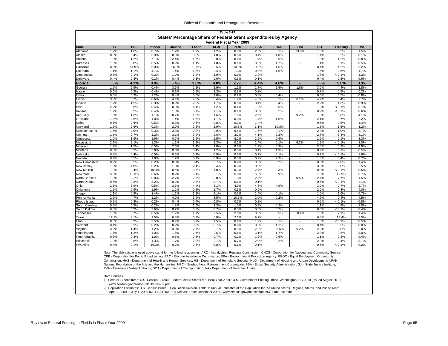|                      |           |            |          |                |       |                                                                  | Table 3-18 |            |                          |                          |            |           |      |
|----------------------|-----------|------------|----------|----------------|-------|------------------------------------------------------------------|------------|------------|--------------------------|--------------------------|------------|-----------|------|
|                      |           |            |          |                |       | States' Percentage Share of Federal Grant Expenditures by Agency |            |            |                          |                          |            |           |      |
|                      |           |            |          |                |       | Federal Fiscal Year 2009                                         |            |            |                          |                          |            |           |      |
| <b>State</b>         | <b>HS</b> | <b>HUD</b> | Interior | <b>Justice</b> | Labor | <b>NFAH</b>                                                      | <b>NRC</b> | <b>SSA</b> | SJI                      | <b>TVA</b>               | <b>DOT</b> | Treasury  | VA   |
| Alabama              | 1.2%      | 1.6%       | 0.7%     | 1.2%           | 1.2%  | 1.2%                                                             | 0.3%       | 2.0%       | 0.1%                     | 23.8%                    | 1.8%       | 0.3%      | 1.5% |
| Alaska               | 0.5%      | 0.4%       | 3.9%     | 0.5%           | 0.6%  | 1.0%                                                             | 0.5%       | 0.4%       | 1.0%                     | $\overline{\phantom{a}}$ | 1.4%       | 0.2%      | 0.1% |
| Arizona              | 1.3%      | 1.2%       | 7.1%     | 2.4%           | 1.6%  | 2.0%                                                             | 0.5%       | 1.4%       | 8.6%                     | $\sim$                   | 1.8%       | 1.2%      | 0.8% |
| Arkansas             | 1.6%      | 0.8%       | 0.5%     | 0.9%           | 1.1%  | 1.0%                                                             | 0.1%       | 0.5%       | 1.7%                     | $\sim$                   | 1.1%       | 0.1%      | 0.5% |
| California           | 8.5%      | 14.9%      | 5.0%     | 16.0%          | 13.3% | 9.5%                                                             | 13.0%      | 14.2%      | 4.5%                     | $\sim$                   | 8.4%       | 4.2%      | 6.2% |
| Colorado             | 1.1%      | 1.1%       | 4.7%     | 1.4%           | 1.3%  | 2.4%                                                             | 1.3%       | 0.8%       | 1.9%                     | ×.                       | 1.5%       | 0.5%      | 1.7% |
| Connecticut          | 0.7%      | 2.1%       | 0.2%     | 1.0%           | 1.4%  | 1.9%                                                             | 0.9%       | 1.2%       | $\sim$                   | $\epsilon$               | 1.3%       | < 0.1%    | 1.3% |
| Delaware             | 0.4%      | 0.3%       | 0.1%     | 0.4%           | 0.3%  | 0.6%                                                             | 0.3%       | 0.1%       | $\sim$                   | $\sim$                   | 0.4%       | 0.2%      | 0.6% |
| <b>Florida</b>       | 5.3%      | 4.2%       | 0.9%     | 5.4%           | 3.6%  | 4.0%                                                             | 2.7%       | 4.4%       | 4.6%                     | ٠                        | 3.8%       | 5.6%      | 3.3% |
| Georgia              | 1.5%      | 2.9%       | 0.4%     | 3.6%           | 2.2%  | 2.9%                                                             | 1.1%       | 2.7%       | 2.9%                     | 1.6%                     | 3.0%       | 4.4%      | 1.8% |
| Hawaii               | 0.6%      | 0.5%       | 0.4%     | 0.6%           | 0.5%  | 1.3%                                                             | 0.3%       | 0.3%       | ÷,                       | ä,                       | 0.7%       | 0.5%      | 0.2% |
| Idaho                | 0.5%      | 0.2%       | 1.2%     | 0.4%           | 0.6%  | 1.0%                                                             | 0.2%       | 0.8%       | 0.4%                     | $\sim$                   | 0.6%       | 0.5%      | 0.8% |
| Illinois             | 3.0%      | 5.7%       | 0.6%     | 4.1%           | 4.6%  | 3.4%                                                             | 1.9%       | 4.3%       | 0.1%                     | 0.1%                     | 4.7%       | 6.4%      | 2.7% |
| Indiana              | 1.7%      | 1.5%       | 0.3%     | 0.9%           | 2.0%  | 1.7%                                                             | 0.5%       | 0.4%       | 0.4%                     | ×,                       | 2.2%       | 1.3%      | 0.9% |
| lowa                 | 2.2%      | 0.6%       | 0.4%     | 0.9%           | 1.1%  | 1.2%                                                             | 0.4%       | 1.8%       | 0.5%                     | ×                        | 1.2%       | < 0.1%    | 5.7% |
| Kansas               | 1.7%      | 0.5%       | 0.4%     | 1.0%           | 0.7%  | 1.1%                                                             | 0.1%       | 0.5%       | 0.2%                     | ×,                       | 0.9%       | < 0.1%    | 0.6% |
| Kentucky             | 1.6%      | 1.3%       | 1.1%     | 0.7%           | 1.6%  | 1.6%                                                             | 1.5%       | 2.6%       | $\blacksquare$           | 9.2%                     | 1.3%       | 0.8%      | 4.1% |
| Louisiana            | 11.5%     | 2.6%       | 1.0%     | 1.4%           | 1.5%  | 1.7%                                                             | 0.9%       | 1.4%       | 1.5%                     | $\sim$                   | 2.1%       | 0.7%      | 2.2% |
| Maine                | 0.6%      | 0.6%       | 0.5%     | 0.3%           | 0.6%  | 0.8%                                                             | 0.2%       | 1.4%       | $\sim$                   | $\sim$                   | 0.5%       | 0.6%      | 1.4% |
| Maryland             | 1.2%      | 2.6%       | 0.3%     | 2.0%           | 2.5%  | 1.9%                                                             | 10.8%      | 3.1%       | 10.8%                    | $\sim$                   | 1.5%       | 1.5%      | 1.2% |
| Massachusetts        | 1.6%      | 4.9%       | 0.3%     | 3.3%           | 2.2%  | 2.9%                                                             | 9.4%       | 1.6%       | 0.1%                     | ×,                       | 2.3%       | 1.0%      | 3.7% |
| Michigan             | 1.7%      | 2.7%       | 1.2%     | 3.1%           | 6.0%  | 2.6%                                                             | 3.7%       | 4.1%       | 2.2%                     | $\sim$                   | 2.7%       | 5.4%      | 3.1% |
| Minnesota            | 1.0%      | 1.6%       | 1.6%     | 0.7%           | 1.6%  | 1.5%                                                             | 8.2%       | 2.9%       | 6.6%                     | $\sim$                   | 1.9%       | 0.1%      | 3.3% |
| Mississippi          | 2.7%      | 2.1%       | 1.3%     | 1.1%           | 1.9%  | 1.3%                                                             | 0.2%       | 1.4%       | 0.1%                     | 6.3%                     | 1.2%       | < 0.1%    | 3.0% |
| Missouri             | 1.9%      | 1.5%       | 0.5%     | 2.0%           | 1.4%  | 1.8%                                                             | 0.6%       | 1.2%       | 0.9%                     | ×                        | 2.5%       | 0.3%      | 4.8% |
| Montana              | 0.5%      | 0.2%       | 3.8%     | 0.3%           | 0.4%  | 1.2%                                                             | 0.5%       | 0.4%       | 1.9%                     | $\sim$                   | 0.9%       | 0.1%      | 0.5% |
| Nebraska             | 0.8%      | 0.4%       | 0.5%     | 0.5%           | 0.4%  | 0.8%                                                             | 0.3%       | 0.7%       | 0.1%                     | $\sim$                   | 0.7%       | < 0.1%    | 1.6% |
| Nevada               | 0.7%      | 0.5%       | 1.8%     | 1.2%           | 0.7%  | 0.9%                                                             | 0.3%       | 0.2%       | 2.3%                     | J.                       | 1.0%       | 0.4%      | 0.7% |
| New Hampshire        | 0.9%      | 0.5%       | 0.2%     | 0.3%           | 0.4%  | 0.7%                                                             | 0.2%       | 0.5%       | 0.2%                     | $\sim$                   | 0.5%       | 2.0%      | 1.4% |
| New Jersey           | 1.8%      | 4.0%       | 0.2%     | 1.8%           | 2.4%  | 2.4%                                                             | 0.3%       | 0.3%       | ٠                        | $\sim$                   | 3.0%       | 0.8%      | 2.5% |
| <b>New Mexico</b>    | 1.3%      | 0.4%       | 10.9%    | 0.5%           | 0.7%  | 1.0%                                                             | 0.3%       | 2.4%       | 3.3%                     | ×                        | 0.8%       | $< 0.1\%$ | 0.5% |
| New York             | 5.5%      | 13.3%      | 0.6%     | 8.2%           | 6.1%  | 6.1%                                                             | 5.8%       | 5.0%       | 3.9%                     | $\sim$                   | 7.5%       | 12.9%     | 3.7% |
| North Carolina       | 1.3%      | 2.1%       | 0.8%     | 2.7%           | 2.8%  | 3.0%                                                             | 1.3%       | 2.5%       | $\overline{\phantom{a}}$ | 0.5%                     | 2.7%       | 7.7%      | 1.5% |
| North Dakota         | 0.6%      | 0.3%       | 3.2%     | 0.2%           | 0.3%  | 0.7%                                                             | 0.1%       | 0.1%       | ×,                       | $\sim$                   | 0.6%       | < 0.1%    | 2.1% |
| Ohio                 | 2.3%      | 3.9%       | 0.5%     | 3.3%           | 4.4%  | 3.1%                                                             | 4.9%       | 4.6%       | 4.9%                     | $\epsilon$               | 3.0%       | 0.7%      | 2.7% |
| Oklahoma             | 1.6%      | 0.9%       | 1.9%     | 1.2%           | 0.8%  | 1.7%                                                             | 0.3%       | 0.5%       | $\blacksquare$           | $\sim$                   | 2.0%       | 0.3%      | 4.0% |
| Oregon               | 1.1%      | 0.9%       | 3.4%     | 1.1%           | 1.8%  | 1.1%                                                             | 0.6%       | 1.4%       | 0.1%                     | ×                        | 1.5%       | 1.6%      | 0.7% |
| Pennsylvania         | 2.2%      | 4.7%       | 1.2%     | 4.0%           | 3.9%  | 3.5%                                                             | 10.7%      | 2.0%       | 0.2%                     | ×                        | 4.2%       | 0.4%      | 4.5% |
| Rhode Island         | 0.5%      | 0.3%       | 0.2%     | 0.4%           | 0.4%  | 0.8%                                                             | 0.7%       | 0.2%       | $\sim$                   | $\sim$                   | 0.5%       | $< 0.1\%$ | 0.8% |
| South Carolina       | 0.8%      | 0.5%       | 0.2%     | 1.8%           | 1.6%  | 1.3%                                                             | 1.5%       | 0.9%       | 0.2%                     | ×                        | 1.1%       | 4.8%      | 2.0% |
| South Dakota         | 0.5%      | 0.2%       | 3.6%     | 0.2%           | 0.3%  | 0.7%                                                             | 0.3%       | 0.5%       | 0.2%                     |                          | 0.6%       | < 0.1%    | 0.4% |
| Tennessee            | 1.0%      | 0.7%       | 0.5%     | 1.7%           | 1.7%  | 2.5%                                                             | 2.0%       | 0.8%       | 0.5%                     | 58.4%                    | 1.8%       | 2.1%      | 1.4% |
| Texas                | 12.9%     | 4.1%       | 1.5%     | 6.8%           | 6.3%  | 6.0%                                                             | 7.1%       | 9.7%       | $\overline{\phantom{a}}$ | $\sim$                   | 6.8%       | 14.4%     | 3.5% |
| Utah                 | 0.6%      | 0.3%       | 3.5%     | 0.7%           | 0.7%  | 1.5%                                                             | 0.1%       | 1.2%       | 0.1%                     | ×,                       | 1.3%       | $< 0.1\%$ | 0.5% |
|                      |           |            |          |                |       | 0.7%                                                             |            |            |                          | $\sim$                   | 0.4%       |           |      |
| Vermont              | 0.4%      | 0.2%       | 0.2%     | 0.2%           | 0.3%  |                                                                  | 0.6%       | 0.6%       | 4.1%                     | 0.2%                     |            | 0.3%      | 0.8% |
| Virginia             | 3.2%      | 1.4%       | 1.2%     | 3.3%           | 2.7%  | 2.1%                                                             | 0.9%       | 2.8%       | 26.6%                    |                          | 2.2%       | 2.0%      | 2.0% |
| Washington           | 1.7%      | 1.3%       | 4.0%     | 1.5%           | 2.6%  | 2.5%                                                             | 0.6%       | 3.1%       | 1.7%                     | $\sim$                   | 2.3%       | 9.8%      | 3.0% |
| <b>West Virginia</b> | 0.7%      | 0.3%       | 1.0%     | 0.8%           | 0.5%  | 0.7%                                                             | 0.2%       | 1.2%       | 0.6%                     |                          | 1.1%       | 0.3%      | 0.4% |
| Wisconsin            | 1.2%      | 0.6%       | 1.3%     | 1.7%           | 2.0%  | 2.1%                                                             | 0.7%       | 2.0%       | 0.2%                     | $\sim$                   | 2.0%       | 3.4%      | 3.1% |
| Wyoming              | 0.4%      | 0.1%       | 19.0%    | 0.2%           | 0.3%  | 0.8%                                                             | 0.1%       | 0.1%       | $\overline{\phantom{a}}$ |                          | 0.6%       | < 0.1%    | 0.2% |

Note: The abbreviations used above stand for the following agencies: ARC - Appalachian Regional Commission; CNCS - Corporation for National and Community Service; CPB - Corporation for Public Broadcasting; EAC - Election Assistance Commission; EPA - Environmental Protection Agency; EEOC - Equal Employment Opportunity Commission; HHS - Department of Health and Human Services; HS - Department of Homeland Security; HUD - Department of Housing and Urban Development; NFAH - National Foundation of the Arts and the Humanities; NRC - Neighborhood Reinvestment Corporation; SSA - Social Security Administration; SJI - State Justice Institute; TVA - Tennessee Valley Authority; DOT - Department of Transportation; VA - Department of Veterans Affairs.

Data Sources:

 1) Federal Expenditures: U.S. Census Bureau, "Federal Aid to States for Fiscal Year 2009," U.S. Government Printing Office, Washington, DC 2010 (Issued August 2010). www.census.gov/prod/2010pubs/fas-09.pdf

2) Population Estimates: U.S. Census Bureau, Population Division, Table 1: Annual Estimates of the Population for the United States, Regions, States, and Puerto Rico: April 1, 2000 to July 1, 2009 (NST-EST2009-01) Release Date: December 2009. www.census.gov/popest/states/NST-ann-est.html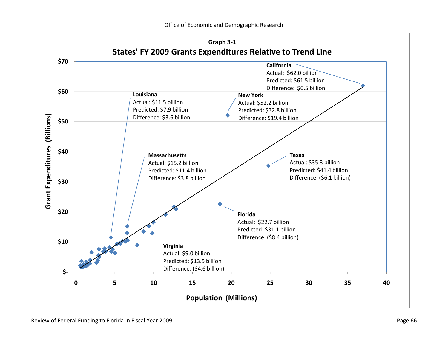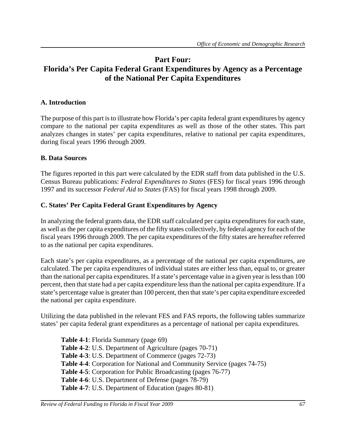# **Part Four: Florida's Per Capita Federal Grant Expenditures by Agency as a Percentage of the National Per Capita Expenditures**

## **A. Introduction**

The purpose of this part is to illustrate how Florida's per capita federal grant expenditures by agency compare to the national per capita expenditures as well as those of the other states. This part analyzes changes in states' per capita expenditures, relative to national per capita expenditures, during fiscal years 1996 through 2009.

## **B. Data Sources**

The figures reported in this part were calculated by the EDR staff from data published in the U.S. Census Bureau publications: *Federal Expenditures to States* (FES) for fiscal years 1996 through 1997 and its successor *Federal Aid to States* (FAS) for fiscal years 1998 through 2009.

## **C. States' Per Capita Federal Grant Expenditures by Agency**

In analyzing the federal grants data, the EDR staff calculated per capita expenditures for each state, as well as the per capita expenditures of the fifty states collectively, by federal agency for each of the fiscal years 1996 through 2009. The per capita expenditures of the fifty states are hereafter referred to as the national per capita expenditures.

Each state's per capita expenditures, as a percentage of the national per capita expenditures, are calculated. The per capita expenditures of individual states are either less than, equal to, or greater than the national per capita expenditures. If a state's percentage value in a given year is less than 100 percent, then that state had a per capita expenditure less than the national per capita expenditure. If a state's percentage value is greater than 100 percent, then that state's per capita expenditure exceeded the national per capita expenditure.

Utilizing the data published in the relevant FES and FAS reports, the following tables summarize states' per capita federal grant expenditures as a percentage of national per capita expenditures.

**Table 4-1**: Florida Summary (page 69) **Table 4-2**: U.S. Department of Agriculture (pages 70-71) **Table 4-3**: U.S. Department of Commerce (pages 72-73) **Table 4-4**: Corporation for National and Community Service (pages 74-75) **Table 4-5**: Corporation for Public Broadcasting (pages 76-77) **Table 4-6**: U.S. Department of Defense (pages 78-79) **Table 4-7**: U.S. Department of Education (pages 80-81)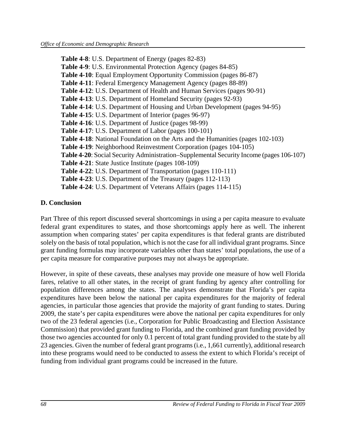**Table 4-8**: U.S. Department of Energy (pages 82-83) **Table 4-9**: U.S. Environmental Protection Agency (pages 84-85) **Table 4-10**: Equal Employment Opportunity Commission (pages 86-87) **Table 4-11**: Federal Emergency Management Agency (pages 88-89) **Table 4-12**: U.S. Department of Health and Human Services (pages 90-91) **Table 4-13**: U.S. Department of Homeland Security (pages 92-93) **Table 4-14**: U.S. Department of Housing and Urban Development (pages 94-95) **Table 4-15**: U.S. Department of Interior (pages 96-97) **Table 4-16**: U.S. Department of Justice (pages 98-99) **Table 4-17**: U.S. Department of Labor (pages 100-101) **Table 4-18**: National Foundation on the Arts and the Humanities (pages 102-103) **Table 4-19**: Neighborhood Reinvestment Corporation (pages 104-105) **Table 4-20**: Social Security Administration–Supplemental Security Income (pages 106-107) **Table 4-21**: State Justice Institute (pages 108-109) **Table 4-22**: U.S. Department of Transportation (pages 110-111) **Table 4-23**: U.S. Department of the Treasury (pages 112-113) **Table 4-24**: U.S. Department of Veterans Affairs (pages 114-115)

## **D. Conclusion**

Part Three of this report discussed several shortcomings in using a per capita measure to evaluate federal grant expenditures to states, and those shortcomings apply here as well. The inherent assumption when comparing states' per capita expenditures is that federal grants are distributed solely on the basis of total population, which is not the case for all individual grant programs. Since grant funding formulas may incorporate variables other than states' total populations, the use of a per capita measure for comparative purposes may not always be appropriate.

However, in spite of these caveats, these analyses may provide one measure of how well Florida fares, relative to all other states, in the receipt of grant funding by agency after controlling for population differences among the states. The analyses demonstrate that Florida's per capita expenditures have been below the national per capita expenditures for the majority of federal agencies, in particular those agencies that provide the majority of grant funding to states. During 2009, the state's per capita expenditures were above the national per capita expenditures for only two of the 23 federal agencies (i.e., Corporation for Public Broadcasting and Election Assistance Commission) that provided grant funding to Florida, and the combined grant funding provided by those two agencies accounted for only 0.1 percent of total grant funding provided to the state by all 23 agencies. Given the number of federal grant programs (i.e., 1,661 currently), additional research into these programs would need to be conducted to assess the extent to which Florida's receipt of funding from individual grant programs could be increased in the future.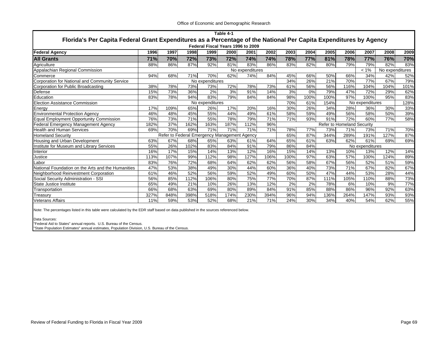|                                                                                                                   |      |            |                                              |                 | Table 4-1                         |                 |      |      |            |      |                                   |                 |                 |      |
|-------------------------------------------------------------------------------------------------------------------|------|------------|----------------------------------------------|-----------------|-----------------------------------|-----------------|------|------|------------|------|-----------------------------------|-----------------|-----------------|------|
| Florida's Per Capita Federal Grant Expenditures as a Percentage of the National Per Capita Expenditures by Agency |      |            |                                              |                 |                                   |                 |      |      |            |      |                                   |                 |                 |      |
|                                                                                                                   |      |            |                                              |                 | Federal Fiscal Years 1996 to 2009 |                 |      |      |            |      |                                   |                 |                 |      |
| <b>Federal Agency</b>                                                                                             | 1996 | 1997       | 1998                                         | 1999            | 2000                              | 2001            | 2002 | 2003 | 2004       | 2005 | 2006                              | 2007            | 2008            | 2009 |
| <b>All Grants</b>                                                                                                 | 71%  | <b>70%</b> | 72%                                          | 73%             | 72%                               | 74%             | 74%  | 78%  | <b>77%</b> | 81%  | 78%                               | <b>77%</b>      | 76%             | 70%  |
| Agriculture                                                                                                       | 88%  | 86%        | 87%                                          | 92%             | 81%                               | 83%             | 86%  | 83%  | 82%        | 80%  | 79%                               | 79%             | 82%             | 83%  |
| Appalachian Regional Commission                                                                                   |      |            |                                              |                 |                                   | No expenditures |      |      |            |      |                                   | $< 1\%$         | No expenditures |      |
| Commerce                                                                                                          | 94%  | 68%        | 71%                                          | 70%             | 62%                               | 74%             | 84%  | 45%  | 66%        | 50%  | 66%                               | 34%             | 42%             | 52%  |
| Corporation for National and Community Service                                                                    |      |            |                                              | No expenditures |                                   |                 |      | 34%  | 26%        | 21%  | 70%                               | 77%             | 67%             | 79%  |
| Corporation for Public Broadcasting                                                                               | 38%  | 78%        | 73%                                          | 73%             | 72%                               | 78%             | 73%  | 61%  | 56%        | 56%  | 116%                              | 104%            | 104%            | 101% |
| Defense                                                                                                           | 15%  | 73%        | 36%                                          | 2%              | 3%                                | 91%             | 14%  | 3%   | 0%         | 79%  | 47%                               | 72%             | 29%             | 62%  |
| Education                                                                                                         | 83%  | 78%        | 94%                                          | 83%             | 79%                               | 84%             | 84%  | 98%  | 100%       | 100% | 97%                               | 100%            | 95%             | 83%  |
| <b>Election Assistance Commission</b>                                                                             |      |            |                                              | No expenditures |                                   |                 |      | 70%  | 61%        | 154% |                                   | No expenditures |                 | 128% |
| Energy                                                                                                            | 17%  | 109%       | 65%                                          | 26%             | 17%                               | 20%             | 16%  | 30%  | 26%        | 34%  | 28%                               | 36%             | 30%             | 33%  |
| <b>Environmental Protection Agency</b>                                                                            | 46%  | 48%        | 45%                                          | 55%             | 44%                               | 49%             | 61%  | 58%  | 59%        | 49%  | 56%                               | 58%             | 50%             | 39%  |
| Equal Employment Opportunity Commission                                                                           | 76%  | 73%        | 71%                                          | 55%             | 78%                               | 79%             | 71%  | 71%  | 93%        | 91%  | 72%                               | 60%             | 77%             | 58%  |
| <b>Federal Emergency Management Agency</b>                                                                        | 182% | 37%        | 162%                                         | 163%            | 187%                              | 112%            | 96%  |      |            |      | <b>Refer to Homeland Security</b> |                 |                 |      |
| <b>Health and Human Services</b>                                                                                  | 69%  | 70%        | 69%                                          | 71%             | 71%                               | 71%             | 71%  | 78%  | 77%        | 73%  | 71%                               | 73%             | 71%             | 70%  |
| <b>Homeland Security</b>                                                                                          |      |            | Refer to Federal Emergency Management Agency |                 |                                   |                 |      | 65%  | 87%        | 344% | 289%                              | 191%            | 127%            | 87%  |
| Housing and Urban Development                                                                                     | 63%  | 67%        | 68%                                          | 65%             | 63%                               | 61%             | 64%  | 65%  | 61%        | 63%  | 62%                               | 61%             | 69%             | 69%  |
| Institute for Museum and Library Services                                                                         | 55%  | 26%        | 102%                                         | 83%             | 84%                               | 91%             | 79%  | 86%  | 84%        |      |                                   | No expenditures |                 |      |
| Interior                                                                                                          | 16%  | 17%        | 15%                                          | 14%             | 13%                               | 12%             | 16%  | 15%  | 14%        | 13%  | 10%                               | 13%             | 12%             | 14%  |
| Justice                                                                                                           | 113% | 107%       | 99%                                          | 112%            | 98%                               | 127%            | 106% | 100% | 97%        | 63%  | 57%                               | 100%            | 124%            | 89%  |
| Labor                                                                                                             | 83%  | 76%        | 72%                                          | 68%             | 64%                               | 62%             | 62%  | 56%  | 58%        | 67%  | 56%                               | 52%             | 51%             | 59%  |
| National Foundation on the Arts and the Humanities                                                                | 47%  | 53%        | 38%                                          | 49%             | 30%                               | 44%             | 60%  | 36%  | 40%        | 73%  | 71%                               | 67%             | 82%             | 67%  |
| Neighborhood Reinvestment Corporation                                                                             | 61%  | 46%        | 52%                                          | 56%             | 59%                               | 52%             | 49%  | 60%  | 50%        | 47%  | 44%                               | 53%             | 28%             | 44%  |
| Social Security Administration - SSI                                                                              | 56%  | 85%        | 112%                                         | 106%            | 80%                               | 75%             | 77%  | 70%  | 87%        | 111% | 105%                              | 110%            | 88%             | 73%  |
| State Justice Institute                                                                                           | 65%  | 49%        | 21%                                          | 10%             | 26%                               | 13%             | 12%  | 2%   | 2%         | 78%  | 6%                                | 10%             | 9%              | 77%  |
| Transportation                                                                                                    | 66%  | 68%        | 63%                                          | 69%             | 80%                               | 89%             | 84%  | 91%  | 85%        | 88%  | 86%                               | 96%             | 92%             | 63%  |
| Treasury                                                                                                          | 327% | 848%       | 398%                                         | 518%            | 174%                              | 230%            | 394% | 96%  | 94%        | 136% | 264%                              | 147%            | 93%             | 93%  |
| <b>Veterans Affairs</b>                                                                                           | 11%  | 59%        | 53%                                          | 52%             | 68%                               | 21%             | 71%  | 24%  | 30%        | 34%  | 40%                               | 54%             | 62%             | 55%  |

Note: The percentages listed in this table were calculated by the EDR staff based on data published in the sources referenced below.

Data Sources:

"Federal Aid to States" annual reports. U.S. Bureau of the Census.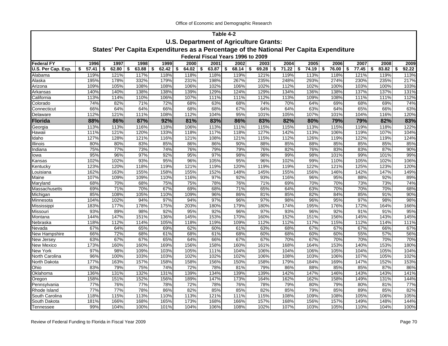|                                                                                                                                                                                                                                                                                                                                                                                                                                                                 |                     |                     |                                                                                        |                     |              |                                               | Table 4-2    |                     |                     |                     |                     |              |                     |               |
|-----------------------------------------------------------------------------------------------------------------------------------------------------------------------------------------------------------------------------------------------------------------------------------------------------------------------------------------------------------------------------------------------------------------------------------------------------------------|---------------------|---------------------|----------------------------------------------------------------------------------------|---------------------|--------------|-----------------------------------------------|--------------|---------------------|---------------------|---------------------|---------------------|--------------|---------------------|---------------|
|                                                                                                                                                                                                                                                                                                                                                                                                                                                                 |                     |                     |                                                                                        |                     |              | <b>U.S. Department of Agriculture Grants:</b> |              |                     |                     |                     |                     |              |                     |               |
|                                                                                                                                                                                                                                                                                                                                                                                                                                                                 |                     |                     | States' Per Capita Expenditures as a Percentage of the National Per Capita Expenditure |                     |              |                                               |              |                     |                     |                     |                     |              |                     |               |
|                                                                                                                                                                                                                                                                                                                                                                                                                                                                 |                     |                     |                                                                                        |                     |              | Federal Fiscal Years 1996 to 2009             |              |                     |                     |                     |                     |              |                     |               |
|                                                                                                                                                                                                                                                                                                                                                                                                                                                                 |                     |                     |                                                                                        |                     | 2000         | 2001                                          | 2002         |                     |                     |                     |                     | 2007         |                     |               |
| <b>Federal FY</b><br>U.S. Per Cap. Exp.                                                                                                                                                                                                                                                                                                                                                                                                                         | 1996<br>\$<br>57.41 | 1997<br>\$<br>62.80 | 1998<br>63.88<br>\$                                                                    | 1999<br>\$<br>62.42 | \$<br>64.02  | 63.87<br>\$                                   | 68.14<br>\$  | 2003<br>69.28<br>\$ | 2004<br>\$<br>71.22 | 2005<br>74.19<br>\$ | 2006<br>\$<br>76.00 | \$<br>77.45  | 2008<br>83.82<br>\$ | 2009<br>92.22 |
| Alabama                                                                                                                                                                                                                                                                                                                                                                                                                                                         | 119%                | 121%                | 117%                                                                                   | 118%                | 118%         | 118%                                          | 119%         | 121%                | 119%                | 113%                | 118%                | 121%         | 119%                | 113%          |
| Alaska                                                                                                                                                                                                                                                                                                                                                                                                                                                          | 195%                | 178%                | 332%                                                                                   | 179%                | 231%         | 198%                                          | 267%         | 235%                | 248%                | 293%                | 274%                | 230%         | 235%                | 217%          |
| Arizona                                                                                                                                                                                                                                                                                                                                                                                                                                                         | 109%                | 105%                | 108%                                                                                   | 108%                | 106%         | 102%                                          | 106%         | 102%                | 112%                | 102%                | 100%                | 103%         | 100%                | 103%          |
| Arkansas                                                                                                                                                                                                                                                                                                                                                                                                                                                        | 140%                | 140%                | 138%                                                                                   | 138%                | 139%         | 129%                                          | 124%         | 129%                | 134%                | 136%                | 138%                | 137%         | 137%                | 131%          |
| California                                                                                                                                                                                                                                                                                                                                                                                                                                                      | 113%                | 114%                | 110%                                                                                   | 106%                | 107%         | 111%                                          | 111%         | 112%                | 113%                | 109%                | 108%                | 111%         | 111%                | 112%          |
| Colorado                                                                                                                                                                                                                                                                                                                                                                                                                                                        | 74%                 | 82%                 | 71%                                                                                    | 72%                 | 68%          | 63%                                           | 68%          | 74%                 | 70%                 | 64%                 | 69%                 | 68%          | 69%                 | 74%           |
| Connecticut                                                                                                                                                                                                                                                                                                                                                                                                                                                     | 66%                 | 64%                 | 64%                                                                                    | 66%                 | 68%          | 68%                                           | 67%          | 64%                 | 64%                 | 63%                 | 64%                 | 65%          | 66%                 | 63%           |
| Delaware                                                                                                                                                                                                                                                                                                                                                                                                                                                        | 112%                | 121%                | 111%                                                                                   | 108%                | 112%         | 104%                                          | 95%          | 101%                | 105%                | 107%                | 101%                | 104%         | 116%                | 120%          |
| Florida<br>86%<br>87%<br>92%<br>81%<br>83%<br>82%<br>79%<br>79%<br>83%<br>88%<br>86%<br>83%<br>80%<br>82%<br>113%<br>113%<br>116%<br>118%<br>113%<br>111%<br>115%<br>115%<br>113%<br>115%<br>119%<br>106%<br>118%<br>Georgia<br>Hawaii<br>111%<br>121%<br>120%<br>133%<br>117%<br>118%<br>127%<br>142%<br>113%<br>106%<br>119%<br>107%<br>118%<br>112%<br>122%<br>Idaho<br>127%<br>128%<br>121%<br>116%<br>121%<br>108%<br>121%<br>115%<br>126%<br>119%<br>119% |                     |                     |                                                                                        |                     |              |                                               |              |                     |                     |                     |                     |              |                     |               |
| 122%<br>104%<br>124%                                                                                                                                                                                                                                                                                                                                                                                                                                            |                     |                     |                                                                                        |                     |              |                                               |              |                     |                     |                     |                     |              |                     |               |
|                                                                                                                                                                                                                                                                                                                                                                                                                                                                 |                     |                     |                                                                                        |                     |              |                                               |              |                     |                     |                     |                     |              |                     |               |
| Illinois<br>80%<br>83%<br>85%<br>90%<br>85%<br>88%<br>85%<br>80%<br>86%<br>86%<br>88%<br>85%<br>85%                                                                                                                                                                                                                                                                                                                                                             |                     |                     |                                                                                        |                     |              |                                               |              |                     |                     |                     |                     |              |                     |               |
| 79%<br>82%<br>75%<br>77%<br>73%<br>74%<br>76%<br>79%<br>76%<br>76%<br>83%<br>83%<br>87%                                                                                                                                                                                                                                                                                                                                                                         |                     |                     |                                                                                        |                     |              |                                               |              |                     |                     |                     |                     |              |                     |               |
|                                                                                                                                                                                                                                                                                                                                                                                                                                                                 |                     |                     |                                                                                        |                     |              |                                               |              |                     |                     |                     |                     |              |                     |               |
| 85%<br>90%<br>95%<br>96%<br>97%<br>92%<br>95%<br>97%<br>98%<br>98%<br>99%<br>98%<br>101%<br>99%<br>101%<br>99%                                                                                                                                                                                                                                                                                                                                                  |                     |                     |                                                                                        |                     |              |                                               |              |                     |                     |                     |                     |              |                     |               |
| Indiana<br>102%<br>102%<br>102%<br>93%<br>95%<br>96%<br>105%<br>95%<br>96%<br>99%<br>110%<br>105%<br>102%<br>106%                                                                                                                                                                                                                                                                                                                                               |                     |                     |                                                                                        |                     |              |                                               |              |                     |                     |                     |                     |              |                     |               |
| <b>Towa</b><br>Kansas<br>Kentucky<br>123%<br>120%<br>118%<br>119%<br>121%<br>120%<br>119%<br>119%<br>122%<br>121%<br>125%<br>123%<br>120%<br>119%                                                                                                                                                                                                                                                                                                               |                     |                     |                                                                                        |                     |              |                                               |              |                     |                     |                     |                     |              |                     |               |
| ouisiana.                                                                                                                                                                                                                                                                                                                                                                                                                                                       | 162%                | 163%                | 155%                                                                                   | 158%                | 155%         | 152%                                          | 148%         | 145%                | 155%                | 156%                | 146%                | 142%         | 147%                | 149%          |
| Maine                                                                                                                                                                                                                                                                                                                                                                                                                                                           | 107%                | 109%                | 109%                                                                                   | 110%                | 116%         | 97%                                           | 92%          | 93%                 | 116%                | 96%                 | 95%                 | 88%          | 92%                 | 89%           |
| Maryland                                                                                                                                                                                                                                                                                                                                                                                                                                                        | 68%                 | 70%                 | 68%                                                                                    | 75%                 | 75%          | 78%                                           | 76%          | 71%                 | 69%                 | 70%                 | 70%                 | 73%          | 73%                 | 74%           |
| Massachusetts                                                                                                                                                                                                                                                                                                                                                                                                                                                   | 69%                 | 71%                 | 70%                                                                                    | 67%                 | 69%          | 68%                                           | 71%          | 65%                 | 64%                 | 63%                 | 70%                 | 70%          | 70%                 | 68%           |
| Michigan                                                                                                                                                                                                                                                                                                                                                                                                                                                        | 85%                 | 108%                | 105%                                                                                   | 110%                | 109%         | 96%                                           | 86%          | 81%                 | 85%                 | 82%                 | 84%                 | 85%          | 91%                 | 90%           |
| Minnesota                                                                                                                                                                                                                                                                                                                                                                                                                                                       | 104%                | 102%                | 94%                                                                                    | 97%                 | 94%          | 97%                                           | 96%          | 97%                 | 98%                 | 96%                 | 95%                 | 97%          | 98%                 | 98%           |
| Mississippi                                                                                                                                                                                                                                                                                                                                                                                                                                                     | 183%                | 177%                | 178%                                                                                   | 175%                | 203%         | 180%                                          | 179%         | 180%                | 174%                | 195%                | 176%                | 172%         | 164%                | 166%          |
| Missouri                                                                                                                                                                                                                                                                                                                                                                                                                                                        | 93%                 | 89%                 | 98%                                                                                    | 92%                 | 95%          | 92%                                           | 96%          | 97%                 | 93%                 | 96%                 | 92%                 | 91%          | 91%                 | 95%           |
| Montana                                                                                                                                                                                                                                                                                                                                                                                                                                                         | 144%                | 147%                | 151%                                                                                   | 136%                | 145%         | 153%                                          | 170%         | 160%                | 152%                | 151%                | 156%                | 145%         | 143%                | 145%          |
| Nebraska                                                                                                                                                                                                                                                                                                                                                                                                                                                        | 118%                | 112%                | 114%                                                                                   | 105%                | 118%         | 119%                                          | 109%         | 112%                | 112%                | 117%                | 115%                | 112%         | 114%                | 111%          |
| Nevada                                                                                                                                                                                                                                                                                                                                                                                                                                                          | 67%                 | 64%                 | 65%                                                                                    | 69%                 | 62%          | 60%                                           | 61%          | 63%                 | 68%                 | 67%                 | 67%                 | 67%          | 66%                 | 67%           |
| New Hampshire                                                                                                                                                                                                                                                                                                                                                                                                                                                   | 66%                 | 72%                 | 68%                                                                                    | 61%                 | 68%          | 61%                                           | 68%          | 60%                 | 68%                 | 60%                 | 60%                 | 55%          | 57%                 | 56%           |
| <b>New Jersey</b>                                                                                                                                                                                                                                                                                                                                                                                                                                               | 63%                 | 67%                 | 67%                                                                                    | 65%                 | 64%          | 66%                                           | 67%          | 67%                 | 70%                 | 67%                 | 70%                 | 70%          | 70%                 | 70%           |
| <b>New Mexico</b>                                                                                                                                                                                                                                                                                                                                                                                                                                               | 173%<br>97%         | 160%<br>98%         | 160%                                                                                   | 169%                | 156%         | 158%                                          | 160%         | 161%<br>106%        | 168%<br>104%        | 164%                | 153%<br>105%        | 140%         | 153%                | 180%          |
| New York                                                                                                                                                                                                                                                                                                                                                                                                                                                        |                     | 100%                | 109%                                                                                   | 103%                | 105%<br>102% | 111%                                          | 104%         | 106%                | 108%                | 106%<br>103%        |                     | 104%<br>107% | 105%                | 104%          |
| North Carolina<br><b>North Dakota</b>                                                                                                                                                                                                                                                                                                                                                                                                                           | 96%<br>177%         | 163%                | 103%<br>157%                                                                           | 103%<br>158%        | 158%         | 102%<br>156%                                  | 102%<br>150% | 158%                | 179%                | 184%                | 106%<br>169%        | 147%         | 105%<br>152%        | 102%<br>153%  |
| Ohio                                                                                                                                                                                                                                                                                                                                                                                                                                                            | 83%                 | 79%                 | 75%                                                                                    | 74%                 | <b>72%</b>   | 78%                                           | 81%          | 79%                 | 86%                 | 88%                 | 85%                 | 85%          | 87%                 | 86%           |
| Oklahoma                                                                                                                                                                                                                                                                                                                                                                                                                                                        | 136%                | 131%                | 132%                                                                                   | 131%                | 139%         | 134%                                          | 139%         | 139%                | 142%                | 147%                | 146%                | 143%         | 143%                | 141%          |
| Oregon                                                                                                                                                                                                                                                                                                                                                                                                                                                          | 158%                | 151%                | 152%                                                                                   | 156%                | 189%         | 147%                                          | 173%         | 164%                | 162%                | 162%                | 158%                | 149%         | 131%                | 144%          |
| Pennsylvania                                                                                                                                                                                                                                                                                                                                                                                                                                                    | 77%                 | 76%                 | 77%                                                                                    | 78%                 | 72%          | 78%                                           | 76%          | 78%                 | 79%                 | 80%                 | 79%                 | 80%          | 81%                 | 77%           |
| Rhode Island                                                                                                                                                                                                                                                                                                                                                                                                                                                    | 77%                 | 77%                 | 78%                                                                                    | 86%                 | 82%          | 85%                                           | 85%          | 82%                 | 85%                 | 79%                 | 85%                 | 89%          | 85%                 | 82%           |
| South Carolina                                                                                                                                                                                                                                                                                                                                                                                                                                                  | 118%                | 115%                | 113%                                                                                   | 110%                | 113%         | 121%                                          | 111%         | 115%                | 108%                | 109%                | 108%                | 105%         | 106%                | 105%          |
| South Dakota                                                                                                                                                                                                                                                                                                                                                                                                                                                    | 181%                | 166%                | 168%                                                                                   | 165%                | 173%         | 168%                                          | 166%         | 157%                | 168%                | 156%                | 157%                | 149%         | 148%                | 144%          |
| Tennessee                                                                                                                                                                                                                                                                                                                                                                                                                                                       | 99%                 | 104%                | 100%                                                                                   | 101%                | 104%         | 106%                                          | 108%         | 102%                | 107%                | 103%                | 105%                | 110%         | 104%                | 100%          |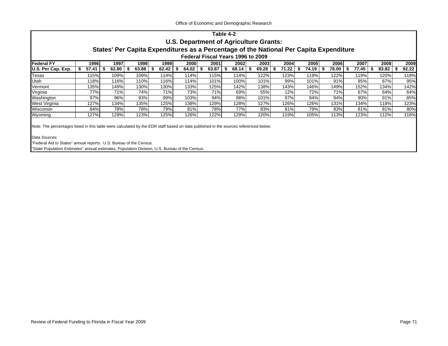| Table 4-2                                                                              |
|----------------------------------------------------------------------------------------|
| U.S. Department of Agriculture Grants:                                                 |
| States' Per Capita Expenditures as a Percentage of the National Per Capita Expenditure |

| <b>Federal FY</b>    | 1996 | 1997  | 1998 | 1999  | 2000  | 2001  | 2002 | 2003  | 2004 | 2005 | 2006  | 2007       | 2008  | 2009  |
|----------------------|------|-------|------|-------|-------|-------|------|-------|------|------|-------|------------|-------|-------|
| U.S. Per Cap. Exp.   | 57   | 62.80 | 3.88 | 62.42 | 64.02 | 63.87 | 68.1 | 69.28 | 1.22 | .19  | 76.00 | 77<br>7.45 | 83.82 | 92.22 |
| Texas                | 115% | 109%  | 109% | 14%   | 114%  | 115%  | 114% | 122%  | 123% | 119% | 122%  | 119%       | 120%  | 118%  |
| Utah                 | 118% | '16%  | 110% | 116%  | 114%  | 101%  | 100% | 101%  | 99%  | 101% | 91%   | 85%        | 87%   | 95%   |
| Vermont              | 135% | 149%  | 130% | 130%  | 133%  | 125%  | 142% | 138%  | 143% | 146% | 149%  | 152%       | 134%  | 142%  |
| Virginia             | 77%  | 71%   | 74%  | 71%   | 73%   | 71%   | 69%  | 55%   | 12%  | 72%  | 71%   | 67%        | 64%   | 64%   |
| Washington           | 97%  | 96%   | 93%  | 99%   | 103%  | 94%   | 98%  | 101%  | 97%  | 94%  | 94%   | 90%        | 91%   | 85%   |
| <b>West Virginia</b> | 127% | 134%  | 135% | 125%  | 138%  | 129%  | 128% | 127%  | 126% | 126% | 131%  | 134%       | 118%  | 123%  |
| Wisconsin            | 84%  | 78%   | 78%  | 79%   | 81%   | 78%   | 77%  | 83%   | 81%  | 79%  | 83%   | 81%        | 81%   | 80%   |
| Wyoming              | 127% | 129%  | 123% | 125%  | 126%  | 122%  | 129% | 120%  | '19% | 105% | 113%  | 123%       | 112%  | 116%  |

Note: The percentages listed in this table were calculated by the EDR staff based on data published in the sources referenced below.

Data Sources:

"Federal Aid to States" annual reports. U.S. Bureau of the Census.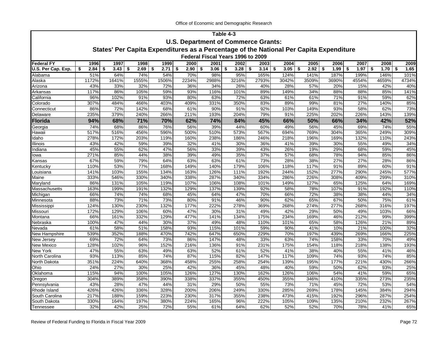|                                                                                                                                                                                                                                                                                                                                            |    |              |                    |                    |                    |       |              |                                            | Table 4-3 |              |                    |  |                    |                                                                                        |            |      |                    |                    |                    |
|--------------------------------------------------------------------------------------------------------------------------------------------------------------------------------------------------------------------------------------------------------------------------------------------------------------------------------------------|----|--------------|--------------------|--------------------|--------------------|-------|--------------|--------------------------------------------|-----------|--------------|--------------------|--|--------------------|----------------------------------------------------------------------------------------|------------|------|--------------------|--------------------|--------------------|
|                                                                                                                                                                                                                                                                                                                                            |    |              |                    |                    |                    |       |              | <b>U.S. Department of Commerce Grants:</b> |           |              |                    |  |                    |                                                                                        |            |      |                    |                    |                    |
|                                                                                                                                                                                                                                                                                                                                            |    |              |                    |                    |                    |       |              |                                            |           |              |                    |  |                    | States' Per Capita Expenditures as a Percentage of the National Per Capita Expenditure |            |      |                    |                    |                    |
|                                                                                                                                                                                                                                                                                                                                            |    |              |                    |                    |                    |       |              |                                            |           |              |                    |  |                    |                                                                                        |            |      |                    |                    |                    |
|                                                                                                                                                                                                                                                                                                                                            |    |              |                    |                    |                    |       |              | Federal Fiscal Years 1996 to 2009          |           |              |                    |  |                    |                                                                                        |            |      |                    |                    |                    |
| <b>Federal FY</b><br>U.S. Per Cap. Exp.                                                                                                                                                                                                                                                                                                    | \$ | 1996<br>2.84 | 1997<br>\$<br>3.43 | 1998<br>2.69<br>\$ | 1999<br>2.71<br>\$ | \$    | 2000<br>2.90 | 2001<br>3.06<br>\$                         | \$        | 2002<br>3.28 | 2003<br>\$<br>3.14 |  | 2004<br>\$<br>3.05 | 2005<br>2.92<br>\$                                                                     | \$<br>1.99 | 2006 | 2007<br>1.97<br>\$ | 2008<br>\$<br>1.70 | 2009<br>\$<br>1.65 |
|                                                                                                                                                                                                                                                                                                                                            |    | 51%          | 64%                | 74%                | 54%                |       | 70%          | 98%                                        |           | 95%          | 165%               |  | 124%               | 141%                                                                                   | 187%       |      | 199%               | 146%               | 101%               |
| Alabama<br>Alaska                                                                                                                                                                                                                                                                                                                          |    | 1172%        | 1641%              | 1555%              | 1506%              | 2234% |              | 2988%                                      |           | 3216%        | 2793%              |  | 3042%              | 3509%                                                                                  | 3690%      |      | 4554%              | 4659%              | 4734%              |
| Arizona                                                                                                                                                                                                                                                                                                                                    |    | 43%          | 33%                | 32%                | 72%                |       | 36%          | 34%                                        |           | 26%          | 40%                |  | 28%                | 57%                                                                                    |            | 20%  | 15%                | 42%                | 40%                |
| Arkansas                                                                                                                                                                                                                                                                                                                                   |    | 117%         | 86%                | 105%               | 59%                |       | 93%          | 116%                                       |           | 101%         | 89%                |  | 149%               | 34%                                                                                    |            | 88%  | 88%                | 85%                | 141%               |
| California                                                                                                                                                                                                                                                                                                                                 |    | 96%          | 102%               | 91%                | 93%                |       | 80%          | 63%                                        |           | 72%          | 63%                |  | 61%                | 61%                                                                                    |            | 71%  | 91%                | 59%                | 62%                |
| Colorado                                                                                                                                                                                                                                                                                                                                   |    | 307%         | 484%               | 466%               | 403%               |       | 409%         | 331%                                       |           | 350%         | 83%                |  | 89%                | 99%                                                                                    |            | 81%  | 27%                | 140%               | 85%                |
| Connecticut                                                                                                                                                                                                                                                                                                                                |    | 86%          | 72%                | 142%               | 68%                |       | 61%          | 90%                                        |           | 91%          | 92%                |  | 103%               | 149%                                                                                   |            | 93%  | 58%                | 62%                | 73%                |
| Delaware                                                                                                                                                                                                                                                                                                                                   |    | 235%         | 379%               | 240%               | 266%               | 211%  |              | 193%                                       |           | 204%         | 79%                |  | 91%                | 225%                                                                                   | 202%       |      | 226%               | 143%               | 139%               |
| Florida                                                                                                                                                                                                                                                                                                                                    |    | 94%          | 68%                |                    |                    |       |              | 74%                                        |           | 84%          |                    |  | 66%                | 50%                                                                                    |            |      | 34%                | 42%                | 52%                |
| 71%<br>70%<br>62%<br>45%<br>66%<br>74%<br>68%<br>86%<br>76%<br>56%<br>39%<br>44%<br>60%<br>49%<br>56%<br>45%<br>69%<br>74%<br>517%<br>516%<br>456%<br>596%<br>500%<br>510%<br>573%<br>567%<br>694%<br>769%<br>304%<br>365%<br>249%<br>172%<br>203%<br>119%<br>160%<br>238%<br>218%<br>169%<br>132%<br>278%<br>186%<br>246%<br>196%<br>110% |    |              |                    |                    |                    |       |              |                                            |           |              |                    |  |                    |                                                                                        | 55%        |      |                    |                    |                    |
| Georgia                                                                                                                                                                                                                                                                                                                                    |    |              |                    |                    |                    |       |              |                                            |           |              |                    |  |                    |                                                                                        | 309%       |      |                    |                    |                    |
| Hawaii<br>Idaho<br>42%<br>59%<br>32%<br>41%<br>36%<br>41%<br>39%<br>30%<br>49%<br>43%<br>39%<br>30%<br>55%                                                                                                                                                                                                                                 |    |              |                    |                    |                    |       |              |                                            |           |              |                    |  |                    |                                                                                        | 243%       |      |                    |                    |                    |
| 45%<br>55%<br>62%<br>47%<br>56%<br>33%<br>39%<br>43%<br>26%<br>29%<br>68%<br>59%<br>19%                                                                                                                                                                                                                                                    |    |              |                    |                    |                    |       |              |                                            |           |              |                    |  |                    |                                                                                        | 34%        |      |                    |                    |                    |
|                                                                                                                                                                                                                                                                                                                                            |    |              |                    |                    |                    |       |              |                                            |           |              |                    |  |                    |                                                                                        | 45%        |      |                    |                    |                    |
| <b>Illinois</b><br><b>Indiana</b><br>271%<br>85%<br>44%<br>38%<br>39%<br>49%<br>35%<br>37%<br>57%<br>68%<br>78%<br>94%<br>85%                                                                                                                                                                                                              |    |              |                    |                    |                    |       |              |                                            |           |              |                    |  |                    |                                                                                        | 86%        |      |                    |                    |                    |
| 67%<br>59%<br>79%<br>63%<br>63%<br>73%<br>28%<br>38%<br>27%<br>27%<br>28%<br>64%<br>61%                                                                                                                                                                                                                                                    |    |              |                    |                    |                    |       |              |                                            |           |              |                    |  |                    |                                                                                        | 86%        |      |                    |                    |                    |
| lowa<br>Kansas<br>77%<br>Kentucky<br>110%<br>53%<br>168%<br>149%<br>140%<br>179%<br>106%<br>118%<br>117%<br>91%<br>89%<br>60%                                                                                                                                                                                                              |    |              |                    |                    |                    |       |              |                                            |           |              |                    |  |                    |                                                                                        | 91%        |      |                    |                    |                    |
| Louisiana                                                                                                                                                                                                                                                                                                                                  |    | 141%         | 103%               | 155%               | 134%               | 163%  |              | 126%                                       |           | 111%         | 192%               |  | 244%               | 152%                                                                                   | 277%       |      | 290%               | 245%               | 577%               |
| Maine                                                                                                                                                                                                                                                                                                                                      |    | 333%         | 546%               | 330%               | 340%               |       | 338%         | 287%                                       |           | 340%         | 334%               |  | 286%               | 226%                                                                                   | 308%       |      | 409%               | 299%               | 310%               |
| Maryland                                                                                                                                                                                                                                                                                                                                   |    | 86%          | 131%               | 105%               | 119%               | 107%  |              | 106%                                       |           | 108%         | 101%               |  | 149%               | 127%                                                                                   |            | 65%  | 125%               | 64%                | 169%               |
| Massachusetts                                                                                                                                                                                                                                                                                                                              |    | 163%         | 199%               | 191%               | 132%               |       | 129%         | 137%                                       |           | 139%         | 92%                |  | 58%                | 78%                                                                                    | 107%       |      | 91%                | 192%               | 110%               |
| Michigan                                                                                                                                                                                                                                                                                                                                   |    | 66%          | 74%                | 74%                | 68%                |       | 45%          | 64%                                        |           | 47%          | 70%                |  | 66%                | 72%                                                                                    |            | 38%  | 38%                | 44%                | 34%                |
| Minnesota                                                                                                                                                                                                                                                                                                                                  |    | 88%          | 73%                | 71%                | 73%                |       | 80%          | 91%                                        |           | 46%          | 90%                |  | 62%                | 65%                                                                                    |            | 67%  | 50%                | 75%                | 61%                |
| Mississippi                                                                                                                                                                                                                                                                                                                                |    | 124%         | 130%               | 230%               | 132%               |       | 177%         | 222%                                       |           | 278%         | 369%               |  | 268%               | 274%                                                                                   | 277%       |      | 268%               | 316%               | 197%               |
| Missouri                                                                                                                                                                                                                                                                                                                                   |    | 172%         | 129%               | 106%               | 60%                |       | 47%          | 30%                                        |           | 31%          | 49%                |  | 42%                | 29%                                                                                    |            | 50%  | 49%                | 103%               | 66%                |
| Montana                                                                                                                                                                                                                                                                                                                                    |    | 66%          | 161%               | 332%               | 129%               | 477%  |              | 141%                                       |           | 134%         | 175%               |  | 234%               | 169%                                                                                   |            | 46%  | 212%               | 99%                | 399%               |
| Nebraska                                                                                                                                                                                                                                                                                                                                   |    | 100%         | 47%                | 44%                | 30%                |       | 37%          | 49%                                        |           | 48%          | 110%               |  | 101%               | 65%                                                                                    |            | 58%  | 126%               | 21%                | 89%                |
| Nevada                                                                                                                                                                                                                                                                                                                                     |    | 61%          | 58%                | 51%                | 158%               |       | 93%          | 115%                                       |           | 101%         | 59%                |  | 90%                | 41%                                                                                    |            | 10%  | 21%                | 100%               | 32%                |
| New Hampshire                                                                                                                                                                                                                                                                                                                              |    | 539%         | 352%               | 188%               | 470%               |       | 742%         | 647%                                       |           | 650%         | 229%               |  | 70%                | 197%                                                                                   | 439%       |      | 269%               | 166%               | 225%               |
| New Jersey                                                                                                                                                                                                                                                                                                                                 |    | 69%          | 72%                | 64%                | 73%                |       | 86%          | 147%                                       |           | 48%          | 33%                |  | 63%                | 74%                                                                                    | 158%       |      | 33%                | 70%                | 49%                |
| New Mexico                                                                                                                                                                                                                                                                                                                                 |    | 128%<br>47%  | 102%<br>55%        | 96%<br>63%         | 152%<br>49%        |       | 216%<br>63%  | 136%<br>52%                                |           | 91%<br>61%   | 231%<br>52%        |  | 175%<br>41%        | 154%<br>38%                                                                            | 118%       | 40%  | 218%<br>55%        | 138%<br>41%        | 193%<br>46%        |
| New York                                                                                                                                                                                                                                                                                                                                   |    | 93%          |                    | 85%                | 74%                |       | 87%          | 115%                                       |           | 82%          | 147%               |  | 117%               |                                                                                        |            | 74%  |                    |                    | 85%                |
| North Carolina<br>North Dakota                                                                                                                                                                                                                                                                                                             |    | 351%         | 113%<br>224%       | 640%               | 368%               |       | 458%         | 255%                                       |           | 258%         | 254%               |  | 139%               | 109%<br>195%                                                                           | 177%       |      | 93%<br>221%        | 74%<br>430%        | 266%               |
| Ohio                                                                                                                                                                                                                                                                                                                                       |    | 24%          | 27%                | 30%                | 25%                |       | 42%          | 36%                                        |           | 45%          | 48%                |  | 40%                | 59%                                                                                    |            | 50%  | 62%                | 93%                | 25%                |
|                                                                                                                                                                                                                                                                                                                                            |    | 115%         | 94%                | 100%               | 105%               |       | 126%         | 127%                                       |           | 130%         | 162%               |  | 126%               | 106%                                                                                   |            | 54%  | 41%                | 59%                | 65%                |
| Oklahoma<br>Oregon                                                                                                                                                                                                                                                                                                                         |    | 304%         | 389%               | 358%               | 390%               |       | 338%         | 337%                                       |           | 355%         | 450%               |  | 355%               | 346%                                                                                   | 410%       |      | 335%               | 273%               | 235%               |
| Pennsylvania                                                                                                                                                                                                                                                                                                                               |    | 43%          | 28%                | 47%                | 44%                |       | 31%          | 29%                                        |           | 50%          | 55%                |  | 73%                | 71%                                                                                    |            | 45%  | 72%                | 53%                | 54%                |
| Rhode Island                                                                                                                                                                                                                                                                                                                               |    | 426%         | 426%               | 336%               | 328%               |       | 200%         | 206%                                       |           | 249%         | 330%               |  | 285%               | 269%                                                                                   | 178%       |      | 145%               | 384%               | 294%               |
| South Carolina                                                                                                                                                                                                                                                                                                                             |    | 217%         | 188%               | 159%               | 223%               |       | 230%         | 317%                                       |           | 355%         | 238%               |  | 473%               | 415%                                                                                   | 192%       |      | 296%               | 287%               | 254%               |
| South Dakota                                                                                                                                                                                                                                                                                                                               |    | 330%         | 164%               | 197%               | 380%               |       | 224%         | 165%                                       |           | 96%          | 222%               |  | 105%               | 109%                                                                                   | 135%       |      | 210%               | 232%               | 267%               |
| Tennessee                                                                                                                                                                                                                                                                                                                                  |    | 32%          | 42%                | 25%                | 72%                |       | 55%          | 61%                                        |           | 64%          | 62%                |  | 52%                | 52%                                                                                    |            | 70%  | 78%                | 41%                | 65%                |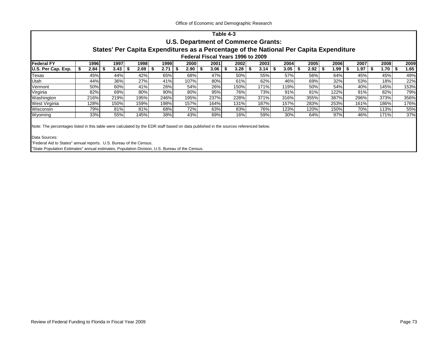|                                                                                                                                      |      |      | States' Per Capita Expenditures as a Percentage of the National Per Capita Expenditure |              |      | <b>U.S. Department of Commerce Grants:</b><br>Federal Fiscal Years 1996 to 2009 | Table 4-3 |      |             |      |      |      |                   |      |
|--------------------------------------------------------------------------------------------------------------------------------------|------|------|----------------------------------------------------------------------------------------|--------------|------|---------------------------------------------------------------------------------|-----------|------|-------------|------|------|------|-------------------|------|
| <b>Federal FY</b>                                                                                                                    | 1996 | 1997 | 1998                                                                                   | 1999         | 2000 | 2001                                                                            | 2002      | 2003 | 2004        | 2005 | 2006 | 2007 | 2008              | 2009 |
| U.S. Per Cap. Exp.                                                                                                                   | 2.84 | 3.43 | 2.69                                                                                   | 2.71<br>- \$ | 2.90 | $3.06$ \$                                                                       | 3.28      | 3.14 | $3.05$   \$ | 2.92 | 1.99 | 1.97 | 1.70 <sub>1</sub> | 1.65 |
| Texas                                                                                                                                | 45%  | 44%  | 42%                                                                                    | 65%          | 68%  | 47%                                                                             | 50%       | 55%  | 57%         | 56%  | 64%  | 45%  | 45%               | 49%  |
| Utah                                                                                                                                 | 44%  | 36%  | 27%                                                                                    | 41%          | 107% | 80%                                                                             | 61%       | 62%  | 46%         | 69%  | 32%  | 53%  | 18%               | 22%  |
| Vermont                                                                                                                              | 50%  | 60%  | 41%                                                                                    | 26%          | 54%  | 26%                                                                             | 150%      | 171% | 119%        | 50%  | 54%  | 40%  | 145%              | 153% |
| Virginia                                                                                                                             | 82%  | 69%  | 80%                                                                                    | 90%          | 80%  | 95%                                                                             | 76%       | 73%  | 91%         | 81%  | 122% | 91%  | 82%               | 79%  |
| Washington                                                                                                                           | 216% | 219% | 195%                                                                                   | 246%         | 195% | 237%                                                                            | 228%      | 371% | 316%        | 355% | 387% | 296% | 373%              | 356% |
| West Virginia                                                                                                                        | 128% | 150% | 159%                                                                                   | 198%         | 157% | 164%                                                                            | 131%      | 187% | 157%        | 283% | 253% | 161% | 186%              | 176% |
| Wisconsin                                                                                                                            | 79%  | 81%  | 81%                                                                                    | 68%          | 72%  | 63%                                                                             | 83%       | 76%  | 123%        | 120% | 150% | 70%  | 113%              | 55%  |
| Wyoming                                                                                                                              | 33%  | 55%  | 145%                                                                                   | 38%          | 43%  | 69%                                                                             | 16%       | 59%  | 30%         | 64%  | 97%  | 46%  | 171%              | 37%  |
| Note: The percentages listed in this table were calculated by the EDR staff based on data published in the sources referenced below. |      |      |                                                                                        |              |      |                                                                                 |           |      |             |      |      |      |                   |      |

Data Sources:

"Federal Aid to States" annual reports. U.S. Bureau of the Census.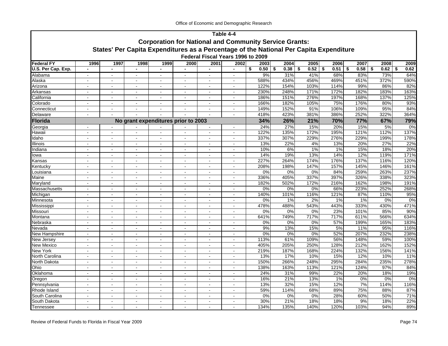|                       |                          |                          |                          |                |                                                                                        |                          | Table 4-4                         |            |            |            |            |            |            |            |
|-----------------------|--------------------------|--------------------------|--------------------------|----------------|----------------------------------------------------------------------------------------|--------------------------|-----------------------------------|------------|------------|------------|------------|------------|------------|------------|
|                       |                          |                          |                          |                | <b>Corporation for National and Community Service Grants:</b>                          |                          |                                   |            |            |            |            |            |            |            |
|                       |                          |                          |                          |                |                                                                                        |                          |                                   |            |            |            |            |            |            |            |
|                       |                          |                          |                          |                | States' Per Capita Expenditures as a Percentage of the National Per Capita Expenditure |                          |                                   |            |            |            |            |            |            |            |
|                       |                          |                          |                          |                |                                                                                        |                          | Federal Fiscal Years 1996 to 2009 |            |            |            |            |            |            |            |
| <b>Federal FY</b>     | 1996                     | 1997                     | 1998                     | 1999           | 2000                                                                                   | 2001                     | 2002                              | 2003       | 2004       | 2005       | 2006       | 2007       | 2008       | 2009       |
| U.S. Per Cap. Exp.    |                          | $\overline{\phantom{a}}$ | $\blacksquare$           | $\blacksquare$ | $\overline{\phantom{a}}$                                                               | $\overline{\phantom{a}}$ | $\overline{\phantom{a}}$          | \$<br>0.50 | \$<br>0.38 | 0.52<br>\$ | 0.51<br>\$ | 0.58<br>\$ | 0.62<br>\$ | 0.62<br>\$ |
| Alabama               | $\sim$                   | $\blacksquare$           | $\blacksquare$           | $\blacksquare$ | $\sim$                                                                                 | $\sim$                   | $\overline{\phantom{a}}$          | 9%         | 31%        | 41%        | 68%        | 83%        | 73%        | 64%        |
| Alaska                | $\sim$                   | $\blacksquare$           | $\blacksquare$           | $\sim$         | $\sim$                                                                                 | $\blacksquare$           | $\blacksquare$                    | 588%       | 434%       | 456%       | 469%       | 451%       | 372%       | 590%       |
| Arizona               | $\sim$                   | $\sim$                   | $\sim$                   | $\sim$         | $\sim$                                                                                 | $\blacksquare$           | $\sim$                            | 122%       | 154%       | 103%       | 114%       | 99%        | 86%        | 82%        |
| Arkansas              | $\sim$                   | $\sim$                   | $\blacksquare$           | $\sim$         | $\blacksquare$                                                                         | $\sim$                   | $\sim$                            | 230%       | 248%       | 171%       | 172%       | 182%       | 183%       | 163%       |
| California            | $\sim$                   | $\blacksquare$           | $\sim$                   | $\sim$         | $\blacksquare$                                                                         | $\sim$                   | $\sim$                            | 186%       | 151%       | 276%       | 197%       | 168%       | 137%       | 125%       |
| Colorado              | $\sim$                   | $\blacksquare$           | $\sim$                   | $\sim$         | $\blacksquare$                                                                         | $\sim$                   | $\sim$                            | 166%       | 182%       | 105%       | 75%        | 176%       | 80%        | 93%        |
| Connecticut           | $\blacksquare$           | $\blacksquare$           | $\blacksquare$           | $\sim$         | $\blacksquare$                                                                         | $\sim$                   | $\sim$                            | 149%       | 152%       | 91%        | 106%       | 109%       | 95%        | 84%        |
| Delaware              | $\blacksquare$           | $\blacksquare$           |                          | $\sim$         |                                                                                        | $\sim$                   | $\sim$                            | 418%       | 423%       | 381%       | 386%       | 252%       | 322%       | 364%       |
| <b>Florida</b>        |                          |                          |                          |                | No grant expenditures prior to 2003                                                    |                          |                                   | 34%        | 26%        | 21%        | 70%        | 77%        | 67%        | 79%        |
| Georgia               |                          | $\blacksquare$           |                          |                |                                                                                        | $\overline{\phantom{a}}$ | $\overline{\phantom{a}}$          | 24%        | 27%        | 15%        | 20%        | 15%        | 5%         | 0%         |
| Hawaii                | $\sim$                   | $\sim$                   | $\blacksquare$           | $\sim$         | $\blacksquare$                                                                         | $\sim$                   | $\sim$                            | 122%       | 135%       | 172%       | 195%       | 121%       | 112%       | 137%       |
| daho                  |                          | $\blacksquare$           | $\blacksquare$           | $\blacksquare$ | $\blacksquare$                                                                         | $\blacksquare$           |                                   | 337%       | 307%       | 229%       | 276%       | 229%       | 199%       | 178%       |
| Illinois              | $\sim$                   | $\blacksquare$           | $\blacksquare$           | $\blacksquare$ | $\blacksquare$                                                                         | $\blacksquare$           | $\sim$                            | 13%        | 22%        | 4%         | 13%        | 20%        | 27%        | 22%        |
| ndiana                |                          | $\blacksquare$           | $\blacksquare$           | $\blacksquare$ | $\blacksquare$                                                                         | $\blacksquare$           |                                   | 10%        | 6%         | 1%         | 1%         | 15%        | 18%        | 20%        |
| owa                   | $\blacksquare$           | $\blacksquare$           | ۰                        | $\blacksquare$ | $\blacksquare$                                                                         | $\blacksquare$           | $\blacksquare$                    | 14%        | 19%        | 13%        | 14%        | 12%        | 119%       | 171%       |
| Kansas                |                          | $\blacksquare$           | $\blacksquare$           | $\blacksquare$ | $\blacksquare$                                                                         | $\blacksquare$           |                                   | 227%       | 264%       | 174%       | 176%       | 137%       | 116%       | 120%       |
| Kentucky              | $\sim$                   | $\blacksquare$           | $\blacksquare$           | $\blacksquare$ | $\blacksquare$                                                                         | $\overline{\phantom{a}}$ | $\blacksquare$                    | 208%       | 198%       | 147%       | 157%       | 145%       | 146%       | 161%       |
| _ouisiana             | $\overline{\phantom{a}}$ | $\blacksquare$           | $\blacksquare$           | $\sim$         | $\blacksquare$                                                                         | $\blacksquare$           | $\sim$                            | 0%         | 0%         | 0%         | 84%        | 259%       | 263%       | 237%       |
| Maine                 |                          | $\mathbf{r}$             | $\sim$                   | $\mathbf{r}$   | $\overline{a}$                                                                         | $\overline{a}$           | $\sim$                            | 336%       | 405%       | 337%       | 397%       | 326%       | 338%       | 323%       |
| Vlaryland             | $\overline{\phantom{a}}$ | $\blacksquare$           | $\blacksquare$           | $\sim$         | $\blacksquare$                                                                         | $\blacksquare$           | $\overline{\phantom{a}}$          | 182%       | 502%       | 172%       | 216%       | 162%       | 198%       | 191%       |
| Massachusetts         | $\sim$                   | $\mathbf{r}$             | $\sim$                   | $\mathbf{r}$   | $\sim$                                                                                 | $\sim$                   | $\sim$                            | 0%         | 0%         | 0%         | 66%        | 223%       | 252%       | 268%       |
| Michigan              | $\overline{\phantom{a}}$ | $\blacksquare$           | $\blacksquare$           | $\blacksquare$ | $\blacksquare$                                                                         | $\blacksquare$           | $\overline{\phantom{a}}$          | 140%       | 101%       | 116%       | 121%       | 87%        | 110%       | 95%        |
| Minnesota             | $\sim$                   | $\blacksquare$           | $\blacksquare$           | $\blacksquare$ | $\blacksquare$                                                                         | $\blacksquare$           | $\blacksquare$                    | 0%         | 1%         | 2%         | 1%         | 1%         | 0%         | 0%         |
| Mississippi           |                          | $\blacksquare$           | $\blacksquare$           | $\sim$         | $\blacksquare$                                                                         | $\overline{\phantom{a}}$ | $\blacksquare$                    | 478%       | 488%       | 543%       | 443%       | 333%       | 430%       | 471%       |
| Missouri              | $\sim$                   | $\blacksquare$           | $\overline{\phantom{a}}$ | $\blacksquare$ | $\blacksquare$                                                                         | $\blacksquare$           | $\sim$                            | 0%         | 0%         | 0%         | 23%        | 101%       | 85%        | 90%        |
| Montana               |                          | $\sim$                   | $\blacksquare$           | $\sim$         | $\blacksquare$                                                                         | $\sim$                   |                                   | 641%       | 749%       | 717%       | 717%       | 611%       | 566%       | 634%       |
| Nebraska              | $\blacksquare$           | $\blacksquare$           | $\blacksquare$           | $\sim$         | $\blacksquare$                                                                         | $\blacksquare$           | $\blacksquare$                    | 0%         | 0%         | 0%         | 57%        | 199%       | 165%       | 183%       |
| Nevada                | $\sim$                   | $\sim$                   | $\blacksquare$           | $\sim$         | $\sim$                                                                                 | $\overline{a}$           | $\sim$                            | 9%         | 13%        | 15%        | 5%         | 11%        | 95%        | 116%       |
| <b>New Hampshire</b>  | $\blacksquare$           | $\blacksquare$           | $\blacksquare$           | $\blacksquare$ | $\blacksquare$                                                                         | $\blacksquare$           | $\blacksquare$                    | 0%         | 0%         | 0%         | 52%        | 207%       | 232%       | 238%       |
| New Jersey            | $\sim$                   | $\blacksquare$           | $\blacksquare$           | $\blacksquare$ | $\blacksquare$                                                                         | $\sim$                   | $\sim$                            | 113%       | 61%        | 109%       | 56%        | 148%       | 59%        | 100%       |
| <b>New Mexico</b>     | $\blacksquare$           | $\blacksquare$           | $\blacksquare$           | $\blacksquare$ | $\blacksquare$                                                                         | $\blacksquare$           | $\blacksquare$                    | 405%       | 205%       | 250%       | 128%       | 212%       | 162%       | 152%       |
| <b>New York</b>       | $\sim$                   | $\sim$                   | $\blacksquare$           | $\sim$         | $\blacksquare$                                                                         | $\sim$                   | $\sim$                            | 219%       | 187%       | 168%       | 224%       | 132%       | 156%       | 141%       |
| <b>North Carolina</b> | $\blacksquare$           | $\blacksquare$           | $\blacksquare$           | $\blacksquare$ | $\blacksquare$                                                                         | $\blacksquare$           | $\blacksquare$                    | 13%        | 17%        | 10%        | 15%        | 12%        | 10%        | 11%        |
| North Dakota          | $\sim$                   | $\sim$                   | $\blacksquare$           | $\sim$         | $\blacksquare$                                                                         | $\sim$                   | $\sim$                            | 150%       | 266%       | 248%       | 295%       | 284%       | 235%       | 278%       |
| Ohio                  | $\blacksquare$           | $\blacksquare$           | $\blacksquare$           | $\blacksquare$ | $\blacksquare$                                                                         | $\blacksquare$           | $\sim$                            | 138%       | 163%       | 113%       | 121%       | 124%       | 97%        | 84%        |
| Oklahoma              | $\overline{\phantom{a}}$ | $\blacksquare$           | $\blacksquare$           | $\sim$         | $\blacksquare$                                                                         | $\sim$                   | $\overline{\phantom{a}}$          | 24%        | 31%        | 99%        | 22%        | 20%        | 18%        | 19%        |
| Oregon                | $\blacksquare$           | $\blacksquare$           | $\blacksquare$           | $\blacksquare$ | $\blacksquare$                                                                         | $\blacksquare$           | $\sim$                            | 16%        | 21%        | 13%        | 1%         | 0%         | 0%         | 0%         |
| Pennsylvania          | $\overline{a}$           | $\blacksquare$           | $\blacksquare$           | $\sim$         | $\blacksquare$                                                                         | $\sim$                   | $\sim$                            | 13%        | 32%        | 15%        | 12%        | 7%         | 114%       | 116%       |
| Rhode Island          | $\blacksquare$           | $\blacksquare$           | $\blacksquare$           | $\sim$         | $\blacksquare$                                                                         | $\sim$                   | $\blacksquare$                    | 59%        | 114%       | 68%        | 89%        | 75%        | 88%        | 87%        |
| South Carolina        | $\overline{a}$           | $\blacksquare$           | $\blacksquare$           | $\sim$         | $\overline{a}$                                                                         | $\overline{\phantom{a}}$ | $\overline{\phantom{a}}$          | 0%         | 0%         | 0%         | 28%        | 60%        | 50%        | 71%        |
| South Dakota          | $\blacksquare$           | $\blacksquare$           | $\blacksquare$           | $\blacksquare$ | $\blacksquare$                                                                         | $\blacksquare$           | $\blacksquare$                    | 30%        | 21%        | 18%        | 18%        | 9%         | 18%        | 22%        |
| Tennessee             |                          | $\sim$                   | $\overline{a}$           | $\overline{a}$ | $\overline{a}$                                                                         | $\overline{a}$           |                                   | 134%       | 135%       | 140%       | 120%       | 103%       | 94%        | 89%        |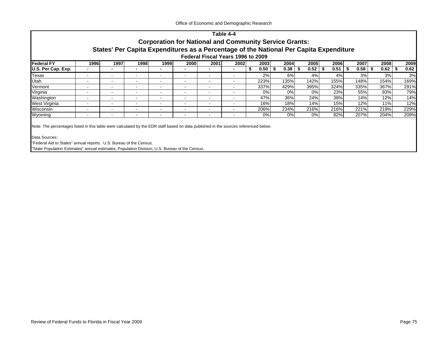| Table 4-4                                                                              |
|----------------------------------------------------------------------------------------|
| <b>Corporation for National and Community Service Grants:</b>                          |
| States' Per Capita Expenditures as a Percentage of the National Per Capita Expenditure |

| <b>Federal FY</b>    | 1996 | 1997 | 1998                     | 1999                     | 2000 | 2001   | 2002   | 2003 | 2004 | 2005 | 2006 | 2007 | 2008 | 2009 |
|----------------------|------|------|--------------------------|--------------------------|------|--------|--------|------|------|------|------|------|------|------|
| U.S. Per Cap. Exp.   |      |      |                          |                          |      |        |        | 0.50 | 0.38 | 0.52 | 0.51 | 0.58 | 0.62 | 0.62 |
| <b>Texas</b>         |      |      | $\overline{\phantom{0}}$ |                          |      |        |        | 2%   | 6%   | 4%   | 4%   | 3%   | 3%   | 3%   |
| Utah                 |      |      | $\overline{\phantom{0}}$ | $\overline{\phantom{a}}$ |      |        |        | 223% | 135% | 142% | 155% | 148% | 154% | 169% |
| Vermont              |      |      | -                        |                          |      |        |        | 337% | 429% | 395% | 324% | 335% | 367% | 291% |
| Virginia             |      |      | $\overline{\phantom{0}}$ |                          |      | $\sim$ |        | 0%   | 0%   | 0%   | 23%  | 55%  | 93%  | 79%  |
| Washington           |      |      | $\overline{\phantom{0}}$ |                          |      | $\sim$ |        | 47%  | 36%  | 24%  | 38%  | 14%  | 12%  | 14%  |
| <b>West Virginia</b> |      |      | -                        |                          |      | $\sim$ |        | 16%  | 18%  | 14%  | 15%  | 12%  | 11%  | 12%  |
| Wisconsin            |      |      | -                        |                          |      | $\sim$ |        | 206% | 234% | 216% | 216% | 221% | 219% | 229% |
| Wyoming              |      |      | -                        |                          |      |        |        | 0%   | 0%   | 0%   | 82%  | 207% | 204% | 209% |
|                      |      |      |                          |                          |      |        | $\sim$ | .    |      |      |      |      |      |      |

Note: The percentages listed in this table were calculated by the EDR staff based on data published in the sources referenced below.

Data Sources:

"Federal Aid to States" annual reports. U.S. Bureau of the Census.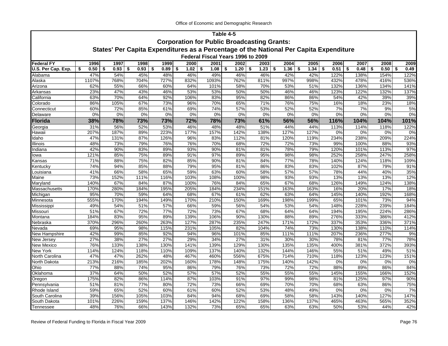| Table 4-5                               |    |              |                    |                    |                    |                    |                    |                                   |                                                                                        |                    |                      |                    |                    |                    |                    |
|-----------------------------------------|----|--------------|--------------------|--------------------|--------------------|--------------------|--------------------|-----------------------------------|----------------------------------------------------------------------------------------|--------------------|----------------------|--------------------|--------------------|--------------------|--------------------|
|                                         |    |              |                    |                    |                    |                    |                    |                                   | <b>Corporation for Public Broadcasting Grants:</b>                                     |                    |                      |                    |                    |                    |                    |
|                                         |    |              |                    |                    |                    |                    |                    |                                   | States' Per Capita Expenditures as a Percentage of the National Per Capita Expenditure |                    |                      |                    |                    |                    |                    |
|                                         |    |              |                    |                    |                    |                    |                    | Federal Fiscal Years 1996 to 2009 |                                                                                        |                    |                      |                    |                    |                    |                    |
|                                         |    |              |                    |                    |                    |                    |                    |                                   |                                                                                        |                    |                      |                    |                    |                    |                    |
| <b>Federal FY</b><br>U.S. Per Cap. Exp. | \$ | 1996<br>0.50 | 1997<br>\$<br>0.93 | 1998<br>0.93<br>\$ | 1999<br>\$<br>0.89 | 2000<br>\$<br>1.02 | 2001<br>1.08<br>\$ | 2002<br>1.20<br>\$                | 2003<br>1.23<br>\$                                                                     | 2004<br>\$<br>1.36 | 2005<br>$1.34$<br>\$ | 2006<br>\$<br>0.51 | 2007<br>\$<br>0.48 | 2008<br>\$<br>0.50 | 2009<br>0.49<br>\$ |
| Alabama                                 |    | 47%          | 54%                | 45%                | 48%                | 46%                | 49%                | 46%                               | 46%                                                                                    | 42%                | 42%                  | 122%               | 138%               | 154%               | 122%               |
| Alaska                                  |    | 1107%        | 768%               | 704%               | 727%               | 832%               | 1093%              | 762%                              | 811%                                                                                   | 997%               | 998%                 | 432%               | 478%               | 416%               | 536%               |
| Arizona                                 |    | 62%          | 55%                | 66%                | 60%                | 64%                | 101%               | 58%                               | 70%                                                                                    | 53%                | 51%                  | 132%               | 136%               | 134%               | 141%               |
| Arkansas                                |    | 23%          | 47%                | 43%                | 46%                | 53%                | 53%                | 50%                               | 50%                                                                                    | 46%                | 46%                  | 123%               | 122%               | 132%               | 137%               |
| California                              |    | 63%          | 70%                | 64%                | 92%                | 106%               | 83%                | 95%                               | 82%                                                                                    | 86%                | 86%                  | 54%                | 42%                | 39%                | 39%                |
| Colorado                                |    | 86%          | 105%               | 67%                | 73%                | 96%                | 70%                | 65%                               | 71%                                                                                    | 76%                | 75%                  | 16%                | 18%                | 23%                | 18%                |
| Connecticut                             |    | 60%          | 72%                | 85%                | 61%                | 69%                | 74%                | 57%                               | 53%                                                                                    | 52%                | 52%                  | 7%                 | 7%                 | 9%                 | 5%                 |
| Delaware                                |    | 0%           | 0%                 | 0%                 | 0%                 | 0%                 | 0%                 | 0%                                | 0%                                                                                     | 0%                 | 0%                   | 0%                 | 0%                 | 0%                 | 0%                 |
| <b>Florida</b>                          |    | 38%          | 78%                | 73%                | 73%                | 72%                | 78%                | 73%                               | 61%                                                                                    | 56%                | 56%                  | 116%               | 104%               | 104%               | 101%               |
| Georgia                                 |    | 31%          | 56%                | 52%                | 53%                | 46%                | 48%                | 48%                               | 51%                                                                                    | 44%                | 44%                  | 113%               | 114%               | 118%               | 122%               |
| Hawaii                                  |    | 207%         | 187%               | 89%                | 223%               | 177%               | 157%               | 142%                              | 138%                                                                                   | 127%               | 127%                 | 0%                 | 0%                 | 0%                 | 0%                 |
| Idaho                                   |    | 47%          | 131%               | 87%                | 126%               | 96%                | 83%                | 112%                              | 81%                                                                                    | 120%               | 119%                 | 234%               | 238%               | 209%               | 224%               |
| <b>Illinois</b>                         |    | 48%          | 73%                | 79%                | 76%                | 76%                | 70%                | 68%                               | 72%                                                                                    | 72%                | 73%                  | 99%                | 100%               | 88%                | 93%                |
| Indiana                                 |    | 42%          | 90%                | 83%                | 89%                | 93%                | 90%                | 81%                               | 81%                                                                                    | 78%                | 79%                  | 120%               | 101%               | 113%               | 97%                |
| lowa                                    |    | 121%         | 85%                | 75%                | 89%                | 91%                | 97%                | 89%                               | 95%                                                                                    | 98%                | 98%                  | 252%               | 258%               | 247%               | 258%               |
| Kansas                                  |    | 71%          | 88%                | 75%                | 82%                | 85%                | 90%                | 81%                               | 84%                                                                                    | 77%                | 78%                  | 140%               | 124%               | 118%               | 109%               |
| Kentucky                                |    | 74%          | 94%                | 85%                | 88%                | 79%                | 95%                | 81%                               | 86%                                                                                    | 83%                | 83%                  | 102%               | 87%                | 79%                | 91%                |
| ouisiana.                               |    | 41%          | 66%                | 58%                | 65%                | 59%                | 63%                | 60%                               | 58%                                                                                    | 57%                | 57%                  | 78%                | 44%                | 40%                | 35%                |
| Maine                                   |    | 73%          | 152%               | 111%               | 116%               | 103%               | 108%               | 100%                              | 98%                                                                                    | 93%                | 93%                  | 13%                | 13%                | 13%                | 12%                |
| Maryland                                |    | 140%         | 67%                | 84%                | 87%                | 100%               | 76%                | 84%                               | 65%                                                                                    | 67%                | 68%                  | 126%               | 149%               | 124%               | 138%               |
| Massachusetts                           |    | 170%         | 280%               | 184%               | 195%               | 205%               | 184%               | 234%                              | 151%                                                                                   | 163%               | 163%                 | 16%                | 20%                | 17%                | 18%                |
| Michigan                                |    | 95%          | 70%                | 59%                | 64%                | 68%                | 67%                | 61%                               | 62%                                                                                    | 63%                | 64%                  | 145%               | 140%               | 192%               | 168%               |
| Minnesota                               |    | 555%         | 170%               | 194%               | 149%               | 170%               | 210%               | 150%                              | 169%                                                                                   | 198%               | 199%                 | 65%                | 101%               | 73%                | 94%                |
| Mississippi                             |    | 49%          | 54%                | 51%                | 57%                | 66%                | 59%                | 56%                               | 54%                                                                                    | 53%                | 54%                  | 148%               | 228%               | 239%               | 184%               |
| Missouri                                |    | 51%          | 67%                | 72%                | 77%                | 72%                | 73%                | 67%                               | 68%                                                                                    | 64%                | 64%                  | 194%               | 195%               | 224%               | 286%               |
| Montana                                 |    | 184%<br>370% | 83%<br>296%        | 95%<br>260%        | 89%<br>263%        | 139%<br>127%       | 106%<br>287%       | 90%<br>235%                       | 130%<br>247%                                                                           | 88%<br>171%        | 89%                  | 276%<br>337%       | 333%<br>353%       | 386%               | 412%<br>371%       |
| Nebraska<br>Nevada                      |    | 69%          | 95%                | 98%                | 115%               | 231%               | 105%               | 82%                               | 104%                                                                                   | 74%                | 172%<br>73%          | 130%               | 138%               | 336%<br>110%       | 114%               |
| New Hampshire                           |    | 42%          | 99%                | 85%                | 92%                | 94%                | 96%                | 101%                              | 85%                                                                                    | 111%               | 111%                 | 207%               | 236%               | 277%               | 9%                 |
| <b>New Jersey</b>                       |    | 27%          | 38%                | 27%                | 27%                | 29%                | 34%                | 27%                               | 31%                                                                                    | 30%                | 30%                  | 78%                | 81%                | 77%                | 78%                |
| <b>New Mexico</b>                       |    | 76%          | 133%               | 138%               | 130%               | 141%               | 139%               | 129%                              | 130%                                                                                   | 135%               | 135%                 | 400%               | 381%               | 372%               | 393%               |
| New York                                |    | 114%         | 124%               | 118%               | 110%               | 109%               | 137%               | 140%                              | 132%                                                                                   | 144%               | 146%                 | 55%                | 51%                | 49%                | 51%                |
| North Carolina                          |    | 47%          | 47%                | 262%               | 48%                | 467%               | 460%               | 556%                              | 675%                                                                                   | 714%               | 710%                 | 118%               | 123%               | 123%               | 151%               |
| North Dakota                            |    | 213%         | 216%               | 185%               | 202%               | 160%               | 178%               | 148%                              | 175%                                                                                   | 140%               | 142%                 | 0%                 | 0%                 | 0%                 | 0%                 |
| Ohio                                    |    | 77%          | 88%                | 74%                | 95%                | 86%                | 79%                | 76%                               | 73%                                                                                    | 72%                | 72%                  | 88%                | 89%                | 86%                | 84%                |
| Oklahoma                                |    | 37%          | 64%                | 50%                | 52%                | 57%                | 57%                | 52%                               | 55%                                                                                    | 55%                | 55%                  | 145%               | 155%               | 166%               | 152%               |
| Oregon                                  |    | 175%         | 82%                | 86%                | 114%               | 87%                | 103%               | 91%                               | 97%                                                                                    | 99%                | 98%                  | 81%                | 125%               | 97%                | 90%                |
| Pennsylvania                            |    | 51%          | 81%                | 77%                | 80%                | 72%                | 73%                | 66%                               | 69%                                                                                    | 70%                | 70%                  | 68%                | 63%                | 86%                | 75%                |
| Rhode Island                            |    | 59%          | 65%                | 52%                | 60%                | 61%                | 60%                | 52%                               | 53%                                                                                    | 48%                | 49%                  | 0%                 | 0%                 | 0%                 | 7%                 |
| South Carolina                          |    | 39%          | 156%               | 105%               | 103%               | 84%                | 94%                | 68%                               | 69%                                                                                    | 58%                | 58%                  | 143%               | 140%               | 127%               | 147%               |
| South Dakota                            |    | 101%         | 226%               | 159%               | 137%               | 146%               | 142%               | 122%                              | 158%                                                                                   | 136%               | 137%                 | 465%               | 463%               | 565%               | 352%               |
| Tennessee                               |    | 48%          | 76%                | 66%                | 143%               | 132%               | 73%                | 65%                               | 65%                                                                                    | 63%                | 63%                  | 50%                | 53%                | 44%                | 42%                |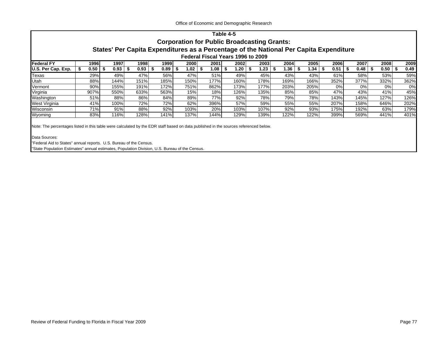| Table 4-5                                                                              |
|----------------------------------------------------------------------------------------|
| <b>Corporation for Public Broadcasting Grants:</b>                                     |
| States' Per Capita Expenditures as a Percentage of the National Per Capita Expenditure |

| <b>Federal FY</b>    | 1996 | 1997 | 1998 | 1999 | 2000 | 2001 | 2002 | 2003            | 2004 | 2005 | 2006 | 2007 | 2008 | 2009 |
|----------------------|------|------|------|------|------|------|------|-----------------|------|------|------|------|------|------|
| U.S. Per Cap. Exp.   | 0.50 | 0.93 | 0.93 | 0.89 | .02  | 1.08 | .20  | $\overline{23}$ | .36  | 34.، | 0.51 | 0.48 | 0.50 | 0.49 |
| <b>Texas</b>         | 29%  | 49%  | 47%  | 56%  | 47%  | 51%  | 49%  | 45%             | 43%  | 43%  | 61%  | 58%  | 53%  | 59%  |
| Utah                 | 88%  | 144% | 151% | 185% | 150% | 77%  | 160% | 178%            | 169% | 166% | 352% | 377% | 332% | 362% |
| Vermont              | 90%  | 155% | 191% | 172% | 751% | 862% | 173% | 177%            | 203% | 205% | 0%   | 0%   | 0%   | 0%   |
| Virginia             | 907% | 550% | 633% | 563% | 15%  | 18%  | 126% | 135%            | 85%  | 85%  | 47%  | 43%  | 41%  | 45%  |
| Washington           | 51%  | 88%  | 86%  | 84%  | 89%  | 77%  | 92%  | 78%             | 79%  | 78%  | 43%  | 145% | 127% | 126% |
| <b>West Virginia</b> | 41%  | 100% | 72%  | 72%  | 62%  | 396% | 57%  | 59%             | 55%  | 55%  | 207% | 158% | 646% | 202% |
| Wisconsin            | 71%  | 91%  | 88%  | 92%  | 103% | 20%  | 103% | 107%            | 92%  | 93%  | '75% | 192% | 63%  | 179% |
| Wyoming              | 83%  | 16%  | 128% | 141% | 137% | '44% | 129% | 139%            | 122% | 122% | 399% | 569% | 441% | 401% |

Note: The percentages listed in this table were calculated by the EDR staff based on data published in the sources referenced below.

Data Sources:

"Federal Aid to States" annual reports. U.S. Bureau of the Census.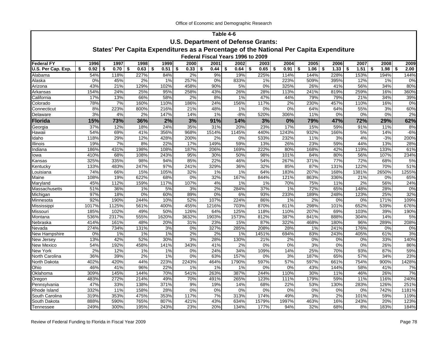|                                |                    |             |             |             |            |            | Table 4-6                                 |            |                                                                                        |            |            |            |            |                    |
|--------------------------------|--------------------|-------------|-------------|-------------|------------|------------|-------------------------------------------|------------|----------------------------------------------------------------------------------------|------------|------------|------------|------------|--------------------|
|                                |                    |             |             |             |            |            | <b>U.S. Department of Defense Grants:</b> |            |                                                                                        |            |            |            |            |                    |
|                                |                    |             |             |             |            |            |                                           |            | States' Per Capita Expenditures as a Percentage of the National Per Capita Expenditure |            |            |            |            |                    |
|                                |                    |             |             |             |            |            | Federal Fiscal Years 1996 to 2009         |            |                                                                                        |            |            |            |            |                    |
| <b>Federal FY</b>              |                    | 1997        | 1998        | 1999        | 2000       | 2001       | 2002                                      | 2003       | 2004                                                                                   | 2005       | 2006       | 2007       | 2008       |                    |
| U.S. Per Cap. Exp.             | \$<br>1996<br>0.92 | \$<br>0.70  | 0.63<br>\$  | 0.51<br>\$  | 0.33<br>\$ | 0.44<br>\$ | 0.64<br>\$                                | \$<br>0.65 | \$<br>0.91                                                                             | 1.06<br>\$ | 1.33<br>\$ | 1.51<br>\$ | 1.98<br>\$ | 2009<br>2.00<br>\$ |
| Alabama                        | 54%                | 118%        | 227%        | 84%         | 2%         | 9%         | 19%                                       | 225%       | 114%                                                                                   | 144%       | 228%       | 153%       | 194%       | 144%               |
| Alaska                         | 0%                 | 45%         | 2%          | 1%          | 257%       | 0%         | 833%                                      | 1%         | 223%                                                                                   | 509%       | 395%       | 12%        | 1%         | 0%                 |
| Arizona                        | 43%                | 21%         | 129%        | 102%        | 458%       | 90%        | 5%                                        | 0%         | 325%                                                                                   | 26%        | 41%        | 56%        | 34%        | 80%                |
| Arkansas                       | 154%               | 24%         | 25%         | 95%         | 258%       | 43%        | 26%                                       | 28%        | 113%                                                                                   | 241%       | 819%       | 259%       | 16%        | 360%               |
| California                     | 17%                | 13%         | 66%         | 58%         | 2%         | 8%         | 1%                                        | 47%        | 44%                                                                                    | 79%        | 79%        | 21%        | 34%        | 39%                |
| Colorado                       | 78%                | 7%          | 160%        | 110%        | 186%       | 24%        | 156%                                      | 117%       | 2%                                                                                     | 230%       | 457%       | 110%       | 16%        | 0%                 |
| Connecticut                    | 8%                 | 223%        | 800%        | 216%        | 21%        | 48%        | 1%                                        | 0%         | 0%                                                                                     | 64%        | 64%        | 55%        | 3%         | 60%                |
| Delaware                       | 3%                 | 4%          | 2%          | 147%        | 14%        | 1%         | $-8%$                                     | 520%       | 306%                                                                                   | 11%        | 0%         | 0%         | 0%         | 2%                 |
| <b>Florida</b>                 | 15%                | 73%         | 36%         | 2%          | 3%         | 91%        | 14%                                       | 3%         | 0%                                                                                     | 79%        | 47%        | 72%        | 29%        | 62%                |
| Georgia                        | 37%                | 12%         | 18%         | 24%         | 35%        | 31%        | 20%                                       | 23%        | 17%                                                                                    | 15%        | 59%        | 91%        | 11%        | 8%                 |
| Hawaii                         | 54%                | 69%         | 41%         | 356%        | 968%       | 1514%      | 1145%                                     | 440%       | 1243%                                                                                  | 932%       | 166%       | 5%         | 14%        | $-6%$              |
| Idaho                          | 118%               | 29%         | 12%         | 428%        | 200%       | 2%         | 0%                                        | 533%       | 232%                                                                                   | 11%        | 3%         | 4%         | $-3%$      | 200%               |
| <b>Illinois</b>                | 19%                | 7%          | 8%          | 22%         | 17%        | 149%       | 59%                                       | 13%        | 26%                                                                                    | 23%        | 59%        | 44%        | 13%        | 28%                |
| <b>Indiana</b>                 | 186%               | 431%        | 198%        | 108%        | 187%       | 206%       | 169%                                      | 222%       | 80%                                                                                    | 168%       | 42%        | 119%       | 133%       | 61%                |
| lowa                           | 410%               | 68%         | 108%        | 243%        | 95%        | 30%        | 50%                                       | 98%        | 101%                                                                                   | 84%        | 80%        | 56%        | 107%       | 234%               |
| Kansas                         | 325%               | 335%        | 98%         | 94%         | 85%        | 22%        | 46%                                       | 54%        | 267%                                                                                   | 371%       | 77%        | 72%        | 68%        | 5%                 |
| Kentucky                       | 133%               | 483%        | 247%        | 97%         | 241%       | 329%       | 36%                                       | 32%        | 85%                                                                                    | 87%        | 131%       | 122%       | 70%        | 51%                |
| Louisiana                      | 74%                | 66%         | 15%         | 105%        | 32%        | 1%         | 1%                                        | 64%        | 183%                                                                                   | 207%       | 168%       | 1381%      | 2650%      | 1255%              |
| Maine                          | 108%               | 19%         | 622%        | 68%         | 0%         | 32%        | 167%                                      | 844%       | 121%                                                                                   | 863%       | 336%       | 21%        | 0%         | 65%                |
| Maryland                       | 45%                | 112%        | 159%        | 117%        | 107%       | 4%         | 1%                                        | 1%         | 70%                                                                                    | 75%        | 11%        | 2%         | 56%        | 24%                |
| Massachusetts                  | 51%                | 36%         | 1%          | 5%          | 3%         | 2%         | 284%                                      | 37%        | 1%                                                                                     | 72%        | 65%        | 148%       | 28%        | 0%                 |
| Michigan                       | 97%                | 18%         | 0%          | 60%         | 89%        | 0%         | 6%                                        | 93%        | 233%                                                                                   | 189%       | 248%       | 123%       | 25%        | 32%                |
| Minnesota                      | 92%                | 190%        | 244%        | 10%         | 52%        | 107%       | 224%                                      | 86%        | 1%                                                                                     | 2%         | 0%         | 0%         | 171%       | 109%               |
| Mississippi                    | 1017%              | 1125%       | 561%        | 400%        | 455%       | 1216%      | 703%                                      | 870%       | 811%                                                                                   | 298%       | 101%       | 652%       | 539%       | 676%               |
| Missouri                       | 185%               | 102%        | 49%         | 50%         | 126%       | 64%        | 125%                                      | 118%       | 110%                                                                                   | 207%       | 69%        | 103%       | 39%        | 190%               |
| Montana                        | 536%               | 2317%       | 555%        | 1620%       | 3632%      | 1903%      | 1573%                                     | 812%       | 387%                                                                                   | 841%       | 888%       | 304%       | 14%        | 5%                 |
| Nebraska                       | 414%               | 161%        | 48%         | 20%         | 31%        | 23%        | 15%                                       | 87%        | 322%                                                                                   | 468%       | 180%       | 96%        | 289%       | 208%               |
| Nevada                         | 274%               | 734%        | 131%        | 3%          | 0%         | 327%       | 285%                                      | 208%       | 28%                                                                                    | 1%         | 241%       | 176%       | 0%         | 0%                 |
| New Hampshire                  | 0%                 | 1%          | 1%          | 1%          | 2%         | 2%         | 1%                                        | 1451%      | 694%                                                                                   | 83%        | 243%       | 405%       | 61%        | 3%                 |
| New Jersey                     | 13%<br>54%         | 42%<br>192% | 52%<br>458% | 30%<br>141% | 3%<br>343% | 28%        | 130%<br>2%                                | 21%        | 2%<br>0%                                                                               | 0%<br>3%   | 0%         | 0%         | 33%        | 140%               |
| <b>New Mexico</b>              | 2%                 | 12%         | 1%          |             | 0%         | 41%<br>24% | 34%                                       | 0%<br>109% | 14%                                                                                    | 25%        | 0%<br>70%  | 0%<br>93%  | 26%<br>87% | 86%<br>59%         |
| New York                       | 36%                | 39%         | 2%          | 1%<br>1%    | 0%         | 63%        | 157%                                      | 0%         | 3%                                                                                     | 187%       | 65%        | 57%        | 34%        | 23%                |
| North Carolina<br>North Dakota | 402%               | 420%        | 44%         | 223%        | 2243%      | 464%       | 1790%                                     | 597%       | 57%                                                                                    | 597%       | 661%       | 754%       | 900%       | 1428%              |
| Ohio                           | 46%                | 41%         | 96%         | 22%         | 1%         | 1%         | 1%                                        | 0%         | 0%                                                                                     | 43%        | 144%       | 58%        | 41%        | 7%                 |
|                                | 309%               | 145%        | 144%        | 70%         | 541%       | 263%       | 387%                                      | 244%       | 110%                                                                                   | 30%        | 11%        | 46%        | 26%        | 7%                 |
| Oklahoma<br>Oregon             | 483%               | 272%        | 214%        | 49%         | 70%        | 491%       | 265%                                      | 123%       | 111%                                                                                   | 179%       | 59%        | 11%        | 116%       | 240%               |
| Pennsylvania                   | 47%                | 33%         | 138%        | 371%        | 9%         | 19%        | 14%                                       | 68%        | 22%                                                                                    | 53%        | 130%       | 283%       | 126%       | 251%               |
| Rhode Island                   | 332%               | 11%         | 158%        | 28%         | 0%         | 0%         | 0%                                        | 0%         | 0%                                                                                     | 0%         | 0%         | 0%         | 742%       | 1181%              |
| South Carolina                 | 319%               | 353%        | 475%        | 353%        | 117%       | 7%         | 313%                                      | 174%       | 49%                                                                                    | 3%         | 2%         | 101%       | 59%        | 119%               |
| South Dakota                   | 888%               | 590%        | 765%        | 807%        | 421%       | 43%        | 634%                                      | 1579%      | 1997%                                                                                  | 463%       | 16%        | 243%       | 20%        | 123%               |
| Tennessee                      | 249%               | 300%        | 195%        | 243%        | 23%        | 20%        | 134%                                      | 177%       | 94%                                                                                    | 32%        | 68%        | 8%         | 183%       | 184%               |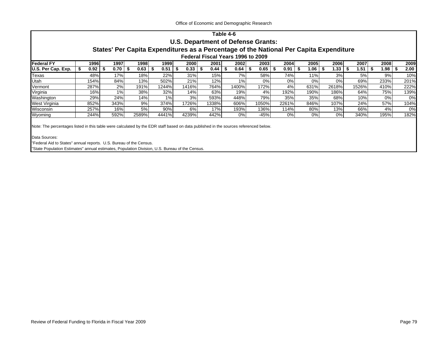| Table 4-6                                                                              |
|----------------------------------------------------------------------------------------|
| U.S. Department of Defense Grants:                                                     |
| States' Per Capita Expenditures as a Percentage of the National Per Capita Expenditure |

| <b>Federal FY</b>  | 1996 | 1997   | 1998  | 1999  | 2000  | 2001  | 2002  | 2003  | 2004  | 2005 | 2006  | 2007  | 2008  | 2009 |
|--------------------|------|--------|-------|-------|-------|-------|-------|-------|-------|------|-------|-------|-------|------|
| U.S. Per Cap. Exp. | 0.92 | 0.70   | 0.63  | 0.51  | 0.33  | 0.44  | 64.(  | 0.65  | 0.91  | 1.06 | .33   | . 51  | 98. ، | 2.00 |
| Texas              | 48%  | $17\%$ | 18%   | 22%   | 31%   | 15%   | $7\%$ | 58%   | 74%   | 11%  | 3%    | 5%    | 9%    | 10%  |
| Utah               | 154% | 84%    | 13%   | 502%  | 21%   | 12%   | $1\%$ | 0%    | 0%    | 0%   | 0%    | 69%   | 233%  | 201% |
| Vermont            | 287% | 2%     | 191%  | 1244% | 1416% | 764%  | 1400% | 172%  | 4%    | 631% | 2618% | 1526% | 410%  | 222% |
| Virginia           | 16%  | 1%     | 38%   | 32%   | 14%   | 63%   | 19%   | 4%    | 192%  | 190% | 186%  | 64%   | 75%   | 139% |
| Washington         | 29%  | 24%    | 14%   | $1\%$ | 3%    | 593%  | 448%  | 79%   | 35%   | 35%  | 68%   | 10%   | $0\%$ | 0%   |
| West Virginia      | 852% | 343%   | 9%    | 374%  | 1726% | 1338% | 606%  | 1050% | 2261% | 846% | 107%  | 24%   | 57%   | 104% |
| <i>N</i> isconsin  | 257% | 16%    | 5%    | 90%   | 6%    | 17%   | 193%  | 136%  | 114%  | 80%  | 13%   | 66%   | 4%    | 0%   |
| Wyoming            | 244% | 592%   | 2589% | 4441% | 4239% | 442%  | 0%    | -45%  | 0%    | 0%   | 0%    | 340%  | 195%  | 182% |

Note: The percentages listed in this table were calculated by the EDR staff based on data published in the sources referenced below.

Data Sources:

"Federal Aid to States" annual reports. U.S. Bureau of the Census.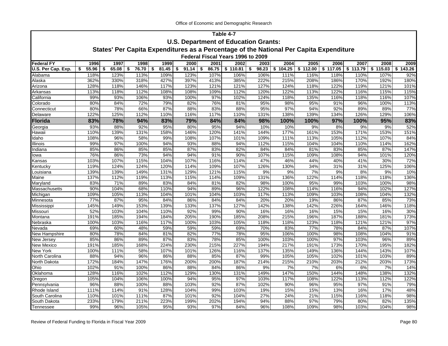| Table 4-7                               |                                                                                                                             |    |               |               |                     |                     |                     |                                             |                     |                  |                  |                  |                      |                  |                  |
|-----------------------------------------|-----------------------------------------------------------------------------------------------------------------------------|----|---------------|---------------|---------------------|---------------------|---------------------|---------------------------------------------|---------------------|------------------|------------------|------------------|----------------------|------------------|------------------|
|                                         |                                                                                                                             |    |               |               |                     |                     |                     | <b>U.S. Department of Education Grants:</b> |                     |                  |                  |                  |                      |                  |                  |
|                                         |                                                                                                                             |    |               |               |                     |                     |                     |                                             |                     |                  |                  |                  |                      |                  |                  |
|                                         | States' Per Capita Expenditures as a Percentage of the National Per Capita Expenditure<br>Federal Fiscal Years 1996 to 2009 |    |               |               |                     |                     |                     |                                             |                     |                  |                  |                  |                      |                  |                  |
|                                         |                                                                                                                             |    |               |               |                     |                     |                     |                                             |                     |                  |                  |                  |                      |                  |                  |
| <b>Federal FY</b><br>U.S. Per Cap. Exp. | 1996<br>55.96<br>\$                                                                                                         | \$ | 1997<br>65.08 | 1998<br>76.70 | 1999<br>81.45<br>\$ | 2000<br>91.14<br>\$ | 2001<br>86.75<br>\$ | 2002<br>\$110.81                            | 2003<br>\$<br>98.23 | 2004<br>\$104.25 | 2005<br>\$112.00 | 2006<br>\$117.05 | 2007<br>113.79<br>\$ | 2008<br>\$115.03 | 2009<br>\$143.26 |
|                                         | 118%                                                                                                                        |    | 123%          | 113%          | 109%                | 123%                | 107%                | 106%                                        | 106%                | 111%             | 116%             | 118%             | 110%                 | 107%             | 92%              |
| Alabama<br>Alaska                       | 362%                                                                                                                        |    | 330%          | 318%          | 427%                | 397%                | 413%                | 385%                                        | 222%                | 215%             | 208%             | 186%             | 170%                 | 192%             | 180%             |
| Arizona                                 | 128%                                                                                                                        |    | 118%          | 146%          | 117%                | 123%                | 121%                | 121%                                        | 127%                | 124%             | 118%             | 122%             | 119%                 | 121%             | 101%             |
| Arkansas                                | 113%                                                                                                                        |    | 118%          | 112%          | 108%                | 108%                | 109%                | 112%                                        | 120%                | 122%             | 113%             | 122%             | 116%                 | 115%             | 115%             |
| California                              | 99%                                                                                                                         |    | 93%           | 106%          | 93%                 | 100%                | 97%                 | 102%                                        | 124%                | 118%             | 135%             | 116%             | 118%                 | 116%             | 107%             |
| Colorado                                | 80%                                                                                                                         |    | 84%           | 72%           | 79%                 | 82%                 | 76%                 | 81%                                         | 95%                 | 98%              | 95%              | 91%              | 96%                  | 100%             | 113%             |
| Connecticut                             | 80%                                                                                                                         |    | 78%           | 66%           | 87%                 | 88%                 | 83%                 | 88%                                         | 95%                 | 97%              | 94%              | 92%              | 89%                  | 89%              | 77%              |
| <b>Delaware</b>                         | 122%                                                                                                                        |    | 125%          | 112%          | 110%                | 116%                | 117%                | 110%                                        | 131%                | 138%             | 139%             | 134%             | 126%                 | 129%             | 106%             |
| <b>Florida</b>                          | 83%                                                                                                                         |    | 78%           | 94%           | 83%                 | 79%                 | 84%                 | 84%                                         | 98%                 | 100%             | 100%             | 97%              | 100%                 | 95%              | 83%              |
| Georgia                                 | 93%                                                                                                                         |    | 88%           | 92%           | 95%                 | 80%                 | 95%                 | 94%                                         | 10%                 | 10%              | 9%               | 8%               | 9%                   | 9%               | 52%              |
| Hawaii                                  | 110%                                                                                                                        |    | 139%          | 131%          | 158%                | 146%                | 120%                | 141%                                        | 144%                | 177%             | 161%             | 153%             | 171%                 | 153%             | 151%             |
| Idaho                                   | 108%                                                                                                                        |    | 96%           | 58%           | 99%                 | 108%                | 107%                | 101%                                        | 109%                | 111%             | 113%             | 105%             | 112%                 | 107%             | 84%              |
| <b>Illinois</b>                         | 99%                                                                                                                         |    | 97%           | 100%          | 94%                 | 93%                 | 88%                 | 94%                                         | 112%                | 115%             | 104%             | 104%             | 110%                 | 114%             | 162%             |
| Indiana                                 | 85%                                                                                                                         |    | 86%           | 85%           | 85%                 | 87%                 | 83%                 | 82%                                         | 84%                 | 84%              | 81%              | 83%              | 85%                  | 87%              | 147%             |
| lowa                                    | 76%                                                                                                                         |    | 86%           | 73%           | 94%                 | 94%                 | 91%                 | 90%                                         | 107%                | 115%             | 109%             | 108%             | 94%                  | 101%             | 120%             |
| Kansas                                  | 103%                                                                                                                        |    | 107%          | 115%          | 104%                | 107%                | 116%                | 114%                                        | 47%                 | 46%              | 44%              | 40%              | 41%                  | 30%              | 72%              |
| Kentucky                                | 119%                                                                                                                        |    | 124%          | 124%          | 120%                | 114%                | 109%                | 107%                                        | 126%                | 130%             | 34%              | 31%              | 31%                  | 125%             | 106%             |
| ouisiana.                               | 139%                                                                                                                        |    | 139%          | 149%          | 131%                | 129%                | 121%                | 115%                                        | 9%                  | 9%               | 7%               | 9%               | 8%                   | 9%               | 10%              |
| Maine                                   | 137%                                                                                                                        |    | 112%          | 119%          | 113%                | 115%                | 114%                | 109%                                        | 131%                | 136%             | 122%             | 114%             | 118%                 | 118%             | 136%             |
| Maryland                                | 83%                                                                                                                         |    | 71%           | 89%           | 83%                 | 84%                 | 81%                 | 82%                                         | 98%                 | 100%             | 95%              | 99%              | 103%                 | 100%             | 98%              |
| Massachusetts                           | 90%                                                                                                                         |    | 104%          | 68%           | 110%                | 94%                 | 89%                 | 96%                                         | 122%                | 108%             | 114%             | 116%             | 94%                  | 102%             | 127%             |
| Michigan                                | 109%                                                                                                                        |    | 105%          | 113%          | 104%                | 101%                | 104%                | 103%                                        | 117%                | 113%             | 109%             | 103%             | 108%                 | 104%             | 132%             |
| Minnesota                               | 77%                                                                                                                         |    | 87%           | 95%           | 84%                 | 86%                 | 84%                 | 84%                                         | 20%                 | 20%              | 19%              | 86%              | 87%                  | 85%              | 73%              |
| Mississippi                             | 145%                                                                                                                        |    | 149%          | 153%          | 139%                | 133%                | 137%                | 127%                                        | 142%                | 138%             | 142%             | 226%             | 164%                 | 146%             | 118%             |
| Missouri                                | 52%                                                                                                                         |    | 103%          | 104%          | 110%                | 92%                 | 99%                 | 90%                                         | 16%                 | 16%              | 16%              | 15%              | 15%                  | 16%              | 30%              |
| Montana                                 | 191%                                                                                                                        |    | 185%          | 194%          | 184%                | 205%                | 190%                | 185%                                        | 208%                | 215%             | 196%             | 187%             | 188%                 | 181%             | 173%             |
| Nebraska                                | 100%                                                                                                                        |    | 103%          | 116%          | 117%                | 100%                | 103%                | 105%                                        | 118%                | 118%             | 123%             | 118%             | 121%                 | 121%             | 97%              |
| Nevada                                  | 69%                                                                                                                         |    | 60%           | 48%           | 59%                 | 59%                 | 59%                 | 69%                                         | 70%                 | 83%              | 77%              | 78%              | 84%                  | 87%              | 107%             |
| New Hampshire                           | 80%                                                                                                                         |    | 78%           | 84%           | 81%                 | 82%                 | 77%                 | 78%                                         | 95%                 | 106%             | 100%             | 98%              | 108%                 | 104%             | 91%              |
| New Jersey                              | 85%                                                                                                                         |    | 86%           | 89%           | 87%                 | 83%                 | 78%                 | 85%                                         | 100%                | 103%             | 100%             | 97%              | 103%                 | 96%              | 89%              |
| New Mexico                              | 191%<br>100%                                                                                                                |    | 185%<br>111%  | 168%<br>58%   | 224%<br>107%        | 230%<br>101%        | 215%<br>126%        | 227%<br>116%                                | 194%<br>137%        | 217%<br>135%     | 191%<br>149%     | 173%<br>136%     | 170%<br>144%         | 195%<br>143%     | 182%<br>107%     |
| New York                                |                                                                                                                             |    | 94%           | 96%           |                     |                     | 85%                 | 87%                                         | 99%                 | 105%             | 105%             | 102%             | 101%                 |                  | 89%              |
| North Carolina<br>North Dakota          | 88%<br>172%                                                                                                                 |    | 184%          | 147%          | 86%<br>176%         | 88%<br>200%         | 200%                | 187%                                        | 214%                | 215%             | 210%             | 203%             | 212%                 | 103%<br>203%     | 173%             |
| Ohio                                    | 102%                                                                                                                        |    | 91%           | 100%          | 86%                 | 88%                 | 84%                 | 86%                                         | 9%                  | 7%               | 7%               | 6%               | 6%                   | 7%               | 14%              |
|                                         | 128%                                                                                                                        |    | 116%          | 102%          | 112%                | 129%                | 130%                | 131%                                        | 149%                | 147%             | 150%             | 144%             | 148%                 | 138%             | 132%             |
| Oklahoma<br>Oregon                      | 105%                                                                                                                        |    | 104%          | 106%          | 100%                | 94%                 | 95%                 | 97%                                         | 103%                | 117%             | 108%             | 122%             | 113%                 | 112%             | 122%             |
| Pennsylvania                            | 96%                                                                                                                         |    | 88%           | 100%          | 88%                 | 103%                | 92%                 | 87%                                         | 102%                | 90%              | 96%              | 95%              | 97%                  | 91%              | 79%              |
| Rhode Island                            | 111%                                                                                                                        |    | 114%          | 91%           | 128%                | 104%                | 99%                 | 103%                                        | 19%                 | 15%              | 15%              | 13%              | 16%                  | 17%              | 48%              |
| South Carolina                          | 110%                                                                                                                        |    | 101%          | 111%          | 87%                 | 101%                | 92%                 | 104%                                        | 27%                 | 24%              | 21%              | 115%             | 116%                 | 118%             | 98%              |
| South Dakota                            | 233%                                                                                                                        |    | 179%          | 211%          | 223%                | 199%                | 202%                | 194%                                        | 94%                 | 88%              | 97%              | 79%              | 80%                  | 82%              | 135%             |
| Tennessee                               | 99%                                                                                                                         |    | 96%           | 105%          | 95%                 | 93%                 | 97%                 | 84%                                         | 96%                 | 108%             | 109%             | 98%              | 103%                 | 104%             | 98%              |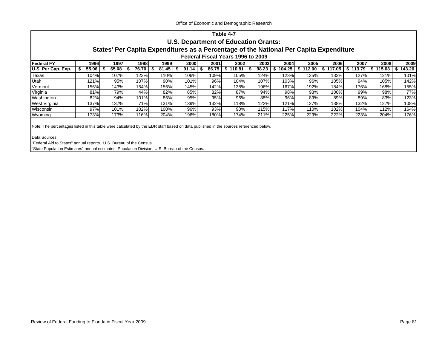| Table 4-7                                                                              |
|----------------------------------------------------------------------------------------|
| U.S. Department of Education Grants:                                                   |
| States' Per Capita Expenditures as a Percentage of the National Per Capita Expenditure |

| <b>Federal FY</b>    | 1996  | 1997  |       | 1998 | 1999  | 2000 | 2001 | 2002  | 2003  | 2004   | 2005  | 2006       | 2007 | 2008   | 2009   |
|----------------------|-------|-------|-------|------|-------|------|------|-------|-------|--------|-------|------------|------|--------|--------|
| U.S. Per Cap. Exp.   | 55.96 | 65.08 | 76.70 |      | 81.45 |      |      | 10.81 | 98.23 | 104.25 | 12.00 |            | 79   | 115.03 | 143.26 |
| Texas                | 104%  | 107%  |       | 123% | 110%  | 106% | 109% | 105%  | 124%  | 123%   | 125%  | 132%       | 127% | 121%   | 101%   |
| Utah                 | 121%  | 95%   |       | 107% | 90%   | 101% | 96%  | 104%  | 107%  | 103%   | 96%   | 105%       | 94%  | 105%   | 142%   |
| Vermont              | 156%  | 143%  |       | 154% | 156%  | 145% | 142% | 138%  | 196%  | 167%   | 192%  | 184%       | 176% | 168%   | 155%   |
| Virginia             | 81%   | 79%   |       | 44%  | 82%   | 85%  | 82%  | 87%   | 94%   | 98%    | 93%   | 100%       | 99%  | 98%    | 77%    |
| Washington           | 82%   | 94%   |       | 101% | 85%   | 95%  | 95%  | 96%   | 88%   | 96%    | 89%   | 89%        | 89%  | 83%    | 123%   |
| <b>West Virginia</b> | 137%  | 137%  |       | 71%  | 131%  | 139% | 132% | 118%  | 122%  | 121%   | 127%  | <b>38%</b> | 132% | 127%   | 108%   |
| Wisconsin            | 97%   | 101%  |       | 102% | 100%  | 96%  | 93%  | 90%   | 115%  | 117%   | 110%  | 102%       | 104% | 112%   | 164%   |
| Wyoming              | 173%  | 173%  |       | 116% | 204%  | 196% | 180% | 174%  | 211%  | 225%   | 229%  | 222%       | 223% | 204%   | 176%   |

Note: The percentages listed in this table were calculated by the EDR staff based on data published in the sources referenced below.

Data Sources:

"Federal Aid to States" annual reports. U.S. Bureau of the Census.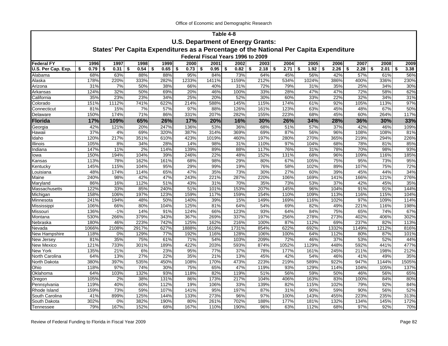|                                         |                    |                    |                   |                    |             |             | Table 4-8                                |                    |                                                                                        |                    |                    |                     |                    |                    |
|-----------------------------------------|--------------------|--------------------|-------------------|--------------------|-------------|-------------|------------------------------------------|--------------------|----------------------------------------------------------------------------------------|--------------------|--------------------|---------------------|--------------------|--------------------|
|                                         |                    |                    |                   |                    |             |             | <b>U.S. Department of Energy Grants:</b> |                    |                                                                                        |                    |                    |                     |                    |                    |
|                                         |                    |                    |                   |                    |             |             |                                          |                    | States' Per Capita Expenditures as a Percentage of the National Per Capita Expenditure |                    |                    |                     |                    |                    |
|                                         |                    |                    |                   |                    |             |             | Federal Fiscal Years 1996 to 2009        |                    |                                                                                        |                    |                    |                     |                    |                    |
|                                         |                    |                    |                   |                    | 2000        | 2001        | 2002                                     |                    |                                                                                        |                    |                    |                     |                    |                    |
| <b>Federal FY</b><br>U.S. Per Cap. Exp. | \$<br>1996<br>0.79 | 1997<br>\$<br>0.31 | 1998<br>0.54<br>S | 1999<br>\$<br>0.65 | \$<br>0.73  | 0.95<br>\$  | 0.82<br>\$                               | 2003<br>2.18<br>\$ | 2004<br>\$<br>2.71                                                                     | 2005<br>1.92<br>\$ | 2006<br>2.26<br>\$ | 2007<br>2.28<br>-\$ | 2008<br>2.01<br>\$ | 2009<br>3.38<br>\$ |
| Alabama                                 | 68%                | 63%                | 88%               | 88%                | 95%         | 84%         | 73%                                      | 64%                | 45%                                                                                    | 56%                | 42%                | 57%                 | 61%                | 56%                |
| Alaska                                  | 178%               | 220%               | 333%              | 282%               | 1233%       | 1411%       | 1159%                                    | 212%               | 534%                                                                                   | 1024%              | 386%               | 400%                | 336%               | 230%               |
| Arizona                                 | 31%                | 7%                 | 50%               | 38%                | 66%         | 40%         | 31%                                      | 72%                | 79%                                                                                    | 31%                | 35%                | 25%                 | 34%                | 30%                |
| Arkansas                                | 124%               | 32%                | 50%               | 69%                | 20%         | 46%         | 100%                                     | 33%                | 28%                                                                                    | 47%                | 47%                | 72%                 | 58%                | 62%                |
| California                              | 35%                | 23%                | 23%               | 34%                | 25%         | 20%         | 52%                                      | 30%                | 60%                                                                                    | 33%                | 22%                | 32%                 | 34%                | 31%                |
| Colorado                                | 151%               | 1112%              | 741%              | 622%               | 214%        | 588%        | 145%                                     | 115%               | 174%                                                                                   | 61%                | 92%                | 105%                | 113%               | 97%                |
| Connecticut                             | 81%                | 15%                | 7%                | 57%                | 97%         | 88%         | 126%                                     | 161%               | 123%                                                                                   | 63%                | 45%                | 48%                 | 67%                | 50%                |
| Delaware                                | 150%               | 174%               | 71%               | 86%                | 331%        | 207%        | 282%                                     | 155%               | 223%                                                                                   | 68%                | 45%                | 60%                 | 264%               | 117%               |
| Florida                                 | 17%                | 109%               | 65%               | 26%                | 17%         | 20%         | 16%                                      | 30%                | 26%                                                                                    | 34%                | 28%                | 36%                 | 30%                | 33%                |
| Georgia                                 | 42%                | 121%               | 20%               | 247%               | 136%        | 53%         | 36%                                      | 68%                | 51%                                                                                    | 57%                | 37%                | 42%                 | 46%                | 109%               |
| Hawaii                                  | 37%                | 4%                 | 69%               | 320%               | 387%        | 314%        | 369%                                     | 69%                | 87%                                                                                    | 56%                | 96%                | 108%                | 108%               | 81%                |
| Idaho                                   | 120%               | 217%               | 351%              | 610%               | 423%        | 1019%       | 460%                                     | 197%               | 280%                                                                                   | 270%               | 365%               | 219%                | 294%               | 226%               |
| Illinois                                | 105%               | 8%                 | 34%               | 28%                | 14%         | 98%         | 31%                                      | 110%               | 97%                                                                                    | 104%               | 68%                | 78%                 | 81%                | 85%                |
| Indiana                                 | 147%               | 11%                | 2%                | 114%               | 139%        | 89%         | 88%                                      | 117%               | 76%                                                                                    | 31%                | 78%                | 70%                 | 98%                | 93%                |
| lowa                                    | 150%               | 194%               | 104%              | 39%                | 246%        | 22%         | 48%                                      | 152%               | 131%                                                                                   | 68%                | 96%                | 109%                | 116%               | 185%               |
| Kansas                                  | 113%               | 78%                | 162%              | 161%               | 68%         | 98%         | 29%                                      | 80%                | 67%                                                                                    | 105%               | 75%                | 95%                 | 73%                | 95%                |
| Kentucky                                | 145%               | 115%               | 104%              | 95%                | 29%         | 99%         | 19%                                      | 76%                | 58%                                                                                    | 102%               | 89%                | 107%                | 75%                | 72%                |
| Louisiana                               | 48%                | 174%               | 114%              | 65%                | 47%         | 35%         | 73%                                      | 30%                | 27%                                                                                    | 60%                | 39%                | 45%                 | 44%                | 34%                |
| Maine                                   | 240%               | 98%                | 42%               | 47%                | 243%        | 221%        | 287%                                     | 220%               | 106%                                                                                   | 169%               | 141%               | 166%                | 121%               | 276%               |
| Maryland                                | 86%                | 16%                | 112%              | 51%                | 43%         | 31%         | 70%                                      | 35%                | 73%                                                                                    | 53%                | 37%                | 42%                 | 45%                | 35%                |
| Massachusetts                           | 122%               | 33%                | 85%               | 240%               | 51%         | 101%        | 153%                                     | 207%               | 145%                                                                                   | 96%                | 104%               | 91%                 | 91%                | 144%               |
| Michigan                                | 158%               | 106%               | 197%              | 123%               | 159%        | 117%        | 159%                                     | 154%               | 110%                                                                                   | 109%               | 113%               | 116%                | 115%               | 104%               |
| Minnesota                               | 241%               | 194%               | 48%               | 50%                | 140%        | 39%         | 15%                                      | 149%               | 169%                                                                                   | 116%               | 102%               | 97%                 | 109%               | 114%               |
| Mississippi                             | 106%               | 66%                | 80%               | 104%               | 125%        | 81%         | 64%                                      | 54%                | 69%                                                                                    | 82%                | 49%                | 221%                | 116%               | 198%               |
| Missouri                                | 136%               | $-1%$              | 14%               | 91%                | 124%        | 66%         | 123%                                     | 93%                | 64%                                                                                    | 84%                | 75%                | 65%                 | 74%                | 67%                |
| Montana                                 | 530%               | 266%               | 379%              | 343%               | 367%        | 269%        | 337%                                     | 197%               | 256%                                                                                   | 278%               | 273%               | 402%                | 406%               | 302%               |
| Nebraska                                | 180%               | 46%                | 223%              | 742%               | 125%        | 162%        | 216%                                     | 100%               | 87%                                                                                    | 112%               | 69%                | 237%                | 82%                | 113%               |
| Nevada                                  | 1066%              | 2108%              | 2917%             | 627%               | 1888%       | 1619%       | 1731%                                    | 854%               | 622%                                                                                   | 692%               | 1332%              | 1149%               | 1212%              | 816%               |
| New Hampshire                           | 118%<br>81%        | 0%<br>35%          | 129%              | 77%<br>61%         | 192%<br>71% | 116%        | 128%<br>103%                             | 106%<br>209%       | 100%<br>72%                                                                            | 64%<br>46%         | 112%<br>37%        | 80%<br>53%          | 87%<br>52%         | 101%<br>44%        |
| New Jersey<br><b>New Mexico</b>         | 121%               | 733%               | 75%<br>301%       | 189%               | 422%        | 54%<br>203% | 593%                                     | 874%               | 1052%                                                                                  | 1129%              | 448%               | 592%                | 441%               | 477%               |
| New York                                | 135%               | 21%                | 6%                | 23%                | 95%         | 77%         | 37%                                      | 78%                | 177%                                                                                   | 161%               | 245%               | 211%                | 198%               | 212%               |
| North Carolina                          | 64%                | 13%                | 27%               | 22%                | 35%         | 21%         | 13%                                      | 45%                | 42%                                                                                    | 54%                | 46%                | 41%                 | 49%                | 35%                |
| North Dakota                            | 380%               | 397%               | 535%              | 450%               | 108%        | 170%        | 473%                                     | 223%               | 219%                                                                                   | 589%               | 922%               | 947%                | 1144%              | 1505%              |
| Ohio                                    | 118%               | 97%                | 74%               | 30%                | 75%         | 65%         | 47%                                      | 119%               | 93%                                                                                    | 129%               | 114%               | 104%                | 105%               | 137%               |
| Oklahoma                                | 64%                | 103%               | 132%              | 93%                | 118%        | 82%         | 119%                                     | 51%                | 56%                                                                                    | 59%                | 50%                | 46%                 | 56%                | 65%                |
| Oregon                                  | 105%               | 2%                 | 38%               | 131%               | 86%         | 173%        | 217%                                     | 104%               | 406%                                                                                   | 163%               | 83%                | 100%                | 84%                | 80%                |
| Pennsylvania                            | 119%               | 40%                | 60%               | 112%               | 19%         | 106%        | 33%                                      | 139%               | 82%                                                                                    | 115%               | 102%               | 79%                 | 92%                | 84%                |
| Rhode Island                            | 159%               | 73%                | 59%               | 107%               | 141%        | 95%         | 197%                                     | 87%                | 31%                                                                                    | 90%                | 59%                | 90%                 | 56%                | 52%                |
| South Carolina                          | 41%                | 899%               | 125%              | 144%               | 133%        | 273%        | 96%                                      | 97%                | 100%                                                                                   | 143%               | 455%               | 223%                | 235%               | 313%               |
| South Dakota                            | 302%               | 0%                 | 382%              | 190%               | 80%         | 261%        | 702%                                     | 188%               | 177%                                                                                   | 181%               | 132%               | 134%                | 145%               | 172%               |
| Tennessee                               | 79%                | 167%               | 152%              | 68%                | 167%        | 110%        | 190%                                     | 96%                | 63%                                                                                    | 112%               | 68%                | 97%                 | 92%                | 70%                |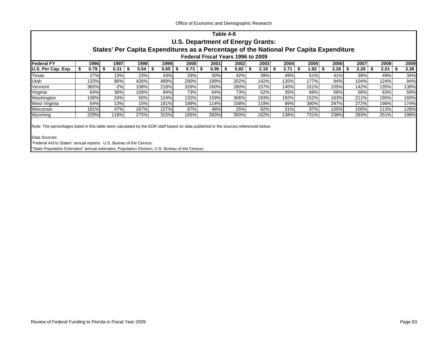| Table 4-8                                                                              |
|----------------------------------------------------------------------------------------|
| U.S. Department of Energy Grants:                                                      |
| States' Per Capita Expenditures as a Percentage of the National Per Capita Expenditure |

| <b>Federal FY</b>          | 1996 | 1997       | 1998 | 1999 | ا2000      | 2001 | 2002 | 2003 | 2004 | 2005             | 2006 | 2007 | 2008 | 2009 |
|----------------------------|------|------------|------|------|------------|------|------|------|------|------------------|------|------|------|------|
| <b>IU.S. Per Cap. Exp.</b> | 0.79 | . פ<br>U.J | 0.54 | 0.65 | - -        | 0.95 | 0.82 |      | 2.71 | . 92             | 2.26 | 2.28 | 2.01 | 3.38 |
| <b>Texas</b>               | 27%  | 13%        | 23%  | 43%  | 33%        | 30%  | 42%  | 39%  | 49%  | 51%              | 41%  | 39%  | 49%  | 34%  |
| Utah                       | 133% | 86%        | 426% | 489% | 290%       | 199% | 202% | 142% | 135% | 177%             | 94%  | 104% | 124% | 94%  |
| Vermont                    | 365% | $-2%$      | 108% | 218% | 326%       | 260% | 280% | 157% | 140% | 151%             | 105% | 142% | 135% | 138% |
| Virginia                   | 64%  | 36%        | 109% | 84%  | <b>73%</b> | 64%  | 73%  | 52%  | 35%  | 68%              | 58%  | 58%  | 63%  | 59%  |
| Washington                 | 108% | 24%        | 50%  | 124% | 132%       | 159% | 306% | 193% | 192% | 152%             | 163% | 211% | 195% | 160% |
| <b>West Virginia</b>       | 64%  | 13%        | 15%  | 181% | 189%       | 114% | 158% | 119% | 99%  | 390%             | 297% | 272% | 196% | 174% |
| Wisconsin                  | 181% | 47%        | 167% | 157% | 87%        | 48%  | 25%  | 92%  | 31%  | 97%              | 105% | 100% | 113% | 128% |
| Wyoming                    | 229% | 118%       | 275% | 315% | 165%       | 283% | 300% | 162% | 138% | 731 <sup>°</sup> | 238% | 283% | 251% | 198% |

Note: The percentages listed in this table were calculated by the EDR staff based on data published in the sources referenced below.

Data Sources:

"Federal Aid to States" annual reports. U.S. Bureau of the Census.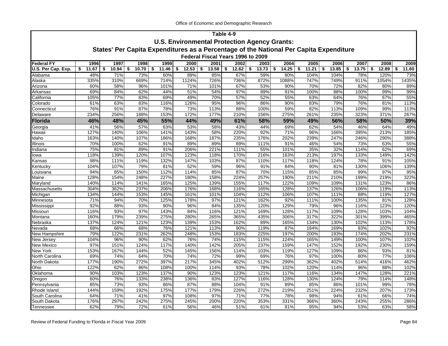|                      |                     |                     |                                                                                        |              |             |                                                     | Table 4-9           |                     |                     |                     |                     |                     |              |                     |
|----------------------|---------------------|---------------------|----------------------------------------------------------------------------------------|--------------|-------------|-----------------------------------------------------|---------------------|---------------------|---------------------|---------------------|---------------------|---------------------|--------------|---------------------|
|                      |                     |                     |                                                                                        |              |             | <b>U.S. Environmental Protection Agency Grants:</b> |                     |                     |                     |                     |                     |                     |              |                     |
|                      |                     |                     | States' Per Capita Expenditures as a Percentage of the National Per Capita Expenditure |              |             |                                                     |                     |                     |                     |                     |                     |                     |              |                     |
|                      |                     |                     |                                                                                        |              |             | Federal Fiscal Years 1996 to 2009                   |                     |                     |                     |                     |                     |                     |              |                     |
| <b>Federal FY</b>    |                     |                     | 1998                                                                                   | 1999         | 2000        | 2001                                                |                     |                     |                     |                     |                     |                     | 2008         |                     |
| U.S. Per Cap. Exp.   | 1996<br>\$<br>11.67 | 1997<br>\$<br>10.94 | 10.70<br>\$                                                                            | s<br>11.46   | 12.53<br>\$ | 13.58<br>\$                                         | 2002<br>12.62<br>\$ | 2003<br>\$<br>13.73 | 2004<br>\$<br>14.25 | 2005<br>\$<br>11.21 | 2006<br>\$<br>13.85 | 2007<br>13.75<br>\$ | \$<br>12.89  | 2009<br>11.60<br>\$ |
| Alabama              | 48%                 | 71%                 | 73%                                                                                    | 60%          | 89%         | 85%                                                 | 67%                 | 59%                 | 80%                 | 104%                | 104%                | 78%                 | 120%         | 73%                 |
| Alaska               | 335%                | 310%                | 669%                                                                                   | 714%         | 1124%       | 726%                                                | 736%                | 872%                | 1088%               | 747%                | 749%                | 911%                | 1054%        | 1435%               |
| Arizona              | 60%                 | 58%                 | 96%                                                                                    | 101%         | 71%         | 101%                                                | 67%                 | 53%                 | 90%                 | 70%                 | 72%                 | 82%                 | 80%          | 89%                 |
| Arkansas             | 69%                 | 84%                 | 62%                                                                                    | 44%          | 51%         | 54%                                                 | 97%                 | 89%                 | 91%                 | 100%                | 88%                 | 100%                | 99%          | 99%                 |
| California           | 105%                | 77%                 | 83%                                                                                    | 69%          | 49%         | 70%                                                 | 57%                 | 52%                 | 55%                 | 63%                 | 64%                 | 76%                 | 67%          | 55%                 |
| Colorado             | 61%                 | 63%                 | 83%                                                                                    | 116%         | 126%        | 95%                                                 | 96%                 | 86%                 | 90%                 | 83%                 | 79%                 | 76%                 | 81%          | 113%                |
| Connecticut          | 76%                 | 91%                 | 87%                                                                                    | 78%          | 73%         | 113%                                                | 88%                 | 100%                | 59%                 | 82%                 | 113%                | 109%                | 99%          | 113%                |
| Delaware             | 234%                | 256%                | 188%                                                                                   | 153%         | 172%        | 177%                                                | 210%                | 156%                | 275%                | 261%                | 235%                | 323%                | 371%         | 267%                |
| Florida              | 46%                 | 48%                 | 45%                                                                                    | 55%          | 44%         | 49%                                                 | 61%                 | 58%                 | 59%                 | 49%                 | 56%                 | 58%                 | 50%          | 39%                 |
| Georgia              | 41%                 | 56%                 | 57%                                                                                    | 63%          | 53%         | 58%                                                 | 43%                 | 44%                 | 69%                 | 62%                 | 54%                 | 46%                 | 64%          | 49%                 |
| Hawaii               | 127%                | 140%                | 106%                                                                                   | 141%         | 143%        | 58%                                                 | 220%                | 92%                 | 71%                 | 96%                 | 166%                | 395%                | 213%         | 185%                |
| Idaho                | 163%                | 140%                | 107%                                                                                   | 186%         | 168%        | 187%                                                | 235%                | 176%                | 202%                | 239%                | 247%                | 246%                | 290%         | 388%                |
| <b>Illinois</b>      | 70%                 | 100%                | 62%                                                                                    | 91%          | 89%         | 89%                                                 | 89%                 | 111%                | 91%                 | 46%                 | 54%                 | 73%                 | 63%          | 55%                 |
| Indiana              | 75%                 | 81%                 | 89%                                                                                    | 91%          | 206%        | 221%                                                | 111%                | 55%                 | 101%                | 35%                 | 32%                 | 114%                | 62%          | 69%                 |
| lowa                 | 118%                | 139%                | 120%                                                                                   | 107%         | 123%        | 118%                                                | 170%                | 216%                | 163%                | 213%                | 197%                | 133%                | 149%         | 142%                |
| Kansas               | 98%                 | 111%                | 119%                                                                                   | 132%         | 147%        | 103%                                                | 87%                 | 110%                | 117%                | 118%                | 124%                | 78%                 | 91%          | 105%                |
| Kentucky             | 104%                | 107%                | 79%                                                                                    | 81%          | 52%         | 59%                                                 | 96%                 | 91%                 | 84%                 | 90%                 | 81%                 | 130%                | 106%         | 139%                |
| ouisiana.            | 94%                 | 85%                 | 150%                                                                                   | 112%         | 114%        | 85%                                                 | 87%                 | 70%                 | 115%                | 85%                 | 85%                 | 99%                 | 97%          | 95%                 |
| Maine                | 128%                | 154%                | 248%                                                                                   | 227%         | 180%        | 158%                                                | 224%                | 257%                | 190%                | 211%                | 210%                | 199%                | 219%         | 322%                |
| Maryland             | 140%                | 114%                | 141%                                                                                   | 165%         | 125%        | 139%                                                | 155%                | 117%                | 122%                | 109%                | 109%                | 131%                | 123%         | 86%                 |
| Massachusetts        | 304%                | 362%                | 237%                                                                                   | 206%         | 176%        | 168%                                                | 116%                | 165%                | 128%                | 137%                | 126%                | 106%                | 119%         | 113%                |
| Michigan             | 134%                | 144%                | 153%                                                                                   | 145%         | 161%        | 101%                                                | 104%                | 112%                | 106%                | 107%                | 111%                | 88%                 | 119%         | 127%                |
| Minnesota            | 71%                 | 94%                 | 70%                                                                                    | 125%         | 178%        | 97%                                                 | 121%                | 162%                | 92%                 | 111%                | 100%                | 135%                | 81%          | 128%                |
| Mississippi          | 92%                 | 88%                 | 93%                                                                                    | 90%          | 96%         | 84%                                                 | 135%                | 120%                | 129%                | 79%                 | 96%                 | 116%<br>128%        | 123%         | 120%                |
| Missouri             | 116%<br>160%        | 93%<br>179%         | 97%<br>239%                                                                            | 143%<br>275% | 84%<br>280% | 116%<br>265%                                        | 121%<br>365%        | 169%<br>435%        | 128%<br>306%        | 117%<br>317%        | 109%<br>322%        | 301%                | 103%<br>399% | 104%<br>465%        |
| Montana<br>Nebraska  | 137%                | 124%                | 121%                                                                                   | 123%         | 139%        | 153%                                                | 162%                | 89%                 | 165%                | 134%                | 130%                | 102%                | 113%         | 178%                |
| Nevada               | 68%                 | 66%                 | 68%                                                                                    | 76%          | 121%        | 113%                                                | 90%                 | 119%                | 87%                 | 184%                | 169%                | 93%                 | 102%         | 92%                 |
| <b>New Hampshire</b> | 79%                 | 122%                | 231%                                                                                   | 262%         | 248%        | 153%                                                | 183%                | 225%                | 197%                | 200%                | 193%                | 174%                | 202%         | 231%                |
| New Jersey           | 104%                | 96%                 | 90%                                                                                    | 62%          | 76%         | 74%                                                 | 115%                | 115%                | 124%                | 165%                | 149%                | 100%                | 107%         | 102%                |
| <b>New Mexico</b>    | 97%                 | 151%                | 124%                                                                                   | 117%         | 140%        | 142%                                                | 205%                | 237%                | 159%                | 147%                | 152%                | 192%                | 230%         | 159%                |
| New York             | 153%                | 167%                | 144%                                                                                   | 52%          | 145%        | 156%                                                | 114%                | 103%                | 119%                | 127%                | 109%                | 86%                 | 93%          | 81%                 |
| North Carolina       | 69%                 | 74%                 | 64%                                                                                    | 70%          | 74%         | 72%                                                 | 99%                 | 69%                 | 76%                 | 97%                 | 100%                | 80%                 | 77%          | 106%                |
| North Dakota         | 177%                | 190%                | 272%                                                                                   | 397%         | 217%        | 345%                                                | 402%                | 512%                | 299%                | 362%                | 402%                | 514%                | 416%         | 462%                |
| Ohio                 | 122%                | 62%                 | 86%                                                                                    | 108%         | 100%        | 114%                                                | 93%                 | 78%                 | 102%                | 120%                | 114%                | 96%                 | 88%          | 102%                |
| Oklahoma             | 90%                 | 103%                | 123%                                                                                   | 137%         | 90%         | 123%                                                | 123%                | 121%                | 117%                | 116%                | 134%                | 147%                | 128%         | 221%                |
| Oregon               | 60%                 | 76%                 | 133%                                                                                   | 238%         | 136%        | 83%                                                 | 127%                | 116%                | 128%                | 130%                | 124%                | 79%                 | 114%         | 148%                |
| Pennsylvania         | 85%                 | 73%                 | 93%                                                                                    | 86%          | 87%         | 88%                                                 | 104%                | 91%                 | 89%                 | 85%                 | 86%                 | 101%                | 99%          | 78%                 |
| Rhode Island         | 144%                | 159%                | 192%                                                                                   | 175%         | 177%        | 179%                                                | 226%                | 272%                | 219%                | 251%                | 224%                | 232%                | 207%         | 173%                |
| South Carolina       | 64%                 | 71%                 | 41%                                                                                    | 97%          | 108%        | 97%                                                 | 71%                 | 77%                 | 78%                 | 98%                 | 94%                 | 61%                 | 66%          | 74%                 |
| South Dakota         | 176%                | 297%                | 242%                                                                                   | 275%         | 245%        | 200%                                                | 220%                | 353%                | 331%                | 366%                | 360%                | 243%                | 255%         | 286%                |
| Tennessee            | 62%                 | 79%                 | 72%                                                                                    | 61%          | 56%         | 46%                                                 | 51%                 | 61%                 | 81%                 | 95%                 | 94%                 | 53%                 | 63%          | 58%                 |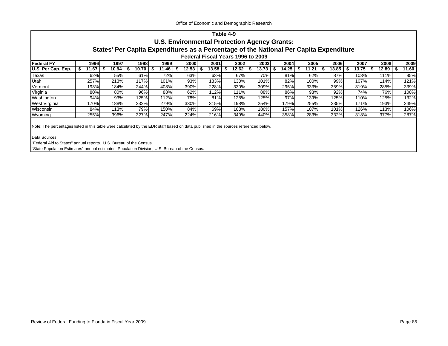| Table 4-9                                                                              |
|----------------------------------------------------------------------------------------|
| <b>U.S. Environmental Protection Agency Grants:</b>                                    |
| States' Per Capita Expenditures as a Percentage of the National Per Capita Expenditure |

| <b>Federal FY</b>    | 19961 | 1997 | 1998  | 1999 | 2000 | 2001 | 2002  | 2003          | 2004 | 2005       | 2006 | 2007  | 2008 | 2009  |
|----------------------|-------|------|-------|------|------|------|-------|---------------|------|------------|------|-------|------|-------|
| U.S. Per Cap. Exp.   | .67   | 0.94 | 10.70 | .46، |      | 3.58 | '2.62 | $\rightarrow$ | 4.25 | 2′،        |      | 13.75 | 2.89 | 11.60 |
| Texas                | 62%   | 55%  | 61%   | 72%  | 63%  | 63%  | 67%   | 70%           | 81%  | 62%        | 87%  | 103%  | 111% | 85%   |
| Utah                 | 257%  | 213% | 117%  | 101% | 93%  | 133% | 130%  | 101%          | 82%  | 100%       | 99%  | 107%  | 114% | 121%  |
| Vermont              | 193%  | 184% | 244%  | 408% | 390% | 228% | 330%  | 309%          | 295% | 333%       | 359% | 319%  | 285% | 339%  |
| Virginia             | 80%   | 80%  | 96%   | 88%  | 62%  | 112% | 111%  | 88%           | 86%  | 93%        | 92%  | 74%   | 76%  | 108%  |
| Washington           | 94%   | 93%  | 125%  | 112% | 78%  | 81%  | 128%  | 125%          | 97%  | <b>39%</b> | 125% | 110%  | 125% | 132%  |
| <b>West Virginia</b> | 170%  | 188% | 232%  | 279% | 330% | 315% | 198%  | 254%          | 179% | 255%       | 235% | 171%  | 193% | 249%  |
| Wisconsin            | 84%   | 13%  | 79%   | 150% | 84%  | 69%  | 108%  | 180%          | 157% | 107%       | 101% | 126%  | 113% | 106%  |
| Wyoming              | 255%  | 396% | 327%  | 247% | 224% | 216% | 349%  | 440%          | 358% | 283%       | 332% | 318%  | 377% | 287%  |

Note: The percentages listed in this table were calculated by the EDR staff based on data published in the sources referenced below.

Data Sources:

"Federal Aid to States" annual reports. U.S. Bureau of the Census.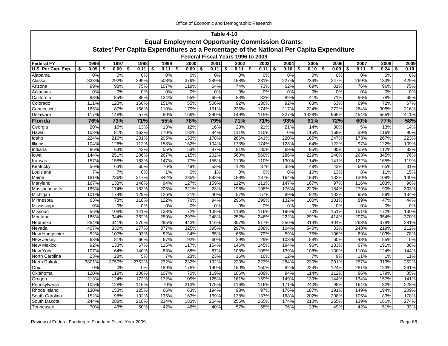|                         |            |                    |            |            |                                                                                        |            | <b>Table 4-10</b>                 |            |                    |            |            |            |              |                    |
|-------------------------|------------|--------------------|------------|------------|----------------------------------------------------------------------------------------|------------|-----------------------------------|------------|--------------------|------------|------------|------------|--------------|--------------------|
|                         |            |                    |            |            | <b>Equal Employment Opportunity Commission Grants:</b>                                 |            |                                   |            |                    |            |            |            |              |                    |
|                         |            |                    |            |            | States' Per Capita Expenditures as a Percentage of the National Per Capita Expenditure |            |                                   |            |                    |            |            |            |              |                    |
|                         |            |                    |            |            |                                                                                        |            | Federal Fiscal Years 1996 to 2009 |            |                    |            |            |            |              |                    |
| <b>Federal FY</b>       | 1996       |                    | 1998       | 1999       | 2000                                                                                   | 2001       | 2002                              | 2003       |                    | 2005       | 2006       | 2007       | 2008         |                    |
| U.S. Per Cap. Exp.      | \$<br>0.09 | 1997<br>\$<br>0.09 | 0.11<br>\$ | 0.11<br>\$ | 0.09<br>\$                                                                             | 0.11<br>\$ | 0.11<br>\$                        | \$<br>0.11 | 2004<br>0.10<br>\$ | 0.10<br>\$ | 0.09<br>\$ | 0.11<br>\$ | 0.24<br>\$   | 2009<br>0.10<br>\$ |
| Alabama                 | 0%         | 0%                 | 0%         | 0%         | 0%                                                                                     | 0%         | 0%                                | 0%         | 0%                 | 0%         | 0%         | 0%         | 0%           | 0%                 |
| Alaska                  | 333%       | 292%               | 299%       | 508%       | 379%                                                                                   | 289%       | 158%                              | 281%       | 227%               | 234%       | 247%       | 269%       | 133%         | 429%               |
| Arizona                 | 99%        | 98%                | 75%        | 107%       | 119%                                                                                   | 64%        | 74%                               | 73%        | 62%                | 69%        | 81%        | 76%        | 96%          | 75%                |
| Arkansas                | 0%         | 0%                 | 0%         | 0%         | 0%                                                                                     | 0%         | 0%                                | 0%         | 0%                 | 0%         | 0%         | 0%         | 0%           | 0%                 |
| California              | 98%        | 85%                | 85%        | 124%       | 95%                                                                                    | 65%        | 83%                               | 82%        | 89%                | 41%        | 71%        | 96%        | 78%          | 65%                |
| Colorado                | 111%       | 123%               | 160%       | 151%       | 55%                                                                                    | 506%       | 92%                               | 130%       | 92%                | 63%        | 63%        | 69%        | 72%          | 67%                |
| Connecticut             | 165%       | 87%                | 156%       | 110%       | 179%                                                                                   | 151%       | 225%                              | 174%       | 217%               | 224%       | 272%       | 264%       | 308%         | 216%               |
| Delaware                | 117%       | 148%               | 57%        | 80%        | 169%                                                                                   | 290%       | 149%                              | 115%       | 327%               | 1428%      | 965%       | 454%       | 555%         | 411%               |
| Florida                 | 76%        | 73%                | 71%        | 55%        | 78%                                                                                    | 79%        | 71%                               | 71%        | 93%                | 91%        | 72%        | 60%        | 77%          | 58%                |
| Georgia                 | 20%        | 16%                | 13%        | 13%        | 12%                                                                                    | 16%        | 20%                               | 21%        | 21%                | 14%        | 30%        | 5%         | 13%          | 14%                |
| Hawaii                  | 103%       | 81%                | 162%       | 170%       | 182%                                                                                   | 84%        | 111%                              | 110%       | 0%                 | 115%       | 169%       | 39%        | 116%         | 90%                |
| Idaho                   | 224%       | 216%               | 201%       | 205%       | 153%                                                                                   | 178%       | 266%                              | 241%       | 220%               | 165%       | 247%       | 173%       | 267%         | 223%               |
| <b>Illinois</b>         | 104%       | 126%               | 112%       | 153%       | 162%                                                                                   | 104%       | 173%                              | 174%       | 123%               | 64%        | 122%       | 97%        | 122%         | 109%               |
| Indiana                 | 86%        | 63%                | 42%        | 55%        | 53%                                                                                    | 87%        | 81%                               | 80%        | 69%                | 95%        | 80%        | 55%        | 112%         | 83%                |
| lowa                    | 144%       | 251%               | 206%       | 267%       | 115%                                                                                   | 202%       | 560%                              | 560%       | 286%               | 229%       | 240%       | 263%       | 345%         | 76%                |
| Kansas                  | 157%       | 158%               | 163%       | 147%       | 77%                                                                                    | 155%       | 110%                              | 110%       | 130%               | 114%       | 141%       | 122%       | 165%         | 119%               |
| Kentucky                | 56%        | 63%                | 65%        | 76%        | 49%                                                                                    | 53%        | 12%                               | 37%        | 38%                | 49%        | 43%        | 60%        | 65%          | 81%                |
| ouisiana.               | 7%         | 7%                 | 0%         | 1%         | 0%                                                                                     | 1%         | 0%                                | 0%         | 0%                 | 10%        | 13%        | 8%         | 11%          | 15%                |
| Maine                   | 181%       | 236%               | 217%       | 342%       | 235%                                                                                   | 893%       | 188%                              | 187%       | 164%               | 193%       | 132%       | 130%       | 109%         | 140%               |
| Maryland                | 167%       | 133%               | 146%       | 94%        | 127%                                                                                   | 159%       | 112%                              | 111%       | 147%               | 167%       | 97%        | 116%       | 103%         | 90%                |
| Massachusetts           | 185%       | 174%               | 183%       | 205%       | 321%                                                                                   | 23%        | 198%                              | 198%       | 176%               | 220%       | 154%       | 279%       | 90%          | 303%               |
| Michigan                | 101%       | 174%               | 129%       | 126%       | 21%                                                                                    | 40%        | 57%                               | 57%        | 89%                | 92%        | 132%       | 95%        | 89%          | 134%               |
| Minnesota               | 63%        | 78%                | 118%       | 122%       | 76%                                                                                    | 94%        | 296%                              | 299%       | 132%               | 100%       | 101%       | 89%        | 47%          | 44%                |
| Mississippi<br>Missouri | 0%<br>56%  | 0%<br>108%         | 0%<br>141% | 0%<br>138% | 0%<br>72%                                                                              | 0%<br>106% | 0%<br>116%                        | 0%<br>116% | 0%<br>196%         | 0%<br>70%  | 0%<br>151% | 0%<br>151% | 0%           | 0%<br>130%         |
| Montana                 | 186%       | 344%               | 362%       | 259%       | 297%                                                                                   | 248%       | 252%                              | 246%       | 222%               | 291%       | 414%       | 207%       | 172%<br>354% | 370%               |
| Nebraska                | 254%       | 341%               | 270%       | 295%       | 443%                                                                                   | 116%       | 357%                              | 517%       | 250%               | 314%       | 404%       | 263%       | 378%         | 281%               |
| Nevada                  | 407%       | 330%               | 277%       | 377%       | 325%                                                                                   | 395%       | 297%                              | 288%       | 104%               | 540%       | 33%        | 248%       | 219%         | 212%               |
| <b>New Hampshire</b>    | 52%        | 107%               | 93%        | 82%        | 34%                                                                                    | 65%        | 65%                               | 79%        | 59%                | 75%        | 106%       | 69%        | 103%         | 78%                |
| New Jersey              | 63%        | 81%                | 66%        | 67%        | 92%                                                                                    | 60%        | 29%                               | 29%        | 103%               | 58%        | 60%        | 48%        | 55%          | 0%                 |
| <b>New Mexico</b>       | 92%        | 133%               | 67%        | 115%       | 117%                                                                                   | 154%       | 146%                              | 145%       | 194%               | 96%        | 183%       | 67%        | 191%         | 86%                |
| New York                | 107%       | 64%                | 140%       | 83%        | 68%                                                                                    | 87%        | 108%                              | 105%       | 139%               | 108%       | 130%       | 110%       | 124%         | 144%               |
| North Carolina          | 23%        | 28%                | 5%         | 7%         | 23%                                                                                    | 23%        | 16%                               | 16%        | 12%                | 7%         | 9%         | 11%        | 1%           | 11%                |
| North Dakota            | 3801%      | 3750%              | 2752%      | 232%       | 232%                                                                                   | 192%       | 223%                              | 223%       | 284%               | 230%       | 201%       | 257%       | 313%         | 252%               |
| Ohio                    | 0%         | 0%                 | 0%         | 189%       | 178%                                                                                   | 190%       | 150%                              | 150%       | 82%                | 224%       | 124%       | 281%       | 123%         | 261%               |
| Oklahoma                | 120%       | 119%               | 100%       | 107%       | 70%                                                                                    | 119%       | 106%                              | 109%       | 94%                | 114%       | 112%       | 86%        | 179%         | 85%                |
| Oregon                  | 213%       | 124%               | 173%       | 172%       | 109%                                                                                   | 125%       | 161%                              | 159%       | 149%               | 130%       | 144%       | 134%       | 157%         | 141%               |
| Pennsylvania            | 105%       | 128%               | 115%       | 70%        | 213%                                                                                   | 175%       | 116%                              | 116%       | 171%               | 240%       | 98%        | 164%       | 82%          | 228%               |
| Rhode Island            | 130%       | 153%               | 125%       | 66%        | 63%                                                                                    | 194%       | 98%                               | 97%        | 176%               | 187%       | 191%       | 149%       | 194%         | 209%               |
| South Carolina          | 152%       | 98%                | 132%       | 135%       | 163%                                                                                   | 169%       | 138%                              | 137%       | 168%               | 202%       | 208%       | 105%       | 83%          | 178%               |
| South Dakota            | 244%       | 288%               | 218%       | 234%       | 183%                                                                                   | 254%       | 256%                              | 255%       | 174%               | 210%       | 255%       | 139%       | 181%         | 274%               |
| Tennessee               | 70%        | 46%                | 60%        | 42%        | 46%                                                                                    | 40%        | 57%                               | 58%        | 76%                | 33%        | 49%        | 42%        | 51%          | 33%                |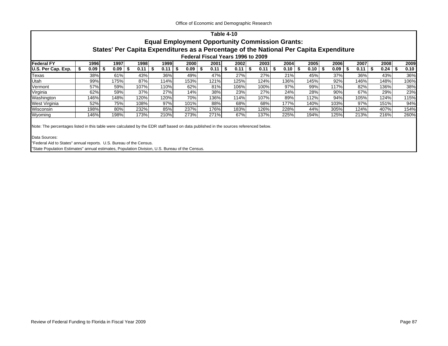| Table 4-10                                                                             |
|----------------------------------------------------------------------------------------|
| <b>Equal Employment Opportunity Commission Grants:</b>                                 |
| States' Per Capita Expenditures as a Percentage of the National Per Capita Expenditure |

| <b>Federal FY</b>  | 1996 | 1997 | 1998 | 1999 | 2000 | 2001 | 2002    | 2003 | 2004 | 2005 | 2006 | 2007 | 2008 | 2009 |
|--------------------|------|------|------|------|------|------|---------|------|------|------|------|------|------|------|
| U.S. Per Cap. Exp. | 0.09 | 0.09 | 0.1  |      | ח ה  | 0.11 | $0.1\,$ |      | 0.10 | 0.10 | 0.09 | 0.1  | 0.24 | 0.10 |
| Texas              | 38%  | 61%  | 43%  | 36%  | 49%  | 47%  | 27%     | 27%  | 21%  | 45%  | 37%  | 36%  | 43%  | 36%  |
| Utah               | 99%  | '75% | 87%  | 114% | 153% | 121% | 125%    | 124% | 136% | 145% | 92%  | 146% | 148% | 106% |
| Vermont            | 57%  | 59%  | 107% | 110% | 62%  | 81%  | 106%    | 100% | 97%  | 99%  | 17%  | 82%  | 136% | 38%  |
| Virginia           | 62%  | 59%  | 37%  | 27%  | 14%  | 38%  | 23%     | 27%  | 24%  | 28%  | 90%  | 67%  | 29%  | 23%  |
| Washington         | 146% | 148% | 120% | 120% | 70%  | 136% | 14%     | 107% | 89%  | 112% | 94%  | 105% | 124% | 115% |
| West Virginia      | 52%  | 75%  | 108% | 97%  | 101% | 88%  | 68%     | 68%  | 177% | 140% | 103% | 97%  | 151% | 94%  |
| Wisconsin          | 198% | 80%  | 232% | 85%  | 237% | 176% | 183%    | 126% | 228% | 44%  | 305% | 124% | 407% | 154% |
| Wyoming            | 146% | 198% | 173% | 210% | 273% | 271% | 67%     | 137% | 225% | 194% | 125% | 213% | 216% | 260% |

Note: The percentages listed in this table were calculated by the EDR staff based on data published in the sources referenced below.

Data Sources:

"Federal Aid to States" annual reports. U.S. Bureau of the Census.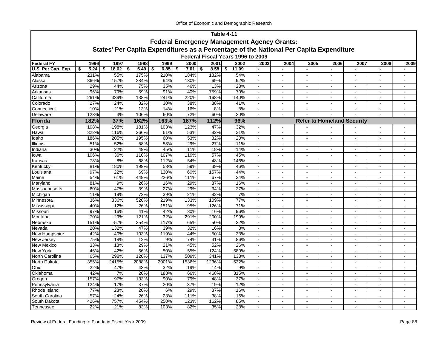|                                       |                    |                     |                    |                    |                    |               | Table 4-11                                                                             |                                  |                                  |                                  |                                   |                                  |                          |                          |
|---------------------------------------|--------------------|---------------------|--------------------|--------------------|--------------------|---------------|----------------------------------------------------------------------------------------|----------------------------------|----------------------------------|----------------------------------|-----------------------------------|----------------------------------|--------------------------|--------------------------|
|                                       |                    |                     |                    |                    |                    |               | <b>Federal Emergency Management Agency Grants:</b>                                     |                                  |                                  |                                  |                                   |                                  |                          |                          |
|                                       |                    |                     |                    |                    |                    |               | States' Per Capita Expenditures as a Percentage of the National Per Capita Expenditure |                                  |                                  |                                  |                                   |                                  |                          |                          |
|                                       |                    |                     |                    |                    |                    |               | Federal Fiscal Years 1996 to 2009                                                      |                                  |                                  |                                  |                                   |                                  |                          |                          |
| <b>Federal FY</b>                     |                    |                     |                    |                    | 2000               | 2001          | 2002                                                                                   |                                  | 2004                             |                                  |                                   |                                  |                          |                          |
| U.S. Per Cap. Exp.                    | \$<br>1996<br>5.24 | 1997<br>18.62<br>\$ | 1998<br>5.49<br>\$ | 1999<br>6.85<br>\$ | 7.01<br>\$         | 8.58<br>\$    | 11.09<br>\$                                                                            | 2003                             | $\overline{\phantom{a}}$         | 2005<br>$\blacksquare$           | 2006<br>$\overline{\phantom{0}}$  | 2007<br>$\blacksquare$           | 2008                     | 2009                     |
| Alabama                               | 231%               | 55%                 | 175%               | 210%               | 184%               | 132%          | 54%                                                                                    |                                  | $\blacksquare$                   |                                  | $\blacksquare$                    | $\blacksquare$                   |                          |                          |
| Alaska                                | 366%               | 157%                | 284%               | 94%                | 130%               | 69%           | 92%                                                                                    | $\blacksquare$                   | $\blacksquare$                   | $\overline{a}$                   | $\blacksquare$                    | $\blacksquare$                   |                          |                          |
| Arizona                               | 29%                | 44%                 | 75%                | 35%                | 46%                | 13%           | 23%                                                                                    | $\blacksquare$                   | $\overline{\phantom{a}}$         | $\blacksquare$                   | $\blacksquare$                    | $\blacksquare$                   | $\overline{\phantom{a}}$ | $\blacksquare$           |
| Arkansas                              | 96%                | 79%                 | 59%                | 91%                | 40%                | 759%          | 70%                                                                                    | $\blacksquare$                   | $\mathbf{r}$                     | $\blacksquare$                   | $\mathbf{r}$                      | $\blacksquare$                   | $\sim$                   | $\sim$                   |
| California                            | 261%               | 339%                | 138%               | 241%               | 220%               | 168%          | 140%                                                                                   | $\sim$                           | $\overline{\phantom{a}}$         | $\blacksquare$                   | $\sim$                            | $\blacksquare$                   | $\sim$                   | $\sim$                   |
| Colorado                              | 27%                | 24%                 | 32%                | 30%                | 38%                | 38%           | 41%                                                                                    | $\blacksquare$                   | $\mathbf{r}$                     | $\blacksquare$                   | $\mathbf{r}$                      | $\blacksquare$                   |                          | $\sim$                   |
| Connecticut                           | 10%                | 21%                 | 13%                | 14%                | 16%                | 8%            | 8%                                                                                     | $\sim$                           | $\blacksquare$                   | $\blacksquare$                   | $\overline{\phantom{a}}$          | $\blacksquare$                   | $\sim$                   | $\sim$                   |
| Delaware                              | 123%               | 3%                  | 106%               | 60%                | 72%                | 60%           | 30%                                                                                    | $\sim$                           | $\blacksquare$                   |                                  |                                   |                                  |                          | $\sim$                   |
| Florida                               | 182%               | 37%                 | 162%               | 163%               | 187%               | 112%          | 96%                                                                                    |                                  |                                  |                                  | <b>Refer to Homeland Security</b> |                                  |                          |                          |
| Georgia                               | 108%               | 198%                | 181%               | 103%               | 123%               | 47%           | 32%                                                                                    | $\blacksquare$                   | $\blacksquare$                   |                                  |                                   |                                  | $\overline{\phantom{a}}$ |                          |
| Hawaii                                | 322%               | 116%                | 266%               | 61%                | 53%                | 82%           | 31%                                                                                    | $\blacksquare$                   | $\mathbf{r}$                     | L,                               | $\blacksquare$                    | $\blacksquare$                   | $\overline{\phantom{a}}$ | $\sim$                   |
| Idaho                                 | 186%               | 205%                | 195%               | 60%                | 53%                | 32%           | 20%                                                                                    | $\blacksquare$                   | $\overline{\phantom{a}}$         | $\overline{a}$                   | $\overline{a}$                    | $\mathbf{r}$                     | $\overline{\phantom{a}}$ | $\sim$                   |
| Illinois                              | 51%                | 52%                 | 58%                | 53%                | 29%                | 27%           | 11%                                                                                    | $\sim$                           | $\mathbf{r}$                     | L,                               | $\mathbf{r}$                      | $\sim$                           | $\overline{a}$           | $\sim$                   |
| Indiana                               | 30%                | 22%                 | 49%                | 45%                | 11%                | 18%           | 14%                                                                                    | $\mathbf{r}$                     | $\mathbf{r}$                     | $\mathbf{r}$                     | $\overline{a}$                    | ÷.                               | $\overline{a}$           | $\overline{a}$           |
| lowa                                  | 106%               | 36%                 | 110%               | 107%               | 119%               | 57%           | 45%                                                                                    | $\blacksquare$                   | $\blacksquare$                   | $\blacksquare$                   | $\mathbf{r}$                      | $\blacksquare$                   |                          | $\sim$                   |
| Kansas                                | 73%                | 8%                  | 68%                | 112%               | 54%                | 48%           | 146%                                                                                   | $\mathbf{r}$                     | $\overline{a}$                   | $\overline{a}$                   | $\overline{a}$                    | ÷.                               | $\overline{a}$           | $\sim$                   |
| Kentucky                              | 81%                | 180%                | 199%               | 53%                | 59%                | 39%           | 46%                                                                                    | $\blacksquare$                   | $\blacksquare$                   | $\blacksquare$                   | $\blacksquare$                    | $\blacksquare$                   |                          | $\blacksquare$           |
| ouisiana.                             | 97%                | 22%                 | 69%                | 130%               | 60%                | 157%          | 44%                                                                                    |                                  | $\blacksquare$                   |                                  | $\blacksquare$                    | L.                               |                          |                          |
| Maine                                 | 54%                | 61%                 | 449%               | 226%               | $11\overline{1\%}$ | 67%           | 34%                                                                                    | $\blacksquare$                   | $\overline{\phantom{a}}$         | $\blacksquare$                   | $\blacksquare$                    | $\blacksquare$                   |                          | $\blacksquare$           |
| Maryland                              | 81%                | 9%                  | 26%                | 16%                | 29%                | 37%           | 16%                                                                                    | $\blacksquare$                   | $\blacksquare$                   | $\overline{a}$                   | $\overline{a}$                    | $\ddot{\phantom{a}}$             | $\overline{\phantom{a}}$ | $\sim$                   |
| Massachusetts                         | 60%                | 47%                 | 39%                | 27%                | 29%                | 34%           | 27%                                                                                    | $\sim$                           | $\blacksquare$                   | $\overline{a}$                   | $\blacksquare$                    | ÷,                               |                          | $\blacksquare$           |
| Michigan                              | 11%                | 19%                 | 72%                | 39%                | 21%                | 82%           | 7%                                                                                     | $\blacksquare$                   | $\blacksquare$                   |                                  | $\overline{a}$                    | $\ddot{\phantom{a}}$             |                          |                          |
| Minnesota                             | 36%                | 336%                | 520%               | 219%               | 133%               | 109%          | 77%                                                                                    | $\sim$                           | $\blacksquare$                   |                                  | L,                                | $\blacksquare$                   |                          | $\blacksquare$           |
| Mississippi                           | 40%                | 12%                 | 26%                | 151%               | 95%                | 126%          | 71%                                                                                    | $\blacksquare$                   | $\blacksquare$                   |                                  | $\overline{a}$                    | L.                               |                          |                          |
| Missouri                              | 97%                | 16%                 | 41%                | 42%                | 30%                | 16%           | 96%                                                                                    | $\sim$                           | $\blacksquare$                   | $\overline{a}$                   | $\overline{a}$                    | $\ddot{\phantom{a}}$             | $\overline{a}$           | $\sim$                   |
| Montana                               | 70%                | 29%                 | 121%               | 32%                | 291%               | 200%          | 199%                                                                                   | $\blacksquare$                   | $\blacksquare$                   | ä,                               | $\blacksquare$                    | $\blacksquare$                   | $\blacksquare$           |                          |
| Nebraska                              | 151%               | $-57%$              | 354%               | 117%               | 65%                | 50%           | 32%                                                                                    | $\sim$                           | $\blacksquare$                   | $\overline{\phantom{a}}$         | $\blacksquare$                    | $\blacksquare$                   | $\overline{\phantom{a}}$ | $\blacksquare$           |
| Nevada                                | 20%                | 132%                | 47%                | 39%                | 32%                | 16%           | 8%                                                                                     | $\blacksquare$                   | $\blacksquare$                   | $\overline{a}$                   | $\blacksquare$                    | $\blacksquare$                   |                          | $\blacksquare$           |
| New Hampshire                         | 42%                | 40%                 | 103%               | 119%               | 44%                | 50%           | 33%                                                                                    | $\blacksquare$                   | $\blacksquare$                   | $\overline{\phantom{a}}$         | $\blacksquare$                    | $\blacksquare$                   | $\blacksquare$           | $\sim$                   |
| New Jersey                            | 75%                | 18%                 | 12%                | 9%                 | 74%                | 41%           | 86%                                                                                    | $\blacksquare$                   | $\blacksquare$                   | $\blacksquare$                   | $\blacksquare$                    | $\blacksquare$                   | $\overline{\phantom{a}}$ | $\blacksquare$           |
| <b>New Mexico</b><br><b>New York</b>  | 33%<br>46%         | 13%                 | 29%                | 21%                | 45%                | 52%<br>124%   | 26%                                                                                    | $\blacksquare$                   | $\blacksquare$                   | $\blacksquare$                   | $\mathbf{r}$                      | $\blacksquare$                   | $\overline{\phantom{a}}$ | $\sim$                   |
|                                       |                    | 42%                 | 56%                | 50%                | 55%                |               | 580%                                                                                   | $\blacksquare$                   | $\blacksquare$                   | $\blacksquare$                   | $\blacksquare$                    | $\blacksquare$                   | $\overline{\phantom{a}}$ |                          |
| North Carolina<br><b>North Dakota</b> | 65%<br>355%        | 298%<br>2415%       | 120%<br>2088%      | 137%<br>2001%      | 509%<br>1536%      | 341%<br>1236% | 133%<br>532%                                                                           | $\blacksquare$<br>$\blacksquare$ | $\blacksquare$                   | $\blacksquare$                   | $\mathbf{r}$<br>$\blacksquare$    | $\blacksquare$<br>$\blacksquare$ |                          | $\sim$                   |
| Ohio                                  | 22%                | 47%                 | 43%                | 32%                | 19%                | 14%           | 9%                                                                                     | $\blacksquare$                   | $\blacksquare$<br>$\blacksquare$ | $\blacksquare$<br>$\overline{a}$ | $\blacksquare$                    | $\sim$                           | $\overline{\phantom{a}}$ | $\sim$                   |
| Oklahoma                              | 42%                | 7%                  | 20%                | 188%               | 66%                | 468%          | 315%                                                                                   | $\sim$                           |                                  | $\blacksquare$                   | $\blacksquare$                    | $\blacksquare$                   | $\blacksquare$           | $\overline{\phantom{a}}$ |
| Oregon                                | 157%               | 97%                 | 133%               | 90%                | 79%                | 48%           | 37%                                                                                    | $\blacksquare$                   | $\blacksquare$<br>$\blacksquare$ | $\blacksquare$                   | $\blacksquare$                    | $\sim$                           | $\sim$                   | $\sim$                   |
| Pennsylvania                          | 124%               | 17%                 | 37%                | 20%                | 37%                | 19%           | 12%                                                                                    | $\sim$                           | $\blacksquare$                   | $\blacksquare$                   | $\blacksquare$                    | $\overline{a}$                   | $\overline{a}$           | $\overline{\phantom{a}}$ |
| Rhode Island                          | 77%                | 23%                 | 20%                | 6%                 | 29%                | 37%           | 16%                                                                                    | $\blacksquare$                   | $\blacksquare$                   | $\overline{a}$                   | $\blacksquare$                    | $\blacksquare$                   | $\sim$                   | $\sim$                   |
| South Carolina                        | 57%                | 24%                 | 26%                | 23%                | 111%               | 38%           | 16%                                                                                    | $\sim$                           | $\overline{\phantom{a}}$         | $\blacksquare$                   | $\blacksquare$                    | $\overline{a}$                   | $\overline{\phantom{a}}$ | $\overline{\phantom{a}}$ |
| South Dakota                          | 426%               | 757%                | 454%               | 250%               | 123%               | 162%          | 85%                                                                                    | $\blacksquare$                   | $\blacksquare$                   | $\blacksquare$                   | $\blacksquare$                    | $\blacksquare$                   | $\blacksquare$           | $\blacksquare$           |
| Tennessee                             | 22%                | 21%                 | 83%                | 103%               | 82%                | 35%           | 28%                                                                                    |                                  | $\blacksquare$                   |                                  | $\overline{a}$                    | $\overline{a}$                   |                          | ÷.                       |
|                                       |                    |                     |                    |                    |                    |               |                                                                                        |                                  |                                  |                                  |                                   |                                  |                          |                          |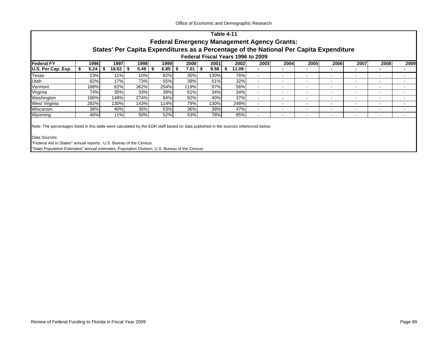|                                                                                                                                      |                                                                                                      |  |       |      |      |  |      |  |      |  | Table 4-11 |  |       |                                                                                        |                          |                          |                          |        |      |   |
|--------------------------------------------------------------------------------------------------------------------------------------|------------------------------------------------------------------------------------------------------|--|-------|------|------|--|------|--|------|--|------------|--|-------|----------------------------------------------------------------------------------------|--------------------------|--------------------------|--------------------------|--------|------|---|
|                                                                                                                                      |                                                                                                      |  |       |      |      |  |      |  |      |  |            |  |       | <b>Federal Emergency Management Agency Grants:</b>                                     |                          |                          |                          |        |      |   |
|                                                                                                                                      |                                                                                                      |  |       |      |      |  |      |  |      |  |            |  |       |                                                                                        |                          |                          |                          |        |      |   |
|                                                                                                                                      |                                                                                                      |  |       |      |      |  |      |  |      |  |            |  |       | States' Per Capita Expenditures as a Percentage of the National Per Capita Expenditure |                          |                          |                          |        |      |   |
|                                                                                                                                      | Federal Fiscal Years 1996 to 2009                                                                    |  |       |      |      |  |      |  |      |  |            |  |       |                                                                                        |                          |                          |                          |        |      |   |
| Federal FY                                                                                                                           | 2007<br>1996<br>1997<br>1999<br>2004<br>2005<br>2006<br>2008<br>1998<br>2000<br>2001<br>2002<br>2003 |  |       |      |      |  |      |  |      |  |            |  |       |                                                                                        |                          | 2009                     |                          |        |      |   |
| U.S. Per Cap. Exp.                                                                                                                   | 5.24                                                                                                 |  | 18.62 | - \$ | 5.49 |  | 6.85 |  | 7.01 |  | 8.58       |  | 11.09 |                                                                                        |                          |                          |                          |        |      |   |
| Texas                                                                                                                                | 23%                                                                                                  |  | 11%   |      | 10%  |  | 82%  |  | 35%  |  | 130%       |  | 76%   | $\,$ $\,$                                                                              |                          |                          | -                        |        |      |   |
| Utah                                                                                                                                 | 62%                                                                                                  |  | 17%   |      | 73%  |  | 55%  |  | 39%  |  | 51%        |  | 32%   | $\sim$                                                                                 |                          |                          |                          |        |      |   |
| Vermont                                                                                                                              | 188%                                                                                                 |  | 62%   |      | 362% |  | 254% |  | 119% |  | 97%        |  | 56%   | $\,$ $\,$                                                                              | $\overline{\phantom{0}}$ |                          | -                        | ۰      |      |   |
| Virginia                                                                                                                             | 74%                                                                                                  |  | 35%   |      | 33%  |  | 39%  |  | 61%  |  | 34%        |  | 34%   | $\,$ $\,$                                                                              | $\overline{\phantom{0}}$ |                          | -                        | ۰      |      |   |
| Washington                                                                                                                           | 186%                                                                                                 |  | 148%  |      | 274% |  | 84%  |  | 92%  |  | 40%        |  | 37%   | $\overline{\phantom{0}}$                                                               | $\,$                     |                          | $\overline{\phantom{a}}$ | ۰      |      |   |
| West Virginia                                                                                                                        | 282%                                                                                                 |  | 130%  |      | 143% |  | 114% |  | 79%  |  | 130%       |  | 248%  | $\,$ $\,$                                                                              | $\overline{\phantom{a}}$ |                          | $\overline{\phantom{a}}$ | ٠      |      |   |
| Wisconsin                                                                                                                            | 36%                                                                                                  |  | 40%   |      | 36%  |  | 53%  |  | 36%  |  | 39%        |  | 47%   | $\overline{\phantom{0}}$                                                               | $\overline{\phantom{0}}$ | $\overline{\phantom{0}}$ | $\overline{\phantom{a}}$ | $\sim$ |      |   |
| Wyoming                                                                                                                              | 46%                                                                                                  |  | 11%   |      | 50%  |  | 52%  |  | 53%  |  | 78%        |  | 85%   | $\overline{\phantom{0}}$                                                               | $\overline{\phantom{a}}$ |                          | $\overline{\phantom{a}}$ | ۰      | $\,$ | - |
|                                                                                                                                      |                                                                                                      |  |       |      |      |  |      |  |      |  |            |  |       |                                                                                        |                          |                          |                          |        |      |   |
| Note: The percentages listed in this table were calculated by the EDR staff based on data published in the sources referenced below. |                                                                                                      |  |       |      |      |  |      |  |      |  |            |  |       |                                                                                        |                          |                          |                          |        |      |   |
|                                                                                                                                      |                                                                                                      |  |       |      |      |  |      |  |      |  |            |  |       |                                                                                        |                          |                          |                          |        |      |   |
|                                                                                                                                      |                                                                                                      |  |       |      |      |  |      |  |      |  |            |  |       |                                                                                        |                          |                          |                          |        |      |   |

Data Sources:

"Federal Aid to States" annual reports. U.S. Bureau of the Census.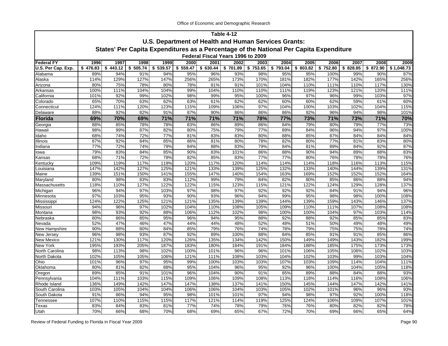| Table 4-12          |                                                                                        |            |            |            |             |             |             |            |             |             |              |             |             |             |  |
|---------------------|----------------------------------------------------------------------------------------|------------|------------|------------|-------------|-------------|-------------|------------|-------------|-------------|--------------|-------------|-------------|-------------|--|
|                     | U.S. Department of Health and Human Services Grants:                                   |            |            |            |             |             |             |            |             |             |              |             |             |             |  |
|                     | States' Per Capita Expenditures as a Percentage of the National Per Capita Expenditure |            |            |            |             |             |             |            |             |             |              |             |             |             |  |
|                     | Federal Fiscal Years 1996 to 2009                                                      |            |            |            |             |             |             |            |             |             |              |             |             |             |  |
| <b>Federal FY</b>   | 1996                                                                                   | 1997       | 1998       | 1999       | 2000        | 2001        | 2002        | 2003       | 2004        | 2005        | 2006         | 2007        | 2008        | 2009        |  |
| U.S. Per Cap. Exp.  | \$476.83                                                                               | \$443.12   | \$505.74   | \$539.57   | \$559.47    | \$630.44    | \$701.89    | \$753.65   | \$793.04    | \$803.82    | \$752.80     | \$828.85    | \$872.90    | \$1,048.73  |  |
| Alabama             | 89%                                                                                    | 94%        | 91%        | 94%        | 95%         | 96%         | 93%         | 98%        | 95%         | 95%         | 100%         | 99%         | 90%         | 87%         |  |
| Alaska              | 114%                                                                                   | 129%       | 127%       | 147%       | 256%        | 265%        | 173%        | 170%       | 181%        | 182%        | 177%         | 142%        | 165%        | 256%        |  |
| Arizona             | 80%                                                                                    | 75%        | 78%        | 80%        | 78%         | 81%         | 91%         | 101%       | 104%        | 110%        | 111%         | 110%        | 117%        | 130%        |  |
| Arkansas            | 100%                                                                                   | 111%       | 104%       | 104%       | 99%         | 104%        | 110%        | 110%       | 111%        | 119%        | 123%         | 121%        | 120%        | 111%        |  |
| California          | 101%                                                                                   | 92%        | 99%        | 102%       | 98%         | 99%         | 95%         | 100%       | 96%         | 97%         | 96%          | 99%         | 103%        | 97%         |  |
| Colorado            | 65%                                                                                    | 70%        | 63%        | 62%        | 63%         | 61%         | 62%         | 62%        | 60%         | 60%         | 62%          | 59%         | 61%         | 60%         |  |
| Connecticut         | 124%                                                                                   | 111%       | 120%       | 123%       | 115%        | 109%        | 106%        | 97%        | 104%        | 100%        | 103%         | 102%        | 104%        | 115%        |  |
| Delaware            | 88%                                                                                    | 92%        | 82%        | 91%        | 87%         | 90%         | 86%         | 86%        | 86%         | 92%         | 96%          | 94%         | 98%         | 101%        |  |
| <b>Florida</b>      | 69%                                                                                    | 70%        | 69%        | 71%        | 71%         | 71%         | 71%         | 78%        | 77%         | 73%         | 71%          | 73%         | 71%         | 70%         |  |
| Georgia             | 88%                                                                                    | 85%        | 78%        | 78%        | 83%         | 86%         | 89%         | 86%        | 84%         | 79%         | 80%          | 79%         | 77%         | 73%         |  |
| Hawaii              | 98%                                                                                    | 99%        | 87%        | 82%        | 80%         | 75%         | 79%         | 77%        | 89%         | 84%         | 96%          | 94%         | 97%         | 100%        |  |
| Idaho               | 68%                                                                                    | 74%        | 72%        | 77%        | 81%         | 83%         | 83%         | 80%        | 88%         | 85%         | 87%          | 84%         | 84%         | 84%         |  |
| Illinois            | 87%                                                                                    | 92%        | 84%        | 85%        | 86%         | 81%         | 80%         | 78%        | 82%         | 80%         | 77%          | 81%         | 83%         | 80%         |  |
| Indiana             | 77%                                                                                    | 72%        | 74%        | 79%        | 84%         | 88%         | 83%         | 79%        | 84%         | 81%         | 89%          | 84%         | 92%         | 87%         |  |
| lowa                | 79%                                                                                    | 83%        | 84%        | 85%        | 90%         | 83%         | 101%        | 86%        | 88%         | 90%         | 94%          | 89%         | 88%         | 83%         |  |
| Kansas              | 68%                                                                                    | 71%        | 72%        | 78%        | 82%         | 85%         | 83%         | 77%        | 77%         | 80%         | 76%          | 78%         | 78%         | 76%         |  |
| Kentucky            | 109%                                                                                   | 119%       | 117%       | 119%       | 120%        | 117%        | 120%        | 114%       | 114%        | 114%        | 118%         | 116%        | 113%        | 115%        |  |
| Louisiana           | 147%                                                                                   | 142%       | 127%       | 125%       | 121%        | 133%        | 139%        | 125%       | 132%        | 133%        | 140%         | 144%        | 139%        | 131%        |  |
| Maine               | 139%                                                                                   | 151%       | 150%       | 141%       | 155%        | 147%        | 140%        | 154%       | 163%        | 169%        | 152%         | 152%        | 152%        | 164%        |  |
| Maryland            | 80%                                                                                    | 98%        | 83%        | 83%        | 112%        | 99%         | 79%         | 84%        | 82%         | 80%         | 85%          | 86%         | 88%         | 94%         |  |
| Massachusetts       | 118%                                                                                   | 110%       | 127%       | 122%       | 122%        | 115%        | 123%        | 115%       | 121%        | 122%        | 124%         | 129%        | 128%        | 137%        |  |
| Michigan            | 96%                                                                                    | 94%        | 97%        | 103%       | 97%         | 98%         | 97%         | 92%        | 92%         | 92%         | 84%          | 91%         | 94%         | 96%         |  |
| Minnesota           | 97%                                                                                    | 103%       | 95%        | 93%        | 90%         | 93%         | 96%         | 94%        | 99%         | 95%         | 98%          | 98%         | 100%        | 108%        |  |
| Mississippi         | 124%                                                                                   | 122%       | 125%       | 121%       | 121%        | 135%        | 139%        | 139%       | 144%        | 139%        | 159%         | 143%        | 146%        | 137%        |  |
| Missouri            | 94%                                                                                    | 96%        | 97%<br>92% | 102%       | 104%        | 110%        | 108%        | 105%       | 109%        | 110%        | 111%<br>104% | 107%<br>97% | 108%        | 108%        |  |
| Montana<br>Nebraska | 98%<br>80%                                                                             | 93%<br>86% | 85%        | 88%<br>95% | 106%<br>96% | 112%<br>94% | 102%<br>95% | 98%<br>88% | 100%<br>92% | 100%<br>88% | 92%          | 85%         | 103%<br>85% | 114%<br>83% |  |
| Nevada              | 52%                                                                                    | 47%        | 46%        | 47%        | 44%         | 44%         | 48%         | 52%        | 48%         | 51%         | 50%          | 49%         | 48%         | 49%         |  |
| New Hampshire       | 90%                                                                                    | 88%        | 80%        | 84%        | 85%         | 79%         | 76%         | 74%        | 78%         | 79%         | 75%          | 75%         | 78%         | 74%         |  |
| New Jersey          | 96%                                                                                    | 98%        | 93%        | 87%        | 92%         | 89%         | 100%        | 88%        | 84%         | 85%         | 91%          | 91%         | 85%         | 86%         |  |
| <b>New Mexico</b>   | 121%                                                                                   | 130%       | 117%       | 120%       | 126%        | 135%        | 134%        | 142%       | 150%        | 149%        | 149%         | 143%        | 182%        | 199%        |  |
| <b>New York</b>     | 195%                                                                                   | 193%       | 205%       | 187%       | 183%        | 180%        | 184%        | 191%       | 184%        | 188%        | 185%         | 175%        | 173%        | 173%        |  |
| North Carolina      | 98%                                                                                    | 113%       | 98%        | 102%       | 100%        | 101%        | 96%         | 96%        | 101%        | 106%        | 105%         | 106%        | 102%        | 103%        |  |
| North Dakota        | 102%                                                                                   | 105%       | 105%       | 106%       | 121%        | 111%        | 108%        | 103%       | 104%        | 102%        | 103%         | 99%         | 103%        | 104%        |  |
| Ohio                | 101%                                                                                   | 96%        | 97%        | 95%        | 99%         | 100%        | 103%        | 103%       | 107%        | 103%        | 109%         | 114%        | 104%        | 111%        |  |
| Oklahoma            | 80%                                                                                    | 81%        | 82%        | 88%        | 95%         | 104%        | 96%         | 95%        | 92%         | 96%         | 100%         | 104%        | 105%        | 118%        |  |
| Oregon              | 89%                                                                                    | 85%        | 91%        | 101%       | 96%         | 104%        | 90%         | 91%        | 85%         | 89%         | 88%          | 84%         | 88%         | 93%         |  |
| Pennsylvania        | 104%                                                                                   | 111%       | 103%       | 115%       | 109%        | 106%        | 109%        | 108%       | 113%        | 118%        | 114%         | 116%        | 108%        | 106%        |  |
| Rhode Island        | 136%                                                                                   | 149%       | 142%       | 147%       | 147%        | 138%        | 137%        | 141%       | 150%        | 145%        | 144%         | 147%        | 142%        | 141%        |  |
| South Carolina      | 103%                                                                                   | 105%       | 104%       | 104%       | 106%        | 106%        | 104%        | 103%       | 105%        | 102%        | 101%         | 96%         | 96%         | 93%         |  |
| South Dakota        | 91%                                                                                    | 86%        | 94%        | 95%        | 98%         | 101%        | 101%        | 97%        | 94%         | 98%         | 97%          | 92%         | 100%        | 118%        |  |
| Tennessee           | 107%                                                                                   | 110%       | 115%       | 115%       | 117%        | 121%        | 114%        | 119%       | 125%        | 124%        | 106%         | 109%        | 107%        | 101%        |  |
| Texas               | 83%                                                                                    | 84%        | 83%        | 81%        | 77%         | 74%         | 78%         | 79%        | 76%         | 76%         | 80%          | 82%         | 82%         | 78%         |  |
| Utah                | 70%                                                                                    | 66%        | 68%        | 70%        | 68%         | 69%         | 65%         | 67%        | 72%         | 70%         | 69%          | 66%         | 65%         | 64%         |  |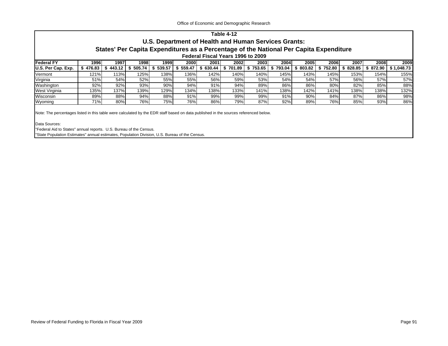### **U.S. Department of Health and Human Services Grants: States' Per Capita Expenditures as a Percentage of the National Per Capita Expenditure Federal Fiscal Years 1996 to 2009Table 4-12**

|                     |        |        |        |        |        |        | <b>CUCTUL I ISOUL TOURS TSSOUTS LOOP</b> |        |        |        |        |        |        |         |
|---------------------|--------|--------|--------|--------|--------|--------|------------------------------------------|--------|--------|--------|--------|--------|--------|---------|
| <b>Federal FY</b>   | 1996   | 1997   | 1998   | 1999l  | 2000   | 2001   | 2002                                     | 2003   | 2004   | 2005   | 2006   | 2007   | 2008   | 2009    |
| IU.S. Per Cap. Exp. | 476.83 | 443.12 | 505.74 | 539.57 | 559.47 | 630.44 | 701.89                                   | 753.65 | 793.04 | 803.82 | 752.80 | 828.85 | 872.90 | .048.73 |
| Vermont             | 121%   | 113%   | 125%   | 138%   | 136%   | 142%   | 140%                                     | 140%   | 145%   | 143%   | 145%   | 153%   | 154%   | 155%    |
| Virginia            | 51%    | 54%    | 52%    | 55%    | 55%    | 56%    | 59%                                      | 53%    | 54%    | 54%    | 57%    | 56%    | 57%    | 57%     |
| Washington          | 92%    | 92%    | 93%    | 90%    | 94%    | 91%    | 94%                                      | 89%    | 86%    | 86%    | 80%    | 82%    | 85%    | 88%     |
| West Virginia       | 135%   | 137%   | 139%   | 129%   | 134%   | 138%   | 133%                                     | 141%   | 138%   | 142%   | 141%   | 138%   | 138%   | 132%    |
| Wisconsin           | 89%    | 88%    | 94%    | 88%    | 91%    | 99%    | 99%                                      | 99%    | 91%    | 90%    | 84%    | 87%    | 86%    | 98%     |
| Wyoming             | 71%    | 80%    | 76%    | 75%    | 76%    | 86%    | 79%1                                     | 87%    | 92%    | 89%    | 76%    | 85%    | 93%    | 86%     |

Note: The percentages listed in this table were calculated by the EDR staff based on data published in the sources referenced below.

Data Sources:

"Federal Aid to States" annual reports. U.S. Bureau of the Census.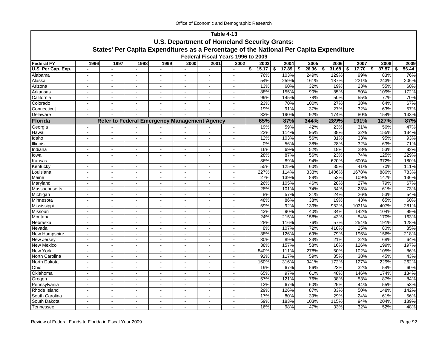|                                |                                                                                                                             |                          |                                                     |                          |                                                     |                          | <b>Table 4-13</b>        |             |             |             |             |             |             |             |
|--------------------------------|-----------------------------------------------------------------------------------------------------------------------------|--------------------------|-----------------------------------------------------|--------------------------|-----------------------------------------------------|--------------------------|--------------------------|-------------|-------------|-------------|-------------|-------------|-------------|-------------|
|                                |                                                                                                                             |                          |                                                     |                          | <b>U.S. Department of Homeland Security Grants:</b> |                          |                          |             |             |             |             |             |             |             |
|                                |                                                                                                                             |                          |                                                     |                          |                                                     |                          |                          |             |             |             |             |             |             |             |
|                                | States' Per Capita Expenditures as a Percentage of the National Per Capita Expenditure<br>Federal Fiscal Years 1996 to 2009 |                          |                                                     |                          |                                                     |                          |                          |             |             |             |             |             |             |             |
|                                |                                                                                                                             |                          |                                                     |                          |                                                     |                          |                          |             |             |             |             |             |             |             |
| <b>Federal FY</b>              | 1996                                                                                                                        | 1997                     | 1998                                                | 1999                     | 2000                                                | 2001                     | 2002                     | 2003        | 2004        | 2005        | 2006        | 2007        | 2008        | 2009        |
| U.S. Per Cap. Exp.             | $\overline{\phantom{a}}$                                                                                                    | $\overline{\phantom{a}}$ | $\overline{\phantom{a}}$                            | $\overline{\phantom{a}}$ | $\blacksquare$                                      | $\blacksquare$           | $\blacksquare$           | 15.17<br>\$ | 17.89<br>\$ | 26.36<br>\$ | \$<br>31.68 | 17.70<br>\$ | 37.57<br>\$ | 56.44<br>\$ |
| Alabama                        | $\blacksquare$                                                                                                              | $\blacksquare$           | $\blacksquare$                                      | $\blacksquare$           | $\blacksquare$                                      | $\overline{\phantom{a}}$ | $\sim$                   | 76%         | 103%        | 249%        | 129%        | 99%         | 83%         | 76%         |
| Alaska                         | $\blacksquare$                                                                                                              | $\blacksquare$           | $\blacksquare$                                      | $\blacksquare$           | $\sim$                                              | $\blacksquare$           | $\blacksquare$           | 54%         | 259%        | 161%        | 187%        | 221%        | 243%        | 206%        |
| Arizona                        | $\sim$                                                                                                                      | $\sim$                   | $\sim$                                              | $\sim$                   | $\sim$                                              | $\blacksquare$           | $\sim$                   | 13%         | 60%         | 32%         | 19%         | 23%         | 55%         | 60%         |
| Arkansas                       | $\blacksquare$                                                                                                              | $\blacksquare$           | $\blacksquare$                                      | $\sim$                   | $\sim$                                              | $\blacksquare$           | $\blacksquare$           | 88%         | 155%        | 90%         | 85%         | 50%         | 109%        | 172%        |
| California                     | $\sim$                                                                                                                      | $\sim$                   | $\sim$                                              | $\sim$                   | $\sim$                                              | $\sim$                   | $\sim$                   | 99%         | 145%        | 78%         | 50%         | 55%         | 77%         | 70%         |
| Colorado                       | $\blacksquare$                                                                                                              | $\blacksquare$           | $\blacksquare$                                      | $\sim$                   | $\blacksquare$                                      | $\sim$                   | $\blacksquare$           | 23%         | 70%         | 100%        | 27%         | 38%         | 64%         | 67%         |
| Connecticut                    | $\blacksquare$                                                                                                              | $\sim$                   | $\blacksquare$                                      | $\blacksquare$           | $\blacksquare$                                      | $\blacksquare$           | $\sim$                   | 19%         | 91%         | 37%         | 27%         | 32%         | 63%         | 57%         |
| Delaware                       | $\blacksquare$                                                                                                              | $\blacksquare$           |                                                     | $\sim$                   |                                                     | $\sim$                   | $\blacksquare$           | 33%         | 190%        | 92%         | 174%        | 80%         | 154%        | 143%        |
| Florida                        |                                                                                                                             |                          | <b>Refer to Federal Emergency Management Agency</b> |                          |                                                     |                          |                          | 65%         | 87%         | 344%        | 289%        | 191%        | 127%        | 87%         |
| Georgia                        | $\sim$                                                                                                                      |                          |                                                     |                          |                                                     |                          | $\sim$                   | 19%         | 59%         | 42%         | 23%         | 31%         | 56%         | 47%         |
| Hawaii                         | $\blacksquare$                                                                                                              | $\blacksquare$           | $\overline{\phantom{a}}$                            | $\sim$                   | $\blacksquare$                                      | $\blacksquare$           | $\blacksquare$           | 22%         | 114%        | 95%         | 38%         | 32%         | 155%        | 134%        |
| daho                           | $\mathbf{r}$                                                                                                                | $\overline{\phantom{a}}$ | $\overline{a}$                                      | $\sim$                   | $\sim$                                              | $\sim$                   | $\sim$                   | 12%         | 103%        | 56%         | 31%         | 33%         | 95%         | 93%         |
| Illinois                       | $\blacksquare$                                                                                                              | $\blacksquare$           | $\overline{\phantom{a}}$                            | $\blacksquare$           | $\blacksquare$                                      | $\overline{\phantom{a}}$ | $\blacksquare$           | 0%          | 56%         | 38%         | 28%         | 32%         | 63%         | 71%         |
| Indiana                        | $\sim$                                                                                                                      | $\sim$                   | $\blacksquare$                                      | $\sim$                   | $\blacksquare$                                      | $\overline{\phantom{a}}$ | $\sim$                   | 16%         | 69%         | 52%         | 18%         | 28%         | 53%         | 83%         |
| lowa                           | $\blacksquare$                                                                                                              | $\blacksquare$           | $\overline{\phantom{a}}$                            | $\blacksquare$           | $\blacksquare$                                      | $\overline{\phantom{a}}$ | $\sim$                   | 28%         | 87%         | 56%         | 23%         | 74%         | 125%        | 229%        |
| Kansas                         | $\sim$                                                                                                                      | $\overline{\phantom{a}}$ | $\blacksquare$                                      | $\sim$                   | $\sim$                                              | $\overline{\phantom{a}}$ | $\sim$                   | 36%         | 89%         | 94%         | 620%        | 600%        | 372%        | 180%        |
| Kentucky                       | $\blacksquare$                                                                                                              | $\mathbf{r}$             | $\overline{\phantom{a}}$                            | $\blacksquare$           | $\sim$                                              | $\overline{\phantom{a}}$ | $\sim$                   | 55%         | 125%        | 60%         | 35%         | 41%         | 70%         | 111%        |
| Louisiana                      | $\sim$                                                                                                                      | $\overline{\phantom{a}}$ | $\sim$                                              | $\overline{a}$           | $\overline{a}$                                      | $\overline{\phantom{a}}$ | $\sim$                   | 227%        | 114%        | 333%        | 1406%       | 1678%       | 886%        | 783%        |
| Maine                          | $\blacksquare$                                                                                                              | $\blacksquare$           | $\sim$                                              | $\sim$                   | $\sim$                                              | $\blacksquare$           | $\blacksquare$           | 27%         | 139%        | 88%         | 53%         | 109%        | 147%        | 136%        |
| Maryland                       | $\blacksquare$                                                                                                              | $\overline{\phantom{a}}$ | $\sim$                                              | $\sim$                   | $\blacksquare$                                      | $\overline{\phantom{a}}$ | $\blacksquare$           | 26%         | 105%        | 46%         | 28%         | 27%         | 79%         | 67%         |
| Massachusetts                  | $\blacksquare$                                                                                                              | $\blacksquare$           | $\sim$                                              | $\sim$                   | $\sim$                                              | $\blacksquare$           | $\blacksquare$           | 28%         | 101%        | 74%         | 34%         | 23%         | 61%         | 73%         |
| Michigan                       | $\sim$                                                                                                                      | $\overline{\phantom{a}}$ | $\blacksquare$                                      | $\sim$                   | $\sim$                                              | $\overline{\phantom{a}}$ | $\sim$                   | 8%          | 57%         | 31%         | 24%         | 26%         | 53%         | 54%         |
| Minnesota                      | $\blacksquare$                                                                                                              | $\blacksquare$           | $\sim$                                              | $\sim$                   | $\sim$                                              | $\blacksquare$           | $\blacksquare$           | 48%         | 86%         | 38%         | 19%         | 43%         | 65%         | 60%         |
| Mississippi                    | $\overline{\phantom{a}}$                                                                                                    | $\overline{\phantom{a}}$ | $\blacksquare$                                      | $\sim$                   | $\overline{\phantom{a}}$                            | $\overline{\phantom{a}}$ | $\sim$                   | 59%         | 92%         | 139%        | 952%        | 1031%       | 407%        | 281%        |
| Missouri                       | $\blacksquare$                                                                                                              | $\blacksquare$           | $\sim$                                              | $\blacksquare$           | $\sim$                                              | $\blacksquare$           | $\blacksquare$           | 43%         | 90%         | 40%         | 34%         | 142%        | 104%        | 99%         |
| Montana                        | $\blacksquare$                                                                                                              | $\sim$                   | $\sim$                                              | $\sim$                   | $\sim$                                              | $\overline{\phantom{a}}$ | $\sim$                   | 24%         | 215%        | 158%        | 43%         | 54%         | 170%        | 163%        |
| Nebraska                       | $\blacksquare$                                                                                                              | $\blacksquare$           | $\blacksquare$                                      | $\sim$                   | $\blacksquare$                                      | $\sim$                   | $\blacksquare$           | 28%         | 116%        | 76%         | 57%         | 254%        | 191%        | 128%        |
| Nevada                         | $\blacksquare$                                                                                                              | $\overline{\phantom{a}}$ | $\overline{\phantom{a}}$                            | $\sim$                   | $\sim$                                              | $\overline{\phantom{a}}$ | $\blacksquare$           | 8%          | 107%        | 72%         | 410%        | 25%         | 80%         | 85%         |
| New Hampshire                  | $\blacksquare$                                                                                                              | $\sim$                   | $\blacksquare$                                      | $\sim$                   | $\sim$                                              | $\sim$                   | $\blacksquare$           | 38%         | 126%        | 69%         | 79%         | 196%        | 156%        | 218%        |
| New Jersey                     | $\blacksquare$                                                                                                              | $\sim$                   | $\blacksquare$                                      | $\sim$                   | $\sim$                                              | $\overline{\phantom{a}}$ | $\blacksquare$           | 30%         | 89%         | 33%         | 21%         | 22%         | 68%         | 64%         |
| <b>New Mexico</b>              | $\blacksquare$                                                                                                              | $\sim$                   | $\blacksquare$                                      | $\sim$                   | $\sim$                                              | $\sim$                   | $\sim$                   | 38%         | 157%        | 58%         | 16%         | 126%        | 199%        | 197%        |
| New York                       | $\overline{\phantom{a}}$                                                                                                    | $\sim$                   | $\blacksquare$                                      | $\sim$                   | $\sim$                                              | $\overline{\phantom{a}}$ | $\blacksquare$           | 840%        | 111%        | 278%        | 50%         | 102%        | 105%        | 86%         |
| North Carolina                 | $\blacksquare$                                                                                                              | $\blacksquare$           | $\blacksquare$                                      | $\sim$                   | $\blacksquare$                                      | $\sim$                   | $\blacksquare$           | 92%         | 117%        | 59%         | 35%         | 38%<br>127% | 45%         | 43%<br>262% |
| North Dakota                   | $\blacksquare$                                                                                                              | $\overline{\phantom{a}}$ | $\sim$                                              | $\sim$                   | $\sim$                                              | $\sim$                   | $\sim$                   | 160%        | 316%        | 941%        | 172%<br>23% | 32%         | 229%<br>54% | 60%         |
| Ohio                           | $\blacksquare$                                                                                                              | $\blacksquare$           | $\blacksquare$                                      | $\sim$                   | $\blacksquare$                                      | $\sim$                   | $\blacksquare$           | 19%         | 67%         | 56%         |             |             |             |             |
| Oklahoma                       | $\blacksquare$                                                                                                              | $\blacksquare$           | $\blacksquare$                                      | $\sim$                   | $\sim$                                              | $\sim$                   | $\sim$                   | 65%         | 97%         | 61%         | 48%<br>38%  | 146%        | 174%        | 134%        |
| Oregon                         | $\sim$                                                                                                                      | $\blacksquare$<br>$\sim$ | $\blacksquare$                                      | $\sim$                   | $\sim$<br>$\sim$                                    | $\blacksquare$           | $\blacksquare$<br>$\sim$ | 57%         | 121%<br>67% | 76%         | 25%         | 53%<br>44%  | 87%<br>55%  | 84%<br>53%  |
| Pennsylvania                   | $\blacksquare$<br>$\blacksquare$                                                                                            | $\blacksquare$           | $\blacksquare$<br>$\blacksquare$                    | $\sim$<br>$\sim$         | $\sim$                                              | $\sim$<br>$\sim$         | $\blacksquare$           | 13%<br>29%  | 126%        | 60%<br>87%  | 33%         | 50%         | 148%        | 142%        |
| Rhode Island                   | $\sim$                                                                                                                      | $\sim$                   | $\sim$                                              | $\sim$                   | $\sim$                                              | $\sim$                   | $\sim$                   | 17%         | 80%         | 39%         | 29%         | 24%         | 61%         | 56%         |
| South Carolina<br>South Dakota | $\sim$                                                                                                                      | $\blacksquare$           | $\blacksquare$                                      | $\sim$                   | $\sim$                                              | $\sim$                   | $\sim$                   | 59%         | 183%        | 103%        | 115%        | 94%         | 204%        | 189%        |
| <b>Tennessee</b>               | $\blacksquare$                                                                                                              | $\overline{\phantom{a}}$ | $\blacksquare$                                      | $\sim$                   | $\sim$                                              | $\sim$                   | $\blacksquare$           | 16%         | 98%         | 47%         | 33%         | 32%         | 52%         | 48%         |
|                                |                                                                                                                             |                          |                                                     |                          |                                                     |                          |                          |             |             |             |             |             |             |             |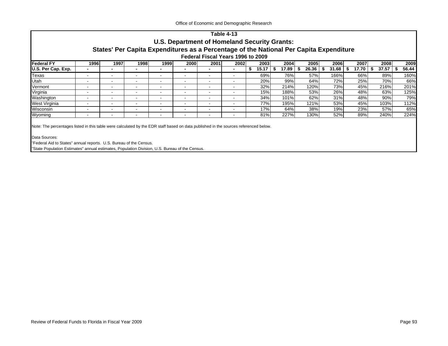|                                                                                                                                      |                                                                                        |                          |                          |                          |                          | Table 4-13               |                          |             |             |       |       |             |       |       |
|--------------------------------------------------------------------------------------------------------------------------------------|----------------------------------------------------------------------------------------|--------------------------|--------------------------|--------------------------|--------------------------|--------------------------|--------------------------|-------------|-------------|-------|-------|-------------|-------|-------|
|                                                                                                                                      | U.S. Department of Homeland Security Grants:                                           |                          |                          |                          |                          |                          |                          |             |             |       |       |             |       |       |
|                                                                                                                                      |                                                                                        |                          |                          |                          |                          |                          |                          |             |             |       |       |             |       |       |
|                                                                                                                                      | States' Per Capita Expenditures as a Percentage of the National Per Capita Expenditure |                          |                          |                          |                          |                          |                          |             |             |       |       |             |       |       |
| Federal Fiscal Years 1996 to 2009                                                                                                    |                                                                                        |                          |                          |                          |                          |                          |                          |             |             |       |       |             |       |       |
| <b>Federal FY</b>                                                                                                                    | 1996                                                                                   | 1997                     | 1998                     | 1999                     | 2000                     | 2001                     | 2002                     | 2003        | 2004        | 2005  | 2006  | 2007        | 2008  | 2009  |
| U.S. Per Cap. Exp.                                                                                                                   |                                                                                        |                          |                          |                          | $\blacksquare$           | $\blacksquare$           |                          | 15.17<br>\$ | 17.89<br>S. | 26.36 | 31.68 | 17.70<br>\$ | 37.57 | 56.44 |
| Texas                                                                                                                                | $\blacksquare$                                                                         | $\overline{\phantom{a}}$ | $\overline{\phantom{a}}$ | $\overline{\phantom{a}}$ |                          | $\overline{\phantom{a}}$ |                          | 69%         | 76%         | 57%   | 166%  | 66%         | 89%   | 160%  |
| Utah                                                                                                                                 | $\blacksquare$                                                                         | $\overline{\phantom{0}}$ | ۰                        | $\overline{\phantom{0}}$ |                          | $\overline{\phantom{0}}$ | $\overline{\phantom{a}}$ | 20%         | 99%         | 64%   | 72%   | 25%         | 70%   | 66%   |
| Vermont                                                                                                                              | $\blacksquare$                                                                         |                          | ۰                        |                          |                          |                          |                          | 32%         | 214%        | 120%  | 73%   | 45%         | 216%  | 201%  |
| Virginia                                                                                                                             | $\,$                                                                                   | $\overline{\phantom{a}}$ | $\,$                     | $\overline{\phantom{a}}$ |                          | $\,$                     |                          | 15%         | 188%        | 53%   | 26%   | 48%         | 63%   | 125%  |
| Washington                                                                                                                           | $\blacksquare$                                                                         | $\overline{\phantom{a}}$ | $\overline{\phantom{a}}$ | -                        | $\overline{\phantom{a}}$ | $\,$                     |                          | 34%         | 101%        | 62%   | 31%   | 48%         | 90%   | 79%   |
| West Virginia                                                                                                                        |                                                                                        |                          |                          |                          |                          |                          |                          | 77%         | 195%        | 121%  | 53%   | 45%         | 103%  | 112%  |
| Wisconsin                                                                                                                            | $\overline{\phantom{0}}$                                                               |                          | -                        |                          |                          |                          |                          | 17%         | 64%         | 38%   | 19%   | 23%         | 57%   | 65%   |
| Wyoming                                                                                                                              |                                                                                        |                          | -                        |                          |                          |                          |                          | 81%         | 227%        | 130%  | 52%   | 89%         | 240%  | 224%  |
|                                                                                                                                      |                                                                                        |                          |                          |                          |                          |                          |                          |             |             |       |       |             |       |       |
| Note: The percentages listed in this table were calculated by the EDR staff based on data published in the sources referenced below. |                                                                                        |                          |                          |                          |                          |                          |                          |             |             |       |       |             |       |       |
|                                                                                                                                      |                                                                                        |                          |                          |                          |                          |                          |                          |             |             |       |       |             |       |       |
| Data Sources:                                                                                                                        |                                                                                        |                          |                          |                          |                          |                          |                          |             |             |       |       |             |       |       |
|                                                                                                                                      |                                                                                        |                          |                          |                          |                          |                          |                          |             |             |       |       |             |       |       |

"Federal Aid to States" annual reports. U.S. Bureau of the Census. "State Population Estimates" annual estimates, Population Division, U.S. Bureau of the Census.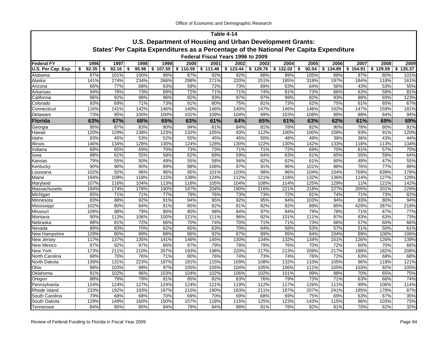| Table 4-14                                                                             |             |             |             |             |            |             |                                   |            |            |             |            |            |            |              |
|----------------------------------------------------------------------------------------|-------------|-------------|-------------|-------------|------------|-------------|-----------------------------------|------------|------------|-------------|------------|------------|------------|--------------|
| U.S. Department of Housing and Urban Development Grants:                               |             |             |             |             |            |             |                                   |            |            |             |            |            |            |              |
| States' Per Capita Expenditures as a Percentage of the National Per Capita Expenditure |             |             |             |             |            |             |                                   |            |            |             |            |            |            |              |
|                                                                                        |             |             |             |             |            |             | Federal Fiscal Years 1996 to 2009 |            |            |             |            |            |            |              |
| <b>Federal FY</b>                                                                      | 1996        | 1997        | 1998        | 1999        | 2000       | 2001        | 2002                              | 2003       | 2004       | 2005        | 2006       | 2007       | 2008       | 2009         |
| U.S. Per Cap. Exp.                                                                     | 82.35<br>\$ | \$<br>82.16 | 95.96<br>\$ | \$107.55    | \$110.59   | \$111.46    | \$123.44                          | \$129.76   | \$132.02   | 92.04<br>\$ | \$134.89   | \$154.91   | \$129.59   | 135.37<br>\$ |
| Alabama                                                                                | 87%         | 101%        | 100%        | 90%         | 87%        | 92%         | 92%                               | 88%        | 89%        | 105%        | 88%        | 87%        | 80%        | 101%         |
| Alaska                                                                                 | 141%        | 274%        | 234%        | 266%        | 298%       | 271%        | 220%                              | 251%       | 185%       | 318%        | 197%       | 184%       | 118%       | 161%         |
| Arizona                                                                                | 66%         | 77%         | 68%         | 63%         | 59%        | 72%         | 73%                               | 69%        | 63%        | 64%         | 56%        | 43%        | 53%        | 55%          |
| Arkansas                                                                               | 94%         | 78%         | 73%         | 69%         | 72%        | 71%         | 71%                               | 74%        | 81%        | 73%         | 66%        | 63%        | 59%        | 81%          |
| California                                                                             | 96%         | 92%         | 98%         | 96%         | 92%        | 93%         | 97%                               | 97%        | 99%        | 82%         | 93%        | 88%        | 93%        | 123%         |
| Colorado                                                                               | 93%         | 69%         | 71%         | 73%         | 91%        | 80%         | 75%                               | 81%        | 73%        | 62%         | 75%        | 61%        | 65%        | 67%          |
| Connecticut                                                                            | 116%        | 141%        | 142%        | 146%        | 140%       | 146%        | 140%                              | 147%       | 146%       | 146%        | 162%       | 147%       | 159%       | 181%         |
| Delaware                                                                               | 73%         | 95%         | 100%        | 100%        | 101%       | 109%        | 104%                              | 99%        | 103%       | 108%        | 99%        | 88%        | 84%        | 94%          |
| Florida                                                                                | 63%         | 67%         | 68%         | 65%         | 63%        | 61%         | 64%                               | 65%        | 61%        | 63%         | 62%        | 61%        | 69%        | 69%          |
| Georgia                                                                                | 95%         | 87%         | 83%         | 90%         | 94%        | 81%         | 84%                               | 81%        | 78%        | 82%         | 90%        | 78%        | 80%        | 91%          |
| Hawaii                                                                                 | 120%        | 129%        | 138%        | 123%        | 132%       | 105%        | 93%                               | 112%       | 100%       | 100%        | 108%       | 93%        | 91%        | 120%         |
| Idaho                                                                                  | 93%         | 45%         | 53%         | 52%         | 55%        | 45%         | 45%                               | 50%        | 48%        | 49%         | 39%        | 36%        | 43%        | 44%          |
| <b>Illinois</b>                                                                        | 146%        | 134%        | 128%        | 130%        | 124%       | 128%        | 130%                              | 122%       | 130%       | 142%        | 133%       | 118%       | 113%       | 134%         |
| Indiana                                                                                | 68%         | 65%         | 69%         | 70%         | 73%        | 73%         | 71%                               | 71%        | 72%        | 69%         | 70%        | 61%        | 57%        | 70%          |
| lowa                                                                                   | 88%         | 61%         | 55%         | 58%         | 62%        | 69%         | 59%                               | 64%        | 63%        | 61%         | 65%        | 55%        | 59%        | 64%          |
| Kansas                                                                                 | 79%         | 55%         | 50%         | 49%         | 55%        | 58%         | 56%                               | 62%        | 62%        | 61%         | 60%        | 48%        | 47%        | 55%          |
| Kentucky                                                                               | 90%         | 90%         | 90%         | 89%         | 88%        | 108%        | 97%                               | 91%        | 96%        | 101%        | 88%        | 76%        | 77%        | 89%          |
| _ouisiana                                                                              | 102%        | 92%         | 96%         | 96%         | 95%        | 101%        | 103%                              | 98%        | 96%        | 104%        | 104%       | 769%       | 639%       | 178%         |
| Maine                                                                                  | 194%        | 109%        | 118%        | 115%        | 138%       | 124%        | 112%                              | 121%       | 118%       | 132%        | 136%       | 114%       | 127%       | 128%         |
| Maryland                                                                               | 107%        | 116%        | 104%        | 113%        | 116%       | 105%        | 104%                              | 108%       | 114%       | 125%        | 129%       | 11%        | 121%       | 142%         |
| Massachusetts                                                                          | 194%        | 174%        | 178%        | 190%        | 187%       | 204%        | 190%                              | 216%       | 221%       | 218%        | 227%       | 205%       | 201%       | 229%         |
| Michigan                                                                               | 65%         | 71%         | 71%         | 77%         | 78%        | 76%         | 73%                               | 73%        | 72%        | 81%         | 74%        | 71%        | 73%        | 82%          |
| Minnesota                                                                              | 83%         | 88%         | 92%         | 91%         | 94%        | 95%         | 92%                               | 95%        | 94%        | 103%        | 94%        | 83%        | 80%        | 94%          |
| Mississippi                                                                            | 102%        | 80%<br>88%  | 84%<br>79%  | 81%         | 85%<br>80% | 82%         | 81%                               | 82%<br>97% | 82%<br>94% | 88%<br>79%  | 85%<br>78% | 429%       | 287%       | 218%         |
| Missouri                                                                               | 109%<br>90% | 113%        | 106%        | 80%<br>100% | 121%       | 98%<br>111% | 84%<br>96%                        | 92%        | 101%       | 111%        | 97%        | 71%<br>83% | 67%<br>63% | 77%<br>73%   |
| Montana<br>Nebraska                                                                    | 88%         | 81%         | 72%         | 66%         | 70%        | 74%         | 70%                               | 71%        | 71%        | 73%         | 66%        | 57%        | 60%        | 66%          |
| Nevada                                                                                 | 89%         | 83%         | 70%         | 62%         | 65%        | 63%         | 70%                               | 64%        | 58%        | 53%         | 57%        | 51%        | 50%        | 61%          |
| New Hampshire                                                                          | 129%        | 80%         | 89%         | 88%         | 86%        | 92%         | 87%                               | 99%        | 95%        | 84%         | 104%       | 89%        | 100%       | 106%         |
| New Jersey                                                                             | 117%        | 137%        | 135%        | 141%        | 146%       | 145%        | 130%                              | 134%       | 132%       | 134%        | 151%       | 126%       | 126%       | 139%         |
| <b>New Mexico</b>                                                                      | 87%         | 92%         | 97%         | 86%         | 87%        | 79%         | 78%                               | 79%        | 76%        | 70%         | 72%        | 60%        | 70%        | 66%          |
| New York                                                                               | 173%        | 211%        | 210%        | 207%        | 193%       | 198%        | 220%                              | 217%       | 213%       | 209%        | 217%       | 188%       | 182%       | 208%         |
| North Carolina                                                                         | 68%         | 70%         | 76%         | 71%         | 80%        | 76%         | 74%                               | 73%        | 74%        | 76%         | 72%        | 63%        | 68%        | 68%          |
| North Dakota                                                                           | 139%        | 131%        | 223%        | 197%        | 181%       | 115%        | 109%                              | 108%       | 132%       | 110%        | 105%       | 96%        | 118%       | 121%         |
| Ohio                                                                                   | 88%         | 103%        | 99%         | 97%         | 105%       | 105%        | 104%                              | 105%       | 106%       | 111%        | 105%       | 103%       | 92%        | 105%         |
| Oklahoma                                                                               | 91%         | 102%        | 96%         | 103%        | 104%       | 102%        | 106%                              | 102%       | 101%       | 99%         | 88%        | 70%        | 65%        | 75%          |
| Oregon                                                                                 | 88%         | 79%         | 79%         | 81%         | 85%        | 82%         | 83%                               | 76%        | 79%        | 73%         | 71%        | 63%        | 66%        | 74%          |
| Pennsylvania                                                                           | 124%        | 124%        | 127%        | 124%        | 124%       | 121%        | 119%                              | 112%       | 117%       | 126%        | 111%       | 99%        | 106%       | 114%         |
| Rhode Island                                                                           | 233%        | 192%        | 193%        | 197%        | 215%       | 190%        | 183%                              | 211%       | 187%       | 207%        | 241%       | 185%       | 178%       | 87%          |
| South Carolina                                                                         | 79%         | 68%         | 68%         | 70%         | 69%        | 70%         | 69%                               | 68%        | 69%        | 75%         | 69%        | 63%        | 67%        | 35%          |
| South Dakota                                                                           | 129%        | 149%        | 160%        | 150%        | 157%       | 118%        | 115%                              | 125%       | 123%       | 143%        | 115%       | 96%        | 103%       | 75%          |
| Tennessee                                                                              | 84%         | 85%         | 85%         | 84%         | 79%        | 84%         | 88%                               | 81%        | 78%        | 92%         | 81%        | 70%        | 62%        | 32%          |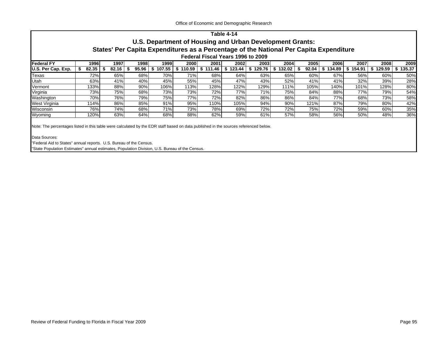#### **U.S. Department of Housing and Urban Development Grants: States' Per Capita Expenditures as a Percentage of the National Per Capita Expenditure Federal Fiscal Years 1996 to 2009Table 4-14**

|                    |       |       |       |        |        |      | Feueral Fiscal Tears 1990 to 2009 |        |        |       |        |        |        |        |
|--------------------|-------|-------|-------|--------|--------|------|-----------------------------------|--------|--------|-------|--------|--------|--------|--------|
| <b>Federal FY</b>  | 1996  | 1997  | 1998  | 1999   | 2000   | 2001 | 2002                              | 2003   | 2004   | 2005  | 2006   | 2007   | 2008   | 2009   |
| U.S. Per Cap. Exp. | 82.35 | 82.16 | 95.96 | 107.55 | 110.59 | . 46 | 123.44                            | .29.76 | 132.02 | 92.04 | 134.89 | 154.91 | 129.59 | 135.37 |
| Texas              | 72%   | 65%   | 68%   | 70%    | 71%    | 68%  | 64%                               | 63%    | 65%    | 60%   | 67%    | 56%    | 60%    | 50%    |
| Utah               | 63%   | 41%   | 40%   | 45%    | 55%    | 45%  | 47%                               | 43%    | 52%    | 41%   | 41%    | 32%    | 39%    | 28%    |
| Vermont            | 133%  | 88%   | 90%   | 106%   | 113%   | 128% | 122%                              | 129%   | 111%   | 105%  | 140%   | 101%   | 128%   | 80%    |
| Virginia           | 73%   | 75%   | 68%   | 73%    | 73%    | 72%  | 77%                               | 71%    | 75%    | 84%   | 88%    | 77%    | 79%    | 54%    |
| Washington         | 70%   | 76%   | 79%   | 75%    | 77%    | 72%  | 82%                               | 86%    | 86%    | 84%   | 77%    | 68%    | 73%    | 58%    |
| West Virginia      | 114%  | 86%   | 85%   | 91%    | 95%    | 110% | 105%                              | 94%    | 90%    | 121%  | 87%    | 79%    | 80%    | 42%    |
| Wisconsin          | 76%   | 74%   | 68%   | 71%    | 73%    | 78%  | 69%                               | 72%    | 72%    | 75%   | 72%    | 59%    | 60%    | 35%    |
| Wyoming            | 120%  | 63%   | 64%   | 68%    | 88%    | 62%  | 59%                               | 61%    | 57%    | 58%   | 56%    | 50%    | 48%    | 36%    |

Note: The percentages listed in this table were calculated by the EDR staff based on data published in the sources referenced below.

Data Sources:

"Federal Aid to States" annual reports. U.S. Bureau of the Census.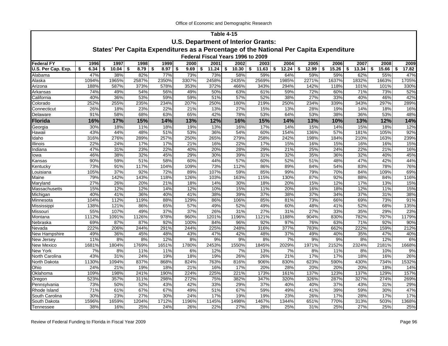|                          | Table 4-15<br><b>U.S. Department of Interior Grants:</b> |              |             |    |             |                                                                                        |    |                 |    |                                   |    |             |    |             |               |              |             |               |             |             |
|--------------------------|----------------------------------------------------------|--------------|-------------|----|-------------|----------------------------------------------------------------------------------------|----|-----------------|----|-----------------------------------|----|-------------|----|-------------|---------------|--------------|-------------|---------------|-------------|-------------|
|                          |                                                          |              |             |    |             |                                                                                        |    |                 |    |                                   |    |             |    |             |               |              |             |               |             |             |
|                          |                                                          |              |             |    |             | States' Per Capita Expenditures as a Percentage of the National Per Capita Expenditure |    |                 |    |                                   |    |             |    |             |               |              |             |               |             |             |
|                          |                                                          |              |             |    |             |                                                                                        |    |                 |    |                                   |    |             |    |             |               |              |             |               |             |             |
|                          |                                                          |              |             |    |             |                                                                                        |    |                 |    | Federal Fiscal Years 1996 to 2009 |    |             |    |             |               |              |             |               |             |             |
| <b>Federal FY</b>        |                                                          | 1996         | 1997        |    | 1998        | 1999                                                                                   |    | 2000            |    | 2001                              |    | 2002        |    | 2003        | 2004          | 2005         | 2006        | 2007          | 2008        | 2009        |
| U.S. Per Cap. Exp.       | \$                                                       | 6.34         | \$<br>10.04 | \$ | 8.79        | \$<br>8.97                                                                             | \$ | 9.69            | \$ | 11.24                             | \$ | 10.30       | \$ | 11.63       | \$<br>12.24   | \$<br>12.99  | \$<br>15.26 | \$<br>13.34   | \$<br>15.66 | 17.82<br>\$ |
| Alabama                  |                                                          | 47%<br>1094% | 38%         |    | 82%         | 77%<br>2350%                                                                           |    | 73%             |    | 73%                               |    | 58%         |    | 59%         | 64%           | 59%<br>2271% | 59%         | 62%           | 55%         | 47%         |
| Alaska                   |                                                          |              | 1965%       |    | 2587%       | 578%                                                                                   |    | 3307%           |    | 2458%<br>372%                     |    | 2435%       |    | 2569%       | 1985%<br>294% |              | 1637%       | 1832%<br>101% | 1663%       | 1705%       |
| Arizona<br>Arkansas      |                                                          | 188%<br>74%  | 587%<br>49% |    | 373%<br>54% | 56%                                                                                    |    | 353%<br>49%     |    | 50%                               |    | 466%<br>63% |    | 343%<br>61% | 59%           | 142%<br>72%  | 118%<br>60% | 71%           | 101%<br>73% | 330%<br>52% |
| California               |                                                          | 40%          | 36%         |    | 53%         | 59%                                                                                    |    | 59%             |    | 51%                               |    | 57%         |    | 52%         | 38%           | 27%          | 33%         | 40%           | 46%         | 42%         |
| Colorado                 |                                                          | 252%         | 255%        |    | 235%        | 234%                                                                                   |    | 207%            |    | 250%                              |    | 180%        |    | 219%        | 250%          | 234%         | 339%        | 343%          | 297%        | 289%        |
| Connecticut              |                                                          | 26%          | 18%         |    | 23%         | 22%                                                                                    |    | 21%             |    | 13%                               |    | 27%         |    | 15%         | 13%           | 28%          | 19%         | 14%           | 18%         | 16%         |
| Delaware                 |                                                          | 91%          | 58%         |    | 68%         | 63%                                                                                    |    | 65%             |    | 42%                               |    | 78%         |    | 53%         | 64%           | 53%          | 38%         | 36%           | 53%         | 48%         |
| <b>Florida</b>           |                                                          | 16%          | 17%         |    | 15%         | 14%                                                                                    |    | 13%             |    | 12%                               |    | 16%         |    | 15%         | 14%           | 13%          | 10%         | 13%           | 12%         | 14%         |
| Georgia                  |                                                          | 30%          | 18%         |    | 11%         | 18%                                                                                    |    | 19%             |    | 13%                               |    | 16%         |    | 17%         | 14%           | 15%          | 14%         | 15%           | 18%         | 12%         |
| Hawaii                   |                                                          | 43%          | 44%         |    | 48%         | 51%                                                                                    |    | 53%             |    | 36%                               |    | 54%         |    | 60%         | 154%          | 136%         | 57%         | 181%          | 105%        | 92%         |
| ldaho                    |                                                          | 316%         | 276%        |    | 289%        | 257%                                                                                   |    | 250%            |    | 265%                              |    | 279%        |    | 258%        | 242%          | 198%         | 184%        | 210%          | 163%        | 239%        |
| Illinois                 |                                                          | 22%          | 24%         |    | 17%         | 17%                                                                                    |    | 21%             |    | 16%                               |    | 22%         |    | 17%         | 15%           | 16%          | 15%         | 16%           | 16%         | 15%         |
| Indiana                  |                                                          | 47%          | 31%         |    | 23%         | 22%                                                                                    |    | 40%             |    | 20%                               |    | 28%         |    | 29%         | 21%           | 25%          | 24%         | 22%           | 21%         | 16%         |
| lowa                     |                                                          | 46%          | 38%         |    | 32%         | 45%                                                                                    |    | 29%             |    | 30%                               |    | 39%         |    | 31%         | 32%           | 35%          | 36%         | 32%           | 40%         | 45%         |
| Kansas                   |                                                          | 90%          | 59%         |    | 51%         | 58%                                                                                    |    | 60%             |    | 44%                               |    | 57%         |    | 60%         | 52%           | 51%          | 48%         | 47%           | 42%         | 44%         |
| Kentucky                 |                                                          | 73%          | 91%         |    | 117%        | 104%                                                                                   |    | 109%            |    | 73%                               |    | 112%        |    | 86%         | 89%           | 84%          | 54%         | 83%           | 78%         | 76%         |
| _ouisiana                |                                                          | 105%         | 37%         |    | 92%         | 72%                                                                                    |    | 89%             |    | 107%                              |    | 59%         |    | 85%         | 99%           | 79%          | 70%         | 84%           | 109%        | 69%         |
| Maine                    |                                                          | 79%          | 142%        |    | 143%        | 118%                                                                                   |    | 126%            |    | 103%                              |    | 163%        |    | 115%        | 130%          | 87%          | 92%         | 88%           | 84%         | 116%        |
| Maryland                 |                                                          | 27%          | 26%         |    | 20%         | 21%                                                                                    |    | 18%             |    | 14%                               |    | 30%         |    | 18%         | 20%           | 15%          | 12%         | 17%           | 13%         | 15%         |
| Massachusetts            |                                                          | 15%          | 12%         |    | 12%         | 14%                                                                                    |    | 12%             |    | 10%                               |    | 15%         |    | 11%         | 20%           | 16%          | 18%         | 12%           | 11%         | 15%         |
| Michigan                 |                                                          | 40%          | 41%         |    | 36%         | 40%                                                                                    |    | 41%             |    | 38%                               |    | 39%         |    | 37%         | 38%           | 37%          | 34%         | 37%           | 31%         | 38%         |
| Minnesota                |                                                          | 104%         | 112%        |    | 119%        | 88%                                                                                    |    | 129%            |    | 86%                               |    | 106%        |    | 85%         | 81%           | 73%          | 66%         | 69%           | 73%         | 91%         |
| Mississippi              |                                                          | 138%         | 121%        |    | 86%         | 65%                                                                                    |    | 57%             |    | 49%                               |    | 52%         |    | 49%         | 60%           | 48%          | 41%         | 52%           | 68%         | 135%        |
| Missouri                 |                                                          | 55%          | 107%        |    | 49%         | 37%                                                                                    |    | $\frac{1}{37%}$ |    | 26%                               |    | 31%         |    | 27%         | 31%           | 27%          | 33%         | 35%           | 29%         | 23%         |
| Montana                  |                                                          | 1112%        | 1091%       |    | 1126%       | 978%                                                                                   |    | 960%            |    | 1201%                             |    | 1196%       |    | 1121%       | 1188%         | 904%         | 830%        | 782%          | 797%        | 1179%       |
| Nebraska                 |                                                          | 69%          | 87%         |    | 87%         | 92%                                                                                    |    | 100%            |    | 84%                               |    | 96%         |    | 92%         | 97%           | 76%          | 63%         | 71%           | 92%         | 90%         |
| Nevada                   |                                                          | 222%         | 206%        |    | 244%        | 291%                                                                                   |    | 244%            |    | 225%                              |    | 248%        |    | 316%        | 377%          | 783%         | 662%        | 222%          | 159%        | 212%        |
| New Hampshire            |                                                          | 49%<br>11%   | 36%<br>8%   |    | 45%<br>8%   | 48%<br>12%                                                                             |    | 43%<br>8%       |    | 47%<br>9%                         |    | 42%<br>9%   |    | 48%<br>8%   | 37%<br>7%     | 49%<br>9%    | 40%<br>9%   | 35%<br>8%     | 47%<br>12%  | 40%<br>6%   |
| New Jersey<br>New Mexico |                                                          | 1681%        | 1804%       |    | 1769%       | 1651%                                                                                  |    | 1780%           |    | 2453%                             |    | 1550%       |    | 1845%       | 2029%         | 1971%        | 2152%       | 2324%         | 2181%       | 1668%       |
| New York                 |                                                          | 7%           | 8%          |    | 11%         | 11%                                                                                    |    | 6%              |    | 12%                               |    | 7%          |    | 13%         | 7%            | 8%           | 11%         | 8%            | 10%         | 9%          |
| North Carolina           |                                                          | 43%          | 31%         |    | 24%         | 19%                                                                                    |    | 18%             |    | 19%                               |    | 26%         |    | 26%         | 21%           | 17%          | 17%         | 18%           | 16%         | 26%         |
| North Dakota             |                                                          | 1130%        | 1094%       |    | 837%        | 868%                                                                                   |    | 824%            |    | 763%                              |    | 816%        |    | 906%        | 830%          | 623%         | 590%        | 430%          | 734%        | 1532%       |
| Ohio                     |                                                          | 24%          | 21%         |    | 19%         | 18%                                                                                    |    | 21%             |    | 16%                               |    | 17%         |    | 20%         | 28%           | 20%          | 20%         | 20%           | 18%         | 14%         |
| Oklahoma                 |                                                          | 109%         | 198%        |    | 241%        | 190%                                                                                   |    | 224%            |    | 225%                              |    | 221%        |    | 173%        | 161%          | 137%         | 123%        | 137%          | 129%        | 157%        |
| Oregon                   |                                                          | 523%         | 357%        |    | 311%        | 298%                                                                                   |    | 272%            |    | 75%                               |    | 382%        |    | 347%        | 320%          | 326%         | 287%        | 327%          | 274%        | 269%        |
| Pennsylvania             |                                                          | 73%          | 50%         |    | 52%         | 43%                                                                                    |    | 42%             |    | 33%                               |    | 29%         |    | 37%         | 40%           | 40%          | 37%         | 43%           | 31%         | 29%         |
| Rhode Island             |                                                          | 71%          | 61%         |    | 67%         | 67%                                                                                    |    | 49%             |    | 51%                               |    | 67%         |    | 59%         | 49%           | 41%          | 39%         | 59%           | 30%         | 47%         |
| South Carolina           |                                                          | 30%          | 23%         |    | 27%         | 30%                                                                                    |    | 24%             |    | 17%                               |    | 19%         |    | 19%         | 23%           | 26%          | 17%         | 28%           | 17%         | 17%         |
| South Dakota             |                                                          | 1596%        | 1659%       |    | 1204%       | 1712%                                                                                  |    | 1196%           |    | 1145%                             |    | 1498%       |    | 1467%       | 1344%         | 651%         | 770%        | 313%          | 503%        | 1368%       |
| Tennessee                |                                                          | 38%          | 16%         |    | 25%         | 24%                                                                                    |    | 26%             |    | 22%                               |    | 27%         |    | 28%         | 25%           | 31%          | 25%         | 27%           | 25%         | 25%         |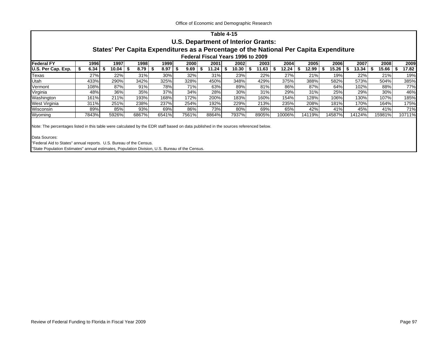| <b>Table 4-15</b>                                                                      |
|----------------------------------------------------------------------------------------|
| U.S. Department of Interior Grants:                                                    |
| States' Per Capita Expenditures as a Percentage of the National Per Capita Expenditure |

**Federal Fiscal Years 1996 to 2009**

| <b>Federal FY</b>    | 1996  | 1997  | 1998  | 1999  | 2000  | 2001  | 2002  | 2003  | 2004   | 2005   | 2006  | 2007   | 2008   | 2009   |
|----------------------|-------|-------|-------|-------|-------|-------|-------|-------|--------|--------|-------|--------|--------|--------|
| U.S. Per Cap. Exp.   | ን.34  | 10.04 | 8.79  | 8.97  | 69.ر  | ופ    | 10.30 | .63   | 2.24   | 2.99   | .5.26 | 13.34  | .5.66  | '7.82  |
| Texas                | 27%   | 22%   | 31%   | 30%   | 32%   | 31%   | 23%   | 22%   | 27%    | 21%    | 19%   | 22%    | 21%    | 19%    |
| Utah                 | 433%  | 290%  | 342%  | 325%  | 328%  | 450%  | 348%  | 429%  | 375%   | 388%   | 582%  | 573%   | 504%   | 385%   |
| Vermont              | 108%  | 87%   | 91%   | 78%   | 71%   | 63%   | 89%   | 81%   | 86%    | 87%    | 64%   | 102%   | 88%    | 77%    |
| Virginia             | 48%   | 36%   | 35%   | 37%   | 34%   | 28%   | 30%   | 31%   | 29%    | 31%    | 25%   | 29%    | 30%    | 46%    |
| Washington           | 161%  | 211%  | 193%  | 168%  | 172%  | 200%  | 183%  | 160%  | 154%   | 128%   | 106%  | 130%   | 107%   | 185%   |
| <b>West Virginia</b> | 311%  | 251%  | 238%  | 237%  | 254%  | 192%  | 229%  | 213%  | 235%   | 208%   | 181%  | 170%   | 164%   | 175%   |
| Wisconsin            | 89%   | 85%   | 93%   | 69%   | 86%   | 73%   | 80%   | 69%   | 65%    | 42%    | 41%   | 45%    | 41%    | 71%    |
| Wyoming              | 7843% | 5926% | 6867% | 6541% | 7561% | 8864% | 7937% | 8905% | 10006% | 14119% | 4587% | 14124% | 15981% | 10711% |

Note: The percentages listed in this table were calculated by the EDR staff based on data published in the sources referenced below.

Data Sources:

"Federal Aid to States" annual reports. U.S. Bureau of the Census.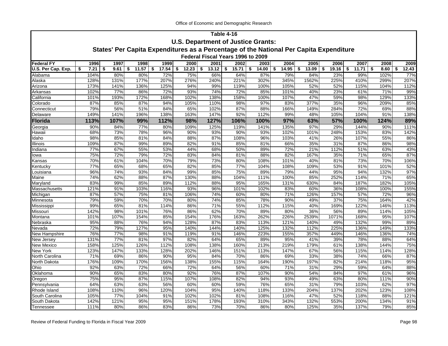|                        | Table 4-16<br><b>U.S. Department of Justice Grants:</b> |              |             |    |             |                                                                                        |    |             |                                   |    |             |    |              |    |              |              |             |              |              |             |
|------------------------|---------------------------------------------------------|--------------|-------------|----|-------------|----------------------------------------------------------------------------------------|----|-------------|-----------------------------------|----|-------------|----|--------------|----|--------------|--------------|-------------|--------------|--------------|-------------|
|                        |                                                         |              |             |    |             |                                                                                        |    |             |                                   |    |             |    |              |    |              |              |             |              |              |             |
|                        |                                                         |              |             |    |             | States' Per Capita Expenditures as a Percentage of the National Per Capita Expenditure |    |             |                                   |    |             |    |              |    |              |              |             |              |              |             |
|                        |                                                         |              |             |    |             |                                                                                        |    |             |                                   |    |             |    |              |    |              |              |             |              |              |             |
|                        |                                                         |              |             |    |             |                                                                                        |    |             | Federal Fiscal Years 1996 to 2009 |    |             |    |              |    |              |              |             |              |              |             |
| <b>Federal FY</b>      |                                                         | 1996         | 1997        | \$ | 1998        | 1999<br>\$                                                                             |    | 2000        | 2001                              |    | 2002        |    | 2003         |    | 2004         | 2005         | \$<br>2006  | 2007         | 2008         | 2009        |
| U.S. Per Cap. Exp.     | \$                                                      | 7.21         | \$<br>9.61  |    | 11.57       | 17.54                                                                                  | \$ | 12.23       | 13.12<br>\$                       | \$ | 15.71       | \$ | 14.00        | \$ | 14.95        | \$<br>13.09  | 19.16       | 11.71<br>\$  | \$<br>8.60   | \$<br>12.43 |
| Alabama<br>Alaska      |                                                         | 104%<br>128% | 80%<br>131% |    | 80%<br>177% | 72%<br>207%                                                                            |    | 75%<br>276% | 66%<br>240%                       |    | 64%<br>221% |    | 87%<br>302%  |    | 79%<br>345%  | 84%<br>1562% | 23%<br>225% | 99%<br>410%  | 102%<br>299% | 77%<br>207% |
|                        |                                                         | 173%         | 141%        |    | 136%        | 125%                                                                                   |    | 94%         | 99%                               |    | 119%        |    | 100%         |    | 105%         | 52%          | 52%         | 115%         | 104%         | 112%        |
| Arizona                |                                                         | 102%         | 77%         |    | 86%         | 72%                                                                                    |    | 93%         | 74%                               |    | 72%         |    | 85%          |    | 101%         | 40%          | 23%         | 61%          | 71%          | 99%         |
| Arkansas<br>California |                                                         | 101%         | 193%        |    | 172%        | 168%                                                                                   |    | 102%        | 138%                              |    | 158%        |    | 100%         |    | 107%         | 47%          | 59%         | 98%          | 129%         | 133%        |
| Colorado               |                                                         | 87%          | 85%         |    | 87%         | 94%                                                                                    |    | 105%        | 110%                              |    | 98%         |    | 97%          |    | 83%          | 377%         | 35%         | 96%          | 209%         | 85%         |
| Connecticut            |                                                         | 79%          | 56%         |    | 51%         | 84%                                                                                    |    | 65%         | 102%                              |    | 87%         |    | 88%          |    | 166%         | 149%         | 284%        | 72%          | 69%          | 88%         |
| Delaware               |                                                         | 149%         | 141%        |    | 196%        | 138%                                                                                   |    | 163%        | 147%                              |    | 92%         |    | 112%         |    | 99%          | 48%          | 105%        | 104%         | 91%          | 138%        |
| <b>Florida</b>         |                                                         | 113%         | 107%        |    | 99%         | 112%                                                                                   |    | 98%         | 127%                              |    | 106%        |    | 100%         |    | 97%          | 63%          | 57%         | 100%         | 124%         | 89%         |
| Georgia                |                                                         | 90%          | 84%         |    | 77%         | 80%                                                                                    |    | 109%        | 125%                              |    | 119%        |    | 141%         |    | 135%         | 97%          | 29%         | 144%         | 90%          | 111%        |
| Hawaii                 |                                                         | 68%          | 73%         |    | 78%         | 96%                                                                                    |    | 90%         | 93%                               |    | 90%         |    | 93%          |    | 102%         | 101%         | 248%        | 153%         | 83%          | 142%        |
| ldaho                  |                                                         | 98%          | 85%         |    | 81%         | 84%                                                                                    |    | 88%         | 87%                               |    | 108%        |    | 96%          |    | 103%         | 41%          | 26%         | 107%         | 55%          | 86%         |
| Illinois               |                                                         | 109%         | 87%         |    | 99%         | 89%                                                                                    |    | 82%         | 91%                               |    | 85%         |    | 81%          |    | 66%          | 35%          | 31%         | 87%          | 86%          | 98%         |
| Indiana                |                                                         | 77%          | 67%         |    | 55%         | 53%                                                                                    |    | 44%         | 68%                               |    | 50%         |    | 89%          |    | 72%          | 21%          | 112%        | 51%          | 63%          | 43%         |
| lowa                   |                                                         | 75%          | 72%         |    | 79%         | 72%                                                                                    |    | 83%         | 84%                               |    | 81%         |    | 88%          |    | 82%          | 167%         | 35%         | 71%          | 65%          | 87%         |
| Kansas                 |                                                         | 70%          | 61%         |    | 104%        | 70%                                                                                    |    | 79%         | 73%                               |    | 80%         |    | 108%         |    | 101%         | 40%          | 81%         | 73%          | 70%          | 106%        |
| Kentucky               |                                                         | 77%          | 65%         |    | 68%         | 65%                                                                                    |    | 82%         | 85%                               |    | 77%         |    | 104%         |    | 108%         | 109%         | 53%         | 91%          | 101%         | 52%         |
| ouisiana_              |                                                         | 96%          | 74%         |    | 93%         | 84%                                                                                    |    | 99%         | 85%                               |    | 75%         |    | 89%          |    | 79%          | 44%          | 95%         | 94%          | 132%         | 97%         |
| Maine                  |                                                         | 74%          | 62%         |    | 88%         | 87%                                                                                    |    | 130%        | 88%                               |    | 104%        |    | 111%         |    | 100%         | 85%          | 252%        | 114%         | 71%          | 65%         |
| Maryland               |                                                         | 83%          | 99%         |    | 85%         | 89%                                                                                    |    | 112%        | 88%                               |    | 95%         |    | 165%         |    | 131%         | 630%         | 84%         | 187%         | 182%         | 105%        |
| Massachusetts          |                                                         | 121%         | 91%         |    | 103%        | 116%                                                                                   |    | 93%         | 96%                               |    | 101%        |    | 102%         |    | 83%          | 60%          | 36%         | 108%         | 100%         | 155%        |
| Michigan               |                                                         | 87%          | 57%         |    | 75%         | 81%                                                                                    |    | 106%        | 74%                               |    | 60%         |    | 80%          |    | 71%          | 126%         | 157%        | 57%          | 72%          | 96%         |
| Minnesota              |                                                         | 79%          | 59%         |    | 70%         | 70%                                                                                    |    | 80%         | 74%                               |    | 85%         |    | 78%          |    | 90%          | 49%          | 37%         | 75%          | 164%         | 42%         |
| Mississippi            |                                                         | 99%          | 65%         |    | 81%         | 114%                                                                                   |    | 86%         | 71%                               |    | 55%         |    | 112%         |    | 115%         | 40%          | 169%        | 122%         | 146%         | 113%        |
| Missouri               |                                                         | 142%         | 98%         |    | 101%        | 76%                                                                                    |    | 86%         | 62%                               |    | 70%         |    | 89%          |    | 80%          | 36%          | 56%         | 89%          | 114%         | 105%        |
| Montana                |                                                         | 101%         | 107%        |    | 154%        | 85%                                                                                    |    | 154%        | 176%                              |    | 163%        |    | 262%         |    | 226%         | 2539%        | 1071%       | 168%         | 95%          | 107%        |
| Nebraska               |                                                         | 95%          | 88%         |    | 76%         | 94%                                                                                    |    | 128%        | 87%                               |    | 83%         |    | 113%         |    | 121%         | 140%         | 49%         | 132%         | 99%          | 89%         |
| Nevada                 |                                                         | 72%          | 79%         |    | 127%        | 95%                                                                                    |    | 140%        | 144%                              |    | 140%        |    | 125%         |    | 132%         | 112%         | 225%        | 136%         | 149%         | 133%        |
| New Hampshire          |                                                         | 76%          | 77%         |    | 98%         | 91%                                                                                    |    | 119%        | 91%                               |    | 146%        |    | 223%         |    | 155%         | 357%         | 449%        | 146%         | 136%         | 74%         |
| New Jersey             |                                                         | 131%         | 77%         |    | 81%         | 97%                                                                                    |    | 82%         | 64%                               |    | 65%         |    | 89%          |    | 95%          | 41%          | 39%         | 78%          | 88%          | 64%         |
| New Mexico             |                                                         | 158%         | 125%        |    | 126%        | 112%                                                                                   |    | 108%        | 138%                              |    | 160%        |    | 213%         |    | 219%         | 179%         | 61%         | 138%         | 144%         | 75%         |
| New York               |                                                         | 123%         | 147%        |    | 133%        | 128%                                                                                   |    | 202%        | 146%                              |    | 151%        |    | 113%         |    | 147%         | 67%          | 56%         | 115%         | 114%         | 128%        |
| North Carolina         |                                                         | 71%          | 69%         |    | 86%         | 90%                                                                                    |    | 95%         | 84%                               |    | 70%         |    | 86%          |    | 69%          | 33%          | 38%         | 74%          | 66%          | 87%         |
| North Dakota           |                                                         | 176%         | 109%        |    | 170%        | 156%                                                                                   |    | 138%        | 155%                              |    | 115%        |    | 164%         |    | 190%         | 197%         | 82%         | 214%         | 118%         | 95%         |
| Ohio                   |                                                         | 92%          | 63%         |    | 72%         | 66%                                                                                    |    | <b>72%</b>  | 64%                               |    | 56%         |    | 60%          |    | 71%          | 31%          | 29%         | 59%          | 64%          | 88%         |
| Oklahoma               |                                                         | 90%          | 65%         |    | 83%         | 80%                                                                                    |    | 92%         | 76%                               |    | 87%         |    | 107%         |    | 90%          | 54%          | 84%         | 97%          | 61%          | 96%         |
| Oregon                 |                                                         | 75%          | 95%         |    | 87%         | 115%                                                                                   |    | 107%        | 108%                              |    | 82%         |    | 94%          |    | 93%          | 49%          | 63%         | 80%          | 111%         | 90%         |
| Pennsylvania           |                                                         | 64%          | 63%         |    | 63%         | 56%                                                                                    |    | 60%         | 60%                               |    | 59%         |    | 76%          |    | 65%          | 31%          | 79%         | 103%         | 62%          | 97%         |
| Rhode Island           |                                                         | 108%         | 110%        |    | 96%         | 120%                                                                                   |    | 104%        | 95%                               |    | 140%        |    | 118%         |    | 133%         | 204%         | 137%        | 202%         | 123%         | 108%        |
| South Carolina         |                                                         | 105%         | 77%         |    | 104%        | 91%                                                                                    |    | 102%        | 102%<br>178%                      |    | 81%         |    | 108%<br>310% |    | 116%<br>343% | 47%<br>132%  | 52%<br>553% | 118%         | 88%          | 121%        |
| South Dakota           |                                                         | 142%<br>111% | 121%<br>80% |    | 95%<br>86%  | 95%<br>83%                                                                             |    | 151%<br>86% | 73%                               |    | 193%<br>70% |    | 86%          |    | 80%          | 125%         | 35%         | 200%<br>137% | 134%<br>79%  | 91%<br>85%  |
| Tennessee              |                                                         |              |             |    |             |                                                                                        |    |             |                                   |    |             |    |              |    |              |              |             |              |              |             |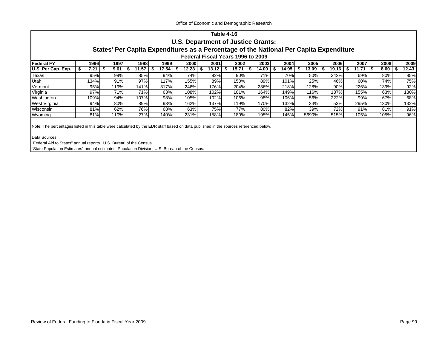| Table 4-16                                                                             |
|----------------------------------------------------------------------------------------|
| U.S. Department of Justice Grants:                                                     |
| States' Per Capita Expenditures as a Percentage of the National Per Capita Expenditure |
| <b>Federal Fiscal Years 1996 to 2009</b>                                               |

|                      |      |      |      |      |      |       | <u> Judian I Iovan I Jano I Judi Lo Eugo</u> |       |       |       |       |      |      |       |
|----------------------|------|------|------|------|------|-------|----------------------------------------------|-------|-------|-------|-------|------|------|-------|
| <b>Federal FY</b>    | 1996 | 1997 | 1998 | 1999 | 2000 | 2001  | 2002                                         | 2003  | 2004  | 2005  | 2006  | 2007 | 2008 | 2009  |
| U.S. Per Cap. Exp.   | .21  | 9.61 | .57  | ' 54 | 2.23 | 13.12 | $15.7^*$                                     | 14.00 | 14.95 | 3.09  | 19.16 | 74   | 8.60 | 12.43 |
| Texas                | 95%  | 99%  | 85%  | 94%  | 74%  | 92%   | 90%                                          | 71%   | 70%   | 50%   | 342%  | 69%  | 80%  | 85%   |
| Utah                 | 134% | 91%  | 97%  | 17%  | 155% | 89%   | 150%                                         | 89%   | 101%  | 25%   | 46%   | 60%  | 74%  | 75%   |
| Vermont              | 95%  | 119% | 141% | 317% | 246% | 176%  | 204%                                         | 236%  | 218%  | 128%  | 90%   | 226% | 139% | 92%   |
| Virginia             | 97%  | 71%  | 71%  | 63%  | 108% | 102%  | 101%                                         | 164%  | 149%  | 116%  | 137%  | 155% | 63%  | 130%  |
| Washington           | 109% | 94%  | 107% | 98%  | 105% | 102%  | 106%                                         | 98%   | 106%  | 56%   | 222%  | 99%  | 67%  | 68%   |
| <b>West Virginia</b> | 94%  | 80%  | 89%  | 93%  | 162% | 137%  | 119%                                         | 170%  | 132%  | 34%   | 53%   | 295% | 130% | 132%  |
| Wisconsin            | 81%  | 62%  | 76%  | 68%  | 63%  | 75%   | 77%                                          | 80%   | 82%   | 39%   | 72%   | 91%  | 81%  | 91%   |
| Wyoming              | 81%  | 110% | 27%  | 40%  | 231% | 158%  | 180%                                         | 195%  | 145%  | 5690% | 515%  | 105% | 105% | 96%   |

Note: The percentages listed in this table were calculated by the EDR staff based on data published in the sources referenced below.

Data Sources:

"Federal Aid to States" annual reports. U.S. Bureau of the Census.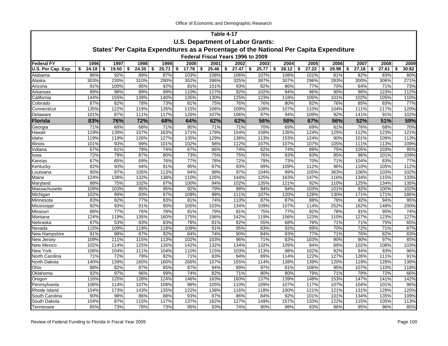|                                         |                     |                     |                                                                                        |                     |                     | Table 4-17                                |                     |                     |                     |                     |                     |                     |                     |                     |
|-----------------------------------------|---------------------|---------------------|----------------------------------------------------------------------------------------|---------------------|---------------------|-------------------------------------------|---------------------|---------------------|---------------------|---------------------|---------------------|---------------------|---------------------|---------------------|
|                                         |                     |                     |                                                                                        |                     |                     | <b>U.S. Department of Labor Grants:</b>   |                     |                     |                     |                     |                     |                     |                     |                     |
|                                         |                     |                     | States' Per Capita Expenditures as a Percentage of the National Per Capita Expenditure |                     |                     |                                           |                     |                     |                     |                     |                     |                     |                     |                     |
|                                         |                     |                     |                                                                                        |                     |                     |                                           |                     |                     |                     |                     |                     |                     |                     |                     |
|                                         |                     |                     |                                                                                        |                     |                     | Federal Fiscal Years 1996 to 2009<br>2001 |                     |                     |                     |                     |                     |                     |                     |                     |
| <b>Federal FY</b><br>U.S. Per Cap. Exp. | 1996<br>24.18<br>\$ | 1997<br>\$<br>19.50 | 1998<br>24.35<br>\$                                                                    | 1999<br>25.71<br>\$ | 2000<br>\$<br>17.78 | 25.46<br>\$                               | \$<br>2002<br>27.47 | \$<br>2003<br>25.77 | \$<br>2004<br>28.12 | \$<br>2005<br>27.22 | \$<br>2006<br>29.98 | \$<br>2007<br>27.18 | \$<br>2008<br>27.61 | \$<br>2009<br>30.82 |
|                                         |                     | 92%                 | 89%                                                                                    | 87%                 |                     |                                           |                     |                     |                     |                     |                     | 82%                 |                     |                     |
| Alabama<br>Alaska                       | 86%<br>303%         | 230%                | 310%                                                                                   | 290%                | 103%<br>352%        | 108%<br>396%                              | 106%<br>325%        | 107%<br>397%        | 108%<br>307%        | 101%<br>296%        | 81%<br>283%         | 300%                | 83%<br>306%         | 80%<br>271%         |
| Arizona                                 | 91%                 | 100%                | 95%                                                                                    | 92%                 | 81%                 | 101%                                      | 93%                 | 82%                 | 86%                 | 77%                 | 70%                 | 64%                 | 71%                 | 73%                 |
| Arkansas                                | 89%                 | 98%                 | 89%                                                                                    | 99%                 | 110%                | 127%                                      | 92%                 | 102%                | 94%                 | 96%                 | 90%                 | 98%                 | 123%                | 112%                |
| California                              | 144%                | 155%                | 139%                                                                                   | 140%                | 135%                | 130%                                      | 125%                | 123%                | 118%                | 105%                | 101%                | 102%                | 105%                | 110%                |
| Colorado                                | 87%                 | 82%                 | 78%                                                                                    | 73%                 | 81%                 | 75%                                       | 76%                 | 76%                 | 80%                 | 82%                 | 76%                 | 85%                 | 83%                 | 77%                 |
| Connecticut                             | 135%                | 122%                | 119%                                                                                   | 126%                | 115%                | 106%                                      | 109%                | 108%                | 107%                | 110%                | 104%                | 111%                | 117%                | 120%                |
| Delaware                                | 101%                | 87%                 | 111%                                                                                   | 117%                | 126%                | 107%                                      | 106%                | 97%                 | 94%                 | 109%                | 92%                 | 141%                | 91%                 | 102%                |
| Florida                                 | 83%                 | 76%                 | 72%                                                                                    | 68%                 | 64%                 | 62%                                       | 62%                 | 56%                 | 58%                 | 67%                 | 56%                 | 52%                 | 51%                 | 59%                 |
| Georgia                                 | 71%                 | 66%                 | 68%                                                                                    | 71%                 | 95%                 | 71%                                       | 71%                 | 70%                 | 69%                 | 69%                 | 61%                 | 76%                 | 68%                 | 70%                 |
| Hawaii                                  | 119%                | 139%                | 157%                                                                                   | 163%                | 171%                | 179%                                      | 154%                | 158%                | 135%                | 124%                | 125%                | 112%                | 123%                | 121%                |
| Idaho                                   | 119%                | 119%                | 126%                                                                                   | 127%                | 135%                | 129%                                      | 136%                | 113%                | 153%                | 124%                | 90%                 | 101%                | 109%                | 113%                |
| <b>Illinois</b>                         | 101%                | 93%                 | 99%                                                                                    | 101%                | 102%                | 98%                                       | 112%                | 107%                | 107%                | 107%                | 105%                | 111%                | 113%                | 109%                |
| Indiana                                 | 67%                 | 61%                 | 79%                                                                                    | 74%                 | 67%                 | 66%                                       | 74%                 | 62%                 | 74%                 | 89%                 | 75%                 | 105%                | 103%                | 95%                 |
| lowa                                    | 72%                 | 79%                 | 87%                                                                                    | 90%                 | 73%                 | 75%                                       | 75%                 | 76%                 | 83%                 | 83%                 | 85%                 | 96%                 | 101%                | 109%                |
| Kansas                                  | 67%                 | 65%                 | 69%                                                                                    | 76%                 | 77%                 | 78%                                       | 72%                 | 79%                 | 73%                 | 70%                 | 71%                 | 104%                | 83%                 | 77%                 |
| Kentucky                                | 82%                 | 93%                 | 94%                                                                                    | 91%                 | 95%                 | 97%                                       | 93%                 | 99%                 | 109%                | 112%                | 96%                 | 110%                | 105%                | 112%                |
| _ouisiana                               | 95%                 | 97%                 | 105%                                                                                   | 113%                | 94%                 | 98%                                       | 97%                 | 104%                | 99%                 | 105%                | 363%                | 106%                | 103%                | 102%                |
| Maine                                   | 124%                | 138%                | 132%                                                                                   | 138%                | 110%                | 126%                                      | 144%                | 125%                | 163%                | 147%                | 116%                | 134%                | 115%                | 133%                |
| Maryland                                | 88%                 | 75%                 | 102%                                                                                   | 97%                 | 100%                | 94%                                       | 102%                | 135%                | 121%                | 92%                 | 110%                | 125%                | 134%                | 135%                |
| Massachusetts                           | 109%                | 103%                | 95%                                                                                    | 95%                 | 92%                 | 79%                                       | 98%                 | 94%                 | 94%                 | 103%                | 101%                | 92%                 | 100%                | 102%                |
| Michigan                                | 102%                | 99%                 | 83%                                                                                    | 87%                 | 108%                | 98%                                       | 111%                | 107%                | 120%                | 128%                | 130%                | 171%                | 171%                | 186%                |
| Minnesota                               | 83%                 | 82%                 | 77%                                                                                    | 83%                 | 81%                 | 74%                                       | 110%                | 87%                 | 87%                 | 88%                 | 78%                 | 92%                 | 94%                 | 95%                 |
| Mississippi                             | 92%                 | 93%                 | 91%                                                                                    | 90%                 | 105%                | 103%                                      | 134%                | 109%                | 107%                | 114%                | 252%                | 162%                | 148%                | 200%                |
| Missouri                                | 88%                 | 77%                 | 76%                                                                                    | 78%                 | 81%                 | 79%                                       | 81%                 | 75%                 | 77%                 | 92%                 | 78%                 | 91%                 | 95%                 | 74%                 |
| Montana                                 | 124%                | 119%                | 135%                                                                                   | 160%                | 175%                | 196%                                      | 142%                | 119%                | 156%                | 123%                | 110%                | 127%                | 123%                | 127%                |
| Nebraska                                | 67%                 | 53%                 | 83%                                                                                    | 83%                 | 78%                 | 81%                                       | 82%                 | 55%                 | 68%                 | 76%                 | 71%                 | 71%                 | 75%                 | 65%                 |
| Nevada                                  | 115%                | 109%                | 119%                                                                                   | 118%                | 108%                | 91%                                       | 95%                 | 83%                 | 92%                 | 89%                 | 70%                 | 72%                 | 71%                 | 87%                 |
| New Hampshire                           | 91%                 | 98%                 | 87%                                                                                    | 92%                 | 84%                 | 74%                                       | 90%                 | 84%                 | 83%                 | 77%                 | 71%                 | 76%                 | 82%                 | 83%                 |
| New Jersey                              | 109%                | 111%                | 115%                                                                                   | 113%                | 102%                | 103%                                      | 96%                 | 71%                 | 83%                 | 103%                | 90%                 | 90%                 | 97%                 | 85%                 |
| <b>New Mexico</b>                       | 102%                | 114%                | 125%                                                                                   | 126%                | 142%                | 132%                                      | 134%                | 132%                | 109%                | 94%                 | 89%                 | 102%                | 108%                | 103%                |
| New York                                | 106%<br>71%         | 104%                | 111%<br>79%                                                                            | 104%<br>82%         | 110%                | 115%<br>83%                               | 103%<br>94%         | 113%<br>89%         | 98%<br>114%         | 102%<br>122%        | 92%<br>127%         | 94%<br>126%         | 93%<br>111%         | 96%<br>91%          |
| North Carolina<br>North Dakota          | 140%                | <b>72%</b><br>139%  | 160%                                                                                   | 160%                | 71%<br>266%         | 157%                                      | 155%                | 114%                | 138%                | 139%                | 120%                | 119%                | 128%                | 138%                |
| Ohio                                    | 88%                 | 82%                 | 87%                                                                                    | 85%                 | 87%                 | 94%                                       | 89%                 | 97%                 | 81%                 | 106%                | 95%                 | 107%                | 110%                | 118%                |
|                                         | 92%                 | 97%                 | 96%                                                                                    | 99%                 | 74%                 | 82%                                       | 71%                 | 80%                 | 80%                 | 79%                 | 71%                 | 78%                 | 72%                 | 66%                 |
| Oklahoma<br>Oregon                      | 116%                | 125%                | 128%                                                                                   | 124%                | 146%                | 163%                                      | 160%                | 137%                | 139%                | 148%                | 153%                | 147%                | 141%                | 142%                |
| Pennsylvania                            | 106%                | 114%                | 107%                                                                                   | 108%                | 98%                 | 105%                                      | 110%                | 109%                | 107%                | 117%                | 107%                | 104%                | 101%                | 96%                 |
| Rhode Island                            | 154%                | 173%                | 143%                                                                                   | 135%                | 122%                | 138%                                      | 116%                | 118%                | 100%                | 121%                | 121%                | 131%                | 129%                | 125%                |
| South Carolina                          | 90%                 | 98%                 | 86%                                                                                    | 88%                 | 93%                 | 87%                                       | 86%                 | 84%                 | 92%                 | 101%                | 101%                | 134%                | 135%                | 109%                |
| South Dakota                            | 104%                | 87%                 | 115%                                                                                   | 117%                | 137%                | 162%                                      | 127%                | 149%                | 157%                | 133%                | 122%                | 115%                | 105%                | 113%                |
| Tennessee                               | 65%                 | 73%                 | 78%                                                                                    | 73%                 | 95%                 | 93%                                       | 74%                 | 90%                 | 98%                 | 83%                 | 86%                 | 95%                 | 96%                 | 85%                 |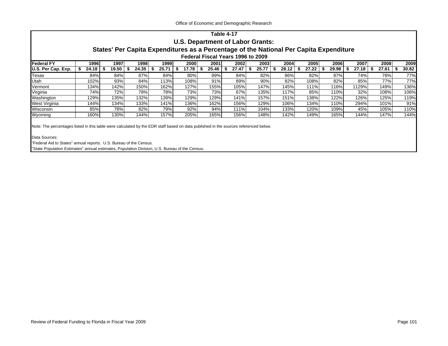| Table 4-17                                                                             |
|----------------------------------------------------------------------------------------|
| U.S. Department of Labor Grants:                                                       |
| States' Per Capita Expenditures as a Percentage of the National Per Capita Expenditure |

**Federal FY**Y | 1996| 1997| 1998| 1999| 2000| 2001| 2002| 2003| 2004| 2005| 2006| 2007| 2008| 2009 U.S. Per Cap. Exp. |\$ 24.18 |\$ 19.50 |\$ 24.35 |\$ 25.71 |\$ 17.78 |\$ 25.46 |\$ 27.47 |\$ 25.77 |\$ 28.12 |\$ 27.22 |\$ 27.22 |\$ 27.18 |\$ 27.18 |\$ 27.61 |\$ 30.82 **Federal Fiscal Years 1996 to 2009** Texas 84% 84% 87% 84% 80% 89% 84% 82% 86% 82% 87% 74% 78% 77%Utah 102% 93% 84% 113% 108% 91% 89% 90% 82% 108% 82% 85% 77% 77%Vermont I 134% 142% 150% 162% 162% 127% 155% 105% 147% 145% 111% 116% 116% 1129% 149% 136% Virginia 74%| 72%| 78%| 73%| 73%| 67%| 1135%| 117%| 85%| 110%| 32%| 108%| 106% Washington | 129%| 135%| 132%| 139%| 129%| 129%| 141%| 157%| 151%| 138%| 122%| 126%| 125%| 119% West Virginia 144% 134% 133% 141% 136% 162% 156% 129% 106% 134% 110% 294% 101% 91% Wisconsin | 85% 78% 82% 79% 92% 92% 94% 111% 104% 133% 120% 109% 45% 105% 110% Wyoming | 160%| 130%| 144%| 157%| 205%| 165%| 156%| 148%| 149%| 165%| 144% 147%| 144%

Note: The percentages listed in this table were calculated by the EDR staff based on data published in the sources referenced below.

Data Sources:

"Federal Aid to States" annual reports. U.S. Bureau of the Census.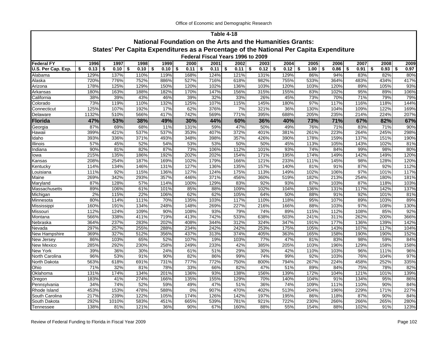|                         | Table 4-18<br><b>National Foundation on the Arts and the Humanities Grants:</b>                                                                                                     |              |    |              |    |              |                                                                                        |    |              |    |                                   |    |              |    |              |              |             |              |            |             |    |             |
|-------------------------|-------------------------------------------------------------------------------------------------------------------------------------------------------------------------------------|--------------|----|--------------|----|--------------|----------------------------------------------------------------------------------------|----|--------------|----|-----------------------------------|----|--------------|----|--------------|--------------|-------------|--------------|------------|-------------|----|-------------|
|                         |                                                                                                                                                                                     |              |    |              |    |              |                                                                                        |    |              |    |                                   |    |              |    |              |              |             |              |            |             |    |             |
|                         |                                                                                                                                                                                     |              |    |              |    |              | States' Per Capita Expenditures as a Percentage of the National Per Capita Expenditure |    |              |    |                                   |    |              |    |              |              |             |              |            |             |    |             |
|                         |                                                                                                                                                                                     |              |    |              |    |              |                                                                                        |    |              |    | Federal Fiscal Years 1996 to 2009 |    |              |    |              |              |             |              |            |             |    |             |
| <b>Federal FY</b>       |                                                                                                                                                                                     | 1996         |    | 1997         |    | 1998         | 1999                                                                                   |    | 2000         |    | 2001                              |    | 2002         |    | 2003         | 2004         | 2005        | 2006         | 2007       | 2008        |    | 2009        |
| U.S. Per Cap. Exp.      | \$                                                                                                                                                                                  | 0.13         | \$ | 0.10         | \$ | 0.10         | 0.10<br>\$                                                                             | \$ | 0.11         | \$ | 0.11                              | \$ | 0.11         | \$ | 0.12         | \$<br>0.12   | \$<br>1.00  | \$<br>0.86   | \$<br>0.91 | \$<br>0.93  | \$ | 0.97        |
| Alabama                 |                                                                                                                                                                                     | 129%         |    | 137%         |    | 110%         | 119%                                                                                   |    | 168%         |    | 124%                              |    | 121%         |    | 131%         | 129%         | 86%         | 94%          | 83%        | 82%         |    | 80%         |
| Alaska                  |                                                                                                                                                                                     | 720%         |    | 776%         |    | 752%         | 886%                                                                                   |    | 527%         |    | 716%                              |    | 618%         |    | 982%         | 755%         | 533%        | 364%         | 483%       | 434%        |    | 417%        |
| Arizona                 |                                                                                                                                                                                     | 178%         |    | 125%         |    | 129%         | 150%                                                                                   |    | 120%         |    | 102%                              |    | 136%         |    | 103%         | 120%         | 103%        | 120%         | 89%        | 105%        |    | 93%         |
| Arkansas                |                                                                                                                                                                                     | 180%         |    | 163%         |    | 188%         | 182%                                                                                   |    | 170%         |    | 147%                              |    | 156%         |    | 315%         | 155%         | 83%         | 102%         | 95%        | 89%         |    | 106%        |
| California              |                                                                                                                                                                                     | 38%          |    | 39%          |    | 43%          | 46%                                                                                    |    | 39%          |    | 32%                               |    | 33%          |    | 26%          | 45%          | 73%         | 70%          | 71%        | 79%         |    | 79%         |
| Colorado                |                                                                                                                                                                                     | 73%          |    | 119%         |    | 110%         | 132%                                                                                   |    | 125%         |    | 107%                              |    | 115%         |    | 145%         | 180%         | 97%         | 117%         | 116%       | 118%        |    | 144%        |
| Connecticut             |                                                                                                                                                                                     | 125%         |    | 107%         |    | 192%         | 17%                                                                                    |    | 62%          |    | 376%                              |    | 7%           |    | 321%         | 36%          | 130%        | 104%         | 109%       | 122%        |    | 169%        |
| Delaware                |                                                                                                                                                                                     | 1132%        |    | 510%         |    | 566%         | 417%                                                                                   |    | 742%         |    | 569%                              |    | 771%         |    | 395%         | 688%         | 205%        | 235%         | 214%       | 224%        |    | 207%        |
| <b>Florida</b>          | 47%<br>53%<br>38%<br>49%<br>30%<br>44%<br>36%<br>40%<br>73%<br>71%<br>67%<br>82%<br>60%<br>59%<br>87%<br>69%<br>68%<br>131%<br>47%<br>50%<br>49%<br>76%<br>71%<br>83%<br>71%<br>11% |              |    |              |    |              |                                                                                        |    |              |    |                                   |    |              |    |              | 67%          |             |              |            |             |    |             |
| Georgia                 | 399%<br>421%<br>537%<br>537%<br>353%<br>407%<br>372%<br>401%<br>381%<br>261%<br>264%<br>245%                                                                                        |              |    |              |    |              |                                                                                        |    |              |    |                                   |    |              |    |              | 90%          |             |              |            |             |    |             |
| Hawaii                  | 223%                                                                                                                                                                                |              |    |              |    |              |                                                                                        |    |              |    |                                   |    |              |    |              | 298%         |             |              |            |             |    |             |
| Idaho                   | 371%<br>348%<br>398%<br>357%<br>426%<br>390%<br>159%<br>393%<br>336%<br>493%<br>178%<br>137%<br>151%                                                                                |              |    |              |    |              |                                                                                        |    |              |    |                                   |    |              |    |              |              |             |              |            |             |    |             |
| <b>Illinois</b>         | 190%<br>52%<br>53%<br>57%<br>45%<br>54%<br>53%<br>50%<br>50%<br>45%<br>113%<br>105%<br>143%<br>102%                                                                                 |              |    |              |    |              |                                                                                        |    |              |    |                                   |    |              |    |              | 81%          |             |              |            |             |    |             |
| Indiana                 |                                                                                                                                                                                     | 90%          |    | 81%          |    | 82%          | 87%                                                                                    |    | 73%          |    | 106%                              |    | 112%         |    | 101%         | 93%          | 74%         | 84%          | 99%        | 98%         |    | 80%         |
| lowa                    |                                                                                                                                                                                     | 215%         |    | 135%         |    | 186%         | 192%                                                                                   |    | 202%         |    | 202%                              |    | 154%         |    | 171%         | 195%         | 174%        | 149%         | 142%       | 149%        |    | 120%        |
| Kansas                  |                                                                                                                                                                                     | 208%         |    | 254%         |    | 187%         | 169%                                                                                   |    | 102%         |    | 179%                              |    | 166%         |    | 121%         | 233%         | 111%        | 145%         | 98%        | 128%        |    | 120%        |
| Kentucky                |                                                                                                                                                                                     | 114%         |    | 134%         |    | 146%         | 131%                                                                                   |    | 127%         |    | 136%                              |    | 135%         |    | 157%         | 140%         | 81%         | 91%          | 87%        | 92%         |    | 112%        |
| ouisiana.               |                                                                                                                                                                                     | 111%         |    | 92%          |    | 115%         | 136%                                                                                   |    | 127%         |    | 124%                              |    | 175%         |    | 113%         | 149%         | 102%        | 106%         | 97%        | 101%        |    | 117%        |
| Maine                   |                                                                                                                                                                                     | 269%         |    | 342%         |    | 293%         | 357%                                                                                   |    | 446%         |    | 371%                              |    | 456%         |    | 360%         | 519%         | 182%        | 213%         | 254%       | 180%        |    | 181%        |
| Maryland                |                                                                                                                                                                                     | 87%          |    | 128%         |    | 57%          | 114%                                                                                   |    | 100%         |    | 129%                              |    | 83%          |    | 92%          | 93%          | 87%         | 103%         | 87%        | 118%        |    | 103%        |
| Massachusetts           |                                                                                                                                                                                     | 89%          |    | 106%         |    | 61%          | 101%                                                                                   |    | 85%          |    | 88%                               |    | 109%         |    | 102%         | 104%         | 136%        | 131%         | 117%       | 142%        |    | 137%        |
| Michigan                |                                                                                                                                                                                     | 2%           |    | 115%         |    | 22%          | 106%                                                                                   |    | 62%          |    | 62%                               |    | 105%         |    | 64%          | 50%          | 88%         | 91%          | 92%        | 101%        |    | 81%         |
| Minnesota               |                                                                                                                                                                                     | 80%          |    | 114%<br>191% |    | 111%<br>134% | 70%<br>248%                                                                            |    | 135%<br>148% |    | 103%                              |    | 117%<br>227% |    | 110%<br>216% | 118%<br>166% | 95%         | 107%<br>103% | 89%<br>97% | 103%        |    | 89%<br>130% |
| Mississippi<br>Missouri |                                                                                                                                                                                     | 160%<br>112% |    | 124%         |    | 109%         | 90%                                                                                    |    | 108%         |    | 269%<br>93%                       |    | 79%          |    | 74%          | 89%          | 88%<br>115% | 112%         | 108%       | 108%<br>85% |    | 92%         |
| Montana                 |                                                                                                                                                                                     | 566%         |    | 338%         |    | 411%         | 719%                                                                                   |    | 413%         |    | 742%                              |    | 533%         |    | 638%         | 503%         | 241%        | 311%         | 262%       | 200%        |    | 366%        |
| Nebraska                |                                                                                                                                                                                     | 364%         |    | 237%         |    | 283%         | 202%                                                                                   |    | 408%         |    | 344%                              |    | 312%         |    | 324%         | 347%         | 191%        | 177%         | 136%       | 139%        |    | 142%        |
| Nevada                  |                                                                                                                                                                                     | 297%         |    | 257%         |    | 255%         | 288%                                                                                   |    | 234%         |    | 242%                              |    | 242%         |    | 253%         | 175%         | 105%        | 143%         | 107%       | 117%        |    | 104%        |
| <b>New Hampshire</b>    |                                                                                                                                                                                     | 369%         |    | 327%         |    | 512%         | 356%                                                                                   |    | 437%         |    | 313%                              |    | 374%         |    | 405%         | 363%         | 165%        | 158%         | 190%       | 190%        |    | 152%        |
| <b>New Jersey</b>       |                                                                                                                                                                                     | 86%          |    | 103%         |    | 65%          | 52%                                                                                    |    | 107%         |    | 19%                               |    | 103%         |    | 77%          | 47%          | 81%         | 83%          | 98%        | 59%         |    | 84%         |
| <b>New Mexico</b>       |                                                                                                                                                                                     | 285%         |    | 292%         |    | 230%         | 258%                                                                                   |    | 249%         |    | 233%                              |    | 42%          |    | 385%         | 205%         | 103%        | 196%         | 129%       | 158%        |    | 158%        |
| New York                |                                                                                                                                                                                     | 39%          |    | 36%          |    | 30%          | 24%                                                                                    |    | 61%          |    | 51%                               |    | 29%          |    | 30%          | 42%          | 110%        | 103%         | 96%        | 111%        |    | 96%         |
| North Carolina          |                                                                                                                                                                                     | 96%          |    | 53%          |    | 91%          | 90%                                                                                    |    | 82%          |    | 86%                               |    | 99%          |    | 74%          | 99%          | 92%         | 103%         | 76%        | 104%        |    | 97%         |
| North Dakota            |                                                                                                                                                                                     | 563%         |    | 618%         |    | 691%         | 731%                                                                                   |    | 777%         |    | 772%                              |    | 750%         |    | 800%         | 794%         | 267%        | 224%         | 458%       | 252%        |    | 335%        |
| Ohio                    |                                                                                                                                                                                     | 71%          |    | 32%          |    | 81%          | 78%                                                                                    |    | 33%          |    | 66%                               |    | 82%          |    | 47%          | 51%          | 89%         | 84%          | 75%        | 78%         |    | 82%         |
| Oklahoma                |                                                                                                                                                                                     | 131%         |    | 174%         |    | 134%         | 201%                                                                                   |    | 136%         |    | 93%                               |    | 138%         |    | 156%         | 139%         | 172%        | 104%         | 121%       | 101%        |    | 139%        |
| Oregon                  |                                                                                                                                                                                     | 183%         |    | 41%          |    | 274%         | 166%                                                                                   |    | 135%         |    | 155%                              |    | 129%         |    | 70%          | 140%         | 104%        | 91%          | 134%       | 95%         |    | 86%         |
| Pennsylvania            |                                                                                                                                                                                     | 34%          |    | 74%          |    | 52%          | 59%                                                                                    |    | 49%          |    | 47%                               |    | 51%          |    | 36%          | 74%          | 109%        | 111%         | 110%       | 90%         |    | 84%         |
| Rhode Island            |                                                                                                                                                                                     | 453%         |    | 153%         |    | 478%         | 588%                                                                                   |    | 0%           |    | 907%                              |    | 470%         |    | 402%         | 513%         | 204%        | 196%         | 229%       | 171%        |    | 227%        |
| South Carolina          |                                                                                                                                                                                     | 217%         |    | 239%         |    | 122%         | 105%                                                                                   |    | 174%         |    | 126%                              |    | 142%         |    | 197%         | 195%         | 86%         | 118%         | 87%        | 90%         |    | 84%         |
| South Dakota            |                                                                                                                                                                                     | 292%         |    | 1010%        |    | 583%         | 451%                                                                                   |    | 665%         |    | 539%                              |    | 781%         |    | 921%         | 722%         | 230%        | 266%         | 266%       | 265%        |    | 280%        |
| Tennessee               |                                                                                                                                                                                     | 138%         |    | 81%          |    | 121%         | 36%                                                                                    |    | 90%          |    | 67%                               |    | 160%         |    | 88%          | 55%          | 154%        | 88%          | 102%       | 91%         |    | 123%        |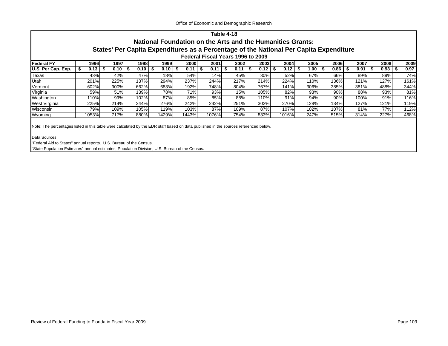### **National Foundation on the Arts and the Humanities Grants: States' Per Capita Expenditures as a Percentage of the National Per Capita Expenditure Table 4-18**

|                      |       |      |      |       |       |       | Federal Fiscal Years 1996 to 2009 |      |       |      |      |      |      |      |
|----------------------|-------|------|------|-------|-------|-------|-----------------------------------|------|-------|------|------|------|------|------|
| <b>Federal FY</b>    | 1996  | 1997 | 1998 | 1999  | 2000  | 2001  | 2002                              | 2003 | 2004  | 2005 | 2006 | 2007 | 2008 | 2009 |
| U.S. Per Cap. Exp.   | 0.13  | 0.10 | 0.10 | 0.10  | 0.11  | 0.11  | 0.11                              | 0.12 | 0.12  | 0.00 | 0.86 | 0.91 | 0.93 | 0.97 |
| Texas                | 43%   | 42%  | 47%  | 18%   | 54%   | 14%   | 45%                               | 30%  | 52%   | 67%  | 66%  | 89%  | 89%  | 74%  |
| Utah                 | 201%  | 225% | 137% | 294%  | 237%  | 244%  | 217%                              | 214% | 224%  | 110% | 136% | 121% | 127% | 161% |
| Vermont              | 602%  | 900% | 662% | 683%  | 192%  | 748%  | 804%                              | 767% | 141%  | 306% | 385% | 381% | 488% | 344% |
| Virginia             | 59%   | 51%  | 139% | 78%   | 71%   | 93%   | 15%                               | 105% | 82%   | 93%  | 90%  | 88%  | 93%  | 81%  |
| Washington           | 110%  | 99%  | 102% | 87%   | 85%   | 85%   | 88%                               | 110% | 91%   | 94%  | 90%  | 100% | 91%  | 116% |
| <b>West Virginia</b> | 225%  | 214% | 244% | 276%  | 242%  | 242%  | 251%                              | 302% | 270%  | 128% | 134% | 127% | 121% | 119% |
| Wisconsin            | 79%   | 109% | 105% | 119%  | 103%  | 87%   | 109%                              | 87%  | 107%  | 102% | 107% | 81%  | 77%  | 112% |
| Wyoming              | 1053% | 717% | 880% | 1429% | 1443% | 1076% | 754%                              | 833% | 1016% | 247% | 515% | 314% | 227% | 468% |

Note: The percentages listed in this table were calculated by the EDR staff based on data published in the sources referenced below.

Data Sources:

"Federal Aid to States" annual reports. U.S. Bureau of the Census.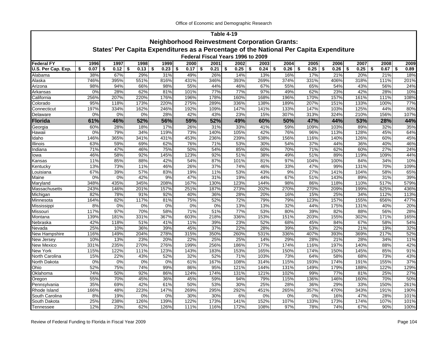|                                         |                                                                                                                                                                                                                                                                                            |              |                    |                    |                    |                    |                    | Table 4-19                        |                                                                                        |                    |                    |                    |                    |                    |                    |
|-----------------------------------------|--------------------------------------------------------------------------------------------------------------------------------------------------------------------------------------------------------------------------------------------------------------------------------------------|--------------|--------------------|--------------------|--------------------|--------------------|--------------------|-----------------------------------|----------------------------------------------------------------------------------------|--------------------|--------------------|--------------------|--------------------|--------------------|--------------------|
|                                         |                                                                                                                                                                                                                                                                                            |              |                    |                    |                    |                    |                    |                                   | <b>Neighborhood Reinvestment Corporation Grants:</b>                                   |                    |                    |                    |                    |                    |                    |
|                                         |                                                                                                                                                                                                                                                                                            |              |                    |                    |                    |                    |                    |                                   | States' Per Capita Expenditures as a Percentage of the National Per Capita Expenditure |                    |                    |                    |                    |                    |                    |
|                                         |                                                                                                                                                                                                                                                                                            |              |                    |                    |                    |                    |                    | Federal Fiscal Years 1996 to 2009 |                                                                                        |                    |                    |                    |                    |                    |                    |
|                                         |                                                                                                                                                                                                                                                                                            |              |                    |                    |                    |                    |                    |                                   |                                                                                        |                    |                    |                    |                    |                    |                    |
| <b>Federal FY</b><br>U.S. Per Cap. Exp. | \$                                                                                                                                                                                                                                                                                         | 1996<br>0.07 | 1997<br>\$<br>0.12 | 1998<br>0.13<br>\$ | 1999<br>\$<br>0.23 | 2000<br>\$<br>0.17 | 2001<br>0.21<br>\$ | 2002<br>0.25<br>\$                | 2003<br>0.24<br>\$                                                                     | 2004<br>\$<br>0.26 | 2005<br>0.25<br>\$ | 2006<br>0.26<br>\$ | 2007<br>0.25<br>\$ | 2008<br>\$<br>0.67 | 2009<br>0.89<br>S. |
| Alabama                                 |                                                                                                                                                                                                                                                                                            | 38%          | 67%                | 29%                | 31%                | 49%                | 26%                | 14%                               | 13%                                                                                    | 16%                | 17%                | 21%                | 20%                | 21%                | 18%                |
| Alaska                                  |                                                                                                                                                                                                                                                                                            | 746%         | 395%               | 551%               | 816%               | 431%               | 346%               | 393%                              | 269%                                                                                   | 374%               | 331%               | 406%               | 318%               | 111%               | 201%               |
| Arizona                                 |                                                                                                                                                                                                                                                                                            | 98%          | 94%                | 66%                | 98%                | 55%                | 44%                | 46%                               | 67%                                                                                    | 55%                | 65%                | 54%                | 43%                | 56%                | 24%                |
| Arkansas                                |                                                                                                                                                                                                                                                                                            | 0%           | 28%                | 62%                | 81%                | 101%               | 77%                | 77%                               | 97%                                                                                    | 49%                | 62%                | 23%                | 42%                | 28%                | 10%                |
| California                              |                                                                                                                                                                                                                                                                                            | 256%         | 207%               | 220%               | 176%               | 196%               | 178%               | 160%                              | 168%                                                                                   | 196%               | 170%               | 157%               | 161%               | 111%               | 108%               |
| Colorado                                |                                                                                                                                                                                                                                                                                            | 95%          | 118%               | 173%               | 220%               | 275%               | 289%               | 336%                              | 138%                                                                                   | 189%               | 207%               | 151%               | 133%               | 100%               | 77%                |
| Connecticut                             |                                                                                                                                                                                                                                                                                            | 197%         | 334%               | 162%               | 246%               | 192%               | 109%               | 147%                              | 141%                                                                                   | 133%               | 147%               | 103%               | 125%               | 44%                | 80%                |
| Delaware                                |                                                                                                                                                                                                                                                                                            |              |                    |                    |                    |                    |                    |                                   |                                                                                        |                    |                    |                    |                    |                    | 107%               |
| Florida                                 | 46%<br>52%<br>56%<br>59%<br>52%<br>50%<br>47%<br>44%<br>53%<br>28%<br>44%<br>61%<br>49%<br>60%<br>28%<br>18%<br>17%<br>26%<br>31%<br>33%<br>41%<br>59%<br>103%<br>89%<br>32%<br>60%<br>109%<br>79%<br>34%<br>119%<br>73%<br>140%<br>105%<br>42%<br>76%<br>96%<br>113%<br>128%<br>45%<br>0% |              |                    |                    |                    |                    |                    |                                   |                                                                                        |                    |                    |                    |                    |                    |                    |
| Georgia                                 | 0%<br>0%<br>0%<br>28%<br>42%<br>43%<br>23%<br>15%<br>307%<br>313%<br>324%<br>210%<br>156%                                                                                                                                                                                                  |              |                    |                    |                    |                    |                    |                                   |                                                                                        |                    |                    |                    |                    |                    |                    |
| Hawaii                                  |                                                                                                                                                                                                                                                                                            |              |                    |                    |                    |                    |                    |                                   |                                                                                        |                    |                    |                    |                    |                    |                    |
| Idaho                                   |                                                                                                                                                                                                                                                                                            | 146%         | 365%               | 341%               | 431%               | 453%               |                    | 239%                              | 538%                                                                                   | 156%               | 116%               | 140%               | 126%               | 60%                | 45%                |
| Illinois                                | 35%<br>64%<br>236%<br>59%<br>69%<br>62%<br>76%<br>53%<br>30%<br>54%<br>44%<br>46%<br>63%<br>71%<br>37%<br>36%<br>40%                                                                                                                                                                       |              |                    |                    |                    |                    |                    |                                   |                                                                                        |                    |                    |                    |                    |                    |                    |
| Indiana                                 |                                                                                                                                                                                                                                                                                            | 71%          | 47%                | 46%                | 75%                | 50%                | 54%                | 85%                               | 60%                                                                                    | 70%                | 71%                | 62%                | 60%                | 27%                | 24%                |
| lowa                                    |                                                                                                                                                                                                                                                                                            | 46%          | 58%                | 92%                | 145%               | 123%               | 92%                | 51%                               | 38%                                                                                    | 49%                | 51%                | 89%                | 119%               | 109%               | 44%                |
| Kansas                                  |                                                                                                                                                                                                                                                                                            | 11%          | 85%                | 88%                | 42%                | 54%                | 87%                | 101%                              | 81%                                                                                    | 97%                | 104%               | 100%               | 84%                | 34%                | 10%                |
| Kentucky                                |                                                                                                                                                                                                                                                                                            | 13%          | 73%                | 11%                | 46%                | 26%                | 37%                | 74%                               | 46%                                                                                    | 33%                | 47%                | 99%                | 131%               | 70%                | 109%               |
| ouisiana                                |                                                                                                                                                                                                                                                                                            | 67%          | 39%                | 57%                | 83%                | 19%                | 11%                | 53%                               | 43%                                                                                    | 9%                 | 27%                | 141%               | 104%               | 58%                | 65%                |
| Maine                                   |                                                                                                                                                                                                                                                                                            | 0%           | 0%                 | 42%                | 9%                 | 47%                | 31%                | 19%                               | 44%                                                                                    | 67%                | 51%                | 143%               | 89%                | 31%                | 39%                |
| Maryland                                |                                                                                                                                                                                                                                                                                            | 348%         | 435%               | 345%               | 208%               | 167%               | 130%               | 123%                              | 144%                                                                                   | 98%                | 86%                | 118%               | 110%               | 517%               | 579%               |
| Massachusetts                           |                                                                                                                                                                                                                                                                                            | 243%         | 146%               | 201%               | 157%               | 251%               | 187%               | 273%                              | 202%                                                                                   | 270%               | 270%               | 209%               | 199%               | 625%               | 436%               |
| Michigan                                |                                                                                                                                                                                                                                                                                            | 82%          | 78%                | 91%                | 92%                | 40%                | 36%                | 28%                               | 20%                                                                                    | 16%                | 15%                | 25%                | 34%                | 112%               | 113%               |
| Minnesota                               |                                                                                                                                                                                                                                                                                            | 164%         | 82%                | 117%               | 81%                | 75%                | 52%                | 72%                               | 79%                                                                                    | 79%                | 123%               | 157%               | 155%               | 656%               | 477%               |
| Mississippi                             |                                                                                                                                                                                                                                                                                            | 8%           | 0%                 | 0%                 | 0%                 | 0%                 | 0%                 | 13%                               | 13%                                                                                    | 32%                | 44%                | 175%               | 131%               | 40%                | 20%                |
| Missouri                                |                                                                                                                                                                                                                                                                                            | 117%         | 97%                | 70%                | 58%                | 71%                | 51%                | 77%                               | 53%                                                                                    | 80%                | 39%                | 82%                | 88%                | 56%                | 28%                |
| Montana                                 |                                                                                                                                                                                                                                                                                            | 139%         | 181%               | 331%               | 367%               | 603%               | 218%               | 336%                              | 153%                                                                                   | 151%               | 203%               | 155%               | 302%               | 171%               | 165%               |
| Nebraska                                |                                                                                                                                                                                                                                                                                            | 42%<br>25%   | 118%<br>10%        | 51%<br>36%         | 41%<br>39%         | 11%<br>45%         | 39%<br>37%         | 23%<br>22%                        | 52%<br>28%                                                                             | 68%<br>39%         | 45%                | 84%<br>22%         | 67%<br>21%         | 58%<br>19%         | 54%                |
| Nevada<br>New Hampshire                 |                                                                                                                                                                                                                                                                                            | 116%         | 149%               | 204%               | 278%               | 315%               | 350%               | 260%                              | 531%                                                                                   | 336%               | 53%<br>407%        | 393%               | 369%               | 217%               | 32%<br>52%         |
| New Jersey                              |                                                                                                                                                                                                                                                                                            | 10%          | 13%                | 23%                | 20%                | 22%                | 25%                | 25%                               | 14%                                                                                    | 29%                | 28%                | 21%                | 28%                | 34%                | 11%                |
| New Mexico                              |                                                                                                                                                                                                                                                                                            | 331%         | 235%               | 270%               | 276%               | 199%               | 256%               | 186%                              | 177%                                                                                   | 174%               | 116%               | 197%               | 140%               | 88%                | 42%                |
| <b>New York</b>                         |                                                                                                                                                                                                                                                                                            | 115%         | 122%               | 111%               | 123%               | 143%               | 183%               | 153%                              | 165%                                                                                   | 150%               | 174%               | 150%               | 145%               | 85%                | 91%                |
| North Carolina                          |                                                                                                                                                                                                                                                                                            | 15%          | 22%                | 43%                | 52%                | 32%                | 52%                | 71%                               | 103%                                                                                   | 73%                | 64%                | 58%                | 68%                | 73%                | 43%                |
| North Dakota                            |                                                                                                                                                                                                                                                                                            | 0%           | 0%                 | 0%                 | 0%                 | 61%                | 167%               | 108%                              | 314%                                                                                   | 115%               | 193%               | 174%               | 191%               | 155%               | 37%                |
| Ohio                                    |                                                                                                                                                                                                                                                                                            | 52%          | 75%                | 74%                | 99%                | 86%                | 95%                | 121%                              | 144%                                                                                   | 131%               | 149%               | 179%               | 188%               | 122%               | 129%               |
| Oklahoma                                |                                                                                                                                                                                                                                                                                            | 74%          | 50%                | 92%                | 86%                | 124%               | 174%               | 131%                              | 121%                                                                                   | 102%               | 99%                | 77%                | 81%                | 25%                | 27%                |
| Oregon                                  |                                                                                                                                                                                                                                                                                            | 55%          | 70%                | 45%                | 36%                | 45%                | 59%                | 94%                               | 79%                                                                                    | 115%               | 136%               | 146%               | 160%               | 70%                | 50%                |
| Pennsylvania                            |                                                                                                                                                                                                                                                                                            | 35%          | 69%                | 42%                | 61%                | 50%                | 53%                | 30%                               | 25%                                                                                    | 28%                | 36%                | 29%                | 33%                | 150%               | 261%               |
| Rhode Island                            |                                                                                                                                                                                                                                                                                            | 166%         | 48%                | 223%               | 147%               | 269%               | 295%               | 292%                              | 451%                                                                                   | 265%               | 357%               | 470%               | 343%               | 191%               | 190%               |
| South Carolina                          |                                                                                                                                                                                                                                                                                            | 8%           | 19%                | 0%                 | 0%                 | 30%                | 30%                | 6%                                | 0%                                                                                     | 0%                 | 0%                 | 16%                | 47%                | 28%                | 101%               |
| South Dakota                            |                                                                                                                                                                                                                                                                                            | 25%          | 238%               | 126%               | 139%               | 122%               | 173%               | 141%                              | 152%                                                                                   | 107%               | 133%               | 173%               | 174%               | 107%               | 101%               |
| Tennessee                               |                                                                                                                                                                                                                                                                                            | 12%          | 23%                | 62%                | 126%               | 111%               | 116%               | 172%                              | 108%                                                                                   | 97%                | 78%                | 74%                | 67%                | 90%                | 100%               |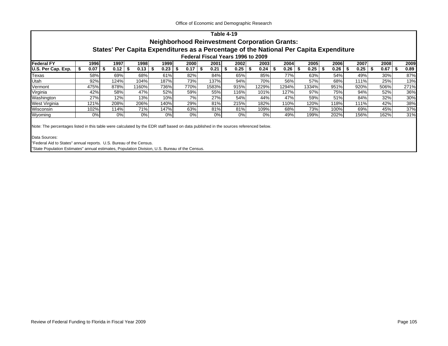|                                                                                                                                      |                                                                                                                              |  |       | States' Per Capita Expenditures as a Percentage of the National Per Capita Expenditure |              |  |       | <b>Neighborhood Reinvestment Corporation Grants:</b><br>Federal Fiscal Years 1996 to 2009 | Table 4-19 |  |       |       |      |       |      |      |      |      |  |      |
|--------------------------------------------------------------------------------------------------------------------------------------|------------------------------------------------------------------------------------------------------------------------------|--|-------|----------------------------------------------------------------------------------------|--------------|--|-------|-------------------------------------------------------------------------------------------|------------|--|-------|-------|------|-------|------|------|------|------|--|------|
| <b>Federal FY</b>                                                                                                                    | 1997<br>2004<br>2005<br>2006<br>2007<br>2008<br>1996<br>1998<br>1999<br>2000<br>2001<br>2003<br>2002<br>0.07<br>0.13<br>0.26 |  |       |                                                                                        |              |  |       |                                                                                           |            |  |       |       |      |       |      | 2009 |      |      |  |      |
| U.S. Per Cap. Exp.                                                                                                                   |                                                                                                                              |  | 0.12  |                                                                                        | 0.23<br>- \$ |  | 0.17  | 0.21                                                                                      | 0.25       |  | 0.24  |       |      | 0.25  | - \$ | 0.26 | 0.25 | 0.67 |  | 0.89 |
| Texas                                                                                                                                | 58%                                                                                                                          |  | 69%   | 68%                                                                                    | 61%          |  | 82%   | 84%                                                                                       | 65%        |  | 85%   |       | 77%  | 63%   |      | 54%  | 49%  | 30%  |  | 87%  |
| Utah                                                                                                                                 | 92%                                                                                                                          |  | 124%  | 104%                                                                                   | 187%         |  | 73%   | 137%                                                                                      | 94%        |  | 70%   |       | 56%  | 57%   |      | 68%  | 111% | 25%  |  | 13%  |
| Vermont                                                                                                                              | 475%                                                                                                                         |  | 878%  | 1160%                                                                                  | 736%         |  | 770%  | 1583%                                                                                     | 915%       |  | 1229% | 1294% |      | 1334% |      | 951% | 920% | 506% |  | 271% |
| Virginia                                                                                                                             | 42%                                                                                                                          |  | 58%   | 47%                                                                                    | 52%          |  | 59%   | 55%                                                                                       | 116%       |  | 101%  |       | 127% | 97%   |      | 75%  | 94%  | 52%  |  | 36%  |
| Washington                                                                                                                           | 27%                                                                                                                          |  | 12%   | 13%                                                                                    | 10%          |  | 7%    | 27%                                                                                       | 54%        |  | 44%   |       | 47%  | 59%   |      | 51%  | 84%  | 32%  |  | 30%  |
| West Virginia                                                                                                                        | 121%                                                                                                                         |  | 208%  | 206%                                                                                   | 140%         |  | 29%   | 81%                                                                                       | 215%       |  | 182%  |       | 110% | 120%  |      | 118% | 111% | 42%  |  | 38%  |
| Wisconsin                                                                                                                            | 102%                                                                                                                         |  | 114%  | 71%                                                                                    | 147%         |  | 63%   | 81%                                                                                       | 81%        |  | 109%  |       | 68%  | 73%   |      | 100% | 69%  | 45%  |  | 37%  |
| Wyoming                                                                                                                              | 0%                                                                                                                           |  | $0\%$ | 0%                                                                                     | 0%           |  | $0\%$ | $0\%$                                                                                     | 0%         |  | 0%    |       | 49%  | 199%  |      | 202% | 156% | 162% |  | 31%  |
| Note: The percentages listed in this table were calculated by the EDR staff based on data published in the sources referenced below. |                                                                                                                              |  |       |                                                                                        |              |  |       |                                                                                           |            |  |       |       |      |       |      |      |      |      |  |      |

Data Sources:

"Federal Aid to States" annual reports. U.S. Bureau of the Census.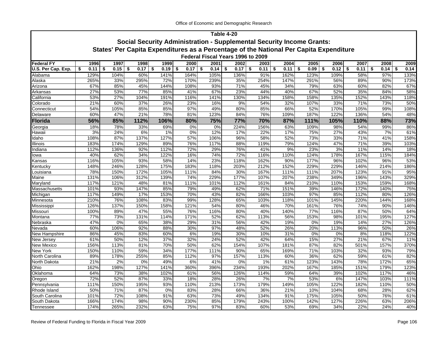|                     |             |      |            |             |                                                                                        |             |            | <b>Table 4-20</b> |            |                                   |             |            |     |             |             |            |     |   |              |
|---------------------|-------------|------|------------|-------------|----------------------------------------------------------------------------------------|-------------|------------|-------------------|------------|-----------------------------------|-------------|------------|-----|-------------|-------------|------------|-----|---|--------------|
|                     |             |      |            |             | <b>Social Security Administration - Supplemental Security Income Grants:</b>           |             |            |                   |            |                                   |             |            |     |             |             |            |     |   |              |
|                     |             |      |            |             | States' Per Capita Expenditures as a Percentage of the National Per Capita Expenditure |             |            |                   |            |                                   |             |            |     |             |             |            |     |   |              |
|                     |             |      |            |             |                                                                                        |             |            |                   |            | Federal Fiscal Years 1996 to 2009 |             |            |     |             |             |            |     |   |              |
| <b>Federal FY</b>   | 1996        |      | 1997       | 1998        | 1999                                                                                   | 2000        | 2001       |                   | 2002       | 2003                              | 2004        | 2005       |     | 2006        | 2007        | 2008       |     |   | 2009         |
| U.S. Per Cap. Exp.  | \$<br>0.11  | \$   | 0.15       | 0.17<br>\$  | 0.19<br>\$                                                                             | \$<br>0.17  | 0.14<br>\$ | - \$              | 0.17       | 0.11<br>\$                        | \$<br>0.11  | 0.09<br>\$ | -\$ | 0.12        | 0.11<br>\$  | 0.14<br>\$ |     | S | 0.14         |
| Alabama             | 129%        |      | 104%       | 60%         | 141%                                                                                   | 164%        | 105%       |                   | 136%       | 91%                               | 162%        | 123%       |     | 109%        | 58%         |            | 97% |   | 133%         |
| Alaska              | 265%        |      | 33%        | 295%        | 72%                                                                                    | 170%        | 239%       |                   | 35%        | 254%                              | 147%        | 291%       |     | 56%         | 89%         |            | 90% |   | 173%         |
| Arizona             | 67%         |      | 85%        | 45%         | 144%                                                                                   | 108%        | 93%        |                   | 71%        | 45%                               | 34%         | 79%        |     | 63%         | 60%         |            | 82% |   | 67%          |
| Arkansas            | 27%         |      | 53%        | 77%         | 85%                                                                                    | 41%         | 67%        |                   | 23%        | 44%                               | 40%         | 67%        |     | 52%         | 35%         |            | 84% |   | 58%          |
| California          | 53%         |      | 27%        | 104%        | 191%                                                                                   | 116%        | 141%       |                   | 130%       | 134%                              | 158%        | 158%       |     | 135%        | 152%        | 143%       |     |   | 118%         |
| Colorado            | 21%         |      | 60%        | 37%         | 26%                                                                                    | 23%         | 16%        |                   | 9%         | 54%                               | 32%         | 107%       |     | 33%         | 71%         |            | 73% |   | 50%          |
| Connecticut         | 54%         | 105% |            | 85%         | 85%                                                                                    | 97%         | 49%        |                   | 80%        | 85%                               | 66%         | 52%        |     | 170%        | 105%        |            | 99% |   | 108%         |
| Delaware            | 60%         |      | 47%        | 21%         | 78%                                                                                    | 81%         | 123%       |                   | 84%        | 76%                               | 109%        | 187%       |     | 122%        | 136%        |            | 54% |   | 48%          |
| <b>Florida</b>      | 56%         |      | 85%        | 112%        | 106%                                                                                   | 80%         | 75%        |                   | 77%        | 70%                               | 87%         | 111%       |     | 105%        | 110%        | 88%        |     |   | 73%          |
| Georgia             | 18%         |      | 78%        | 33%         | 69%                                                                                    | 0%          | 0%         |                   | 224%       | 156%                              | 63%         | 109%       |     | 98%         | 54%         |            | 99% |   | 86%          |
| Hawaii              | 3%          |      | 24%        | 6%          | 1%                                                                                     | 0%          | 12%        |                   | 17%        | 22%                               | 17%         | 75%        |     | 27%         | 43%         |            | 7%  |   | 61%          |
| Idaho               | 108%        |      | 87%        | 137%        | 127%                                                                                   | 57%         | 106%       |                   | 96%        | 58%                               | 52%         | 73%        |     | 33%         | 71%         |            | 41% |   | 158%         |
| Illinois            | 183%        | 174% |            | 129%        | 89%                                                                                    | 76%         | 117%       |                   | 88%        | 119%                              | 79%         | 124%       |     | 47%         | 71%         |            | 39% |   | 103%         |
| Indiana             | 112%        | 136% |            | 92%         | 112%                                                                                   | 72%         | 29%        |                   | 76%        | 41%                               | 9%          | 23%        |     | 3%          | 11%         |            | 14% |   | 18%          |
| lowa                | 40%         |      | 62%        | 34%         | 122%                                                                                   | 16%         | 74%        |                   | 72%        | 116%                              | 110%        | 124%       |     | 178%        | 167%        | 115%       |     |   | 184%         |
| Kansas              | 116%        | 105% |            | 93%         | 58%                                                                                    | 14%         | 23%        |                   | 118%       | 162%                              | 90%         | 177%       |     | 96%         | 102%        |            | 96% |   | 53%          |
| Kentucky            | 148%        | 246% |            | 128%        | 175%                                                                                   | 183%        | 118%       |                   | 203%       | 212%                              | 152%        | 229%       |     | 229%        | 146%        | 214%       |     |   | 186%         |
| ouisiana.           | 78%         | 150% |            | 172%        | 105%                                                                                   | 111%        | 84%        |                   | 30%        | 167%                              | 111%        | 111%       |     | 207%        | 123%        |            | 91% |   | 95%          |
| Maine               | 131%        | 106% |            | 312%        | 139%                                                                                   | 74%         | 229%       |                   | 177%       | 107%                              | 207%        | 238%       |     | 349%        | 196%        | 143%       |     |   | 329%         |
| Maryland            | 117%        | 121% |            | 48%         | 81%                                                                                    | 111%        | 101%       |                   | 112%       | 161%                              | 84%         | 210%       |     | 110%        | 153%        | 159%       |     |   | 168%         |
| Massachusetts       | 101%        |      | 93%        | 147%        | 85%                                                                                    | 79%         | 49%        |                   | 62%        | 71%                               | 151%        | 39%        |     | 146%        | 172%        | 140%       |     |   | 75%          |
| Michigan            | 117%        | 149% |            | 17%         | 153%                                                                                   | 70%         | 43%        |                   | 82%        | 166%                              | 103%        | 97%        |     | 85%         | 112%        |            | 80% |   | 126%         |
| Minnesota           | 210%        |      | 76%        | 108%        | 83%                                                                                    | 99%         | 128%       |                   | 65%        | 103%                              | 118%        | 101%       |     | 145%        | 220%        | 144%       |     |   | 168%         |
| Mississippi         | 126%        | 137% |            | 150%        | 158%                                                                                   | 121%        | 54%        |                   | 80%        | 46%                               | 70%         | 161%       |     | 76%         | 74%         |            | 90% |   | 146%         |
| Missouri<br>Montana | 100%<br>77% |      | 89%<br>73% | 47%<br>131% | 55%                                                                                    | 76%<br>171% | 116%       |                   | 80%        | 40%                               | 140%<br>56% | 77%        |     | 116%<br>98% | 87%<br>101% |            | 50% |   | 64%          |
|                     | 47%         |      | 0%         | 65%         | 114%<br>38%                                                                            | 29%         | 52%<br>31% |                   | 62%<br>56% | 113%<br>42%                       | 19%         | 153%<br>0% |     | 19%         | 14%         | 195%       | 27% |   | 127%<br>126% |
| Nebraska<br>Nevada  | 60%         | 106% |            | 92%         | 88%                                                                                    | 30%         | 97%        |                   | 48%        | 52%                               | 26%         | 20%        |     | 113%        | 96%         |            | 50% |   | 26%          |
| New Hampshire       | 86%         |      | 45%        | 83%         | 60%                                                                                    | 6%          | 19%        |                   | 30%        | 10%                               | 31%         | 0%         |     | 0%          | 8%          | 118%       |     |   | 122%         |
| New Jersey          | 61%         |      | 50%        | 12%         | 37%                                                                                    | 32%         | 24%        |                   | 52%        | 42%                               | 64%         | 15%        |     | 27%         | 21%         |            | 67% |   | 11%          |
| <b>New Mexico</b>   | 156%        | 113% |            | 81%         | 70%                                                                                    | 50%         | 62%        |                   | 154%       | 107%                              | 181%        | 87%        |     | 82%         | 501%        | 157%       |     |   | 370%         |
| <b>New York</b>     | 150%        | 110% |            | 59%         | 34%                                                                                    | 177%        | 111%       |                   | 90%        | 65%                               | 169%        | 71%        |     | 103%        | 32%         |            | 93% |   | 79%          |
| North Carolina      | 89%         | 178% |            | 255%        | 85%                                                                                    | 112%        | 97%        |                   | 157%       | 113%                              | 60%         | 36%        |     | 62%         | 59%         |            | 61% |   | 82%          |
| <b>North Dakota</b> | 21%         |      | 2%         | 0%          | 49%                                                                                    | 6%          | 41%        |                   | 0%         | 1%                                | 61%         | 123%       |     | 143%        | 78%         | 172%       |     |   | 65%          |
| Ohio                | 162%        | 198% |            | 127%        | 141%                                                                                   | 360%        | 396%       |                   | 234%       | 193%                              | 202%        | 167%       |     | 185%        | 151%        | 179%       |     |   | 123%         |
| Oklahoma            | 64%         |      | 73%        | 38%         | 102%                                                                                   | 61%         | 56%        |                   | 126%       | 114%                              | 59%         | 64%        |     | 39%         | 102%        | 117%       |     |   | 46%          |
| Oregon              | 72%         |      | 52%        | 87%         | 33%                                                                                    | 18%         | 28%        |                   | 26%        | 7%                                | 7%          | 53%        |     | 6%          | 147%        | 103%       |     |   | 111%         |
| Pennsylvania        | 111%        | 150% |            | 195%        | 93%                                                                                    | 110%        | 213%       |                   | 173%       | 179%                              | 149%        | 105%       |     | 122%        | 182%        | 110%       |     |   | 50%          |
| Rhode Island        | 50%         |      | 71%        | 87%         | 0%                                                                                     | 83%         | 28%        |                   | 66%        | 36%                               | 21%         | 10%        |     | 104%        | 68%         |            | 28% |   | 62%          |
| South Carolina      | 101%        |      | 72%        | 108%        | 91%                                                                                    | 63%         | 73%        |                   | 49%        | 134%                              | 91%         | 175%       |     | 105%        | 50%         |            | 76% |   | 61%          |
| South Dakota        | 166%        |      | 174%       | 98%         | 90%                                                                                    | 230%        | 85%        |                   | 179%       | 243%                              | 100%        | 142%       |     | 127%        | 226%        |            | 63% |   | 206%         |
| Tennessee           | 174%        | 265% |            | 232%        | 63%                                                                                    | 75%         | 97%        |                   | 83%        | 60%                               | 53%         | 69%        |     | 34%         | 22%         |            | 24% |   | 40%          |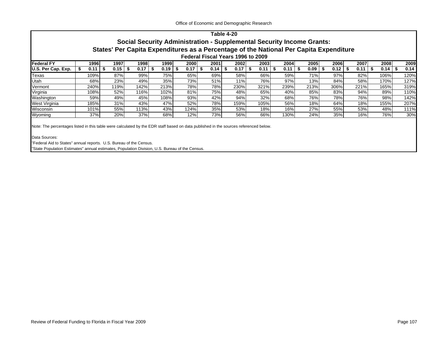#### **Social Security Administration - Supplemental Security Income Grants: States' Per Capita Expenditures as a Percentage of the National Per Capita Expenditure Table 4-20**

**Federal Fiscal Years 1996 to 2009**

| <b>Federal FY</b>  | 1996 | 1997 | 1998  | ا 1999 | 2000 | 2001 | 2002          | 2003 | 2004 | 2005 | 2006 | 2007 | 2008 | 2009 |
|--------------------|------|------|-------|--------|------|------|---------------|------|------|------|------|------|------|------|
| U.S. Per Cap. Exp. |      | 0.15 | 0.17  | 0.19   |      | 0.14 | $0.1^{\circ}$ |      | n 11 | 0.09 | 0.12 | 0.1  |      | 0.14 |
| Texas              | 109% | 87%  | 99%   | 75%    | 65%  | 69%  | 58%           | 66%  | 59%  | 71%  | 97%  | 82%  | 106% | 120% |
| Utah               | 68%  | 23%  | 49%   | 35%    | 73%  | 51%  | 11%           | 76%  | 97%  | 13%  | 84%  | 58%  | 170% | 127% |
| Vermont            | 240% | 119% | 142%  | 213%   | 78%  | 78%  | 230%          | 321% | 239% | 213% | 306% | 221% | 165% | 319% |
| Virginia           | 108% | 52%  | '16%. | 102%   | 81%  | 75%  | 48%           | 65%  | 40%  | 85%  | 83%  | 94%  | 89%  | 110% |
| Washington         | 59%  | 49%  | 45%   | 108%   | 93%  | 42%  | 94%           | 32%  | 68%  | 76%  | 78%  | 76%  | 98%  | 142% |
| West Virginia      | 185% | 31%  | 43%   | 47%    | 52%  | 78%  | 159%          | 105% | 56%  | 18%  | 64%  | 18%  | 155% | 207% |
| Wisconsin          | 101% | 55%  | '13%  | 43%    | 124% | 35%  | 53%           | 18%  | 16%  | 27%  | 55%  | 53%  | 48%  | 111% |
| Wyoming            | 37%  | 20%  | 37%   | 68%    | 12%  | 73%  | 56%           | 66%  | 130% | 24%  | 35%  | 16%  | 76%  | 30%  |

Note: The percentages listed in this table were calculated by the EDR staff based on data published in the sources referenced below.

Data Sources:

"Federal Aid to States" annual reports. U.S. Bureau of the Census.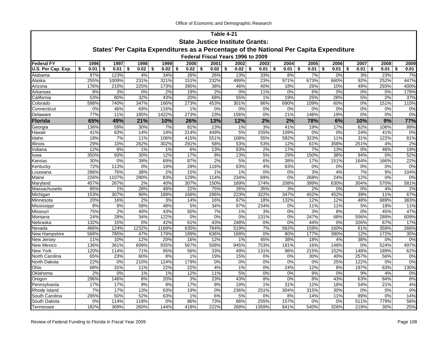|                                                                                                                                                                                                                                                                                                    |    |              |                    |                    |                    |                                                                                        |                                        | Table 4-21         |                    |                    |                    |                    |                    |                    |                    |
|----------------------------------------------------------------------------------------------------------------------------------------------------------------------------------------------------------------------------------------------------------------------------------------------------|----|--------------|--------------------|--------------------|--------------------|----------------------------------------------------------------------------------------|----------------------------------------|--------------------|--------------------|--------------------|--------------------|--------------------|--------------------|--------------------|--------------------|
|                                                                                                                                                                                                                                                                                                    |    |              |                    |                    |                    |                                                                                        | <b>State Justice Institute Grants:</b> |                    |                    |                    |                    |                    |                    |                    |                    |
|                                                                                                                                                                                                                                                                                                    |    |              |                    |                    |                    | States' Per Capita Expenditures as a Percentage of the National Per Capita Expenditure |                                        |                    |                    |                    |                    |                    |                    |                    |                    |
|                                                                                                                                                                                                                                                                                                    |    |              |                    |                    |                    |                                                                                        | Federal Fiscal Years 1996 to 2009      |                    |                    |                    |                    |                    |                    |                    |                    |
|                                                                                                                                                                                                                                                                                                    |    |              |                    |                    |                    |                                                                                        |                                        |                    |                    |                    |                    |                    |                    |                    |                    |
| <b>Federal FY</b><br>U.S. Per Cap. Exp.                                                                                                                                                                                                                                                            | \$ | 1996<br>0.01 | 1997<br>\$<br>0.01 | 1998<br>0.02<br>\$ | 1999<br>0.02<br>\$ | 2000<br>0.02<br>\$                                                                     | 2001<br>0.02<br>\$                     | 2002<br>0.02<br>\$ | 2003<br>\$<br>0.01 | 2004<br>\$<br>0.01 | 2005<br>\$<br>0.01 | 2006<br>\$<br>0.01 | 2007<br>\$<br>0.01 | 2008<br>\$<br>0.01 | 2009<br>0.01<br>\$ |
| Alabama                                                                                                                                                                                                                                                                                            |    | 87%          | 123%               | 4%                 | 34%                | 26%                                                                                    | 26%                                    | 13%                | 33%                | 8%                 | 7%                 | 0%                 | 3%                 | 23%                | 7%                 |
| Alaska                                                                                                                                                                                                                                                                                             |    | 255%         | 1009%              | 231%               | 321%               | 151%                                                                                   | 232%                                   | 499%               | 23%                | 971%               | 673%               | 660%               | 92%                | 252%               | 447%               |
| Arizona                                                                                                                                                                                                                                                                                            |    | 176%         | 210%               | 225%               | 173%               | 395%                                                                                   | 38%                                    | 46%                | 40%                | 18%                | 26%                | 10%                | 49%                | 293%               | 400%               |
| Arkansas                                                                                                                                                                                                                                                                                           |    | 8%           | 3%                 | 0%                 | 2%                 | 19%                                                                                    | 2%                                     | 0%                 | 11%                | 0%                 | 6%                 | 0%                 | 0%                 | 0%                 | 178%               |
| California                                                                                                                                                                                                                                                                                         |    | 53%          | 80%                | 32%                | 43%                | 20%                                                                                    | 68%                                    | 55%                | 1%                 | 19%                | 25%                | 28%                | 5%                 | 2%                 | 37%                |
| Colorado                                                                                                                                                                                                                                                                                           |    | 598%         | 740%               | 347%               | 166%               | 273%                                                                                   | 453%                                   | 301%               | 86%                | 690%               | 109%               | 60%                | 0%                 | 151%               | 115%               |
| Connecticut                                                                                                                                                                                                                                                                                        |    | 0%           | 46%                | 69%                | 116%               | 1%                                                                                     | 0%                                     | 0%                 | 0%                 | 0%                 | 0%                 | 0%                 | 0%                 | 0%                 | 0%                 |
| Delaware                                                                                                                                                                                                                                                                                           |    | <b>77%</b>   | 11%                | 185%               | 1422%              | 273%                                                                                   | 23%                                    | 156%               | 0%                 | 21%                | 146%               | 19%                | 0%                 | 0%                 | 0%                 |
| Florida                                                                                                                                                                                                                                                                                            |    | 65%          | 49%                | 21%                | 10%                | 26%                                                                                    | 13%                                    | 12%                | 2%                 | 2%                 | 78%                | 6%                 | 10%                | 9%                 | 77%                |
| Georgia                                                                                                                                                                                                                                                                                            |    | 136%         | 59%                | 30%                | 7%                 | 81%                                                                                    | 13%                                    | 1%                 | 3%                 | 41%                | 19%                | 17%                | 62%                | 106%               | 89%                |
| Hawaii<br>63%<br>14%<br>14%<br>214%<br>449%<br>5%<br>155%<br>109%<br>0%<br>24%<br>41%<br>0%<br>41%<br>11%<br>582%<br>11%<br>31%<br>122%<br>18%<br>7%<br>106%<br>415%<br>551%<br>108%<br>55%<br>323%<br>29%<br>10%<br>262%<br>302%<br>291%<br>58%<br>53%<br>53%<br>12%<br>358%<br>251%<br>61%<br>4% |    |              |                    |                    |                    |                                                                                        |                                        |                    |                    |                    |                    |                    |                    |                    | 0%                 |
| Idaho                                                                                                                                                                                                                                                                                              |    |              |                    |                    |                    |                                                                                        |                                        |                    |                    |                    |                    |                    |                    |                    | 81%                |
| Illinois                                                                                                                                                                                                                                                                                           |    |              |                    |                    |                    |                                                                                        |                                        |                    |                    |                    |                    |                    |                    |                    | 2%                 |
| Indiana<br>17%<br>46%<br>12%<br>8%<br>1%<br>1%<br>6%<br>13%<br>63%<br>2%<br>7%<br>13%<br>0%<br>lowa<br>350%<br>93%<br>30%<br>12%<br>17%<br>8%<br>13%<br>5%<br>29%<br>150%<br>38%<br>94%<br>0%                                                                                                      |    |              |                    |                    |                    |                                                                                        |                                        |                    |                    |                    |                    |                    |                    |                    | 19%                |
| 2%<br>30%<br>0%<br>39%<br>69%<br>87%<br>5%<br>6%<br>38%<br>17%<br>151%<br>164%<br>166%                                                                                                                                                                                                             |    |              |                    |                    |                    |                                                                                        |                                        |                    |                    |                    |                    |                    |                    |                    | 52%                |
| Kansas                                                                                                                                                                                                                                                                                             |    |              |                    |                    |                    |                                                                                        |                                        |                    |                    |                    |                    |                    |                    |                    | 22%                |
| Kentucky                                                                                                                                                                                                                                                                                           |    | 72%          | 113%               | 0%                 | 19%                | 28%                                                                                    | 116%                                   | 63%                | 4%                 | 83%                | 0%                 | 0%                 | 0%                 | 0%                 | 0%                 |
| ouisiana.                                                                                                                                                                                                                                                                                          |    | 286%         | 76%                | 38%                | 2%                 | 15%                                                                                    | 1%                                     | 1%                 | 0%                 | 0%                 | 3%                 | 4%                 | 7%                 | 9%                 | 104%               |
| Maine                                                                                                                                                                                                                                                                                              |    | 226%         | 1107%              | 290%               | 83%                | 129%                                                                                   | 114%                                   | 234%               | 69%                | 0%                 | 268%               | 24%                | 12%                | 0%                 | 0%                 |
| Maryland                                                                                                                                                                                                                                                                                           |    | 457%         | 267%               | 2%                 | 40%                | 307%                                                                                   | 150%                                   | 169%               | 174%               | 208%               | 399%               | 630%               | 304%               | 570%               | 581%               |
| Massachusetts                                                                                                                                                                                                                                                                                      |    | 85%          | 1%                 | 28%                | 48%                | 22%                                                                                    | 75%                                    | 26%                | 35%                | 3%                 | 2%                 | 0%                 | 0%                 | 4%                 | 2%                 |
| Michigan                                                                                                                                                                                                                                                                                           |    | 153%         | 307%               | 90%                | 189%               | 166%                                                                                   | 296%                                   | 223%               | 322%               | 347%               | 452%               | 452%               | 39%                | 11%                | 67%                |
| Minnesota                                                                                                                                                                                                                                                                                          |    | 20%          | 16%                | 2%                 | 3%                 | 14%                                                                                    | 16%                                    | 67%                | 18%                | 132%               | 12%                | 12%                | 48%                | 689%               | 383%               |
| Mississippi                                                                                                                                                                                                                                                                                        |    | 8%           | 9%                 | 58%                | 48%                | 5%                                                                                     | 34%                                    | 97%                | 234%               | 0%                 | 11%                | 11%                | 5%                 | 18%                | 11%                |
| Missouri                                                                                                                                                                                                                                                                                           |    | 75%          | 2%                 | 40%                | 43%                | 50%                                                                                    | 7%                                     | 1%                 | 3%                 | 0%                 | 3%                 | 8%                 | 0%                 | 45%                | 47%                |
| Montana                                                                                                                                                                                                                                                                                            |    | 24%          | 28%                | 34%                | 122%               | 0%                                                                                     | 0%                                     | 0%                 | 131%               | 0%                 | 247%               | 68%                | 556%               | 289%               | 609%               |
| Nebraska                                                                                                                                                                                                                                                                                           |    | 132%         | 15%                | 0%                 | 42%                | 61%                                                                                    | 43%                                    | 248%               | 0%                 | 0%                 | 44%                | 0%                 | 326%               | 67%                | 17%                |
| Nevada                                                                                                                                                                                                                                                                                             |    | 466%         | 124%               | 1232%              | 1169%              | 635%                                                                                   | 764%                                   | 519%               | 7%                 | 562%               | 159%               | 160%               | 61%                | 359%               | 266%               |
| New Hampshire                                                                                                                                                                                                                                                                                      |    | 568%         | 785%               | 47%<br>12%         | 179%               | 189%<br>16%                                                                            | 636%<br>12%                            | 168%               | 0%<br>45%          | 80%<br>38%         | 177%               | 390%               | 12%<br>38%         | 172%               | 35%                |
| <b>New Jersey</b>                                                                                                                                                                                                                                                                                  |    | 11%          | 10%                | 699%               | 20%<br>935%        | 567%                                                                                   | 508%                                   | 1%                 | 753%               | 181%               | 18%<br>16%         | 4%                 | 0%                 | 0%                 | 0%<br>497%         |
| New Mexico<br>New York                                                                                                                                                                                                                                                                             |    | 136%<br>120% | 361%<br>114%       | 71%                | 95%                | 56%                                                                                    | 33%                                    | 945%<br>49%        | 131%               | 96%                | 215%               | 148%<br>152%       | 148%               | 524%<br>189%       | 62%                |
| North Carolina                                                                                                                                                                                                                                                                                     |    | 65%          | 23%                | 60%                | 8%                 | 1%                                                                                     | 19%                                    | 15%                | 0%                 | 0%                 | 30%                | 40%                | 257%               | 56%                | 0%                 |
| North Dakota                                                                                                                                                                                                                                                                                       |    | 22%          | 0%                 | 210%               | 124%               | 179%                                                                                   | 0%                                     | 0%                 | 0%                 | 0%                 | 0%                 | 25%                | 122%               | 0%                 | 0%                 |
| Ohio                                                                                                                                                                                                                                                                                               |    | 68%          | 31%                | 11%                | 22%                | 22%                                                                                    | 4%                                     | 1%                 | 0%                 | 24%                | 12%                | 8%                 | 197%               | 63%                | 130%               |
| Oklahoma                                                                                                                                                                                                                                                                                           |    | 2%           | 0%                 | 1%                 | 1%                 | 12%                                                                                    | 11%                                    | 5%                 | 0%                 | 0%                 | 9%                 | 0%                 | 9%                 | 4%                 | 0%                 |
| Oregon                                                                                                                                                                                                                                                                                             |    | 296%         | 146%               | 8%                 | 20%                | 3%                                                                                     | 23%                                    | 43%                | 8%                 | 0%                 | 8%                 | 43%                | 63%                | 84%                | 8%                 |
| Pennsylvania                                                                                                                                                                                                                                                                                       |    | 17%          | 17%                | 9%                 | 9%                 | 17%                                                                                    | 9%                                     | 19%                | 1%                 | 31%                | 12%                | 18%                | 54%                | 21%                | 4%                 |
| Rhode Island                                                                                                                                                                                                                                                                                       |    | 7%           | 17%                | 13%                | 63%                | 19%                                                                                    | 0%                                     | 236%               | 251%               | 304%               | 315%               | 30%                | 0%                 | 0%                 | 0%                 |
| South Carolina                                                                                                                                                                                                                                                                                     |    | 295%         | 50%                | 52%                | 63%                | 1%                                                                                     | 6%                                     | 5%                 | 0%                 | 8%                 | 14%                | 11%                | 89%                | 0%                 | 14%                |
| South Dakota                                                                                                                                                                                                                                                                                       |    | 0%           | 114%               | 118%               | 0%                 | 86%                                                                                    | 73%                                    | 66%                | 255%               | 157%               | 0%                 | 0%                 | 511%               | 779%               | 58%                |
| Tennessee                                                                                                                                                                                                                                                                                          |    | 182%         | 369%               | 260%               | 144%               | 418%                                                                                   | 222%                                   | 268%               | 1359%              | 841%               | 540%               | 326%               | 219%               | 30%                | 25%                |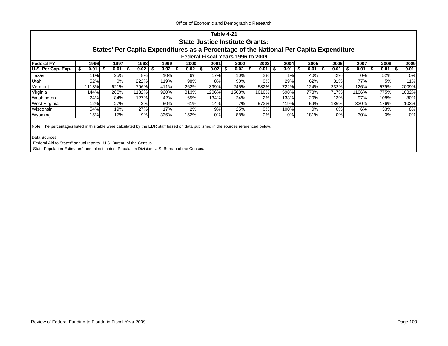| Table 4-21                                                                             |
|----------------------------------------------------------------------------------------|
| <b>State Justice Institute Grants:</b>                                                 |
| States' Per Capita Expenditures as a Percentage of the National Per Capita Expenditure |
| Federal Fiscal Years 1996 to 2009                                                      |

| <b>Federal FY</b>    | 1996  | 1997 | 1998  | 1999 | 2000 | 2001  | 2002  | 2003  | 2004  | 2005 | 2006 | 2007  | 2008 | 2009  |
|----------------------|-------|------|-------|------|------|-------|-------|-------|-------|------|------|-------|------|-------|
| U.S. Per Cap. Exp.   | 0.01  | 0.01 | 0.02  | 0.02 | 0.02 | 0.02  | 0.02  | 0.01  | 0.Oʻ  | 0.0  | 0.01 | 0.01  | 0.01 | 0.01  |
| <b>Texas</b>         | 11%   | 25%  | 8%    | 10%  | 6%   | 17%   | 10%   | 2%    | $1\%$ | 40%  | 42%  | 0%    | 52%  | $0\%$ |
| Utah                 | 52%   | 0%   | 222%  | 19%  | 98%  | 8%    | 90%   | 0%    | 29%   | 62%  | 31%  | 77%   | 5%   | 11%   |
| Vermont              | 1113% | 621% | 796%  | 411% | 262% | 399%  | 245%  | 582%  | 722%  | 124% | 232% | 126%  | 579% | 2009% |
| Virginia             | 144%  | 268% | 1132% | 920% | 813% | 1206% | 1503% | 1010% | 598%  | 773% | 717% | 1106% | 775% | 1032% |
| Washington           | 24%   | 84%  | 127%  | 42%  | 65%  | 134%  | 24%   | 2%    | 133%  | 20%  | 13%  | 97%   | 108% | 80%   |
| <b>West Virginia</b> | 12%   | 27%  | 2%    | 50%  | 61%  | 14%   | 7%    | 572%  | 419%  | 59%  | 186% | 320%  | 176% | 103%  |
| Wisconsin            | 54%   | 19%  | 27%   | 17%  | 2%   | 9%    | 25%   | 0%    | 100%  | 0%   | 0%   | 6%    | 33%  | 8%    |
| Wyoming              | 15%   | 17%  | 9%    | 336% | 152% | 0%    | 88%   | 0%    | 0%    | 181% | 0%   | 30%   | 0%   | $0\%$ |

Note: The percentages listed in this table were calculated by the EDR staff based on data published in the sources referenced below.

Data Sources:

"Federal Aid to States" annual reports. U.S. Bureau of the Census.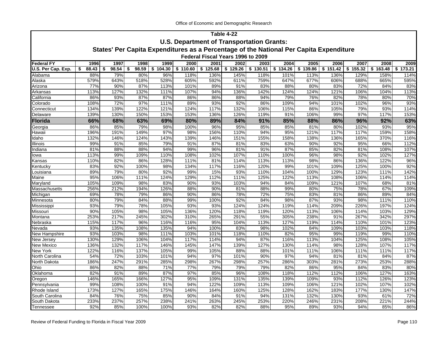|                                         |                     |                     |                                                                                        |                  |                  |                  | Table 4-22                                |                  |                  |                  |                  |                      |                  |                      |
|-----------------------------------------|---------------------|---------------------|----------------------------------------------------------------------------------------|------------------|------------------|------------------|-------------------------------------------|------------------|------------------|------------------|------------------|----------------------|------------------|----------------------|
|                                         |                     |                     |                                                                                        |                  |                  |                  | U.S. Department of Transportation Grants: |                  |                  |                  |                  |                      |                  |                      |
|                                         |                     |                     | States' Per Capita Expenditures as a Percentage of the National Per Capita Expenditure |                  |                  |                  |                                           |                  |                  |                  |                  |                      |                  |                      |
|                                         |                     |                     |                                                                                        |                  |                  |                  | Federal Fiscal Years 1996 to 2009         |                  |                  |                  |                  |                      |                  |                      |
|                                         |                     |                     |                                                                                        |                  |                  |                  |                                           |                  |                  |                  |                  |                      |                  |                      |
| <b>Federal FY</b><br>U.S. Per Cap. Exp. | 1996<br>88.43<br>\$ | 1997<br>98.54<br>\$ | 1998<br>98.59                                                                          | 1999<br>\$104.30 | 2000<br>\$110.60 | 2001<br>\$125.68 | 2002<br>129.26<br>\$                      | 2003<br>\$130.51 | 2004<br>\$134.26 | 2005<br>\$139.86 | 2006<br>\$151.42 | 2007<br>155.32<br>\$ | 2008<br>\$163.48 | 2009<br>173.21<br>\$ |
|                                         | 88%                 | 79%                 | 80%                                                                                    | 96%              | 118%             | 136%             | 145%                                      | 118%             | 101%             | 113%             | 136%             | 129%                 | 158%             | 114%                 |
| Alabama<br>Alaska                       | 579%                | 643%                | 518%                                                                                   | 528%             | 605%             | 592%             | 611%                                      | 759%             | 647%             | 677%             | 606%             | 688%                 | 665%             | 595%                 |
| Arizona                                 | <b>77%</b>          | 90%                 | 87%                                                                                    | 113%             | 101%             | 89%              | 91%                                       | 83%              | 88%              | 80%              | 83%              | 72%                  | 84%              | 83%                  |
| Arkansas                                | 113%                | 127%                | 132%                                                                                   | 111%             | 107%             | 94%              | 136%                                      | 142%             | 124%             | 124%             | 121%             | 106%                 | 104%             | 113%                 |
| California                              | 86%                 | 93%                 | 87%                                                                                    | 87%              | 86%              | 86%              | 88%                                       | 94%              | 79%              | 76%              | 82%              | 78%                  | 80%              | 70%                  |
| Colorado                                | 108%                | 72%                 | 97%                                                                                    | 111%             | 89%              | 93%              | 92%                                       | 86%              | 109%             | 94%              | 101%             | 102%                 | 96%              | 93%                  |
| Connecticut                             | 134%                | 139%                | 122%                                                                                   | 121%             | 124%             | 117%             | 132%                                      | 106%             | 115%             | 86%              | 105%             | 79%                  | 93%              | 114%                 |
| Delaware                                | 139%                | 130%                | 150%                                                                                   | 153%             | 153%             | 136%             | 126%                                      | 119%             | 91%              | 106%             | 99%              | 97%                  | 117%             | 153%                 |
| <b>Florida</b>                          | 66%                 | 68%                 | 63%                                                                                    | 69%              | 80%              | 89%              | 84%                                       | 91%              | 85%              | 88%              | 86%              | 96%                  | 92%              | 63%                  |
| Georgia                                 | 86%                 | 85%                 | 79%                                                                                    | 98%              | 100%             | 96%              | 95%                                       | 85%              | 85%              | 81%              | 80%              | 102%                 | 93%              | 95%                  |
| Hawaii                                  | 196%                | 191%                | 149%                                                                                   | 97%              | 98%              | 156%             | 110%                                      | 94%              | 95%              | 121%             | 117%             | 117%                 | 159%             | 158%                 |
| Idaho                                   | 132%                | 146%                | 124%                                                                                   | 143%             | 139%             | 146%             | 151%                                      | 155%             | 158%             | 138%             | 136%             | 165%                 | 370%             | 116%                 |
| <b>Illinois</b>                         | 99%                 | 91%                 | 85%                                                                                    | 79%              | 91%              | 87%              | 81%                                       | 83%              | 63%              | 90%              | 92%              | 95%                  | 66%              | 112%                 |
| Indiana                                 | 81%                 | 88%                 | 88%                                                                                    | 94%              | 99%              | 96%              | 81%                                       | 91%              | 87%              | 85%              | 82%              | 81%                  | 108%             | 107%                 |
| lowa                                    | 113%                | 99%                 | 109%                                                                                   | 110%             | 108%             | 102%             | 107%                                      | 110%             | 100%             | 96%              | 98%              | 92%                  | 102%             | 127%                 |
| Kansas                                  | 110%                | 82%                 | 86%                                                                                    | 128%             | 111%             | 81%              | 114%                                      | 113%             | 113%             | 98%              | 86%              | 136%                 | 122%             | 96%                  |
| Kentucky                                | 83%                 | 92%                 | 100%                                                                                   | 98%              | 134%             | 117%             | 116%                                      | 120%             | 99%              | 101%             | 109%             | 125%                 | 100%             | 92%                  |
| ouisiana.                               | 89%                 | 79%                 | 80%                                                                                    | 92%              | 99%              | 15%              | 93%                                       | 110%             | 104%             | 100%             | 129%             | 123%                 | 111%             | 142%                 |
| Maine                                   | 95%                 | 106%                | 111%                                                                                   | 124%             | 129%             | 112%             | 111%                                      | 125%             | 122%             | 113%             | 108%             | 106%                 | 114%             | 114%                 |
| Maryland                                | 105%                | 109%                | 98%                                                                                    | 83%              | 90%              | 93%              | 103%                                      | 94%              | 84%              | 109%             | 121%             | 107%                 | 68%              | 81%                  |
| Massachusetts                           | 256%                | 212%                | 194%                                                                                   | 126%             | 88%              | 90%              | 81%                                       | 88%              | 99%              | 80%              | 75%              | 78%                  | 67%              | 109%                 |
| Michigan                                | 69%                 | 78%                 | 79%                                                                                    | 86%              | 90%              | 86%              | 78%                                       | 72%              | 75%              | 83%              | 81%              | 86%                  | 89%              | 84%                  |
| Minnesota                               | 80%                 | 79%                 | 84%                                                                                    | 88%              | 99%              | 100%             | 92%                                       | 84%              | 98%              | 87%              | 93%              | 98%                  | 111%             | 110%                 |
| Mississippi                             | 93%                 | 79%                 | 78%                                                                                    | 105%             | 93%              | 93%              | 124%                                      | 124%             | 119%             | 114%             | 209%             | 226%                 | 197%             | 124%                 |
| Missouri                                | 90%                 | 105%                | 98%                                                                                    | 105%             | 136%             | 120%             | 118%                                      | 119%             | 120%             | 113%             | 106%             | 114%                 | 103%             | 129%                 |
| Montana                                 | 253%                | 217%                | 245%                                                                                   | 302%             | 310%             | 265%             | 291%                                      | 55%              | 305%             | 238%             | 91%              | 267%                 | 342%             | 297%                 |
| Nebraska                                | 115%                | 117%                | 96%                                                                                    | 116%             | 116%             | 95%              | 104%                                      | 113%             | 127%             | 119%             | 114%             | 110%                 | 101%             | 123%                 |
| Nevada                                  | 93%                 | 135%                | 108%                                                                                   | 135%             | 94%              | 100%             | 83%                                       | 98%              | 102%             | 84%              | 109%             | 103%                 | 103%             | 118%                 |
| New Hampshire                           | 93%                 | 103%                | 98%                                                                                    | 111%             | 103%             | 101%             | 118%                                      | 110%             | 82%              | 95%              | 99%              | 119%                 | 99%              | 110%                 |
| New Jersey                              | 130%                | 129%                | 106%                                                                                   | 104%             | 117%             | 114%             | 94%                                       | 87%              | 116%             | 113%             | 104%             | 125%                 | 108%             | 105%                 |
| New Mexico                              | 136%                | 132%                | 117%                                                                                   | 146%             | 145%             | 147%             | 139%                                      | 127%             | 130%             | 114%             | 98%              | 128%                 | 107%             | 117%                 |
| New York                                | 122%                | 116%                | 137%                                                                                   | 105%             | 99%              | 105%             | 88%                                       | 88%              | 101%             | 111%             | 106%             | 111%                 | 111%             | 117%                 |
| North Carolina                          | 54%                 | 72%                 | 103%                                                                                   | 101%             | 94%              | 97%              | 101%                                      | 90%              | 97%              | 94%              | 81%              | 81%                  | 84%              | 87%                  |
| North Dakota                            | 186%                | 247%                | 291%                                                                                   | 285%             | 298%             | 267%             | 298%                                      | 257%             | 286%             | 303%             | 281%             | 273%                 | 253%             | 288%                 |
| Ohio                                    | 86%<br>82%          | 82%<br>91%          | 88%<br>89%                                                                             | 71%              | 77%<br>97%       | 79%<br>85%       | 79%                                       | 79%              | 82%<br>118%      | 86%              | 95%<br>112%      | 84%<br>106%          | 83%<br>127%      | 80%                  |
| Oklahoma                                |                     |                     |                                                                                        | 87%              |                  |                  | 96%                                       | 108%             |                  | 112%             |                  |                      |                  | 163%                 |
| Oregon                                  | 146%<br>99%         | 165%<br>108%        | 166%<br>100%                                                                           | 127%<br>91%      | 95%<br>94%       | 109%<br>122%     | 131%<br>109%                              | 135%<br>113%     | 139%<br>109%     | 109%<br>106%     | 93%<br>121%      | 112%<br>102%         | 126%<br>107%     | 123%<br>102%         |
| Pennsylvania<br>Rhode Island            | 173%                | 127%                | 165%                                                                                   | 175%             | 146%             | 164%             | 160%                                      | 125%             | 128%             | 162%             | 183%             | 177%                 | 130%             | 147%                 |
|                                         | 84%                 | 76%                 | 75%                                                                                    | 85%              | 90%              | 84%              | 91%                                       | 94%              | 131%             | 132%             | 130%             | 93%                  | 61%              | 72%                  |
| South Carolina<br>South Dakota          | 233%                | 237%                | 257%                                                                                   | 238%             | 241%             | 263%             | 245%                                      | 253%             | 220%             | 246%             | 231%             | 208%                 | 221%             | 244%                 |
| Tennessee                               | 92%                 | 85%                 | 100%                                                                                   | 100%             | 93%              | 82%              | 82%                                       | 88%              | 95%              | 89%              | 93%              | 94%                  | 85%              | 86%                  |
|                                         |                     |                     |                                                                                        |                  |                  |                  |                                           |                  |                  |                  |                  |                      |                  |                      |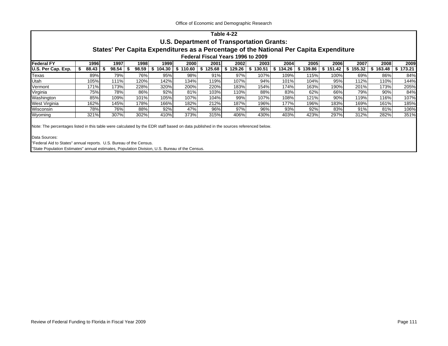| Table 4-22                                                                             |
|----------------------------------------------------------------------------------------|
| U.S. Department of Transportation Grants:                                              |
| States' Per Capita Expenditures as a Percentage of the National Per Capita Expenditure |
| <b>Federal Fiscal Years 1996 to 2009</b>                                               |

|                      |       |       |       |        |      |        |       | .     |              |        |              |        |            |        |
|----------------------|-------|-------|-------|--------|------|--------|-------|-------|--------------|--------|--------------|--------|------------|--------|
| <b>Federal FY</b>    | 1996  | 1997  | 1998  | 1999   | 2000 | 2001   | 2002  | 2003  | 2004         | 2005   | 2006         | 2007   | 2008       | 2009   |
| U.S. Per Cap. Exp.   | 88.43 | 98.54 | 98.59 | 104.30 | .60  | 125.68 | 29.26 | 30.51 | . 26<br>.34. | 139.86 | 42. ا<br>151 | 155.32 | 163<br>.48 | 173.21 |
| <b>Texas</b>         | 89%   | 79%   | 76%   | 95%    | 98%  | 91%    | 97%   | 107%  | 109%         | 115%   | 100%         | 69%    | 86%        | 84%    |
| Utah                 | 105%  | 111%  | 120%  | 142%   | 134% | 119%   | 107%  | 94%   | 101%         | 104%   | 95%          | 112%   | 110%       | 144%   |
| Vermont              | 171%  | 173%  | 228%  | 320%   | 200% | 220%   | 183%  | 154%  | 174%         | 163%   | 190%         | 201%   | 173%       | 205%   |
| Virginia             | 75%   | 78%   | 86%   | 92%    | 81%  | 103%   | 110%  | 88%   | 83%          | 62%    | 66%          | 79%    | 90%        | 84%    |
| Washington           | 85%   | 109%  | 101%  | 105%   | 107% | 104%   | 99%   | 107%  | 108%         | 121%   | 90%          | 119%   | 116%       | 107%   |
| <b>West Virginia</b> | 162%  | 145%  | 178%  | 166%   | 182% | 212%   | 187%  | 196%  | 177%         | 196%   | 183%         | 169%   | 161%       | 185%   |
| Wisconsin            | 78%   | 76%   | 88%   | 92%    | 47%  | 96%    | 97%   | 96%   | 93%          | 92%    | 83%          | 91%    | 81%        | 106%   |
| Wyoming              | 321%  | 307%  | 302%  | 410%   | 373% | 315%   | 406%  | 430%  | 403%         | 423%   | 297%         | 312%   | 282%       | 351%   |

Note: The percentages listed in this table were calculated by the EDR staff based on data published in the sources referenced below.

Data Sources:

"Federal Aid to States" annual reports. U.S. Bureau of the Census.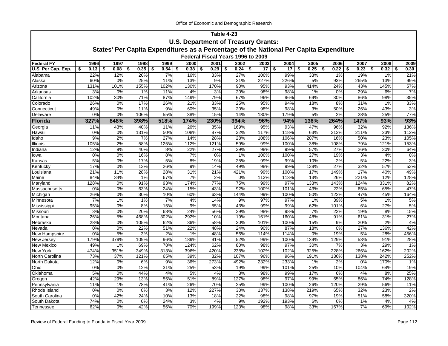|                                         |                    |                    |   |              |                                                                                        |                    |                                            | Table 4-23 |              |                  |                  |                    |                    |                    |                    |   |              |
|-----------------------------------------|--------------------|--------------------|---|--------------|----------------------------------------------------------------------------------------|--------------------|--------------------------------------------|------------|--------------|------------------|------------------|--------------------|--------------------|--------------------|--------------------|---|--------------|
|                                         |                    |                    |   |              |                                                                                        |                    | <b>U.S. Department of Treasury Grants:</b> |            |              |                  |                  |                    |                    |                    |                    |   |              |
|                                         |                    |                    |   |              | States' Per Capita Expenditures as a Percentage of the National Per Capita Expenditure |                    |                                            |            |              |                  |                  |                    |                    |                    |                    |   |              |
|                                         |                    |                    |   |              |                                                                                        |                    | Federal Fiscal Years 1996 to 2009          |            |              |                  |                  |                    |                    |                    |                    |   |              |
|                                         |                    |                    |   |              |                                                                                        |                    |                                            |            |              |                  |                  |                    |                    |                    |                    |   |              |
| <b>Federal FY</b><br>U.S. Per Cap. Exp. | \$<br>1996<br>0.13 | 1997<br>\$<br>0.08 | S | 1998<br>0.35 | 1999<br>0.54<br>\$                                                                     | \$<br>2000<br>0.38 | 2001<br>0.29<br>\$                         | \$         | 2002<br>0.24 | \$<br>2003<br>17 | \$<br>2004<br>17 | \$<br>2005<br>0.25 | \$<br>2006<br>0.22 | \$<br>2007<br>0.23 | \$<br>2008<br>0.32 | S | 2009<br>0.30 |
|                                         | 22%                | 12%                |   | 20%          | 7%                                                                                     | 16%                | 33%                                        |            | 27%          | 100%             | 99%              | 33%                | 1%                 | 19%                | 1%                 |   | 21%          |
| Alabama<br>Alaska                       | 60%                | 0%                 |   | 25%          | 11%                                                                                    | 13%                | 9%                                         |            | 31%          | 227%             | 226%             | 5%                 | 93%                | 265%               | 13%                |   | 99%          |
| Arizona                                 | 131%               | 101%               |   | 155%         | 102%                                                                                   | 130%               | 170%                                       |            | 90%          | 95%              | 93%              | 414%               | 24%                | 43%                | 145%               |   | 57%          |
| Arkansas                                | 3%                 | 0%                 |   | 1%           | 11%                                                                                    | 4%                 | 3%                                         |            | 20%          | 98%              | 98%              | 1%                 | 0%                 | 29%                | 6%                 |   | 7%           |
| California                              | 102%               | 30%                |   | 71%          | 87%                                                                                    | 149%               | 79%                                        |            | 67%          | 96%              | 96%              | 69%                | 30%                | 86%                | 98%                |   | 35%          |
| Colorado                                | 26%                | 0%                 |   | 17%          | 26%                                                                                    | 21%                | 33%                                        |            | 25%          | 95%              | 94%              | 18%                | 8%                 | 31%                | 1%                 |   | 33%          |
| Connecticut                             | 49%                | 0%                 |   | 11%          | 9%                                                                                     | 60%                | 35%                                        |            | 20%          | 98%              | 98%              | 3%                 | 50%                | 26%                | 43%                |   | 3%           |
| Delaware                                | 0%                 | 0%                 |   | 106%         | 55%                                                                                    | 38%                | 15%                                        |            | 14%          | 180%             | 179%             | 5%                 | 2%                 | 28%                | 25%                |   | 77%          |
| <b>Florida</b>                          | 327%               | 848%               |   | 398%         | 518%                                                                                   | 174%               | 230%                                       |            | 394%         | 96%              | 94%              | 136%               | 264%               | 147%               | 93%                |   | 93%          |
| Georgia                                 | 11%                | 43%                |   | 40%          | 11%                                                                                    | 26%                | 35%                                        |            | 169%         | 95%              | 93%              | 47%                | 96%                | 32%                | 92%                |   | 136%         |
| Hawaii                                  | 0%                 | 0%                 |   | 131%         | 50%                                                                                    | 108%               | 87%                                        |            | 32%          | 117%             | 118%             | 63%                | 212%               | 211%               | 23%                |   | 112%         |
| Idaho                                   | 9%                 | 2%                 |   | 7%           | 27%                                                                                    | 14%                | 28%                                        |            | 28%          | 108%             | 106%             | 207%               | 16%                | 50%                | 23%                |   | 105%         |
| <b>Illinois</b>                         | 105%               | 2%                 |   | 58%          | 125%                                                                                   | 112%               | 121%                                       |            | 59%          | 99%              | 100%             | 38%                | 108%               | 79%                | 121%               |   | 153%         |
| <b>Indiana</b>                          | 12%                | 9%                 |   | 40%          | 8%                                                                                     | 22%                | 27%                                        |            | 29%          | 98%              | 99%              | 57%                | 27%                | 26%                | 30%                |   | 64%          |
| lowa                                    | 0%                 | 0%                 |   | 16%          | 8%                                                                                     | 7%                 | 0%                                         |            | 1%           | 100%             | 100%             | 27%                | 19%                | 3%                 | 4%                 |   | 0%           |
| Kansas                                  | 5%                 | $\overline{0\%}$   |   | 17%          | 5%                                                                                     | 8%                 | 19%                                        |            | 25%          | 99%              | 99%              | 10%                | 2%                 | 5%                 | 22%                |   | 3%           |
| Kentucky                                | 17%                | 0%                 |   | 13%          | 26%                                                                                    | 9%                 | 14%                                        |            | 49%          | 98%              | 99%              | 138%               | 27%                | 32%                | 57%                |   | 53%          |
| Louisiana                               | 21%                | 11%                |   | 28%          | 28%                                                                                    | 31%                | 21%                                        |            | 421%         | 99%              | 100%             | 17%                | 149%               | 17%                | 40%                |   | 49%          |
| Maine                                   | 84%                | 34%                |   | 1%           | 67%                                                                                    | 7%                 | 2%                                         |            | 0%           | 113%             | 113%             | 13%                | 26%                | 221%               | 12%                |   | 128%         |
| Maryland                                | 128%               | 0%                 |   | 91%          | 93%                                                                                    | 174%               | 77%                                        |            | 75%          | 99%              | 97%              | 133%               | 143%               | 124%               | 331%               |   | 82%          |
| Massachusetts                           | 0%                 | 0%                 |   | 63%          | 24%                                                                                    | 15%                | 43%                                        |            | 92%          | 100%             | 101%             | 43%                | 22%                | 65%                | 65%                |   | 47%          |
| Michigan                                | 26%                | 0%                 |   | 30%          | 10%                                                                                    | 60%                | 63%                                        |            | 144%         | 99%              | 100%             | 50%                | 122%               | 47%                | 45%                |   | 164%         |
| Minnesota                               | 7%                 | 1%                 |   | 1%           | 7%                                                                                     | 4%                 | 14%                                        |            | 9%           | 97%              | 97%              | 1%                 | 39%                | 5%                 | 1%                 |   | 5%           |
| Mississippi                             | 95%                | 0%                 |   | 8%           | 15%                                                                                    | 9%                 | 55%                                        |            | 43%          | 99%              | 99%              | 62%                | 101%               | 6%                 | 27%                |   | 5%           |
| Missouri                                | 3%                 | 0%                 |   | 20%          | 68%                                                                                    | 24%                | 56%                                        |            | 29%          | 98%              | 98%              | 7%                 | 22%                | 19%                | 8%                 |   | 15%          |
| Montana                                 | 26%                | 5%                 |   | 468%         | 302%                                                                                   | 292%               | 10%                                        |            | 19%          | 161%             | 160%             | 48%                | 91%                | 61%                | 31%                |   | 27%          |
| Nebraska                                | 28%                | 0%                 |   | 105%         | 62%                                                                                    | 36%                | 58%                                        |            | 30%          | 101%             | 100%             | 15%                | 9%                 | 20%                | 2%                 |   | 4%           |
| Nevada                                  | 0%                 | 0%                 |   | 22%          | 51%                                                                                    | 22%                | 48%                                        |            | 24%          | 90%              | 87%              | 18%                | 0%                 | 27%                | 136%               |   | 42%          |
| New Hampshire                           | 0%                 | 5%                 |   | 3%           | 2%                                                                                     | 1%                 | 48%                                        |            | 56%          | 114%             | 114%             | 0%                 | 19%                | 5%                 | 28%                |   | 456%         |
| New Jersey                              | 179%               | 379%               |   | 109%         | 96%                                                                                    | 189%               | 91%                                        |            | 52%          | 99%              | 100%             | 139%               | 129%               | 53%                | 91%                |   | 28%          |
| <b>New Mexico</b>                       | 49%                | 1%                 |   | 69%          | 78%                                                                                    | 124%               | 62%                                        |            | 80%          | 98%              | 97%              | 30%                | 7%                 | 3%                 | 29%                |   | 1%           |
| New York                                | 474%               | 351%               |   | 349%         | 313%                                                                                   | 396%               | 420%                                       |            | 238%         | 102%             | 102%             | 325%               | 228%               | 266%               | 162%               |   | 202%         |
| North Carolina                          | 73%                | 37%                |   | 121%         | 65%                                                                                    | 39%                | 32%                                        |            | 107%         | 96%              | 96%              | 191%               | 136%               | 138%               | 242%               |   | 252%         |
| North Dakota                            | 12%                | 0%                 |   | 6%           | 9%                                                                                     | 36%                | 273%                                       |            | 492%         | 232%             | 233%             | 1%                 | 2%                 | 0%                 | 170%               |   | 1%           |
| Ohio                                    | 0%                 | 0%                 |   | 12%          | 31%                                                                                    | 25%                | 53%                                        |            | 19%          | 99%              | 101%             | 25%                | 10%                | 104%               | 64%                |   | 19%          |
| Oklahoma                                | 5%                 | 0%                 |   | 44%          | 4%                                                                                     | 5%                 | 4%                                         |            | 3%           | 98%              | 99%              | 17%                | 6%                 | 4%                 | 8%                 |   | 25%          |
| Oregon                                  | 42%                | 29%                |   | 13%          | 55%                                                                                    | 51%                | 89%                                        |            | 127%         | 98%              | 97%              | 99%                | 65%                | 86%                | 74%                |   | 128%         |
| Pennsylvania                            | 11%                | 1%                 |   | 78%          | 41%                                                                                    | 26%                | 70%                                        |            | 25%          | 99%              | 100%             | 26%                | 120%               | 29%                | 56%                |   | 11%          |
| Rhode Island                            | 0%                 | 0%                 |   | 0%           | 3%                                                                                     | 12%                | 227%                                       |            | 30%          | 137%             | 138%             | 219%               | 65%                | 32%                | 23%                |   | 2%           |
| South Carolina                          | 0%                 | 42%                |   | 24%          | 10%                                                                                    | 13%                | 18%                                        |            | 22%          | 98%              | 98%              | 97%                | 19%                | 51%                | 58%                |   | 320%         |
| South Dakota                            | 74%                | 0%                 |   | 0%           | 24%                                                                                    | 3%                 | 4%                                         |            | 9%           | 192%             | 193%             | 6%                 | 6%                 | 1%                 | 4%                 |   | 4%           |
| Tennessee                               | 62%                | 0%                 |   | 42%          | 56%                                                                                    | 70%                | 199%                                       |            | 123%         | 98%              | 98%              | 33%                | 167%               | 7%                 | 69%                |   | 102%         |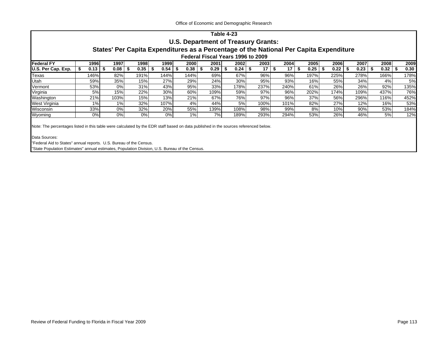| <b>Table 4-23</b>                                                                      |
|----------------------------------------------------------------------------------------|
| U.S. Department of Treasury Grants:                                                    |
| States' Per Capita Expenditures as a Percentage of the National Per Capita Expenditure |

**Federal Fiscal Years 1996 to 2009**

| <b>Federal FY</b>    | 1996  | 1997 |     | 1998 | 1999 | 2000  | 2001 | 2002 | 2003 | 2004 | 2005 | 2006 |     | 2007 | 2008 | 2009              |
|----------------------|-------|------|-----|------|------|-------|------|------|------|------|------|------|-----|------|------|-------------------|
| U.S. Per Cap. Exp.   | נ ו   | 0.08 |     | 0.35 | 0.54 | 0.38  | 0.29 | 0.24 |      | 17   | 0.25 | 0.22 |     | 0.23 | 0.32 | 0.30 <sub>1</sub> |
| Texas                | 146%  | 82%  |     | 191% | 44%  | 144%  | 69%  | 67%  | 96%  | 96%  | 197% | 225% |     | 278% | 166% | 178%              |
| Utah                 | 59%   | 35%  |     | 15%  | 27%  | 29%   | 24%  | 30%  | 95%  | 93%  | 16%  |      | 55% | 34%  | 4%   | 5%                |
| Vermont              | 53%   |      | 0%  | 31%  | 43%  | 95%   | 33%  | 178% | 237% | 240% | 61%  |      | 26% | 26%  | 92%  | 135%              |
| Virginia             | 5%    |      | 15% | 22%  | 30%  | 60%   | 109% | 59%  | 97%  | 96%  | 202% | 174% |     | 109% | 437% | 76%               |
| Washington           | 21%   | 103% |     | 15%  | 13%  | 21%   | 67%  | 76%  | 97%  | 96%  | 37%  |      | 56% | 296% | 116% | 452%              |
| <b>West Virginia</b> | $1\%$ |      | 1%  | 32%  | 107% | 4%    | 44%  | 5%   | 100% | 101% | 82%  |      | 27% | 12%  | 16%  | 53%               |
| Wisconsin            | 33%   |      | 0%  | 32%  | 20%  | 55%   | 139% | 108% | 98%  | 99%  | 8%   |      | 10% | 90%  | 53%  | 184%              |
| Wyoming              | 0%    |      | 0%  | 0%   | 0%   | $1\%$ | 7%1  | 189% | 293% | 294% | 53%  |      | 26% | 46%  | 5%   | 12%               |

Note: The percentages listed in this table were calculated by the EDR staff based on data published in the sources referenced below.

Data Sources:

"Federal Aid to States" annual reports. U.S. Bureau of the Census.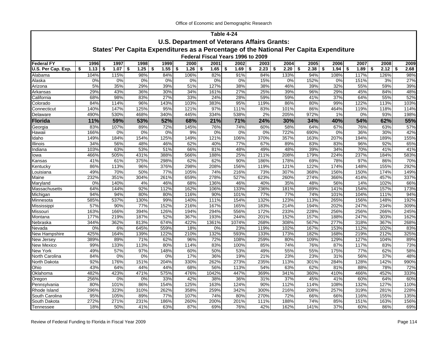| <b>Table 4-24</b><br>U.S. Department of Veterans Affairs Grants: |    |              |              |    |             |                                                                                        |    |              |                                   |    |             |                   |     |                    |             |              |              |                    |            |
|------------------------------------------------------------------|----|--------------|--------------|----|-------------|----------------------------------------------------------------------------------------|----|--------------|-----------------------------------|----|-------------|-------------------|-----|--------------------|-------------|--------------|--------------|--------------------|------------|
|                                                                  |    |              |              |    |             |                                                                                        |    |              |                                   |    |             |                   |     |                    |             |              |              |                    |            |
|                                                                  |    |              |              |    |             | States' Per Capita Expenditures as a Percentage of the National Per Capita Expenditure |    |              |                                   |    |             |                   |     |                    |             |              |              |                    |            |
|                                                                  |    |              |              |    |             |                                                                                        |    |              |                                   |    |             |                   |     |                    |             |              |              |                    |            |
|                                                                  |    |              |              |    |             |                                                                                        |    |              | Federal Fiscal Years 1996 to 2009 |    |             |                   |     |                    |             |              |              |                    |            |
| <b>Federal FY</b>                                                |    | 1996         | 1997<br>\$   | \$ | 1998        | 1999<br>\$                                                                             |    | 2000         | 2001                              |    | 2002        | 2003              |     | 2004               | 2005<br>\$  | \$<br>2006   | 2007<br>\$   | 2008               | 2009       |
| U.S. Per Cap. Exp.                                               | \$ | 1.13<br>104% | 1.07<br>115% |    | 1.25<br>98% | 1.55<br>84%                                                                            | \$ | 1.26<br>106% | 1.65<br>\$<br>82%                 | \$ | 1.69        | \$<br>2.23<br>84% |     | \$<br>2.20<br>133% | 2.38<br>94% | 1.94<br>108% | 1.89<br>117% | 2.12<br>\$<br>126% | \$<br>2.68 |
| Alabama<br>Alaska                                                |    | 0%           |              | 0% | 0%          | 0%                                                                                     |    | 0%           | 0%                                |    | 91%<br>0%   |                   | 15% | 0%                 | 152%        | 0%           | 151%         | 3%                 | 98%<br>27% |
| Arizona                                                          |    | 5%           | 35%          |    | 29%         | 39%                                                                                    |    | 51%          | 127%                              |    | 38%         | 38%               |     | 46%                | 39%         | 32%          | 55%          | 59%                | 39%        |
| Arkansas                                                         |    | 29%          | 43%          |    | 36%         | 30%                                                                                    |    | 34%          | 161%                              |    | 27%         | 25%               |     | 39%                | 96%         | 29%          | 45%          | 84%                | 48%        |
| California                                                       |    | 68%          | 98%          |    | 83%         | 27%                                                                                    |    | 33%          | 24%                               |    | 28%         | 59%               |     | 59%                | 41%         | 37%          | 64%          | 55%                | 52%        |
| Colorado                                                         |    | 84%          | 114%         |    | 96%         | 143%                                                                                   |    | 103%         | 383%                              |    | 95%         | 119%              |     | 86%                | 80%         | 99%          | 122%         | 113%               | 103%       |
| Connecticut                                                      |    | 140%         | 147%         |    | 125%        | 95%                                                                                    |    | 121%         | 97%                               |    | 111%        | 83%               |     | 101%               | 86%         | 464%         | 119%         | 118%               | 114%       |
| Delaware                                                         |    | 490%         | 530%         |    | 468%        | 340%                                                                                   |    | 445%         | 334%                              |    | 538%        |                   | 2%  | 205%               | 972%        | 1%           | 0%           | 93%                | 198%       |
| <b>Florida</b>                                                   |    | 11%          | 59%          |    | 53%         | 52%                                                                                    |    | 68%          | 21%                               |    | 71%         | 24%               |     | 30%                | 34%         | 40%          | 54%          | 62%                | 55%        |
| Georgia                                                          |    | 83%          | 107%         |    | 89%         | 72%                                                                                    |    | 145%         | 76%                               |    | 74%         | 60%               |     | 58%                | 64%         | 67%          | 76%          | 63%                | 57%        |
| Hawaii                                                           |    | 166%         |              | 0% | 0%          | 0%                                                                                     |    | 9%           | 0%                                |    | 0%          |                   | 0%  | 722%               | 690%        | 0%           | 36%          | 30%                | 42%        |
| Idaho                                                            |    | 149%         | 184%         |    | 154%        | 125%                                                                                   |    | 149%         | 121%                              |    | 106%        | 370%              |     | 357%               | 163%        | 207%         | 194%         | 189%               | 155%       |
| Illinois                                                         |    | 34%          | 56%          |    | 48%         | 46%                                                                                    |    | 62%          | 40%                               |    | 77%         | 67%               |     | 89%                | 83%         | 83%          | 96%          | 92%                | 65%        |
| Indiana                                                          |    | 103%         | 63%          |    | 53%         | 51%                                                                                    |    | 66%          | 81%                               |    | 48%         | 49%               |     | 48%                | 39%         | 34%          | 70%          | 41%                | 41%        |
| lowa                                                             |    | 466%         | 505%         |    | 431%        | 388%                                                                                   |    | 566%         | 188%                              |    | 25%         | 211%              |     | 208%               | 179%        | 224%         | 237%         | 184%               | 583%       |
| Kansas                                                           |    | 41%          | 61%          |    | 375%        | 298%                                                                                   |    | 62%          | 62%                               |    | 90%         | 186%              |     | 178%               | 69%         | 78%          | 97%          | 86%                | 70%        |
| Kentucky                                                         |    | 86%          | 113%         |    | 96%         | 376%                                                                                   |    | 298%         | 208%                              |    | 156%        | 119%              |     | 121%               | 122%        | 174%         | 148%         | 155%               | 292%       |
| _ouisiana                                                        |    | 49%          | 70%          |    | 50%         | 77%                                                                                    |    | 105%         | 74%                               |    | 216%        | 73%               |     | 307%               | 368%        | 156%         | 150%         | 174%               | 149%       |
| Maine                                                            |    | 232%         | 351%         |    | 304%        | 261%                                                                                   |    | 659%         | 278%                              |    | 527%        | 623%              |     | 260%               | 274%        | 366%         | 414%         | 457%               | 337%       |
| Maryland                                                         |    | 0%           | 140%         |    | 4%          | 46%                                                                                    |    | 68%          | 136%                              |    | 46%         | 40%               |     | 35%                | 48%         | 56%          | 14%          | 102%               | 66%        |
| Massachusetts                                                    |    | 64%          | 144%         |    | 92%         | 112%                                                                                   |    | 162%         | 106%                              |    | 133%        | 236%              |     | 181%               | 189%        | 141%         | 154%         | 157%               | 173%       |
| Michigan                                                         |    | 94%          | 94%          |    | 80%         | 80%                                                                                    |    | 116%         | 90%                               |    | 101%        | 77%               |     | 77%                | 74%         | 101%         | 104%         | 111%               | 94%        |
| Minnesota                                                        |    | 585%         | 537%         |    | 130%        | 99%                                                                                    |    | 140%         | 111%                              |    | 154%        | 132%              |     | 123%               | 113%        | 265%         | 156%         | 148%               | 192%       |
| Mississippi                                                      |    | 57%          | 90%          |    | 77%         | 152%                                                                                   |    | 216%         | 167%                              |    | 165%        | 183%              |     | 214%               | 194%        | 202%         | 247%         | 234%               | 309%       |
| Missouri                                                         |    | 163%         | 166%         |    | 394%        | 126%                                                                                   |    | 194%         | 294%                              |    | 556%        | 172%              |     | 233%               | 228%        | 256%         | 256%         | 266%               | 245%       |
| Montana                                                          |    | 177%         | 219%         |    | 187%        | 52%                                                                                    |    | 367%         | 193%                              |    | 244%        | 201%              |     | 152%               | 157%        | 188%         | 247%         | 303%               | 162%       |
| Nebraska                                                         |    | 344%         | 362%         |    | 813%        | 674%                                                                                   |    | 422%         | 1361%                             |    | 1074%       | 268%              |     | 308%               | 567%        | 277%         | 318%         | 367%               | 268%       |
| Nevada                                                           |    | 0%           |              | 6% | 645%        | 559%                                                                                   |    | 18%          | 0%                                |    | 23%         | 119%              |     | 102%               | 167%        | 153%         | 112%         | 102%               | 83%        |
| New Hampshire                                                    |    | 425%         | 164%         |    | 139%<br>71% | 122%                                                                                   |    | 210%<br>96%  | 132%<br>72%                       |    | 593%        | 133%              |     | 173%               | 182%        | 168%<br>129% | 219%<br>127% | 212%               | 325%       |
| New Jersey                                                       |    | 389%<br>99%  | 89%          |    |             | 62%<br>80%                                                                             |    | 114%         | 83%                               |    | 108%        | 259%<br>85%       |     | 80%<br>74%         | 109%        |              | 117%         | 104%               | 89%        |
| New Mexico<br>New York                                           |    | 49%          | 133%<br>57%  |    | 113%<br>97% | 148%                                                                                   |    | 60%          | 50%                               |    | 100%<br>53% |                   | 49% | 55%                | 76%<br>55%  | 87%<br>175%  | <b>77%</b>   | 83%<br>62%         | 73%<br>58% |
| North Carolina                                                   |    | 84%          |              | 0% | 0%          | 0%                                                                                     |    | 17%          | 36%                               |    | 19%         | 21%               |     | 23%                | 23%         | 31%          | 56%          | 37%                | 48%        |
| North Dakota                                                     |    | 92%          | 176%         |    | 151%        | 204%                                                                                   |    | 330%         | 262%                              |    | 273%        | 235%              |     | 113%               | 301%        | 284%         | 128%         | 142%               | 990%       |
| Ohio                                                             |    | 43%          | 64%          |    | 44%         | 44%                                                                                    |    | 68%          | 56%                               |    | 113%        | 54%               |     | 63%                | 62%         | 81%          | 88%          | 78%                | 72%        |
| Oklahoma                                                         |    | 482%         | 423%         |    | 471%        | 575%                                                                                   |    | 476%         | 1042%                             |    | 447%        | 369%              |     | 341%               | 360%        | 410%         | 466%         | 452%               | 333%       |
| Oregon                                                           |    | 256%         |              | 0% | 0%          | 33%                                                                                    |    | 42%          | 38%                               |    | 36%         |                   | 31% | 37%                | 45%         | 41%          | 60%          | 64%                | 60%        |
| Pennsylvania                                                     |    | 80%          | 101%         |    | 86%         | 154%                                                                                   |    | 125%         | 163%                              |    | 124%        | 90%               |     | 112%               | 114%        | 108%         | 132%         | 127%               | 110%       |
| Rhode Island                                                     |    | 296%         | 323%         |    | 310%        | 262%                                                                                   |    | 358%         | 259%                              |    | 342%        | 300%              |     | 216%               | 208%        | 257%         | 319%         | 281%               | 228%       |
| South Carolina                                                   |    | 95%          | 105%         |    | 89%         | 77%                                                                                    |    | 107%         | 74%                               |    | 80%         | 270%              |     | 72%                | 66%         | 66%          | 116%         | 155%               | 135%       |
| South Dakota                                                     |    | 272%         | 271%         |    | 231%        | 186%                                                                                   |    | 260%         | 200%                              |    | 201%        | 111%              |     | 188%               | 74%         | 85%          | 151%         | 163%               | 156%       |
| Tennessee                                                        |    | 18%          | 50%          |    | 41%         | 63%                                                                                    |    | 87%          | 69%                               |    | 76%         |                   | 42% | 162%               | 141%        | 37%          | 60%          | 86%                | 69%        |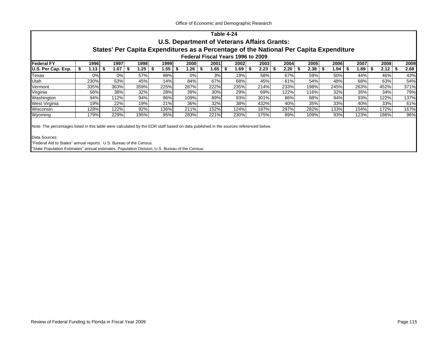| Table 4-24                                                                             |
|----------------------------------------------------------------------------------------|
| U.S. Department of Veterans Affairs Grants:                                            |
| States' Per Capita Expenditures as a Percentage of the National Per Capita Expenditure |

**Federal Fiscal Years 1996 to 2009**

| <b>Federal FY</b>  | 1996  | 1997 | 1998 | 1999 | 2000 | 2001 | 2002 | 2003         | 2004 | 2005 | 2006 | 2007 | 2008 | 2009 |
|--------------------|-------|------|------|------|------|------|------|--------------|------|------|------|------|------|------|
| U.S. Per Cap. Exp. | ∣.13  | .07  | 1.25 | .55  | .26  | 65.، | .69  | מה ה<br>د.د. | 2.20 | 2.38 | .94  | .89  | 2.12 | 2.68 |
| Texas              | $0\%$ | 0%   | 57%  | 98%  | 0%   | 3%   | 19%  | 58%          | 67%  | 59%  | 50%  | 44%  | 46%  | 43%  |
| Utah               | 230%  | 53%  | 45%  | 14%  | 84%  | 67%  | 68%  | 45%          | 61%  | 54%  | 48%  | 68%  | 63%  | 54%  |
| Vermont            | 335%  | 363% | 359% | 225% | 287% | 222% | 235% | 214%         | 233% | 198% | 245% | 263% | 452% | 371% |
| Virginia           | 56%   | 38%  | 32%  | 28%  | 39%  | 30%  | 29%  | 69%          | 122% | 116% | 32%  | 35%  | 34%  | 79%  |
| Washington         | 94%   | 112% | 94%  | 86%  | 109% | 89%  | 93%  | 301%         | 86%  | 88%  | 94%  | 93%  | 122% | 137% |
| West Virginia      | 19%   | 22%  | 19%  | 21%  | 36%  | 32%  | 38%  | 432%         | 40%  | 35%  | 33%  | 40%  | 33%  | 61%  |
| Visconsin          | 128%  | 122% | 92%  | 136% | 211% | 152% | 124% | 187%         | 297% | 282% | 133% | 154% | 172% | 167% |
| Wyoming            | '79%  | 229% | 195% | 95%  | 283% | 221% | 230% | 175%         | 89%  | 109% | 93%  | 123% | 186% | 96%  |

Note: The percentages listed in this table were calculated by the EDR staff based on data published in the sources referenced below.

Data Sources:

"Federal Aid to States" annual reports. U.S. Bureau of the Census.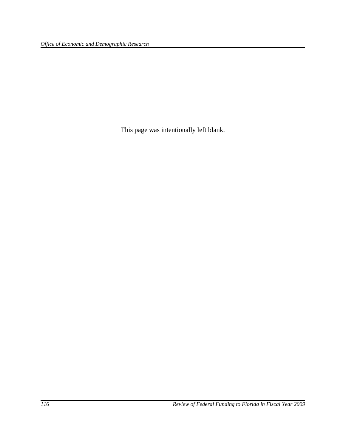This page was intentionally left blank.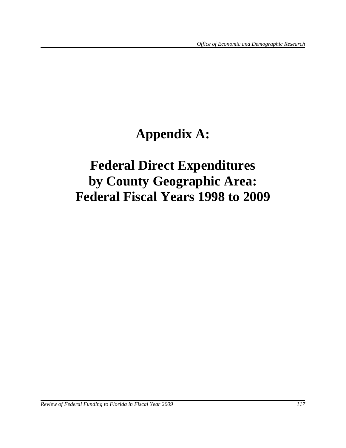# **Appendix A:**

## **Federal Direct Expenditures by County Geographic Area: Federal Fiscal Years 1998 to 2009**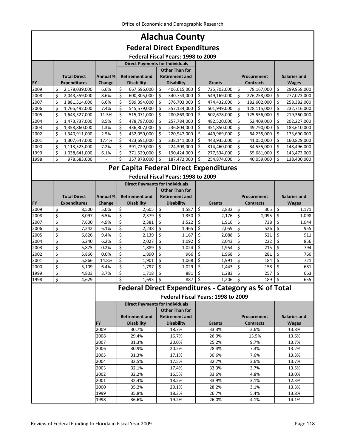| <b>Alachua County</b>                  |                                                                                                                                      |           |                       |                                                             |    |               |                   |                                |  |  |  |  |  |  |
|----------------------------------------|--------------------------------------------------------------------------------------------------------------------------------------|-----------|-----------------------|-------------------------------------------------------------|----|---------------|-------------------|--------------------------------|--|--|--|--|--|--|
|                                        |                                                                                                                                      |           |                       | <b>Federal Direct Expenditures</b>                          |    |               |                   |                                |  |  |  |  |  |  |
|                                        |                                                                                                                                      |           |                       | Federal Fiscal Years: 1998 to 2009                          |    |               |                   |                                |  |  |  |  |  |  |
|                                        |                                                                                                                                      |           |                       | <b>Direct Payments for Individuals</b>                      |    |               |                   |                                |  |  |  |  |  |  |
|                                        |                                                                                                                                      |           |                       | <b>Other Than for</b>                                       |    |               |                   |                                |  |  |  |  |  |  |
|                                        | <b>Total Direct</b>                                                                                                                  | Annual %  | <b>Retirement and</b> | <b>Retirement and</b>                                       |    |               | Procurement       | <b>Salaries and</b>            |  |  |  |  |  |  |
| <b>FY</b>                              | <b>Expenditures</b>                                                                                                                  | Change    | <b>Disability</b>     | <b>Disability</b>                                           |    | <b>Grants</b> | <b>Contracts</b>  | <b>Wages</b>                   |  |  |  |  |  |  |
| 2009                                   | \$<br>2,178,039,000                                                                                                                  | 6.6%      | \$<br>667,596,000     | \$<br>406,615,000                                           | \$ | 725,702,000   | \$<br>78,167,000  | \$<br>299,958,000              |  |  |  |  |  |  |
| 2008                                   | \$<br>2,043,559,000                                                                                                                  | 8.6%      | \$<br>600,305,000     | \$<br>340,753,000                                           | \$ | 549,169,000   | \$<br>276,258,000 | \$<br>277,073,000              |  |  |  |  |  |  |
| 2007                                   | \$<br>1,881,514,000                                                                                                                  | 6.6%      | \$<br>589,394,000     | \$<br>376,703,000                                           | \$ | 474,432,000   | \$<br>182,602,000 | \$<br>258,382,000              |  |  |  |  |  |  |
| 2006                                   | \$<br>1,765,492,000                                                                                                                  | 7.4%      | \$<br>545,579,000     | \$<br>357,134,000                                           | \$ | 501,949,000   | \$<br>128,115,000 | \$<br>232,716,000              |  |  |  |  |  |  |
| 2005                                   | \$<br>1,643,527,000                                                                                                                  | 11.5%     | \$<br>515,071,000     | \$<br>280,863,000                                           | \$ | 502,678,000   | \$<br>125,556,000 | \$<br>219,360,000              |  |  |  |  |  |  |
| 2004                                   | \$<br>1,473,737,000                                                                                                                  | 8.5%      | \$<br>478,797,000     | \$<br>257,784,000                                           | \$ | 482,520,000   | \$<br>52,409,000  | \$<br>202,227,000              |  |  |  |  |  |  |
| 2003                                   | \$<br>1,358,860,000                                                                                                                  | 1.3%      | \$<br>436,807,000     | \$<br>236,804,000                                           | \$ | 451,850,000   | \$<br>49,790,000  | Ś<br>183,610,000               |  |  |  |  |  |  |
| 2002                                   | \$<br>1,340,911,000                                                                                                                  | 2.5%      | \$<br>432,050,000     | \$<br>220,947,000                                           | \$ | 449,969,000   | \$<br>64,255,000  | \$<br>173,690,000              |  |  |  |  |  |  |
| 2001                                   | \$<br>\$<br>\$<br>\$<br>\$<br>\$<br>17.4%<br>41,050,000<br>1,307,647,000<br>423,691,000<br>238,141,000<br>443,935,000<br>160,829,000 |           |                       |                                                             |    |               |                   |                                |  |  |  |  |  |  |
| 2000                                   | \$<br>\$<br>\$<br>\$<br>\$<br>\$<br>7.2%<br>1,113,523,000<br>391,729,000<br>224,303,000<br>314,460,000<br>34,535,000<br>148,496,000  |           |                       |                                                             |    |               |                   |                                |  |  |  |  |  |  |
| 1999                                   | \$<br>\$<br>\$<br>\$<br>\$<br>6.1%<br>371,529,000<br>277,534,000<br>55,681,000<br>\$<br>1,038,641,000<br>190,424,000<br>143,473,000  |           |                       |                                                             |    |               |                   |                                |  |  |  |  |  |  |
| 1998                                   | \$<br>\$<br>\$<br>\$<br>-Ś<br>Ś<br>978,683,000<br>357,878,000<br>187,472,000<br>254,874,000<br>40,059,000<br>138,400,000             |           |                       |                                                             |    |               |                   |                                |  |  |  |  |  |  |
|                                        |                                                                                                                                      |           |                       |                                                             |    |               |                   |                                |  |  |  |  |  |  |
| Per Capita Federal Direct Expenditures |                                                                                                                                      |           |                       |                                                             |    |               |                   |                                |  |  |  |  |  |  |
|                                        | Federal Fiscal Years: 1998 to 2009                                                                                                   |           |                       |                                                             |    |               |                   |                                |  |  |  |  |  |  |
|                                        | <b>Direct Payments for Individuals</b><br><b>Other Than for</b>                                                                      |           |                       |                                                             |    |               |                   |                                |  |  |  |  |  |  |
|                                        | <b>Total Direct</b>                                                                                                                  | Annual %  | <b>Retirement and</b> | <b>Retirement and</b>                                       |    |               | Procurement       | <b>Salaries and</b>            |  |  |  |  |  |  |
| <b>FY</b>                              | <b>Expenditures</b>                                                                                                                  | Change    | <b>Disability</b>     | <b>Disability</b>                                           |    | <b>Grants</b> | <b>Contracts</b>  | <b>Wages</b>                   |  |  |  |  |  |  |
| 2009                                   | \$<br>8,500                                                                                                                          | 5.0%      | \$<br>2,605           | \$<br>1,587                                                 | \$ | 2,832         | \$<br>305         | \$<br>1,171                    |  |  |  |  |  |  |
| 2008                                   | \$<br>8,097                                                                                                                          | 6.5%      | \$<br>2,379           | \$<br>1,350                                                 | \$ | 2,176         | $\zeta$<br>1,095  | \$<br>1,098                    |  |  |  |  |  |  |
| 2007                                   | \$<br>7,600                                                                                                                          | 4.9%      | \$<br>2,381           | \$<br>1,522                                                 | \$ | 1,916         | \$<br>738         | \$<br>1,044                    |  |  |  |  |  |  |
| 2006                                   | \$<br>7,242                                                                                                                          | 6.1%      | \$<br>2,238           | \$<br>1,465                                                 | \$ | 2,059         | \$<br>526         | \$<br>955                      |  |  |  |  |  |  |
| 2005                                   | \$<br>6,826                                                                                                                          | 9.4%      | \$<br>2,139           | \$<br>1,167                                                 | \$ | 2,088         | \$<br>521         | \$<br>911                      |  |  |  |  |  |  |
| 2004                                   | \$<br>6,240                                                                                                                          | 6.2%      | \$<br>2,027           | \$<br>1,092                                                 | \$ | 2,043         | \$<br>222         | $\overline{\xi}$<br>856        |  |  |  |  |  |  |
| 2003                                   | \$<br>5,875                                                                                                                          | 0.2%      | \$<br>1,889           | \$<br>1,024                                                 | \$ | 1,954         | \$<br>215         | $\overline{\mathsf{S}}$<br>794 |  |  |  |  |  |  |
| 2002                                   | \$<br>5,866                                                                                                                          | 0.0%      | \$<br>1,890           | \$<br>966                                                   | \$ | 1,968         | \$<br>281         | $\overline{\xi}$<br>760        |  |  |  |  |  |  |
| 2001                                   | \$<br>5,866                                                                                                                          | 14.8%     | \$<br>1,901           | \$<br>1,068                                                 | \$ | 1,991         | \$<br>184         | \$<br>721                      |  |  |  |  |  |  |
| 2000                                   | \$<br>5,109                                                                                                                          | 6.4%      | \$<br>1,797           | \$<br>1,029                                                 | \$ | 1,443         | \$<br>158         | \$<br>681                      |  |  |  |  |  |  |
| 1999                                   | \$<br>4,803                                                                                                                          | 3.7%      | \$<br>1,718           | \$<br>881                                                   | \$ | 1,283         | \$<br>257         | \$<br>663                      |  |  |  |  |  |  |
| 1998                                   | Ś<br>4,629                                                                                                                           |           | Ś<br>1,693            | Ś.<br>887                                                   | Ś. | 1,206         | Ś<br>189          | Ś<br>655                       |  |  |  |  |  |  |
|                                        |                                                                                                                                      |           |                       | <b>Federal Direct Expenditures - Category as % of Total</b> |    |               |                   |                                |  |  |  |  |  |  |
|                                        |                                                                                                                                      |           |                       | Federal Fiscal Years: 1998 to 2009                          |    |               |                   |                                |  |  |  |  |  |  |
|                                        |                                                                                                                                      |           |                       | <b>Direct Payments for Individuals</b>                      |    |               |                   |                                |  |  |  |  |  |  |
|                                        |                                                                                                                                      |           |                       | <b>Other Than for</b>                                       |    |               |                   |                                |  |  |  |  |  |  |
|                                        |                                                                                                                                      |           | <b>Retirement and</b> | <b>Retirement and</b>                                       |    |               | Procurement       | <b>Salaries and</b>            |  |  |  |  |  |  |
|                                        |                                                                                                                                      | <b>FY</b> | <b>Disability</b>     | <b>Disability</b>                                           |    | Grants        | <b>Contracts</b>  | Wages                          |  |  |  |  |  |  |
|                                        |                                                                                                                                      | 2009      | 30.7%                 | 18.7%                                                       |    | 33.3%         | 3.6%              | 13.8%                          |  |  |  |  |  |  |
|                                        |                                                                                                                                      | 2008      | 29.4%                 | 16.7%                                                       |    | 26.9%         | 13.5%             | 13.6%                          |  |  |  |  |  |  |
|                                        |                                                                                                                                      | 2007      | 31.3%                 | 20.0%                                                       |    | 25.2%         | 9.7%              | 13.7%                          |  |  |  |  |  |  |
|                                        |                                                                                                                                      | 2006      | 30.9%                 | 20.2%                                                       |    | 28.4%         | 7.3%              | 13.2%                          |  |  |  |  |  |  |
|                                        |                                                                                                                                      | 2005      | 31.3%                 | 17.1%                                                       |    | 30.6%         | 7.6%              | 13.3%                          |  |  |  |  |  |  |
|                                        |                                                                                                                                      | 2004      | 32.5%                 | 17.5%                                                       |    | 32.7%         | 3.6%              | 13.7%                          |  |  |  |  |  |  |
|                                        |                                                                                                                                      | 2003      | 32.1%                 | 17.4%                                                       |    | 33.3%         | 3.7%              | 13.5%                          |  |  |  |  |  |  |
|                                        | 2002<br>32.2%<br>16.5%<br>33.6%<br>4.8%<br>13.0%                                                                                     |           |                       |                                                             |    |               |                   |                                |  |  |  |  |  |  |
|                                        |                                                                                                                                      | 2001      | 32.4%                 | 18.2%                                                       |    | 33.9%         | 3.1%              | 12.3%                          |  |  |  |  |  |  |
|                                        |                                                                                                                                      | 2000      | 35.2%                 | 20.1%                                                       |    | 28.2%         | 3.1%              | 13.3%                          |  |  |  |  |  |  |
|                                        |                                                                                                                                      | 1999      | 35.8%                 | 18.3%                                                       |    | 26.7%         | 5.4%              | 13.8%                          |  |  |  |  |  |  |
|                                        |                                                                                                                                      | 1998      | 36.6%                 | 19.2%                                                       |    | 26.0%         | 4.1%              | 14.1%                          |  |  |  |  |  |  |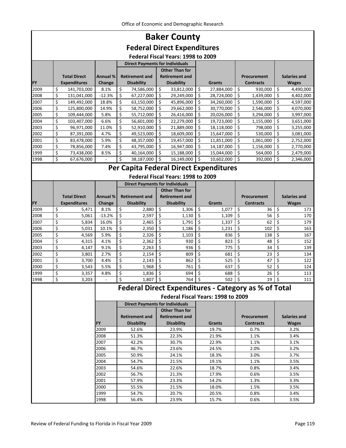| <b>Baker County</b> |                                                                              |                     |              |                                                                                                |          |                                    |                        |                |                        |                  |                                      |                     |  |  |
|---------------------|------------------------------------------------------------------------------|---------------------|--------------|------------------------------------------------------------------------------------------------|----------|------------------------------------|------------------------|----------------|------------------------|------------------|--------------------------------------|---------------------|--|--|
|                     |                                                                              |                     |              |                                                                                                |          | <b>Federal Direct Expenditures</b> |                        |                |                        |                  |                                      |                     |  |  |
|                     |                                                                              |                     |              |                                                                                                |          | Federal Fiscal Years: 1998 to 2009 |                        |                |                        |                  |                                      |                     |  |  |
|                     |                                                                              |                     |              | <b>Direct Payments for Individuals</b>                                                         |          |                                    |                        |                |                        |                  |                                      |                     |  |  |
|                     |                                                                              |                     |              |                                                                                                |          | <b>Other Than for</b>              |                        |                |                        |                  |                                      |                     |  |  |
|                     |                                                                              | <b>Total Direct</b> | Annual %     | <b>Retirement and</b>                                                                          |          | <b>Retirement and</b>              |                        |                |                        | Procurement      |                                      | <b>Salaries and</b> |  |  |
| <b>FY</b>           |                                                                              | <b>Expenditures</b> | Change       | <b>Disability</b>                                                                              |          | <b>Disability</b>                  |                        | <b>Grants</b>  |                        | <b>Contracts</b> |                                      | <b>Wages</b>        |  |  |
| 2009                | \$                                                                           | 141,703,000         | 8.1%         | \$<br>74,586,000                                                                               | \$       | 33,812,000                         | \$                     | 27,884,000     | \$                     | 930,000          | \$                                   | 4,490,000           |  |  |
| 2008                | \$                                                                           | 131,041,000         | $-12.3%$     | \$<br>67,227,000                                                                               | \$       | 29,249,000                         | \$                     | 28,724,000     | \$                     | 1,439,000        | \$                                   | 4,402,000           |  |  |
| 2007                | \$                                                                           | 149,492,000         | 18.8%        | \$<br>63,150,000                                                                               | \$       | 45,896,000                         | \$                     | 34,260,000     | \$                     | 1,590,000        | \$                                   | 4,597,000           |  |  |
| 2006                | \$                                                                           | 125,800,000         | 14.9%        | \$<br>58,752,000                                                                               | \$       | 29,662,000                         | \$                     | 30,770,000     | \$                     | 2,546,000        | \$                                   | 4,070,000           |  |  |
| 2005                | \$                                                                           | 109,444,000         | 5.8%         | \$<br>55,712,000                                                                               | \$       | 26,416,000                         | \$                     | 20,026,000     | \$                     | 3,294,000        | \$                                   | 3,997,000           |  |  |
| 2004                | \$                                                                           | 103,407,000         | 6.6%         | \$<br>56,601,000                                                                               | \$       | 22,279,000                         | \$                     | 19,723,000     | \$                     | 1,155,000        | \$                                   | 3,651,000           |  |  |
| 2003                | \$                                                                           | 96,971,000          | 11.0%        | \$<br>52,910,000                                                                               | \$       | 21,889,000                         | \$                     | 18,118,000     | \$                     | 798,000          | \$                                   | 3,255,000           |  |  |
| 2002                | \$                                                                           | 87,391,000          | 4.7%         | \$<br>49,523,000                                                                               | \$       | 18,609,000                         | \$                     | 15,647,000     | \$                     | 530,000          | \$                                   | 3,081,000           |  |  |
| 2001                | \$                                                                           | 83,478,000          | 5.9%         | \$<br>\$<br>\$<br>\$<br>\$<br>48,357,000<br>19,457,000<br>11,851,000<br>1,061,000<br>2,752,000 |          |                                    |                        |                |                        |                  |                                      |                     |  |  |
| 2000                | \$                                                                           | 78,856,000          | 7.4%         | \$<br>43,795,000                                                                               | \$       | 16,947,000                         | \$                     | 14,187,000     | \$                     | 1,156,000        | \$                                   | 2,770,000           |  |  |
| 1999                | \$                                                                           | 73,438,000          | 8.5%         | \$<br>40,164,000                                                                               | \$       | 15,188,000                         | \$                     | 15,044,000     | $\zeta$                | 564,000          | \$                                   | 2,479,000           |  |  |
| 1998                | \$                                                                           | 67,676,000          |              | Ś<br>38,187,000                                                                                | \$       | 16,149,000                         | \$                     | 10,602,000     | Ŝ.                     | 392,000          | Ś                                    | 2,346,000           |  |  |
|                     |                                                                              |                     |              |                                                                                                |          |                                    |                        |                |                        |                  |                                      |                     |  |  |
|                     | Per Capita Federal Direct Expenditures<br>Federal Fiscal Years: 1998 to 2009 |                     |              |                                                                                                |          |                                    |                        |                |                        |                  |                                      |                     |  |  |
|                     |                                                                              |                     |              | <b>Direct Payments for Individuals</b>                                                         |          |                                    |                        |                |                        |                  |                                      |                     |  |  |
|                     |                                                                              |                     |              |                                                                                                |          | <b>Other Than for</b>              |                        |                |                        |                  |                                      |                     |  |  |
|                     |                                                                              | <b>Total Direct</b> | Annual %     | <b>Retirement and</b>                                                                          |          | <b>Retirement and</b>              |                        |                |                        | Procurement      |                                      | <b>Salaries and</b> |  |  |
| FY                  |                                                                              | <b>Expenditures</b> | Change       | <b>Disability</b>                                                                              |          | <b>Disability</b>                  |                        | <b>Grants</b>  |                        | <b>Contracts</b> |                                      | <b>Wages</b>        |  |  |
| 2009                | \$                                                                           | 5,471               | 8.1%         | \$<br>2,880                                                                                    | \$       | 1,306                              | \$                     | 1,077          | $\zeta$                | 36               | \$                                   | 173                 |  |  |
| 2008                | \$                                                                           | 5,061               | $-13.2%$     | \$<br>2,597                                                                                    | \$       | 1,130                              | \$                     | 1,109          | $\zeta$                | 56               | \$                                   | 170                 |  |  |
| 2007                | \$                                                                           | 5,834               | 16.0%        | \$<br>2,465                                                                                    | \$       | 1,791                              | \$                     | 1,337          | \$                     | 62               | \$                                   | 179                 |  |  |
| 2006                | \$                                                                           | 5,031               | 10.1%        | \$<br>2,350                                                                                    | \$       | 1,186                              | \$                     | 1,231          | \$                     | 102              | \$                                   | 163                 |  |  |
| 2005                | \$                                                                           | 4,569               | 5.9%         | \$<br>2,326                                                                                    | \$       | 1,103                              | \$                     | 836            | \$                     | 138              | \$                                   | 167                 |  |  |
| 2004                | \$                                                                           | 4,315               | 4.1%         | \$<br>2,362                                                                                    | \$       | 930                                | \$                     | 823            | \$<br>$\overline{\xi}$ | 48               | $\overline{\xi}$                     | 152                 |  |  |
| 2003                | \$                                                                           | 4,147               | 9.1%         | \$<br>2,263<br>\$<br>2,154                                                                     | \$<br>\$ | 936                                | $\overline{\xi}$<br>\$ | 775            |                        | 34<br>23         | $\overline{\xi}$<br>$\overline{\xi}$ | 139<br>134          |  |  |
| 2002                | \$<br>\$                                                                     | 3,801               | 2.7%         | \$                                                                                             | \$       | 809                                | \$                     | 681            | \$<br>\$               | 47               | \$                                   |                     |  |  |
| 2001<br>2000        | \$                                                                           | 3,700<br>3,543      | 4.4%<br>5.5% | 2,143<br>\$<br>1,968                                                                           | \$       | 862<br>761                         | \$                     | 525<br>637     | \$                     | 52               | \$                                   | 122<br>124          |  |  |
| 1999                | \$                                                                           | 3,357               | 4.8%         | \$<br>1,836                                                                                    | \$       | 694                                | \$                     | 688            | \$                     | 26               | \$                                   | 113                 |  |  |
| 1998                | Ś                                                                            | 3,203               |              | Ś<br>1,807                                                                                     | Ś.       | 764                                | Ś.                     | 502            | Ś.                     | 19               | \$                                   | 111                 |  |  |
|                     |                                                                              |                     |              |                                                                                                |          |                                    |                        |                |                        |                  |                                      |                     |  |  |
|                     |                                                                              |                     |              | <b>Federal Direct Expenditures - Category as % of Total</b>                                    |          |                                    |                        |                |                        |                  |                                      |                     |  |  |
|                     |                                                                              |                     |              |                                                                                                |          | Federal Fiscal Years: 1998 to 2009 |                        |                |                        |                  |                                      |                     |  |  |
|                     |                                                                              |                     |              | <b>Direct Payments for Individuals</b>                                                         |          |                                    |                        |                |                        |                  |                                      |                     |  |  |
|                     |                                                                              |                     |              |                                                                                                |          | <b>Other Than for</b>              |                        |                |                        |                  |                                      |                     |  |  |
|                     |                                                                              |                     |              | <b>Retirement and</b>                                                                          |          | <b>Retirement and</b>              |                        |                |                        | Procurement      |                                      | <b>Salaries and</b> |  |  |
|                     |                                                                              |                     | <b>FY</b>    | <b>Disability</b>                                                                              |          | <b>Disability</b>                  |                        | Grants         |                        | <b>Contracts</b> |                                      | <b>Wages</b>        |  |  |
|                     |                                                                              |                     | 2009         | 52.6%                                                                                          |          | 23.9%                              |                        | 19.7%          |                        | 0.7%             |                                      | 3.2%                |  |  |
|                     |                                                                              |                     | 2008         | 51.3%                                                                                          |          | 22.3%                              |                        | 21.9%          |                        | 1.1%             |                                      | 3.4%                |  |  |
|                     |                                                                              |                     | 2007         | 42.2%                                                                                          |          | 30.7%                              |                        | 22.9%          |                        | 1.1%             |                                      | 3.1%                |  |  |
|                     |                                                                              |                     | 2006         | 46.7%                                                                                          |          | 23.6%                              |                        | 24.5%          |                        | 2.0%             |                                      | 3.2%                |  |  |
|                     | 2005<br>50.9%<br>24.1%<br>18.3%<br>3.0%<br>3.7%                              |                     |              |                                                                                                |          |                                    |                        |                |                        |                  |                                      |                     |  |  |
|                     | 2004<br>54.7%<br>21.5%<br>19.1%<br>1.1%<br>3.5%                              |                     |              |                                                                                                |          |                                    |                        |                |                        |                  |                                      |                     |  |  |
|                     | 2003<br>54.6%<br>22.6%<br>18.7%<br>0.8%<br>3.4%                              |                     |              |                                                                                                |          |                                    |                        |                |                        |                  |                                      |                     |  |  |
|                     | 2002<br>56.7%<br>17.9%<br>3.5%<br>21.3%<br>0.6%                              |                     |              |                                                                                                |          |                                    |                        |                |                        |                  |                                      |                     |  |  |
|                     |                                                                              |                     | 2001         | 57.9%                                                                                          |          | 23.3%                              |                        | 14.2%          |                        | 1.3%             |                                      | 3.3%                |  |  |
|                     |                                                                              |                     | 2000         | 55.5%                                                                                          |          | 21.5%                              |                        | 18.0%          |                        | 1.5%             |                                      | 3.5%                |  |  |
|                     |                                                                              |                     | 1999         | 54.7%<br>56.4%                                                                                 |          | 20.7%<br>23.9%                     |                        | 20.5%<br>15.7% |                        | 0.8%<br>0.6%     |                                      | 3.4%<br>3.5%        |  |  |
|                     |                                                                              |                     | 1998         |                                                                                                |          |                                    |                        |                |                        |                  |                                      |                     |  |  |

 $\overline{\phantom{a}}$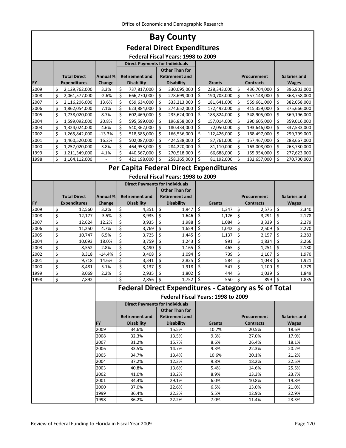| <b>Federal Direct Expenditures</b><br>Federal Fiscal Years: 1998 to 2009<br><b>Direct Payments for Individuals</b><br><b>Other Than for</b><br><b>Retirement and</b><br><b>Total Direct</b><br><b>Annual %</b><br><b>Retirement and</b><br><b>Procurement</b><br><b>FY</b><br><b>Expenditures</b><br>Change<br><b>Disability</b><br><b>Disability</b><br><b>Grants</b><br><b>Contracts</b><br>2009<br>\$<br>\$<br>\$<br>\$<br>\$<br>2,129,762,000<br>3.3%<br>737,817,000<br>228,343,000<br>330,095,000 |                                                                                                                                |  |  |  |  |  |  |  |  |  |  |  |  |
|--------------------------------------------------------------------------------------------------------------------------------------------------------------------------------------------------------------------------------------------------------------------------------------------------------------------------------------------------------------------------------------------------------------------------------------------------------------------------------------------------------|--------------------------------------------------------------------------------------------------------------------------------|--|--|--|--|--|--|--|--|--|--|--|--|
|                                                                                                                                                                                                                                                                                                                                                                                                                                                                                                        |                                                                                                                                |  |  |  |  |  |  |  |  |  |  |  |  |
|                                                                                                                                                                                                                                                                                                                                                                                                                                                                                                        |                                                                                                                                |  |  |  |  |  |  |  |  |  |  |  |  |
|                                                                                                                                                                                                                                                                                                                                                                                                                                                                                                        |                                                                                                                                |  |  |  |  |  |  |  |  |  |  |  |  |
|                                                                                                                                                                                                                                                                                                                                                                                                                                                                                                        |                                                                                                                                |  |  |  |  |  |  |  |  |  |  |  |  |
|                                                                                                                                                                                                                                                                                                                                                                                                                                                                                                        | <b>Salaries and</b>                                                                                                            |  |  |  |  |  |  |  |  |  |  |  |  |
|                                                                                                                                                                                                                                                                                                                                                                                                                                                                                                        | <b>Wages</b>                                                                                                                   |  |  |  |  |  |  |  |  |  |  |  |  |
|                                                                                                                                                                                                                                                                                                                                                                                                                                                                                                        | Ś<br>436,704,000<br>396,803,000                                                                                                |  |  |  |  |  |  |  |  |  |  |  |  |
| \$<br>\$<br>2008<br>\$<br>\$<br>\$<br>2,061,577,000<br>$-2.6%$<br>666,270,000<br>278,699,000<br>190,703,000                                                                                                                                                                                                                                                                                                                                                                                            | \$<br>557,148,000<br>368,758,000                                                                                               |  |  |  |  |  |  |  |  |  |  |  |  |
| \$<br>\$<br>\$<br>\$<br>\$<br>2007<br>2,116,206,000<br>13.6%<br>659,634,000<br>333,213,000<br>181,641,000                                                                                                                                                                                                                                                                                                                                                                                              | Ś<br>559,661,000<br>382,058,000                                                                                                |  |  |  |  |  |  |  |  |  |  |  |  |
| \$<br>\$<br>\$<br>\$<br>\$<br>2006<br>7.1%<br>1,862,054,000<br>623,884,000<br>274,652,000<br>172,492,000                                                                                                                                                                                                                                                                                                                                                                                               | \$<br>415,359,000<br>375,666,000                                                                                               |  |  |  |  |  |  |  |  |  |  |  |  |
| \$<br>\$<br>\$<br>\$<br>\$<br>8.7%<br>2005<br>1,738,020,000<br>602,469,000<br>233,624,000<br>183,824,000                                                                                                                                                                                                                                                                                                                                                                                               | \$<br>348,905,000<br>369,196,000                                                                                               |  |  |  |  |  |  |  |  |  |  |  |  |
| \$<br>\$<br>\$<br>\$<br>\$<br>2004<br>20.8%<br>595,599,000<br>196,858,000<br>1,599,092,000<br>157,014,000                                                                                                                                                                                                                                                                                                                                                                                              | \$<br>290,605,000<br>359,016,000                                                                                               |  |  |  |  |  |  |  |  |  |  |  |  |
| \$<br>\$<br>\$<br>\$<br>\$<br>1,324,024,000<br>4.6%<br>540,362,000<br>72,050,000<br>2003<br>180,434,000                                                                                                                                                                                                                                                                                                                                                                                                | \$<br>193,646,000<br>337,533,000                                                                                               |  |  |  |  |  |  |  |  |  |  |  |  |
| \$<br>\$<br>\$<br>\$<br>\$<br>2002<br>1,265,842,000<br>$-13.3%$<br>518,585,000<br>166,536,000<br>112,426,000                                                                                                                                                                                                                                                                                                                                                                                           | \$<br>168,497,000<br>299,799,000                                                                                               |  |  |  |  |  |  |  |  |  |  |  |  |
| \$<br>\$<br>\$<br>\$<br>\$<br>1,460,520,000<br>16.2%<br>502,087,000<br>87,761,000<br>2001<br>424,538,000<br>2000                                                                                                                                                                                                                                                                                                                                                                                       | \$<br>157,467,000<br>288,667,000                                                                                               |  |  |  |  |  |  |  |  |  |  |  |  |
| \$<br>\$<br>\$<br>\$<br>\$<br>\$<br>1,257,020,000<br>3.8%<br>464,953,000<br>284,220,000<br>81,110,000<br>163,008,000<br>263,730,000<br>\$<br>\$<br>\$<br>\$<br>\$<br>\$<br>1,211,349,000<br>4.1%<br>440,567,000<br>270,518,000<br>66,688,000<br>155,954,000                                                                                                                                                                                                                                            |                                                                                                                                |  |  |  |  |  |  |  |  |  |  |  |  |
| 1999<br>277,623,000<br>$\overline{\phantom{a}}$                                                                                                                                                                                                                                                                                                                                                                                                                                                        |                                                                                                                                |  |  |  |  |  |  |  |  |  |  |  |  |
| \$<br>\$<br>\$<br>\$<br>1998<br>\$<br>\$<br>1,164,112,000<br>421,198,000<br>258,365,000<br>81,192,000<br>132,657,000<br>270,700,000                                                                                                                                                                                                                                                                                                                                                                    |                                                                                                                                |  |  |  |  |  |  |  |  |  |  |  |  |
| Per Capita Federal Direct Expenditures                                                                                                                                                                                                                                                                                                                                                                                                                                                                 |                                                                                                                                |  |  |  |  |  |  |  |  |  |  |  |  |
| Federal Fiscal Years: 1998 to 2009                                                                                                                                                                                                                                                                                                                                                                                                                                                                     |                                                                                                                                |  |  |  |  |  |  |  |  |  |  |  |  |
| <b>Direct Payments for Individuals</b>                                                                                                                                                                                                                                                                                                                                                                                                                                                                 |                                                                                                                                |  |  |  |  |  |  |  |  |  |  |  |  |
| <b>Other Than for</b>                                                                                                                                                                                                                                                                                                                                                                                                                                                                                  |                                                                                                                                |  |  |  |  |  |  |  |  |  |  |  |  |
|                                                                                                                                                                                                                                                                                                                                                                                                                                                                                                        | <b>Total Direct</b><br><b>Retirement and</b><br><b>Retirement and</b><br><b>Annual %</b><br>Procurement<br><b>Salaries and</b> |  |  |  |  |  |  |  |  |  |  |  |  |
| <b>Disability</b><br><b>FY</b><br><b>Expenditures</b><br>Change<br><b>Disability</b><br>Grants<br><b>Contracts</b>                                                                                                                                                                                                                                                                                                                                                                                     |                                                                                                                                |  |  |  |  |  |  |  |  |  |  |  |  |
|                                                                                                                                                                                                                                                                                                                                                                                                                                                                                                        | <b>Wages</b>                                                                                                                   |  |  |  |  |  |  |  |  |  |  |  |  |
| \$<br>\$<br>\$<br>\$<br>\$<br>2009<br>3.2%<br>1,347<br>12,560<br>4,351<br>1,947                                                                                                                                                                                                                                                                                                                                                                                                                        | \$<br>2,575<br>2,340                                                                                                           |  |  |  |  |  |  |  |  |  |  |  |  |
| \$<br>\$<br>\$<br>\$<br>\$<br>2008<br>12,177<br>$-3.5%$<br>3,935<br>1,646<br>1,126                                                                                                                                                                                                                                                                                                                                                                                                                     | \$<br>3,291<br>2,178                                                                                                           |  |  |  |  |  |  |  |  |  |  |  |  |
| \$<br>\$<br>\$<br>\$<br>\$<br>2007<br>12,624<br>12.2%<br>3,935<br>1,988<br>1,084                                                                                                                                                                                                                                                                                                                                                                                                                       | \$<br>3,339<br>2,279                                                                                                           |  |  |  |  |  |  |  |  |  |  |  |  |
| \$<br>\$<br>\$<br>\$<br>\$<br>11,250<br>4.7%<br>3,769<br>1,659<br>1,042                                                                                                                                                                                                                                                                                                                                                                                                                                | \$<br>2,509<br>2,270                                                                                                           |  |  |  |  |  |  |  |  |  |  |  |  |
| 2006<br>\$<br>\$<br>\$<br>\$<br>2005<br>\$<br>3,725<br>10,747<br>6.5%<br>1,445<br>1,137                                                                                                                                                                                                                                                                                                                                                                                                                | \$<br>2,157<br>2,283                                                                                                           |  |  |  |  |  |  |  |  |  |  |  |  |
| \$<br>\$<br>\$<br>2004<br>\$<br>\$<br>10,093<br>18.0%<br>3,759<br>1,243<br>991                                                                                                                                                                                                                                                                                                                                                                                                                         | \$<br>1,834<br>2,266                                                                                                           |  |  |  |  |  |  |  |  |  |  |  |  |
| \$<br>\$<br>\$<br>\$<br>\$<br>2.8%<br>2003<br>8,552<br>3,490<br>1,165<br>465                                                                                                                                                                                                                                                                                                                                                                                                                           | \$<br>1,251<br>2,180                                                                                                           |  |  |  |  |  |  |  |  |  |  |  |  |
| \$<br>\$<br>\$<br>\$<br>\$<br>$-14.4%$<br>1,094<br>739<br>2002<br>8,318<br>3,408                                                                                                                                                                                                                                                                                                                                                                                                                       | \$<br>1,107<br>1,970                                                                                                           |  |  |  |  |  |  |  |  |  |  |  |  |
| \$<br>\$<br>\$<br>\$<br>\$<br>2001<br>14.6%<br>2,825<br>584<br>9,718<br>3,341                                                                                                                                                                                                                                                                                                                                                                                                                          | \$<br>1,048<br>1,921                                                                                                           |  |  |  |  |  |  |  |  |  |  |  |  |
| \$<br>\$<br>\$<br>\$<br>\$<br>2000<br>8,481<br>5.1%<br>3,137<br>1,918<br>547                                                                                                                                                                                                                                                                                                                                                                                                                           | \$<br>1,100<br>1,779                                                                                                           |  |  |  |  |  |  |  |  |  |  |  |  |
| 1999<br>\$<br>\$<br>\$<br>\$<br>\$<br>2.2%<br>8,069<br>2,935<br>1,802<br>444                                                                                                                                                                                                                                                                                                                                                                                                                           | \$<br>1,039<br>1,849                                                                                                           |  |  |  |  |  |  |  |  |  |  |  |  |
| 1998<br>\$<br>\$<br>\$<br>\$<br>\$<br>2,856<br>1,752<br>550<br>7,892                                                                                                                                                                                                                                                                                                                                                                                                                                   | $\overline{\mathsf{S}}$<br>899<br>1,835                                                                                        |  |  |  |  |  |  |  |  |  |  |  |  |
| <b>Federal Direct Expenditures - Category as % of Total</b>                                                                                                                                                                                                                                                                                                                                                                                                                                            |                                                                                                                                |  |  |  |  |  |  |  |  |  |  |  |  |
| Federal Fiscal Years: 1998 to 2009                                                                                                                                                                                                                                                                                                                                                                                                                                                                     |                                                                                                                                |  |  |  |  |  |  |  |  |  |  |  |  |
| <b>Direct Payments for Individuals</b>                                                                                                                                                                                                                                                                                                                                                                                                                                                                 |                                                                                                                                |  |  |  |  |  |  |  |  |  |  |  |  |
| <b>Other Than for</b>                                                                                                                                                                                                                                                                                                                                                                                                                                                                                  |                                                                                                                                |  |  |  |  |  |  |  |  |  |  |  |  |
| <b>Retirement and</b><br><b>Retirement and</b><br>Procurement                                                                                                                                                                                                                                                                                                                                                                                                                                          | <b>Salaries and</b>                                                                                                            |  |  |  |  |  |  |  |  |  |  |  |  |
| <b>FY</b><br><b>Disability</b><br><b>Disability</b><br>Grants<br><b>Contracts</b>                                                                                                                                                                                                                                                                                                                                                                                                                      | <b>Wages</b>                                                                                                                   |  |  |  |  |  |  |  |  |  |  |  |  |
| 2009<br>34.6%<br>15.5%<br>10.7%<br>20.5%                                                                                                                                                                                                                                                                                                                                                                                                                                                               | 18.6%                                                                                                                          |  |  |  |  |  |  |  |  |  |  |  |  |
| 2008<br>32.3%<br>13.5%<br>9.3%<br>27.0%                                                                                                                                                                                                                                                                                                                                                                                                                                                                | 17.9%                                                                                                                          |  |  |  |  |  |  |  |  |  |  |  |  |
| 2007<br>31.2%<br>15.7%<br>8.6%<br>26.4%                                                                                                                                                                                                                                                                                                                                                                                                                                                                | 18.1%                                                                                                                          |  |  |  |  |  |  |  |  |  |  |  |  |
| 2006<br>33.5%<br>14.7%<br>9.3%<br>22.3%                                                                                                                                                                                                                                                                                                                                                                                                                                                                | 20.2%                                                                                                                          |  |  |  |  |  |  |  |  |  |  |  |  |
| 2005<br>34.7%<br>13.4%<br>10.6%<br>20.1%                                                                                                                                                                                                                                                                                                                                                                                                                                                               | 21.2%                                                                                                                          |  |  |  |  |  |  |  |  |  |  |  |  |
| 2004<br>37.2%<br>12.3%<br>9.8%<br>18.2%                                                                                                                                                                                                                                                                                                                                                                                                                                                                | 22.5%                                                                                                                          |  |  |  |  |  |  |  |  |  |  |  |  |
| 2003<br>13.6%<br>5.4%<br>14.6%<br>40.8%                                                                                                                                                                                                                                                                                                                                                                                                                                                                | 25.5%                                                                                                                          |  |  |  |  |  |  |  |  |  |  |  |  |
| 2002<br>41.0%<br>13.2%<br>8.9%<br>13.3%                                                                                                                                                                                                                                                                                                                                                                                                                                                                | 23.7%                                                                                                                          |  |  |  |  |  |  |  |  |  |  |  |  |
| 2001<br>29.1%<br>34.4%<br>6.0%<br>10.8%                                                                                                                                                                                                                                                                                                                                                                                                                                                                | 19.8%                                                                                                                          |  |  |  |  |  |  |  |  |  |  |  |  |
| 2000<br>37.0%<br>22.6%<br>6.5%<br>13.0%<br>1999<br>36.4%<br>22.3%<br>5.5%<br>12.9%                                                                                                                                                                                                                                                                                                                                                                                                                     | 21.0%<br>22.9%                                                                                                                 |  |  |  |  |  |  |  |  |  |  |  |  |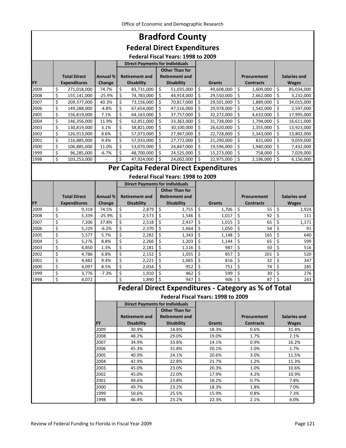| <b>Bradford County</b> |                                                    |                     |                          |    |                                        |            |                                    |            |               |             |                  |              |              |  |
|------------------------|----------------------------------------------------|---------------------|--------------------------|----|----------------------------------------|------------|------------------------------------|------------|---------------|-------------|------------------|--------------|--------------|--|
|                        | <b>Federal Direct Expenditures</b>                 |                     |                          |    |                                        |            |                                    |            |               |             |                  |              |              |  |
|                        |                                                    |                     |                          |    |                                        |            | Federal Fiscal Years: 1998 to 2009 |            |               |             |                  |              |              |  |
|                        |                                                    |                     |                          |    | <b>Direct Payments for Individuals</b> |            |                                    |            |               |             |                  |              |              |  |
|                        |                                                    |                     |                          |    |                                        |            | <b>Other Than for</b>              |            |               |             |                  |              |              |  |
|                        |                                                    | <b>Total Direct</b> | Annual %                 |    | <b>Retirement and</b>                  |            | <b>Retirement and</b>              |            |               | Procurement |                  | Salaries and |              |  |
| <b>FY</b>              | <b>Expenditures</b><br>Change<br><b>Disability</b> |                     |                          |    |                                        |            | <b>Disability</b>                  |            | <b>Grants</b> |             | <b>Contracts</b> |              | <b>Wages</b> |  |
| 2009                   | \$<br>\$<br>271,018,000<br>74.7%<br>83,731,000     |                     |                          |    | \$                                     | 51,035,000 | \$                                 | 49,608,000 | \$            | 1,609,000   | \$               | 85,034,000   |              |  |
| 2008                   | \$                                                 | 155,141,000         | $-25.9%$                 | \$ | 74,783,000                             | \$         | 44,914,000                         | \$         | 29,550,000    | \$          | 2,662,000        | \$           | 3,232,000    |  |
| 2007                   | \$                                                 | 209,377,000         | 40.3%                    | \$ | 73,156,000                             | \$         | 70,817,000                         | \$         | 29,501,000    | \$          | 1,889,000        | \$           | 34,015,000   |  |
| 2006                   | \$                                                 | 149,288,000         | $-4.8%$                  | \$ | 67,654,000                             | \$         | 47,516,000                         | \$         | 29,978,000    | \$          | 1,542,000        | \$           | 2,597,000    |  |
| 2005                   | \$                                                 | 156,819,000         | 7.1%                     | \$ | 64,163,000                             | \$         | 37,757,000                         | \$         | 32,272,000    | \$          | 4,632,000        | \$           | 17,995,000   |  |
| 2004                   | \$                                                 | 146,356,000         | 11.9%                    | \$ | 62,851,000                             | \$         | 33,363,000                         | \$         | 31,738,000    | \$          | 1,794,000        | \$           | 16,611,000   |  |
| 2003                   | \$                                                 | 130,819,000         | 3.1%                     | \$ | 58,821,000                             | \$         | 30,100,000                         | \$         | 26,620,000    | \$          | 1,355,000        | \$           | 13,923,000   |  |
| 2002                   | \$                                                 | 126,913,000         | 8.6%                     | \$ | 57,073,000                             | \$         | 27,967,000                         | \$         | 22,728,000    | \$          | 5,343,000        | \$           | 13,802,000   |  |
| 2001                   | \$                                                 | 116,885,000         | 9.4%                     | \$ | 57,933,000                             | \$         | 27,772,000                         | \$         | 21,290,000    | \$          | 831,000          | \$           | 9,059,000    |  |
| 2000                   | \$                                                 | 106,885,000         | 11.0%                    | \$ | 53,070,000                             | \$         | 24,847,000                         | Ś          | 19,596,000    | \$          | 1,940,000        | \$           | 7,432,000    |  |
| 1999                   | \$                                                 | 96,285,000          | $-6.7%$                  | \$ | 48,700,000                             | \$         | 24,525,000                         | \$         | 15,273,000    | \$          | 758,000          | \$           | 7,029,000    |  |
| 1998                   | Ś                                                  | 103,253,000         | $\overline{\phantom{0}}$ | Ś  | 47,924,000                             | Ś          | 24,002,000                         | Ś          | 22,975,000    | \$          | 2,196,000        | \$           | 6,156,000    |  |
|                        |                                                    |                     |                          |    | Per Capita Federal Direct Expenditures |            |                                    |            |               |             |                  |              |              |  |
|                        |                                                    |                     |                          |    |                                        |            | Federal Fiscal Years: 1998 to 2009 |            |               |             |                  |              |              |  |
|                        |                                                    |                     |                          |    | <b>Direct Payments for Individuals</b> |            |                                    |            |               |             |                  |              |              |  |

|            |                     |          | Direct Payments for Individuals |     |                       |             |               |     |                    |   |              |
|------------|---------------------|----------|---------------------------------|-----|-----------------------|-------------|---------------|-----|--------------------|---|--------------|
|            |                     |          |                                 |     | <b>Other Than for</b> |             |               |     |                    |   |              |
|            | <b>Total Direct</b> | Annual % | <b>Retirement and</b>           |     | <b>Retirement and</b> |             |               |     | <b>Procurement</b> |   | Salaries and |
| <b>IFY</b> | <b>Expenditures</b> | Change   | <b>Disability</b>               |     | <b>Disability</b>     |             | <b>Grants</b> |     | <b>Contracts</b>   |   | <b>Wages</b> |
| 2009       | \$<br>9,318         | 74.5%    | 2,879                           | \$  | 1,755                 | \$<br>1,706 |               |     | 55                 | Ś | 2,924        |
| 2008       | \$<br>5,339         | $-25.9%$ | 2,573                           | \$. | 1,546                 | \$          | 1,017         |     | 92                 |   | 111          |
| 2007       | \$<br>7,206         | 37.8%    | 2,518                           |     | 2,437                 |             | 1,015         |     | 65                 |   | 1,171        |
| 2006       | \$<br>5,229         | $-6.2%$  | 2,370                           |     | 1,664                 | Ŝ           | 1,050         |     | 54                 |   | 91           |
| 2005       | \$<br>5,577         | 5.7%     | 2,282                           |     | 1,343                 |             | 1,148         | 165 |                    |   | 640          |
| 2004       | \$<br>5,276         | 8.8%     | 2,266                           | -S  | 1,203                 | Ŝ           | 1,144         |     | 65                 |   | 599          |
| 2003       | \$<br>4,850         | 1.3%     | 2,181                           | \$  | 1,116                 |             | 987           |     | 50                 |   | 516          |
| 2002       | \$<br>4,786         | 6.8%     | 2,152                           |     | 1,055                 |             | 857           |     | 201                |   | 520          |
| 2001       | \$<br>4,482         | 9.4%     | 2,221                           |     | 1,065                 |             | 816           |     | 32                 |   | 347          |
| 2000       | \$<br>4,097         | 8.5%     | 2,034                           |     | 952                   |             | 751           |     | 74                 |   | 285          |
| 1999       | \$<br>3,776         | $-7.3%$  | 1,910                           |     | 962                   |             | 599           |     | 30                 |   | 276          |
| 1998       | \$<br>4,072         |          | 1,890                           | \$  | 947                   |             | 906           |     | 87                 |   | 243          |

### **Federal Direct Expenditures ‐ Category as % of Total**

**Federal Fiscal Years: 1998 to 2009**

|           | <b>Direct Payments for Individuals</b> |                       |               |                  |              |
|-----------|----------------------------------------|-----------------------|---------------|------------------|--------------|
|           |                                        | <b>Other Than for</b> |               |                  |              |
|           | <b>Retirement and</b>                  | <b>Retirement and</b> |               | Procurement      | Salaries and |
| <b>FY</b> | <b>Disability</b>                      | <b>Disability</b>     | <b>Grants</b> | <b>Contracts</b> | <b>Wages</b> |
| 2009      | 30.9%                                  | 18.8%                 | 18.3%         | 0.6%             | 31.4%        |
| 2008      | 48.2%                                  | 29.0%                 | 19.0%         | 1.7%             | 2.1%         |
| 2007      | 34.9%                                  | 33.8%                 | 14.1%         | 0.9%             | 16.2%        |
| 2006      | 45.3%                                  | 31.8%                 | 20.1%         | 1.0%             | 1.7%         |
| 2005      | 40.9%                                  | 24.1%                 | 20.6%         | 3.0%             | 11.5%        |
| 2004      | 42.9%                                  | 22.8%                 | 21.7%         | 1.2%             | 11.3%        |
| 2003      | 45.0%                                  | 23.0%                 | 20.3%         | 1.0%             | 10.6%        |
| 2002      | 45.0%                                  | 22.0%                 | 17.9%         | 4.2%             | 10.9%        |
| 2001      | 49.6%                                  | 23.8%                 | 18.2%         | 0.7%             | 7.8%         |
| 2000      | 49.7%                                  | 23.2%                 | 18.3%         | 1.8%             | 7.0%         |
| 1999      | 50.6%                                  | 25.5%                 | 15.9%         | 0.8%             | 7.3%         |
| 1998      | 46.4%                                  | 23.2%                 | 22.3%         | 2.1%             | 6.0%         |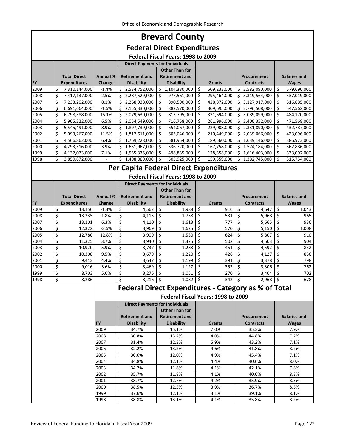| <b>Brevard County</b>              |                                                                                                                                          |          |                                        |                                                             |    |               |                           |                     |  |  |  |  |  |
|------------------------------------|------------------------------------------------------------------------------------------------------------------------------------------|----------|----------------------------------------|-------------------------------------------------------------|----|---------------|---------------------------|---------------------|--|--|--|--|--|
|                                    |                                                                                                                                          |          |                                        |                                                             |    |               |                           |                     |  |  |  |  |  |
|                                    |                                                                                                                                          |          |                                        | <b>Federal Direct Expenditures</b>                          |    |               |                           |                     |  |  |  |  |  |
|                                    |                                                                                                                                          |          | <b>Direct Payments for Individuals</b> | Federal Fiscal Years: 1998 to 2009                          |    |               |                           |                     |  |  |  |  |  |
|                                    |                                                                                                                                          |          |                                        | <b>Other Than for</b>                                       |    |               |                           |                     |  |  |  |  |  |
|                                    | <b>Total Direct</b>                                                                                                                      | Annual % | <b>Retirement and</b>                  | <b>Retirement and</b>                                       |    |               | Procurement               | <b>Salaries and</b> |  |  |  |  |  |
| FY                                 | <b>Expenditures</b>                                                                                                                      | Change   | <b>Disability</b>                      | <b>Disability</b>                                           |    | <b>Grants</b> | <b>Contracts</b>          | <b>Wages</b>        |  |  |  |  |  |
| 2009                               | \$<br>7,310,144,000                                                                                                                      | $-1.4%$  | \$<br>2,534,752,000                    | \$<br>1,104,380,000                                         | \$ | 509,233,000   | \$<br>2,582,090,000       | \$<br>579,690,000   |  |  |  |  |  |
| 2008                               | \$<br>7,417,137,000                                                                                                                      | 2.5%     | \$<br>2,287,529,000                    | \$<br>977,561,000                                           | \$ | 295,464,000   | \$<br>3,319,564,000       | \$<br>537,019,000   |  |  |  |  |  |
| 2007                               | \$<br>7,233,202,000                                                                                                                      | 8.1%     | \$<br>2,268,938,000                    | \$<br>890,590,000                                           | \$ | 428,872,000   | \$<br>3,127,917,000       | \$<br>516,885,000   |  |  |  |  |  |
| 2006                               | \$<br>6,691,664,000                                                                                                                      | $-1.6%$  | \$<br>2,155,330,000                    | \$<br>882,570,000                                           | \$ | 309,695,000   | \$<br>2,796,508,000       | \$<br>547,562,000   |  |  |  |  |  |
| 2005                               | \$<br>6,798,388,000                                                                                                                      | 15.1%    | \$<br>2,079,630,000                    | \$<br>813,795,000                                           | \$ | 331,694,000   | \$<br>3,089,099,000       | Ś<br>484,170,000    |  |  |  |  |  |
| 2004                               | \$<br>5,905,222,000                                                                                                                      | 6.5%     | \$<br>2,054,549,000                    | \$<br>716,758,000                                           | \$ | 261,996,000   | Ś<br>2,400,352,000        | \$<br>471,568,000   |  |  |  |  |  |
| 2003                               | \$<br>5,545,491,000                                                                                                                      | 8.9%     | Ś<br>1,897,739,000                     | \$<br>654,067,000                                           | \$ | 229,008,000   | \$<br>2,331,890,000       | \$<br>432,787,000   |  |  |  |  |  |
| 2002                               | \$<br>5,093,267,000                                                                                                                      | 11.5%    | \$<br>1,817,611,000                    | \$<br>603,046,000                                           | \$ | 210,449,000   | \$<br>2,039,066,000       | \$<br>423,096,000   |  |  |  |  |  |
| 2001                               | \$<br>\$<br>\$<br>\$<br>\$<br>\$<br>6.4%<br>4,566,862,000<br>1,769,228,000<br>581,954,000<br>189,560,000<br>1,639,146,000<br>386,973,000 |          |                                        |                                                             |    |               |                           |                     |  |  |  |  |  |
| 2000                               | \$<br>\$<br>\$<br>\$<br>3.9%<br>\$<br>\$<br>4,293,516,000<br>1,651,967,000<br>536,720,000<br>167,758,000<br>1,574,184,000<br>362,886,000 |          |                                        |                                                             |    |               |                           |                     |  |  |  |  |  |
| 1999                               | \$<br>\$<br>\$<br>\$<br>\$<br>\$<br>4,132,023,000<br>7.1%<br>1,555,335,000<br>128,358,000<br>1,616,403,000<br>498,835,000<br>333,092,000 |          |                                        |                                                             |    |               |                           |                     |  |  |  |  |  |
| 1998                               | \$<br>3,859,872,000                                                                                                                      |          | \$<br>1,498,089,000                    | \$<br>503,925,000                                           | \$ | 159,359,000   | \$<br>1,382,745,000       | Ś<br>315,754,000    |  |  |  |  |  |
|                                    | Per Capita Federal Direct Expenditures                                                                                                   |          |                                        |                                                             |    |               |                           |                     |  |  |  |  |  |
| Federal Fiscal Years: 1998 to 2009 |                                                                                                                                          |          |                                        |                                                             |    |               |                           |                     |  |  |  |  |  |
|                                    | <b>Direct Payments for Individuals</b>                                                                                                   |          |                                        |                                                             |    |               |                           |                     |  |  |  |  |  |
|                                    |                                                                                                                                          |          |                                        | <b>Other Than for</b>                                       |    |               |                           |                     |  |  |  |  |  |
|                                    | <b>Total Direct</b>                                                                                                                      | Annual % | <b>Retirement and</b>                  | <b>Retirement and</b>                                       |    |               | Procurement               | <b>Salaries and</b> |  |  |  |  |  |
| <b>FY</b>                          | <b>Expenditures</b>                                                                                                                      | Change   | <b>Disability</b>                      | <b>Disability</b>                                           |    | Grants        | <b>Contracts</b>          | <b>Wages</b>        |  |  |  |  |  |
| 2009                               | \$<br>13,156                                                                                                                             | $-1.3%$  | \$<br>4,562                            | \$<br>1,988                                                 | \$ | 916           | \$<br>4,647               | \$<br>1,043         |  |  |  |  |  |
| 2008                               | \$<br>13,335                                                                                                                             | 1.8%     | \$<br>4,113                            | \$<br>1,758                                                 | \$ | 531           | \$<br>5,968               | \$<br>965           |  |  |  |  |  |
| 2007                               | \$<br>13,101                                                                                                                             | 6.3%     | \$<br>4,110                            | \$<br>1,613                                                 | \$ | 777           | \$<br>5,665               | \$<br>936           |  |  |  |  |  |
| 2006                               | \$<br>12,322                                                                                                                             | -3.6%    | \$<br>3,969                            | \$<br>1,625                                                 | \$ | 570           | \$<br>5,150               | \$<br>1,008         |  |  |  |  |  |
| 2005                               | \$<br>12,780                                                                                                                             | 12.8%    | \$<br>3,909                            | \$<br>1,530                                                 | \$ | 624           | \$<br>5,807               | \$<br>910           |  |  |  |  |  |
| 2004                               | \$<br>11,325                                                                                                                             | 3.7%     | \$<br>3,940                            | \$<br>1,375                                                 | \$ | 502           | \$<br>4,603               | \$<br>904           |  |  |  |  |  |
| 2003                               | \$<br>10,920                                                                                                                             | 5.9%     | \$<br>3,737                            | $\overline{\xi}$<br>1,288                                   | \$ | 451           | $\overline{\xi}$<br>4,592 | \$<br>852           |  |  |  |  |  |
| 2002                               | \$<br>10,308                                                                                                                             | 9.5%     | \$<br>3,679                            | \$<br>1,220                                                 | \$ | 426           | \$<br>4,127               | \$<br>856           |  |  |  |  |  |
| 2001                               | \$<br>9,413                                                                                                                              | 4.4%     | \$<br>3,647                            | \$<br>1,199                                                 | \$ | 391           | \$<br>3,378               | \$<br>798           |  |  |  |  |  |
| 2000                               | \$<br>9,016                                                                                                                              | 3.6%     | \$<br>3,469                            | \$<br>1,127                                                 | \$ | 352           | \$<br>3,306               | \$<br>762           |  |  |  |  |  |
| 1999                               | \$<br>8,703                                                                                                                              | 5.0%     | \$<br>3,276                            | \$<br>1,051                                                 | \$ | 270           | \$<br>3,404               | \$<br>702           |  |  |  |  |  |
| 1998                               | Ś<br>8,286                                                                                                                               |          | Ś.<br>3,216                            | \$<br>1,082                                                 | Ś. | 342           | \$<br>2,968               | Ś.<br>678           |  |  |  |  |  |
|                                    |                                                                                                                                          |          |                                        | <b>Federal Direct Expenditures - Category as % of Total</b> |    |               |                           |                     |  |  |  |  |  |
|                                    |                                                                                                                                          |          |                                        | Federal Fiscal Years: 1998 to 2009                          |    |               |                           |                     |  |  |  |  |  |
|                                    |                                                                                                                                          |          |                                        | <b>Direct Payments for Individuals</b>                      |    |               |                           |                     |  |  |  |  |  |
|                                    |                                                                                                                                          |          |                                        | <b>Other Than for</b>                                       |    |               |                           |                     |  |  |  |  |  |
|                                    |                                                                                                                                          |          | <b>Retirement and</b>                  | <b>Retirement and</b>                                       |    |               | Procurement               | <b>Salaries and</b> |  |  |  |  |  |
|                                    |                                                                                                                                          | FY       | <b>Disability</b>                      | <b>Disability</b>                                           |    | Grants        | <b>Contracts</b>          | <b>Wages</b>        |  |  |  |  |  |
|                                    |                                                                                                                                          | 2009     | 34.7%                                  | 15.1%                                                       |    | 7.0%          | 35.3%                     | 7.9%                |  |  |  |  |  |
|                                    |                                                                                                                                          | 2008     | 30.8%                                  | 13.2%                                                       |    | 4.0%          | 44.8%                     | 7.2%                |  |  |  |  |  |
|                                    |                                                                                                                                          | 2007     | 31.4%                                  | 12.3%                                                       |    | 5.9%          | 43.2%                     | 7.1%                |  |  |  |  |  |
|                                    |                                                                                                                                          | 2006     | 32.2%                                  | 13.2%                                                       |    | 4.6%          | 41.8%                     | 8.2%                |  |  |  |  |  |
|                                    |                                                                                                                                          | 2005     | 30.6%                                  | 12.0%                                                       |    | 4.9%          | 45.4%                     | 7.1%                |  |  |  |  |  |
|                                    | 2004<br>34.8%<br>12.1%<br>4.4%<br>40.6%<br>8.0%                                                                                          |          |                                        |                                                             |    |               |                           |                     |  |  |  |  |  |
|                                    | 2003<br>34.2%<br>11.8%<br>4.1%<br>42.1%<br>7.8%                                                                                          |          |                                        |                                                             |    |               |                           |                     |  |  |  |  |  |
|                                    | 2002<br>8.3%<br>35.7%<br>11.8%<br>4.1%<br>40.0%                                                                                          |          |                                        |                                                             |    |               |                           |                     |  |  |  |  |  |
|                                    | 2001<br>38.7%<br>12.7%<br>4.2%<br>35.9%<br>8.5%                                                                                          |          |                                        |                                                             |    |               |                           |                     |  |  |  |  |  |
|                                    |                                                                                                                                          | 2000     | 38.5%                                  | 12.5%                                                       |    | 3.9%          | 36.7%                     | 8.5%                |  |  |  |  |  |
|                                    |                                                                                                                                          | 1999     | 37.6%                                  | 12.1%                                                       |    | 3.1%          | 39.1%                     | 8.1%                |  |  |  |  |  |
|                                    |                                                                                                                                          | 1998     | 38.8%                                  | 13.1%                                                       |    | 4.1%          | 35.8%                     | 8.2%                |  |  |  |  |  |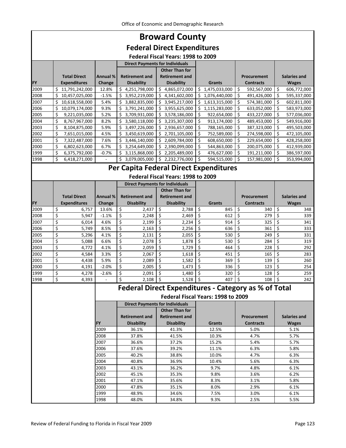| <b>Broward County</b>              |                      |                 |                                        |                                        |     |               |                  |                  |                  |                     |  |  |  |
|------------------------------------|----------------------|-----------------|----------------------------------------|----------------------------------------|-----|---------------|------------------|------------------|------------------|---------------------|--|--|--|
| <b>Federal Direct Expenditures</b> |                      |                 |                                        |                                        |     |               |                  |                  |                  |                     |  |  |  |
|                                    |                      |                 |                                        | Federal Fiscal Years: 1998 to 2009     |     |               |                  |                  |                  |                     |  |  |  |
|                                    |                      |                 |                                        | <b>Direct Payments for Individuals</b> |     |               |                  |                  |                  |                     |  |  |  |
|                                    |                      |                 |                                        | <b>Other Than for</b>                  |     |               |                  |                  |                  |                     |  |  |  |
|                                    | <b>Total Direct</b>  | <b>Annual %</b> | <b>Retirement and</b>                  | <b>Retirement and</b>                  |     |               |                  | Procurement      |                  | <b>Salaries and</b> |  |  |  |
| <b>FY</b>                          | <b>Expenditures</b>  | Change          | <b>Disability</b>                      | <b>Disability</b>                      |     | <b>Grants</b> |                  | <b>Contracts</b> |                  | <b>Wages</b>        |  |  |  |
| 2009                               | \$<br>11,791,242,000 | 12.8%           | \$<br>4,251,798,000                    | \$4,865,072,000                        | \$  | 1,475,033,000 | \$               | 592,567,000      | \$               | 606,772,000         |  |  |  |
| 2008                               | \$<br>10,457,025,000 | $-1.5%$         | \$<br>3,952,219,000                    | 4,341,602,000<br>S                     | \$  | 1,076,440,000 | \$               | 491,426,000      | \$               | 595,337,000         |  |  |  |
| 2007                               | \$<br>10,618,558,000 | 5.4%            | \$<br>3,882,835,000                    | \$<br>3,945,217,000                    | \$  | 1,613,315,000 | \$               | 574,381,000      | \$               | 602,811,000         |  |  |  |
| 2006                               | \$<br>10,079,174,000 | 9.3%            | Ś<br>3,791,241,000                     | Ś<br>3,955,625,000                     | \$  | 1,115,283,000 | \$               | 633,052,000      | Ś                | 583,973,000         |  |  |  |
| 2005                               | \$<br>9,221,035,000  | 5.2%            | \$<br>3,709,931,000                    | \$3,578,186,000                        | \$  | 922,654,000   | \$               | 433,227,000      | Ś                | 577,036,000         |  |  |  |
| 2004                               | \$<br>8,767,967,000  | 8.2%            | \$<br>3,580,118,000                    | \$<br>3,235,307,000                    | \$  | 913,174,000   | \$               | 489,453,000      | \$               | 549,916,000         |  |  |  |
| 2003                               | \$<br>8,104,875,000  | 5.9%            | \$<br>3,497,226,000                    | \$.<br>2,936,657,000                   | \$  | 788,165,000   | \$               | 387,323,000      | \$               | 495,503,000         |  |  |  |
| 2002                               | \$<br>7,651,015,000  | 4.5%            | \$<br>3,450,619,000                    | \$2,701,105,000                        | \$  | 752,589,000   | \$               | 274,598,000      | \$               | 472,105,000         |  |  |  |
| 2001                               | \$<br>7,322,487,000  | 7.6%            | \$<br>3,446,140,000                    | \$2,609,784,000                        | \$  | 608,650,000   | \$               | 229,654,000      | \$               | 428,258,000         |  |  |  |
| 2000                               | \$<br>6,802,623,000  | 6.7%            | \$<br>3,254,649,000                    | \$2,390,099,000                        | \$  | 544,863,000   | \$               | 200,075,000      | \$               | 412,939,000         |  |  |  |
| 1999                               | \$<br>6,375,792,000  | $-0.7%$         | Ś<br>3,115,868,000                     | \$2,205,489,000                        | \$  | 476,627,000   | Ś.               | 191,211,000      | Ś                | 386,597,000         |  |  |  |
| 1998                               | \$<br>6,418,271,000  |                 | \$<br>3,079,005,000                    | \$2,232,776,000                        | \$  | 594,515,000   | Ś.               | 157,981,000      | Ś                | 353,994,000         |  |  |  |
|                                    |                      |                 | Per Capita Federal Direct Expenditures |                                        |     |               |                  |                  |                  |                     |  |  |  |
|                                    |                      |                 |                                        | Federal Fiscal Years: 1998 to 2009     |     |               |                  |                  |                  |                     |  |  |  |
|                                    |                      |                 |                                        | <b>Direct Payments for Individuals</b> |     |               |                  |                  |                  |                     |  |  |  |
|                                    |                      |                 |                                        | <b>Other Than for</b>                  |     |               |                  |                  |                  |                     |  |  |  |
|                                    | <b>Total Direct</b>  | <b>Annual %</b> | <b>Retirement and</b>                  | <b>Retirement and</b>                  |     |               |                  | Procurement      |                  | <b>Salaries and</b> |  |  |  |
| <b>FY</b>                          | <b>Expenditures</b>  | Change          | <b>Disability</b>                      | <b>Disability</b>                      |     | <b>Grants</b> |                  | <b>Contracts</b> |                  | <b>Wages</b>        |  |  |  |
| 2009                               | \$<br>6,757          | 13.6%           | \$<br>2,437                            | \$<br>2,788                            | \$  | 845           | \$               | 340              | \$               | 348                 |  |  |  |
| 2008                               | \$<br>5,947          | $-1.1%$         | \$<br>2,248                            | \$<br>2,469                            | \$  | 612           | \$               | 279              | \$               | 339                 |  |  |  |
| 2007                               | \$<br>6,014          | 4.6%            | \$<br>2,199                            | \$<br>2,234                            | \$  | 914           | $\overline{\xi}$ | 325              | $\overline{\xi}$ | 341                 |  |  |  |
| 2006                               | \$<br>5,749          | 8.5%            | \$<br>2,163                            | \$<br>2,256                            | \$  | 636           | \$               | 361              | \$               | 333                 |  |  |  |
| 2005                               | \$<br>5,296          | 4.1%            | \$<br>2,131                            | \$<br>2,055                            | \$  | 530           | \$               | 249              | \$               | 331                 |  |  |  |
| 2004                               | \$<br>5,088          | \$<br>2,078     | \$<br>1,878                            | \$                                     | 530 | \$            | 284              | \$               | 319              |                     |  |  |  |
| 2003                               | \$<br>4,772          | 4.1%            | \$<br>2,059                            | \$<br>1,729                            | \$  | 464           | \$               | 228              | \$               | 292                 |  |  |  |

|      |       |         | $-$ | $\sim$ $\sim$ | $\sim$ | $\sim$ $\sim$ | $\sim$ | $ -$ | $\sim$ $\sim$ |     |
|------|-------|---------|-----|---------------|--------|---------------|--------|------|---------------|-----|
| 1998 | 4,393 | . .     |     | 2,108         |        | 1,528         | 407    | 108  |               | 242 |
| 1999 | 4,278 | $-2.6%$ |     | 2,091         |        | 1,480         | 320    | 128  |               | 259 |
| 2000 | 4,191 | $-2.0%$ |     | 2,005         |        | 1,473         | 336    | 123  |               | 254 |
| 2001 | 4,438 | 5.9%    |     | 2,089         |        | 1,582         | 369    | 139  |               | 260 |
| 2002 | 4,584 | 3.3%    |     | 2,067         |        | 1,618         | 451    | 165  |               | 283 |
| 2003 | 4,772 | 4.1%    |     | 2,059         |        | 1,729         | 464    | 228  |               | 292 |

## **Federal Direct Expenditures ‐ Category as % of Total**

**Federal Fiscal Years: 1998 to 2009**

|           |                       | <b>Direct Payments for Individuals</b> |               |                  |              |
|-----------|-----------------------|----------------------------------------|---------------|------------------|--------------|
|           |                       | <b>Other Than for</b>                  |               |                  |              |
|           | <b>Retirement and</b> | <b>Retirement and</b>                  |               | Procurement      | Salaries and |
| <b>FY</b> | <b>Disability</b>     | <b>Disability</b>                      | <b>Grants</b> | <b>Contracts</b> | <b>Wages</b> |
| 2009      | 36.1%                 | 41.3%                                  | 12.5%         | 5.0%             | 5.1%         |
| 2008      | 37.8%                 | 41.5%                                  | 10.3%         | 4.7%             | 5.7%         |
| 2007      | 36.6%                 | 37.2%                                  | 15.2%         | 5.4%             | 5.7%         |
| 2006      | 37.6%                 | 39.2%                                  | 11.1%         | 6.3%             | 5.8%         |
| 2005      | 40.2%                 | 38.8%                                  | 10.0%         | 4.7%             | 6.3%         |
| 2004      | 40.8%                 | 36.9%                                  | 10.4%         | 5.6%             | 6.3%         |
| 2003      | 43.1%                 | 36.2%                                  | 9.7%          | 4.8%             | 6.1%         |
| 2002      | 45.1%                 | 35.3%                                  | 9.8%          | 3.6%             | 6.2%         |
| 2001      | 47.1%                 | 35.6%                                  | 8.3%          | 3.1%             | 5.8%         |
| 2000      | 47.8%                 | 35.1%                                  | 8.0%          | 2.9%             | 6.1%         |
| 1999      | 48.9%                 | 34.6%                                  | 7.5%          | 3.0%             | 6.1%         |
| 1998      | 48.0%                 | 34.8%                                  | 9.3%          | 2.5%             | 5.5%         |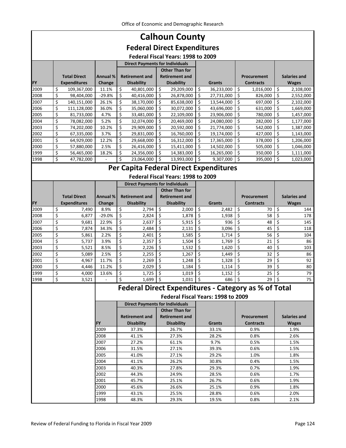2003 40.3% 27.8% 29.3% 0.7% 1.9% 2002 44.3% 24.9% 28.5% 0.6% 1.7% 2001 45.7% 25.1% 26.7% 0.6% 1.9% 2000 45.6% 26.6% 25.1% 0.9% 1.8% 1999 | 43.1% | 25.5% | 28.8% | 0.6% | 2.0% 1998 48.3% 29.3% 19.5% 0.8% 2.1%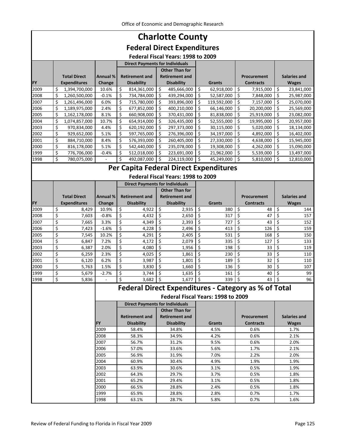|           | <b>Charlotte County</b>            |                     |                 |    |                                        |    |                                        |    |               |         |                  |                  |                     |
|-----------|------------------------------------|---------------------|-----------------|----|----------------------------------------|----|----------------------------------------|----|---------------|---------|------------------|------------------|---------------------|
|           |                                    |                     |                 |    |                                        |    | <b>Federal Direct Expenditures</b>     |    |               |         |                  |                  |                     |
|           | Federal Fiscal Years: 1998 to 2009 |                     |                 |    |                                        |    |                                        |    |               |         |                  |                  |                     |
|           |                                    |                     |                 |    | <b>Direct Payments for Individuals</b> |    |                                        |    |               |         |                  |                  |                     |
|           |                                    |                     |                 |    |                                        |    | <b>Other Than for</b>                  |    |               |         |                  |                  |                     |
|           |                                    | <b>Total Direct</b> | <b>Annual %</b> |    | <b>Retirement and</b>                  |    | <b>Retirement and</b>                  |    |               |         | Procurement      |                  | <b>Salaries and</b> |
| <b>FY</b> |                                    | <b>Expenditures</b> | Change          |    | <b>Disability</b>                      |    | <b>Disability</b>                      |    | <b>Grants</b> |         | <b>Contracts</b> |                  | <b>Wages</b>        |
| 2009      | \$                                 | 1,394,700,000       | 10.6%           | \$ | 814,361,000                            | \$ | 485,666,000                            | \$ | 62,918,000    | \$      | 7,915,000        | \$               | 23,841,000          |
| 2008      | \$                                 | 1,260,500,000       | $-0.1%$         | \$ | 734,784,000                            | \$ | 439,294,000                            | \$ | 52,587,000    | \$      | 7,848,000        | \$               | 25,987,000          |
| 2007      | \$                                 | 1,261,496,000       | 6.0%            | \$ | 715,780,000                            | \$ | 393,896,000                            | \$ | 119,592,000   | \$      | 7,157,000        | \$               | 25,070,000          |
| 2006      | \$                                 | 1,189,975,000       | 2.4%            | \$ | 677,852,000                            | \$ | 400,210,000                            | Ś  | 66,146,000    | Ś.      | 20,200,000       | \$               | 25,569,000          |
| 2005      | \$                                 | 1,162,178,000       | 8.1%            | \$ | 660,908,000                            | \$ | 370,431,000                            | Ś  | 81,838,000    | Ś       | 25,919,000       | \$               | 23,082,000          |
| 2004      | \$                                 | 1,074,857,000       | 10.7%           | \$ | 654,914,000                            | \$ | 326,435,000                            | \$ | 52,555,000    | \$      | 19,995,000       | \$               | 20,957,000          |
| 2003      | \$                                 | 970,834,000         | 4.4%            | \$ | 620,192,000                            | \$ | 297,373,000                            | \$ | 30,115,000    | \$      | 5,020,000        | \$               | 18,134,000          |
| 2002      | \$                                 | 929,652,000         | 5.1%            | \$ | 597,765,000                            | \$ | 276,396,000                            | \$ | 34,197,000    | \$      | 4,892,000        | \$               | 16,402,000          |
| 2001      | \$                                 | 884,710,000         | 8.4%            | \$ | 576,393,000                            | \$ | 260,405,000                            | \$ | 27,330,000    | $\zeta$ | 4,638,000        | \$               | 15,945,000          |
| 2000      | \$                                 | 816,178,000         | 5.1%            | \$ | 542,440,000                            | \$ | 235,078,000                            | \$ | 19,308,000    | $\zeta$ | 4,262,000        | \$               | 15,090,000          |
| 1999      | \$                                 | 776,706,000         | $-0.4%$         | \$ | 512,018,000                            | Ś. | 223,691,000                            | Ś  | 21,962,000    | $\zeta$ | 5,539,000        | Ś                | 13,497,000          |
| 1998      | \$                                 | 780,075,000         |                 | \$ | 492,087,000                            | Ś  | 224,119,000                            | \$ | 45,249,000    | l s     | 5,810,000        | \$               | 12,810,000          |
|           |                                    |                     |                 |    |                                        |    | Per Capita Federal Direct Expenditures |    |               |         |                  |                  |                     |
|           |                                    |                     |                 |    |                                        |    | Federal Fiscal Years: 1998 to 2009     |    |               |         |                  |                  |                     |
|           |                                    |                     |                 |    | <b>Direct Payments for Individuals</b> |    |                                        |    |               |         |                  |                  |                     |
|           |                                    |                     |                 |    |                                        |    | <b>Other Than for</b>                  |    |               |         |                  |                  |                     |
|           |                                    | <b>Total Direct</b> | Annual %        |    | <b>Retirement and</b>                  |    | <b>Retirement and</b>                  |    |               |         | Procurement      |                  | <b>Salaries and</b> |
| <b>FY</b> |                                    | <b>Expenditures</b> | Change          |    | <b>Disability</b>                      |    | <b>Disability</b>                      |    | <b>Grants</b> |         | <b>Contracts</b> |                  | <b>Wages</b>        |
| 2009      | \$                                 | 8,429               | 10.9%           | \$ | 4,922                                  | \$ | 2,935                                  | \$ | 380           | $\zeta$ | 48               | \$               | 144                 |
| 2008      | \$                                 | 7,603               | $-0.8%$         | \$ | 4,432                                  | \$ | 2,650                                  | \$ | 317           | $\zeta$ | 47               | \$               | 157                 |
| 2007      | \$                                 | 7,665               | 3.3%            | \$ | 4,349                                  | \$ | 2,393                                  | \$ | 727           | \$      | 43               | \$               | 152                 |
| 2006      | $\overline{\mathsf{S}}$            | 7.423               | $-1.6%$         | \$ | 4,228                                  | \$ | 2,496                                  | \$ | 413           | \$      | 126              | $\overline{\xi}$ | 159                 |
| 2005      | \$                                 | 7,545               | 10.2%           | \$ | 4,291                                  | Ś  | 2,405                                  | Ś  | 531           | \$      | 168              | \$               | 150                 |
| 2004      | \$                                 | 6,847               | 7.2%            | \$ | 4,172                                  | \$ | 2,079                                  | \$ | 335           | \$      | 127              | \$               | 133                 |
| 2003      | \$                                 | 6,387               | 2.0%            | \$ | 4,080                                  | \$ | 1,956                                  | \$ | 198           | \$      | 33               | \$               | 119                 |
| 2002      | \$                                 | 6,259               | 2.3%            | \$ | 4,025                                  | \$ | 1,861                                  | \$ | 230           | \$      | 33               | $\overline{\xi}$ | 110                 |
| 2001      | $\overline{\xi}$                   | 6,120               | 6.2%            | \$ | 3,987                                  | \$ | 1,801                                  | \$ | 189           | \$      | 32               | $\overline{\xi}$ | 110                 |
| 2000      | \$                                 | 5,763               | 1.5%            | \$ | 3,830                                  | \$ | 1,660                                  | \$ | 136           | \$      | 30               | \$               | 107                 |
| 1999      | \$                                 | 5,679               | $-2.7%$         | \$ | 3,744                                  | \$ | 1,635                                  | \$ | 161           | \$      | 40               | $\overline{\xi}$ | 99                  |

1998 5,836 \$ ‐ \$ 3,682 \$ 1,677 \$ 339 \$ 43 \$ 96

### **Federal Direct Expenditures ‐ Category as % of Total**

**Federal Fiscal Years: 1998 to 2009**

|           |                       | <b>Direct Payments for Individuals</b> |               |                  |              |
|-----------|-----------------------|----------------------------------------|---------------|------------------|--------------|
|           |                       | <b>Other Than for</b>                  |               |                  |              |
|           | <b>Retirement and</b> | <b>Retirement and</b>                  |               | Procurement      | Salaries and |
| <b>FY</b> | <b>Disability</b>     | <b>Disability</b>                      | <b>Grants</b> | <b>Contracts</b> | <b>Wages</b> |
| 2009      | 58.4%                 | 34.8%                                  | 4.5%          | 0.6%             | 1.7%         |
| 2008      | 58.3%                 | 34.9%                                  | 4.2%          | 0.6%             | 2.1%         |
| 2007      | 56.7%                 | 31.2%                                  | 9.5%          | 0.6%             | 2.0%         |
| 2006      | 57.0%                 | 33.6%                                  | 5.6%          | 1.7%             | 2.1%         |
| 2005      | 56.9%                 | 31.9%                                  | 7.0%          | 2.2%             | 2.0%         |
| 2004      | 60.9%                 | 30.4%                                  | 4.9%          | 1.9%             | 1.9%         |
| 2003      | 63.9%                 | 30.6%                                  | 3.1%          | 0.5%             | 1.9%         |
| 2002      | 64.3%                 | 29.7%                                  | 3.7%          | 0.5%             | 1.8%         |
| 2001      | 65.2%                 | 29.4%                                  | 3.1%          | 0.5%             | 1.8%         |
| 2000      | 66.5%                 | 28.8%                                  | 2.4%          | 0.5%             | 1.8%         |
| 1999      | 65.9%                 | 28.8%                                  | 2.8%          | 0.7%             | 1.7%         |
| 1998      | 63.1%                 | 28.7%                                  | 5.8%          | 0.7%             | 1.6%         |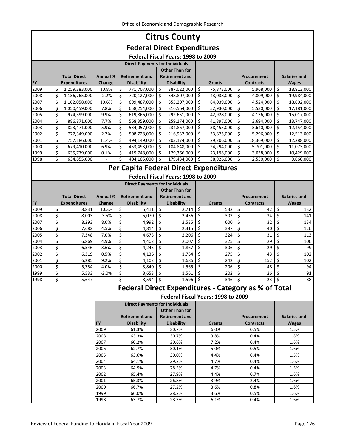| <b>Citrus County</b> |                            |              |                                        |                                                             |          |               |                        |                         |  |  |
|----------------------|----------------------------|--------------|----------------------------------------|-------------------------------------------------------------|----------|---------------|------------------------|-------------------------|--|--|
|                      |                            |              |                                        | <b>Federal Direct Expenditures</b>                          |          |               |                        |                         |  |  |
|                      |                            |              |                                        | Federal Fiscal Years: 1998 to 2009                          |          |               |                        |                         |  |  |
|                      |                            |              | <b>Direct Payments for Individuals</b> |                                                             |          |               |                        |                         |  |  |
|                      |                            |              |                                        | <b>Other Than for</b>                                       |          |               |                        |                         |  |  |
|                      | <b>Total Direct</b>        | Annual %     | <b>Retirement and</b>                  | <b>Retirement and</b>                                       |          |               | Procurement            | <b>Salaries and</b>     |  |  |
| <b>FY</b>            | <b>Expenditures</b>        | Change       | <b>Disability</b>                      | <b>Disability</b>                                           |          | Grants        | <b>Contracts</b>       | Wages                   |  |  |
| 2009                 | \$<br>1,259,383,000        | 10.8%        | \$<br>771,707,000                      | \$<br>387,022,000                                           | \$       | 75,873,000    | \$<br>5,968,000        | \$<br>18,813,000        |  |  |
| 2008                 | \$<br>1,136,765,000        | $-2.2%$      | \$<br>720,127,000                      | \$<br>348,807,000                                           | \$       | 43,038,000    | \$<br>4,809,000        | \$<br>19,984,000        |  |  |
| 2007                 | \$<br>1,162,058,000        | 10.6%        | \$<br>699,487,000                      | \$<br>355,207,000                                           | \$       | 84,039,000    | \$<br>4,524,000        | \$<br>18,802,000        |  |  |
| 2006                 | \$<br>1,050,459,000        | 7.8%         | \$<br>658,254,000                      | \$<br>316,564,000                                           | \$       | 52,930,000    | \$<br>5,530,000        | \$<br>17,181,000        |  |  |
| 2005                 | \$<br>974,599,000          | 9.9%         | \$<br>619,866,000                      | \$<br>292,651,000                                           | \$       | 42,928,000    | \$<br>4,136,000        | \$<br>15,017,000        |  |  |
| 2004                 | \$<br>886,871,000          | 7.7%         | \$<br>568,359,000                      | \$<br>259,174,000                                           | \$       | 41,897,000    | \$<br>3,694,000        | \$<br>13,747,000        |  |  |
| 2003                 | \$<br>823,471,000          | 5.9%         | \$<br>534,057,000                      | \$<br>234,867,000                                           | \$       | 38,453,000    | \$<br>3,640,000        | \$<br>12,454,000        |  |  |
| 2002                 | \$<br>777,349,000          | 2.7%         | \$<br>508,728,000                      | \$<br>216,937,000                                           | \$       | 33,875,000    | \$<br>5,296,000        | \$<br>12,513,000        |  |  |
| 2001                 | \$<br>757,186,000          | 11.4%        | \$<br>494,149,000                      | \$<br>203,174,000                                           | \$       | 29,206,000    | \$<br>18,369,000       | \$<br>12,288,000        |  |  |
| 2000                 | \$<br>679,410,000          | 6.9%         | \$<br>453,493,000                      | \$<br>184,848,000                                           | \$       | 24,294,000    | \$<br>5,701,000        | \$<br>11,073,000        |  |  |
| 1999                 | \$<br>635,779,000          | 0.1%         | \$<br>419,748,000                      | \$<br>179,366,000                                           | \$       | 23,198,000    | $\zeta$<br>3,038,000   | \$<br>10,429,000        |  |  |
| 1998                 | \$<br>634,855,000          |              | Ś<br>404,105,000                       | \$<br>179,434,000                                           | \$       | 38,926,000    | Ŝ.<br>2,530,000        | \$<br>9,860,000         |  |  |
|                      |                            |              |                                        | Per Capita Federal Direct Expenditures                      |          |               |                        |                         |  |  |
|                      |                            |              |                                        | Federal Fiscal Years: 1998 to 2009                          |          |               |                        |                         |  |  |
|                      |                            |              | <b>Direct Payments for Individuals</b> |                                                             |          |               |                        |                         |  |  |
|                      |                            |              |                                        | <b>Other Than for</b>                                       |          |               |                        |                         |  |  |
|                      | <b>Total Direct</b>        | Annual %     | <b>Retirement and</b>                  | <b>Retirement and</b>                                       |          |               | Procurement            | <b>Salaries and</b>     |  |  |
| <b>FY</b>            | <b>Expenditures</b>        | Change       | <b>Disability</b>                      | <b>Disability</b>                                           |          | <b>Grants</b> | <b>Contracts</b>       | <b>Wages</b>            |  |  |
| 2009                 | \$<br>8,831                | 10.3%        | \$<br>5,411                            | \$<br>2,714                                                 | \$       | 532           | \$<br>42               | \$<br>132               |  |  |
| 2008                 | \$<br>8,003                | $-3.5%$      | \$<br>5,070                            | \$<br>2,456                                                 | \$       | 303           | \$<br>34               | \$<br>141               |  |  |
| 2007<br>2006         | \$<br>8,293<br>\$<br>7,682 | 8.0%<br>4.5% | \$<br>4,992<br>\$<br>4,814             | \$<br>2,535<br>\$<br>2,315                                  | \$<br>\$ | 600<br>387    | \$<br>32<br>\$<br>40   | \$<br>134<br>\$<br>126  |  |  |
| 2005                 | \$<br>7,348                | 7.0%         | \$<br>4,673                            | \$<br>2,206                                                 | \$       | 324           | \$<br>31               | \$<br>113               |  |  |
| 2004                 | \$<br>6,869                | 4.9%         | \$<br>4,402                            | \$<br>2,007                                                 | \$       | 325           | $\overline{\xi}$<br>29 | $\overline{\xi}$<br>106 |  |  |
| 2003                 | \$<br>6,546                | 3.6%         | \$<br>4,245                            | \$<br>1,867                                                 | \$       | 306           | \$<br>29               | \$<br>99                |  |  |
| 2002                 | \$<br>6,319                | 0.5%         | \$<br>4,136                            | \$<br>1,764                                                 | \$       | 275           | \$<br>43               | \$<br>102               |  |  |
| 2001                 | \$<br>6,285                | 9.2%         | \$<br>4,102                            | \$<br>1,686                                                 | \$       | 242           | \$<br>152              | \$<br>102               |  |  |
| 2000                 | \$<br>5,754                | 4.0%         | \$<br>3,840                            | \$<br>1,565                                                 | \$       | 206           | \$<br>48               | \$<br>94                |  |  |
| 1999                 | \$<br>5,533                | $-2.0%$      | \$<br>3,653                            | \$<br>1,561                                                 | \$       | 202           | \$<br>26               | \$<br>91                |  |  |
| 1998                 | \$<br>5,647                | $\sim$       | \$<br>3,594                            | \$<br>1,596                                                 | \$       | 346           | \$<br>23               | \$<br>88                |  |  |
|                      |                            |              |                                        | <b>Federal Direct Expenditures - Category as % of Total</b> |          |               |                        |                         |  |  |
|                      |                            |              |                                        | Federal Fiscal Years: 1998 to 2009                          |          |               |                        |                         |  |  |
|                      |                            |              |                                        | <b>Direct Payments for Individuals</b>                      |          |               |                        |                         |  |  |
|                      |                            |              |                                        | <b>Other Than for</b>                                       |          |               |                        |                         |  |  |
|                      |                            |              | <b>Retirement and</b>                  | <b>Retirement and</b>                                       |          |               | Procurement            | <b>Salaries and</b>     |  |  |
|                      |                            | <b>FY</b>    | <b>Disability</b>                      | <b>Disability</b>                                           |          | Grants        | <b>Contracts</b>       | Wages                   |  |  |
|                      |                            | 2009         | 61.3%                                  | 30.7%                                                       |          | 6.0%          | 0.5%                   | 1.5%                    |  |  |
|                      |                            | 2008         | 63.3%                                  | 30.7%                                                       |          | 3.8%          | 0.4%                   | 1.8%                    |  |  |
|                      |                            | 2007         | 60.2%                                  | 30.6%                                                       |          | 7.2%          | 0.4%                   | 1.6%                    |  |  |
|                      |                            | 2006         | 62.7%                                  | 30.1%                                                       |          | 5.0%          | 0.5%                   | 1.6%                    |  |  |
|                      |                            | 2005         | 63.6%                                  | 30.0%                                                       |          | 4.4%          | 0.4%                   | 1.5%                    |  |  |
|                      |                            | 2004         | 64.1%                                  | 29.2%                                                       |          | 4.7%          | 0.4%                   | 1.6%                    |  |  |
|                      |                            | 2003         | 64.9%                                  | 28.5%                                                       |          | 4.7%          | 0.4%                   | 1.5%                    |  |  |
|                      |                            | 2002         | 65.4%                                  | 27.9%                                                       |          | 4.4%          | 0.7%                   | 1.6%                    |  |  |
|                      |                            | 2001         | 65.3%                                  | 26.8%                                                       |          | 3.9%          | 2.4%                   | 1.6%                    |  |  |
|                      |                            | 2000         | 66.7%                                  | 27.2%                                                       |          | 3.6%          | 0.8%                   | 1.6%                    |  |  |
|                      |                            | 1999         | 66.0%                                  | 28.2%                                                       |          | 3.6%          | 0.5%                   | 1.6%                    |  |  |
|                      |                            | 1998         | 63.7%                                  | 28.3%                                                       |          | 6.1%          | 0.4%                   | 1.6%                    |  |  |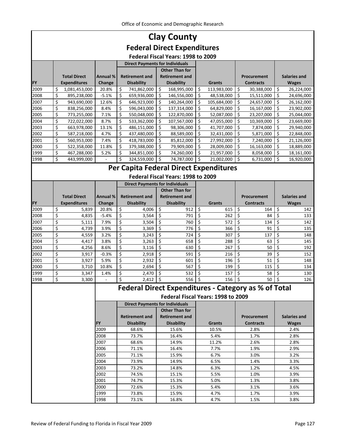| <b>Clay County</b> |                                        |                           |                       |                                                                 |    |               |                                 |                         |  |  |  |  |
|--------------------|----------------------------------------|---------------------------|-----------------------|-----------------------------------------------------------------|----|---------------|---------------------------------|-------------------------|--|--|--|--|
|                    |                                        |                           |                       | <b>Federal Direct Expenditures</b>                              |    |               |                                 |                         |  |  |  |  |
|                    |                                        |                           |                       | Federal Fiscal Years: 1998 to 2009                              |    |               |                                 |                         |  |  |  |  |
|                    |                                        |                           |                       |                                                                 |    |               |                                 |                         |  |  |  |  |
|                    |                                        |                           |                       | <b>Direct Payments for Individuals</b><br><b>Other Than for</b> |    |               |                                 |                         |  |  |  |  |
|                    | <b>Total Direct</b>                    | <b>Annual %</b>           | <b>Retirement and</b> | <b>Retirement and</b>                                           |    |               | <b>Procurement</b>              | <b>Salaries and</b>     |  |  |  |  |
| FY                 | <b>Expenditures</b>                    | Change                    | <b>Disability</b>     | <b>Disability</b>                                               |    | Grants        | <b>Contracts</b>                | <b>Wages</b>            |  |  |  |  |
| 2009               | \$<br>1,081,453,000                    | 20.8%                     | \$<br>741,862,000     | \$<br>168,995,000                                               | \$ | 113,983,000   | \$<br>30,388,000                | \$<br>26,224,000        |  |  |  |  |
| 2008               | \$<br>895,238,000                      | $-5.1%$                   | \$<br>659,936,000     | \$<br>146,556,000                                               | \$ | 48,538,000    | \$<br>15,511,000                | \$<br>24,696,000        |  |  |  |  |
| 2007               | \$<br>943,690,000                      | 12.6%                     | \$<br>646,923,000     | \$<br>140,264,000                                               | \$ | 105,684,000   | \$<br>24,657,000                | \$<br>26,162,000        |  |  |  |  |
| 2006               | \$<br>838,256,000                      | 8.4%                      | \$<br>596,043,000     | \$<br>137,314,000                                               | \$ | 64,829,000    | \$<br>16,167,000                | \$<br>23,902,000        |  |  |  |  |
| 2005               | \$<br>773,255,000                      | 7.1%                      | \$<br>550,048,000     | \$<br>122,870,000                                               | \$ | 52,087,000    | \$<br>23,207,000                | \$<br>25,044,000        |  |  |  |  |
| 2004               | \$<br>722,022,000                      | 8.7%                      | \$<br>533,362,000     | \$<br>107,567,000                                               | \$ | 47,055,000    | \$<br>10,369,000                | \$<br>23,669,000        |  |  |  |  |
| 2003               | \$<br>663,978,000                      | 13.1%                     | \$<br>486,151,000     | \$<br>98,306,000                                                | \$ | 41,707,000    | \$<br>7,874,000                 | \$<br>29,940,000        |  |  |  |  |
| 2002               | \$<br>587,218,000                      | 4.7%                      | \$<br>437,480,000     | \$<br>88,589,000                                                | \$ | 32,431,000    | $\zeta$<br>5,871,000            | \$<br>22,848,000        |  |  |  |  |
| 2001               | \$<br>560,953,000                      | 7.4%                      | \$<br>418,783,000     | \$<br>85,812,000                                                | \$ | 27,992,000    | $\zeta$<br>7,240,000            | \$<br>21,126,000        |  |  |  |  |
| 2000               | \$<br>522,358,000                      | 11.8%                     | \$<br>379,388,000     | \$<br>79,909,000                                                | \$ | 28,009,000    | \$<br>16,163,000                | \$<br>18,889,000        |  |  |  |  |
| 1999               | \$<br>467,288,000                      | 5.2%                      | \$<br>344,851,000     | \$<br>74,260,000                                                | \$ | 21,957,000    | $\zeta$<br>8,058,000            | \$<br>18,161,000        |  |  |  |  |
| 1998               | \$<br>443,999,000                      |                           | \$<br>324,559,000     | \$<br>74,787,000                                                | \$ | 21,002,000    | $\zeta$<br>6,731,000            | \$<br>16,920,000        |  |  |  |  |
|                    | Per Capita Federal Direct Expenditures |                           |                       |                                                                 |    |               |                                 |                         |  |  |  |  |
|                    |                                        |                           |                       | Federal Fiscal Years: 1998 to 2009                              |    |               |                                 |                         |  |  |  |  |
|                    |                                        |                           |                       | <b>Direct Payments for Individuals</b><br><b>Other Than for</b> |    |               |                                 |                         |  |  |  |  |
|                    | <b>Total Direct</b>                    |                           | <b>Retirement and</b> |                                                                 |    |               | Procurement                     | <b>Salaries and</b>     |  |  |  |  |
| <b>FY</b>          | <b>Expenditures</b>                    | <b>Annual %</b><br>Change | <b>Disability</b>     | <b>Retirement and</b><br><b>Disability</b>                      |    | <b>Grants</b> | <b>Contracts</b>                | <b>Wages</b>            |  |  |  |  |
| 2009               | \$<br>5,839                            | 20.8%                     | \$<br>4,006           | \$<br>912                                                       | \$ | 615           | \$<br>164                       | \$<br>142               |  |  |  |  |
| 2008               | \$<br>4,835                            | $-5.4%$                   | \$<br>3,564           | \$<br>791                                                       | \$ | 262           | $\zeta$<br>84                   | \$<br>133               |  |  |  |  |
| 2007               | \$<br>5,111                            | 7.9%                      | \$<br>3,504           | \$<br>760                                                       | \$ | 572           | $\overline{\mathcal{S}}$<br>134 | \$<br>142               |  |  |  |  |
| 2006               | \$<br>4,739                            | 3.9%                      | \$<br>3,369           | \$<br>776                                                       | \$ | 366           | \$<br>91                        | $\overline{\xi}$<br>135 |  |  |  |  |
| 2005               | \$<br>4,559                            | 3.2%                      | \$<br>3,243           | \$<br>724                                                       | \$ | 307           | \$<br>137                       | $\overline{\xi}$<br>148 |  |  |  |  |
| 2004               | \$<br>4,417                            | 3.8%                      | \$<br>3,263           | \$<br>658                                                       | \$ | 288           | \$<br>63                        | $\overline{\xi}$<br>145 |  |  |  |  |
| 2003               |                                        |                           |                       |                                                                 |    |               | \$<br>50                        |                         |  |  |  |  |
|                    | \$<br>4,256                            | 8.6%                      | \$<br>3,116           | \$<br>630                                                       | \$ | 267           |                                 | \$<br>192               |  |  |  |  |
| 2002               | \$<br>3,917                            | $-0.3%$                   | \$<br>2,918           | \$<br>591                                                       | \$ | 216           | \$<br>39                        | \$<br>152               |  |  |  |  |
| 2001               | \$<br>3,927                            | 5.9%                      | \$<br>2,932           | \$<br>601                                                       | \$ | 196           | \$<br>51                        | \$<br>148               |  |  |  |  |
| 2000               | \$<br>3,710                            | 10.8%                     | \$<br>2,694           | \$<br>567                                                       | \$ | 199           | \$<br>115                       | \$<br>134               |  |  |  |  |
| 1999               | \$<br>3,347                            | 1.4%                      | \$<br>2,470           | \$<br>532                                                       | \$ | 157           | \$<br>58                        | \$<br>130               |  |  |  |  |
| 1998               | \$<br>3,300                            |                           | \$<br>2,412           | \$<br>556                                                       | \$ | 156           | $\overline{\xi}$<br>50          | $\overline{\xi}$<br>126 |  |  |  |  |
|                    |                                        |                           |                       | Federal Direct Expenditures - Category as % of Total            |    |               |                                 |                         |  |  |  |  |
|                    |                                        |                           |                       | Federal Fiscal Years: 1998 to 2009                              |    |               |                                 |                         |  |  |  |  |
|                    |                                        |                           |                       | <b>Direct Payments for Individuals</b>                          |    |               |                                 |                         |  |  |  |  |
|                    |                                        |                           |                       | <b>Other Than for</b>                                           |    |               |                                 |                         |  |  |  |  |
|                    |                                        |                           | <b>Retirement and</b> | <b>Retirement and</b>                                           |    |               | Procurement                     | <b>Salaries and</b>     |  |  |  |  |
|                    |                                        | <b>FY</b>                 | <b>Disability</b>     | <b>Disability</b>                                               |    | <b>Grants</b> | <b>Contracts</b>                | Wages                   |  |  |  |  |
|                    |                                        | 2009                      | 68.6%                 | 15.6%                                                           |    | 10.5%         | 2.8%                            | 2.4%                    |  |  |  |  |
|                    |                                        | 2008                      | 73.7%                 | 16.4%                                                           |    | 5.4%          | 1.7%                            | 2.8%                    |  |  |  |  |
|                    |                                        | 2007                      | 68.6%                 | 14.9%                                                           |    | 11.2%         | 2.6%                            | 2.8%                    |  |  |  |  |
|                    |                                        | 2006                      | 71.1%                 | 16.4%                                                           |    | 7.7%          | 1.9%                            | 2.9%                    |  |  |  |  |
|                    |                                        | 2005                      | 71.1%                 | 15.9%                                                           |    | 6.7%          | 3.0%                            | 3.2%                    |  |  |  |  |
|                    |                                        | 2004                      | 73.9%                 | 14.9%                                                           |    | 6.5%          | 1.4%                            | 3.3%                    |  |  |  |  |
|                    |                                        | 2003                      | 73.2%                 | 14.8%                                                           |    | 6.3%          | 1.2%                            | 4.5%                    |  |  |  |  |
|                    |                                        | 2002                      | 74.5%                 | 15.1%                                                           |    | 5.5%          | 1.0%                            | 3.9%                    |  |  |  |  |
|                    |                                        | 2001                      | 74.7%                 | 15.3%                                                           |    | 5.0%          | 1.3%                            | 3.8%                    |  |  |  |  |
|                    |                                        | 2000<br>1999              | 72.6%<br>73.8%        | 15.3%<br>15.9%                                                  |    | 5.4%<br>4.7%  | 3.1%<br>1.7%                    | 3.6%<br>3.9%            |  |  |  |  |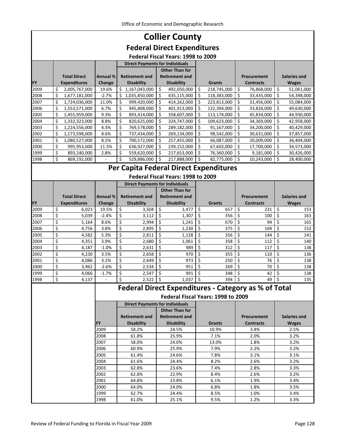| <b>Collier County</b>                  |                                    |                     |                 |                                                      |          |                                                |          |               |          |                                 |                  |                     |
|----------------------------------------|------------------------------------|---------------------|-----------------|------------------------------------------------------|----------|------------------------------------------------|----------|---------------|----------|---------------------------------|------------------|---------------------|
|                                        |                                    |                     |                 |                                                      |          | <b>Federal Direct Expenditures</b>             |          |               |          |                                 |                  |                     |
|                                        |                                    |                     |                 |                                                      |          |                                                |          |               |          |                                 |                  |                     |
|                                        |                                    |                     |                 |                                                      |          | Federal Fiscal Years: 1998 to 2009             |          |               |          |                                 |                  |                     |
|                                        |                                    |                     |                 | <b>Direct Payments for Individuals</b>               |          |                                                |          |               |          |                                 |                  |                     |
|                                        |                                    | <b>Total Direct</b> | <b>Annual %</b> | <b>Retirement and</b>                                |          | <b>Other Than for</b><br><b>Retirement and</b> |          |               |          |                                 |                  | <b>Salaries and</b> |
| FY                                     |                                    | <b>Expenditures</b> | Change          | <b>Disability</b>                                    |          | <b>Disability</b>                              |          | <b>Grants</b> |          | Procurement<br><b>Contracts</b> |                  | <b>Wages</b>        |
| 2009                                   | \$                                 | 2,005,767,000       | 19.6%           | \$<br>1,167,043,000                                  | \$       | 492,050,000                                    | \$       | 218,745,000   | \$       | 76,868,000                      | \$               | 51,061,000          |
| 2008                                   | \$                                 | 1,677,181,000       | $-2.7%$         | \$<br>1,035,850,000                                  | \$       | 435,115,000                                    | \$       | 118,383,000   | \$       | 33,435,000                      | \$               | 54,398,000          |
| 2007                                   | \$                                 | 1,724,036,000       | 11.0%           | \$<br>999,420,000                                    | \$       | 414,262,000                                    | \$       | 223,813,000   | \$       | 31,456,000                      | \$               | 55,084,000          |
| 2006                                   | \$                                 | 1,553,571,000       | 6.7%            | \$<br>945,808,000                                    | \$       | 401,913,000                                    | \$       | 122,394,000   | \$       | 33,826,000                      | \$               | 49,630,000          |
| 2005                                   | \$                                 | 1,455,959,000       | 9.3%            | \$<br>893,414,000                                    | \$       | 358,607,000                                    | \$       | 113,174,000   | \$       | 45,834,000                      | \$               | 44,930,000          |
| 2004                                   | \$                                 | 1,332,323,000       | 8.8%            | \$<br>820,625,000                                    | \$       | 324,747,000                                    | \$       | 109,623,000   | \$       | 34,369,000                      | \$               | 42,958,000          |
| 2003                                   | \$                                 | 1,224,556,000       | 4.3%            | \$<br>769,578,000                                    | \$       | 289,182,000                                    | \$       | 91,167,000    | \$       | 34,200,000                      | \$               | 40,429,000          |
| 2002                                   | \$                                 | 1,173,598,000       | 8.6%            | \$<br>737,434,000                                    | \$       | 269,134,000                                    | \$       | 98,542,000    | \$       | 30,631,000                      | \$               | 37,857,000          |
| 2001                                   | \$                                 | 1,080,527,000       | 8.5%            | \$<br>700,572,000                                    | \$       | 257,455,000                                    | \$       | 66,087,000    | \$       | 20,009,000                      | \$               | 36,404,000          |
| 2000                                   | \$                                 | 995,953,000         | 11.5%           | \$<br>636,927,000                                    | \$       | 239,152,000                                    | \$       | 67,602,000    | \$       | 17,700,000                      | \$               | 34,573,000          |
| 1999                                   | \$                                 | 893,240,000         | 2.8%            | \$<br>559,620,000                                    | \$       | 217,653,000                                    | \$       | 76,360,000    | \$       | 9,181,000                       | \$               | 30,426,000          |
| 1998                                   | \$                                 | 869,192,000         |                 | \$<br>529,886,000                                    | \$       | 217,888,000                                    | \$       | 82,775,000    | Ś        | 10,243,000                      | \$               | 28,400,000          |
|                                        |                                    |                     |                 |                                                      |          |                                                |          |               |          |                                 |                  |                     |
| Per Capita Federal Direct Expenditures |                                    |                     |                 |                                                      |          |                                                |          |               |          |                                 |                  |                     |
|                                        | Federal Fiscal Years: 1998 to 2009 |                     |                 |                                                      |          |                                                |          |               |          |                                 |                  |                     |
|                                        |                                    |                     |                 | <b>Direct Payments for Individuals</b>               |          |                                                |          |               |          |                                 |                  |                     |
|                                        |                                    |                     |                 |                                                      |          | <b>Other Than for</b>                          |          |               |          |                                 |                  |                     |
|                                        |                                    | <b>Total Direct</b> | Annual %        | <b>Retirement and</b>                                |          | <b>Retirement and</b>                          |          |               |          | Procurement                     |                  | <b>Salaries and</b> |
| FY                                     |                                    | <b>Expenditures</b> | Change          | <b>Disability</b>                                    |          | <b>Disability</b>                              |          | Grants        |          | <b>Contracts</b>                |                  | <b>Wages</b>        |
| 2009                                   | \$                                 | 6,023               | 19.5%           | \$<br>3,504                                          | \$       | 1,477                                          | \$       | 657           | \$       | 231                             | \$               | 153                 |
| 2008                                   | \$                                 | 5,039               | $-2.4%$         | \$<br>3,112                                          | \$       | 1,307                                          | \$       | 356           | \$       | 100                             | \$               | 163                 |
| 2007                                   | \$                                 | 5,164               | 8.6%            | \$<br>2,994                                          | \$       | 1,241                                          | \$       | 670           | \$       | 94                              | \$               | 165                 |
| 2006<br>2005                           | \$<br>\$                           | 4,756               | 3.8%            | \$<br>2,895<br>\$                                    | \$       | 1,230                                          | \$<br>\$ | 375<br>356    | \$<br>\$ | 104                             | \$<br>\$         | 152                 |
| 2004                                   | \$                                 | 4,582<br>4,351      | 5.3%<br>3.9%    | 2,811<br>\$<br>2,680                                 | \$<br>\$ | 1,128<br>1,061                                 | \$       | 358           | \$       | 144<br>112                      | $\overline{\xi}$ | 141<br>140          |
| 2003                                   | \$                                 | 4,187               | $-1.0%$         | \$<br>2,631                                          | \$       | 989                                            | \$       | 312           | \$       | 117                             | \$               | 138                 |
| 2002                                   | \$                                 | 4,230               | 3.5%            | \$<br>2,658                                          | \$       | 970                                            | \$       | 355           | \$       | 110                             | \$               | 136                 |
| 2001                                   | \$                                 | 4,086               | 3.1%            | \$<br>2,649                                          | \$       | 973                                            | \$       | 250           | \$       | 76                              | \$               | 138                 |
| 2000                                   | \$                                 | 3,962               | $-2.6%$         | \$<br>2,534                                          | \$       | 951                                            | \$       | 269           | Ś.       | 70                              | \$               | 138                 |
| 1999                                   | \$                                 | 4,066               | $-1.7%$         | \$<br>2,547                                          | \$       | 991                                            | \$       | 348           | \$       | 42                              | \$               | 138                 |
| 1998                                   | \$                                 | 4,137               | $\sim$          | Ś.<br>2,522                                          | \$       | 1,037                                          | \$       | 394           | \$       | 49                              | \$               | 135                 |
|                                        |                                    |                     |                 |                                                      |          |                                                |          |               |          |                                 |                  |                     |
|                                        |                                    |                     |                 | Federal Direct Expenditures - Category as % of Total |          |                                                |          |               |          |                                 |                  |                     |
|                                        |                                    |                     |                 |                                                      |          | Federal Fiscal Years: 1998 to 2009             |          |               |          |                                 |                  |                     |
|                                        |                                    |                     |                 | <b>Direct Payments for Individuals</b>               |          |                                                |          |               |          |                                 |                  |                     |
|                                        |                                    |                     |                 |                                                      |          | <b>Other Than for</b>                          |          |               |          |                                 |                  |                     |
|                                        |                                    |                     |                 | <b>Retirement and</b>                                |          | <b>Retirement and</b>                          |          |               |          | Procurement                     |                  | <b>Salaries and</b> |
|                                        |                                    |                     | FY              | <b>Disability</b>                                    |          | <b>Disability</b>                              |          | Grants        |          | <b>Contracts</b>                |                  | Wages               |
|                                        |                                    |                     | 2009            | 58.2%                                                |          | 24.5%                                          |          | 10.9%         |          | 3.8%                            |                  | 2.5%                |
|                                        |                                    |                     | 2008            | 61.8%                                                |          | 25.9%                                          |          | 7.1%          |          | 2.0%                            |                  | 3.2%                |
|                                        |                                    |                     | 2007            | 58.0%                                                |          | 24.0%                                          |          | 13.0%         |          | 1.8%                            |                  | 3.2%                |
|                                        |                                    |                     | 2006            | 60.9%                                                |          | 25.9%                                          |          | 7.9%          |          | 2.2%                            |                  | 3.2%                |
|                                        |                                    |                     | 2005            | 61.4%                                                |          | 24.6%                                          |          | 7.8%          |          | 3.1%                            |                  | 3.1%                |
|                                        |                                    |                     | 2004            | 61.6%                                                |          | 24.4%                                          |          | 8.2%          |          | 2.6%                            |                  | 3.2%                |
|                                        |                                    |                     | 2003            | 62.8%                                                |          | 23.6%                                          |          | 7.4%          |          | 2.8%                            |                  | 3.3%                |
|                                        |                                    |                     | 2002            | 62.8%                                                |          | 22.9%                                          |          | 8.4%          |          | 2.6%                            |                  | 3.2%                |
|                                        |                                    |                     | 2001            | 64.8%                                                |          | 23.8%                                          |          | 6.1%          |          | 1.9%                            |                  | 3.4%                |
|                                        |                                    |                     | 2000            | 64.0%                                                |          | 24.0%                                          |          | 6.8%          |          | 1.8%                            |                  | 3.5%                |
|                                        |                                    |                     | 1999            | 62.7%                                                |          | 24.4%                                          |          | 8.5%          |          | 1.0%                            |                  | 3.4%                |
|                                        |                                    |                     | 1998            | 61.0%                                                |          | 25.1%                                          |          | 9.5%          |          | 1.2%                            |                  | 3.3%                |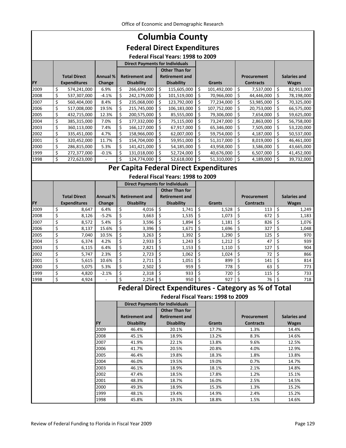|              | <b>Columbia County</b>                 |                            |                 |          |                                        |          |                                                             |          |                               |          |                                 |                     |                          |
|--------------|----------------------------------------|----------------------------|-----------------|----------|----------------------------------------|----------|-------------------------------------------------------------|----------|-------------------------------|----------|---------------------------------|---------------------|--------------------------|
|              |                                        |                            |                 |          |                                        |          | <b>Federal Direct Expenditures</b>                          |          |                               |          |                                 |                     |                          |
|              |                                        |                            |                 |          |                                        |          | Federal Fiscal Years: 1998 to 2009                          |          |                               |          |                                 |                     |                          |
|              | <b>Direct Payments for Individuals</b> |                            |                 |          |                                        |          |                                                             |          |                               |          |                                 |                     |                          |
|              |                                        |                            |                 |          |                                        |          | <b>Other Than for</b>                                       |          |                               |          |                                 |                     |                          |
|              |                                        | <b>Total Direct</b>        | Annual %        |          | <b>Retirement and</b>                  |          | <b>Retirement and</b>                                       |          |                               |          | Procurement                     |                     | <b>Salaries and</b>      |
| <b>FY</b>    |                                        | <b>Expenditures</b>        | Change          |          | <b>Disability</b>                      |          | <b>Disability</b>                                           |          | <b>Grants</b>                 |          | <b>Contracts</b>                |                     | <b>Wages</b>             |
| 2009         | \$                                     | 574,241,000                | 6.9%            | \$       | 266,694,000                            | \$       | 115,605,000                                                 | \$       | 101,492,000                   | \$       | 7,537,000                       | \$                  | 82,913,000               |
| 2008         | \$                                     | 537,307,000                | $-4.1%$         | \$       | 242,179,000                            | \$       | 101,519,000                                                 | \$       | 70,966,000                    | \$       | 44,446,000                      | \$                  | 78,198,000               |
| 2007         | \$                                     | 560,404,000                | 8.4%            | \$       | 235,068,000                            | \$       | 123,792,000                                                 | \$       | 77,234,000                    | \$       | 53,985,000                      | \$                  | 70,325,000               |
| 2006         | \$                                     | 517,008,000                | 19.5%           | \$       | 215,745,000                            | \$       | 106,183,000                                                 | \$       | 107,752,000                   | \$       | 20,753,000                      | \$                  | 66,575,000               |
| 2005         | \$<br>\$                               | 432,715,000                | 12.3%           | \$       | 200,575,000                            | \$       | 85,555,000                                                  | \$       | 79,306,000                    | \$       | 7,654,000                       | \$                  | 59,625,000               |
| 2004<br>2003 | \$                                     | 385,315,000<br>360,113,000 | 7.0%<br>7.4%    | \$<br>\$ | 177,332,000<br>166,127,000             | \$<br>\$ | 75,115,000<br>67,917,000                                    | \$<br>\$ | 73,247,000<br>65,346,000      | \$<br>\$ | 2,863,000<br>7,505,000          | \$<br>\$            | 56,758,000<br>53,220,000 |
| 2002         | \$                                     | 335,451,000                | 4.7%            | \$       | 158,966,000                            | \$       | 62,007,000                                                  | \$       | 59,754,000                    | \$       | 4,187,000                       | \$                  | 50,537,000               |
| 2001         | \$                                     | 320,452,000                | 11.7%           | \$       | 154,704,000                            | \$       | 59,951,000                                                  | \$       | 51,317,000                    | Ś        | 8,019,000                       | Ś.                  | 46,461,000               |
| 2000         | \$                                     | 286,815,000                | 5.3%            | \$       | 141,421,000                            | \$       | 54,185,000                                                  | \$       | 43,958,000                    | \$       | 3,586,000                       | \$                  | 43,665,000               |
| 1999         | \$                                     | 272,377,000                | $-0.1%$         | \$       | 131,018,000                            | \$       | 52,724,000                                                  | Ś        | 40,676,000                    | \$       | 6,507,000                       | \$                  | 41,452,000               |
| 1998         | \$                                     | 272,623,000                |                 | \$       | 124,774,000                            | \$       | 52,618,000                                                  | \$       | 51,310,000                    | \$       | 4,189,000                       | \$                  | 39,732,000               |
|              | Per Capita Federal Direct Expenditures |                            |                 |          |                                        |          |                                                             |          |                               |          |                                 |                     |                          |
|              |                                        |                            |                 |          |                                        |          |                                                             |          |                               |          |                                 |                     |                          |
|              |                                        |                            |                 |          |                                        |          | Federal Fiscal Years: 1998 to 2009                          |          |                               |          |                                 |                     |                          |
|              |                                        |                            |                 |          | <b>Direct Payments for Individuals</b> |          |                                                             |          |                               |          |                                 |                     |                          |
|              |                                        |                            |                 |          |                                        |          | <b>Other Than for</b>                                       |          |                               |          |                                 |                     |                          |
|              |                                        | <b>Total Direct</b>        | Annual %        |          | <b>Retirement and</b>                  |          | <b>Retirement and</b>                                       |          |                               |          | Procurement                     | <b>Salaries and</b> |                          |
| <b>FY</b>    |                                        | <b>Expenditures</b>        | Change          |          | <b>Disability</b>                      |          | <b>Disability</b>                                           |          | Grants                        |          | <b>Contracts</b>                |                     | <b>Wages</b>             |
| 2009         | \$<br>\$                               | 8,647                      | 6.4%            | \$<br>\$ | 4,016                                  | \$<br>\$ | 1,741                                                       | \$<br>\$ | 1,528                         | \$<br>\$ | 113                             | \$<br>\$            | 1,249                    |
| 2008<br>2007 | \$                                     | 8,126                      | $-5.2%$<br>5.4% | \$       | 3,663                                  | \$       | 1,535<br>1,894                                              | \$       | 1,073                         | \$       | 672<br>826                      | \$                  | 1,183<br>1,076           |
| 2006         | \$                                     | 8,572<br>8,137             | 15.6%           | \$       | 3,596<br>3,396                         | \$       | 1,671                                                       | \$       | 1,181<br>1,696                | \$       | 327                             | \$                  | 1,048                    |
| 2005         | \$                                     | 7,040                      | 10.5%           | \$       | 3,263                                  | \$       | 1,392                                                       | \$       | 1,290                         | \$       | 125                             | \$                  | 970                      |
| 2004         | \$                                     | 6,374                      | 4.2%            | \$       | 2,933                                  | \$       | 1,243                                                       | \$       | 1,212                         | \$       | 47                              | \$                  | 939                      |
| 2003         | \$                                     | 6,115                      | 6.4%            | \$       | 2,821                                  | \$       | 1,153                                                       | \$       | 1,110                         | \$       | 127                             | \$                  | 904                      |
| 2002         | \$                                     | 5,747                      | 2.3%            | \$       | 2,723                                  | \$       | 1,062                                                       | \$       | 1,024                         | \$       | 72                              | \$                  | 866                      |
| 2001         | \$                                     | 5,615                      | 10.6%           | \$       | 2,711                                  | \$       | 1,051                                                       | \$       | 899                           | \$       | 141                             | \$                  | 814                      |
| 2000         | \$                                     | 5,075                      | 5.3%            | \$       | 2,502                                  | \$       | 959                                                         | \$       | 778                           | \$       | 63                              | \$                  | 773                      |
| 1999         | \$                                     | 4,820                      | $-2.1%$         | \$       | 2,318                                  | \$       | 933                                                         | \$       | 720                           | \$       | 115                             | \$                  | 733                      |
| 1998         | $\bar{\varsigma}$                      | 4,924                      |                 | \$       | $2,254$ \$                             |          |                                                             |          | $950 \mid \xi$ 927 $\mid \xi$ |          | $76\overline{\smash{\big)}\xi}$ |                     | 718                      |
|              |                                        |                            |                 |          |                                        |          | <b>Federal Direct Expenditures - Category as % of Total</b> |          |                               |          |                                 |                     |                          |
|              |                                        |                            |                 |          |                                        |          |                                                             |          |                               |          |                                 |                     |                          |
|              |                                        |                            |                 |          |                                        |          | Federal Fiscal Years: 1998 to 2009                          |          |                               |          |                                 |                     |                          |
|              |                                        |                            |                 |          | <b>Direct Payments for Individuals</b> |          |                                                             |          |                               |          |                                 |                     |                          |
|              |                                        |                            |                 |          |                                        |          | <b>Other Than for</b>                                       |          |                               |          |                                 |                     |                          |
|              |                                        |                            |                 |          | <b>Retirement and</b>                  |          | <b>Retirement and</b>                                       |          |                               |          | Procurement                     |                     | <b>Salaries and</b>      |
|              |                                        |                            | <b>FY</b>       |          | <b>Disability</b>                      |          | <b>Disability</b>                                           |          | Grants                        |          | <b>Contracts</b>                |                     | <b>Wages</b>             |
|              |                                        |                            | 2009            |          | 46.4%                                  |          | 20.1%                                                       |          | 17.7%                         |          | 1.3%                            |                     | 14.4%                    |

2008 45.1% 18.9% 13.2% 8.3% 14.6% 2007 41.9% 22.1% 13.8% 9.6% 12.5% 2006 41.7% 20.5% 20.8% 4.0% 12.9% 2005 46.4% 19.8% 18.3% 1.8% 13.8% 2004 46.0% 19.5% 19.0% 0.7% 14.7% 2003 46.1% 18.9% 18.1% 2.1% 14.8% 2002 47.4% 18.5% 17.8% 1.2% 15.1% 2001 48.3% 18.7% 16.0% 2.5% 14.5% 2000 49.3% 18.9% 15.3% 1.3% 15.2% 1999 48.1% 19.4% 14.9% 2.4% 15.2% 1998 45.8% 19.3% 18.8% 1.5% 14.6%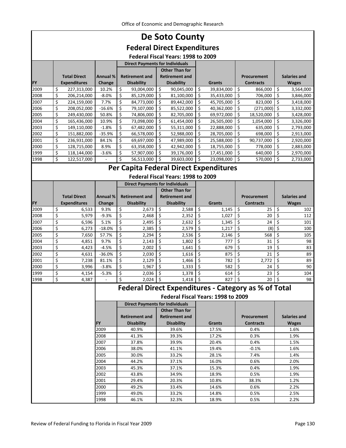|              |                                  |                  |                                        | De Soto County                                       |          |                          |                                |                              |  |  |
|--------------|----------------------------------|------------------|----------------------------------------|------------------------------------------------------|----------|--------------------------|--------------------------------|------------------------------|--|--|
|              |                                  |                  |                                        | <b>Federal Direct Expenditures</b>                   |          |                          |                                |                              |  |  |
|              |                                  |                  |                                        | Federal Fiscal Years: 1998 to 2009                   |          |                          |                                |                              |  |  |
|              |                                  |                  | <b>Direct Payments for Individuals</b> |                                                      |          |                          |                                |                              |  |  |
|              |                                  |                  |                                        | <b>Other Than for</b>                                |          |                          |                                |                              |  |  |
|              | <b>Total Direct</b>              | Annual %         | <b>Retirement and</b>                  | <b>Retirement and</b>                                |          |                          | Procurement                    | <b>Salaries and</b>          |  |  |
| <b>FY</b>    | <b>Expenditures</b>              | Change           | <b>Disability</b>                      | <b>Disability</b>                                    |          | <b>Grants</b>            | <b>Contracts</b>               | <b>Wages</b>                 |  |  |
| 2009         | \$<br>227,313,000                | 10.2%            | \$<br>93,004,000                       | \$<br>90,045,000                                     | \$       | 39,834,000               | \$<br>866,000                  | \$<br>3,564,000              |  |  |
| 2008         | \$<br>206,214,000                | $-8.0%$          | \$<br>85,129,000                       | \$<br>81,100,000                                     | \$       | 35,433,000               | \$<br>706,000                  | \$<br>3,846,000              |  |  |
| 2007<br>2006 | \$<br>224,159,000<br>\$          | 7.7%<br>$-16.6%$ | \$<br>84,773,000<br>\$                 | \$<br>89,442,000<br>\$<br>85,522,000                 | \$<br>\$ | 45,705,000               | \$<br>823,000<br>\$            | \$<br>3,418,000<br>\$        |  |  |
| 2005         | 208,052,000<br>\$<br>249,430,000 | 50.8%            | 79,107,000<br>\$<br>74,806,000         | \$<br>82,705,000                                     | \$       | 40,362,000<br>69,972,000 | (271,000)<br>\$<br>18,520,000  | 3,332,000<br>\$<br>3,428,000 |  |  |
| 2004         | \$<br>165,436,000                | 10.9%            | \$<br>73,098,000                       | \$<br>61,454,000                                     | \$       | 26,505,000               | \$<br>1,054,000                | Ś<br>3,326,000               |  |  |
| 2003         | \$<br>149,110,000                | $-1.8%$          | \$<br>67,482,000                       | \$<br>55,311,000                                     | \$       | 22,888,000               | \$<br>635,000                  | \$<br>2,793,000              |  |  |
| 2002         | \$<br>151,882,000                | $-35.9%$         | \$<br>66,578,000                       | \$<br>52,988,000                                     | \$       | 28,705,000               | \$<br>698,000                  | \$<br>2,913,000              |  |  |
| 2001         | \$<br>236,931,000                | 84.1%            | \$<br>69,697,000                       | \$<br>47,989,000                                     | \$       | 25,588,000               | \$<br>90,737,000               | \$<br>2,920,000              |  |  |
| 2000         | \$<br>128,715,000                | 8.9%             | \$<br>63,358,000                       | \$<br>42,942,000                                     | \$       | 18,755,000               | \$<br>778,000                  | \$<br>2,883,000              |  |  |
| 1999         | \$<br>118,144,000                | $-3.6%$          | \$<br>57,907,000                       | \$<br>39,176,000                                     | \$       | 17,451,000               | \$<br>640,000                  | \$<br>2,970,000              |  |  |
| 1998         | \$<br>122,517,000                |                  | Ś<br>56,513,000                        | \$<br>39,603,000                                     | Ś        | 23,098,000               | -Ś<br>570,000                  | \$<br>2,733,000              |  |  |
|              |                                  |                  |                                        |                                                      |          |                          |                                |                              |  |  |
|              |                                  |                  | Per Capita Federal Direct Expenditures |                                                      |          |                          |                                |                              |  |  |
|              |                                  |                  |                                        | Federal Fiscal Years: 1998 to 2009                   |          |                          |                                |                              |  |  |
|              |                                  |                  | <b>Direct Payments for Individuals</b> |                                                      |          |                          |                                |                              |  |  |
|              |                                  |                  |                                        | <b>Other Than for</b>                                |          |                          |                                |                              |  |  |
|              | <b>Total Direct</b>              | <b>Annual %</b>  | <b>Retirement and</b>                  | <b>Retirement and</b>                                |          |                          | Procurement                    | <b>Salaries and</b>          |  |  |
| <b>FY</b>    | <b>Expenditures</b>              | Change           | <b>Disability</b>                      | <b>Disability</b>                                    |          | <b>Grants</b>            | <b>Contracts</b>               | <b>Wages</b>                 |  |  |
| 2009         | \$<br>6,533                      | 9.3%             | \$<br>2,673                            | \$<br>2,588                                          | \$       | 1,145                    | \$<br>25                       | \$<br>102                    |  |  |
| 2008         | \$<br>5,979                      | $-9.3%$          | \$<br>2,468                            | \$<br>2,352                                          | \$       | 1,027                    | \$<br>20                       | \$<br>112                    |  |  |
| 2007         | \$<br>6,596                      | 5.1%             | \$<br>2,495                            | \$<br>2,632                                          | \$       | 1,345                    | \$<br>24                       | \$<br>101                    |  |  |
| 2006         | \$<br>6,273                      | $-18.0%$         | \$<br>2,385                            | \$<br>2,579                                          | \$       | 1,217                    | \$<br>(8)                      | \$<br>100                    |  |  |
| 2005         | \$<br>7,650                      | 57.7%            | \$<br>2,294                            | \$<br>2,536                                          | \$       | 2,146                    | \$<br>568                      | \$<br>105                    |  |  |
| 2004         | \$<br>4,851                      | 9.7%             | \$<br>2,143                            | \$<br>1,802                                          | \$       | 777                      | \$<br>31                       | \$<br>98                     |  |  |
| 2003         | \$<br>4,423                      | $-4.5%$          | \$<br>2,002                            | \$<br>1,641                                          | \$       | 679                      | \$<br>19                       | \$<br>83                     |  |  |
| 2002         | \$<br>4,631                      | $-36.0%$         | \$<br>2,030                            | \$<br>1,616                                          | \$       | 875                      | \$<br>21                       | \$<br>89                     |  |  |
| 2001         | \$<br>7,238                      | 81.1%            | \$<br>2,129                            | \$<br>1,466                                          | \$       | 782                      | \$<br>2,772                    | \$<br>89                     |  |  |
| 2000         | \$<br>3,996                      | $-3.8%$          | \$<br>1,967                            | \$<br>1,333                                          | \$       | 582                      | $\zeta$<br>24                  | \$<br>90                     |  |  |
| 1999         | \$<br>4,154<br>\$                | $-5.3%$          | \$<br>2,036<br>\$                      | \$<br>1,378                                          | \$       | 614                      | \$<br>23                       | \$<br>104                    |  |  |
| 1998         | 4,387                            |                  | $2,024$ \$                             | $1,418$ \$                                           |          | $827$ \$                 | $20 \overline{\smash{\big)} }$ | 98                           |  |  |
|              |                                  |                  |                                        | Federal Direct Expenditures - Category as % of Total |          |                          |                                |                              |  |  |
|              |                                  |                  |                                        | Federal Fiscal Years: 1998 to 2009                   |          |                          |                                |                              |  |  |
|              |                                  |                  | <b>Direct Payments for Individuals</b> |                                                      |          |                          |                                |                              |  |  |
|              |                                  |                  |                                        | <b>Other Than for</b>                                |          |                          |                                |                              |  |  |
|              |                                  |                  | <b>Retirement and</b>                  | <b>Retirement and</b>                                |          |                          | Procurement                    | <b>Salaries and</b>          |  |  |
|              |                                  | <b>FY</b>        | <b>Disability</b>                      | <b>Disability</b>                                    |          | Grants                   | <b>Contracts</b>               | <b>Wages</b>                 |  |  |
|              |                                  | 2009             | 40.9%                                  | 39.6%                                                |          | 17.5%                    | 0.4%                           | 1.6%                         |  |  |
|              |                                  | 2008             | 41.3%                                  | 39.3%                                                |          | 17.2%                    | 0.3%                           | 1.9%                         |  |  |
|              |                                  | 2007             | 37.8%                                  | 39.9%                                                |          | 20.4%                    | 0.4%                           | 1.5%                         |  |  |
|              |                                  | 2006             | 38.0%                                  | 41.1%                                                |          | 19.4%                    | $-0.1%$                        | 1.6%                         |  |  |
|              |                                  | 2005             | 30.0%                                  | 33.2%                                                |          | 28.1%                    | 7.4%                           | 1.4%                         |  |  |
|              |                                  | 2004             | 44.2%                                  | 37.1%                                                |          | 16.0%                    | 0.6%                           | 2.0%                         |  |  |
|              |                                  | 2003             | 45.3%                                  | 37.1%                                                |          | 15.3%                    | 0.4%                           | 1.9%                         |  |  |
|              |                                  | 2002             | 43.8%                                  | 34.9%                                                |          | 18.9%                    | 0.5%                           | 1.9%                         |  |  |
|              |                                  | 2001             | 29.4%                                  | 20.3%                                                |          | 10.8%                    | 38.3%                          | 1.2%                         |  |  |
|              |                                  | 2000             | 49.2%                                  | 33.4%                                                |          | 14.6%                    | 0.6%                           | 2.2%                         |  |  |
|              |                                  | 1999             | 49.0%                                  | 33.2%                                                |          | 14.8%                    | 0.5%                           | 2.5%                         |  |  |

1998 | 46.1% | 32.3% | 18.9% | 0.5% | 2.2%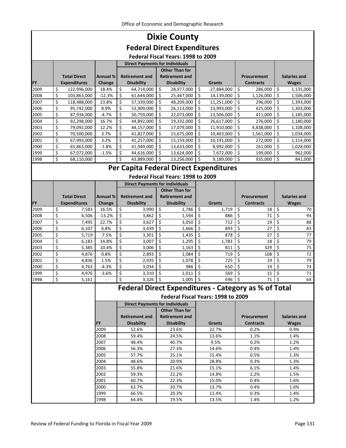|           |                                                                              |                     |                 |                                                      |    | <b>Dixie County</b>                |    |               |    |                  |    |                     |  |
|-----------|------------------------------------------------------------------------------|---------------------|-----------------|------------------------------------------------------|----|------------------------------------|----|---------------|----|------------------|----|---------------------|--|
|           |                                                                              |                     |                 |                                                      |    |                                    |    |               |    |                  |    |                     |  |
|           |                                                                              |                     |                 |                                                      |    | <b>Federal Direct Expenditures</b> |    |               |    |                  |    |                     |  |
|           |                                                                              |                     |                 |                                                      |    | Federal Fiscal Years: 1998 to 2009 |    |               |    |                  |    |                     |  |
|           |                                                                              |                     |                 | <b>Direct Payments for Individuals</b>               |    | <b>Other Than for</b>              |    |               |    |                  |    |                     |  |
|           |                                                                              | <b>Total Direct</b> | <b>Annual %</b> | <b>Retirement and</b>                                |    | <b>Retirement and</b>              |    |               |    | Procurement      |    | <b>Salaries and</b> |  |
| <b>FY</b> |                                                                              | <b>Expenditures</b> | Change          | <b>Disability</b>                                    |    | <b>Disability</b>                  |    | <b>Grants</b> |    | <b>Contracts</b> |    | <b>Wages</b>        |  |
| 2009      | \$                                                                           | 122,996,000         | 18.4%           | \$<br>64,714,000                                     | \$ | 28,977,000                         | \$ | 27,884,000    | \$ | 286,000          | \$ | 1,135,000           |  |
| 2008      | \$                                                                           | 103,863,000         | $-12.3%$        | \$<br>61,644,000                                     | \$ | 25,447,000                         | \$ | 14,139,000    | \$ | 1,126,000        | \$ | 1,506,000           |  |
| 2007      | \$                                                                           | 118,488,000         | 23.8%           | \$<br>57,339,000                                     | \$ | 48,209,000                         | \$ | 11,251,000    | \$ | 296,000          | \$ | 1,393,000           |  |
| 2006      | \$                                                                           | 95,742,000          | 8.9%            | \$<br>53,909,000                                     | \$ | 26,113,000                         | \$ | 13,993,000    | \$ | 425,000          | \$ | 1,303,000           |  |
| 2005      | \$                                                                           | 87,934,000          | $-4.7%$         | \$<br>50,759,000                                     | \$ | 22,073,000                         | \$ | 13,506,000    | \$ | 411,000          | \$ | 1,185,000           |  |
| 2004      | \$                                                                           | 92,298,000          | 16.7%           | \$<br>44,892,000                                     | \$ | 19,332,000                         | \$ | 26,617,000    | \$ | 276,000          | \$ | 1,180,000           |  |
| 2003      | \$                                                                           | 79,092,000          | 12.2%           | \$<br>44,157,000                                     | \$ | 17,079,000                         | \$ | 11,910,000    | \$ | 4,838,000        | \$ | 1,108,000           |  |
| 2002      | \$                                                                           | 70,500,000          | 3.7%            | \$<br>41,827,000                                     | \$ | 15,675,000                         | \$ | 10,403,000    | \$ | 1,561,000        | \$ | 1,034,000           |  |
| 2001      | \$                                                                           | 67,993,000          | 3.2%            | \$<br>41,257,000                                     | \$ | 15,159,000                         | \$ | 10,191,000    | \$ | 272,000          | \$ | 1,114,000           |  |
| 2000      | \$                                                                           | 65,863,000          | $-1.8%$         | \$<br>41,949,000                                     | \$ | 13,633,000                         | \$ | 8,992,000     | \$ | 261,000          | \$ | 1,028,000           |  |
| 1999      | \$                                                                           | 67,072,000          | $-1.5%$         | \$<br>44,616,000                                     | \$ | 13,624,000                         | \$ | 7,672,000     | \$ | 199,000          | \$ | 962,000             |  |
| 1998      | \$                                                                           | 68,110,000          |                 | Ś<br>43,889,000                                      | \$ | 13,256,000                         | \$ | 9,189,000     | Ś  | 935,000          | Ś  | 841,000             |  |
|           |                                                                              |                     |                 |                                                      |    |                                    |    |               |    |                  |    |                     |  |
|           | Per Capita Federal Direct Expenditures<br>Federal Fiscal Years: 1998 to 2009 |                     |                 |                                                      |    |                                    |    |               |    |                  |    |                     |  |
|           | <b>Direct Payments for Individuals</b>                                       |                     |                 |                                                      |    |                                    |    |               |    |                  |    |                     |  |
|           |                                                                              |                     |                 |                                                      |    | <b>Other Than for</b>              |    |               |    |                  |    |                     |  |
|           |                                                                              | <b>Total Direct</b> | <b>Annual %</b> | <b>Retirement and</b>                                |    | <b>Retirement and</b>              |    |               |    | Procurement      |    | <b>Salaries and</b> |  |
| <b>FY</b> |                                                                              | <b>Expenditures</b> | Change          | <b>Disability</b>                                    |    | <b>Disability</b>                  |    | <b>Grants</b> |    | <b>Contracts</b> |    | <b>Wages</b>        |  |
| 2009      | \$                                                                           | 7,583               | 16.5%           | \$<br>3,990                                          | \$ | 1,786                              | \$ | 1,719         | \$ | 18               | \$ | 70                  |  |
| 2008      | \$                                                                           | 6,506               | $-13.2%$        | \$<br>3,862                                          | \$ | 1,594                              | \$ | 886           | \$ | 71               | \$ | 94                  |  |
| 2007      | \$                                                                           | 7,495               | 22.7%           | \$<br>3,627                                          | \$ | 3,050                              | \$ | 712           | \$ | 19               | \$ | 88                  |  |
| 2006      | \$                                                                           | 6,107               | 6.8%            | \$<br>3,439                                          | \$ | 1,666                              | \$ | 893           | \$ | 27               | \$ | 83                  |  |
| 2005      | \$                                                                           | 5,719               | $-7.5%$         | \$<br>3,301                                          | \$ | 1,435                              | \$ | 878           | \$ | 27               | \$ | 77                  |  |
| 2004      | \$                                                                           | 6,183               | 14.8%           | \$<br>3,007                                          | \$ | 1,295                              | \$ | 1,783         | \$ | 18               | \$ | 79                  |  |
| 2003      | \$                                                                           | 5,385               | 10.4%           | \$<br>3,006                                          | \$ | 1,163                              | \$ | 811           | \$ | 329              | \$ | 75                  |  |
| 2002      | \$                                                                           | 4,876               | 0.8%            | \$<br>2,893                                          | \$ | 1,084                              | \$ | 719           | \$ | 108              | \$ | 72                  |  |
| 2001      | \$                                                                           | 4,836               | 1.5%            | \$<br>2,935                                          | \$ | 1,078                              | \$ | 725           | \$ | 19               | \$ | 79                  |  |
| 2000      | \$                                                                           | 4,763               | $-4.3%$         | \$<br>3,034                                          | \$ | 986                                | \$ | 650           | \$ | 19               | \$ | 74                  |  |
| 1999      | \$                                                                           | 4,976               | $-3.6%$         | \$<br>3,310                                          | \$ | 1.011                              | \$ | 569           | \$ | 15               | \$ | 71                  |  |
| 1998      | Ś                                                                            | 5,161               |                 | Ś<br>3,326                                           | Ś. | 1,005                              | Ś  | 696           | Ś  | 71               | Ś  | 64                  |  |
|           |                                                                              |                     |                 | Federal Direct Expenditures - Category as % of Total |    |                                    |    |               |    |                  |    |                     |  |
|           |                                                                              |                     |                 |                                                      |    | Federal Fiscal Years: 1998 to 2009 |    |               |    |                  |    |                     |  |
|           |                                                                              |                     |                 | <b>Direct Payments for Individuals</b>               |    |                                    |    |               |    |                  |    |                     |  |
|           |                                                                              |                     |                 |                                                      |    | <b>Other Than for</b>              |    |               |    |                  |    |                     |  |
|           |                                                                              |                     |                 | <b>Retirement and</b>                                |    | <b>Retirement and</b>              |    |               |    | Procurement      |    | <b>Salaries and</b> |  |
|           |                                                                              |                     | FY.             | <b>Disability</b>                                    |    | <b>Disability</b>                  |    | Grants        |    | <b>Contracts</b> |    | <b>Wages</b>        |  |
|           |                                                                              |                     | 2009            | 52.6%                                                |    | 23.6%                              |    | 22.7%         |    | 0.2%             |    | 0.9%                |  |
|           |                                                                              |                     | 2008            | 59.4%                                                |    | 24.5%                              |    | 13.6%         |    | 1.1%             |    | 1.4%                |  |
|           |                                                                              |                     | 2007            | 48.4%                                                |    | 40.7%                              |    | 9.5%          |    | 0.2%             |    | 1.2%                |  |
|           |                                                                              |                     | 2006            | 56.3%                                                |    | 27.3%                              |    | 14.6%         |    | 0.4%             |    | 1.4%                |  |
|           |                                                                              |                     | 2005            | 57.7%                                                |    | 25.1%                              |    | 15.4%         |    | 0.5%             |    | 1.3%                |  |
|           |                                                                              |                     | 2004            | 48.6%                                                |    | 20.9%                              |    | 28.8%         |    | 0.3%             |    | 1.3%                |  |
|           |                                                                              |                     | 2003            | 55.8%                                                |    | 21.6%                              |    | 15.1%         |    | 6.1%             |    | 1.4%                |  |
|           |                                                                              |                     | 2002            | 59.3%                                                |    | 22.2%                              |    | 14.8%         |    | 2.2%             |    | 1.5%                |  |
|           |                                                                              |                     | 2001            | 60.7%                                                |    | 22.3%                              |    | 15.0%         |    | 0.4%             |    | 1.6%                |  |
|           |                                                                              |                     | 2000            | 63.7%                                                |    | 20.7%                              |    | 13.7%         |    | 0.4%             |    | 1.6%                |  |
|           |                                                                              |                     | 1999            | 66.5%                                                |    | 20.3%                              |    | 11.4%         |    | 0.3%             |    | 1.4%                |  |
|           |                                                                              |                     | 1998            | 64.4%                                                |    | 19.5%                              |    | 13.5%         |    | 1.4%             |    | 1.2%                |  |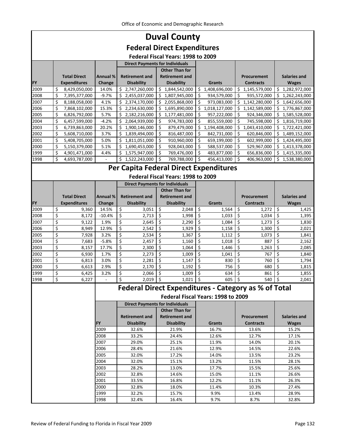|                                                                                                                                                   | <b>Duval County</b>  |                  |                       |                                                      |          |                |                        |                                      |  |  |  |  |  |
|---------------------------------------------------------------------------------------------------------------------------------------------------|----------------------|------------------|-----------------------|------------------------------------------------------|----------|----------------|------------------------|--------------------------------------|--|--|--|--|--|
|                                                                                                                                                   |                      |                  |                       | <b>Federal Direct Expenditures</b>                   |          |                |                        |                                      |  |  |  |  |  |
|                                                                                                                                                   |                      |                  |                       | Federal Fiscal Years: 1998 to 2009                   |          |                |                        |                                      |  |  |  |  |  |
|                                                                                                                                                   |                      |                  |                       | <b>Direct Payments for Individuals</b>               |          |                |                        |                                      |  |  |  |  |  |
|                                                                                                                                                   |                      |                  |                       | <b>Other Than for</b>                                |          |                |                        |                                      |  |  |  |  |  |
|                                                                                                                                                   | <b>Total Direct</b>  | Annual %         | <b>Retirement and</b> | <b>Retirement and</b>                                |          |                | Procurement            | <b>Salaries and</b>                  |  |  |  |  |  |
| <b>FY</b>                                                                                                                                         | <b>Expenditures</b>  | Change           | <b>Disability</b>     | <b>Disability</b>                                    |          | <b>Grants</b>  | <b>Contracts</b>       | <b>Wages</b>                         |  |  |  |  |  |
| 2009                                                                                                                                              | \$<br>8,429,050,000  | 14.0%            | \$.<br>2,747,260,000  | \$<br>1,844,542,000                                  | \$       | 1,408,696,000  | \$<br>1,145,579,000    | \$1,282,972,000                      |  |  |  |  |  |
| 2008                                                                                                                                              | \$<br>7,395,377,000  | $-9.7%$          | \$<br>2,455,037,000   | \$<br>1,807,945,000                                  | \$       | 934,579,000    | \$<br>935,572,000      | \$1,262,243,000                      |  |  |  |  |  |
| 2007                                                                                                                                              | \$<br>8,188,058,000  | 4.1%             | \$<br>2,374,170,000   | \$<br>2,055,868,000                                  | \$       | 973,083,000    | \$<br>1,142,280,000    | Ś.<br>1,642,656,000                  |  |  |  |  |  |
| 2006                                                                                                                                              | \$<br>7,868,102,000  | 15.3%            | \$<br>2,234,630,000   | \$<br>1,695,890,000                                  | \$       | 1,018,127,000  | \$<br>1,142,589,000    | \$1,776,867,000                      |  |  |  |  |  |
| 2005                                                                                                                                              | \$<br>6,826,792,000  | 5.7%             | \$<br>2,182,216,000   | \$<br>1,177,481,000                                  | \$       | 957,222,000    | \$<br>924,346,000      | \$<br>1,585,528,000                  |  |  |  |  |  |
| 2004                                                                                                                                              | \$<br>6,457,599,000  | $-4.2%$          | \$<br>2,064,939,000   | \$<br>974,783,000                                    | \$       | 855,559,000    | \$<br>745,598,000      | \$<br>1,816,719,000                  |  |  |  |  |  |
| 2003                                                                                                                                              | \$<br>6,739,863,000  | 20.2%            | \$<br>1,900,146,000   | \$<br>879,479,000                                    | \$       | 1,194,408,000  | \$<br>1,043,410,000    | \$<br>1,722,421,000                  |  |  |  |  |  |
| 2002                                                                                                                                              | \$<br>5,608,710,000  | 3.7%             | \$<br>1,839,494,000   | \$<br>816,487,000                                    | \$       | 842,731,000    | \$<br>620,846,000      | \$<br>1,489,152,000                  |  |  |  |  |  |
| 2001                                                                                                                                              | \$<br>5,408,705,000  | 5.0%             | \$<br>1,811,051,000   | \$<br>910,960,000                                    | \$       | 659,199,000    | $\zeta$<br>602,999,000 | \$<br>1,424,495,000                  |  |  |  |  |  |
| 2000                                                                                                                                              | \$<br>5,150,379,000  | 5.1%             | \$<br>1,690,453,000   | \$<br>928,043,000                                    | \$       | 588,537,000    | \$<br>529,967,000      | \$<br>1,413,378,000                  |  |  |  |  |  |
| 1999                                                                                                                                              | \$<br>4,901,471,000  | 4.4%             | \$<br>1,575,947,000   | \$<br>769,476,000                                    | \$       | 483,877,000    | \$<br>656,836,000      | \$<br>1,415,335,000<br>1,538,380,000 |  |  |  |  |  |
| \$<br>\$<br>\$<br>Ś<br>Ś<br>\$<br>1998<br>4,693,787,000<br>1,522,243,000<br>769,788,000<br>456,413,000<br>406,963,000<br>$\overline{\phantom{a}}$ |                      |                  |                       |                                                      |          |                |                        |                                      |  |  |  |  |  |
| Per Capita Federal Direct Expenditures                                                                                                            |                      |                  |                       |                                                      |          |                |                        |                                      |  |  |  |  |  |
| Federal Fiscal Years: 1998 to 2009                                                                                                                |                      |                  |                       |                                                      |          |                |                        |                                      |  |  |  |  |  |
| <b>Direct Payments for Individuals</b>                                                                                                            |                      |                  |                       |                                                      |          |                |                        |                                      |  |  |  |  |  |
| <b>Other Than for</b>                                                                                                                             |                      |                  |                       |                                                      |          |                |                        |                                      |  |  |  |  |  |
|                                                                                                                                                   | <b>Total Direct</b>  | Annual %         | <b>Retirement and</b> | <b>Retirement and</b>                                |          |                | <b>Procurement</b>     | <b>Salaries and</b>                  |  |  |  |  |  |
| <b>FY</b>                                                                                                                                         | <b>Expenditures</b>  | Change           | <b>Disability</b>     | <b>Disability</b>                                    |          | Grants         | <b>Contracts</b>       | <b>Wages</b>                         |  |  |  |  |  |
| 2009                                                                                                                                              | \$<br>9,360          | 14.5%            | \$<br>3,051           | \$<br>2,048                                          | \$       | 1,564          | \$<br>1,272            | \$<br>1,425                          |  |  |  |  |  |
| 2008                                                                                                                                              | \$<br>8,172<br>\$    | $-10.4%$<br>1.9% | \$<br>2,713<br>\$     | \$<br>1,998<br>\$<br>2,290                           | \$<br>\$ | 1,033          | $\zeta$<br>1,034<br>\$ | \$<br>1,395<br>\$                    |  |  |  |  |  |
| 2007                                                                                                                                              | 9,122<br>\$          |                  | 2,645<br>\$           | \$                                                   | \$       | 1,084          | 1,273<br>\$            | 1,830<br>\$                          |  |  |  |  |  |
| 2006<br>2005                                                                                                                                      | 8,949<br>\$<br>7,928 | 12.9%<br>3.2%    | 2,542<br>\$<br>2,534  | 1,929<br>\$<br>1,367                                 | \$       | 1,158<br>1,112 | 1,300<br>\$<br>1,073   | 2,021<br>\$                          |  |  |  |  |  |
| 2004                                                                                                                                              | \$<br>7,683          | $-5.8%$          | \$<br>2,457           | \$<br>1,160                                          | \$       | 1,018          | \$<br>887              | 1,841<br>\$<br>2,162                 |  |  |  |  |  |
| 2003                                                                                                                                              | \$<br>8,157          | 17.7%            | \$<br>2,300           | \$<br>1,064                                          | \$       | 1,446          | \$<br>1,263            | \$<br>2,085                          |  |  |  |  |  |
| 2002                                                                                                                                              | \$<br>6,930          | 1.7%             | \$<br>2,273           | \$<br>1,009                                          | \$       | 1,041          | \$<br>767              | \$<br>1,840                          |  |  |  |  |  |
| 2001                                                                                                                                              | \$<br>6,813          | 3.0%             | \$<br>2,281           | \$<br>1,147                                          | \$       | 830            | \$<br>760              | \$<br>1,794                          |  |  |  |  |  |
| 2000                                                                                                                                              | \$<br>6,613          | 2.9%             | \$<br>2,170           | \$<br>1,192                                          | \$       | 756            | \$<br>680              | \$<br>1,815                          |  |  |  |  |  |
| 1999                                                                                                                                              | \$<br>6,425          | 3.2%             | \$<br>2,066           | \$<br>1,009                                          | \$       | 634            | \$<br>861              | \$<br>1,855                          |  |  |  |  |  |
| 1998                                                                                                                                              | \$<br>6,227          |                  | \$<br>2,019           | \$<br>1,021                                          | \$       | 605            | \$<br>540              | \$<br>2,041                          |  |  |  |  |  |
|                                                                                                                                                   |                      |                  |                       | Federal Direct Expenditures - Category as % of Total |          |                |                        |                                      |  |  |  |  |  |
|                                                                                                                                                   |                      |                  |                       |                                                      |          |                |                        |                                      |  |  |  |  |  |
|                                                                                                                                                   |                      |                  |                       | Federal Fiscal Years: 1998 to 2009                   |          |                |                        |                                      |  |  |  |  |  |
|                                                                                                                                                   |                      |                  |                       | <b>Direct Payments for Individuals</b>               |          |                |                        |                                      |  |  |  |  |  |
|                                                                                                                                                   |                      |                  |                       | <b>Other Than for</b>                                |          |                |                        |                                      |  |  |  |  |  |
|                                                                                                                                                   |                      |                  | <b>Retirement and</b> | <b>Retirement and</b>                                |          |                | Procurement            | <b>Salaries and</b>                  |  |  |  |  |  |
|                                                                                                                                                   |                      | <b>FY</b>        | <b>Disability</b>     | <b>Disability</b>                                    |          | Grants         | <b>Contracts</b>       | Wages                                |  |  |  |  |  |
|                                                                                                                                                   |                      | 2009             | 32.6%                 | 21.9%                                                |          | 16.7%          | 13.6%                  | 15.2%                                |  |  |  |  |  |
|                                                                                                                                                   |                      | 2008             | 33.2%                 | 24.4%                                                |          | 12.6%          | 12.7%                  | 17.1%                                |  |  |  |  |  |
|                                                                                                                                                   |                      | 2007             | 29.0%                 | 25.1%                                                |          | 11.9%          | 14.0%                  | 20.1%                                |  |  |  |  |  |
|                                                                                                                                                   |                      | 2006             | 28.4%                 | 21.6%                                                |          | 12.9%          | 14.5%                  | 22.6%                                |  |  |  |  |  |
|                                                                                                                                                   |                      | 2005             | 32.0%                 | 17.2%                                                |          | 14.0%          | 13.5%                  | 23.2%                                |  |  |  |  |  |
|                                                                                                                                                   |                      | 2004             | 32.0%                 | 15.1%                                                |          | 13.2%          | 11.5%                  | 28.1%                                |  |  |  |  |  |
|                                                                                                                                                   |                      | 2003             | 28.2%                 | 13.0%                                                |          | 17.7%          | 15.5%                  | 25.6%                                |  |  |  |  |  |
|                                                                                                                                                   |                      | 2002             | 32.8%                 | 14.6%                                                |          | 15.0%          | 11.1%                  | 26.6%                                |  |  |  |  |  |
|                                                                                                                                                   |                      | 2001             | 33.5%                 | 16.8%                                                |          | 12.2%          | 11.1%                  | 26.3%                                |  |  |  |  |  |
|                                                                                                                                                   |                      | 2000             | 32.8%                 | 18.0%                                                |          | 11.4%          | 10.3%                  | 27.4%                                |  |  |  |  |  |
|                                                                                                                                                   |                      | 1999             | 32.2%                 | 15.7%                                                |          | 9.9%           | 13.4%                  | 28.9%                                |  |  |  |  |  |
|                                                                                                                                                   |                      | 1998             | 32.4%                 | 16.4%                                                |          | 9.7%           | 8.7%                   | 32.8%                                |  |  |  |  |  |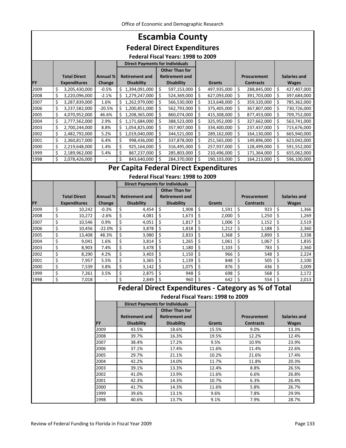|                                                                                                                                                  | <b>Escambia County</b> |                 |                       |                                                             |    |               |                   |                           |  |  |  |  |  |
|--------------------------------------------------------------------------------------------------------------------------------------------------|------------------------|-----------------|-----------------------|-------------------------------------------------------------|----|---------------|-------------------|---------------------------|--|--|--|--|--|
|                                                                                                                                                  |                        |                 |                       |                                                             |    |               |                   |                           |  |  |  |  |  |
|                                                                                                                                                  |                        |                 |                       | <b>Federal Direct Expenditures</b>                          |    |               |                   |                           |  |  |  |  |  |
|                                                                                                                                                  |                        |                 |                       | Federal Fiscal Years: 1998 to 2009                          |    |               |                   |                           |  |  |  |  |  |
|                                                                                                                                                  |                        |                 |                       | <b>Direct Payments for Individuals</b>                      |    |               |                   |                           |  |  |  |  |  |
|                                                                                                                                                  |                        |                 |                       | <b>Other Than for</b>                                       |    |               |                   |                           |  |  |  |  |  |
|                                                                                                                                                  | <b>Total Direct</b>    | <b>Annual %</b> | <b>Retirement and</b> | <b>Retirement and</b>                                       |    |               | Procurement       | <b>Salaries and</b>       |  |  |  |  |  |
| FY                                                                                                                                               | <b>Expenditures</b>    | Change          | <b>Disability</b>     | <b>Disability</b>                                           |    | Grants        | <b>Contracts</b>  | <b>Wages</b>              |  |  |  |  |  |
| 2009                                                                                                                                             | \$<br>3,205,430,000    | $-0.5%$         | \$<br>1,394,091,000   | \$<br>597,153,000                                           | \$ | 497,935,000   | \$<br>288,845,000 | \$<br>427,407,000         |  |  |  |  |  |
| 2008                                                                                                                                             | \$<br>3,220,096,000    | $-2.1%$         | \$<br>1,279,247,000   | \$<br>524,369,000                                           | \$ | 627,093,000   | \$<br>391,703,000 | \$<br>397,684,000         |  |  |  |  |  |
| 2007                                                                                                                                             | \$<br>3,287,839,000    | 1.6%            | \$<br>1,262,979,000   | \$<br>566,530,000                                           | \$ | 313,648,000   | \$<br>359,320,000 | \$<br>785,362,000         |  |  |  |  |  |
| 2006                                                                                                                                             | \$<br>3,237,582,000    | $-20.5%$        | \$<br>1,200,851,000   | \$<br>562,793,000                                           | \$ | 375,405,000   | \$<br>367,807,000 | \$<br>730,726,000         |  |  |  |  |  |
| 2005                                                                                                                                             | \$<br>4,070,952,000    | 46.6%           | \$<br>1,208,365,000   | \$<br>860,074,000                                           | \$ | 415,308,000   | \$<br>877,453,000 | \$<br>709,752,000         |  |  |  |  |  |
| 2004                                                                                                                                             | \$<br>2,777,562,000    | 2.9%            | \$<br>1,171,684,000   | \$<br>388,523,000                                           | \$ | 325,952,000   | \$<br>327,662,000 | \$<br>563,741,000         |  |  |  |  |  |
| 2003                                                                                                                                             | \$<br>2,700,244,000    | 8.8%            | \$<br>1,054,825,000   | \$<br>357,907,000                                           | \$ | 334,400,000   | \$<br>237,437,000 | \$<br>715,676,000         |  |  |  |  |  |
| 2002                                                                                                                                             | \$<br>2,482,792,000    | 5.2%            | \$<br>1,019,040,000   | \$<br>344,521,000                                           | \$ | 289,162,000   | \$<br>164,130,000 | \$<br>665,940,000         |  |  |  |  |  |
| 2001                                                                                                                                             | \$<br>2,360,817,000    | 6.4%            | \$<br>998,436,000     | \$<br>337,878,000                                           | \$ | 251,565,000   | \$<br>149,896,000 | \$<br>623,042,000         |  |  |  |  |  |
| 2000                                                                                                                                             | \$<br>2,219,648,000    | 1.4%            | \$<br>925,164,000     | \$<br>316,495,000                                           | \$ | 257,937,000   | \$<br>128,499,000 | \$<br>591,552,000         |  |  |  |  |  |
| 1999                                                                                                                                             | \$<br>2,189,962,000    | 5.4%            | \$<br>867,237,000     | \$<br>285,803,000                                           | \$ | 210,496,000   | \$<br>171,364,000 | \$<br>655,062,000         |  |  |  |  |  |
| 1998                                                                                                                                             | \$<br>2,078,426,000    |                 | \$<br>843,640,000     | \$<br>284,370,000                                           | \$ | 190,103,000   | \$<br>164,213,000 | Ś<br>596,100,000          |  |  |  |  |  |
| Per Capita Federal Direct Expenditures                                                                                                           |                        |                 |                       |                                                             |    |               |                   |                           |  |  |  |  |  |
|                                                                                                                                                  |                        |                 |                       |                                                             |    |               |                   |                           |  |  |  |  |  |
| Federal Fiscal Years: 1998 to 2009                                                                                                               |                        |                 |                       |                                                             |    |               |                   |                           |  |  |  |  |  |
| <b>Direct Payments for Individuals</b>                                                                                                           |                        |                 |                       |                                                             |    |               |                   |                           |  |  |  |  |  |
| <b>Other Than for</b><br><b>Total Direct</b><br><b>Retirement and</b><br><b>Retirement and</b><br><b>Salaries and</b><br>Annual %<br>Procurement |                        |                 |                       |                                                             |    |               |                   |                           |  |  |  |  |  |
| FY                                                                                                                                               | <b>Expenditures</b>    | Change          | <b>Disability</b>     | <b>Disability</b>                                           |    | <b>Grants</b> | <b>Contracts</b>  | <b>Wages</b>              |  |  |  |  |  |
| 2009                                                                                                                                             | \$<br>10,242           | $-0.3%$         | \$<br>4,454           | \$<br>1,908                                                 | \$ | 1,591         | \$<br>923         | \$<br>1,366               |  |  |  |  |  |
| 2008                                                                                                                                             | \$<br>10,272           | $-2.6%$         | \$<br>4,081           | \$<br>1,673                                                 | \$ | 2,000         | \$<br>1,250       | \$<br>1,269               |  |  |  |  |  |
| 2007                                                                                                                                             | \$<br>10,546           | 0.9%            | \$<br>4,051           | \$<br>1,817                                                 | \$ | 1,006         | \$<br>1,152       | \$<br>2,519               |  |  |  |  |  |
| 2006                                                                                                                                             | \$<br>10,456           | $-22.0%$        | \$<br>3,878           | \$<br>1,818                                                 | \$ | 1,212         | \$<br>1,188       | \$<br>2,360               |  |  |  |  |  |
| 2005                                                                                                                                             | \$<br>13,408           | 48.3%           | \$<br>3,980           | \$<br>2,833                                                 | \$ | 1,368         | \$<br>2,890       | \$<br>2,338               |  |  |  |  |  |
| 2004                                                                                                                                             | \$<br>9,041            | 1.6%            | \$<br>3,814           | \$<br>1,265                                                 | \$ | 1,061         | \$<br>1,067       | \$<br>1,835               |  |  |  |  |  |
| 2003                                                                                                                                             | \$<br>8,903            | 7.4%            | \$<br>3,478           | \$<br>1,180                                                 | \$ | 1,103         | \$<br>783         | \$<br>2,360               |  |  |  |  |  |
| 2002                                                                                                                                             | \$<br>8,290            | 4.2%            | \$<br>3,403           | \$<br>1,150                                                 | \$ | 966           | \$<br>548         | \$<br>2,224               |  |  |  |  |  |
| 2001                                                                                                                                             | \$<br>7,957            | 5.5%            | \$<br>3,365           | \$<br>1,139                                                 | \$ | 848           | \$<br>505         | \$<br>2,100               |  |  |  |  |  |
| 2000                                                                                                                                             | \$<br>7,539            | 3.8%            | \$<br>3,142           | \$<br>1,075                                                 | \$ | 876           | \$<br>436         | \$<br>2,009               |  |  |  |  |  |
| 1999                                                                                                                                             | \$<br>7,261            | 3.5%            | \$<br>2,875           | \$<br>948                                                   | \$ | 698           | \$<br>568         | \$<br>2,172               |  |  |  |  |  |
| 1998                                                                                                                                             | \$<br>7,018            | $\sim$          | Ś.<br>2,849           | \$<br>960                                                   | \$ | 642           | Ś.<br>554         | $\overline{\xi}$<br>2.013 |  |  |  |  |  |
|                                                                                                                                                  |                        |                 |                       |                                                             |    |               |                   |                           |  |  |  |  |  |
|                                                                                                                                                  |                        |                 |                       | <b>Federal Direct Expenditures - Category as % of Total</b> |    |               |                   |                           |  |  |  |  |  |
|                                                                                                                                                  |                        |                 |                       | Federal Fiscal Years: 1998 to 2009                          |    |               |                   |                           |  |  |  |  |  |
|                                                                                                                                                  |                        |                 |                       | <b>Direct Payments for Individuals</b>                      |    |               |                   |                           |  |  |  |  |  |
|                                                                                                                                                  |                        |                 |                       | <b>Other Than for</b>                                       |    |               |                   |                           |  |  |  |  |  |
|                                                                                                                                                  |                        |                 | <b>Retirement and</b> | <b>Retirement and</b>                                       |    |               | Procurement       | <b>Salaries and</b>       |  |  |  |  |  |
|                                                                                                                                                  |                        | <b>FY</b>       | <b>Disability</b>     | <b>Disability</b>                                           |    | Grants        | <b>Contracts</b>  | <b>Wages</b>              |  |  |  |  |  |
|                                                                                                                                                  |                        | 2009            | 43.5%                 | 18.6%                                                       |    | 15.5%         | 9.0%              | 13.3%                     |  |  |  |  |  |
|                                                                                                                                                  |                        | 2008            | 39.7%                 | 16.3%                                                       |    | 19.5%         | 12.2%             | 12.4%                     |  |  |  |  |  |
|                                                                                                                                                  |                        | 2007            | 38.4%                 | 17.2%                                                       |    | 9.5%          | 10.9%             | 23.9%                     |  |  |  |  |  |
|                                                                                                                                                  |                        | 2006            | 37.1%                 | 17.4%                                                       |    | 11.6%         | 11.4%             | 22.6%                     |  |  |  |  |  |
|                                                                                                                                                  |                        | 2005            | 29.7%                 | 21.1%                                                       |    | 10.2%         | 21.6%             | 17.4%                     |  |  |  |  |  |
|                                                                                                                                                  |                        | 2004            | 42.2%                 | 14.0%                                                       |    | 11.7%         | 11.8%             | 20.3%                     |  |  |  |  |  |
|                                                                                                                                                  |                        | 2003            | 39.1%                 | 13.3%                                                       |    | 12.4%         | 8.8%              | 26.5%                     |  |  |  |  |  |
|                                                                                                                                                  |                        | 2002            | 41.0%                 | 13.9%                                                       |    | 11.6%         | 6.6%              | 26.8%                     |  |  |  |  |  |
|                                                                                                                                                  |                        | 2001            | 42.3%                 | 14.3%                                                       |    | 10.7%         | 6.3%              | 26.4%                     |  |  |  |  |  |
|                                                                                                                                                  |                        | 2000            | 41.7%                 | 14.3%                                                       |    | 11.6%         | 5.8%              | 26.7%                     |  |  |  |  |  |
|                                                                                                                                                  |                        | 1999            | 39.6%                 | 13.1%                                                       |    | 9.6%          | 7.8%              | 29.9%                     |  |  |  |  |  |
|                                                                                                                                                  |                        | 1998            | 40.6%                 | 13.7%                                                       |    | 9.1%          | 7.9%              | 28.7%                     |  |  |  |  |  |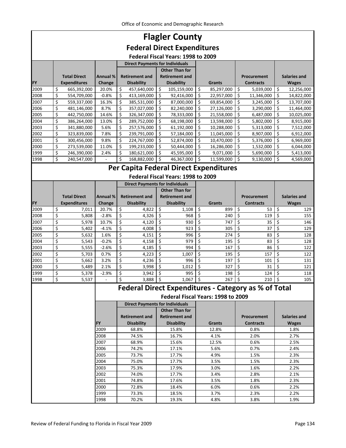|           |                                                                              |           |                                        | <b>Flagler County</b>                                |    |               |                   |                         |  |  |  |  |  |  |
|-----------|------------------------------------------------------------------------------|-----------|----------------------------------------|------------------------------------------------------|----|---------------|-------------------|-------------------------|--|--|--|--|--|--|
|           |                                                                              |           |                                        | <b>Federal Direct Expenditures</b>                   |    |               |                   |                         |  |  |  |  |  |  |
|           |                                                                              |           |                                        | Federal Fiscal Years: 1998 to 2009                   |    |               |                   |                         |  |  |  |  |  |  |
|           |                                                                              |           | <b>Direct Payments for Individuals</b> |                                                      |    |               |                   |                         |  |  |  |  |  |  |
|           |                                                                              |           |                                        | <b>Other Than for</b>                                |    |               |                   |                         |  |  |  |  |  |  |
|           | <b>Total Direct</b>                                                          | Annual %  | <b>Retirement and</b>                  | <b>Retirement and</b>                                |    |               | Procurement       | <b>Salaries and</b>     |  |  |  |  |  |  |
| <b>FY</b> | <b>Expenditures</b>                                                          | Change    | <b>Disability</b>                      | <b>Disability</b>                                    |    | <b>Grants</b> | <b>Contracts</b>  | Wages                   |  |  |  |  |  |  |
| 2009      | \$<br>665,392,000                                                            | 20.0%     | \$<br>457,640,000                      | \$<br>105,159,000                                    | \$ | 85,297,000    | \$<br>5,039,000   | \$<br>12,256,000        |  |  |  |  |  |  |
| 2008      | \$<br>554,709,000                                                            | $-0.8%$   | \$<br>413,169,000                      | \$<br>92,416,000                                     | \$ | 22,957,000    | \$<br>11,346,000  | \$<br>14,822,000        |  |  |  |  |  |  |
| 2007      | \$<br>559,337,000                                                            | 16.3%     | \$<br>385,531,000                      | \$<br>87,000,000                                     | \$ | 69,854,000    | \$<br>3,245,000   | \$<br>13,707,000        |  |  |  |  |  |  |
| 2006      | \$<br>481,146,000                                                            | 8.7%      | \$<br>357,027,000                      | \$<br>82,240,000                                     | \$ | 27,126,000    | \$<br>3,290,000   | \$<br>11,464,000        |  |  |  |  |  |  |
| 2005      | \$<br>442,750,000                                                            | 14.6%     | \$<br>326,347,000                      | \$<br>78,333,000                                     | \$ | 21,558,000    | \$<br>6,487,000   | \$<br>10,025,000        |  |  |  |  |  |  |
| 2004      | \$<br>386,264,000                                                            | 13.0%     | \$<br>289,752,000                      | \$<br>68,198,000                                     | \$ | 13,598,000    | \$<br>5,802,000   | \$<br>8,915,000         |  |  |  |  |  |  |
| 2003      | \$<br>341,880,000                                                            | 5.6%      | \$<br>257,576,000                      | \$<br>61,192,000                                     | \$ | 10,288,000    | \$<br>5,313,000   | \$<br>7,512,000         |  |  |  |  |  |  |
| 2002      | \$<br>323,839,000                                                            | 7.8%      | \$<br>239,791,000                      | \$<br>57,184,000                                     | \$ | 11,045,000    | Ś<br>8,907,000    | \$<br>6,912,000         |  |  |  |  |  |  |
| 2001      | \$<br>300,456,000                                                            | 9.8%      | \$<br>224,767,000                      | \$<br>52,874,000                                     | \$ | 10,470,000    | \$<br>5,376,000   | \$<br>6,969,000         |  |  |  |  |  |  |
| 2000      | \$<br>273,539,000                                                            | 11.0%     | \$<br>199,233,000                      | \$<br>50,444,000                                     | \$ | 16,286,000    | \$<br>1,532,000   | \$<br>6,044,000         |  |  |  |  |  |  |
| 1999      | \$<br>246,390,000                                                            | 2.4%      | \$<br>180,621,000                      | \$<br>45,595,000                                     | \$ | 9,071,000     | \$<br>5,690,000   | \$<br>5,413,000         |  |  |  |  |  |  |
| 1998      | \$<br>240,547,000                                                            |           | Ś<br>168,882,000                       | \$<br>46,367,000                                     | \$ | 11,599,000    | -Ś<br>9,130,000   | \$<br>4,569,000         |  |  |  |  |  |  |
|           |                                                                              |           |                                        |                                                      |    |               |                   |                         |  |  |  |  |  |  |
|           | Per Capita Federal Direct Expenditures                                       |           |                                        |                                                      |    |               |                   |                         |  |  |  |  |  |  |
|           | Federal Fiscal Years: 1998 to 2009<br><b>Direct Payments for Individuals</b> |           |                                        |                                                      |    |               |                   |                         |  |  |  |  |  |  |
|           |                                                                              |           |                                        | <b>Other Than for</b>                                |    |               |                   |                         |  |  |  |  |  |  |
|           | <b>Total Direct</b>                                                          | Annual %  | <b>Retirement and</b>                  | <b>Retirement and</b>                                |    |               | Procurement       | <b>Salaries and</b>     |  |  |  |  |  |  |
| <b>FY</b> | <b>Expenditures</b>                                                          | Change    | <b>Disability</b>                      | <b>Disability</b>                                    |    | <b>Grants</b> | <b>Contracts</b>  | <b>Wages</b>            |  |  |  |  |  |  |
| 2009      | \$<br>7,011                                                                  | 20.7%     | \$<br>4,822                            | \$<br>1,108                                          | \$ | 899           | \$<br>53          | \$<br>129               |  |  |  |  |  |  |
| 2008      | \$<br>5,808                                                                  | $-2.8%$   | \$<br>4,326                            | \$<br>968                                            | \$ | 240           | \$<br>119         | \$<br>155               |  |  |  |  |  |  |
| 2007      | \$<br>5,978                                                                  | 10.7%     | \$<br>4,120                            | \$<br>930                                            | \$ | 747           | \$<br>35          | \$<br>146               |  |  |  |  |  |  |
| 2006      | \$<br>5,402                                                                  | $-4.1%$   | \$<br>4,008                            | \$<br>923                                            | \$ | 305           | \$<br>37          | \$<br>129               |  |  |  |  |  |  |
| 2005      | \$<br>5,632                                                                  | 1.6%      | \$<br>4,151                            | \$<br>996                                            | \$ | 274           | \$<br>83          | \$<br>128               |  |  |  |  |  |  |
| 2004      | \$<br>5,543                                                                  | $-0.2%$   | \$<br>4,158                            | \$<br>979                                            | \$ | 195           | \$<br>83          | \$<br>128               |  |  |  |  |  |  |
| 2003      | \$<br>5,555                                                                  | $-2.6%$   | \$<br>4,185                            | \$<br>994                                            | \$ | 167           | \$<br>86          | \$<br>122               |  |  |  |  |  |  |
| 2002      | \$<br>5,703                                                                  | 0.7%      | \$<br>4,223                            | \$<br>1,007                                          | \$ | 195           | \$<br>157         | $\overline{\xi}$<br>122 |  |  |  |  |  |  |
| 2001      | \$<br>5,662                                                                  | 3.2%      | \$<br>4,236                            | \$<br>996                                            | \$ | 197           | \$<br>101         | \$<br>131               |  |  |  |  |  |  |
| 2000      | \$<br>5,489                                                                  | 2.1%      | \$<br>3,998                            | \$<br>1,012                                          | \$ | 327           | \$<br>31          | $\overline{\xi}$<br>121 |  |  |  |  |  |  |
| 1999      | \$<br>5,378                                                                  | $-2.9%$   | \$<br>3,942                            | \$<br>995                                            | \$ | 198           | \$<br>124         | \$<br>118               |  |  |  |  |  |  |
| 1998      | Ś<br>5,537                                                                   |           | Ś<br>$3,888$ \$                        | $1,067$ \$                                           |    | $267$ \$      | $210 \frac{1}{5}$ | 105                     |  |  |  |  |  |  |
|           |                                                                              |           |                                        | Federal Direct Expenditures - Category as % of Total |    |               |                   |                         |  |  |  |  |  |  |
|           |                                                                              |           |                                        |                                                      |    |               |                   |                         |  |  |  |  |  |  |
|           |                                                                              |           |                                        | Federal Fiscal Years: 1998 to 2009                   |    |               |                   |                         |  |  |  |  |  |  |
|           |                                                                              |           |                                        | <b>Direct Payments for Individuals</b>               |    |               |                   |                         |  |  |  |  |  |  |
|           |                                                                              |           |                                        | <b>Other Than for</b>                                |    |               |                   |                         |  |  |  |  |  |  |
|           |                                                                              |           | <b>Retirement and</b>                  | <b>Retirement and</b>                                |    |               | Procurement       | <b>Salaries and</b>     |  |  |  |  |  |  |
|           |                                                                              | <b>FY</b> | <b>Disability</b>                      | <b>Disability</b>                                    |    | Grants        | <b>Contracts</b>  | <b>Wages</b>            |  |  |  |  |  |  |
|           |                                                                              | 2009      | 68.8%                                  | 15.8%                                                |    | 12.8%         | 0.8%              | 1.8%                    |  |  |  |  |  |  |
|           |                                                                              | 2008      | 74.5%                                  | 16.7%                                                |    | 4.1%          | 2.0%              | 2.7%                    |  |  |  |  |  |  |
|           |                                                                              | 2007      | 68.9%                                  | 15.6%                                                |    | 12.5%         | 0.6%              | 2.5%                    |  |  |  |  |  |  |
|           |                                                                              | 2006      | 74.2%                                  | 17.1%                                                |    | 5.6%          | 0.7%              | 2.4%                    |  |  |  |  |  |  |
|           |                                                                              | 2005      | 73.7%                                  | 17.7%                                                |    | 4.9%          | 1.5%              | 2.3%                    |  |  |  |  |  |  |
|           |                                                                              | 2004      | 75.0%                                  | 17.7%                                                |    | 3.5%          | 1.5%              | 2.3%                    |  |  |  |  |  |  |
|           |                                                                              | 2003      | 75.3%                                  | 17.9%                                                |    | 3.0%          | 1.6%              | 2.2%                    |  |  |  |  |  |  |
|           |                                                                              | 2002      | 74.0%                                  | 17.7%                                                |    | 3.4%          | 2.8%              | 2.1%                    |  |  |  |  |  |  |
|           |                                                                              | 2001      | 74.8%                                  | 17.6%                                                |    | 3.5%          | 1.8%              | 2.3%                    |  |  |  |  |  |  |
|           |                                                                              | 2000      | 72.8%                                  | 18.4%                                                |    | 6.0%          | 0.6%              | 2.2%                    |  |  |  |  |  |  |
|           |                                                                              | 1999      | 73.3%                                  | 18.5%                                                |    | 3.7%          | 2.3%              | 2.2%                    |  |  |  |  |  |  |

1998 | 70.2% | 19.3% | 4.8% | 3.8% | 1.9%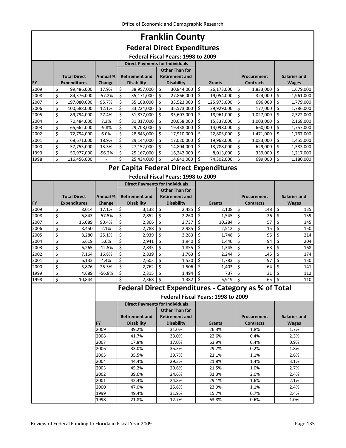| <b>Franklin County</b> |                        |                     |                 |    |                                        |    |                                                      |    |               |                  |                  |                  |                     |
|------------------------|------------------------|---------------------|-----------------|----|----------------------------------------|----|------------------------------------------------------|----|---------------|------------------|------------------|------------------|---------------------|
|                        |                        |                     |                 |    |                                        |    | <b>Federal Direct Expenditures</b>                   |    |               |                  |                  |                  |                     |
|                        |                        |                     |                 |    |                                        |    | Federal Fiscal Years: 1998 to 2009                   |    |               |                  |                  |                  |                     |
|                        |                        |                     |                 |    | <b>Direct Payments for Individuals</b> |    |                                                      |    |               |                  |                  |                  |                     |
|                        |                        |                     |                 |    |                                        |    | <b>Other Than for</b>                                |    |               |                  |                  |                  |                     |
|                        |                        | <b>Total Direct</b> | Annual %        |    | <b>Retirement and</b>                  |    | <b>Retirement and</b>                                |    |               |                  | Procurement      |                  | <b>Salaries and</b> |
| <b>FY</b>              |                        | <b>Expenditures</b> | Change          |    | <b>Disability</b>                      |    | <b>Disability</b>                                    |    | <b>Grants</b> |                  | <b>Contracts</b> |                  | <b>Wages</b>        |
| 2009                   | \$                     | 99,486,000          | 17.9%           | \$ | 38,957,000                             | \$ | 30,844,000                                           | \$ | 26,173,000    | \$               | 1,833,000        | \$               | 1,679,000           |
| 2008                   | \$                     | 84,376,000          | $-57.2%$        | \$ | 35,171,000                             | \$ | 27,866,000                                           | \$ | 19,054,000    | $\zeta$          | 324,000          | \$               | 1,961,000           |
| 2007                   | \$                     | 197,080,000         | 95.7%           | \$ | 35,108,000                             | \$ | 33,523,000                                           | \$ | 125,973,000   | \$               | 696,000          | \$               | 1,779,000           |
| 2006                   | \$                     | 100,688,000         | 12.1%           | \$ | 33,224,000                             | \$ | 35,573,000                                           | \$ | 29,929,000    | \$               | 177,000          | Ś                | 1,786,000           |
| 2005                   | \$                     | 89,794,000          | 27.4%           | \$ | 31,877,000                             | Ś  | 35,607,000                                           | \$ | 18,961,000    | \$               | 1,027,000        | \$               | 2,322,000           |
| 2004                   | \$                     | 70,484,000          | 7.3%            | \$ | 31,317,000                             | \$ | 20,658,000                                           | \$ | 15,337,000    | $\zeta$          | 1,003,000        | \$               | 2,168,000           |
| 2003                   | \$                     | 65,662,000          | $-9.8%$         | \$ | 29,708,000                             | Ś. | 19,438,000                                           | Ś  | 14,098,000    | Ś                | 660,000          | \$               | 1,757,000           |
| 2002                   | \$                     | 72,794,000          | 6.0%            | \$ | 28,843,000                             | \$ | 17,910,000                                           | \$ | 22,803,000    | \$               | 1,471,000        | \$               | 1,767,000           |
| 2001                   | \$                     | 68,671,000          | 18.9%           | \$ | 29,144,000                             | \$ | 17,020,000                                           | \$ | 19,968,000    | $\zeta$          | 1,083,000        | \$               | 1,455,000           |
| 2000                   | \$                     | 57,755,000          | 13.3%           | \$ | 27,152,000                             | \$ | 14,804,000                                           | \$ | 13,788,000    | \$               | 629,000          | \$               | 1,383,000           |
| 1999                   | \$                     | 50,977,000          | $-56.2%$        | \$ | 25,167,000                             | \$ | 16,242,000                                           | \$ | 8,013,000     | \$               | 339,000          | \$               | 1,217,000           |
| 1998                   | \$                     | 116,456,000         |                 | \$ | 25,434,000                             | \$ | 14,841,000                                           | \$ | 74,302,000    | \$               | 699,000          | \$               | 1,180,000           |
|                        |                        |                     |                 |    |                                        |    | Per Capita Federal Direct Expenditures               |    |               |                  |                  |                  |                     |
|                        |                        |                     |                 |    |                                        |    | Federal Fiscal Years: 1998 to 2009                   |    |               |                  |                  |                  |                     |
|                        |                        |                     |                 |    | <b>Direct Payments for Individuals</b> |    |                                                      |    |               |                  |                  |                  |                     |
|                        |                        |                     |                 |    |                                        |    | <b>Other Than for</b>                                |    |               |                  |                  |                  |                     |
|                        |                        | <b>Total Direct</b> | <b>Annual %</b> |    | <b>Retirement and</b>                  |    | <b>Retirement and</b>                                |    |               |                  | Procurement      |                  | <b>Salaries and</b> |
| <b>FY</b>              |                        | <b>Expenditures</b> | Change          |    | <b>Disability</b>                      |    | <b>Disability</b>                                    |    | <b>Grants</b> |                  | <b>Contracts</b> |                  | <b>Wages</b>        |
| 2009                   | \$                     | 8,014               | 17.1%           | \$ | 3,138                                  | \$ | 2,485                                                | \$ | 2,108         | \$               | 148              | \$               | 135                 |
| 2008                   | \$                     | 6,843               | $-57.5%$        | \$ | 2,852                                  | \$ | 2,260                                                | \$ | 1,545         | $\zeta$          | 26               | \$               | 159                 |
| 2007                   | \$                     | 16,089              | 90.4%           | \$ | 2,866                                  | \$ | 2,737                                                | \$ | 10,284        | \$               | 57               | \$               | 145                 |
| 2006                   | \$                     | 8,450               | 2.1%            | \$ | 2,788                                  | \$ | 2,985                                                | \$ | 2,512         | \$               | 15               | \$               | 150                 |
| 2005                   | \$                     | 8,280               | 25.1%           | \$ |                                        |    |                                                      |    | 1,748         | \$               | 95               | $\overline{\xi}$ | 214                 |
| 2004                   |                        |                     |                 |    |                                        |    |                                                      |    |               |                  |                  |                  | 204                 |
|                        |                        |                     |                 |    | 2,939                                  | \$ | 3,283                                                | \$ |               |                  |                  |                  |                     |
|                        | $\overline{\varsigma}$ | 6,619               | 5.6%            | \$ | 2,941                                  | \$ | 1,940                                                | \$ | 1.440         | \$               | 94               | \$               |                     |
| 2003                   | \$                     | 6,265               | $-12.5%$        | \$ | 2,835                                  | \$ | 1,855                                                | \$ | 1,345         | \$               | 63               | \$               | 168                 |
| 2002                   | $\overline{\xi}$       | 7,164               | 16.8%           | \$ | 2,839                                  | Ś. | 1,763                                                | \$ | 2.244         | $\overline{\xi}$ | 145              | $\overline{\xi}$ | 174                 |
| 2001                   | \$                     | 6,133               | 4.4%            | \$ | 2,603                                  | \$ | 1,520                                                | \$ | 1,783         | \$               | 97               | \$               | 130                 |
| 2000                   | \$                     | 5,876               | 25.3%           | \$ | 2,762                                  | \$ | 1,506                                                | \$ | 1,403         | \$               | 64               | \$               | 141                 |
| 1999                   | \$                     | 4,689               | $-56.8%$        | \$ | 2,315                                  | \$ | 1,494                                                | \$ | 737           | \$               | 31               | \$               | 112                 |
| 1998                   | $\overline{\xi}$       | 10,844              |                 | \$ | 2,368                                  | \$ | 1,382                                                | \$ | 6,919         | \$               | 65               | \$               | 110                 |
|                        |                        |                     |                 |    |                                        |    | Federal Direct Expenditures - Category as % of Total |    |               |                  |                  |                  |                     |
|                        |                        |                     |                 |    |                                        |    | Federal Fiscal Years: 1998 to 2009                   |    |               |                  |                  |                  |                     |
|                        |                        |                     |                 |    | <b>Direct Payments for Individuals</b> |    |                                                      |    |               |                  |                  |                  |                     |
|                        |                        |                     |                 |    |                                        |    | <b>Other Than for</b>                                |    |               |                  |                  |                  |                     |

|           | <b>Retirement and</b> | <b>Retirement and</b> |               | Procurement      | <b>Salaries and</b> |
|-----------|-----------------------|-----------------------|---------------|------------------|---------------------|
| <b>FY</b> | <b>Disability</b>     | <b>Disability</b>     | <b>Grants</b> | <b>Contracts</b> | <b>Wages</b>        |
| 2009      | 39.2%                 | 31.0%                 | 26.3%         | 1.8%             | 1.7%                |
| 2008      | 41.7%                 | 33.0%                 | 22.6%         | 0.4%             | 2.3%                |
| 2007      | 17.8%                 | 17.0%                 | 63.9%         | 0.4%             | 0.9%                |
| 2006      | 33.0%                 | 35.3%                 | 29.7%         | 0.2%             | 1.8%                |
| 2005      | 35.5%                 | 39.7%                 | 21.1%         | 1.1%             | 2.6%                |
| 2004      | 44.4%                 | 29.3%                 | 21.8%         | 1.4%             | 3.1%                |
| 2003      | 45.2%                 | 29.6%                 | 21.5%         | 1.0%             | 2.7%                |
| 2002      | 39.6%                 | 24.6%                 | 31.3%         | 2.0%             | 2.4%                |
| 2001      | 42.4%                 | 24.8%                 | 29.1%         | 1.6%             | 2.1%                |
| 2000      | 47.0%                 | 25.6%                 | 23.9%         | 1.1%             | 2.4%                |
| 1999      | 49.4%                 | 31.9%                 | 15.7%         | 0.7%             | 2.4%                |
| 1998      | 21.8%                 | 12.7%                 | 63.8%         | 0.6%             | 1.0%                |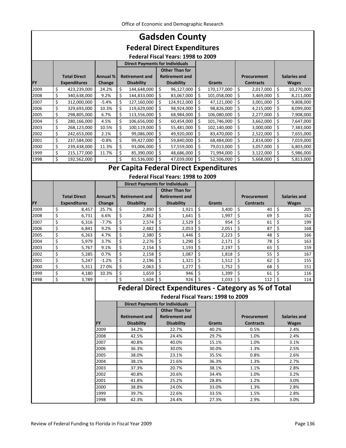| Office of Economic and Demographic Research |                     |                                                                 |                 |          |                                        |          |                                                      |          |                |          |                        |                  |                     |
|---------------------------------------------|---------------------|-----------------------------------------------------------------|-----------------|----------|----------------------------------------|----------|------------------------------------------------------|----------|----------------|----------|------------------------|------------------|---------------------|
| <b>Gadsden County</b>                       |                     |                                                                 |                 |          |                                        |          |                                                      |          |                |          |                        |                  |                     |
|                                             |                     |                                                                 |                 |          |                                        |          | <b>Federal Direct Expenditures</b>                   |          |                |          |                        |                  |                     |
|                                             |                     |                                                                 |                 |          |                                        |          | Federal Fiscal Years: 1998 to 2009                   |          |                |          |                        |                  |                     |
|                                             |                     |                                                                 |                 |          | <b>Direct Payments for Individuals</b> |          |                                                      |          |                |          |                        |                  |                     |
|                                             |                     |                                                                 |                 |          |                                        |          | <b>Other Than for</b>                                |          |                |          |                        |                  |                     |
|                                             | <b>Total Direct</b> |                                                                 | Annual %        |          | <b>Retirement and</b>                  |          | <b>Retirement and</b>                                |          |                |          | Procurement            |                  | <b>Salaries and</b> |
| FY                                          | <b>Expenditures</b> |                                                                 | Change          |          | <b>Disability</b>                      |          | <b>Disability</b>                                    |          | <b>Grants</b>  |          | <b>Contracts</b>       |                  | Wages               |
| 2009                                        | \$                  | 423,239,000                                                     | 24.2%           | \$       | 144,648,000                            | \$       | 96,127,000                                           | \$       | 170,177,000    | \$       | 2,017,000              | \$               | 10,270,000          |
| 2008                                        | \$                  | 340,638,000                                                     | 9.2%            | \$       | 144,833,000                            | \$       | 83,067,000                                           | \$       | 101,058,000    | \$       | 3,469,000              | \$               | 8,211,000           |
| 2007                                        | \$                  | 312,000,000                                                     | $-5.4%$         | \$       | 127,160,000                            | \$       | 124,912,000                                          | \$       | 47,121,000     | \$       | 3,001,000              | \$               | 9,808,000           |
| 2006                                        | \$                  | 329,693,000                                                     | 10.3%           | \$       | 119,629,000                            | \$       | 98,924,000                                           | \$       | 98,826,000     | \$       | 4,215,000              | \$               | 8,099,000           |
| 2005                                        | \$                  | 298,805,000                                                     | 6.7%            | \$       | 113,556,000                            | \$       | 68,984,000                                           | \$       | 106,080,000    | Ś        | 2,277,000              | \$               | 7,908,000           |
| 2004                                        | \$                  | 280,166,000                                                     | 4.5%            | \$       | 106,656,000                            | \$       | 60,454,000                                           | \$       | 101,746,000    | \$       | 3,662,000              | \$               | 7,647,000           |
| 2003                                        | \$                  | 268,123,000                                                     | 10.5%           | \$       | 100,119,000                            | \$       | 55,481,000                                           | \$       | 102,140,000    | \$       | 3,000,000              | \$               | 7,383,000           |
| 2002                                        | \$                  | 242,653,000                                                     | 2.1%            | \$       | 99,086,000                             | \$       | 49,920,000                                           | \$       | 83,470,000     | \$       | 2,522,000              | \$               | 7,655,000           |
| 2001                                        | \$                  | 237,584,000                                                     | $-0.8%$         | \$       | 99,427,000                             | \$       | 59,840,000                                           | \$       | 68,484,000     | \$       | 2,814,000              | \$               | 7,019,000           |
| 2000                                        | \$                  | 239,438,000                                                     | 11.3%           | \$       | 93,006,000                             | \$       | 57,559,000                                           | \$       | 79,013,000     | \$       | 3,057,000              | \$               | 6,803,000           |
| 1999                                        | \$                  | 215,177,000                                                     | 11.7%           | \$       | 85,390,000                             | \$       | 48,686,000                                           | Ś        | 71,994,000     | \$       | 3,122,000              | \$               | 5,986,000           |
| 1998                                        | \$                  | 192,562,000                                                     |                 | \$       | 81,536,000                             | $\zeta$  | 47,039,000                                           | $\zeta$  | 52,506,000     | -\$      | 5,668,000              | \$               | 5,813,000           |
|                                             |                     |                                                                 |                 |          |                                        |          | Per Capita Federal Direct Expenditures               |          |                |          |                        |                  |                     |
|                                             |                     |                                                                 |                 |          |                                        |          | Federal Fiscal Years: 1998 to 2009                   |          |                |          |                        |                  |                     |
|                                             |                     |                                                                 |                 |          |                                        |          |                                                      |          |                |          |                        |                  |                     |
|                                             |                     |                                                                 |                 |          |                                        |          |                                                      |          |                |          |                        |                  |                     |
|                                             |                     | <b>Direct Payments for Individuals</b><br><b>Other Than for</b> |                 |          |                                        |          |                                                      |          |                |          |                        |                  |                     |
|                                             |                     |                                                                 |                 |          |                                        |          |                                                      |          |                |          |                        |                  |                     |
|                                             | <b>Total Direct</b> |                                                                 | <b>Annual %</b> |          | <b>Retirement and</b>                  |          | <b>Retirement and</b>                                |          |                |          | Procurement            |                  | <b>Salaries and</b> |
| FY                                          | <b>Expenditures</b> |                                                                 | Change<br>25.7% |          | <b>Disability</b>                      |          | <b>Disability</b>                                    |          | Grants         |          | <b>Contracts</b><br>40 |                  | <b>Wages</b><br>205 |
| 2009<br>2008                                | \$                  | 8,457<br>6,731                                                  | 6.6%            | \$       | 2,890<br>2,862                         | \$       | 1,921<br>1,641                                       | \$       | 3,400<br>1,997 | \$       | 69                     | \$               | 162                 |
| 2007                                        | \$<br>\$            | 6,316                                                           | $-7.7%$         | \$<br>\$ | 2,574                                  | \$<br>\$ | 2,529                                                | \$<br>\$ | 954            | \$<br>\$ | 61                     | \$<br>\$         | 199                 |
| 2006                                        | \$                  | 6,841                                                           | 9.2%            | \$       | 2,482                                  | \$       | 2,053                                                | \$       | 2,051          | \$       | 87                     | \$               | 168                 |
| 2005                                        | \$                  | 6,263                                                           | 4.7%            | \$       | 2,380                                  | \$       | 1,446                                                | \$       | 2,223          | \$       | 48                     | \$               | 166                 |
| 2004                                        | \$                  | 5,979                                                           | 3.7%            | \$       | 2,276                                  | \$       | 1,290                                                | \$       | 2,171          | \$       | 78                     | $\overline{\xi}$ | 163                 |
| 2003                                        | \$                  | 5,767                                                           | 9.1%            | \$       | 2,154                                  | \$       | 1,193                                                | \$       | 2,197          | \$       | 65                     | \$               | 159                 |
|                                             | \$                  | 5,285                                                           | 0.7%            | \$       | 2,158                                  | \$       | 1,087                                                | \$       | 1,818          | \$       | 55                     | \$               | 167                 |
| 2002<br>2001                                | \$                  | 5,247                                                           | $-1.2%$         | \$       | 2,196                                  | \$       | 1,321                                                | \$       | 1,512          | \$       | 62                     | \$               | 155                 |
| 2000                                        | \$                  | 5,311                                                           | 27.0%           | \$       | 2,063                                  | \$       | 1,277                                                | \$       | 1,752          | \$       | 68                     | \$               | 151                 |
| 1999                                        | \$                  | 4,180                                                           | 10.3%           | \$       | 1,659                                  | \$       | 946                                                  | $\zeta$  | 1,399          | $\zeta$  | 61                     | \$               | 116                 |
|                                             | \$                  | 3,789                                                           |                 |          | $1,604$ \$                             |          | $926$ \$                                             |          | $1,033$ \$     |          | $112 \frac{11}{5}$     |                  | 114                 |
|                                             |                     |                                                                 |                 |          |                                        |          |                                                      |          |                |          |                        |                  |                     |
| 1998                                        |                     |                                                                 |                 |          |                                        |          | Federal Direct Expenditures - Category as % of Total |          |                |          |                        |                  |                     |
|                                             |                     |                                                                 |                 |          |                                        |          | Federal Fiscal Years: 1998 to 2009                   |          |                |          |                        |                  |                     |
|                                             |                     |                                                                 |                 |          | <b>Direct Payments for Individuals</b> |          | <b>Other Than for</b>                                |          |                |          |                        |                  |                     |
|                                             |                     |                                                                 |                 |          | <b>Retirement and</b>                  |          | <b>Retirement and</b>                                |          |                |          | Procurement            |                  | <b>Salaries and</b> |
|                                             |                     |                                                                 | <b>FY</b>       |          | <b>Disability</b>                      |          | <b>Disability</b>                                    |          | Grants         |          | <b>Contracts</b>       |                  | Wages               |
|                                             |                     |                                                                 | 2009            |          | 34.2%                                  |          | 22.7%                                                |          | 40.2%          |          | 0.5%                   |                  | 2.4%                |
|                                             |                     |                                                                 | 2008            |          | 42.5%                                  |          | 24.4%                                                |          | 29.7%          |          | 1.0%                   |                  | 2.4%                |
|                                             |                     |                                                                 | 2007            |          | 40.8%                                  |          | 40.0%                                                |          | 15.1%          |          | 1.0%                   |                  | 3.1%                |

2005 38.0% 23.1% 35.5% 0.8% 2.6% 2004 38.1% 21.6% 36.3% 1.3% 2.7% 2003 37.3% 20.7% 38.1% 1.1% 2.8% 2002 40.8% 20.6% 34.4% 1.0% 3.2% 2001 41.8% 25.2% 28.8% 1.2% 3.0% 2000 38.8% 24.0% 33.0% 1.3% 2.8% 1999 39.7% 22.6% 33.5% 1.5% 2.8% 1998 42.3% 24.4% 27.3% 2.9% 3.0%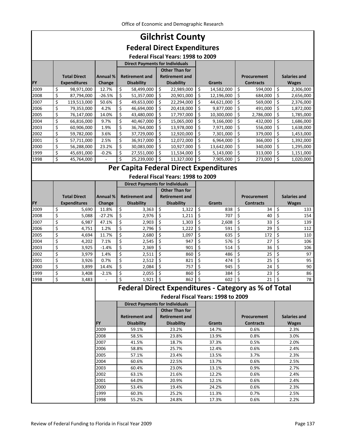|           |                     |           |    |                                        |                          | <b>Gilchrist County</b>                              |                         |               |         |                  |    |                     |
|-----------|---------------------|-----------|----|----------------------------------------|--------------------------|------------------------------------------------------|-------------------------|---------------|---------|------------------|----|---------------------|
|           |                     |           |    |                                        |                          | <b>Federal Direct Expenditures</b>                   |                         |               |         |                  |    |                     |
|           |                     |           |    |                                        |                          | Federal Fiscal Years: 1998 to 2009                   |                         |               |         |                  |    |                     |
|           |                     |           |    | <b>Direct Payments for Individuals</b> |                          |                                                      |                         |               |         |                  |    |                     |
|           |                     |           |    |                                        |                          | <b>Other Than for</b>                                |                         |               |         |                  |    |                     |
|           | <b>Total Direct</b> | Annual %  |    | <b>Retirement and</b>                  |                          | <b>Retirement and</b>                                |                         |               |         | Procurement      |    | <b>Salaries and</b> |
| FY        | <b>Expenditures</b> | Change    |    | <b>Disability</b>                      |                          | <b>Disability</b>                                    |                         | <b>Grants</b> |         | <b>Contracts</b> |    | <b>Wages</b>        |
| 2009      | \$<br>98,971,000    | 12.7%     | \$ | 58,499,000                             | \$                       | 22,989,000                                           | \$                      | 14,582,000    | \$      | 594,000          | \$ | 2,306,000           |
| 2008      | \$<br>87,794,000    | $-26.5%$  | \$ | 51,357,000                             | \$                       | 20,901,000                                           | \$                      | 12,196,000    | Ś       | 684,000          | Ś. | 2,656,000           |
| 2007      | \$<br>119,513,000   | 50.6%     | \$ | 49,653,000                             | \$                       | 22,294,000                                           | \$                      | 44,621,000    | \$      | 569,000          | \$ | 2,376,000           |
| 2006      | \$<br>79,353,000    | 4.2%      | \$ | 46,694,000                             | \$                       | 20,418,000                                           | \$                      | 9,877,000     | \$      | 491,000          | \$ | 1,872,000           |
| 2005      | \$<br>76,147,000    | 14.0%     | \$ | 43,480,000                             | \$                       | 17,797,000                                           | \$                      | 10,300,000    | \$      | 2,786,000        | \$ | 1,785,000           |
| 2004      | \$<br>66,816,000    | 9.7%      | \$ | 40,467,000                             | \$                       | 15,065,000                                           | \$                      | 9,166,000     | \$      | 432,000          | \$ | 1,686,000           |
| 2003      | \$<br>60,906,000    | 1.9%      | \$ | 36,764,000                             | \$                       | 13,978,000                                           | \$                      | 7,971,000     | \$      | 556,000          | \$ | 1,638,000           |
| 2002      | \$<br>59,782,000    | 3.6%      | \$ | 37,729,000                             | \$                       | 12,920,000                                           | \$                      | 7,301,000     | Ś       | 379,000          | \$ | 1,453,000           |
| 2001      | \$<br>57,711,000    | 2.5%      | \$ | 36,917,000                             | \$                       | 12,072,000                                           | \$                      | 6,964,000     | \$      | 366,000          | \$ | 1,392,000           |
| 2000      | \$<br>56,288,000    | 23.2%     | \$ | 30,083,000                             | \$                       | 10,927,000                                           | \$                      | 13,642,000    | Ś       | 340,000          | \$ | 1,295,000           |
| 1999      | \$<br>45,691,000    | $-0.2%$   | \$ | 27,551,000                             | \$                       | 11,534,000                                           | \$                      | 5,143,000     | $\zeta$ | 313,000          | \$ | 1,151,000           |
| 1998      | \$<br>45,764,000    |           | Ś  | 25,239,000                             | \$                       | 11,327,000                                           | $\overline{\mathsf{S}}$ | 7,905,000     | l s     | 273,000          | Ś. | 1,020,000           |
|           |                     |           |    |                                        |                          | Per Capita Federal Direct Expenditures               |                         |               |         |                  |    |                     |
|           |                     |           |    |                                        |                          | Federal Fiscal Years: 1998 to 2009                   |                         |               |         |                  |    |                     |
|           |                     |           |    | <b>Direct Payments for Individuals</b> |                          |                                                      |                         |               |         |                  |    |                     |
|           |                     |           |    |                                        |                          | <b>Other Than for</b>                                |                         |               |         |                  |    |                     |
|           |                     |           |    |                                        |                          |                                                      |                         |               |         |                  |    |                     |
|           | <b>Total Direct</b> | Annual %  |    | <b>Retirement and</b>                  |                          | <b>Retirement and</b>                                |                         |               |         | Procurement      |    | <b>Salaries and</b> |
| <b>FY</b> | <b>Expenditures</b> | Change    |    | <b>Disability</b>                      |                          | <b>Disability</b>                                    |                         | <b>Grants</b> |         | <b>Contracts</b> |    | <b>Wages</b>        |
| 2009      | \$<br>5,690         | 11.8%     | \$ | 3,363                                  | \$                       | 1,322                                                | \$                      | 838           | \$      | 34               | \$ | 133                 |
| 2008      | \$<br>5,088         | $-27.2%$  | \$ | 2,976                                  | \$                       | 1,211                                                | \$                      | 707           | \$      | 40               | \$ | 154                 |
| 2007      | \$<br>6,987         | 47.1%     | \$ | 2,903                                  | \$                       | 1,303                                                | \$                      | 2,608         | \$      | 33               | \$ | 139                 |
| 2006      | \$<br>4,751         | 1.2%      | \$ | 2,796                                  | \$                       | 1,222                                                | \$                      | 591           | \$      | 29               | \$ | 112                 |
| 2005      | \$<br>4,694         | 11.7%     | \$ | 2,680                                  | \$                       | 1,097                                                | \$                      | 635           | \$      | 172              | \$ | 110                 |
| 2004      | \$<br>4,202         | 7.1%      | \$ | 2,545                                  | \$                       | 947                                                  | \$                      | 576           | \$      | 27               | \$ | 106                 |
| 2003      | \$<br>3,925         | $-1.4%$   | \$ | 2,369                                  | \$                       | 901                                                  | \$                      | 514           | \$      | 36               | \$ | 106                 |
| 2002      | \$<br>3,979         | 1.4%      | \$ | 2,511                                  | \$                       | 860                                                  | \$                      | 486           | \$      | 25               | \$ | 97                  |
| 2001      | \$<br>3,926         | 0.7%      | \$ | 2,512                                  | \$                       | 821                                                  | \$                      | 474           | \$      | 25               | \$ | 95                  |
| 2000      | \$<br>3,899         | 14.4%     | \$ | 2,084                                  | \$                       | 757                                                  | $\zeta$                 | 945           | \$      | 24               | \$ | 90                  |
| 1999      | \$<br>3,408         | $-2.1%$   | \$ | 2,055                                  | $\overline{\mathcal{S}}$ | 860                                                  | $\zeta$                 | 384           | \$      | 23               | \$ | 86                  |
|           | \$<br>3,483         |           | \$ | $1,921$ \$                             |                          | $862 \mid 5$                                         |                         | $602 \mid 5$  |         | $21\overline{5}$ |    | 78                  |
|           |                     |           |    |                                        |                          | Federal Direct Expenditures - Category as % of Total |                         |               |         |                  |    |                     |
|           |                     |           |    |                                        |                          |                                                      |                         |               |         |                  |    |                     |
| 1998      |                     |           |    | <b>Direct Payments for Individuals</b> |                          | Federal Fiscal Years: 1998 to 2009                   |                         |               |         |                  |    |                     |
|           |                     |           |    |                                        |                          | <b>Other Than for</b>                                |                         |               |         |                  |    |                     |
|           |                     |           |    | <b>Retirement and</b>                  |                          | <b>Retirement and</b>                                |                         |               |         | Procurement      |    | <b>Salaries and</b> |
|           |                     | <b>FY</b> |    | <b>Disability</b>                      |                          | <b>Disability</b>                                    |                         | Grants        |         | <b>Contracts</b> |    | <b>Wages</b>        |
|           |                     | 2009      |    | 59.1%                                  |                          | 23.2%                                                |                         | 14.7%         |         | 0.6%             |    | 2.3%                |
|           |                     | 2008      |    | 58.5%                                  |                          | 23.8%                                                |                         | 13.9%         |         | 0.8%             |    | 3.0%                |

2006 58.8% 25.7% 12.4% 0.6% 2.4% 2005 57.1% 23.4% 13.5% 3.7% 2.3% 2004 60.6% 22.5% 13.7% 0.6% 2.5% 2003 60.4% 23.0% 13.1% 0.9% 2.7% 2002 63.1% 21.6% 12.2% 0.6% 2.4% 2001 64.0% 20.9% 12.1% 0.6% 2.4% 2000 53.4% 19.4% 24.2% 0.6% 2.3% 1999 60.3% 25.2% 11.3% 0.7% 2.5% 1998 55.2% 24.8% 17.3% 0.6% 2.2%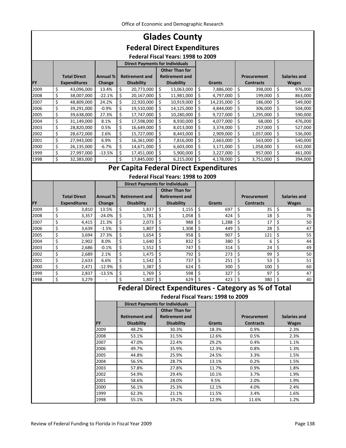|              |                                        |                   |                                | <b>Glades County</b>                   |          |                         |                                                      |                          |  |  |  |  |  |  |
|--------------|----------------------------------------|-------------------|--------------------------------|----------------------------------------|----------|-------------------------|------------------------------------------------------|--------------------------|--|--|--|--|--|--|
|              |                                        |                   |                                |                                        |          |                         |                                                      |                          |  |  |  |  |  |  |
|              |                                        |                   |                                | <b>Federal Direct Expenditures</b>     |          |                         |                                                      |                          |  |  |  |  |  |  |
|              |                                        |                   |                                | Federal Fiscal Years: 1998 to 2009     |          |                         |                                                      |                          |  |  |  |  |  |  |
|              |                                        |                   |                                | <b>Direct Payments for Individuals</b> |          |                         |                                                      |                          |  |  |  |  |  |  |
|              |                                        |                   |                                | <b>Other Than for</b>                  |          |                         |                                                      |                          |  |  |  |  |  |  |
|              | <b>Total Direct</b>                    | Annual %          | <b>Retirement and</b>          | <b>Retirement and</b>                  |          |                         | Procurement                                          | <b>Salaries and</b>      |  |  |  |  |  |  |
| <b>FY</b>    | <b>Expenditures</b>                    | Change            | <b>Disability</b>              | <b>Disability</b>                      |          | <b>Grants</b>           | <b>Contracts</b>                                     | <b>Wages</b>             |  |  |  |  |  |  |
| 2009         | \$<br>43,096,000                       | 13.4%             | \$<br>20,773,000               | \$<br>13,063,000                       | \$       | 7,886,000               | \$<br>398,000                                        | \$<br>976,000            |  |  |  |  |  |  |
| 2008<br>2007 | \$<br>38,007,000<br>\$<br>48,809,000   | $-22.1%$<br>24.2% | \$<br>20,167,000<br>22,920,000 | \$<br>11,981,000<br>\$                 | \$<br>\$ | 4,797,000               | $\zeta$<br>199,000<br>\$                             | \$<br>863,000<br>\$      |  |  |  |  |  |  |
| 2006         | \$<br>39,291,000                       | $-0.9%$           | \$<br>\$<br>19,510,000         | 10,919,000<br>\$<br>14,125,000         | \$       | 14,235,000<br>4,844,000 | 186,000<br>$\zeta$<br>306,000                        | 549,000<br>\$<br>504,000 |  |  |  |  |  |  |
| 2005         | \$<br>39,638,000                       | 27.3%             | \$<br>17,747,000               | \$<br>10,280,000                       | \$       | 9,727,000               | \$<br>1,295,000                                      | \$<br>590,000            |  |  |  |  |  |  |
| 2004         | \$<br>31,149,000                       | 8.1%              | \$<br>17,598,000               | \$<br>8,930,000                        | \$       | 4,077,000               | \$<br>68,000                                         | \$<br>476,000            |  |  |  |  |  |  |
| 2003         | \$<br>28,820,000                       | 0.5%              | \$<br>16,649,000               | \$<br>8,013,000                        | \$       | 3,374,000               | \$<br>257,000                                        | \$<br>527,000            |  |  |  |  |  |  |
| 2002         | \$<br>28,672,000                       | 2.6%              | \$<br>15,727,000               | \$<br>8,443,000                        | \$       | 2,909,000               | $\zeta$<br>1,057,000                                 | \$<br>536,000            |  |  |  |  |  |  |
| 2001         | \$<br>27,943,000                       | 6.9%              | \$<br>16,361,000               | \$<br>7,816,000                        | \$       | 2,663,000               | $\zeta$<br>563,000                                   | \$<br>540,000            |  |  |  |  |  |  |
| 2000         | \$<br>26,135,000                       | $-6.7%$           | \$<br>14,671,000               | \$<br>6,603,000                        | \$       | 3,171,000               | \$<br>1,058,000                                      | \$<br>632,000            |  |  |  |  |  |  |
| 1999         | \$<br>27,997,000                       | $-13.5%$          | \$<br>17,451,000               | \$<br>5,900,000                        | \$       | 3,227,000               | \$<br>957,000                                        | \$<br>461,000            |  |  |  |  |  |  |
| 1998         | \$<br>32,383,000                       | $\sim$            | Ś<br>17,845,000                | \$<br>6,215,000                        | Ś        | 4,178,000               | Ŝ.<br>3,751,000                                      | \$<br>394,000            |  |  |  |  |  |  |
|              |                                        |                   |                                |                                        |          |                         |                                                      |                          |  |  |  |  |  |  |
|              | Per Capita Federal Direct Expenditures |                   |                                |                                        |          |                         |                                                      |                          |  |  |  |  |  |  |
|              | Federal Fiscal Years: 1998 to 2009     |                   |                                |                                        |          |                         |                                                      |                          |  |  |  |  |  |  |
|              |                                        |                   |                                | <b>Direct Payments for Individuals</b> |          |                         |                                                      |                          |  |  |  |  |  |  |
|              |                                        |                   |                                | <b>Other Than for</b>                  |          |                         |                                                      |                          |  |  |  |  |  |  |
|              | <b>Total Direct</b>                    | <b>Annual %</b>   | <b>Retirement and</b>          | <b>Retirement and</b>                  |          |                         | Procurement                                          | <b>Salaries and</b>      |  |  |  |  |  |  |
| FY           | <b>Expenditures</b>                    | Change            | <b>Disability</b>              | <b>Disability</b>                      |          | Grants                  | <b>Contracts</b>                                     | <b>Wages</b>             |  |  |  |  |  |  |
| 2009         | \$<br>3,810                            | 13.5%             | \$<br>1,837                    | \$<br>1,155                            | \$       | 697                     | \$<br>35                                             | \$<br>86                 |  |  |  |  |  |  |
| 2008         | \$<br>3,357                            | $-24.0%$          | \$<br>1,781                    | \$<br>1,058                            | \$       | 424                     | \$<br>18                                             | \$<br>76                 |  |  |  |  |  |  |
| 2007         | \$<br>4,415                            | 21.3%             | \$<br>2,073                    | \$<br>988                              | \$       | 1,288                   | \$<br>17                                             | \$<br>50                 |  |  |  |  |  |  |
| 2006         | \$<br>3,639                            | $-1.5%$           | \$<br>1,807                    | \$<br>1,308                            | \$       | 449                     | \$<br>28                                             | \$<br>47                 |  |  |  |  |  |  |
| 2005         | \$<br>3,694                            | 27.3%             | \$<br>1,654                    | \$<br>958                              | \$       | 907                     | \$<br>121                                            | \$<br>55                 |  |  |  |  |  |  |
| 2004         | \$<br>2,902                            | 8.0%              | \$<br>1,640                    | \$<br>832                              | \$       | 380                     | \$<br>6                                              | \$<br>44                 |  |  |  |  |  |  |
| 2003         | \$<br>2,686                            | $-0.1\%$          | \$<br>1,552                    | \$<br>747                              | \$       | 314                     | \$<br>24                                             | $\overline{\xi}$<br>49   |  |  |  |  |  |  |
| 2002         | \$<br>2,689                            | 2.1%              | \$<br>1,475                    | \$<br>792                              | \$       | 273                     | \$<br>99                                             | $\overline{\xi}$<br>50   |  |  |  |  |  |  |
| 2001         | \$<br>2,633                            | 6.6%              | \$<br>1,542                    | \$<br>737                              | \$       | 251                     | \$<br>53                                             | \$<br>51                 |  |  |  |  |  |  |
| 2000         | \$<br>2,471                            | $-12.9%$          | \$<br>1,387                    | \$<br>624                              | \$       | 300                     | \$<br>100                                            | \$<br>60                 |  |  |  |  |  |  |
| 1999<br>1998 | \$<br>2,837<br>Ś<br>3.279              | $-13.5%$          | \$<br>1,769<br>Ś               | \$<br>598                              | \$       | 327                     | \$<br>97<br>380                                      | \$<br>47<br>40           |  |  |  |  |  |  |
|              |                                        |                   | $1,807$ \$                     | $629$ \$                               |          | 423                     | \$                                                   | \$                       |  |  |  |  |  |  |
|              |                                        |                   |                                |                                        |          |                         | Federal Direct Expenditures - Category as % of Total |                          |  |  |  |  |  |  |
|              |                                        |                   |                                | Federal Fiscal Years: 1998 to 2009     |          |                         |                                                      |                          |  |  |  |  |  |  |
|              |                                        |                   |                                | <b>Direct Payments for Individuals</b> |          |                         |                                                      |                          |  |  |  |  |  |  |
|              |                                        |                   |                                | <b>Other Than for</b>                  |          |                         |                                                      |                          |  |  |  |  |  |  |
|              |                                        |                   | <b>Retirement and</b>          | <b>Retirement and</b>                  |          |                         | Procurement                                          | <b>Salaries and</b>      |  |  |  |  |  |  |
|              |                                        | <b>FY</b>         | <b>Disability</b>              | <b>Disability</b>                      |          | Grants                  | <b>Contracts</b>                                     | Wages                    |  |  |  |  |  |  |
|              |                                        | 2009              | 48.2%                          | 30.3%                                  |          | 18.3%                   | 0.9%                                                 | 2.3%                     |  |  |  |  |  |  |
|              |                                        | 2008              | 53.1%                          | 31.5%                                  |          | 12.6%                   | 0.5%                                                 | 2.3%                     |  |  |  |  |  |  |
|              |                                        | 2007              | 47.0%                          | 22.4%                                  |          | 29.2%                   | 0.4%                                                 | 1.1%                     |  |  |  |  |  |  |
|              |                                        | 2006              | 49.7%                          | 35.9%                                  |          | 12.3%                   | 0.8%                                                 | 1.3%                     |  |  |  |  |  |  |
|              |                                        | 2005              | 44.8%                          | 25.9%                                  |          | 24.5%                   | 3.3%                                                 | 1.5%                     |  |  |  |  |  |  |
|              |                                        | 2004              | 56.5%                          | 28.7%                                  |          | 13.1%                   | 0.2%                                                 | 1.5%                     |  |  |  |  |  |  |
|              |                                        | 2003              | 57.8%                          | 27.8%                                  |          | 11.7%                   | 0.9%                                                 | 1.8%                     |  |  |  |  |  |  |
|              |                                        | 2002              | 54.9%                          | 29.4%                                  |          | 10.1%                   | 3.7%                                                 | 1.9%                     |  |  |  |  |  |  |
|              |                                        | 2001              | 58.6%                          | 28.0%                                  |          | 9.5%                    | 2.0%                                                 | 1.9%                     |  |  |  |  |  |  |
|              |                                        | 2000              | 56.1%                          | 25.3%                                  |          | 12.1%                   | 4.0%                                                 | 2.4%                     |  |  |  |  |  |  |
|              |                                        | 1999              | 62.3%                          | 21.1%                                  |          | 11.5%                   | 3.4%                                                 | 1.6%                     |  |  |  |  |  |  |

1998 55.1% 19.2% 12.9% 11.6% 1.2%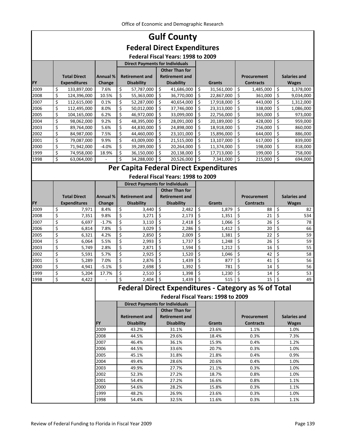|                                        | <b>Gulf County</b>                     |                     |          |                                                             |         |                                    |    |            |    |                  |                  |                     |  |
|----------------------------------------|----------------------------------------|---------------------|----------|-------------------------------------------------------------|---------|------------------------------------|----|------------|----|------------------|------------------|---------------------|--|
|                                        |                                        |                     |          |                                                             |         | <b>Federal Direct Expenditures</b> |    |            |    |                  |                  |                     |  |
|                                        |                                        |                     |          |                                                             |         | Federal Fiscal Years: 1998 to 2009 |    |            |    |                  |                  |                     |  |
|                                        |                                        |                     |          | <b>Direct Payments for Individuals</b>                      |         |                                    |    |            |    |                  |                  |                     |  |
|                                        |                                        |                     |          |                                                             |         | <b>Other Than for</b>              |    |            |    |                  |                  |                     |  |
|                                        |                                        | <b>Total Direct</b> | Annual % | <b>Retirement and</b>                                       |         | <b>Retirement and</b>              |    |            |    | Procurement      |                  | Salaries and        |  |
| FY                                     |                                        | <b>Expenditures</b> | Change   | <b>Disability</b>                                           |         | <b>Disability</b>                  |    | Grants     |    | <b>Contracts</b> |                  | <b>Wages</b>        |  |
| 2009                                   | \$                                     | 133,897,000         | 7.6%     | \$<br>57,787,000                                            | \$      | 41,686,000                         | \$ | 31,561,000 | \$ | 1,485,000        | \$               | 1,378,000           |  |
| 2008                                   | \$                                     | 124,396,000         | 10.5%    | \$<br>55,363,000                                            | \$      | 36,770,000                         | \$ | 22,867,000 | \$ | 361,000          | \$               | 9,034,000           |  |
| 2007                                   | \$                                     | 112,615,000         | 0.1%     | \$<br>52,287,000                                            | \$      | 40,654,000                         | \$ | 17,918,000 | \$ | 443,000          | \$               | 1,312,000           |  |
| 2006                                   | \$                                     | 112,495,000         | 8.0%     | \$<br>50,012,000                                            | \$      | 37,746,000                         | \$ | 23,313,000 | \$ | 338,000          | \$               | 1,086,000           |  |
| 2005                                   | \$                                     | 104,165,000         | 6.2%     | \$<br>46,972,000                                            | \$      | 33,099,000                         | \$ | 22,756,000 | \$ | 365,000          | \$               | 973,000             |  |
| 2004                                   | \$                                     | 98,062,000          | 9.2%     | \$<br>48,395,000                                            | \$      | 28,091,000                         | \$ | 20,189,000 | \$ | 428,000          | \$               | 959,000             |  |
| 2003                                   | \$                                     | 89,764,000          | 5.6%     | \$<br>44,830,000                                            | \$      | 24,898,000                         | \$ | 18,918,000 | \$ | 256,000          | \$               | 860,000             |  |
| 2002                                   | \$                                     | 84,987,000          | 7.5%     | \$<br>44,460,000                                            | \$      | 23,101,000                         | \$ | 15,896,000 | \$ | 644,000          | \$               | 886,000             |  |
| 2001                                   | \$                                     | 79,087,000          | 9.9%     | \$<br>43,009,000                                            | \$      | 21,515,000                         | \$ | 13,107,000 | \$ | 617,000          | \$               | 839,000             |  |
| 2000                                   | \$                                     | 71,942,000          | $-4.0%$  | \$<br>39,289,000                                            | \$      | 20,264,000                         | \$ | 11,374,000 | \$ | 198,000          | \$               | 818,000             |  |
| 1999                                   | \$                                     | 74,958,000          | 18.9%    | \$<br>36,150,000                                            | \$      | 20,138,000                         | \$ | 17,713,000 | \$ | 199,000          | \$               | 758,000             |  |
| 1998                                   | \$                                     | 63,064,000          |          | \$<br>34,288,000                                            | $\zeta$ | 20,526,000                         | \$ | 7,341,000  | \$ | 215,000          | \$               | 694,000             |  |
| Per Capita Federal Direct Expenditures |                                        |                     |          |                                                             |         |                                    |    |            |    |                  |                  |                     |  |
| Federal Fiscal Years: 1998 to 2009     |                                        |                     |          |                                                             |         |                                    |    |            |    |                  |                  |                     |  |
|                                        | <b>Direct Payments for Individuals</b> |                     |          |                                                             |         |                                    |    |            |    |                  |                  |                     |  |
|                                        |                                        |                     |          |                                                             |         | <b>Other Than for</b>              |    |            |    |                  |                  |                     |  |
|                                        |                                        | <b>Total Direct</b> | Annual % | <b>Retirement and</b>                                       |         | <b>Retirement and</b>              |    |            |    | Procurement      |                  | <b>Salaries and</b> |  |
| <b>FY</b>                              |                                        | <b>Expenditures</b> | Change   | <b>Disability</b>                                           |         | <b>Disability</b>                  |    | Grants     |    | <b>Contracts</b> |                  | <b>Wages</b>        |  |
| 2009                                   | \$                                     | 7,971               | 8.4%     | \$<br>3,440                                                 | \$      | 2,482                              | \$ | 1,879      | \$ | 88               | \$               | 82                  |  |
| 2008                                   | \$                                     | 7,351               | 9.8%     | \$<br>3,271                                                 | \$      | 2,173                              | \$ | 1,351      | \$ | 21               | \$               | 534                 |  |
| 2007                                   | \$                                     | 6,697               | $-1.7%$  | \$<br>3,110                                                 | \$      | 2,418                              | \$ | 1,066      | \$ | 26               | \$               | 78                  |  |
| 2006                                   | \$                                     | 6,814               | 7.8%     | \$<br>3,029                                                 | \$      | 2,286                              | \$ | 1,412      | \$ | 20               | \$               | 66                  |  |
| 2005                                   | \$                                     | 6,321               | 4.2%     | \$<br>2,850                                                 | \$      | 2,009                              | \$ | 1,381      | \$ | 22               | \$               | 59                  |  |
| 2004                                   | \$                                     | 6,064               | 5.5%     | \$<br>2,993                                                 | \$      | 1,737                              | \$ | 1,248      | \$ | 26               | $\overline{\xi}$ | 59                  |  |
| 2003                                   | \$                                     | 5,749               | 2.8%     | \$<br>2,871                                                 | \$      | 1,594                              | \$ | 1,212      | \$ | 16               | $\overline{\xi}$ | 55                  |  |
| 2002                                   | \$                                     | 5,591               | 5.7%     | \$<br>2,925                                                 | \$      | 1,520                              | \$ | 1,046      | \$ | 42               | $\overline{\xi}$ | 58                  |  |
| 2001                                   | \$                                     | 5,289               | 7.0%     | \$<br>2,876                                                 | \$      | 1,439                              | \$ | 877        | \$ | 41               | \$               | 56                  |  |
| 2000                                   | \$                                     | 4,941               | $-5.1%$  | \$<br>2,698                                                 | \$      | 1,392                              | \$ | 781        | \$ | 14               | \$               | 56                  |  |
| 1999                                   | \$                                     | 5,204               | 17.7%    | \$<br>2,510                                                 | \$      | 1,398                              | \$ | 1,230      | \$ | 14               | \$               | 53                  |  |
| 1998                                   | \$                                     | 4,422               |          | Ś.<br>2.404                                                 | \$      | 1,439                              | Ś. | 515        | Ś. | 15               | $\overline{\xi}$ | 49                  |  |
|                                        |                                        |                     |          | <b>Federal Direct Expenditures - Category as % of Total</b> |         |                                    |    |            |    |                  |                  |                     |  |
|                                        |                                        |                     |          |                                                             |         | Federal Fiscal Years: 1998 to 2009 |    |            |    |                  |                  |                     |  |
|                                        |                                        |                     |          | <b>Direct Payments for Individuals</b>                      |         |                                    |    |            |    |                  |                  |                     |  |
|                                        |                                        |                     |          |                                                             |         | <b>Other Than for</b>              |    |            |    |                  |                  |                     |  |
|                                        |                                        |                     |          | <b>Retirement and</b>                                       |         | <b>Retirement and</b>              |    |            |    | Procurement      |                  | <b>Salaries and</b> |  |
|                                        |                                        |                     | FY       | <b>Disability</b>                                           |         | <b>Disability</b>                  |    | Grants     |    | <b>Contracts</b> |                  | <b>Wages</b>        |  |
|                                        |                                        |                     | 2009     | 43.2%                                                       |         | 31.1%                              |    | 23.6%      |    | 1.1%             |                  | 1.0%                |  |
|                                        |                                        |                     | 2008     | 44.5%                                                       |         | 29.6%                              |    | 18.4%      |    | 0.3%             |                  | 7.3%                |  |
|                                        |                                        |                     | 2007     | 46.4%                                                       |         | 36.1%                              |    | 15.9%      |    | 0.4%             |                  | 1.2%                |  |
|                                        |                                        |                     | 2006     | 44.5%                                                       |         | 33.6%                              |    | 20.7%      |    | 0.3%             |                  | 1.0%                |  |
|                                        |                                        |                     | 2005     | 45.1%                                                       |         | 31.8%                              |    | 21.8%      |    | 0.4%             |                  | 0.9%                |  |
|                                        |                                        |                     | 2004     | 49.4%                                                       |         | 28.6%                              |    | 20.6%      |    | 0.4%             |                  | 1.0%                |  |
|                                        |                                        |                     | 2003     | 49.9%                                                       |         | 27.7%                              |    | 21.1%      |    | 0.3%             |                  | 1.0%                |  |
|                                        |                                        |                     | 2002     | 52.3%                                                       |         | 27.2%                              |    | 18.7%      |    | 0.8%             |                  | 1.0%                |  |
|                                        |                                        |                     | 2001     | 54.4%                                                       |         | 27.2%                              |    | 16.6%      |    | 0.8%             |                  | 1.1%                |  |
|                                        |                                        |                     | 2000     | 54.6%                                                       |         | 28.2%                              |    | 15.8%      |    | 0.3%             |                  | 1.1%                |  |
|                                        |                                        |                     | 1999     | 48.2%                                                       |         | 26.9%                              |    | 23.6%      |    | 0.3%             |                  | 1.0%                |  |
|                                        |                                        |                     | 1998     | 54.4%                                                       |         | 32.5%                              |    | 11.6%      |    | 0.3%             |                  | 1.1%                |  |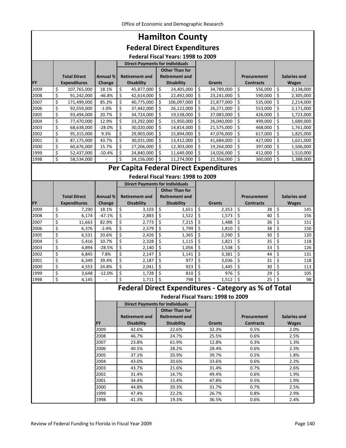| <b>Hamilton County</b>                                            |    |                     |                                  |    |                                        |                  |                                        |    |               |    |                  |                  |                     |
|-------------------------------------------------------------------|----|---------------------|----------------------------------|----|----------------------------------------|------------------|----------------------------------------|----|---------------|----|------------------|------------------|---------------------|
|                                                                   |    |                     |                                  |    |                                        |                  | <b>Federal Direct Expenditures</b>     |    |               |    |                  |                  |                     |
|                                                                   |    |                     |                                  |    |                                        |                  | Federal Fiscal Years: 1998 to 2009     |    |               |    |                  |                  |                     |
|                                                                   |    |                     |                                  |    | <b>Direct Payments for Individuals</b> |                  |                                        |    |               |    |                  |                  |                     |
|                                                                   |    |                     |                                  |    |                                        |                  | <b>Other Than for</b>                  |    |               |    |                  |                  |                     |
|                                                                   |    | <b>Total Direct</b> | Annual %                         |    | <b>Retirement and</b>                  |                  | <b>Retirement and</b>                  |    |               |    | Procurement      |                  | <b>Salaries and</b> |
| FY                                                                |    | <b>Expenditures</b> | <b>Change</b>                    |    | <b>Disability</b>                      |                  | <b>Disability</b>                      |    | <b>Grants</b> |    | <b>Contracts</b> |                  | <b>Wages</b>        |
| 2009                                                              | \$ | 107,765,000         | 18.1%                            | \$ | 45,877,000                             | \$               | 24,405,000                             | \$ | 34,789,000    | \$ | 556,000          | \$               | 2,138,000           |
| 2008                                                              | \$ | 91,242,000          | $-46.8%$                         | \$ | 42,614,000                             | \$               | 22,492,000                             | \$ | 23,241,000    | Ś  | 590,000          | \$               | 2,305,000           |
| 2007                                                              | \$ | 171,499,000         | 85.3%                            | \$ | 40,775,000                             | \$               | 106,097,000                            | \$ | 21,877,000    | \$ | 535,000          | \$               | 2,214,000           |
| 2006                                                              | \$ | 92,559,000          | $-1.0%$                          | \$ | 37,442,000                             | \$               | 26,122,000                             | \$ | 26,271,000    | \$ | 553,000          | \$               | 2,171,000           |
| 2005                                                              | \$ | 93,494,000          | 20.7%                            | \$ | 34,724,000                             | \$               | 19,538,000                             | \$ | 37,083,000    | \$ | 426,000          | \$               | 1,723,000           |
| 2004                                                              | \$ | 77,470,000          | 12.9%                            | \$ | 33,292,000                             | \$               | 15,950,000                             | \$ | 26,040,000    | \$ | 499,000          | \$               | 1,689,000           |
| 2003                                                              | \$ | 68,638,000          | $-28.0%$                         | \$ | 30,020,000                             | \$               | 14,814,000                             | \$ | 21,575,000    | \$ | 468,000          | \$               | 1,761,000           |
| 2002                                                              | \$ | 95,315,000          | 9.3%                             | \$ | 29,903,000                             | \$               | 15,894,000                             | \$ | 47,076,000    | Ś  | 617,000          | \$               | 1,825,000           |
| 2001                                                              | \$ | 87,175,000          | 43.7%                            | \$ | 30,031,000                             | \$               | 13,412,000                             | \$ | 41,684,000    | \$ | 427,000          | \$               | 1,621,000           |
| 2000                                                              | \$ | 60,676,000          | 15.7%                            | \$ | 27,206,000                             | \$               | 12,303,000                             | \$ | 19,264,000    | \$ | 397,000          | \$               | 1,506,000           |
| 1999                                                              | \$ | 52,437,000          | $-10.4%$                         | \$ | 24,840,000                             | \$               | 11,649,000                             | Ś  | 14,026,000    | Ś  | 412,000          | \$               | 1,510,000           |
| 1998                                                              | \$ | 58,534,000          |                                  | Ś  | 24,156,000                             | Ś                | 11,274,000                             | \$ | 21,356,000    | Ś  | 360,000          | \$               | 1,388,000           |
|                                                                   |    |                     |                                  |    |                                        |                  | Per Capita Federal Direct Expenditures |    |               |    |                  |                  |                     |
|                                                                   |    |                     |                                  |    |                                        |                  | Federal Fiscal Years: 1998 to 2009     |    |               |    |                  |                  |                     |
|                                                                   |    |                     |                                  |    | <b>Direct Payments for Individuals</b> |                  |                                        |    |               |    |                  |                  |                     |
|                                                                   |    |                     |                                  |    |                                        |                  | <b>Other Than for</b>                  |    |               |    |                  |                  |                     |
|                                                                   |    | <b>Total Direct</b> | Annual %                         |    | <b>Retirement and</b>                  |                  | <b>Retirement and</b>                  |    |               |    | Procurement      |                  | Salaries and        |
| <b>FY</b>                                                         |    | <b>Expenditures</b> | <b>Change</b>                    |    | <b>Disability</b>                      |                  | <b>Disability</b>                      |    | <b>Grants</b> |    | <b>Contracts</b> |                  | <b>Wages</b>        |
| \$<br>\$<br>2009<br>18.1%<br>7,290                                |    |                     |                                  |    |                                        | \$               | 1,651                                  | \$ | 2,353         | \$ | 38               | \$               | 145                 |
| 2008                                                              | \$ | 6,174               | 3,103<br>\$<br>$-47.1%$<br>2,883 |    |                                        |                  |                                        | \$ | 1,573         | \$ | 40               | $\overline{\xi}$ | 156                 |
| \$<br>\$<br>\$<br>\$<br>2007<br>11,663<br>82.9%<br>2,773<br>7,215 |    |                     |                                  |    |                                        |                  | 1,488                                  | \$ | 36            | \$ | 151              |                  |                     |
| 2006                                                              | \$ | 6,376               | $-2.4%$                          | \$ | 2,579                                  | $\overline{\xi}$ | 1,799                                  | \$ | 1,810         | \$ | 38               | $\overline{\xi}$ | 150                 |

| 2006 | 6,376 | -2.4%     | 2,579 | 1,799 | 1,810 | 38 | 150 |
|------|-------|-----------|-------|-------|-------|----|-----|
| 2005 | 6,531 | 20.6%     | 2,426 | 1,365 | 2,590 | 30 | 120 |
| 2004 | 5,416 | 10.7%     | 2,328 | 1,115 | 1,821 | 35 | 118 |
| 2003 | 4,894 | $-28.5%$  | 2,140 | 1,056 | 1,538 | 33 | 126 |
| 2002 | 6,845 | 7.8%      | 2,147 | 1,141 | 3,381 | 44 | 131 |
| 2001 | 6,349 | 39.4%     | 2,187 | 977   | 3,036 | 31 | 118 |
| 2000 | 4,553 | 24.8%     | 2,041 | 923   | 1,445 | 30 | 113 |
| 1999 | 3,648 | $-12.0\%$ | 1,728 | 810   | 976   | 29 | 105 |
| 1998 | 4,145 |           | 1,711 | 798   | 1,512 | 25 | 98  |

|           |                       | <b>Direct Payments for Individuals</b> |               |                    |              |
|-----------|-----------------------|----------------------------------------|---------------|--------------------|--------------|
|           |                       | <b>Other Than for</b>                  |               |                    |              |
|           | <b>Retirement and</b> | <b>Retirement and</b>                  |               | <b>Procurement</b> | Salaries and |
| <b>FY</b> | <b>Disability</b>     | <b>Disability</b>                      | <b>Grants</b> | <b>Contracts</b>   | <b>Wages</b> |
| 2009      | 42.6%                 | 22.6%                                  | 32.3%         | 0.5%               | 2.0%         |
| 2008      | 46.7%                 | 24.7%                                  | 25.5%         | 0.6%               | 2.5%         |
| 2007      | 23.8%                 | 61.9%                                  | 12.8%         | 0.3%               | 1.3%         |
| 2006      | 40.5%                 | 28.2%                                  | 28.4%         | 0.6%               | 2.3%         |
| 2005      | 37.1%                 | 20.9%                                  | 39.7%         | 0.5%               | 1.8%         |
| 2004      | 43.0%                 | 20.6%                                  | 33.6%         | 0.6%               | 2.2%         |
| 2003      | 43.7%                 | 21.6%                                  | 31.4%         | 0.7%               | 2.6%         |
| 2002      | 31.4%                 | 16.7%                                  | 49.4%         | 0.6%               | 1.9%         |
| 2001      | 34.4%                 | 15.4%                                  | 47.8%         | 0.5%               | 1.9%         |
| 2000      | 44.8%                 | 20.3%                                  | 31.7%         | 0.7%               | 2.5%         |
| 1999      | 47.4%                 | 22.2%                                  | 26.7%         | 0.8%               | 2.9%         |
| 1998      | 41.3%                 | 19.3%                                  | 36.5%         | 0.6%               | 2.4%         |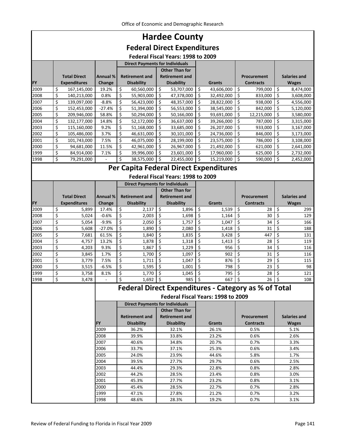| or Economic and Dennographic Research |                  |                     |              |                       |                                                      |    |                |                    |                         |  |  |  |  |
|---------------------------------------|------------------|---------------------|--------------|-----------------------|------------------------------------------------------|----|----------------|--------------------|-------------------------|--|--|--|--|
| <b>Hardee County</b>                  |                  |                     |              |                       |                                                      |    |                |                    |                         |  |  |  |  |
| <b>Federal Direct Expenditures</b>    |                  |                     |              |                       |                                                      |    |                |                    |                         |  |  |  |  |
| Federal Fiscal Years: 1998 to 2009    |                  |                     |              |                       |                                                      |    |                |                    |                         |  |  |  |  |
|                                       |                  |                     |              |                       | <b>Direct Payments for Individuals</b>               |    |                |                    |                         |  |  |  |  |
|                                       |                  |                     |              |                       | <b>Other Than for</b>                                |    |                |                    |                         |  |  |  |  |
|                                       |                  | <b>Total Direct</b> | Annual %     | <b>Retirement and</b> | <b>Retirement and</b>                                |    |                | Procurement        | <b>Salaries and</b>     |  |  |  |  |
| <b>FY</b>                             |                  | <b>Expenditures</b> | Change       | <b>Disability</b>     | <b>Disability</b>                                    |    | <b>Grants</b>  | <b>Contracts</b>   | <b>Wages</b>            |  |  |  |  |
| 2009                                  | \$               | 167,145,000         | 19.2%        | \$<br>60,560,000      | \$<br>53,707,000                                     | \$ | 43,606,000     | \$<br>799,000      | \$<br>8,474,000         |  |  |  |  |
| 2008                                  | \$               | 140,213,000         | 0.8%         | \$<br>55,903,000      | \$<br>47,378,000                                     | \$ | 32,492,000     | $\zeta$<br>833,000 | \$<br>3,608,000         |  |  |  |  |
| 2007                                  | \$               | 139,097,000         | $-8.8%$      | \$<br>56,423,000      | \$<br>48,357,000                                     | \$ | 28,822,000     | $\zeta$<br>938,000 | \$<br>4,556,000         |  |  |  |  |
| 2006                                  | \$               | 152,453,000         | $-27.4%$     | \$<br>51,394,000      | \$<br>56,553,000                                     | \$ | 38,545,000     | $\zeta$<br>842,000 | \$<br>5,120,000         |  |  |  |  |
| 2005                                  | \$               | 209,946,000         | 58.8%        | \$<br>50,294,000      | \$<br>50,166,000                                     | \$ | 93,691,000     | \$<br>12,215,000   | \$<br>3,580,000         |  |  |  |  |
| 2004                                  | \$               | 132,177,000         | 14.8%        | \$<br>52,172,000      | \$<br>36,637,000                                     | \$ | 39,266,000     | \$<br>787,000      | \$<br>3,315,000         |  |  |  |  |
| 2003                                  | \$               | 115,160,000         | 9.2%         | \$<br>51,168,000      | \$<br>33,685,000                                     | \$ | 26,207,000     | $\zeta$<br>933,000 | \$<br>3,167,000         |  |  |  |  |
| 2002                                  | \$               | 105,486,000         | 3.7%         | \$<br>46,631,000      | \$<br>30,101,000                                     | \$ | 24,736,000     | \$<br>846,000      | \$<br>3,173,000         |  |  |  |  |
| 2001                                  | \$               | 101,743,000         | 7.5%         | \$<br>46,075,000      | \$<br>28,199,000                                     | \$ | 23,575,000     | \$<br>786,000      | \$<br>3,108,000         |  |  |  |  |
| 2000                                  | \$               | 94,681,000          | 11.5%        | \$<br>42,961,000      | \$<br>26,967,000                                     | \$ | 21,492,000     | $\zeta$<br>621,000 | \$<br>2,641,000         |  |  |  |  |
| 1999                                  | \$               | 84,914,000          | 7.1%         | \$<br>39,996,000      | \$<br>23,601,000                                     | \$ | 17,960,000     | $\zeta$<br>625,000 | \$<br>2,732,000         |  |  |  |  |
| 1998                                  | \$               | 79,291,000          | $\sim$       | Ś<br>38,575,000       | \$<br>22,455,000                                     | \$ | 15,219,000     | Ś.<br>590,000      | \$<br>2,452,000         |  |  |  |  |
|                                       |                  |                     |              |                       | Per Capita Federal Direct Expenditures               |    |                |                    |                         |  |  |  |  |
|                                       |                  |                     |              |                       | Federal Fiscal Years: 1998 to 2009                   |    |                |                    |                         |  |  |  |  |
|                                       |                  |                     |              |                       | <b>Direct Payments for Individuals</b>               |    |                |                    |                         |  |  |  |  |
|                                       |                  |                     |              |                       | <b>Other Than for</b>                                |    |                |                    |                         |  |  |  |  |
|                                       |                  | <b>Total Direct</b> | Annual %     | <b>Retirement and</b> | <b>Retirement and</b>                                |    |                | Procurement        | <b>Salaries and</b>     |  |  |  |  |
| <b>FY</b>                             |                  | <b>Expenditures</b> |              | <b>Disability</b>     |                                                      |    |                | <b>Contracts</b>   |                         |  |  |  |  |
|                                       |                  |                     | Change       |                       | <b>Disability</b>                                    |    | Grants         |                    | <b>Wages</b>            |  |  |  |  |
| 2009                                  | \$               | 5,899               | 17.4%        | \$<br>2,137           | \$<br>1,896                                          | \$ | 1,539          | $\zeta$<br>28      | \$<br>299               |  |  |  |  |
| 2008                                  | \$               | 5,024               | $-0.6%$      | \$<br>2,003           | \$<br>1,698                                          | \$ | 1,164          | \$<br>30           | $\overline{\xi}$<br>129 |  |  |  |  |
| 2007                                  | \$               | 5,054               | $-9.9%$      | \$<br>2,050           | \$<br>1,757                                          | \$ | 1,047          | \$<br>34           | $\overline{\xi}$<br>166 |  |  |  |  |
| 2006                                  | \$               | 5,608               | $-27.0%$     | \$<br>1,890           | \$<br>2,080                                          | \$ | 1,418          | \$<br>31           | $\overline{\xi}$<br>188 |  |  |  |  |
| 2005                                  | \$               | 7,681               | 61.5%        | \$<br>1,840           | \$<br>1,835                                          | \$ | 3,428          | \$<br>447          | \$<br>131               |  |  |  |  |
| 2004                                  | \$               | 4,757               | 13.2%        | \$<br>1,878           | \$<br>1,318                                          | \$ | 1,413          | \$<br>28           | \$<br>119               |  |  |  |  |
| 2003                                  | \$               | 4,203               | 9.3%         | \$<br>1,867           | \$<br>1,229                                          | \$ | 956            | \$<br>34           | \$<br>116               |  |  |  |  |
| 2002                                  | \$               | 3,845               | 1.7%         | \$<br>1,700           | \$<br>1,097                                          | \$ | 902            | \$<br>31           | \$<br>116               |  |  |  |  |
| 2001                                  | \$               | 3,779               | 7.5%         | \$<br>1,711           | \$<br>1,047                                          | \$ | 876            | \$<br>29           | \$<br>115               |  |  |  |  |
| 2000                                  | \$               | 3,515               | $-6.5%$      | \$<br>1,595           | \$<br>1,001                                          | \$ | 798            | \$<br>23           | \$<br>98                |  |  |  |  |
| 1999                                  | \$               | 3,758               | 8.1%         | \$<br>1,770           | \$<br>1,045                                          | \$ | 795            | \$<br>28           | $\overline{\xi}$<br>121 |  |  |  |  |
|                                       | $\overline{\xi}$ | 3,478               |              | \$                    | $1,692$ \$ 985 \$ 667 \$                             |    |                | $26 \mid 5$        | 108                     |  |  |  |  |
|                                       |                  |                     |              |                       | Federal Direct Expenditures - Category as % of Total |    |                |                    |                         |  |  |  |  |
|                                       |                  |                     |              |                       | Federal Fiscal Years: 1998 to 2009                   |    |                |                    |                         |  |  |  |  |
|                                       |                  |                     |              |                       | <b>Direct Payments for Individuals</b>               |    |                |                    |                         |  |  |  |  |
|                                       |                  |                     |              |                       | <b>Other Than for</b>                                |    |                |                    |                         |  |  |  |  |
|                                       |                  |                     |              | <b>Retirement and</b> | <b>Retirement and</b>                                |    |                | Procurement        | <b>Salaries and</b>     |  |  |  |  |
|                                       |                  |                     | <b>FY</b>    | <b>Disability</b>     | <b>Disability</b>                                    |    | Grants         | <b>Contracts</b>   | Wages                   |  |  |  |  |
|                                       |                  |                     | 2009         | 36.2%                 | 32.1%                                                |    | 26.1%          | 0.5%               | 5.1%                    |  |  |  |  |
|                                       |                  |                     | 2008         | 39.9%                 | 33.8%                                                |    | 23.2%          | 0.6%               | 2.6%                    |  |  |  |  |
|                                       |                  |                     | 2007         | 40.6%                 | 34.8%                                                |    | 20.7%          | 0.7%               | 3.3%                    |  |  |  |  |
|                                       |                  |                     | 2006         | 33.7%                 | 37.1%                                                |    | 25.3%          | 0.6%               | 3.4%                    |  |  |  |  |
|                                       |                  |                     | 2005         | 24.0%                 | 23.9%                                                |    | 44.6%          | 5.8%               | 1.7%                    |  |  |  |  |
|                                       |                  |                     | 2004         | 39.5%                 | 27.7%                                                |    | 29.7%          | 0.6%               | 2.5%                    |  |  |  |  |
| 1998                                  |                  |                     | 2003<br>2002 | 44.4%<br>44.2%        | 29.3%<br>28.5%                                       |    | 22.8%<br>23.4% | 0.8%<br>0.8%       | 2.8%<br>3.0%            |  |  |  |  |

2000 45.4% 28.5% 22.7% 0.7% 2.8% 1999 47.1% 27.8% 21.2% 0.7% 3.2% 1998 48.6% 28.3% 19.2% 0.7% 3.1%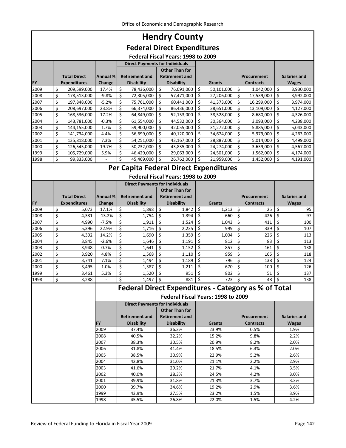|                      |                     |       |                 |                                        | Office of Economic and Demographic Research |                     |                |                                                      |                     |
|----------------------|---------------------|-------|-----------------|----------------------------------------|---------------------------------------------|---------------------|----------------|------------------------------------------------------|---------------------|
|                      |                     |       |                 |                                        | <b>Hendry County</b>                        |                     |                |                                                      |                     |
|                      |                     |       |                 |                                        | <b>Federal Direct Expenditures</b>          |                     |                |                                                      |                     |
|                      |                     |       |                 |                                        | Federal Fiscal Years: 1998 to 2009          |                     |                |                                                      |                     |
|                      |                     |       |                 |                                        | <b>Direct Payments for Individuals</b>      |                     |                |                                                      |                     |
|                      |                     |       |                 |                                        | <b>Other Than for</b>                       |                     |                |                                                      |                     |
|                      | <b>Total Direct</b> |       | Annual %        | <b>Retirement and</b>                  | <b>Retirement and</b>                       |                     |                | Procurement                                          | <b>Salaries and</b> |
| FY                   | <b>Expenditures</b> |       | Change          | <b>Disability</b>                      | <b>Disability</b>                           |                     | <b>Grants</b>  | <b>Contracts</b>                                     | <b>Wages</b>        |
| 2009                 | \$<br>209,599,000   |       | 17.4%           | \$<br>78,436,000                       | \$<br>76,091,000                            | \$                  | 50,101,000     | \$<br>1,042,000                                      | \$<br>3,930,000     |
| 2008                 | \$<br>178,513,000   |       | $-9.8%$         | \$<br>72,305,000                       | \$<br>57,471,000                            | \$                  | 27,206,000     | \$<br>17,539,000                                     | \$<br>3,992,000     |
| 2007                 | \$<br>197,848,000   |       | $-5.2%$         | \$<br>75,761,000                       | \$<br>60,441,000                            | \$                  | 41,373,000     | \$<br>16,299,000                                     | \$<br>3,974,000     |
| 2006                 | \$<br>208,697,000   |       | 23.8%           | \$<br>66,374,000                       | \$<br>86,436,000                            | \$                  | 38,651,000     | \$<br>13,109,000                                     | \$<br>4,127,000     |
| 2005                 | \$<br>168,536,000   |       | 17.2%           | \$<br>64,849,000                       | \$<br>52,153,000                            | \$                  | 38,528,000     | Ś<br>8,680,000                                       | \$<br>4,326,000     |
| 2004                 | \$<br>143,781,000   |       | $-0.3%$         | \$<br>61,554,000                       | \$<br>44,532,000                            | \$                  | 30,364,000     | \$<br>3,093,000                                      | \$<br>4,238,000     |
| 2003                 | \$<br>144,155,000   |       | 1.7%            | \$<br>59,900,000                       | \$<br>42,055,000                            | \$                  | 31,272,000     | \$<br>5,885,000                                      | \$<br>5,043,000     |
| 2002                 | \$<br>141,734,000   |       | 4.4%            | \$<br>56,699,000                       | \$<br>40,120,000                            | \$                  | 34,674,000     | \$<br>5,979,000                                      | \$<br>4,263,000     |
| 2001                 | \$<br>135,818,000   |       | 7.3%            | \$<br>54,251,000                       | \$<br>43,167,000                            | \$                  | 28,887,000     | \$<br>5,014,000                                      | \$<br>4,499,000     |
| 2000                 | \$<br>126,545,000   |       | 19.7%           | \$<br>50,232,000                       | \$<br>43,835,000                            | \$                  | 24,274,000     | \$<br>3,639,000                                      | \$<br>4,567,000     |
| 1999                 | \$<br>105,729,000   |       | 5.9%            | \$<br>46,429,000                       | \$<br>29,063,000                            | Ś                   | 24,501,000     | \$<br>1,562,000                                      | \$<br>4,174,000     |
| 1998                 | \$<br>99,833,000    |       |                 | \$<br>45,469,000                       | $\zeta$<br>26,762,000                       | $\ddot{\mathsf{S}}$ | 21,959,000     | -\$<br>1,452,000                                     | \$<br>4,191,000     |
|                      |                     |       |                 | Per Capita Federal Direct Expenditures |                                             |                     |                |                                                      |                     |
|                      |                     |       |                 |                                        |                                             |                     |                |                                                      |                     |
|                      |                     |       |                 |                                        | Federal Fiscal Years: 1998 to 2009          |                     |                |                                                      |                     |
|                      |                     |       |                 |                                        | <b>Direct Payments for Individuals</b>      |                     |                |                                                      |                     |
|                      |                     |       |                 |                                        | <b>Other Than for</b>                       |                     |                |                                                      |                     |
|                      | <b>Total Direct</b> |       | <b>Annual %</b> | <b>Retirement and</b>                  | <b>Retirement and</b>                       |                     |                | Procurement                                          | <b>Salaries and</b> |
| FY                   | <b>Expenditures</b> |       | Change          | <b>Disability</b>                      | <b>Disability</b>                           |                     | Grants         | <b>Contracts</b>                                     | <b>Wages</b>        |
| 2009                 | \$                  | 5,073 | 17.1%           | \$<br>1,898                            | \$<br>1,842                                 | \$                  | 1,213          | \$<br>25<br>\$                                       | \$<br>95            |
| 2008<br>2007         | \$                  | 4,331 | $-13.2%$        | \$<br>1,754                            |                                             |                     |                |                                                      |                     |
|                      |                     |       |                 |                                        | \$<br>1,394                                 | \$                  | 660            | 426                                                  | \$<br>97            |
|                      | \$                  | 4,990 | $-7.5%$         | \$<br>1,911                            | \$<br>1,524                                 | \$                  | 1,043          | \$<br>411                                            | \$<br>100           |
| 2006                 | \$                  | 5,396 | 22.9%           | \$<br>1,716                            | \$<br>2,235                                 | \$                  | 999            | \$<br>339                                            | \$<br>107           |
| 2005                 | \$                  | 4,392 | 14.2%           | \$<br>1,690                            | \$<br>1,359                                 | \$                  | 1,004          | \$<br>226                                            | \$<br>113           |
| 2004                 | \$                  | 3,845 | $-2.6%$         | \$<br>1,646                            | \$<br>1,191                                 | \$                  | 812            | \$<br>83                                             | \$<br>113           |
|                      | \$                  | 3,948 | 0.7%            | \$<br>1,641                            | \$<br>1,152                                 | \$                  | 857            | \$<br>161                                            | \$<br>138           |
|                      | \$                  | 3,920 | 4.8%            | \$<br>1,568                            | \$<br>1,110                                 | \$                  | 959            | \$<br>165                                            | \$<br>118           |
| 2001                 | \$                  | 3,741 | 7.1%            | \$<br>1,494                            | \$<br>1,189                                 | \$                  | 796            | \$<br>138                                            | \$<br>124           |
| 2000                 | \$                  | 3,495 | 1.0%            | \$<br>1,387                            | \$<br>1,211                                 | \$                  | 670            | \$<br>100                                            | \$<br>126           |
| 1999                 | \$                  | 3,461 | 5.3%            | \$<br>1,520                            | \$<br>951                                   | \$                  | 802            | $\zeta$<br>51                                        | \$<br>137           |
|                      | \$                  | 3,288 |                 | $1,497$ \$                             | $881 \frac{1}{2}$                           |                     |                | $48 \mid 5$                                          | $\frac{138}{1}$     |
|                      |                     |       |                 |                                        |                                             |                     |                | Federal Direct Expenditures - Category as % of Total |                     |
|                      |                     |       |                 |                                        | Federal Fiscal Years: 1998 to 2009          |                     |                |                                                      |                     |
|                      |                     |       |                 |                                        | <b>Direct Payments for Individuals</b>      |                     |                |                                                      |                     |
|                      |                     |       |                 |                                        | <b>Other Than for</b>                       |                     |                |                                                      |                     |
|                      |                     |       |                 | <b>Retirement and</b>                  | <b>Retirement and</b>                       |                     |                | Procurement                                          | <b>Salaries and</b> |
|                      |                     |       | <b>FY</b>       | <b>Disability</b>                      | <b>Disability</b>                           |                     | Grants         | <b>Contracts</b>                                     | Wages               |
|                      |                     |       | 2009            | 37.4%                                  | 36.3%                                       |                     | 23.9%          | 0.5%                                                 | 1.9%                |
|                      |                     |       | 2008            | 40.5%                                  | 32.2%                                       |                     | 15.2%          | 9.8%                                                 | 2.2%                |
|                      |                     |       | 2007            | 38.3%                                  | 30.5%                                       |                     | 20.9%          | 8.2%                                                 | 2.0%                |
|                      |                     |       | 2006            | 31.8%                                  | 41.4%                                       |                     | 18.5%          | 6.3%                                                 | 2.0%                |
|                      |                     |       | 2005            | 38.5%                                  | 30.9%                                       |                     | 22.9%          | 5.2%                                                 | 2.6%                |
| 2003<br>2002<br>1998 |                     |       | 2004            | 42.8%                                  | 31.0%                                       |                     | 21.1%          | 2.2%                                                 | 2.9%                |
|                      |                     |       | 2003<br>2002    | 41.6%<br>40.0%                         | 29.2%<br>28.3%                              |                     | 21.7%<br>24.5% | 4.1%<br>4.2%                                         | 3.5%<br>3.0%        |

2001 39.9% 31.8% 21.3% 3.7% 3.3% 2000 39.7% 34.6% 19.2% 2.9% 3.6% 1999 43.9% 27.5% 23.2% 1.5% 3.9% 1998 45.5% 26.8% 22.0% 1.5% 4.2%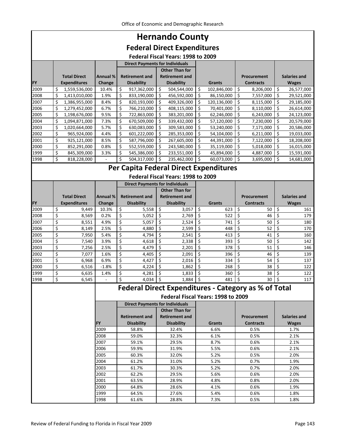| <b>Hernando County</b>             |                                                                                                                                                  |                     |        |               |                                        |                  |                                    |              |             |    |           |    |            |  |  |
|------------------------------------|--------------------------------------------------------------------------------------------------------------------------------------------------|---------------------|--------|---------------|----------------------------------------|------------------|------------------------------------|--------------|-------------|----|-----------|----|------------|--|--|
| <b>Federal Direct Expenditures</b> |                                                                                                                                                  |                     |        |               |                                        |                  |                                    |              |             |    |           |    |            |  |  |
| Federal Fiscal Years: 1998 to 2009 |                                                                                                                                                  |                     |        |               |                                        |                  |                                    |              |             |    |           |    |            |  |  |
|                                    | <b>Direct Payments for Individuals</b>                                                                                                           |                     |        |               |                                        |                  |                                    |              |             |    |           |    |            |  |  |
|                                    | <b>Other Than for</b><br><b>Total Direct</b><br>Annual %<br><b>Retirement and</b><br><b>Retirement and</b><br><b>Salaries and</b><br>Procurement |                     |        |               |                                        |                  |                                    |              |             |    |           |    |            |  |  |
|                                    | <b>Disability</b><br><b>Disability</b>                                                                                                           |                     |        |               |                                        |                  |                                    |              |             |    |           |    |            |  |  |
| <b>FY</b>                          |                                                                                                                                                  | <b>Expenditures</b> | Change | <b>Grants</b> |                                        | <b>Contracts</b> |                                    | <b>Wages</b> |             |    |           |    |            |  |  |
| 2009                               | \$                                                                                                                                               | 1,559,536,000       | 10.4%  | \$            | 917,362,000                            | \$               | 504,544,000                        | \$           | 102,846,000 | \$ | 8,206,000 | \$ | 26,577,000 |  |  |
| 2008                               | \$                                                                                                                                               | 1,413,010,000       | 1.9%   | \$            | 833,190,000                            | \$               | 456,592,000                        | \$           | 86,150,000  | \$ | 7,557,000 | \$ | 29,521,000 |  |  |
| 2007                               | \$                                                                                                                                               | 1,386,955,000       | 8.4%   | \$            | 820,193,000                            | \$               | 409,326,000                        | \$           | 120,136,000 | \$ | 8,115,000 | \$ | 29,185,000 |  |  |
| 2006                               | \$                                                                                                                                               | 1,279,452,000       | 6.7%   | \$            | 766,210,000                            | \$               | 408,115,000                        | \$           | 70,401,000  | \$ | 8,110,000 | \$ | 26,614,000 |  |  |
| 2005                               | \$                                                                                                                                               | 1,198,676,000       | 9.5%   | \$            | 722,863,000                            | \$               | 383,201,000                        | \$           | 62,246,000  | \$ | 6,243,000 | \$ | 24,123,000 |  |  |
| 2004                               | \$                                                                                                                                               | 1,094,871,000       | 7.3%   | \$            | 670,509,000                            | \$               | 339,432,000                        | \$           | 57,120,000  | Ś  | 7,230,000 | \$ | 20,579,000 |  |  |
| 2003                               | \$                                                                                                                                               | 1,020,664,000       | 5.7%   | \$            | 630,083,000                            | \$               | 309,583,000                        | \$           | 53,240,000  | \$ | 7,171,000 | \$ | 20,586,000 |  |  |
| 2002                               | \$                                                                                                                                               | 965,924,000         | 4.4%   | \$            | 601,222,000                            | \$               | 285,353,000                        | \$           | 54,104,000  | \$ | 6,211,000 | \$ | 19,033,000 |  |  |
| 2001                               | \$                                                                                                                                               | 925,121,000         | 8.5%   | \$            | 587,796,000                            | \$               | 267,605,000                        | \$           | 44,391,000  | \$ | 7,122,000 | \$ | 18,208,000 |  |  |
| 2000                               | \$                                                                                                                                               | 852,291,000         | 0.8%   | \$            | 552,559,000                            | \$               | 243,580,000                        | \$           | 35,119,000  | \$ | 5,018,000 | \$ | 16,015,000 |  |  |
| 1999                               | \$                                                                                                                                               | 845,309,000         | 3.3%   | \$            | 545,386,000                            | \$               | 233,551,000                        | \$           | 45,894,000  | \$ | 4,887,000 | \$ | 15,591,000 |  |  |
| 1998                               | \$                                                                                                                                               | 818,228,000         |        | Ś             | 504,317,000                            | Ś                | 235,462,000                        | \$           | 60,073,000  | Ś. | 3,695,000 | \$ | 14,681,000 |  |  |
|                                    |                                                                                                                                                  |                     |        |               | Per Capita Federal Direct Expenditures |                  |                                    |              |             |    |           |    |            |  |  |
|                                    |                                                                                                                                                  |                     |        |               |                                        |                  | Federal Fiscal Years: 1998 to 2009 |              |             |    |           |    |            |  |  |

|           |    |                     |          | <b>Direct Payments for Individuals</b> |                       |    |                       |    |               |   |                  |              |
|-----------|----|---------------------|----------|----------------------------------------|-----------------------|----|-----------------------|----|---------------|---|------------------|--------------|
|           |    |                     |          |                                        |                       |    | <b>Other Than for</b> |    |               |   |                  |              |
|           |    | <b>Total Direct</b> | Annual % |                                        | <b>Retirement and</b> |    | <b>Retirement and</b> |    |               |   | Procurement      | Salaries and |
| <b>FY</b> |    | <b>Expenditures</b> | Change   |                                        | <b>Disability</b>     |    | <b>Disability</b>     |    | <b>Grants</b> |   | <b>Contracts</b> | <b>Wages</b> |
| 2009      | Ś  | 9,449               | 10.3%    | Ś                                      | 5,558                 | \$ | 3,057                 | Ś  | 623           |   | 50               | 161          |
| 2008      | \$ | 8,569               | 0.2%     | \$                                     | 5,052                 | Ś  | 2,769                 | \$ | 522           |   | 46               | 179          |
| 2007      | \$ | 8,551               | 4.9%     | \$                                     | 5,057                 | \$ | 2,524                 | \$ | 741           |   | 50               | 180          |
| 2006      | \$ | 8,149               | 2.5%     |                                        | 4,880                 |    | 2,599                 |    | 448           |   | 52               | 170          |
| 2005      | \$ | 7,950               | 5.4%     | Ś                                      | 4,794                 | Ś. | 2,541                 | Ś  | 413           |   | 41               | 160          |
| 2004      | \$ | 7,540               | 3.9%     | \$                                     | 4,618                 | \$ | 2,338                 | \$ | 393           |   | 50               | 142          |
| 2003      | \$ | 7,256               | 2.5%     |                                        | 4,479                 |    | 2,201                 |    | 378           |   | 51               | 146          |
| 2002      | \$ | 7,077               | 1.6%     | Ś                                      | 4,405                 | S  | 2,091                 | Ś  | 396           | Ś | 46               | 139          |
| 2001      | \$ | 6,968               | 6.9%     | Ś                                      | 4.427                 | Ś  | 2,016                 |    | 334           |   | 54               | 137          |
| 2000      | \$ | 6,516               | $-1.8%$  |                                        | 4,224                 |    | 1,862                 | \$ | 268           |   | 38               | 122          |
| 1999      | \$ | 6,635               | 1.4%     |                                        | 4,281                 |    | 1,833                 |    | 360           |   | 38               | 122          |
| 1998      | \$ | 6,545               |          |                                        | 4,034                 | \$ | 1,884                 |    | 481           |   | 30               | 117          |

|           |                       | <b>Direct Payments for Individuals</b> |               |                    |              |
|-----------|-----------------------|----------------------------------------|---------------|--------------------|--------------|
|           |                       | <b>Other Than for</b>                  |               |                    |              |
|           | <b>Retirement and</b> | <b>Retirement and</b>                  |               | <b>Procurement</b> | Salaries and |
| <b>FY</b> | <b>Disability</b>     | <b>Disability</b>                      | <b>Grants</b> | <b>Contracts</b>   | <b>Wages</b> |
| 2009      | 58.8%                 | 32.4%                                  | 6.6%          | 0.5%               | 1.7%         |
| 2008      | 59.0%                 | 32.3%                                  | 6.1%          | 0.5%               | 2.1%         |
| 2007      | 59.1%                 | 29.5%                                  | 8.7%          | 0.6%               | 2.1%         |
| 2006      | 59.9%                 | 31.9%                                  | 5.5%          | 0.6%               | 2.1%         |
| 2005      | 60.3%                 | 32.0%                                  | 5.2%          | 0.5%               | 2.0%         |
| 2004      | 61.2%                 | 31.0%                                  | 5.2%          | 0.7%               | 1.9%         |
| 2003      | 61.7%                 | 30.3%                                  | 5.2%          | 0.7%               | 2.0%         |
| 2002      | 62.2%                 | 29.5%                                  | 5.6%          | 0.6%               | 2.0%         |
| 2001      | 63.5%                 | 28.9%                                  | 4.8%          | 0.8%               | 2.0%         |
| 2000      | 64.8%                 | 28.6%                                  | 4.1%          | 0.6%               | 1.9%         |
| 1999      | 64.5%                 | 27.6%                                  | 5.4%          | 0.6%               | 1.8%         |
| 1998      | 61.6%                 | 28.8%                                  | 7.3%          | 0.5%               | 1.8%         |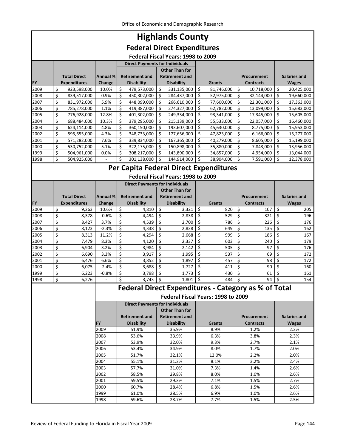| <b>Highlands County</b>            |                                                                                                                              |                     |                 |    |                                        |                  |                                    |    |               |                  |                  |                  |                     |  |  |
|------------------------------------|------------------------------------------------------------------------------------------------------------------------------|---------------------|-----------------|----|----------------------------------------|------------------|------------------------------------|----|---------------|------------------|------------------|------------------|---------------------|--|--|
| <b>Federal Direct Expenditures</b> |                                                                                                                              |                     |                 |    |                                        |                  |                                    |    |               |                  |                  |                  |                     |  |  |
| Federal Fiscal Years: 1998 to 2009 |                                                                                                                              |                     |                 |    |                                        |                  |                                    |    |               |                  |                  |                  |                     |  |  |
|                                    |                                                                                                                              |                     |                 |    | <b>Direct Payments for Individuals</b> |                  |                                    |    |               |                  |                  |                  |                     |  |  |
|                                    |                                                                                                                              |                     |                 |    |                                        |                  | <b>Other Than for</b>              |    |               |                  |                  |                  |                     |  |  |
|                                    |                                                                                                                              | <b>Total Direct</b> | <b>Annual %</b> |    | <b>Retirement and</b>                  |                  | <b>Retirement and</b>              |    |               |                  | Procurement      |                  | <b>Salaries and</b> |  |  |
| <b>FY</b>                          | <b>Expenditures</b><br>Change<br><b>Disability</b><br><b>Disability</b><br><b>Contracts</b><br><b>Grants</b><br><b>Wages</b> |                     |                 |    |                                        |                  |                                    |    |               |                  |                  |                  |                     |  |  |
| 2009                               | \$                                                                                                                           | 923,598,000         | 10.0%           | \$ | 479,573,000                            | \$               | 331,135,000                        | \$ | 81,746,000    | \$               | 10,718,000       | \$               | 20,425,000          |  |  |
| 2008                               | \$                                                                                                                           | 839,517,000         | 0.9%            | \$ | 450,302,000                            | \$               | 284,437,000                        | \$ | 52,975,000    | \$               | 32,144,000       | \$               | 19,660,000          |  |  |
| 2007                               | \$                                                                                                                           | 831,972,000         | 5.9%            | \$ | 448,099,000                            | \$               | 266,610,000                        | \$ | 77,600,000    | \$               | 22,301,000       | \$               | 17,363,000          |  |  |
| 2006                               | \$                                                                                                                           | 785,278,000         | 1.1%            | \$ | 419,387,000                            | \$               | 274,327,000                        | \$ | 62,782,000    | \$               | 13,099,000       | Ś                | 15,683,000          |  |  |
| 2005                               | \$                                                                                                                           | 776,928,000         | 12.8%           | \$ | 401,302,000                            | \$               | 249,334,000                        | \$ | 93,341,000    | \$               | 17,345,000       | \$               | 15,605,000          |  |  |
| 2004                               | \$                                                                                                                           | 688,484,000         | 10.3%           | \$ | 379,295,000                            | \$               | 215,139,000                        | \$ | 55,533,000    | \$               | 22,057,000       | \$               | 16,460,000          |  |  |
| 2003                               | \$                                                                                                                           | 624,114,000         | 4.8%            | \$ | 360,150,000                            | \$               | 193,607,000                        | \$ | 45,630,000    | \$               | 8,775,000        | \$               | 15,953,000          |  |  |
| 2002                               | $\overline{\xi}$                                                                                                             | 595,655,000         | 4.3%            | \$ | 348,733,000                            | \$               | 177,656,000                        | \$ | 47,823,000    | \$               | 6,166,000        | \$               | 15,277,000          |  |  |
| 2001                               | \$                                                                                                                           | 571,282,000         | 7.6%            | \$ | 339,834,000                            | \$               | 167,365,000                        | \$ | 40,279,000    | $\zeta$          | 8,605,000        | \$               | 15,199,000          |  |  |
| 2000                               | \$                                                                                                                           | 530,752,000         | 5.1%            | \$ | 322,175,000                            | \$               | 150,898,000                        | \$ | 35,880,000    | \$               | 7,843,000        | \$               | 13,956,000          |  |  |
| 1999                               | \$                                                                                                                           | 504,961,000         | 0.0%            | \$ | 308,217,000                            | \$               | 143,890,000                        | \$ | 34,857,000    | \$               | 4,954,000        | \$               | 13,044,000          |  |  |
| 1998                               | \$                                                                                                                           | 504,925,000         |                 | Ś  | 301,138,000                            | \$               | 144,914,000                        | \$ | 38,904,000    | \$               | 7,591,000        | \$               | 12,378,000          |  |  |
|                                    |                                                                                                                              |                     |                 |    | Per Capita Federal Direct Expenditures |                  |                                    |    |               |                  |                  |                  |                     |  |  |
|                                    |                                                                                                                              |                     |                 |    |                                        |                  | Federal Fiscal Years: 1998 to 2009 |    |               |                  |                  |                  |                     |  |  |
|                                    |                                                                                                                              |                     |                 |    | <b>Direct Payments for Individuals</b> |                  |                                    |    |               |                  |                  |                  |                     |  |  |
|                                    |                                                                                                                              |                     |                 |    |                                        |                  | <b>Other Than for</b>              |    |               |                  |                  |                  |                     |  |  |
|                                    |                                                                                                                              | <b>Total Direct</b> | <b>Annual %</b> |    | <b>Retirement and</b>                  |                  | <b>Retirement and</b>              |    |               |                  | Procurement      |                  | <b>Salaries and</b> |  |  |
| <b>FY</b>                          |                                                                                                                              | <b>Expenditures</b> | Change          |    | <b>Disability</b>                      |                  | <b>Disability</b>                  |    | <b>Grants</b> |                  | <b>Contracts</b> |                  | <b>Wages</b>        |  |  |
| 2009                               | \$                                                                                                                           | 9,263               | 10.6%           | \$ | 4,810                                  | \$               | 3,321                              | \$ | 820           | $\zeta$          | 107              | \$               | 205                 |  |  |
| 2008                               | \$                                                                                                                           | 8,378               | $-0.6%$         | \$ | 4,494                                  | \$               | 2,838                              | \$ | 529           | \$               | 321              | $\overline{\xi}$ | 196                 |  |  |
| 2007                               | \$                                                                                                                           | 8,427               | 3.7%            | \$ | 4,539                                  | \$               | 2,700                              | \$ | 786           | \$               | 226              | $\overline{\xi}$ | 176                 |  |  |
| 2006                               | \$                                                                                                                           | 8,123               | $-2.3%$         | \$ | 4,338                                  | \$               | 2,838                              | \$ | 649           | \$               | 135              | \$               | 162                 |  |  |
| 2005                               | $\overline{\xi}$                                                                                                             | 8,313               | 11.2%           | \$ | 4,294                                  | \$               | 2,668                              | \$ | 999           | $\overline{\xi}$ | 186              | \$               | 167                 |  |  |
| 2004                               | \$                                                                                                                           | 7.479               | 8.3%            | \$ | 4,120                                  | $\overline{\xi}$ | 2,337                              | \$ | 603           | \$               | 240              | \$               | 179                 |  |  |

| 2004 | 479,  | 8.3%                     | 4,120 | 2,337 | 603 | 240 | 179 |
|------|-------|--------------------------|-------|-------|-----|-----|-----|
| 2003 | 6,904 | 3.2%                     | 3,984 | 2,142 | 505 | 97  | 176 |
| 2002 | 6,690 | 3.3%                     | 3,917 | 1,995 | 537 | 69  | 172 |
| 2001 | 6,476 | 6.6%                     | 3,852 | 1,897 | 457 | 98  | 172 |
| 2000 | 6,075 | $-2.4%$                  | 3,688 | 1,727 | 411 | 90  | 160 |
| 1999 | 6,223 | $-0.8%$                  | 3,798 | 1,773 | 430 | 61  | 161 |
| 1998 | 6,276 | $\overline{\phantom{a}}$ | 3,743 | 1,801 | 484 | 94  | 154 |
|      |       |                          |       |       |     |     |     |

|           |                       | <b>Direct Payments for Individuals</b> |               |                    |              |
|-----------|-----------------------|----------------------------------------|---------------|--------------------|--------------|
|           |                       | <b>Other Than for</b>                  |               |                    |              |
|           | <b>Retirement and</b> | <b>Retirement and</b>                  |               | <b>Procurement</b> | Salaries and |
| <b>FY</b> | <b>Disability</b>     | <b>Disability</b>                      | <b>Grants</b> | <b>Contracts</b>   | <b>Wages</b> |
| 2009      | 51.9%                 | 35.9%                                  | 8.9%          | 1.2%               | 2.2%         |
| 2008      | 53.6%                 | 33.9%                                  | 6.3%          | 3.8%               | 2.3%         |
| 2007      | 53.9%                 | 32.0%                                  | 9.3%          | 2.7%               | 2.1%         |
| 2006      | 53.4%                 | 34.9%                                  | 8.0%          | 1.7%               | 2.0%         |
| 2005      | 51.7%                 | 32.1%                                  | 12.0%         | 2.2%               | 2.0%         |
| 2004      | 55.1%                 | 31.2%                                  | 8.1%          | 3.2%               | 2.4%         |
| 2003      | 57.7%                 | 31.0%                                  | 7.3%          | 1.4%               | 2.6%         |
| 2002      | 58.5%                 | 29.8%                                  | 8.0%          | 1.0%               | 2.6%         |
| 2001      | 59.5%                 | 29.3%                                  | 7.1%          | 1.5%               | 2.7%         |
| 2000      | 60.7%                 | 28.4%                                  | 6.8%          | 1.5%               | 2.6%         |
| 1999      | 61.0%                 | 28.5%                                  | 6.9%          | 1.0%               | 2.6%         |
| 1998      | 59.6%                 | 28.7%                                  | 7.7%          | 1.5%               | 2.5%         |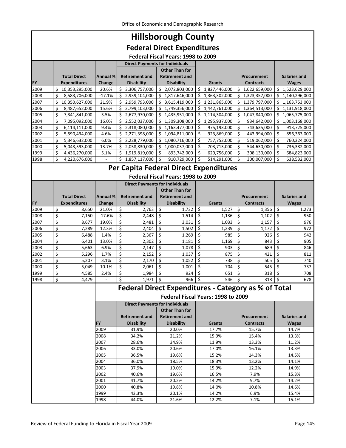| <b>Hillsborough County</b>         |                                      |                 |                                            |                                            |                                      |                                                      |                                      |  |  |  |  |  |  |  |
|------------------------------------|--------------------------------------|-----------------|--------------------------------------------|--------------------------------------------|--------------------------------------|------------------------------------------------------|--------------------------------------|--|--|--|--|--|--|--|
|                                    |                                      |                 |                                            | <b>Federal Direct Expenditures</b>         |                                      |                                                      |                                      |  |  |  |  |  |  |  |
| Federal Fiscal Years: 1998 to 2009 |                                      |                 |                                            |                                            |                                      |                                                      |                                      |  |  |  |  |  |  |  |
|                                    |                                      |                 |                                            | <b>Direct Payments for Individuals</b>     |                                      |                                                      |                                      |  |  |  |  |  |  |  |
|                                    |                                      |                 |                                            | <b>Other Than for</b>                      |                                      |                                                      |                                      |  |  |  |  |  |  |  |
|                                    | <b>Total Direct</b>                  | <b>Annual %</b> | <b>Retirement and</b>                      | <b>Retirement and</b>                      |                                      | Procurement                                          | <b>Salaries and</b>                  |  |  |  |  |  |  |  |
| FY                                 | <b>Expenditures</b>                  | Change          | <b>Disability</b>                          | <b>Disability</b>                          | Grants                               | <b>Contracts</b>                                     | <b>Wages</b>                         |  |  |  |  |  |  |  |
| 2009                               | \$<br>10,353,295,000                 | 20.6%           | \$3,306,757,000                            | \$2,072,803,000                            | \$1,827,446,000                      | \$<br>1,622,659,000                                  | \$1,523,629,000                      |  |  |  |  |  |  |  |
| 2008                               | \$<br>8,583,706,000                  | $-17.1%$        | \$<br>2,939,104,000                        | \$<br>1,817,646,000                        | \$<br>1,363,302,000                  | \$<br>1,323,357,000                                  | \$<br>1,140,296,000                  |  |  |  |  |  |  |  |
| 2007                               | \$<br>10,350,627,000                 | 21.9%           | \$<br>2,959,793,000                        | \$<br>3,615,419,000                        | \$<br>1,231,865,000                  | \$<br>1,379,797,000                                  | \$<br>1,163,753,000                  |  |  |  |  |  |  |  |
| 2006<br>2005                       | \$<br>8,487,652,000<br>\$            | 15.6%<br>3.5%   | \$<br>2,799,103,000                        | \$<br>1,749,356,000                        | \$<br>1,442,761,000<br>\$            | \$<br>1,364,513,000<br>\$                            | \$<br>1,131,918,000<br>\$            |  |  |  |  |  |  |  |
| 2004                               | 7,341,841,000<br>\$<br>7,095,092,000 | 16.0%           | \$<br>2,677,970,000<br>\$<br>2,552,037,000 | \$<br>1,435,951,000<br>\$<br>1,309,308,000 | 1,114,304,000<br>\$<br>1,295,937,000 | 1,047,840,000<br>\$<br>934,642,000                   | 1,065,775,000<br>\$<br>1,003,168,000 |  |  |  |  |  |  |  |
| 2003                               | \$<br>6,114,111,000                  | 9.4%            | \$<br>2,318,080,000                        | \$<br>1,163,477,000                        | \$<br>975,193,000                    | \$<br>743,635,000                                    | \$<br>913,725,000                    |  |  |  |  |  |  |  |
| 2002                               | \$<br>5,590,434,000                  | 4.6%            | \$<br>2,271,398,000                        | \$<br>1,094,811,000                        | \$<br>923,869,000                    | \$<br>443,994,000                                    | Ś<br>856,363,000                     |  |  |  |  |  |  |  |
| 2001                               | \$<br>5,346,632,000                  | 6.0%            | \$<br>2,228,779,000                        | \$<br>1,080,716,000                        | \$<br>757,752,000                    | \$<br>519,062,000                                    | \$<br>760,324,000                    |  |  |  |  |  |  |  |
| 2000                               | \$<br>5,043,593,000                  | 13.7%           | \$<br>2,058,830,000                        | \$<br>1,000,037,000                        | \$<br>703,713,000                    | \$<br>544,630,000                                    | \$<br>736,382,000                    |  |  |  |  |  |  |  |
| 1999                               | \$<br>4,436,270,000                  | 5.1%            | \$<br>1,919,819,000                        | \$<br>893,742,000                          | \$<br>629,756,000                    | \$<br>308,130,000                                    | \$<br>684,823,000                    |  |  |  |  |  |  |  |
| 1998                               | \$<br>4,220,676,000                  |                 | \$<br>1,857,117,000                        | \$<br>910,729,000                          | \$<br>514,291,000                    | Ś<br>300,007,000                                     | Ś<br>638,532,000                     |  |  |  |  |  |  |  |
|                                    |                                      |                 |                                            |                                            |                                      |                                                      |                                      |  |  |  |  |  |  |  |
|                                    |                                      |                 | Per Capita Federal Direct Expenditures     |                                            |                                      |                                                      |                                      |  |  |  |  |  |  |  |
|                                    |                                      |                 |                                            | Federal Fiscal Years: 1998 to 2009         |                                      |                                                      |                                      |  |  |  |  |  |  |  |
|                                    |                                      |                 | <b>Direct Payments for Individuals</b>     |                                            |                                      |                                                      |                                      |  |  |  |  |  |  |  |
|                                    |                                      |                 |                                            | <b>Other Than for</b>                      |                                      |                                                      |                                      |  |  |  |  |  |  |  |
|                                    | <b>Total Direct</b>                  | Annual %        | <b>Retirement and</b>                      | <b>Retirement and</b>                      |                                      | Procurement                                          | <b>Salaries and</b>                  |  |  |  |  |  |  |  |
| FY                                 | <b>Expenditures</b>                  | Change          | <b>Disability</b>                          | <b>Disability</b>                          | Grants                               | <b>Contracts</b>                                     | <b>Wages</b>                         |  |  |  |  |  |  |  |
| 2009                               | \$<br>8,650                          | 21.0%           | \$<br>2,763                                | \$<br>1,732                                | \$<br>1,527                          | \$<br>1,356                                          | \$<br>1,273                          |  |  |  |  |  |  |  |
| 2008<br>2007                       | \$<br>7,150<br>\$                    | $-17.6%$        | \$<br>2,448                                | \$<br>1,514                                | \$<br>1,136                          | \$<br>1,102<br>\$                                    | \$<br>950<br>\$                      |  |  |  |  |  |  |  |
| 2006                               | 8,677<br>\$<br>7,289                 | 19.0%<br>12.3%  | \$<br>2,481<br>\$<br>2,404                 | \$<br>3,031<br>\$<br>1,502                 | \$<br>1,033<br>\$<br>1,239           | 1,157<br>\$<br>1,172                                 | 976<br>\$<br>972                     |  |  |  |  |  |  |  |
| 2005                               | \$<br>6,488                          | 1.4%            | \$<br>2,367                                | \$<br>1,269                                | \$<br>985                            | \$<br>926                                            | \$<br>942                            |  |  |  |  |  |  |  |
| 2004                               | \$<br>6,401                          | 13.0%           | \$<br>2,302                                | \$<br>1,181                                | \$<br>1,169                          | \$<br>843                                            | \$<br>905                            |  |  |  |  |  |  |  |
| 2003                               | \$<br>5,663                          | 6.9%            | \$<br>2,147                                | \$<br>1,078                                | \$<br>903                            | \$<br>689                                            | \$<br>846                            |  |  |  |  |  |  |  |
| 2002                               | \$<br>5,296                          | 1.7%            | \$<br>2,152                                | \$<br>1,037                                | \$<br>875                            | \$<br>421                                            | \$<br>811                            |  |  |  |  |  |  |  |
| 2001                               | \$<br>5,207                          | 3.1%            | \$<br>2,170                                | \$<br>1,052                                | \$<br>738                            | \$<br>505                                            | \$<br>740                            |  |  |  |  |  |  |  |
| 2000                               | \$<br>5,049                          | 10.1%           | \$<br>2,061                                | \$<br>1,001                                | \$<br>704                            | \$<br>545                                            | \$<br>737                            |  |  |  |  |  |  |  |
| 1999                               | \$<br>4,585                          | 2.4%            | \$<br>1,984                                | \$<br>924                                  | \$<br>651                            | \$<br>318                                            | \$<br>708                            |  |  |  |  |  |  |  |
| 1998                               | $\mathsf{\hat{S}}$<br>4,479          | $\blacksquare$  | $\zeta$<br>1,971                           | \$<br>966                                  | \$<br>546                            | \$<br>318                                            | \$<br>678                            |  |  |  |  |  |  |  |
|                                    |                                      |                 |                                            |                                            |                                      | Federal Direct Expenditures - Category as % of Total |                                      |  |  |  |  |  |  |  |
|                                    |                                      |                 |                                            |                                            |                                      |                                                      |                                      |  |  |  |  |  |  |  |
|                                    |                                      |                 |                                            |                                            | Federal Fiscal Years: 1998 to 2009   |                                                      |                                      |  |  |  |  |  |  |  |
|                                    |                                      |                 | <b>Direct Payments for Individuals</b>     |                                            |                                      |                                                      |                                      |  |  |  |  |  |  |  |
|                                    |                                      |                 |                                            | <b>Other Than for</b>                      |                                      |                                                      |                                      |  |  |  |  |  |  |  |
|                                    |                                      |                 | <b>Retirement and</b>                      | <b>Retirement and</b>                      |                                      | Procurement                                          | <b>Salaries and</b>                  |  |  |  |  |  |  |  |
|                                    |                                      | FY              | <b>Disability</b>                          | <b>Disability</b>                          | <b>Grants</b>                        | <b>Contracts</b>                                     | <b>Wages</b>                         |  |  |  |  |  |  |  |
|                                    |                                      | 2009            | 31.9%                                      | 20.0%                                      | 17.7%                                | 15.7%                                                | 14.7%                                |  |  |  |  |  |  |  |

2008 34.2% 21.2% 15.9% 15.4% 13.3% 2007 28.6% 34.9% 11.9% 13.3% 11.2% 2006 33.0% 20.6% 17.0% 16.1% 13.3% 2005 36.5% 19.6% 15.2% 14.3% 14.5% 2004 36.0% 18.5% 18.3% 13.2% 14.1% 2003 37.9% 19.0% 15.9% 12.2% 14.9% 2002 40.6% 19.6% 16.5% 7.9% 15.3% 2001 41.7% 20.2% 14.2% 9.7% 14.2% 2000 40.8% 19.8% 14.0% 10.8% 14.6% 1999 43.3% 20.1% 14.2% 6.9% 15.4% 1998 44.0% 21.6% 12.2% 7.1% 15.1%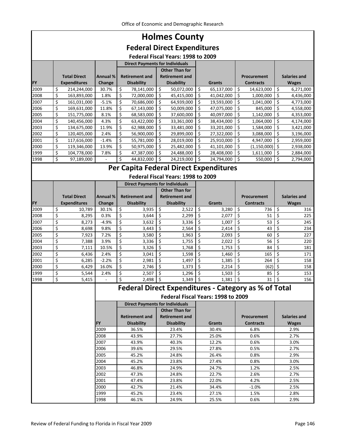| onice or economic and beniographic research |                     |             |                 |    |                                        |         |                                    |         |                                        |         |                                                             |                  |                     |
|---------------------------------------------|---------------------|-------------|-----------------|----|----------------------------------------|---------|------------------------------------|---------|----------------------------------------|---------|-------------------------------------------------------------|------------------|---------------------|
| <b>Holmes County</b>                        |                     |             |                 |    |                                        |         |                                    |         |                                        |         |                                                             |                  |                     |
| <b>Federal Direct Expenditures</b>          |                     |             |                 |    |                                        |         |                                    |         |                                        |         |                                                             |                  |                     |
| Federal Fiscal Years: 1998 to 2009          |                     |             |                 |    |                                        |         |                                    |         |                                        |         |                                                             |                  |                     |
| <b>Direct Payments for Individuals</b>      |                     |             |                 |    |                                        |         |                                    |         |                                        |         |                                                             |                  |                     |
|                                             |                     |             |                 |    |                                        |         | <b>Other Than for</b>              |         |                                        |         |                                                             |                  |                     |
|                                             | <b>Total Direct</b> |             | <b>Annual %</b> |    | <b>Retirement and</b>                  |         | <b>Retirement and</b>              |         |                                        |         | Procurement                                                 |                  | <b>Salaries and</b> |
| FY                                          | <b>Expenditures</b> |             | Change          |    | <b>Disability</b>                      |         | <b>Disability</b>                  |         | Grants                                 |         | <b>Contracts</b>                                            |                  | <b>Wages</b>        |
| 2009                                        | \$                  | 214,244,000 | 30.7%           | \$ | 78,141,000                             | \$      | 50,072,000                         | \$      | 65,137,000                             | \$      | 14,623,000                                                  | \$               | 6,271,000           |
| 2008                                        | \$                  | 163,893,000 | 1.8%            | \$ | 72,000,000                             | $\zeta$ | 45,415,000                         | \$      | 41,042,000                             | \$      | 1,000,000                                                   | \$               | 4,436,000           |
| 2007                                        | \$                  | 161,031,000 | $-5.1%$         | \$ | 70,686,000                             | \$      | 64,939,000                         | \$      | 19,593,000                             | $\zeta$ | 1,041,000                                                   | \$               | 4,773,000           |
| 2006                                        | \$                  | 169,631,000 | 11.8%           | \$ | 67,143,000                             | \$      | 50,009,000                         | \$      | 47,075,000                             | \$      | 845,000                                                     | \$               | 4,558,000           |
| 2005                                        | \$                  | 151,775,000 | 8.1%            | \$ | 68,583,000                             | \$      | 37,600,000                         | \$      | 40,097,000                             | \$      | 1,142,000                                                   | \$               | 4,353,000           |
| 2004                                        | \$                  | 140,456,000 | 4.3%            | \$ | 63,422,000                             | \$      | 33,361,000                         | \$      | 38,434,000                             | \$      | 1,064,000                                                   | \$               | 4,174,000           |
| 2003                                        | \$                  | 134,675,000 | 11.9%           | \$ | 62,988,000                             | \$      | 33,481,000                         | \$      | 33,201,000                             | \$      | 1,584,000                                                   | \$               | 3,421,000           |
| 2002                                        | \$                  | 120,405,000 | 2.4%            | \$ | 56,900,000                             | \$      | 29,899,000                         | \$      | 27,322,000                             | \$      | 3,088,000                                                   | \$               | 3,196,000           |
| 2001                                        | \$                  | 117,616,000 | $-1.4%$         | \$ | 55,781,000                             | \$      | 28,019,000                         | \$      | 25,910,000                             | \$      | 4,947,000                                                   | \$               | 2,959,000           |
| 2000                                        | \$                  | 119,346,000 | 13.9%           | \$ | 50,975,000                             | \$      | 25,482,000                         | \$      | 41,101,000                             | \$      | (1, 150, 000)                                               | \$               | 2,938,000           |
| 1999                                        | \$                  | 104,778,000 | 7.8%            | \$ | 47,387,000                             | \$      | 24,488,000                         | \$      | 28,408,000                             | \$      | 1,611,000                                                   | \$               | 2,884,000           |
| 1998                                        | \$                  | 97,189,000  |                 | \$ | 44,832,000                             | $\zeta$ | 24,219,000                         | $\zeta$ | 24,794,000                             | Ŝ.      | 550,000                                                     | \$               | 2,794,000           |
|                                             |                     |             |                 |    |                                        |         |                                    |         | Per Capita Federal Direct Expenditures |         |                                                             |                  |                     |
|                                             |                     |             |                 |    |                                        |         | Federal Fiscal Years: 1998 to 2009 |         |                                        |         |                                                             |                  |                     |
|                                             |                     |             |                 |    | <b>Direct Payments for Individuals</b> |         |                                    |         |                                        |         |                                                             |                  |                     |
|                                             |                     |             |                 |    |                                        |         | <b>Other Than for</b>              |         |                                        |         |                                                             |                  |                     |
|                                             | <b>Total Direct</b> |             | Annual %        |    | <b>Retirement and</b>                  |         | <b>Retirement and</b>              |         |                                        |         | Procurement                                                 |                  | <b>Salaries and</b> |
|                                             |                     |             |                 |    |                                        |         |                                    |         |                                        |         |                                                             |                  |                     |
|                                             | <b>Expenditures</b> |             | Change          |    | <b>Disability</b>                      |         | <b>Disability</b>                  |         | Grants                                 |         | <b>Contracts</b>                                            |                  | <b>Wages</b>        |
| 2009                                        | \$                  | 10,789      | 30.1%           | \$ | 3,935                                  | \$      | 2,522                              | \$      | 3,280                                  | \$      | 736                                                         | \$               | 316                 |
| 2008                                        | \$                  | 8,295       | 0.3%            | \$ | 3,644                                  | \$      | 2,299                              | \$      | 2,077                                  | $\zeta$ | 51                                                          | \$               | 225                 |
| <b>FY</b><br>2007                           | \$                  | 8,273       | $-4.9%$         | \$ | 3,632                                  | \$      | 3,336                              | \$      | 1,007                                  | \$      | 53                                                          | \$               | 245                 |
| 2006                                        | \$                  | 8,698       | 9.8%            | \$ | 3,443                                  | \$      | 2,564                              | \$      | 2,414                                  | \$      | 43                                                          | $\overline{\xi}$ | 234                 |
| 2005                                        | \$                  | 7,923       | 7.2%            | \$ | 3,580                                  | \$      | 1,963                              | \$      | 2,093                                  | \$      | 60                                                          | \$               | 227                 |
| 2004                                        | \$                  | 7,388       | 3.9%            | \$ | 3,336                                  | \$      | 1,755                              | \$      | 2,022                                  | \$      | 56                                                          | $\overline{\xi}$ | 220                 |
| 2003                                        | \$                  | 7,111       | 10.5%           | \$ | 3,326                                  | \$      | 1,768                              | \$      | 1,753                                  | \$      | 84                                                          | \$               | 181                 |
| 2002                                        | \$                  | 6,436       | 2.4%            | \$ | 3,041                                  | \$      | 1,598                              | \$      | 1,460                                  | \$      | 165                                                         | \$               | 171                 |
| 2001                                        | \$                  | 6,285       | $-2.2%$         | \$ | 2,981                                  | \$      | 1,497                              | \$      | 1,385                                  | \$      | 264                                                         | \$               | 158                 |
| 2000                                        | \$                  | 6,429       | 16.0%           | \$ | 2,746                                  | \$      | 1,373                              | \$      | 2,214                                  | \$      | (62)                                                        | \$               | 158                 |
| 1999                                        | \$                  | 5,544       | 2.4%            | \$ | 2,507                                  | \$      | 1,296                              | $\zeta$ | 1,503                                  | \$      | 85                                                          | \$               | 153                 |
| 1998                                        | \$                  | 5,415       |                 | \$ | $2,498$ \$                             |         | $1,349$ \$                         |         | $1,381$ \$                             |         | $31 \overline{\smash{\big)}\,5}$                            |                  | 156                 |
|                                             |                     |             |                 |    |                                        |         |                                    |         |                                        |         |                                                             |                  |                     |
|                                             |                     |             |                 |    |                                        |         |                                    |         |                                        |         | <b>Federal Direct Expenditures - Category as % of Total</b> |                  |                     |
|                                             |                     |             |                 |    |                                        |         |                                    |         | Federal Fiscal Years: 1998 to 2009     |         |                                                             |                  |                     |
|                                             |                     |             |                 |    | <b>Direct Payments for Individuals</b> |         |                                    |         |                                        |         |                                                             |                  |                     |
|                                             |                     |             |                 |    |                                        |         | <b>Other Than for</b>              |         |                                        |         |                                                             |                  |                     |
|                                             |                     |             |                 |    | <b>Retirement and</b>                  |         | <b>Retirement and</b>              |         |                                        |         | Procurement                                                 |                  | <b>Salaries and</b> |
|                                             |                     |             | <b>FY</b>       |    | <b>Disability</b>                      |         | <b>Disability</b>                  |         | Grants                                 |         | <b>Contracts</b>                                            |                  | Wages               |
|                                             |                     |             | 2009            |    | 36.5%                                  |         | 23.4%                              |         | 30.4%                                  |         | 6.8%                                                        |                  | 2.9%                |
|                                             |                     |             | 2008            |    | 43.9%                                  |         | 27.7%                              |         | 25.0%                                  |         | 0.6%                                                        |                  | 2.7%                |
|                                             |                     |             | 2007            |    | 43.9%                                  |         | 40.3%                              |         | 12.2%                                  |         | 0.6%                                                        |                  | 3.0%                |
|                                             |                     |             | 2006<br>2005    |    | 39.6%<br>45.2%                         |         | 29.5%<br>24.8%                     |         | 27.8%<br>26.4%                         |         | 0.5%<br>0.8%                                                |                  | 2.7%<br>2.9%        |

2003 46.8% 24.9% 24.7% 1.2% 2.5% 2002 47.3% 24.8% 22.7% 2.6% 2.7% 2001 47.4% 23.8% 22.0% 4.2% 2.5% 2000 | 42.7% | 21.4% | 34.4% | -1.0% | 2.5% 1999 45.2% 23.4% 27.1% 1.5% 2.8% 1998 | 46.1% | 24.9% | 25.5% | 0.6% | 2.9%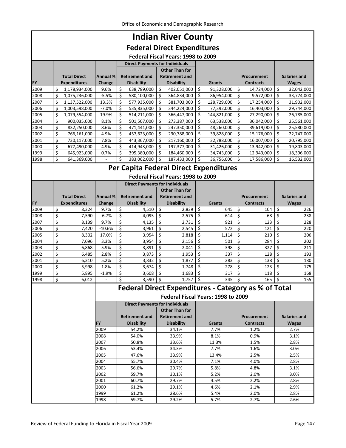| <b>Indian River County</b>         |                                                                                                                                                   |                     |                 |    |                                        |    |                                        |    |               |    |                                                      |    |                     |  |  |
|------------------------------------|---------------------------------------------------------------------------------------------------------------------------------------------------|---------------------|-----------------|----|----------------------------------------|----|----------------------------------------|----|---------------|----|------------------------------------------------------|----|---------------------|--|--|
| <b>Federal Direct Expenditures</b> |                                                                                                                                                   |                     |                 |    |                                        |    |                                        |    |               |    |                                                      |    |                     |  |  |
| Federal Fiscal Years: 1998 to 2009 |                                                                                                                                                   |                     |                 |    |                                        |    |                                        |    |               |    |                                                      |    |                     |  |  |
|                                    | <b>Direct Payments for Individuals</b><br><b>Other Than for</b>                                                                                   |                     |                 |    |                                        |    |                                        |    |               |    |                                                      |    |                     |  |  |
|                                    |                                                                                                                                                   |                     |                 |    |                                        |    |                                        |    |               |    |                                                      |    |                     |  |  |
|                                    |                                                                                                                                                   | <b>Total Direct</b> | <b>Annual %</b> |    | <b>Retirement and</b>                  |    | <b>Retirement and</b>                  |    |               |    | Procurement                                          |    | <b>Salaries and</b> |  |  |
| <b>FY</b>                          |                                                                                                                                                   | <b>Expenditures</b> | Change          |    | <b>Disability</b>                      |    | <b>Disability</b>                      |    | <b>Grants</b> |    | <b>Contracts</b>                                     |    | <b>Wages</b>        |  |  |
| 2009                               | \$                                                                                                                                                | 1,178,934,000       | 9.6%            | \$ | 638,789,000                            | \$ | 402,051,000                            | \$ | 91,328,000    | \$ | 14,724,000                                           | \$ | 32,042,000          |  |  |
| 2008                               | \$                                                                                                                                                | 1,075,236,000       | $-5.5%$         | \$ | 580,100,000                            | \$ | 364,834,000                            | \$ | 86,954,000    | \$ | 9,572,000                                            | \$ | 33,774,000          |  |  |
| 2007                               | \$                                                                                                                                                | 1,137,522,000       | 13.3%           | \$ | 577,935,000                            | \$ | 381,703,000                            | \$ | 128,729,000   | \$ | 17,254,000                                           | \$ | 31,902,000          |  |  |
| 2006                               | \$                                                                                                                                                | 1,003,598,000       | $-7.0%$         | \$ | 535,835,000                            | \$ | 344,224,000                            | \$ | 77,392,000    | \$ | 16,403,000                                           | \$ | 29,744,000          |  |  |
| 2005                               | \$                                                                                                                                                | 1,079,554,000       | 19.9%           | \$ | 514,211,000                            | \$ | 366,447,000                            | \$ | 144,821,000   | \$ | 27,290,000                                           | \$ | 26,785,000          |  |  |
| 2004                               | \$                                                                                                                                                | 900,035,000         | 8.1%            | \$ | 501,507,000                            | \$ | 273,387,000                            | \$ | 63,538,000    | \$ | 36,042,000                                           | \$ | 25,561,000          |  |  |
| 2003                               | \$                                                                                                                                                | 832,250,000         | 8.6%            | \$ | 471,441,000                            | \$ | 247,350,000                            | \$ | 48,260,000    | \$ | 39,619,000                                           | \$ | 25,580,000          |  |  |
| 2002                               |                                                                                                                                                   | 766,161,000         | 4.9%            |    | 457,623,000                            | \$ | 230,788,000                            |    | 39,828,000    | \$ | 15,176,000                                           | \$ | 22,747,000          |  |  |
| 2001                               | \$<br>\$<br>\$<br>\$<br>\$<br>\$<br>\$<br>\$<br>7.8%<br>\$<br>730,117,000<br>443,367,000<br>217,160,000<br>32,788,000<br>16,007,000<br>20,795,000 |                     |                 |    |                                        |    |                                        |    |               |    |                                                      |    |                     |  |  |
| 2000                               | \$<br>\$<br>\$<br>\$<br>\$<br>4.9%<br>\$<br>677,490,000<br>414,943,000<br>197,377,000<br>31,426,000<br>13,942,000<br>19,803,000                   |                     |                 |    |                                        |    |                                        |    |               |    |                                                      |    |                     |  |  |
| 1999                               | \$<br>\$<br>\$<br>0.7%<br>\$<br>\$<br>\$<br>395,380,000<br>34,743,000<br>12,943,000<br>645,923,000<br>184,460,000<br>18,396,000                   |                     |                 |    |                                        |    |                                        |    |               |    |                                                      |    |                     |  |  |
| 1998                               | \$                                                                                                                                                | 641,369,000         |                 | \$ | 383,062,000                            | \$ | 187,433,000                            | \$ | 36,756,000    | Ś  | 17,586,000                                           | \$ | 16,532,000          |  |  |
|                                    |                                                                                                                                                   |                     |                 |    |                                        |    | Per Capita Federal Direct Expenditures |    |               |    |                                                      |    |                     |  |  |
|                                    |                                                                                                                                                   |                     |                 |    |                                        |    | Federal Fiscal Years: 1998 to 2009     |    |               |    |                                                      |    |                     |  |  |
|                                    |                                                                                                                                                   |                     |                 |    | <b>Direct Payments for Individuals</b> |    |                                        |    |               |    |                                                      |    |                     |  |  |
|                                    |                                                                                                                                                   |                     |                 |    |                                        |    | <b>Other Than for</b>                  |    |               |    |                                                      |    |                     |  |  |
|                                    |                                                                                                                                                   | <b>Total Direct</b> | <b>Annual %</b> |    | <b>Retirement and</b>                  |    | <b>Retirement and</b>                  |    |               |    | Procurement                                          |    | <b>Salaries and</b> |  |  |
| <b>FY</b>                          |                                                                                                                                                   | <b>Expenditures</b> | <b>Change</b>   |    | <b>Disability</b>                      |    | <b>Disability</b>                      |    | <b>Grants</b> |    | <b>Contracts</b>                                     |    | <b>Wages</b>        |  |  |
| 2009                               | \$                                                                                                                                                | 8,324               | 9.7%            | \$ | 4,510                                  | \$ | 2,839                                  | \$ | 645           | \$ | 104                                                  | \$ | 226                 |  |  |
| 2008                               | \$                                                                                                                                                | 7,590               | $-6.7%$         | \$ | 4,095                                  | \$ | 2,575                                  | \$ | 614           | \$ | 68                                                   | \$ | 238                 |  |  |
| 2007                               | \$                                                                                                                                                | 8,139               | 9.7%            | \$ | 4,135                                  | \$ | 2,731                                  | \$ | 921           | \$ | 123                                                  | \$ | 228                 |  |  |
| 2006                               | \$                                                                                                                                                | 7,420               | $-10.6%$        | \$ | 3,961                                  | \$ | 2,545                                  | \$ | 572           | \$ | 121                                                  | \$ | 220                 |  |  |
| 2005                               | \$                                                                                                                                                | 8,302               | 17.0%           | \$ | 3,954                                  | \$ | 2,818                                  | \$ | 1,114         | \$ | 210                                                  | \$ | 206                 |  |  |
| 2004                               | \$                                                                                                                                                | 7,096               | 3.3%            | \$ | 3,954                                  | \$ | 2,156                                  | \$ | 501           | \$ | 284                                                  | \$ | 202                 |  |  |
| 2003                               | \$                                                                                                                                                | 6,868               | 5.9%            | \$ | 3,891                                  | \$ | 2,041                                  | \$ | 398           | \$ | 327                                                  | \$ | 211                 |  |  |
| 2002                               | \$                                                                                                                                                | 6,485               | 2.8%            | \$ | 3,873                                  | \$ | 1,953                                  | \$ | 337           | \$ | 128                                                  | \$ | 193                 |  |  |
| 2001                               | \$                                                                                                                                                | 6,310               | 5.2%            | \$ | 3,832                                  | Ś. | 1,877                                  | \$ | 283           | \$ | 138                                                  | \$ | 180                 |  |  |
| 2000                               | \$                                                                                                                                                | 5,998               | 1.8%            | \$ | 3,674                                  | \$ | 1,748                                  | \$ | 278           | \$ | 123                                                  | \$ | 175                 |  |  |
| 1999                               | \$                                                                                                                                                | 5,895               | $-1.9%$         | \$ | 3,608                                  | \$ | 1,683                                  | \$ | 317           | \$ | 118                                                  | \$ | 168                 |  |  |
| 1998                               | \$                                                                                                                                                | 6,012               |                 | \$ | 3,590                                  | \$ | 1,757                                  | \$ | 345           | \$ | 165                                                  | \$ | 155                 |  |  |
|                                    |                                                                                                                                                   |                     |                 |    |                                        |    |                                        |    |               |    | Federal Direct Expenditures - Category as % of Total |    |                     |  |  |
|                                    |                                                                                                                                                   |                     |                 |    |                                        |    |                                        |    |               |    |                                                      |    |                     |  |  |
|                                    |                                                                                                                                                   |                     |                 |    |                                        |    | Federal Fiscal Years: 1998 to 2009     |    |               |    |                                                      |    |                     |  |  |

| $\frac{1}{2}$ or but the contract of $\frac{1}{2}$ . Calcgory as 70 Or |  |
|------------------------------------------------------------------------|--|
| Federal Fiscal Years: 1998 to 2009                                     |  |

|           |                       | <b>Direct Payments for Individuals</b> |               |                  |              |
|-----------|-----------------------|----------------------------------------|---------------|------------------|--------------|
|           |                       | <b>Other Than for</b>                  |               |                  |              |
|           | <b>Retirement and</b> | <b>Retirement and</b>                  |               | Procurement      | Salaries and |
| <b>FY</b> | <b>Disability</b>     | <b>Disability</b>                      | <b>Grants</b> | <b>Contracts</b> | <b>Wages</b> |
| 2009      | 54.2%                 | 34.1%                                  | 7.7%          | 1.2%             | 2.7%         |
| 2008      | 54.0%                 | 33.9%                                  | 8.1%          | 0.9%             | 3.1%         |
| 2007      | 50.8%                 | 33.6%                                  | 11.3%         | 1.5%             | 2.8%         |
| 2006      | 53.4%                 | 34.3%                                  | 7.7%          | 1.6%             | 3.0%         |
| 2005      | 47.6%                 | 33.9%                                  | 13.4%         | 2.5%             | 2.5%         |
| 2004      | 55.7%                 | 30.4%                                  | 7.1%          | 4.0%             | 2.8%         |
| 2003      | 56.6%                 | 29.7%                                  | 5.8%          | 4.8%             | 3.1%         |
| 2002      | 59.7%                 | 30.1%                                  | 5.2%          | 2.0%             | 3.0%         |
| 2001      | 60.7%                 | 29.7%                                  | 4.5%          | 2.2%             | 2.8%         |
| 2000      | 61.2%                 | 29.1%                                  | 4.6%          | 2.1%             | 2.9%         |
| 1999      | 61.2%                 | 28.6%                                  | 5.4%          | 2.0%             | 2.8%         |
| 1998      | 59.7%                 | 29.2%                                  | 5.7%          | 2.7%             | 2.6%         |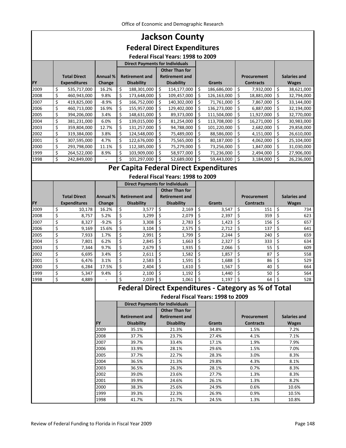| <b>Jackson County</b>                  |                                     |                 |                                        |                                    |    |                       |                                                      |                           |  |  |  |  |  |
|----------------------------------------|-------------------------------------|-----------------|----------------------------------------|------------------------------------|----|-----------------------|------------------------------------------------------|---------------------------|--|--|--|--|--|
| <b>Federal Direct Expenditures</b>     |                                     |                 |                                        |                                    |    |                       |                                                      |                           |  |  |  |  |  |
| Federal Fiscal Years: 1998 to 2009     |                                     |                 |                                        |                                    |    |                       |                                                      |                           |  |  |  |  |  |
|                                        |                                     |                 | <b>Direct Payments for Individuals</b> |                                    |    |                       |                                                      |                           |  |  |  |  |  |
|                                        |                                     |                 |                                        | <b>Other Than for</b>              |    |                       |                                                      |                           |  |  |  |  |  |
|                                        | <b>Total Direct</b>                 | Annual %        | <b>Retirement and</b>                  | <b>Retirement and</b>              |    |                       | Procurement                                          | <b>Salaries and</b>       |  |  |  |  |  |
| FY                                     | <b>Expenditures</b>                 | Change          | <b>Disability</b>                      | <b>Disability</b>                  |    | <b>Grants</b>         | <b>Contracts</b>                                     | Wages                     |  |  |  |  |  |
| 2009                                   | \$<br>535,717,000                   | 16.2%           | \$<br>188,301,000                      | \$<br>114,177,000                  | \$ | 186,686,000           | \$<br>7,932,000                                      | \$<br>38,621,000          |  |  |  |  |  |
| 2008                                   | \$<br>460,943,000                   | 9.8%            | \$<br>173,648,000                      | \$<br>109,457,000                  | \$ | 126,163,000           | \$<br>18,881,000                                     | \$<br>32,794,000          |  |  |  |  |  |
| 2007                                   | \$<br>419,825,000                   | $-8.9%$         | \$<br>166,752,000                      | \$<br>140,302,000                  | \$ | 71,761,000            | \$<br>7,867,000                                      | \$<br>33,144,000          |  |  |  |  |  |
| 2006                                   | \$<br>460,713,000                   | 16.9%           | \$<br>155,957,000                      | \$<br>129,402,000                  | \$ | 136,273,000           | \$<br>6,887,000                                      | \$<br>32,194,000          |  |  |  |  |  |
| 2005                                   | \$<br>394,206,000                   | 3.4%            | \$<br>148,631,000                      | \$<br>89,373,000                   | \$ | 111,504,000           | \$<br>11,927,000                                     | \$<br>32,770,000          |  |  |  |  |  |
| 2004                                   | \$<br>381,231,000                   | 6.0%            | \$<br>139,015,000                      | \$<br>81,254,000                   | \$ | 113,708,000           | \$<br>16,271,000                                     | \$<br>30,983,000          |  |  |  |  |  |
| 2003                                   | \$<br>359,804,000                   | 12.7%           | \$<br>131,257,000                      | \$<br>94,788,000                   | \$ | 101,220,000           | \$<br>2,682,000                                      | \$<br>29,858,000          |  |  |  |  |  |
| 2002                                   | \$<br>319,384,000                   | 3.8%            | \$<br>124,548,000                      | \$<br>75,489,000                   | \$ | 88,586,000            | \$<br>4,151,000                                      | \$<br>26,610,000          |  |  |  |  |  |
| 2001                                   | \$<br>307,595,000                   | 4.7%            | \$<br>122,676,000                      | \$<br>75,565,000                   | \$ | 80,187,000            | Ś<br>4,062,000                                       | Ś<br>25,104,000           |  |  |  |  |  |
| 2000                                   | \$<br>293,798,000                   | 11.1%           | \$<br>112,385,000                      | \$<br>75,279,000                   | \$ | 73,256,000            | \$<br>1,847,000                                      | \$<br>31,030,000          |  |  |  |  |  |
| 1999                                   | \$<br>264,522,000                   | 8.9%            | \$<br>103,909,000                      | \$<br>58,977,000                   | \$ | 71,236,000            | $\zeta$<br>2,494,000                                 | \$<br>27,906,000          |  |  |  |  |  |
| 1998                                   | \$<br>242,849,000                   |                 | Ś<br>101,297,000                       | \$<br>52,689,000                   | \$ | 59,443,000            | -\$<br>3,184,000                                     | \$<br>26,236,000          |  |  |  |  |  |
| Per Capita Federal Direct Expenditures |                                     |                 |                                        |                                    |    |                       |                                                      |                           |  |  |  |  |  |
|                                        | Federal Fiscal Years: 1998 to 2009  |                 |                                        |                                    |    |                       |                                                      |                           |  |  |  |  |  |
|                                        |                                     |                 | <b>Direct Payments for Individuals</b> |                                    |    |                       |                                                      |                           |  |  |  |  |  |
|                                        |                                     |                 |                                        |                                    |    |                       |                                                      |                           |  |  |  |  |  |
| <b>Other Than for</b>                  |                                     |                 |                                        |                                    |    |                       |                                                      |                           |  |  |  |  |  |
|                                        |                                     |                 |                                        |                                    |    |                       |                                                      |                           |  |  |  |  |  |
|                                        | <b>Total Direct</b>                 | Annual %        | <b>Retirement and</b>                  | <b>Retirement and</b>              |    | Grants                | Procurement<br><b>Contracts</b>                      | <b>Salaries and</b>       |  |  |  |  |  |
| FY<br>2009                             | <b>Expenditures</b><br>\$<br>10,178 | Change<br>16.2% | <b>Disability</b><br>\$<br>3,577       | <b>Disability</b><br>\$<br>2,169   | \$ | 3,547                 | \$<br>151                                            | <b>Wages</b><br>\$<br>734 |  |  |  |  |  |
| 2008                                   | \$<br>8,757                         | 5.2%            | \$<br>3,299                            | \$<br>2,079                        | \$ | 2,397                 | \$<br>359                                            | \$<br>623                 |  |  |  |  |  |
| 2007                                   | \$<br>8,327                         | $-9.2%$         | \$<br>3,308                            | \$<br>2,783                        | \$ | 1,423                 | \$<br>156                                            | \$<br>657                 |  |  |  |  |  |
| 2006                                   | \$<br>9,169                         | 15.6%           | \$<br>3,104                            | \$<br>2,575                        | \$ | 2,712                 | \$<br>137                                            | Ś.<br>641                 |  |  |  |  |  |
| 2005                                   | \$<br>7,933                         | 1.7%            | \$<br>2,991                            | \$<br>1,799                        | \$ | 2,244                 | \$<br>240                                            | \$<br>659                 |  |  |  |  |  |
| 2004                                   | \$<br>7,801                         | 6.2%            | \$<br>2,845                            | \$<br>1,663                        | \$ | 2,327                 | \$<br>333                                            | \$<br>634                 |  |  |  |  |  |
| 2003                                   | \$<br>7,344                         | 9.7%            | \$<br>2,679                            | \$<br>1,935                        | \$ | 2,066                 | \$<br>55                                             | \$<br>609                 |  |  |  |  |  |
| 2002                                   | \$<br>6,695                         | 3.4%            | \$<br>2,611                            | \$<br>1,582                        | \$ | 1,857                 | \$<br>87                                             | \$<br>558                 |  |  |  |  |  |
| 2001                                   | \$<br>6,476                         | 3.1%            | \$<br>2,583                            | \$<br>1,591                        | \$ | 1,688                 | \$<br>86                                             | \$<br>529                 |  |  |  |  |  |
| 2000                                   | \$<br>6,284                         | 17.5%           | \$<br>2,404                            | \$<br>1,610                        | \$ | 1,567                 | \$<br>40                                             | \$<br>664                 |  |  |  |  |  |
| 1999                                   | \$<br>5,347                         | 9.4%            | \$<br>2,100                            | \$<br>1,192                        | \$ | 1,440                 | $\zeta$<br>50                                        | \$<br>564                 |  |  |  |  |  |
|                                        | $\overline{\xi}$<br>4,889           |                 | $\overline{\xi}$                       | $2,039$ \$                         |    | $1,061$ \$ $1,197$ \$ | $64 \overline{\smash{\big)}\,}$                      | 528                       |  |  |  |  |  |
|                                        |                                     |                 |                                        |                                    |    |                       |                                                      |                           |  |  |  |  |  |
|                                        |                                     |                 |                                        |                                    |    |                       | Federal Direct Expenditures - Category as % of Total |                           |  |  |  |  |  |
|                                        |                                     |                 |                                        | Federal Fiscal Years: 1998 to 2009 |    |                       |                                                      |                           |  |  |  |  |  |
|                                        |                                     |                 | <b>Direct Payments for Individuals</b> |                                    |    |                       |                                                      |                           |  |  |  |  |  |
|                                        |                                     |                 |                                        | <b>Other Than for</b>              |    |                       |                                                      |                           |  |  |  |  |  |
|                                        |                                     |                 | <b>Retirement and</b>                  | <b>Retirement and</b>              |    |                       | Procurement                                          | <b>Salaries and</b>       |  |  |  |  |  |
|                                        |                                     | <b>FY</b>       | <b>Disability</b><br>35.1%             | <b>Disability</b><br>21.3%         |    | Grants<br>34.8%       | <b>Contracts</b><br>1.5%                             | <b>Wages</b><br>7.2%      |  |  |  |  |  |
| 1998                                   |                                     | 2009<br>2008    | 37.7%                                  | 23.7%                              |    | 27.4%                 | 4.1%                                                 | 7.1%                      |  |  |  |  |  |
|                                        |                                     | 2007            | 39.7%                                  | 33.4%                              |    | 17.1%                 | 1.9%                                                 | 7.9%                      |  |  |  |  |  |

2005 37.7% 22.7% 28.3% 3.0% 8.3% 2004 36.5% 21.3% 29.8% 4.3% 8.1% 2003 36.5% 26.3% 28.1% 0.7% 8.3% 2002 39.0% 23.6% 27.7% 1.3% 8.3% 2001 39.9% 24.6% 26.1% 1.3% 8.2% 2000 38.3% 25.6% 24.9% 0.6% 10.6% 1999 39.3% 22.3% 26.9% 0.9% 10.5% 1998 41.7% 21.7% 24.5% 1.3% 10.8%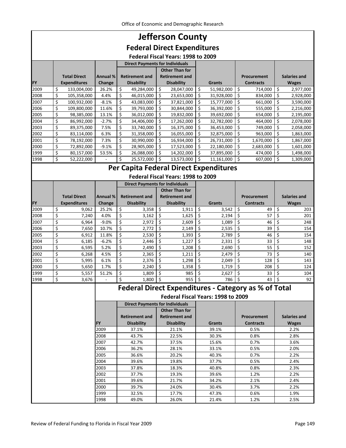|           |                                    |                     |                |    |                                        |    | <b>Jefferson County</b>                |    |               |    |                    |    |                     |
|-----------|------------------------------------|---------------------|----------------|----|----------------------------------------|----|----------------------------------------|----|---------------|----|--------------------|----|---------------------|
|           |                                    |                     |                |    |                                        |    | <b>Federal Direct Expenditures</b>     |    |               |    |                    |    |                     |
|           | Federal Fiscal Years: 1998 to 2009 |                     |                |    |                                        |    |                                        |    |               |    |                    |    |                     |
|           |                                    |                     |                |    | <b>Direct Payments for Individuals</b> |    |                                        |    |               |    |                    |    |                     |
|           |                                    |                     |                |    |                                        |    | <b>Other Than for</b>                  |    |               |    |                    |    |                     |
|           |                                    | <b>Total Direct</b> | Annual %       |    | <b>Retirement and</b>                  |    | <b>Retirement and</b>                  |    |               |    | Procurement        |    | <b>Salaries and</b> |
| <b>FY</b> |                                    | <b>Expenditures</b> | Change         |    | <b>Disability</b>                      |    | <b>Disability</b>                      |    | <b>Grants</b> |    | <b>Contracts</b>   |    | <b>Wages</b>        |
| 2009      | \$                                 | 133,004,000         | 26.2%          | \$ | 49,284,000                             | \$ | 28,047,000                             | \$ | 51,982,000    | \$ | 714,000            | \$ | 2,977,000           |
| 2008      | \$                                 | 105,358,000         | 4.4%           | \$ | 46,015,000                             | \$ | 23,653,000                             | \$ | 31,928,000    | Ś  | 834,000            | \$ | 2,928,000           |
| 2007      | \$                                 | 100,932,000         | $-8.1%$        | \$ | 43,083,000                             | \$ | 37,821,000                             | \$ | 15,777,000    | \$ | 661,000            | \$ | 3,590,000           |
| 2006      | \$                                 | 109,800,000         | 11.6%          | \$ | 39,793,000                             | \$ | 30,844,000                             | \$ | 36,392,000    |    | 555,000            | \$ | 2,216,000           |
| 2005      | \$                                 | 98,385,000          | 13.1%          | \$ | 36,012,000                             | \$ | 19,832,000                             | \$ | 39,692,000    | \$ | 654,000            | \$ | 2,195,000           |
| 2004      | \$                                 | 86,992,000          | $-2.7%$        | \$ | 34,406,000                             | \$ | 17,262,000                             | \$ | 32,782,000    | \$ | 464,000            | \$ | 2,078,000           |
| 2003      | \$                                 | 89,375,000          | 7.5%           | \$ | 33,740,000                             | \$ | 16,375,000                             | \$ | 36,453,000    | \$ | 749,000            | \$ | 2,058,000           |
| 2002      | \$                                 | 83,114,000          | 6.3%           | \$ | 31,358,000                             | \$ | 16,055,000                             | \$ | 32,875,000    | \$ | 963,000            | \$ | 1,863,000           |
| 2001      | \$                                 | 78,192,000          | 7.3%           | \$ | 30,990,000                             | \$ | 16,934,000                             | \$ | 26,731,000    | \$ | 1,670,000          | \$ | 1,867,000           |
| 2000      | \$                                 | 72,892,000          | $-9.1%$        | \$ | 28,905,000                             | \$ | 17,523,000                             | \$ | 22,180,000    | Ś  | 2,683,000          | \$ | 1,601,000           |
| 1999      | \$                                 | 80,157,000          | 53.5%          | \$ | 26,088,000                             | \$ | 14,202,000                             | \$ | 37,895,000    |    | 474,000            | \$ | 1,498,000           |
| 1998      | \$                                 | 52,222,000          | $\overline{a}$ | \$ | 25,572,000                             | Ś  | 13,573,000                             | Ś  | 11,161,000    | \$ | 607,000            | \$ | 1,309,000           |
|           |                                    |                     |                |    |                                        |    | Per Capita Federal Direct Expenditures |    |               |    |                    |    |                     |
|           |                                    |                     |                |    |                                        |    | Federal Fiscal Years: 1998 to 2009     |    |               |    |                    |    |                     |
|           |                                    |                     |                |    | <b>Direct Payments for Individuals</b> |    |                                        |    |               |    |                    |    |                     |
|           |                                    |                     |                |    |                                        |    | <b>Other Than for</b>                  |    |               |    |                    |    |                     |
|           |                                    | Total Direct        | $Annual \%$    |    | Ratiramant and                         |    | Retirement and                         |    |               |    | <b>Drocuramant</b> |    | Salarige and        |

|           |    |                     |          |    |                       |    | <b>Other Than for</b> |    |               |                  |              |
|-----------|----|---------------------|----------|----|-----------------------|----|-----------------------|----|---------------|------------------|--------------|
|           |    | <b>Total Direct</b> | Annual % |    | <b>Retirement and</b> |    | <b>Retirement and</b> |    |               | Procurement      | Salaries and |
| <b>FY</b> |    | <b>Expenditures</b> | Change   |    | <b>Disability</b>     |    | <b>Disability</b>     |    | <b>Grants</b> | <b>Contracts</b> | <b>Wages</b> |
| 2009      | \$ | 9,062               | 25.2%    |    | 3,358                 | \$ | 1,911                 |    | 3,542         | \$<br>49         | 203          |
| 2008      | \$ | 7.240               | 4.0%     |    | 3,162                 | \$ | 1,625                 |    | 2,194         | 57               | 201          |
| 2007      | \$ | 6,964               | $-9.0%$  |    | 2,972                 |    | 2,609                 |    | 1,089         | 46               | 248          |
| 2006      | \$ | 7,650               | 10.7%    |    | 2,772                 | \$ | 2,149                 |    | 2,535         | 39               | 154          |
| 2005      | \$ | 6,912               | 11.8%    |    | 2,530                 | -S | 1,393                 |    | 2,789         | 46               | 154          |
| 2004      | \$ | 6,185               | $-6.2%$  |    | 2,446                 | \$ | 1,227                 |    | 2,331         | 33               | 148          |
| 2003      | \$ | 6,595               | 5.2%     | \$ | 2,490                 | \$ | 1,208                 | \$ | 2,690         | 55               | 152          |
| 2002      | \$ | 6,268               | 4.5%     |    | 2,365                 | \$ | 1,211                 |    | 2,479         | 73               | 140          |
| 2001      | \$ | 5.995               | 6.1%     | Ŝ  | 2,376                 | Ŝ. | 1,298                 | S  | 2,049         | 128              | 143          |
| 2000      | Ś  | 5,650               | 1.7%     |    | 2,240                 | Ŝ. | 1,358                 |    | 1,719         | 208              | 124          |
| 1999      | Ś  | 5,557               | 51.2%    | Ŝ  | 1,809                 | -S | 985                   | S  | 2,627         | 33               | 104          |
| 1998      | \$ | 3,676               |          |    | 1,800                 |    | 955                   |    | 786           | 43               | 92           |

|           |                       | <b>Direct Payments for Individuals</b> |               |                    |              |
|-----------|-----------------------|----------------------------------------|---------------|--------------------|--------------|
|           |                       | <b>Other Than for</b>                  |               |                    |              |
|           | <b>Retirement and</b> | <b>Retirement and</b>                  |               | <b>Procurement</b> | Salaries and |
| <b>FY</b> | <b>Disability</b>     | <b>Disability</b>                      | <b>Grants</b> | <b>Contracts</b>   | <b>Wages</b> |
| 2009      | 37.1%                 | 21.1%                                  | 39.1%         | 0.5%               | 2.2%         |
| 2008      | 43.7%                 | 22.5%                                  | 30.3%         | 0.8%               | 2.8%         |
| 2007      | 42.7%                 | 37.5%                                  | 15.6%         | 0.7%               | 3.6%         |
| 2006      | 36.2%                 | 28.1%                                  | 33.1%         | 0.5%               | 2.0%         |
| 2005      | 36.6%                 | 20.2%                                  | 40.3%         | 0.7%               | 2.2%         |
| 2004      | 39.6%                 | 19.8%                                  | 37.7%         | 0.5%               | 2.4%         |
| 2003      | 37.8%                 | 18.3%                                  | 40.8%         | 0.8%               | 2.3%         |
| 2002      | 37.7%                 | 19.3%                                  | 39.6%         | 1.2%               | 2.2%         |
| 2001      | 39.6%                 | 21.7%                                  | 34.2%         | 2.1%               | 2.4%         |
| 2000      | 39.7%                 | 24.0%                                  | 30.4%         | 3.7%               | 2.2%         |
| 1999      | 32.5%                 | 17.7%                                  | 47.3%         | 0.6%               | 1.9%         |
| 1998      | 49.0%                 | 26.0%                                  | 21.4%         | 1.2%               | 2.5%         |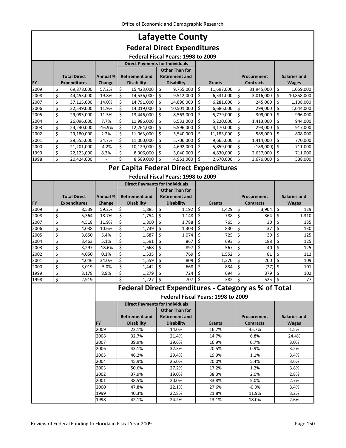|                                        | <b>Lafayette County</b>                                                                                     |                     |          |    |                       |    |                                    |    |                                        |    |                  |    |                     |  |
|----------------------------------------|-------------------------------------------------------------------------------------------------------------|---------------------|----------|----|-----------------------|----|------------------------------------|----|----------------------------------------|----|------------------|----|---------------------|--|
|                                        |                                                                                                             |                     |          |    |                       |    | <b>Federal Direct Expenditures</b> |    |                                        |    |                  |    |                     |  |
| Federal Fiscal Years: 1998 to 2009     |                                                                                                             |                     |          |    |                       |    |                                    |    |                                        |    |                  |    |                     |  |
| <b>Direct Payments for Individuals</b> |                                                                                                             |                     |          |    |                       |    |                                    |    |                                        |    |                  |    |                     |  |
| <b>Other Than for</b>                  |                                                                                                             |                     |          |    |                       |    |                                    |    |                                        |    |                  |    |                     |  |
|                                        |                                                                                                             | <b>Total Direct</b> | Annual % |    | <b>Retirement and</b> |    | <b>Retirement and</b>              |    |                                        |    | Procurement      |    | <b>Salaries and</b> |  |
| FY                                     |                                                                                                             | <b>Expenditures</b> | Change   |    | <b>Disability</b>     |    | <b>Disability</b>                  |    | <b>Grants</b>                          |    | <b>Contracts</b> |    | <b>Wages</b>        |  |
| 2009                                   | \$                                                                                                          | 69,878,000          | 57.2%    | \$ | 15,423,000            | \$ | 9,755,000                          | \$ | 11,697,000                             | \$ | 31,945,000       | \$ | 1,059,000           |  |
| 2008                                   | \$                                                                                                          | 44,453,000          | 19.8%    | \$ | 14,536,000            | \$ | 9,512,000                          | \$ | 6,531,000                              | \$ | 3,016,000        | \$ | 10,858,000          |  |
| 2007                                   | \$                                                                                                          | 37,115,000          | 14.0%    | \$ | 14,791,000            | \$ | 14,690,000                         | \$ | 6,281,000                              | \$ | 245,000          | \$ | 1,108,000           |  |
| 2006                                   | \$                                                                                                          | 32,549,000          | 11.9%    | \$ | 14,019,000            | \$ | 10,501,000                         | \$ | 6,686,000                              | \$ | 299,000          | \$ | 1,044,000           |  |
| 2005                                   | \$                                                                                                          | 29,093,000          | 11.5%    | \$ | 13,446,000            | \$ | 8,563,000                          | \$ | 5,779,000                              | \$ | 309,000          | \$ | 996,000             |  |
| 2004                                   | \$                                                                                                          | 26,096,000          | 7.7%     | \$ | 11,986,000            | \$ | 6,533,000                          | \$ | 5,220,000                              | \$ | 1,413,000        | \$ | 944,000             |  |
| 2003                                   | \$                                                                                                          | 24,240,000          | $-16.9%$ | \$ | 12,264,000            | \$ | 6,596,000                          | \$ | 4,170,000                              | \$ | 293,000          | \$ | 917,000             |  |
| 2002                                   | \$                                                                                                          | 29,180,000          | 2.2%     | \$ | 11,063,000            | \$ | 5,540,000                          | \$ | 11,183,000                             | \$ | 585,000          | \$ | 808,000             |  |
| 2001                                   | \$                                                                                                          | 28,555,000          | 34.7%    | \$ | 11,000,000            | \$ | 5,706,000                          | \$ | 9,665,000                              | \$ | 1,414,000        | \$ | 770,000             |  |
| 2000                                   | \$                                                                                                          | 21,201,000          | $-4.2%$  | \$ | 10,129,000            | \$ | 4,692,000                          | \$ | 5,859,000                              | \$ | (189,000)        | \$ | 711,000             |  |
| 1999                                   | \$                                                                                                          | 22,123,000          | 8.3%     | \$ | 8,906,000             | \$ | 5,040,000                          | \$ | 4,830,000                              | \$ | 2,637,000        | \$ | 711,000             |  |
| 1998                                   | \$<br>\$<br>\$<br>Ś<br>\$<br>Ś<br>20,424,000<br>8,589,000<br>4,951,000<br>2,670,000<br>538,000<br>3,676,000 |                     |          |    |                       |    |                                    |    |                                        |    |                  |    |                     |  |
|                                        |                                                                                                             |                     |          |    |                       |    |                                    |    | Per Capita Federal Direct Expenditures |    |                  |    |                     |  |
|                                        |                                                                                                             |                     |          |    |                       |    | Federal Fiscal Years: 1998 to 2009 |    |                                        |    |                  |    |                     |  |

|           |                     |          |   | <b>Direct Payments for Individuals</b> |    |                       |    |        |    |                  |   |              |
|-----------|---------------------|----------|---|----------------------------------------|----|-----------------------|----|--------|----|------------------|---|--------------|
|           |                     |          |   |                                        |    | <b>Other Than for</b> |    |        |    |                  |   |              |
|           | <b>Total Direct</b> | Annual % |   | <b>Retirement and</b>                  |    | <b>Retirement and</b> |    |        |    | Procurement      |   | Salaries and |
| <b>FY</b> | <b>Expenditures</b> | Change   |   | <b>Disability</b>                      |    | <b>Disability</b>     |    | Grants |    | <b>Contracts</b> |   | <b>Wages</b> |
| 2009      | \$<br>8,539         | 59.2%    | Ś | 1,885                                  | Ś  | 1,192                 | Ŝ  | 1,429  |    | 3,904            | Ś | 129          |
| 2008      | \$<br>5,364         | 18.7%    |   | 1,754                                  |    | 1,148                 |    | 788    |    | 364              |   | 1,310        |
| 2007      | \$<br>4,518         | 11.9%    |   | 1,800                                  |    | 1,788                 |    | 765    |    | 30               |   | 135          |
| 2006      | \$<br>4,038         | 10.6%    |   | 1,739                                  |    | 1,303                 |    | 830    |    | 37               |   | 130          |
| 2005      | \$<br>3,650         | 5.4%     | Ś | 1,687                                  | Ś  | 1,074                 | Ś  | 725    |    | 39               |   | 125          |
| 2004      | \$<br>3,463         | 5.1%     | Ś | 1,591                                  | \$ | 867                   | \$ | 693    |    | 188              |   | 125          |
| 2003      | \$<br>3,297         | $-18.6%$ |   | 1,668                                  |    | 897                   |    | 567    |    | 40               |   | 125          |
| 2002      | \$<br>4,050         | 0.1%     | Ś | 1,535                                  | \$ | 769                   | \$ | 1,552  | Ŝ. | 81               |   | 112          |
| 2001      | \$<br>4.046         | 34.0%    | Ś | 1,559                                  | Ś  | 809                   |    | 1,370  |    | 200              |   | 109          |
| 2000      | \$<br>3,019         | $-5.0%$  |   | 1,442                                  |    | 668                   |    | 834    |    | (27)             |   | 101          |
| 1999      | \$<br>3,178         | 8.9%     |   | 1,279                                  |    | 724                   |    | 694    |    | 379              |   | 102          |
| 1998      | \$<br>2,919         |          |   | 1,227                                  |    | 707                   |    | 382    |    | 525              |   | 77           |

|           |                       | <b>Direct Payments for Individuals</b> |               |                    |              |
|-----------|-----------------------|----------------------------------------|---------------|--------------------|--------------|
|           |                       | <b>Other Than for</b>                  |               |                    |              |
|           | <b>Retirement and</b> | <b>Retirement and</b>                  |               | <b>Procurement</b> | Salaries and |
| <b>FY</b> | <b>Disability</b>     | <b>Disability</b>                      | <b>Grants</b> | <b>Contracts</b>   | <b>Wages</b> |
| 2009      | 22.1%                 | 14.0%                                  | 16.7%         | 45.7%              | 1.5%         |
| 2008      | 32.7%                 | 21.4%                                  | 14.7%         | 6.8%               | 24.4%        |
| 2007      | 39.9%                 | 39.6%                                  | 16.9%         | 0.7%               | 3.0%         |
| 2006      | 43.1%                 | 32.3%                                  | 20.5%         | 0.9%               | 3.2%         |
| 2005      | 46.2%                 | 29.4%                                  | 19.9%         | 1.1%               | 3.4%         |
| 2004      | 45.9%                 | 25.0%                                  | 20.0%         | 5.4%               | 3.6%         |
| 2003      | 50.6%                 | 27.2%                                  | 17.2%         | 1.2%               | 3.8%         |
| 2002      | 37.9%                 | 19.0%                                  | 38.3%         | 2.0%               | 2.8%         |
| 2001      | 38.5%                 | 20.0%                                  | 33.8%         | 5.0%               | 2.7%         |
| 2000      | 47.8%                 | 22.1%                                  | 27.6%         | $-0.9\%$           | 3.4%         |
| 1999      | 40.3%                 | 22.8%                                  | 21.8%         | 11.9%              | 3.2%         |
| 1998      | 42.1%                 | 24.2%                                  | 13.1%         | 18.0%              | 2.6%         |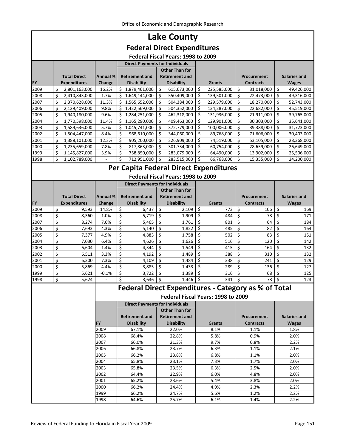| <b>Lake County</b>                 |                                        |                   |                            |                                                      |          |                |                          |                               |  |  |  |  |  |
|------------------------------------|----------------------------------------|-------------------|----------------------------|------------------------------------------------------|----------|----------------|--------------------------|-------------------------------|--|--|--|--|--|
| <b>Federal Direct Expenditures</b> |                                        |                   |                            |                                                      |          |                |                          |                               |  |  |  |  |  |
| Federal Fiscal Years: 1998 to 2009 |                                        |                   |                            |                                                      |          |                |                          |                               |  |  |  |  |  |
|                                    |                                        |                   |                            | <b>Direct Payments for Individuals</b>               |          |                |                          |                               |  |  |  |  |  |
|                                    |                                        |                   |                            | <b>Other Than for</b>                                |          |                |                          |                               |  |  |  |  |  |
|                                    | <b>Total Direct</b>                    | Annual %          | <b>Retirement and</b>      | <b>Retirement and</b>                                |          |                | Procurement              | <b>Salaries and</b>           |  |  |  |  |  |
| <b>FY</b>                          | <b>Expenditures</b>                    | Change            | <b>Disability</b>          | <b>Disability</b>                                    |          | <b>Grants</b>  | <b>Contracts</b>         | <b>Wages</b>                  |  |  |  |  |  |
| 2009                               | \$<br>2,801,163,000                    | 16.2%             | \$<br>1,879,461,000        | \$<br>615,673,000                                    | \$       | 225,585,000    | \$<br>31,018,000         | \$<br>49,426,000              |  |  |  |  |  |
| 2008                               | \$<br>2,410,843,000                    | 1.7%              | \$<br>1,649,144,000        | \$<br>550,409,000                                    | \$       | 139,501,000    | \$<br>22,473,000         | \$<br>49,316,000              |  |  |  |  |  |
| 2007                               | \$<br>2,370,628,000                    | 11.3%             | \$<br>1,565,652,000        | \$<br>504,384,000                                    | \$       | 229,579,000    | \$<br>18,270,000         | \$<br>52,743,000              |  |  |  |  |  |
| 2006                               | \$<br>2,129,409,000                    | 9.8%              | Ś<br>1,422,569,000         | \$<br>504,352,000                                    | \$       | 134,287,000    | \$<br>22,682,000         | \$<br>45,519,000              |  |  |  |  |  |
| 2005                               | \$<br>1,940,180,000                    | 9.6%              | \$<br>1,284,251,000        | \$<br>462,318,000                                    | \$       | 131,936,000    | \$<br>21,911,000         | \$<br>39,765,000              |  |  |  |  |  |
| 2004                               | \$<br>1,770,598,000                    | 11.4%             | \$<br>1,165,290,000        | \$<br>409,463,000                                    | \$       | 129,901,000    | Ś<br>30,303,000          | \$<br>35,641,000              |  |  |  |  |  |
| 2003                               | \$<br>1,589,636,000                    | 5.7%              | \$<br>1,045,741,000        | \$<br>372,779,000                                    | \$       | 100,006,000    | \$<br>39,388,000         | \$<br>31,723,000              |  |  |  |  |  |
| 2002                               | \$<br>1,504,447,000                    | 8.4%              | \$<br>968,610,000          | \$<br>344,060,000                                    | \$       | 89,768,000     | \$<br>71,606,000         | \$<br>30,403,000              |  |  |  |  |  |
| 2001                               | \$<br>1,388,101,000                    | 12.3%             | \$<br>905,200,000          | \$<br>326,909,000                                    | \$       | 74,519,000     | \$<br>53,105,000         | \$<br>28,368,000              |  |  |  |  |  |
| 2000                               | \$<br>1,235,659,000                    | 7.8%              | \$<br>817,863,000          | \$<br>301,734,000                                    | \$       | 60,754,000     | \$<br>28,659,000         | \$<br>26,649,000              |  |  |  |  |  |
| 1999                               | \$<br>1,145,827,000                    | 3.9%              | \$<br>758,850,000          | \$<br>283,079,000                                    | \$       | 64,490,000     | \$<br>13,902,000         | \$<br>25,506,000              |  |  |  |  |  |
| 1998                               | \$<br>1,102,789,000                    | $\overline{a}$    | Ś.<br>712,951,000          | \$<br>283,515,000                                    | \$       | 66,768,000     | Ś<br>15,355,000          | \$<br>24,200,000              |  |  |  |  |  |
|                                    | Per Capita Federal Direct Expenditures |                   |                            |                                                      |          |                |                          |                               |  |  |  |  |  |
|                                    | Federal Fiscal Years: 1998 to 2009     |                   |                            |                                                      |          |                |                          |                               |  |  |  |  |  |
|                                    | <b>Direct Payments for Individuals</b> |                   |                            |                                                      |          |                |                          |                               |  |  |  |  |  |
|                                    | <b>Other Than for</b>                  |                   |                            |                                                      |          |                |                          |                               |  |  |  |  |  |
|                                    | <b>Total Direct</b>                    | Annual %          | <b>Retirement and</b>      | <b>Retirement and</b>                                |          |                | Procurement              | <b>Salaries and</b>           |  |  |  |  |  |
| FY                                 | <b>Expenditures</b>                    | Change            | <b>Disability</b>          | <b>Disability</b>                                    |          | Grants         | <b>Contracts</b>         | <b>Wages</b>                  |  |  |  |  |  |
| 2009                               | \$<br>9,593                            | 14.8%             | \$<br>6,437                | \$<br>2,109                                          | \$       | 773            | \$<br>106                | \$<br>169                     |  |  |  |  |  |
| 2008                               | \$<br>8,360<br>\$                      | 1.0%              | \$<br>5,719                | \$<br>1,909                                          | \$       | 484            | \$<br>78<br>\$           | \$<br>171<br>$\overline{\xi}$ |  |  |  |  |  |
| 2007<br>2006                       | 8,274<br>\$<br>7,693                   | 7.6%<br>4.3%      | \$<br>5,465<br>\$<br>5,140 | \$<br>1,761<br>\$<br>1,822                           | \$<br>\$ | 801<br>485     | 64<br>\$<br>82           | 184<br>\$<br>164              |  |  |  |  |  |
| 2005                               | \$<br>7,377                            | 4.9%              | \$<br>4,883                | \$<br>1,758                                          | \$       | 502            | \$<br>83                 | \$<br>151                     |  |  |  |  |  |
| 2004                               | \$<br>7,030                            | 6.4%              | \$<br>4,626                | \$<br>1,626                                          | \$       | 516            | \$<br>120                | \$<br>142                     |  |  |  |  |  |
| 2003                               | \$<br>6,604                            | 1.4%              | \$<br>4,344                | \$<br>1,549                                          | \$       | 415            | \$<br>164                | \$<br>132                     |  |  |  |  |  |
| 2002                               | \$<br>6,511                            | 3.3%              | \$<br>4,192                | \$<br>1,489                                          | \$       | 388            | \$<br>310                | \$<br>132                     |  |  |  |  |  |
| 2001                               | \$<br>6,300                            | 7.3%              | \$<br>4,109                | \$<br>1,484                                          | \$       | 338            | \$<br>241                | \$<br>129                     |  |  |  |  |  |
| 2000                               | \$<br>5,869                            | 4.4%              | \$<br>3,885                | \$<br>1,433                                          | \$       | 289            | \$<br>136                | \$<br>127                     |  |  |  |  |  |
| 1999                               | \$<br>5,621                            | $-0.1%$           | \$<br>3,722                | \$<br>1,389                                          | \$       | 316            | \$<br>68                 | \$<br>125                     |  |  |  |  |  |
| 1998                               | \$<br>5,624                            |                   | \$<br>3,636                | \$<br>1,446                                          | \$       | 341            | \$<br>78                 | $\overline{\xi}$<br>123       |  |  |  |  |  |
|                                    |                                        |                   |                            | Federal Direct Expenditures - Category as % of Total |          |                |                          |                               |  |  |  |  |  |
|                                    |                                        |                   |                            | Federal Fiscal Years: 1998 to 2009                   |          |                |                          |                               |  |  |  |  |  |
|                                    |                                        |                   |                            |                                                      |          |                |                          |                               |  |  |  |  |  |
|                                    |                                        |                   |                            | <b>Direct Payments for Individuals</b>               |          |                |                          |                               |  |  |  |  |  |
|                                    |                                        |                   | <b>Retirement and</b>      | <b>Other Than for</b>                                |          |                |                          |                               |  |  |  |  |  |
|                                    |                                        |                   |                            | <b>Retirement and</b>                                |          |                | Procurement              | <b>Salaries and</b>           |  |  |  |  |  |
|                                    |                                        | <b>FY</b><br>2009 | <b>Disability</b><br>67.1% | <b>Disability</b><br>22.0%                           |          | Grants<br>8.1% | <b>Contracts</b><br>1.1% | <b>Wages</b><br>1.8%          |  |  |  |  |  |
|                                    |                                        | 2008              | 68.4%                      | 22.8%                                                |          | 5.8%           | 0.9%                     | 2.0%                          |  |  |  |  |  |
|                                    |                                        | 2007              | 66.0%                      | 21.3%                                                |          | 9.7%           | 0.8%                     | 2.2%                          |  |  |  |  |  |
|                                    |                                        | 2006              | 66.8%                      | 23.7%                                                |          | 6.3%           | 1.1%                     | 2.1%                          |  |  |  |  |  |
|                                    |                                        | 2005              | 66.2%                      | 23.8%                                                |          | 6.8%           | 1.1%                     | 2.0%                          |  |  |  |  |  |
|                                    |                                        | 2004              | 65.8%                      | 23.1%                                                |          | 7.3%           | 1.7%                     | 2.0%                          |  |  |  |  |  |
|                                    |                                        | 2003              | 65.8%                      | 23.5%                                                |          | 6.3%           | 2.5%                     | 2.0%                          |  |  |  |  |  |
|                                    |                                        | 2002              | 64.4%                      | 22.9%                                                |          | 6.0%           | 4.8%                     | 2.0%                          |  |  |  |  |  |
|                                    |                                        | 2001              | 65.2%                      | 23.6%                                                |          | 5.4%           | 3.8%                     | 2.0%                          |  |  |  |  |  |
|                                    |                                        | 2000              | 66.2%                      | 24.4%                                                |          | 4.9%           | 2.3%                     | 2.2%                          |  |  |  |  |  |
|                                    |                                        | 1999              | 66.2%                      | 24.7%                                                |          | 5.6%           | 1.2%                     | 2.2%                          |  |  |  |  |  |
|                                    |                                        | 1998              | 64.6%                      | 25.7%                                                |          | 6.1%           | 1.4%                     | 2.2%                          |  |  |  |  |  |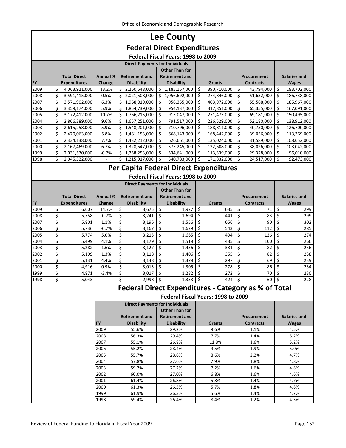| <b>Lee County</b>                  |                                        |                          |                       |                                                      |         |               |                  |                     |  |  |  |  |  |
|------------------------------------|----------------------------------------|--------------------------|-----------------------|------------------------------------------------------|---------|---------------|------------------|---------------------|--|--|--|--|--|
| <b>Federal Direct Expenditures</b> |                                        |                          |                       |                                                      |         |               |                  |                     |  |  |  |  |  |
| Federal Fiscal Years: 1998 to 2009 |                                        |                          |                       |                                                      |         |               |                  |                     |  |  |  |  |  |
|                                    |                                        |                          |                       | <b>Direct Payments for Individuals</b>               |         |               |                  |                     |  |  |  |  |  |
|                                    |                                        |                          |                       | <b>Other Than for</b>                                |         |               |                  |                     |  |  |  |  |  |
|                                    | <b>Total Direct</b>                    | Annual %                 | <b>Retirement and</b> | <b>Retirement and</b>                                |         |               | Procurement      | <b>Salaries and</b> |  |  |  |  |  |
| <b>FY</b>                          | <b>Expenditures</b>                    | Change                   | <b>Disability</b>     | <b>Disability</b>                                    |         | <b>Grants</b> | <b>Contracts</b> | Wages               |  |  |  |  |  |
| 2009                               | \$<br>4,063,921,000                    | 13.2%                    | \$<br>2,260,548,000   | \$<br>1,185,167,000                                  | \$      | 390,710,000   | \$<br>43,794,000 | \$<br>183,702,000   |  |  |  |  |  |
| 2008                               | \$<br>3,591,415,000                    | 0.5%                     | \$<br>2,021,508,000   | \$<br>1,056,692,000                                  | \$      | 274,846,000   | \$<br>51,632,000 | \$<br>186,738,000   |  |  |  |  |  |
| 2007                               | \$<br>3,571,902,000                    | 6.3%                     | \$<br>1,968,019,000   | \$<br>958,355,000                                    | \$      | 403,972,000   | \$<br>55,588,000 | \$<br>185,967,000   |  |  |  |  |  |
| 2006                               | \$<br>3,359,174,000                    | 5.9%                     | \$<br>1,854,739,000   | \$<br>954,137,000                                    | \$      | 317,851,000   | \$<br>65,355,000 | \$<br>167,091,000   |  |  |  |  |  |
| 2005                               | \$<br>3,172,412,000                    | 10.7%                    | \$<br>1,766,215,000   | \$<br>915,047,000                                    | \$      | 271,473,000   | \$<br>69,181,000 | \$<br>150,495,000   |  |  |  |  |  |
| 2004                               | \$<br>2,866,389,000                    | 9.6%                     | \$<br>1,657,251,000   | \$<br>791,517,000                                    | \$      | 226,529,000   | \$<br>52,180,000 | \$<br>138,912,000   |  |  |  |  |  |
| 2003                               | \$<br>2,615,258,000                    | 5.9%                     | \$<br>1,548,201,000   | \$<br>710,796,000                                    | \$      | 188,811,000   | \$<br>40,750,000 | \$<br>126,700,000   |  |  |  |  |  |
| 2002                               | \$<br>2,470,063,000                    | 5.8%                     | \$<br>1,481,153,000   | \$<br>668,143,000                                    | \$      | 168,442,000   | \$<br>39,056,000 | \$<br>113,269,000   |  |  |  |  |  |
| 2001                               | \$<br>2,334,138,000                    | 7.7%                     | \$<br>1,432,212,000   | \$<br>626,661,000                                    | \$      | 135,024,000   | Ś<br>31,589,000  | \$<br>108,652,000   |  |  |  |  |  |
| 2000                               | \$<br>2,167,469,000                    | 6.7%                     | \$<br>1,328,547,000   | \$<br>575,245,000                                    | \$      | 122,608,000   | \$<br>38,026,000 | \$<br>103,042,000   |  |  |  |  |  |
| 1999                               | \$<br>2,031,570,000                    | $-0.7%$                  | \$<br>1,258,253,000   | \$<br>534,641,000                                    | \$      | 113,339,000   | Ś<br>29,328,000  | Ś.<br>96,010,000    |  |  |  |  |  |
| 1998                               | \$<br>2,045,522,000                    | $\blacksquare$           | \$<br>1,215,917,000   | \$<br>540,783,000                                    | \$      | 171,832,000   | \$<br>24,517,000 | \$<br>92,473,000    |  |  |  |  |  |
|                                    | Per Capita Federal Direct Expenditures |                          |                       |                                                      |         |               |                  |                     |  |  |  |  |  |
|                                    | Federal Fiscal Years: 1998 to 2009     |                          |                       |                                                      |         |               |                  |                     |  |  |  |  |  |
|                                    | <b>Direct Payments for Individuals</b> |                          |                       |                                                      |         |               |                  |                     |  |  |  |  |  |
|                                    | <b>Other Than for</b>                  |                          |                       |                                                      |         |               |                  |                     |  |  |  |  |  |
|                                    | <b>Total Direct</b>                    | Annual %                 | <b>Retirement and</b> | <b>Retirement and</b>                                |         |               | Procurement      | <b>Salaries and</b> |  |  |  |  |  |
| <b>FY</b>                          | <b>Expenditures</b>                    | Change                   | <b>Disability</b>     | <b>Disability</b>                                    |         | Grants        | <b>Contracts</b> | Wages               |  |  |  |  |  |
| 2009                               | \$<br>6,607                            | 14.7%                    | \$<br>3,675           | \$<br>1,927                                          | \$      | 635           | \$<br>71         | \$<br>299           |  |  |  |  |  |
| 2008                               | \$<br>5,758                            | $-0.7%$                  | \$<br>3,241           | \$<br>1,694                                          | \$      | 441           | \$<br>83         | \$<br>299           |  |  |  |  |  |
| 2007                               | \$<br>5,801                            | 1.1%                     | \$<br>3,196           | \$<br>1,556                                          | \$      | 656           | \$<br>90         | \$<br>302           |  |  |  |  |  |
| 2006                               | \$<br>5,736                            | $-0.7%$                  | \$<br>3,167           | \$<br>1,629                                          | \$      | 543           | \$<br>112        | \$<br>285           |  |  |  |  |  |
| 2005                               | \$<br>5,774                            | 5.0%                     | \$<br>3,215           | \$<br>1,665                                          | \$      | 494           | \$<br>126        | \$<br>274           |  |  |  |  |  |
| 2004                               | \$<br>5,499                            | 4.1%                     | \$<br>3,179           | \$<br>1,518                                          | \$      | 435           | \$<br>100        | \$<br>266           |  |  |  |  |  |
| 2003                               | \$<br>5,282                            | 1.6%                     | \$<br>3,127           | \$<br>1,436                                          | \$      | 381           | \$<br>82         | \$<br>256           |  |  |  |  |  |
| 2002                               | \$<br>5,199                            | 1.3%                     | \$<br>3,118           | \$<br>1,406                                          | \$      | 355           | \$<br>82         | \$<br>238           |  |  |  |  |  |
| 2001                               | \$<br>5,131                            | 4.4%                     | \$<br>3,148           | \$<br>1,378                                          | \$      | 297           | \$<br>69         | \$<br>239           |  |  |  |  |  |
| 2000                               | \$<br>4,916                            | 0.9%                     | \$<br>3,013           | \$<br>1,305                                          | $\zeta$ | 278           | \$<br>86         | \$<br>234           |  |  |  |  |  |
| 1999                               | \$<br>4,871                            | $-3.4%$                  | \$<br>3,017           | \$<br>1,282                                          | \$      | 272           | \$<br>70         | \$<br>230           |  |  |  |  |  |
| 1998                               | \$<br>5,043                            | $\overline{\phantom{a}}$ | \$<br>2,998           | \$<br>1,333                                          | \$      | 424           | \$<br>60         | \$<br>228           |  |  |  |  |  |
|                                    |                                        |                          |                       | Federal Direct Expenditures - Category as % of Total |         |               |                  |                     |  |  |  |  |  |
|                                    |                                        |                          |                       | Federal Fiscal Years: 1998 to 2009                   |         |               |                  |                     |  |  |  |  |  |
|                                    |                                        |                          |                       | <b>Direct Payments for Individuals</b>               |         |               |                  |                     |  |  |  |  |  |
|                                    |                                        |                          |                       | <b>Other Than for</b>                                |         |               |                  |                     |  |  |  |  |  |
|                                    |                                        |                          | <b>Retirement and</b> | <b>Retirement and</b>                                |         |               | Procurement      | <b>Salaries and</b> |  |  |  |  |  |
|                                    |                                        | <b>FY</b>                | <b>Disability</b>     | <b>Disability</b>                                    |         | Grants        | <b>Contracts</b> | Wages               |  |  |  |  |  |
|                                    |                                        | 2009                     | 55.6%                 | 29.2%                                                |         | 9.6%          | 1.1%             | 4.5%                |  |  |  |  |  |
|                                    |                                        | 2008                     | 56.3%                 | 29.4%                                                |         | 7.7%          | 1.4%             | 5.2%                |  |  |  |  |  |
|                                    |                                        | 2007                     | 55.1%                 | 26.8%                                                |         | 11.3%         | 1.6%             | 5.2%                |  |  |  |  |  |
|                                    |                                        | 2006                     | 55.2%                 | 28.4%                                                |         | 9.5%          | 1.9%             | 5.0%                |  |  |  |  |  |
|                                    |                                        | 2005                     | 55.7%                 | 28.8%                                                |         | 8.6%          | 2.2%             | 4.7%                |  |  |  |  |  |
|                                    |                                        | 2004                     | 57.8%                 | 27.6%                                                |         | 7.9%          | 1.8%             | 4.8%                |  |  |  |  |  |
|                                    |                                        | 2003                     | 59.2%                 | 27.2%                                                |         | 7.2%          | 1.6%             | 4.8%                |  |  |  |  |  |
|                                    |                                        | 2002                     | 60.0%                 | 27.0%                                                |         | 6.8%          | 1.6%             | 4.6%                |  |  |  |  |  |
|                                    |                                        | 2001                     | 61.4%                 | 26.8%                                                |         | 5.8%          | 1.4%             | 4.7%                |  |  |  |  |  |
|                                    |                                        | 2000                     | 61.3%                 | 26.5%                                                |         | 5.7%          | 1.8%             | 4.8%                |  |  |  |  |  |
|                                    |                                        | 1999                     | 61.9%                 | 26.3%                                                |         | 5.6%          | 1.4%             | 4.7%                |  |  |  |  |  |
|                                    |                                        | 1998                     | 59.4%                 | 26.4%                                                |         | 8.4%          | 1.2%             | 4.5%                |  |  |  |  |  |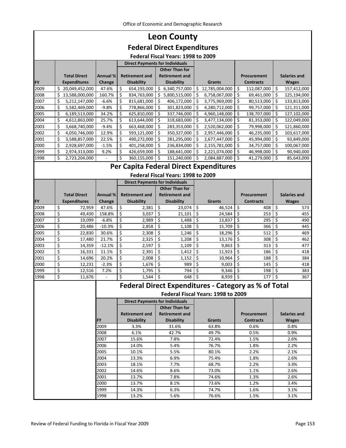|           | <b>Leon County</b>                 |                     |                 |    |                                        |    |                       |    |                |    |                  |    |              |  |
|-----------|------------------------------------|---------------------|-----------------|----|----------------------------------------|----|-----------------------|----|----------------|----|------------------|----|--------------|--|
|           | <b>Federal Direct Expenditures</b> |                     |                 |    |                                        |    |                       |    |                |    |                  |    |              |  |
|           | Federal Fiscal Years: 1998 to 2009 |                     |                 |    |                                        |    |                       |    |                |    |                  |    |              |  |
|           |                                    |                     |                 |    | <b>Direct Payments for Individuals</b> |    |                       |    |                |    |                  |    |              |  |
|           |                                    |                     |                 |    |                                        |    | <b>Other Than for</b> |    |                |    |                  |    |              |  |
|           |                                    | <b>Total Direct</b> | <b>Annual %</b> |    | <b>Retirement and</b>                  |    | <b>Retirement and</b> |    |                |    | Procurement      |    | Salaries and |  |
| <b>FY</b> |                                    | <b>Expenditures</b> | Change          |    | <b>Disability</b>                      |    | <b>Disability</b>     |    | <b>Grants</b>  |    | <b>Contracts</b> |    | <b>Wages</b> |  |
| 2009      | \$                                 | 20,049,452,000      | 47.6%           | \$ | 654,193,000                            | Ś  | 6,340,757,000         | \$ | 12,785,004,000 | \$ | 112,087,000      | \$ | 157,412,000  |  |
| 2008      | \$                                 | 13,588,000,000      | 160.7%          | \$ | 834,763,000                            | \$ | 5,800,515,000         | \$ | 6,758,067,000  | \$ | 69,461,000       | \$ | 125,194,000  |  |
| 2007      | \$                                 | 5,212,147,000       | $-6.6%$         | \$ | 815,681,000                            | \$ | 406,172,000           | \$ | 3,775,969,000  | \$ | 80,513,000       | \$ | 133,813,000  |  |
| 2006      | \$                                 | 5,582,469,000       | $-9.8%$         | \$ | 778,866,000                            | \$ | 301,823,000           | \$ | 4,280,712,000  | \$ | 99,757,000       | \$ | 121,311,000  |  |
| 2005      | \$                                 | 6,189,513,000       | 34.2%           | \$ | 625,810,000                            | \$ | 337,746,000           | \$ | 4,960,148,000  | \$ | 138,707,000      | \$ | 127,102,000  |  |
| 2004      | \$                                 | 4,612,863,000       | 25.7%           | \$ | 613,644,000                            | \$ | 318,683,000           | \$ | 3,477,134,000  | \$ | 81,353,000       | \$ | 122,049,000  |  |
| 2003      | \$                                 | 3,668,740,000       | $-9.4%$         | \$ | 663,468,000                            | \$ | 283,353,000           | \$ | 2,520,062,000  | \$ | 79,998,000       | \$ | 121,860,000  |  |
| 2002      | \$                                 | 4,050,746,000       | 12.9%           | \$ | 593,121,000                            | \$ | 350,327,000           | \$ | 2,957,446,000  | \$ | 46,235,000       | \$ | 103,617,000  |  |
| 2001      | \$                                 | 3,588,857,000       | 22.5%           | \$ | 490,272,000                            | \$ | 281,295,000           | \$ | 2,677,447,000  | \$ | 45,994,000       | \$ | 93,849,000   |  |
| 2000      | \$                                 | 2,928,697,000       | $-1.5%$         | \$ | 401,258,000                            | \$ | 236,834,000           | \$ | 2,155,781,000  | \$ | 34,757,000       | \$ | 100,067,000  |  |
| 1999      | \$                                 | 2,974,313,000       | 9.2%            | \$ | 426,659,000                            | \$ | 188,641,000           | \$ | 2,221,074,000  | \$ | 46,998,000       | \$ | 90,940,000   |  |
| 1998      | \$                                 | 2,723,204,000       |                 | Ś  | 360,155,000                            | Ŝ. | 151,240,000           | \$ | 2,084,887,000  | Ś  | 41,279,000       | \$ | 85,643,000   |  |

#### **Per Capita Federal Direct Expenditures**

|            |                     |          |    | <b>Direct Payments for Individuals</b> |    |                       |    |               |    |                  |    |              |
|------------|---------------------|----------|----|----------------------------------------|----|-----------------------|----|---------------|----|------------------|----|--------------|
|            |                     |          |    |                                        |    | <b>Other Than for</b> |    |               |    |                  |    |              |
|            | <b>Total Direct</b> | Annual % |    | <b>Retirement and</b>                  |    | <b>Retirement and</b> |    |               |    | Procurement      |    | Salaries and |
| <b>IFY</b> | <b>Expenditures</b> | Change   |    | <b>Disability</b>                      |    | <b>Disability</b>     |    | <b>Grants</b> |    | <b>Contracts</b> |    | <b>Wages</b> |
| 2009       | \$<br>72,959        | 47.6%    | \$ | 2,381                                  | Ś  | 23,074                | Ś  | 46,524        | \$ | 408              | \$ | 573          |
| 2008       | \$<br>49,430        | 158.8%   |    | 3,037                                  |    | 21,101                |    | 24,584        | S  | 253              |    | 455          |
| 2007       | \$<br>19,099        | $-6.8%$  | Ś  | 2,989                                  |    | 1,488                 | Ś  | 13,837        | \$ | 295              |    | 490          |
| 2006       | \$<br>20,486        | $-10.3%$ | Ś  | 2,858                                  |    | 1,108                 |    | 15,709        |    | 366              |    | 445          |
| 2005       | \$<br>22,830        | 30.6%    | \$ | 2,308                                  | \$ | 1,246                 | Ś  | 18,296        | \$ | 512              | Ś  | 469          |
| 2004       | \$<br>17,480        | 21.7%    | \$ | 2,325                                  |    | 1,208                 | \$ | 13,176        | Ś  | 308              |    | 462          |
| 2003       | \$<br>14,359        | $-12.1%$ | Ś  | 2,597                                  |    | 1,109                 |    | 9,863         |    | 313              |    | 477          |
| 2002       | \$<br>16,331        | 11.1%    | Ś  | 2,391                                  |    | 1,412                 | Ś  | 11,923        | Ś  | 186              |    | 418          |
| 2001       | \$<br>14,696        | 20.2%    | \$ | 2,008                                  | Ś  | 1,152                 | Ś  | 10,964        | \$ | 188              |    | 384          |
| 2000       | \$<br>12,231        | $-2.3%$  |    | 1,676                                  |    | 989                   |    | 9,003         |    | 145              |    | 418          |
| 1999       | \$<br>12,516        | 7.2%     | \$ | 1,795                                  |    | 794                   | Ś  | 9,346         | Ś  | 198              | S  | 383          |
| 1998       | \$<br>11,676        |          | Ś  | 1,544                                  | \$ | 648                   |    | 8,939         | \$ | 177              |    | 367          |

| ₹<br>11,070 |           | ⊋<br>1, 144 J 2       | <b>U40</b> ?                           | 0,93313                                              | 11177            | <b>JU</b>           |
|-------------|-----------|-----------------------|----------------------------------------|------------------------------------------------------|------------------|---------------------|
|             |           |                       |                                        | Federal Direct Expenditures - Category as % of Total |                  |                     |
|             |           |                       |                                        | Federal Fiscal Years: 1998 to 2009                   |                  |                     |
|             |           |                       | <b>Direct Payments for Individuals</b> |                                                      |                  |                     |
|             |           |                       | <b>Other Than for</b>                  |                                                      |                  |                     |
|             |           | <b>Retirement and</b> | <b>Retirement and</b>                  |                                                      | Procurement      | <b>Salaries and</b> |
|             | <b>FY</b> | <b>Disability</b>     | <b>Disability</b>                      | <b>Grants</b>                                        | <b>Contracts</b> | <b>Wages</b>        |
|             | 2009      | 3.3%                  | 31.6%                                  | 63.8%                                                | 0.6%             | 0.8%                |
|             | 2008      | 6.1%                  | 42.7%                                  | 49.7%                                                | 0.5%             | 0.9%                |
|             | 2007      | 15.6%                 | 7.8%                                   | 72.4%                                                | 1.5%             | 2.6%                |
|             | 2006      | 14.0%                 | 5.4%                                   | 76.7%                                                | 1.8%             | 2.2%                |
|             | 2005      | 10.1%                 | 5.5%                                   | 80.1%                                                | 2.2%             | 2.1%                |
|             | 2004      | 13.3%                 | 6.9%                                   | 75.4%                                                | 1.8%             | 2.6%                |
|             | 2003      | 18.1%                 | 7.7%                                   | 68.7%                                                | 2.2%             | 3.3%                |
|             | 2002      | 14.6%                 | 8.6%                                   | 73.0%                                                | 1.1%             | 2.6%                |
|             | 2001      | 13.7%                 | 7.8%                                   | 74.6%                                                | 1.3%             | 2.6%                |
|             | 2000      | 13.7%                 | 8.1%                                   | 73.6%                                                | 1.2%             | 3.4%                |
|             | 1999      | 14.3%                 | 6.3%                                   | 74.7%                                                | 1.6%             | 3.1%                |
|             | 1998      | 13.2%                 | 5.6%                                   | 76.6%                                                | 1.5%             | 3.1%                |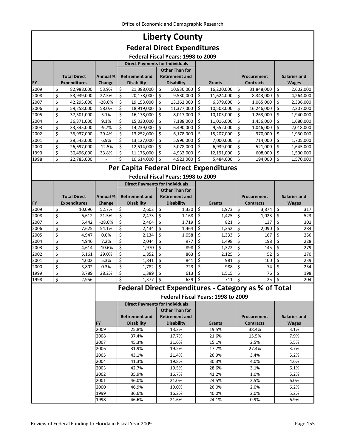|                                        | or Economic and Demographic nesearch |                          |                |          |                                                      |          |                                    |          |                         |          |                             |          |                        |  |
|----------------------------------------|--------------------------------------|--------------------------|----------------|----------|------------------------------------------------------|----------|------------------------------------|----------|-------------------------|----------|-----------------------------|----------|------------------------|--|
|                                        | <b>Liberty County</b>                |                          |                |          |                                                      |          |                                    |          |                         |          |                             |          |                        |  |
|                                        |                                      |                          |                |          |                                                      |          | <b>Federal Direct Expenditures</b> |          |                         |          |                             |          |                        |  |
|                                        |                                      |                          |                |          |                                                      |          | Federal Fiscal Years: 1998 to 2009 |          |                         |          |                             |          |                        |  |
|                                        |                                      |                          |                |          | <b>Direct Payments for Individuals</b>               |          |                                    |          |                         |          |                             |          |                        |  |
|                                        |                                      |                          |                |          |                                                      |          | <b>Other Than for</b>              |          |                         |          |                             |          |                        |  |
|                                        |                                      | <b>Total Direct</b>      | Annual %       |          | <b>Retirement and</b>                                |          | <b>Retirement and</b>              |          |                         |          | Procurement                 |          | <b>Salaries and</b>    |  |
| <b>FY</b>                              |                                      | <b>Expenditures</b>      | Change         |          | <b>Disability</b>                                    |          | <b>Disability</b>                  |          | <b>Grants</b>           |          | <b>Contracts</b>            |          | <b>Wages</b>           |  |
| 2009                                   | \$                                   | 82,988,000               | 53.9%          | \$       | 21,388,000                                           | \$       | 10,930,000                         | \$       | 16,220,000              | \$       | 31,848,000                  | \$       | 2,602,000              |  |
| 2008                                   | \$                                   | 53,939,000               | 27.5%          | \$       | 20,178,000                                           | \$       | 9,530,000                          | \$       | 11,624,000              | $\zeta$  | 8,343,000                   | \$       | 4,264,000              |  |
| 2007                                   | \$                                   | 42,295,000               | $-28.6%$       | \$       | 19,153,000                                           | \$       | 13,362,000                         | \$       | 6,379,000               | $\zeta$  | 1,065,000                   | \$       | 2,336,000              |  |
| 2006                                   | \$                                   | 59,258,000               | 58.0%          | \$       | 18,919,000                                           | \$<br>\$ | 11,377,000                         | \$       | 10,508,000              | \$       | 16,246,000                  | \$       | 2,207,000              |  |
| 2005<br>2004                           | \$<br>\$                             | 37,501,000               | 3.1%<br>9.1%   | \$<br>\$ | 16,178,000                                           | \$       | 8,017,000                          | \$<br>\$ | 10,103,000              | \$<br>\$ | 1,263,000                   | \$<br>\$ | 1,940,000              |  |
| 2003                                   | \$                                   | 36,371,000<br>33,345,000 | $-9.7%$        | \$       | 15,030,000<br>14,239,000                             | \$       | 7,188,000<br>6,490,000             | \$       | 11,016,000<br>9,552,000 | $\zeta$  | 1,456,000<br>1,046,000      | \$       | 1,680,000<br>2,018,000 |  |
| 2002                                   | \$                                   | 36,937,000               | 29.4%          | \$       | 13,252,000                                           | \$       | 6,178,000                          | \$       | 15,207,000              | \$       | 370,000                     | \$       | 1,930,000              |  |
| 2001                                   | \$                                   | 28,543,000               | 6.9%           | \$       | 13,127,000                                           | \$       | 5,996,000                          | \$       | 7,000,000               | \$       | 714,000                     | \$       | 1,705,000              |  |
| 2000                                   | \$                                   | 26,697,000               | $-12.5%$       | \$       | 12,514,000                                           | \$       | 5,078,000                          | \$       | 6,939,000               | $\zeta$  | 521,000                     | \$       | 1,645,000              |  |
| 1999                                   | \$                                   | 30,496,000               | 33.8%          | \$       | 11,175,000                                           | \$       | 4,932,000                          | \$       | 12,191,000              | $\zeta$  | 608,000                     | \$       | 1,590,000              |  |
| 1998                                   | \$                                   | 22,785,000               | $\overline{a}$ | Ś        | 10,614,000                                           | Ś        | 4,923,000                          | \$       | 5,484,000               | -Ś       | 194,000                     | \$       | 1,570,000              |  |
|                                        |                                      |                          |                |          | Per Capita Federal Direct Expenditures               |          |                                    |          |                         |          |                             |          |                        |  |
|                                        |                                      |                          |                |          |                                                      |          |                                    |          |                         |          |                             |          |                        |  |
| Federal Fiscal Years: 1998 to 2009     |                                      |                          |                |          |                                                      |          |                                    |          |                         |          |                             |          |                        |  |
| <b>Direct Payments for Individuals</b> |                                      |                          |                |          |                                                      |          |                                    |          |                         |          |                             |          |                        |  |
|                                        |                                      |                          |                |          |                                                      |          | <b>Other Than for</b>              |          |                         |          |                             |          |                        |  |
|                                        |                                      | <b>Total Direct</b>      | Annual %       |          | <b>Retirement and</b>                                |          | <b>Retirement and</b>              |          |                         |          | Procurement                 |          | <b>Salaries and</b>    |  |
| FY                                     |                                      | <b>Expenditures</b>      | Change         |          | <b>Disability</b>                                    |          | <b>Disability</b>                  |          | Grants                  |          | <b>Contracts</b>            |          | <b>Wages</b>           |  |
| 2009                                   | \$                                   | 10,096                   | 52.7%          | \$       | 2,602                                                | \$       | 1,330                              | \$       | 1,973                   | $\zeta$  | 3,874                       | \$       | 317                    |  |
| 2008                                   | \$                                   | 6,612                    | 21.5%          | \$       | 2,473                                                | \$       | 1,168                              | \$       | 1,425                   | \$       | 1,023                       | \$       | 523                    |  |
| 2007                                   | \$                                   | 5,442                    | $-28.6%$       | \$       | 2,464                                                | \$       | 1,719                              | \$       | 821                     | \$       | 137                         | \$       | 301                    |  |
| 2006                                   | \$                                   | 7,625                    | 54.1%          | \$       | 2,434                                                | \$       | 1,464                              | \$       | 1,352                   | \$       | 2,090                       | \$       | 284                    |  |
| 2005                                   | \$                                   | 4,947                    | 0.0%           | \$       | 2,134                                                | \$       | 1,058                              | \$       | 1,333                   | \$       | 167                         | \$       | 256                    |  |
| 2004                                   | \$                                   | 4,946                    | 7.2%           | \$       | 2,044                                                | \$       | 977                                | \$       | 1,498                   | \$       | 198                         | \$       | 228                    |  |
| 2003                                   | \$                                   | 4,614                    | $-10.6%$       | \$       | 1,970                                                | \$       | 898                                | \$       | 1,322                   | \$       | 145                         | \$       | 279                    |  |
| 2002                                   | \$                                   | 5,161                    | 29.0%          | \$       | 1,852                                                | \$       | 863                                | \$       | 2,125                   | \$       | 52                          | \$       | 270                    |  |
| 2001                                   | \$                                   | 4,002                    | 5.3%           | \$       | 1,841                                                | \$       | 841                                | \$       | 981                     | \$       | 100                         | \$       | 239                    |  |
| 2000                                   | \$                                   | 3,802                    | 0.3%           | \$       | 1,782                                                | \$       | 723                                | \$       | 988                     | \$       | $74\,$                      | \$       | 234                    |  |
| 1999<br>1998                           | \$<br>$\overline{\xi}$               | 3,789                    | 28.2%          | \$<br>\$ | 1,389                                                | $\zeta$  | 613                                | \$       | 1,515                   | \$       | 76                          | \$       | 198<br>204             |  |
|                                        |                                      | 2,956                    |                |          |                                                      |          | $1,377$ \$ 639 \$ 711 \$           |          |                         |          | $25\overline{\phantom{0}}5$ |          |                        |  |
|                                        |                                      |                          |                |          | Federal Direct Expenditures - Category as % of Total |          |                                    |          |                         |          |                             |          |                        |  |
|                                        |                                      |                          |                |          |                                                      |          | Federal Fiscal Years: 1998 to 2009 |          |                         |          |                             |          |                        |  |
|                                        |                                      |                          |                |          | <b>Direct Payments for Individuals</b>               |          |                                    |          |                         |          |                             |          |                        |  |
|                                        |                                      |                          |                |          |                                                      |          | <b>Other Than for</b>              |          |                         |          |                             |          |                        |  |
|                                        |                                      |                          |                |          | <b>Retirement and</b>                                |          | <b>Retirement and</b>              |          |                         |          | Procurement                 |          | <b>Salaries and</b>    |  |
|                                        |                                      |                          | <b>FY</b>      |          | <b>Disability</b>                                    |          | <b>Disability</b>                  |          | Grants                  |          | <b>Contracts</b>            |          | Wages                  |  |
|                                        |                                      |                          | 2009           |          | 25.8%                                                |          | 13.2%                              |          | 19.5%                   |          | 38.4%                       |          | 3.1%                   |  |
|                                        |                                      |                          | 2008           |          | 37.4%                                                |          | 17.7%                              |          | 21.6%                   |          | 15.5%                       |          | 7.9%                   |  |
|                                        |                                      |                          | 2007           |          | 45.3%                                                |          | 31.6%                              |          | 15.1%                   |          | 2.5%                        |          | 5.5%                   |  |
|                                        |                                      |                          | 2006           |          | 31.9%                                                |          | 19.2%                              |          | 17.7%                   |          | 27.4%                       |          | 3.7%                   |  |
|                                        |                                      |                          | 2005           |          | 43.1%                                                |          | 21.4%                              |          | 26.9%                   |          | 3.4%                        |          | 5.2%                   |  |
|                                        |                                      |                          | 2004           |          | 41.3%                                                |          | 19.8%                              |          | 30.3%                   |          | 4.0%                        |          | 4.6%                   |  |
|                                        |                                      |                          | 2003           |          | 42.7%                                                |          | 19.5%                              |          | 28.6%                   |          | 3.1%                        |          | 6.1%                   |  |
|                                        |                                      |                          | 2002           |          | 35.9%                                                |          | 16.7%                              |          | 41.2%                   |          | 1.0%                        |          | 5.2%                   |  |
|                                        |                                      |                          | 2001           |          | 46.0%                                                |          | 21.0%                              |          | 24.5%                   |          | 2.5%                        |          | 6.0%                   |  |
|                                        |                                      |                          | 2000           |          | 46.9%                                                |          | 19.0%                              |          | 26.0%                   |          | 2.0%                        |          | 6.2%                   |  |

1999 36.6% 16.2% 40.0% 2.0% 5.2% 1998 46.6% 21.6% 24.1% 0.9% 6.9%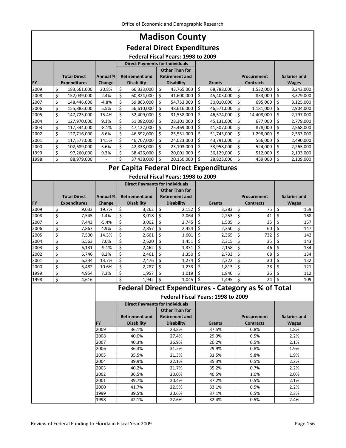|                      |                  |                     |          |    |                                        |                | <b>Madison County</b>                  |                |                      |    |                  |                |              |
|----------------------|------------------|---------------------|----------|----|----------------------------------------|----------------|----------------------------------------|----------------|----------------------|----|------------------|----------------|--------------|
|                      |                  |                     |          |    |                                        |                | <b>Federal Direct Expenditures</b>     |                |                      |    |                  |                |              |
|                      |                  |                     |          |    |                                        |                | Federal Fiscal Years: 1998 to 2009     |                |                      |    |                  |                |              |
|                      |                  |                     |          |    | <b>Direct Payments for Individuals</b> |                |                                        |                |                      |    |                  |                |              |
|                      |                  |                     |          |    |                                        |                | <b>Other Than for</b>                  |                |                      |    |                  |                |              |
|                      |                  | <b>Total Direct</b> | Annual % |    | <b>Retirement and</b>                  |                | <b>Retirement and</b>                  |                |                      |    | Procurement      |                | Salaries and |
| FY                   |                  | <b>Expenditures</b> | Change   |    | <b>Disability</b>                      |                | <b>Disability</b>                      |                | <b>Grants</b>        |    | <b>Contracts</b> |                | <b>Wages</b> |
| 2009                 | \$               | 183,661,000         | 20.8%    | \$ | 66,333,000                             | \$             | 43,765,000                             | \$             | 68,788,000           | \$ | 1,532,000        | \$             | 3,243,000    |
| 2008                 | \$               | 152,039,000         | 2.4%     | \$ | 60,824,000                             | \$             | 41,600,000                             | \$             | 45,403,000           | \$ | 833,000          | \$             | 3,379,000    |
| 2007                 | \$               | 148,446,000         | $-4.8%$  | \$ | 59,863,000                             | \$             | 54,753,000                             | \$             | 30,010,000           | \$ | 695,000          | \$             | 3,125,000    |
| 2006                 | \$               | 155,883,000         | 5.5%     | \$ | 56,610,000                             | \$             | 48,616,000                             | \$             | 46,571,000           | \$ | 1,181,000        | \$             | 2,904,000    |
| 2005                 | \$               | 147,725,000         | 15.4%    | \$ | 52,409,000                             | \$             | 31,538,000                             | \$             | 46,574,000           | \$ | 14,408,000       | \$             | 2,797,000    |
| 2004                 | \$               | 127,970,000         | 9.1%     | \$ | 51,082,000                             | \$             | 28,301,000                             | Ś              | 45,131,000           | Ś  | 677,000          | \$             | 2,779,000    |
| 2003                 | \$               | 117,344,000         | $-8.1%$  | \$ | 47,122,000                             | \$             | 25,469,000                             | \$             | 41,307,000           | \$ | 878,000          | \$             | 2,568,000    |
| 2002                 | \$               | 127,716,000         | 8.6%     | \$ | 46,592,000                             | \$             | 25,551,000                             | \$             | 51,743,000           | \$ | 1,296,000        | \$             | 2,533,000    |
| 2001                 | \$               | 117,577,000         | 14.5%    | \$ | 46,707,000                             | \$             | 24,023,000                             | \$             | 43,791,000           | \$ | 566,000          | \$             | 2,490,000    |
| 2000                 | \$               | 102,689,000         | 5.6%     | \$ | 42,838,000                             | \$             | 23,103,000                             | \$             | 33,958,000           | \$ | 524,000          | \$             | 2,265,000    |
| 1999                 | \$               | 97,260,000          | 9.3%     | \$ | 38,426,000                             | \$             | 20,001,000                             | Ś              | 36,129,000           | Ś  | 512,000          | \$             | 2,193,000    |
| 1998                 | $\overline{\xi}$ | 88,979,000          |          | \$ | 37,438,000                             | \$             | 20,150,000                             | \$             | 28,823,000           | Ś  | 459,000          | \$             | 2,109,000    |
|                      |                  |                     |          |    |                                        |                | Per Capita Federal Direct Expenditures |                |                      |    |                  |                |              |
|                      |                  |                     |          |    |                                        |                | Federal Fiscal Years: 1998 to 2009     |                |                      |    |                  |                |              |
|                      |                  |                     |          |    | <b>Direct Payments for Individuals</b> |                |                                        |                |                      |    |                  |                |              |
|                      |                  |                     |          |    |                                        |                | <b>Other Than for</b>                  |                |                      |    |                  |                |              |
|                      |                  | <b>Total Direct</b> | Annual % |    | <b>Retirement and</b>                  |                | <b>Retirement and</b>                  |                |                      |    | Procurement      |                | Salaries and |
| <b>FY</b>            |                  | <b>Expenditures</b> | Change   |    | <b>Disability</b>                      |                | <b>Disability</b>                      |                | <b>Grants</b>        |    | <b>Contracts</b> |                | <b>Wages</b> |
| 2009                 | \$               | 9,033               | 19.7%    | \$ | 3,262                                  | \$             | 2,152                                  | \$             | 3,383                | \$ | 75               | \$             | 159          |
| 2008                 | \$               | 7,545               | 1.4%     | \$ | 3,018                                  | \$             | 2,064                                  | \$             | 2,253                | \$ | 41               | \$             | 168          |
| 2007                 | \$               | 7,443               | $-5.4%$  | \$ | 3,002                                  | \$             | 2,745                                  | \$             | 1,505                | \$ | 35               | \$             | 157          |
| $\sim$ $\sim$ $\sim$ | $\overline{a}$   | $ -$                |          | A  | $\sim$ $\sim$ $\sim$                   | $\overline{a}$ | $\sim$ $\sim$ $\sim$                   | $\overline{a}$ | $\sim$ $\sim$ $\sim$ | Ă  | $\sim$           | $\overline{a}$ |              |

| 2007 | 443. / | -5.4%   | 3,002 | 2,745 | 1,505 | 35  | 157 |
|------|--------|---------|-------|-------|-------|-----|-----|
| 2006 | 7,867  | 4.9%    | 2,857 | 2,454 | 2,350 | 60  | 147 |
| 2005 | 7,500  | 14.3%   | 2,661 | 1,601 | 2,365 | 732 | 142 |
| 2004 | 6,563  | $.0\%$  | 2,620 | 1,451 | 2,315 | 35  | 143 |
| 2003 | 6,131  | $-9.1%$ | 2,462 | 1,331 | 2,158 | 46  | 134 |
| 2002 | 6,746  | 8.2%    | 2,461 | 1,350 | 2,733 | 68  | 134 |
| 2001 | 6,234  | 13.7%   | 2,476 | 1,274 | 2,322 | 30  | 132 |
| 2000 | 5,482  | 10.6%   | 2,287 | 1,233 | 1,813 | 28  | 121 |
| 1999 | 4,954  | '.3%    | 1,957 | 1,019 | 1,840 | 26  | 112 |
| 1998 | 4,616  |         | 1,942 | 1,045 | 1,495 | 24  | 109 |

|           |                       | <b>Direct Payments for Individuals</b> |               |                    |              |
|-----------|-----------------------|----------------------------------------|---------------|--------------------|--------------|
|           |                       | <b>Other Than for</b>                  |               |                    |              |
|           | <b>Retirement and</b> | <b>Retirement and</b>                  |               | <b>Procurement</b> | Salaries and |
| <b>FY</b> | <b>Disability</b>     | <b>Disability</b>                      | <b>Grants</b> | <b>Contracts</b>   | <b>Wages</b> |
| 2009      | 36.1%                 | 23.8%                                  | 37.5%         | 0.8%               | 1.8%         |
| 2008      | 40.0%                 | 27.4%                                  | 29.9%         | 0.5%               | 2.2%         |
| 2007      | 40.3%                 | 36.9%                                  | 20.2%         | 0.5%               | 2.1%         |
| 2006      | 36.3%                 | 31.2%                                  | 29.9%         | 0.8%               | 1.9%         |
| 2005      | 35.5%                 | 21.3%                                  | 31.5%         | 9.8%               | 1.9%         |
| 2004      | 39.9%                 | 22.1%                                  | 35.3%         | 0.5%               | 2.2%         |
| 2003      | 40.2%                 | 21.7%                                  | 35.2%         | 0.7%               | 2.2%         |
| 2002      | 36.5%                 | 20.0%                                  | 40.5%         | 1.0%               | 2.0%         |
| 2001      | 39.7%                 | 20.4%                                  | 37.2%         | 0.5%               | 2.1%         |
| 2000      | 41.7%                 | 22.5%                                  | 33.1%         | 0.5%               | 2.2%         |
| 1999      | 39.5%                 | 20.6%                                  | 37.1%         | 0.5%               | 2.3%         |
| 1998      | 42.1%                 | 22.6%                                  | 32.4%         | 0.5%               | 2.4%         |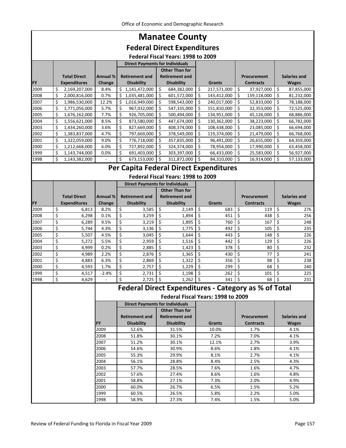|      |                                    |                     |                 |                                        |                                     | <b>Manatee County</b>              |    |               |                                                             |                         |  |  |  |  |
|------|------------------------------------|---------------------|-----------------|----------------------------------------|-------------------------------------|------------------------------------|----|---------------|-------------------------------------------------------------|-------------------------|--|--|--|--|
|      | <b>Federal Direct Expenditures</b> |                     |                 |                                        |                                     |                                    |    |               |                                                             |                         |  |  |  |  |
|      |                                    |                     |                 |                                        |                                     | Federal Fiscal Years: 1998 to 2009 |    |               |                                                             |                         |  |  |  |  |
|      |                                    |                     |                 | <b>Direct Payments for Individuals</b> |                                     |                                    |    |               |                                                             |                         |  |  |  |  |
|      |                                    |                     |                 |                                        |                                     | <b>Other Than for</b>              |    |               |                                                             |                         |  |  |  |  |
|      |                                    | <b>Total Direct</b> | Annual %        | <b>Retirement and</b>                  |                                     | <b>Retirement and</b>              |    |               | Procurement                                                 | <b>Salaries and</b>     |  |  |  |  |
| FY   |                                    | <b>Expenditures</b> | Change          | <b>Disability</b>                      |                                     | <b>Disability</b>                  |    | <b>Grants</b> | <b>Contracts</b>                                            | <b>Wages</b>            |  |  |  |  |
| 2009 | \$                                 | 2,169,207,000       | 8.4%            | \$<br>1,141,472,000                    | \$                                  | 684,382,000                        | \$ | 217,571,000   | \$<br>37,927,000                                            | \$<br>87,855,000        |  |  |  |  |
| 2008 | \$                                 | 2,000,816,000       | 0.7%            | \$<br>1,035,481,000                    | \$                                  | 601,572,000                        | \$ | 143,412,000   | \$<br>139,118,000                                           | \$<br>81,232,000        |  |  |  |  |
| 2007 | \$                                 | 1,986,530,000       | 12.2%           | \$<br>1,016,949,000                    | \$                                  | 598,543,000                        | \$ | 240,017,000   | \$<br>52,833,000                                            | \$<br>78,188,000        |  |  |  |  |
| 2006 | \$                                 | 1,771,056,000       | 5.7%            | \$<br>967,032,000                      | \$                                  | 547,335,000                        | \$ | 151,810,000   | \$<br>32,353,000                                            | \$<br>72,525,000        |  |  |  |  |
| 2005 | \$                                 | 1,676,162,000       | 7.7%            | \$<br>926,705,000                      | \$                                  | 500,494,000                        | \$ | 134,951,000   | \$<br>45,126,000                                            | \$<br>68,886,000        |  |  |  |  |
| 2004 | \$                                 | 1,556,621,000       | 8.5%            | \$<br>873,580,000                      | \$                                  | 447,674,000                        | \$ | 130,362,000   | \$<br>38,223,000                                            | \$<br>66,782,000        |  |  |  |  |
| 2003 | \$                                 | 1,434,260,000       | 3.6%            | \$<br>827,669,000                      | \$                                  | 408,374,000                        | \$ | 108,438,000   | \$<br>23,085,000                                            | \$<br>66,694,000        |  |  |  |  |
| 2002 | \$                                 | 1,383,837,000       | 4.7%            | \$<br>797,669,000                      | \$                                  | 378,549,000                        | \$ | 119,374,000   | \$<br>21,479,000                                            | \$<br>66,768,000        |  |  |  |  |
| 2001 | \$                                 | 1,322,059,000       | 9.0%            | \$<br>776,718,000                      | \$                                  | 357,835,000                        | \$ | 96,491,000    | \$<br>26,655,000                                            | \$<br>64,359,000        |  |  |  |  |
| 2000 | \$                                 | 1,212,668,000       | 6.0%            | \$<br>727,892,000                      | \$                                  | 324,374,000                        | \$ | 78,954,000    | \$<br>17,990,000                                            | \$<br>63,458,000        |  |  |  |  |
| 1999 | \$                                 | 1,143,744,000       | 0.0%            | \$<br>691,403,000                      | \$                                  | 303,397,000                        | \$ | 66,433,000    | \$<br>25,583,000                                            | \$<br>56,927,000        |  |  |  |  |
| 1998 | \$                                 | 1,143,382,000       |                 | \$<br>673,153,000                      | \$                                  | 311,872,000                        | \$ | 84,310,000    | Ś<br>16,914,000                                             | \$<br>57,133,000        |  |  |  |  |
|      |                                    |                     |                 | Per Capita Federal Direct Expenditures |                                     |                                    |    |               |                                                             |                         |  |  |  |  |
|      |                                    |                     |                 |                                        |                                     | Federal Fiscal Years: 1998 to 2009 |    |               |                                                             |                         |  |  |  |  |
|      |                                    |                     |                 | <b>Direct Payments for Individuals</b> |                                     |                                    |    |               |                                                             |                         |  |  |  |  |
|      |                                    |                     |                 |                                        |                                     | <b>Other Than for</b>              |    |               |                                                             |                         |  |  |  |  |
|      |                                    | <b>Total Direct</b> | <b>Annual %</b> | <b>Retirement and</b>                  |                                     | <b>Retirement and</b>              |    |               | Procurement                                                 | <b>Salaries and</b>     |  |  |  |  |
| FY   |                                    | <b>Expenditures</b> | Change          | <b>Disability</b>                      |                                     | <b>Disability</b>                  |    | <b>Grants</b> | <b>Contracts</b>                                            | <b>Wages</b>            |  |  |  |  |
| 2009 | \$                                 | 6,813               | 8.2%            | \$<br>3,585                            | \$                                  | 2,149                              | \$ | 683           | $\zeta$<br>119                                              | \$<br>276               |  |  |  |  |
| 2008 | \$                                 | 6,298               | 0.1%            | \$<br>3,259                            | \$                                  | 1,894                              | \$ | 451           | \$<br>438                                                   | \$<br>256               |  |  |  |  |
| 2007 | \$                                 | 6,289               | 9.5%            | \$<br>3,219                            | \$                                  | 1,895                              | \$ | 760           | \$<br>167                                                   | \$<br>248               |  |  |  |  |
| 2006 | \$                                 | 5,744               | 4.3%            | \$<br>3,136                            | \$                                  | 1,775                              | \$ | 492           | \$<br>105                                                   | \$<br>235               |  |  |  |  |
| 2005 | \$                                 | 5,507               | 4.5%            | \$<br>3,045                            | \$                                  | 1,644                              | \$ | 443           | \$<br>148                                                   | \$<br>226               |  |  |  |  |
| 2004 | \$                                 | 5,272               | 5.5%            | \$<br>2,959                            | \$                                  | 1,516                              | \$ | 442           | \$<br>129                                                   | $\overline{\xi}$<br>226 |  |  |  |  |
| 2003 | \$                                 | 4,999               | 0.2%            | \$<br>2,885                            | \$                                  | 1,423                              | \$ | 378           | \$<br>80                                                    | $\overline{\xi}$<br>232 |  |  |  |  |
| 2002 | \$                                 | 4,989               | 2.2%            | \$<br>2,876                            | $\overline{\boldsymbol{\varsigma}}$ | 1,365                              | \$ | 430           | \$<br>77                                                    | $\overline{\xi}$<br>241 |  |  |  |  |
| 2001 | \$                                 | 4,883               | 6.3%            | \$<br>2,869                            | \$                                  | 1,322                              | \$ | 356           | \$<br>98                                                    | \$<br>238               |  |  |  |  |
| 2000 | \$                                 | 4,593               | 1.7%            | \$<br>2,757                            | \$                                  | 1,229                              | \$ | 299           | \$<br>68                                                    | \$<br>240               |  |  |  |  |
| 1999 | \$                                 | 4,517               | $-2.4%$         | \$<br>2,731                            | \$                                  | 1,198                              | \$ | 262           | \$<br>101                                                   | \$<br>225               |  |  |  |  |
| 1998 | Ś                                  | 4,629               |                 | Ś<br>2,725                             | \$                                  | 1,262                              | Ś  | 341           | \$<br>68                                                    | \$<br>231               |  |  |  |  |
|      |                                    |                     |                 |                                        |                                     |                                    |    |               | <b>Federal Direct Expenditures - Category as % of Total</b> |                         |  |  |  |  |
|      |                                    |                     |                 |                                        |                                     | Federal Fiscal Years: 1998 to 2009 |    |               |                                                             |                         |  |  |  |  |
|      |                                    |                     |                 | <b>Direct Payments for Individuals</b> |                                     |                                    |    |               |                                                             |                         |  |  |  |  |
|      |                                    |                     |                 |                                        |                                     | <b>Other Than for</b>              |    |               |                                                             |                         |  |  |  |  |
|      |                                    |                     |                 | <b>Retirement and</b>                  |                                     | <b>Retirement and</b>              |    |               | Procurement                                                 | <b>Salaries and</b>     |  |  |  |  |
|      |                                    |                     | FY              | <b>Disability</b>                      |                                     | <b>Disability</b>                  |    | Grants        | <b>Contracts</b>                                            | Wages                   |  |  |  |  |
|      |                                    |                     | 2009            | 52.6%                                  |                                     | 31.5%                              |    | 10.0%         | 1.7%                                                        | 4.1%                    |  |  |  |  |
|      |                                    |                     | 2008            | 51.8%                                  |                                     | 30.1%                              |    | 7.2%          | 7.0%                                                        | 4.1%                    |  |  |  |  |
|      |                                    |                     | 2007            | 51.2%                                  |                                     | 30.1%                              |    | 12.1%         | 2.7%                                                        | 3.9%                    |  |  |  |  |
|      |                                    |                     | 2006            | 54.6%                                  |                                     | 30.9%                              |    | 8.6%          | 1.8%                                                        | 4.1%                    |  |  |  |  |
|      |                                    |                     | 2005            | 55.3%                                  |                                     | 29.9%                              |    | 8.1%          | 2.7%                                                        | 4.1%                    |  |  |  |  |
|      |                                    |                     | 2004            | 56.1%                                  |                                     | 28.8%                              |    | 8.4%          | 2.5%                                                        | 4.3%                    |  |  |  |  |
|      |                                    |                     | 2003            | 57.7%                                  |                                     | 28.5%                              |    | 7.6%          | 1.6%                                                        | 4.7%                    |  |  |  |  |
|      |                                    |                     | 2002            | 57.6%                                  |                                     | 27.4%                              |    | 8.6%          | 1.6%                                                        | 4.8%                    |  |  |  |  |
|      |                                    |                     | 2001            | 58.8%                                  |                                     | 27.1%                              |    | 7.3%          | 2.0%                                                        | 4.9%                    |  |  |  |  |
|      |                                    |                     | 2000            | 60.0%                                  |                                     | 26.7%                              |    | 6.5%          | 1.5%                                                        | 5.2%                    |  |  |  |  |
|      |                                    |                     | 1999            | 60.5%                                  |                                     | 26.5%                              |    | 5.8%          | 2.2%                                                        | 5.0%                    |  |  |  |  |
|      |                                    |                     | 1998            | 58.9%                                  |                                     | 27.3%                              |    | 7.4%          | 1.5%                                                        | 5.0%                    |  |  |  |  |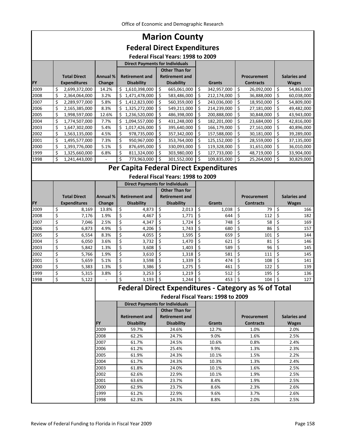|           | <b>Marion County</b> |                 |                                        |                                                      |    |               |                     |                                |  |  |  |  |  |
|-----------|----------------------|-----------------|----------------------------------------|------------------------------------------------------|----|---------------|---------------------|--------------------------------|--|--|--|--|--|
|           |                      |                 |                                        |                                                      |    |               |                     |                                |  |  |  |  |  |
|           |                      |                 |                                        | <b>Federal Direct Expenditures</b>                   |    |               |                     |                                |  |  |  |  |  |
|           |                      |                 |                                        | Federal Fiscal Years: 1998 to 2009                   |    |               |                     |                                |  |  |  |  |  |
|           |                      |                 | <b>Direct Payments for Individuals</b> |                                                      |    |               |                     |                                |  |  |  |  |  |
|           |                      |                 |                                        | <b>Other Than for</b>                                |    |               |                     |                                |  |  |  |  |  |
|           | <b>Total Direct</b>  | <b>Annual %</b> | <b>Retirement and</b>                  | <b>Retirement and</b>                                |    |               | Procurement         | <b>Salaries and</b>            |  |  |  |  |  |
| <b>FY</b> | <b>Expenditures</b>  | Change          | <b>Disability</b>                      | <b>Disability</b>                                    |    | <b>Grants</b> | <b>Contracts</b>    | Wages                          |  |  |  |  |  |
| 2009      | \$<br>2,699,372,000  | 14.2%           | \$.<br>1,610,398,000                   | \$<br>665,061,000                                    | \$ | 342,957,000   | \$<br>26,092,000    | \$<br>54,863,000               |  |  |  |  |  |
| 2008      | \$<br>2,364,064,000  | 3.2%            | \$<br>1,471,478,000                    | \$<br>583,486,000                                    | \$ | 212,174,000   | \$<br>36,888,000    | \$<br>60,038,000               |  |  |  |  |  |
| 2007      | \$<br>2,289,977,000  | 5.8%            | \$<br>1,412,823,000                    | \$<br>560,359,000                                    | \$ | 243,036,000   | \$<br>18,950,000    | \$<br>54,809,000               |  |  |  |  |  |
| 2006      | \$<br>2,165,385,000  | 8.3%            | \$<br>1,325,272,000                    | \$<br>549,211,000                                    | \$ | 214,239,000   | \$<br>27,181,000    | \$<br>49,482,000               |  |  |  |  |  |
| 2005      | \$<br>1,998,597,000  | 12.6%           | \$<br>1,236,520,000                    | \$<br>486,398,000                                    | \$ | 200,888,000   | \$<br>30,848,000    | \$<br>43,943,000               |  |  |  |  |  |
| 2004      | \$<br>1,774,507,000  | 7.7%            | \$<br>1,094,557,000                    | \$<br>431,248,000                                    | \$ | 182,201,000   | \$<br>23,684,000    | \$<br>42,816,000               |  |  |  |  |  |
| 2003      | \$<br>1,647,302,000  | 5.4%            | \$<br>1,017,426,000                    | \$<br>395,640,000                                    | \$ | 166,179,000   | \$<br>27,161,000    | \$<br>40,896,000               |  |  |  |  |  |
| 2002      | \$<br>1,563,135,000  | 4.5%            | \$<br>978,735,000                      | \$<br>357,342,000                                    | \$ | 157,588,000   | \$<br>30,181,000    | \$<br>39,289,000               |  |  |  |  |  |
| 2001      | \$<br>1,495,577,000  | 7.3%            | \$<br>950,967,000                      | \$<br>353,764,000                                    | \$ | 125,152,000   | \$<br>28,559,000    | \$<br>37,135,000               |  |  |  |  |  |
| 2000      | \$<br>1,393,776,000  | 5.1%            | \$<br>876,695,000                      | \$<br>330,093,000                                    | \$ | 119,328,000   | \$<br>31,651,000    | \$<br>36,010,000               |  |  |  |  |  |
| 1999      | \$<br>1,325,660,000  | 6.8%            | \$<br>811,324,000                      | \$<br>303,980,000                                    | \$ | 127,733,000   | \$<br>48,719,000    | \$<br>33,904,000               |  |  |  |  |  |
| 1998      | \$<br>1,241,443,000  |                 | \$<br>773,963,000                      | \$<br>301,552,000                                    | \$ | 109,835,000   | \$<br>25,264,000    | \$<br>30,829,000               |  |  |  |  |  |
|           |                      |                 |                                        | Per Capita Federal Direct Expenditures               |    |               |                     |                                |  |  |  |  |  |
|           |                      |                 |                                        | Federal Fiscal Years: 1998 to 2009                   |    |               |                     |                                |  |  |  |  |  |
|           |                      |                 | <b>Direct Payments for Individuals</b> |                                                      |    |               |                     |                                |  |  |  |  |  |
|           |                      |                 |                                        | <b>Other Than for</b>                                |    |               |                     |                                |  |  |  |  |  |
|           | <b>Total Direct</b>  | Annual %        | <b>Retirement and</b>                  | <b>Retirement and</b>                                |    |               | Procurement         | <b>Salaries and</b>            |  |  |  |  |  |
| <b>FY</b> | <b>Expenditures</b>  | Change          | <b>Disability</b>                      | <b>Disability</b>                                    |    | <b>Grants</b> | <b>Contracts</b>    | <b>Wages</b>                   |  |  |  |  |  |
| 2009      | \$<br>8,169          | 13.8%           | \$<br>4,873                            | \$<br>2,013                                          | \$ | 1,038         | \$<br>79            | \$<br>166                      |  |  |  |  |  |
| 2008      | \$<br>7,176          | 1.9%            | \$<br>4,467                            | \$<br>1,771                                          | \$ | 644           | \$<br>112           | \$<br>182                      |  |  |  |  |  |
| 2007      | \$<br>7,046          | 2.5%            | \$<br>4,347                            | \$<br>1,724                                          | \$ | 748           | \$<br>58            | \$<br>169                      |  |  |  |  |  |
| 2006      | \$<br>6,873          | 4.9%            | \$<br>4,206                            | \$<br>1,743                                          | \$ | 680           | \$<br>86            | \$<br>157                      |  |  |  |  |  |
| 2005      | \$<br>6,554          | 8.3%            | \$<br>4,055                            | \$<br>1,595                                          | \$ | 659           | \$<br>101           | \$<br>144                      |  |  |  |  |  |
| 2004      | \$<br>6,050          | 3.6%            | \$<br>3,732                            | \$<br>1,470                                          | \$ | 621           | \$<br>81            | $\overline{\mathsf{S}}$<br>146 |  |  |  |  |  |
| 2003      | \$<br>5,842          | 1.3%            | \$<br>3,608                            | \$<br>1,403                                          | \$ | 589           | \$<br>96            | $\overline{\xi}$<br>145        |  |  |  |  |  |
| 2002      | \$<br>5,766          | 1.9%            | \$<br>3,610                            | \$<br>1,318                                          | \$ | 581           | \$<br>111           | $\overline{\mathsf{S}}$<br>145 |  |  |  |  |  |
| 2001      | \$<br>5,659          | 5.1%            | \$<br>3,598                            | \$<br>1,339                                          | \$ | 474           | \$<br>108           | \$<br>141                      |  |  |  |  |  |
| 2000      | \$<br>5,383          | 1.3%            | \$<br>3,386                            | \$<br>1,275                                          | \$ | 461           | \$<br>122           | \$<br>139                      |  |  |  |  |  |
| 1999      | \$<br>5,315          | 3.8%            | \$<br>3,253                            | \$<br>1,219                                          | \$ | 512           | \$<br>195           | \$<br>136                      |  |  |  |  |  |
| 1998      | Ś<br>5,122           |                 | Ś.<br>3,193                            | \$<br>1,244                                          | Ś. | 453           | $\mathsf{S}$<br>104 | Ś.<br>127                      |  |  |  |  |  |
|           |                      |                 |                                        | Federal Direct Expenditures - Category as % of Total |    |               |                     |                                |  |  |  |  |  |
|           |                      |                 |                                        | Federal Fiscal Years: 1998 to 2009                   |    |               |                     |                                |  |  |  |  |  |
|           |                      |                 |                                        |                                                      |    |               |                     |                                |  |  |  |  |  |
|           |                      |                 |                                        | <b>Direct Payments for Individuals</b>               |    |               |                     |                                |  |  |  |  |  |
|           |                      |                 |                                        | <b>Other Than for</b>                                |    |               |                     |                                |  |  |  |  |  |
|           |                      |                 | <b>Retirement and</b>                  | <b>Retirement and</b>                                |    |               | Procurement         | <b>Salaries and</b>            |  |  |  |  |  |
|           |                      | <b>FY</b>       | <b>Disability</b>                      | <b>Disability</b>                                    |    | Grants        | <b>Contracts</b>    | Wages                          |  |  |  |  |  |
|           |                      | 2009            | 59.7%                                  | 24.6%                                                |    | 12.7%         | 1.0%                | 2.0%                           |  |  |  |  |  |
|           |                      | 2008            | 62.2%                                  | 24.7%                                                |    | 9.0%          | 1.6%                | 2.5%                           |  |  |  |  |  |
|           |                      | 2007            | 61.7%                                  | 24.5%                                                |    | 10.6%         | 0.8%                | 2.4%                           |  |  |  |  |  |
|           |                      | 2006            | 61.2%                                  | 25.4%                                                |    | 9.9%          | 1.3%                | 2.3%                           |  |  |  |  |  |
|           |                      | 2005            | 61.9%                                  | 24.3%                                                |    | 10.1%         | 1.5%                | 2.2%                           |  |  |  |  |  |
|           |                      | 2004            | 61.7%                                  | 24.3%                                                |    | 10.3%         | 1.3%                | 2.4%                           |  |  |  |  |  |
|           |                      | 2003            | 61.8%                                  | 24.0%                                                |    | 10.1%         | 1.6%                | 2.5%                           |  |  |  |  |  |
|           |                      | 2002            | 62.6%                                  | 22.9%                                                |    | 10.1%         | 1.9%                | 2.5%                           |  |  |  |  |  |
|           |                      | 2001            | 63.6%                                  | 23.7%                                                |    | 8.4%          | 1.9%                | 2.5%                           |  |  |  |  |  |
|           |                      | 2000            | 62.9%                                  | 23.7%                                                |    | 8.6%          | 2.3%                | 2.6%                           |  |  |  |  |  |
|           |                      | 1999            | 61.2%                                  | 22.9%                                                |    | 9.6%          | 3.7%                | 2.6%                           |  |  |  |  |  |
|           |                      | 1998            | 62.3%                                  | 24.3%                                                |    | 8.8%          | 2.0%                | 2.5%                           |  |  |  |  |  |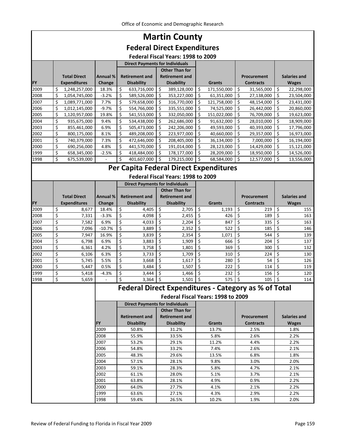|              |          |                     |                 |                                                             |          | <b>Martin County</b>               |          |               |          |                                 |                  |                     |
|--------------|----------|---------------------|-----------------|-------------------------------------------------------------|----------|------------------------------------|----------|---------------|----------|---------------------------------|------------------|---------------------|
|              |          |                     |                 |                                                             |          | <b>Federal Direct Expenditures</b> |          |               |          |                                 |                  |                     |
|              |          |                     |                 |                                                             |          | Federal Fiscal Years: 1998 to 2009 |          |               |          |                                 |                  |                     |
|              |          |                     |                 | <b>Direct Payments for Individuals</b>                      |          |                                    |          |               |          |                                 |                  |                     |
|              |          |                     |                 |                                                             |          | <b>Other Than for</b>              |          |               |          |                                 |                  |                     |
|              |          | <b>Total Direct</b> | <b>Annual %</b> | <b>Retirement and</b>                                       |          | <b>Retirement and</b>              |          |               |          | Procurement                     |                  | <b>Salaries and</b> |
| FY           |          | <b>Expenditures</b> | Change          | <b>Disability</b>                                           |          | <b>Disability</b>                  |          | <b>Grants</b> |          | <b>Contracts</b>                |                  | <b>Wages</b>        |
| 2009         | \$       | 1,248,257,000       | 18.3%           | \$<br>633,716,000                                           | \$       | 389,128,000                        | \$       | 171,550,000   | \$       | 31,565,000                      | \$               | 22,298,000          |
| 2008         | \$       | 1,054,745,000       | $-3.2%$         | \$<br>589,526,000                                           | \$       | 353,227,000                        | \$       | 61,351,000    | \$       | 27,138,000                      | \$               | 23,504,000          |
| 2007         | \$       | 1,089,771,000       | 7.7%            | \$<br>579,658,000                                           | \$       | 316,770,000                        | \$       | 121,758,000   | \$       | 48,154,000                      | \$               | 23,431,000          |
| 2006         | \$       | 1,012,145,000       | $-9.7%$         | \$<br>554,766,000                                           | \$       | 335,551,000                        | \$       | 74,525,000    | \$       | 26,442,000                      | \$               | 20,860,000          |
| 2005         | \$       | 1,120,957,000       | 19.8%           | \$<br>541,553,000                                           | \$       | 332,050,000                        | \$       | 151,022,000   | \$       | 76,709,000                      | \$               | 19,623,000          |
| 2004         | \$       | 935,675,000         | 9.4%            | \$<br>534,438,000                                           | \$       | 262,686,000                        | \$       | 91,632,000    | \$       | 28,010,000                      | \$               | 18,909,000          |
| 2003         | \$       | 855,461,000         | 6.9%            | \$<br>505,473,000                                           | \$       | 242,206,000                        | \$       | 49,593,000    | \$       | 40,393,000                      | \$               | 17,796,000          |
| 2002         | \$       | 800,175,000         | 8.1%            | \$<br>489,208,000                                           | \$       | 223,977,000                        | \$       | 40,660,000    | \$       | 29,357,000                      | \$               | 16,973,000          |
| 2001         | \$       | 740,379,000         | 7.3%            | \$<br>472,646,000                                           | \$       | 208,405,000                        | \$       | 36,134,000    | \$       | 7,000,000                       | \$               | 16,194,000          |
| 2000         | \$       | 690,256,000         | 4.8%            | \$<br>441,570,000                                           | \$       | 191,014,000                        | \$       | 28,123,000    | \$       | 14,429,000                      | \$               | 15,121,000          |
| 1999         | \$       | 658,345,000         | $-2.5%$         | \$<br>418,484,000                                           | \$       | 178,177,000                        | \$       | 28,209,000    | \$       | 18,950,000                      | \$               | 14,526,000          |
| 1998         | Ś        | 675,539,000         |                 | Ś<br>401,607,000                                            | \$       | 179,215,000                        | \$       | 68,584,000    | Ś        | 12,577,000                      | Ś                | 13,556,000          |
|              |          |                     |                 | Per Capita Federal Direct Expenditures                      |          |                                    |          |               |          |                                 |                  |                     |
|              |          |                     |                 |                                                             |          | Federal Fiscal Years: 1998 to 2009 |          |               |          |                                 |                  |                     |
|              |          |                     |                 | <b>Direct Payments for Individuals</b>                      |          |                                    |          |               |          |                                 |                  |                     |
|              |          |                     |                 |                                                             |          | <b>Other Than for</b>              |          |               |          |                                 |                  |                     |
|              |          | <b>Total Direct</b> | Annual %        | <b>Retirement and</b>                                       |          | <b>Retirement and</b>              |          |               |          | Procurement                     |                  | <b>Salaries and</b> |
| FY           |          | <b>Expenditures</b> | Change          | <b>Disability</b>                                           |          | <b>Disability</b>                  |          | Grants        |          | <b>Contracts</b>                |                  | <b>Wages</b>        |
| 2009         | \$       | 8,677               | 18.4%           | \$<br>4,405                                                 | \$       | 2,705                              | \$       | 1,193         | $\zeta$  | 219                             | \$               | 155                 |
| 2008         | \$       | 7,331               | $-3.3%$         | \$<br>4,098                                                 | \$       | 2,455                              | \$       | 426           | $\zeta$  | 189                             | \$               | 163                 |
| 2007         | \$<br>\$ | 7,582               | 6.9%            | \$<br>4,033                                                 | \$       | 2,204                              | \$       | 847           | \$       | 335                             | \$               | 163                 |
| 2006         | \$       | 7,096               | $-10.7%$        | \$<br>3,889                                                 | \$<br>\$ | 2,352                              | \$<br>\$ | 522           | \$<br>\$ | 185                             | \$<br>\$         | 146                 |
| 2005<br>2004 | \$       | 7,947<br>6,798      | 16.9%<br>6.9%   | \$<br>3,839<br>\$<br>3,883                                  | \$       | 2,354                              | \$       | 1,071<br>666  | \$       | 544<br>204                      | $\overline{\xi}$ | 139<br>137          |
| 2003         | \$       | 6,361               | 4.2%            | \$<br>3,758                                                 | \$       | 1,909<br>1,801                     | \$       | 369           | \$       | 300                             | $\overline{\xi}$ | 132                 |
| 2002         | \$       | 6,106               | 6.3%            | \$<br>3,733                                                 | \$       | 1,709                              | \$       | 310           | \$       | 224                             | $\overline{\xi}$ | 130                 |
| 2001         | \$       | 5,745               | 5.5%            | \$<br>3,668                                                 | \$       | 1,617                              | \$       | 280           | \$       | 54                              | \$               | 126                 |
| 2000         | \$       | 5,447               | 0.5%            | \$<br>3,484                                                 | \$       | 1,507                              | \$       | 222           | \$       | 114                             | $\zeta$          | 119                 |
| 1999         | \$       | 5,418               | $-4.3%$         | \$<br>3,444                                                 | \$       | 1,466                              | \$       | 232           | \$       | 156                             | \$               | 120                 |
| 1998         | Ś        | 5,659               |                 | Ś<br>3,364                                                  | \$       | 1,501                              | Ś.       | 575           | \$       | 105                             | \$               | 114                 |
|              |          |                     |                 | <b>Federal Direct Expenditures - Category as % of Total</b> |          |                                    |          |               |          |                                 |                  |                     |
|              |          |                     |                 |                                                             |          | Federal Fiscal Years: 1998 to 2009 |          |               |          |                                 |                  |                     |
|              |          |                     |                 |                                                             |          |                                    |          |               |          |                                 |                  |                     |
|              |          |                     |                 | <b>Direct Payments for Individuals</b>                      |          | <b>Other Than for</b>              |          |               |          |                                 |                  |                     |
|              |          |                     |                 | <b>Retirement and</b>                                       |          | <b>Retirement and</b>              |          |               |          |                                 |                  | Salaries and        |
|              |          |                     | FY              | <b>Disability</b>                                           |          | <b>Disability</b>                  |          | Grants        |          | Procurement<br><b>Contracts</b> |                  | <b>Wages</b>        |
|              |          |                     | 2009            | 50.8%                                                       |          | 31.2%                              |          | 13.7%         |          | 2.5%                            |                  | 1.8%                |
|              |          |                     | 2008            | 55.9%                                                       |          | 33.5%                              |          | 5.8%          |          | 2.6%                            |                  | 2.2%                |
|              |          |                     | 2007            | 53.2%                                                       |          | 29.1%                              |          | 11.2%         |          | 4.4%                            |                  | 2.2%                |
|              |          |                     | 2006            | 54.8%                                                       |          | 33.2%                              |          | 7.4%          |          | 2.6%                            |                  | 2.1%                |
|              |          |                     | 2005            | 48.3%                                                       |          | 29.6%                              |          | 13.5%         |          | 6.8%                            |                  | 1.8%                |
|              |          |                     | 2004            | 57.1%                                                       |          | 28.1%                              |          | 9.8%          |          | 3.0%                            |                  | 2.0%                |
|              |          |                     | 2003            | 59.1%                                                       |          | 28.3%                              |          | 5.8%          |          | 4.7%                            |                  | 2.1%                |
|              |          |                     | 2002            | 61.1%                                                       |          | 28.0%                              |          | 5.1%          |          | 3.7%                            |                  | 2.1%                |
|              |          |                     | 2001            | 63.8%                                                       |          | 28.1%                              |          | 4.9%          |          | 0.9%                            |                  | 2.2%                |
|              |          |                     | 2000            | 64.0%                                                       |          | 27.7%                              |          | 4.1%          |          | 2.1%                            |                  | 2.2%                |
|              |          |                     | 1999            | 63.6%                                                       |          | 27.1%                              |          | 4.3%          |          | 2.9%                            |                  | 2.2%                |
|              |          |                     | 1998            | 59.4%                                                       |          | 26.5%                              |          | 10.2%         |          | 1.9%                            |                  | 2.0%                |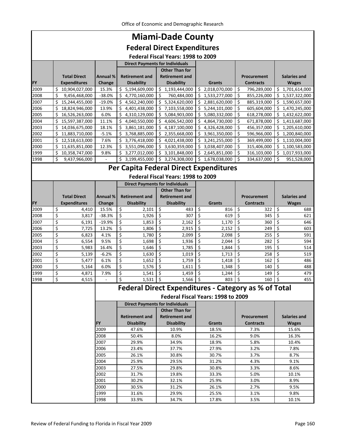|      |                                        |          |                                        | <b>Miami-Dade County</b>               |                                                      |                   |                     |  |  |  |  |  |  |  |
|------|----------------------------------------|----------|----------------------------------------|----------------------------------------|------------------------------------------------------|-------------------|---------------------|--|--|--|--|--|--|--|
|      |                                        |          |                                        | <b>Federal Direct Expenditures</b>     |                                                      |                   |                     |  |  |  |  |  |  |  |
|      |                                        |          |                                        | Federal Fiscal Years: 1998 to 2009     |                                                      |                   |                     |  |  |  |  |  |  |  |
|      |                                        |          | <b>Direct Payments for Individuals</b> |                                        |                                                      |                   |                     |  |  |  |  |  |  |  |
|      |                                        |          |                                        | <b>Other Than for</b>                  |                                                      |                   |                     |  |  |  |  |  |  |  |
|      | <b>Total Direct</b>                    | Annual % | <b>Retirement and</b>                  | <b>Retirement and</b>                  |                                                      | Procurement       | <b>Salaries and</b> |  |  |  |  |  |  |  |
| FY   | <b>Expenditures</b>                    | Change   | <b>Disability</b>                      | <b>Disability</b>                      | Grants                                               | <b>Contracts</b>  | <b>Wages</b>        |  |  |  |  |  |  |  |
| 2009 | \$<br>10,904,027,000                   | 15.3%    | \$<br>5,194,609,000                    | \$<br>1,193,444,000                    | \$2,018,070,000                                      | \$<br>796,289,000 | 1,701,614,000<br>\$ |  |  |  |  |  |  |  |
| 2008 | \$<br>9,456,468,000                    | $-38.0%$ | \$<br>4,770,160,000                    | \$<br>760,484,000                      | \$1,533,277,000                                      | \$<br>855,226,000 | \$1,537,322,000     |  |  |  |  |  |  |  |
| 2007 | \$<br>15,244,455,000                   | $-19.0%$ | \$<br>4,562,240,000                    | \$<br>5,324,620,000                    | \$<br>2,881,620,000                                  | \$<br>885,319,000 | \$<br>1,590,657,000 |  |  |  |  |  |  |  |
| 2006 | \$<br>18,824,946,000                   | 13.9%    | \$<br>4,401,438,000                    | \$<br>7,103,558,000                    | \$<br>5,244,101,000                                  | \$<br>605,604,000 | \$<br>1,470,245,000 |  |  |  |  |  |  |  |
| 2005 | \$<br>16,526,263,000                   | 6.0%     | \$<br>4,310,129,000                    | \$<br>5,084,903,000                    | \$<br>5,080,332,000                                  | \$<br>618,278,000 | \$<br>1,432,622,000 |  |  |  |  |  |  |  |
| 2004 | \$<br>15,597,387,000                   | 11.1%    | \$<br>4,040,550,000                    | \$<br>4,606,542,000                    | \$<br>4,864,730,000                                  | \$<br>671,878,000 | \$<br>1,413,687,000 |  |  |  |  |  |  |  |
| 2003 | \$<br>14,036,675,000                   | 18.1%    | \$<br>3,861,181,000                    | \$<br>4,187,100,000                    | \$<br>4,326,428,000                                  | \$<br>456,357,000 | \$<br>1,205,610,000 |  |  |  |  |  |  |  |
| 2002 | \$<br>11,883,710,000                   | $-5.1%$  | \$<br>3,768,885,000                    | \$<br>2,355,668,000                    | \$<br>3,961,350,000                                  | \$<br>596,966,000 | \$<br>1,200,840,000 |  |  |  |  |  |  |  |
| 2001 | \$<br>12,518,613,000                   | 7.6%     | \$<br>3,776,418,000                    | \$<br>4,021,438,000                    | \$<br>3,241,255,000                                  | \$<br>369,499,000 | \$<br>1,110,004,000 |  |  |  |  |  |  |  |
| 2000 | Ś<br>11,635,851,000                    | 12.3%    | \$<br>3,551,096,000                    | \$<br>3,630,359,000                    | \$3,038,407,000                                      | \$<br>315,406,000 | Ś<br>1,100,583,000  |  |  |  |  |  |  |  |
| 1999 | \$<br>10,358,747,000                   | 9.8%     | \$<br>3,277,012,000                    | \$<br>3,101,848,000                    | \$<br>2,645,851,000                                  | \$<br>316,103,000 | \$<br>1,017,933,000 |  |  |  |  |  |  |  |
| 1998 | \$<br>9,437,966,000                    |          | \$<br>3,199,455,000                    | \$<br>3,274,308,000                    | \$1,678,038,000                                      | Ś<br>334,637,000  | \$<br>951,528,000   |  |  |  |  |  |  |  |
|      |                                        |          |                                        |                                        | Per Capita Federal Direct Expenditures               |                   |                     |  |  |  |  |  |  |  |
|      | Federal Fiscal Years: 1998 to 2009     |          |                                        |                                        |                                                      |                   |                     |  |  |  |  |  |  |  |
|      | <b>Direct Payments for Individuals</b> |          |                                        |                                        |                                                      |                   |                     |  |  |  |  |  |  |  |
|      |                                        |          |                                        | <b>Other Than for</b>                  |                                                      |                   |                     |  |  |  |  |  |  |  |
|      | <b>Total Direct</b>                    | Annual % | <b>Retirement and</b>                  | <b>Retirement and</b>                  |                                                      | Procurement       | <b>Salaries and</b> |  |  |  |  |  |  |  |
| FY   | <b>Expenditures</b>                    | Change   | <b>Disability</b>                      | <b>Disability</b>                      | <b>Grants</b>                                        | <b>Contracts</b>  | <b>Wages</b>        |  |  |  |  |  |  |  |
| 2009 | \$<br>4,410                            | 15.5%    | \$<br>2,101                            | \$<br>483                              | \$<br>816                                            | \$<br>322         | \$<br>688           |  |  |  |  |  |  |  |
| 2008 | \$<br>3,817                            | $-38.3%$ | \$<br>1,926                            | \$<br>307                              | \$<br>619                                            | \$<br>345         | \$<br>621           |  |  |  |  |  |  |  |
| 2007 | \$<br>6,191                            | $-19.9%$ | \$<br>1,853                            | \$<br>2,162                            | \$<br>1,170                                          | \$<br>360         | \$<br>646           |  |  |  |  |  |  |  |
| 2006 | \$<br>7,725                            | 13.2%    | \$<br>1,806                            | \$<br>2,915                            | \$<br>2,152                                          | \$<br>249         | \$<br>603           |  |  |  |  |  |  |  |
| 2005 | \$<br>6,823                            | 4.1%     | \$<br>1,780                            | \$<br>2,099                            | \$<br>2,098                                          | \$<br>255         | \$<br>591           |  |  |  |  |  |  |  |
| 2004 | \$<br>6,554                            | 9.5%     | \$<br>1,698                            | \$<br>1,936                            | \$<br>2,044                                          | \$<br>282         | \$<br>594           |  |  |  |  |  |  |  |
| 2003 | \$<br>5,983                            | 16.4%    | \$<br>1,646                            | \$<br>1,785                            | \$<br>1,844                                          | \$<br>195         | \$<br>514           |  |  |  |  |  |  |  |
| 2002 | \$<br>5,139                            | $-6.2%$  | \$<br>1,630                            | \$<br>1,019                            | \$<br>1,713                                          | \$<br>258         | \$<br>519           |  |  |  |  |  |  |  |
| 2001 | \$<br>5,477                            | 6.1%     | \$<br>1,652                            | \$<br>1,759                            | \$<br>1,418                                          | \$<br>162         | \$<br>486           |  |  |  |  |  |  |  |
| 2000 | \$<br>5,164                            | 6.0%     | \$<br>1,576                            | \$<br>1,611                            | \$<br>1,348                                          | Ś.<br>140         | \$<br>488           |  |  |  |  |  |  |  |
| 1999 | \$<br>4,871                            | 7.9%     | \$<br>1,541                            | \$<br>1,459                            | \$<br>1,244                                          | \$<br>149         | \$<br>479           |  |  |  |  |  |  |  |
| 1998 | \$<br>4,515                            |          | $\overline{\mathsf{S}}$                | $1,566$ \$<br>$1,531$ \$               | $803\frac{\text{}}{\text{}}$                         | $160 \leq$        | 455                 |  |  |  |  |  |  |  |
|      |                                        |          |                                        |                                        | Federal Direct Expenditures - Category as % of Total |                   |                     |  |  |  |  |  |  |  |
|      |                                        |          |                                        |                                        | Federal Fiscal Years: 1998 to 2009                   |                   |                     |  |  |  |  |  |  |  |
|      |                                        |          |                                        | <b>Direct Payments for Individuals</b> |                                                      |                   |                     |  |  |  |  |  |  |  |
|      |                                        |          |                                        | <b>Other Than for</b>                  |                                                      |                   |                     |  |  |  |  |  |  |  |
|      |                                        |          | <b>Retirement and</b>                  | <b>Retirement and</b>                  |                                                      | Procurement       | <b>Salaries and</b> |  |  |  |  |  |  |  |
|      |                                        | FY.      | <b>Disability</b>                      | <b>Disability</b>                      | Grants                                               | <b>Contracts</b>  | <b>Wages</b>        |  |  |  |  |  |  |  |
|      |                                        | 2009     | 47.6%                                  | 10.9%                                  | 18.5%                                                | 7.3%              | 15.6%               |  |  |  |  |  |  |  |
|      |                                        | 2008     | 50.4%                                  | 8.0%                                   | 16.2%                                                | 9.0%              | 16.3%               |  |  |  |  |  |  |  |
|      |                                        | 2007     | 29.9%                                  | 34.9%                                  | 18.9%                                                | 5.8%              | 10.4%               |  |  |  |  |  |  |  |
|      |                                        | 2006     | 23.4%                                  | 37.7%                                  | 27.9%                                                | 3.2%              | 7.8%                |  |  |  |  |  |  |  |
|      |                                        | 2005     | 26.1%                                  | 30.8%                                  | 30.7%                                                | 3.7%              | 8.7%                |  |  |  |  |  |  |  |
|      |                                        | 2004     | 25.9%                                  | 29.5%                                  | 31.2%                                                | 4.3%              | 9.1%                |  |  |  |  |  |  |  |
|      |                                        | 2003     | 27.5%                                  | 29.8%                                  | 30.8%                                                | 3.3%              | 8.6%                |  |  |  |  |  |  |  |
|      |                                        |          |                                        |                                        |                                                      |                   |                     |  |  |  |  |  |  |  |
|      |                                        | 2002     | 31.7%                                  | 19.8%                                  | 33.3%                                                | 5.0%              | 10.1%               |  |  |  |  |  |  |  |

2000 30.5% 31.2% 26.1% 2.7% 9.5% 1999 31.6% 29.9% 25.5% 3.1% 9.8% 1998 33.9% 34.7% 17.8% 3.5% 10.1%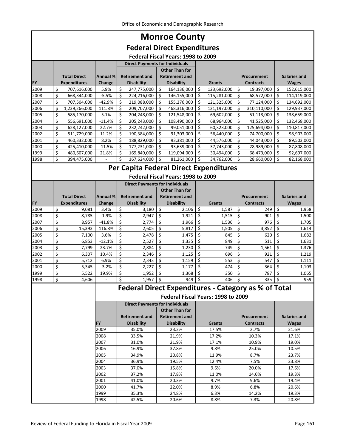|                                                                              | <b>Monroe County</b> |                 |                                        |                                                      |    |                        |                               |                                  |  |  |  |  |  |
|------------------------------------------------------------------------------|----------------------|-----------------|----------------------------------------|------------------------------------------------------|----|------------------------|-------------------------------|----------------------------------|--|--|--|--|--|
|                                                                              |                      |                 |                                        |                                                      |    |                        |                               |                                  |  |  |  |  |  |
|                                                                              |                      |                 |                                        | <b>Federal Direct Expenditures</b>                   |    |                        |                               |                                  |  |  |  |  |  |
|                                                                              |                      |                 |                                        | Federal Fiscal Years: 1998 to 2009                   |    |                        |                               |                                  |  |  |  |  |  |
|                                                                              |                      |                 | <b>Direct Payments for Individuals</b> |                                                      |    |                        |                               |                                  |  |  |  |  |  |
|                                                                              | <b>Total Direct</b>  | <b>Annual %</b> | <b>Retirement and</b>                  | <b>Other Than for</b><br><b>Retirement and</b>       |    |                        | Procurement                   | <b>Salaries and</b>              |  |  |  |  |  |
| <b>FY</b>                                                                    | <b>Expenditures</b>  | Change          | <b>Disability</b>                      | <b>Disability</b>                                    |    | <b>Grants</b>          | <b>Contracts</b>              | <b>Wages</b>                     |  |  |  |  |  |
| 2009                                                                         | \$<br>707,616,000    | 5.9%            | \$<br>247,775,000                      | \$<br>164,136,000                                    | \$ | 123,692,000            | \$<br>19,397,000              | \$<br>152,615,000                |  |  |  |  |  |
| 2008                                                                         | \$<br>668,344,000    | $-5.5%$         | \$<br>224,216,000                      | \$<br>146,155,000                                    | \$ | 115,281,000            | \$<br>68,572,000              | \$<br>114,119,000                |  |  |  |  |  |
| 2007                                                                         | \$<br>707,504,000    | $-42.9%$        | \$<br>219,088,000                      | \$<br>155,276,000                                    | \$ | 121,325,000            | \$<br>77,124,000              | \$<br>134,692,000                |  |  |  |  |  |
| 2006                                                                         | \$<br>1,239,266,000  | 111.8%          | \$<br>209,707,000                      | \$<br>468,316,000                                    | \$ | 121,197,000            | \$<br>310,110,000             | \$<br>129,937,000                |  |  |  |  |  |
| 2005                                                                         | \$<br>585,170,000    | 5.1%            | \$<br>204,248,000                      | \$<br>121,548,000                                    | \$ | 69,602,000             | \$<br>51,113,000              | \$<br>138,659,000                |  |  |  |  |  |
| 2004                                                                         | \$<br>556,691,000    | $-11.4%$        | \$<br>205,243,000                      | \$<br>108,490,000                                    | \$ | 68,964,000             | \$<br>41,525,000              | \$<br>132,468,000                |  |  |  |  |  |
| 2003                                                                         | \$<br>628,127,000    | 22.7%           | \$<br>232,242,000                      | \$<br>99,051,000                                     | \$ | 60,323,000             | \$<br>125,694,000             | \$<br>110,817,000                |  |  |  |  |  |
| 2002                                                                         | \$<br>511,729,000    | 11.2%           | \$<br>190,384,000                      | \$<br>91,303,000                                     | \$ | 56,440,000             | \$<br>74,700,000              | \$<br>98,903,000                 |  |  |  |  |  |
| 2001                                                                         | \$<br>460,332,000    | 8.2%            | \$<br>188,829,000                      | \$<br>93,381,000                                     | \$ | 44,576,000             | \$<br>44,043,000              | \$<br>89,503,000                 |  |  |  |  |  |
| 2000                                                                         | \$<br>425,410,000    | $-11.5%$        | \$<br>177,231,000                      | \$<br>93,639,000                                     | \$ | 37,743,000             | \$<br>28,989,000              | \$<br>87,808,000                 |  |  |  |  |  |
| 1999                                                                         | \$<br>480,607,000    | 21.8%           | \$<br>169,849,000                      | \$<br>119,094,000                                    | \$ | 30,494,000             | \$<br>68,473,000              | \$<br>92,697,000                 |  |  |  |  |  |
| 1998                                                                         | \$<br>394,475,000    |                 | \$<br>167,624,000                      | \$<br>81,261,000                                     | \$ | 34,762,000             | \$<br>28,660,000              | \$<br>82,168,000                 |  |  |  |  |  |
|                                                                              |                      |                 |                                        | Per Capita Federal Direct Expenditures               |    |                        |                               |                                  |  |  |  |  |  |
|                                                                              |                      |                 |                                        |                                                      |    |                        |                               |                                  |  |  |  |  |  |
| Federal Fiscal Years: 1998 to 2009<br><b>Direct Payments for Individuals</b> |                      |                 |                                        |                                                      |    |                        |                               |                                  |  |  |  |  |  |
|                                                                              |                      |                 |                                        | <b>Other Than for</b>                                |    |                        |                               |                                  |  |  |  |  |  |
|                                                                              | <b>Total Direct</b>  |                 | <b>Retirement and</b>                  | <b>Retirement and</b>                                |    |                        |                               | <b>Salaries and</b>              |  |  |  |  |  |
|                                                                              | <b>Expenditures</b>  | Annual %        |                                        |                                                      |    |                        | Procurement                   |                                  |  |  |  |  |  |
| <b>FY</b><br>2009                                                            | \$<br>9,081          | Change<br>3.4%  | <b>Disability</b><br>\$<br>3,180       | <b>Disability</b><br>2,106                           | \$ | <b>Grants</b><br>1,587 | <b>Contracts</b><br>\$<br>249 | <b>Wages</b><br>\$<br>1,958      |  |  |  |  |  |
| 2008                                                                         | \$<br>8,785          | $-1.9%$         | \$<br>2,947                            | \$<br>\$<br>1,921                                    | \$ | 1,515                  | \$<br>901                     | \$<br>1,500                      |  |  |  |  |  |
| 2007                                                                         | \$<br>8,957          | $-41.8%$        | \$<br>2,774                            | \$<br>1,966                                          | \$ | 1,536                  | \$<br>976                     | \$<br>1,705                      |  |  |  |  |  |
| 2006                                                                         | \$<br>15,393         | 116.8%          | \$<br>2,605                            | \$<br>5,817                                          | \$ | 1,505                  | \$<br>3,852                   | \$<br>1,614                      |  |  |  |  |  |
| 2005                                                                         | \$<br>7,100          | 3.6%            | \$<br>2,478                            | \$<br>1,475                                          | \$ | 845                    | \$<br>620                     | \$<br>1,682                      |  |  |  |  |  |
| 2004                                                                         | \$<br>6,853          | $-12.1%$        | \$<br>2,527                            | \$<br>1,335                                          | \$ | 849                    | \$<br>511                     | $\overline{\mathsf{S}}$<br>1,631 |  |  |  |  |  |
| 2003                                                                         | \$<br>7,799          | 23.7%           | \$<br>2,884                            | \$<br>1,230                                          | \$ | 749                    | $\overline{\xi}$<br>1,561     | $\overline{\xi}$<br>1,376        |  |  |  |  |  |
| 2002                                                                         | \$<br>6,307          | 10.4%           | \$<br>2,346                            | \$<br>1,125                                          | \$ | 696                    | \$<br>921                     | \$<br>1,219                      |  |  |  |  |  |
| 2001                                                                         | \$<br>5,712          | 6.9%            | \$<br>2,343                            | \$<br>1,159                                          | \$ | 553                    | $\zeta$<br>547                | \$<br>1,111                      |  |  |  |  |  |
| 2000                                                                         | \$<br>5,345          | $-3.2%$         | \$<br>2,227                            | \$<br>1,177                                          | \$ | 474                    | \$<br>364                     | \$<br>1,103                      |  |  |  |  |  |
| 1999                                                                         | \$<br>5,522          | 19.9%           | \$<br>1,952                            | \$<br>1,368                                          | \$ | 350                    | \$<br>787                     | \$<br>1,065                      |  |  |  |  |  |
| 1998                                                                         | Ś<br>4,606           |                 | Ś.<br>1,957                            | \$<br>949                                            | Ś. | 406                    | $\mathsf{\dot{S}}$<br>335     | Ś.<br>959                        |  |  |  |  |  |
|                                                                              |                      |                 |                                        | Federal Direct Expenditures - Category as % of Total |    |                        |                               |                                  |  |  |  |  |  |
|                                                                              |                      |                 |                                        |                                                      |    |                        |                               |                                  |  |  |  |  |  |
|                                                                              |                      |                 |                                        | Federal Fiscal Years: 1998 to 2009                   |    |                        |                               |                                  |  |  |  |  |  |
|                                                                              |                      |                 | <b>Direct Payments for Individuals</b> |                                                      |    |                        |                               |                                  |  |  |  |  |  |
|                                                                              |                      |                 |                                        | <b>Other Than for</b>                                |    |                        |                               |                                  |  |  |  |  |  |
|                                                                              |                      |                 | <b>Retirement and</b>                  | <b>Retirement and</b>                                |    |                        | Procurement                   | <b>Salaries and</b>              |  |  |  |  |  |
|                                                                              |                      | <b>FY</b>       | <b>Disability</b>                      | <b>Disability</b>                                    |    | Grants                 | <b>Contracts</b>              | Wages                            |  |  |  |  |  |
|                                                                              |                      | 2009            | 35.0%                                  | 23.2%                                                |    | 17.5%<br>17.2%         | 2.7%                          | 21.6%<br>17.1%                   |  |  |  |  |  |
|                                                                              |                      | 2008<br>2007    | 33.5%                                  | 21.9%                                                |    |                        | 10.3%                         |                                  |  |  |  |  |  |
|                                                                              |                      |                 | 31.0%                                  | 21.9%                                                |    | 17.1%                  | 10.9%                         | 19.0%                            |  |  |  |  |  |
|                                                                              |                      | 2006            | 16.9%                                  | 37.8%                                                |    | 9.8%                   | 25.0%                         | 10.5%                            |  |  |  |  |  |
|                                                                              |                      | 2005<br>2004    | 34.9%<br>36.9%                         | 20.8%<br>19.5%                                       |    | 11.9%<br>12.4%         | 8.7%<br>7.5%                  | 23.7%<br>23.8%                   |  |  |  |  |  |
|                                                                              |                      | 2003            | 37.0%                                  | 15.8%                                                |    | 9.6%                   | 20.0%                         | 17.6%                            |  |  |  |  |  |
|                                                                              |                      | 2002            | 37.2%                                  | 17.8%                                                |    | 11.0%                  | 14.6%                         | 19.3%                            |  |  |  |  |  |
|                                                                              |                      | 2001            | 41.0%                                  | 20.3%                                                |    | 9.7%                   | 9.6%                          | 19.4%                            |  |  |  |  |  |
|                                                                              |                      | 2000            | 41.7%                                  | 22.0%                                                |    | 8.9%                   | 6.8%                          | 20.6%                            |  |  |  |  |  |
|                                                                              |                      | 1999            | 35.3%                                  | 24.8%                                                |    | 6.3%                   | 14.2%                         | 19.3%                            |  |  |  |  |  |
|                                                                              |                      | 1998            | 42.5%                                  | 20.6%                                                |    | 8.8%                   | 7.3%                          | 20.8%                            |  |  |  |  |  |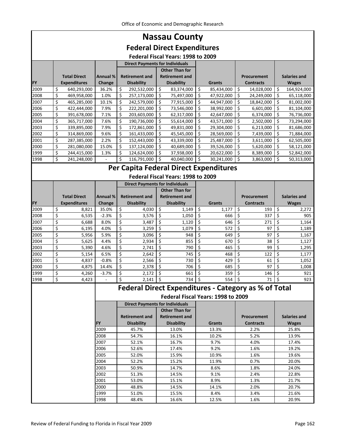| <b>Nassau County</b>               |                                        |               |                                        |                                                      |          |                          |                                 |                           |  |  |  |  |  |
|------------------------------------|----------------------------------------|---------------|----------------------------------------|------------------------------------------------------|----------|--------------------------|---------------------------------|---------------------------|--|--|--|--|--|
| <b>Federal Direct Expenditures</b> |                                        |               |                                        |                                                      |          |                          |                                 |                           |  |  |  |  |  |
| Federal Fiscal Years: 1998 to 2009 |                                        |               |                                        |                                                      |          |                          |                                 |                           |  |  |  |  |  |
|                                    |                                        |               | <b>Direct Payments for Individuals</b> |                                                      |          |                          |                                 |                           |  |  |  |  |  |
|                                    |                                        |               |                                        | <b>Other Than for</b>                                |          |                          |                                 |                           |  |  |  |  |  |
|                                    | <b>Total Direct</b>                    | Annual %      | <b>Retirement and</b>                  | <b>Retirement and</b>                                |          |                          | Procurement                     | <b>Salaries and</b>       |  |  |  |  |  |
| FY                                 | <b>Expenditures</b>                    | Change        | <b>Disability</b>                      | <b>Disability</b>                                    |          | <b>Grants</b>            | <b>Contracts</b>                | <b>Wages</b>              |  |  |  |  |  |
| 2009                               | \$<br>640,293,000                      | 36.2%         | \$<br>292,532,000                      | \$<br>83,374,000                                     | \$       | 85,434,000               | \$<br>14,028,000                | \$<br>164,924,000         |  |  |  |  |  |
| 2008                               | \$<br>469,958,000                      | 1.0%          | \$<br>257,173,000                      | \$<br>75,497,000                                     | \$       | 47,922,000               | \$<br>24,249,000                | \$<br>65,118,000          |  |  |  |  |  |
| 2007                               | \$<br>465,285,000                      | 10.1%         | \$<br>242,579,000                      | \$<br>77,915,000                                     | \$       | 44,947,000               | \$<br>18,842,000                | \$<br>81,002,000          |  |  |  |  |  |
| 2006                               | \$<br>422,444,000                      | 7.9%          | \$<br>222,201,000                      | \$<br>73,546,000                                     | \$       | 38,992,000               | \$<br>6,601,000                 | \$<br>81,104,000          |  |  |  |  |  |
| 2005                               | \$<br>391,678,000                      | 7.1%          | \$<br>203,603,000                      | \$<br>62,317,000                                     | \$       | 42,647,000               | \$<br>6,374,000                 | \$<br>76,736,000          |  |  |  |  |  |
| 2004                               | \$<br>365,717,000                      | 7.6%          | \$<br>190,736,000                      | \$<br>55,614,000                                     | \$       | 43,571,000               | \$<br>2,502,000                 | \$<br>73,294,000          |  |  |  |  |  |
| 2003                               | \$<br>339,895,000                      | 7.9%          | \$<br>172,861,000                      | \$<br>49,831,000                                     | \$       | 29,304,000               | \$<br>6,213,000                 | \$<br>81,686,000          |  |  |  |  |  |
| 2002                               | \$<br>314,869,000                      | 9.6%          | \$<br>161,433,000                      | \$<br>45,545,000                                     | \$       | 28,569,000               | \$<br>7,439,000                 | \$<br>71,884,000          |  |  |  |  |  |
| 2001                               | \$<br>287,385,000<br>\$                | 2.2%          | \$<br>152,443,000<br>\$<br>137,124,000 | \$<br>43,339,000<br>\$                               | \$<br>\$ | 25,487,000               | $\zeta$<br>3,611,000<br>$\zeta$ | \$<br>62,505,000<br>\$    |  |  |  |  |  |
| 2000<br>1999                       | 281,080,000<br>\$                      | 15.0%<br>1.3% | \$<br>124,624,000                      | 40,689,000                                           |          | 39,526,000<br>20,622,000 | 5,620,000<br>\$                 | 58,121,000<br>\$          |  |  |  |  |  |
| 1998                               | 244,415,000<br>\$                      |               | Ś<br>116,791,000                       | \$<br>37,938,000<br>\$<br>40,040,000                 | \$<br>\$ |                          | 8,389,000<br>-\$                | 52,842,000<br>\$          |  |  |  |  |  |
|                                    | 241,248,000                            |               |                                        |                                                      |          | 30,241,000               | 3,863,000                       | 50,313,000                |  |  |  |  |  |
|                                    | Per Capita Federal Direct Expenditures |               |                                        |                                                      |          |                          |                                 |                           |  |  |  |  |  |
|                                    |                                        |               |                                        | Federal Fiscal Years: 1998 to 2009                   |          |                          |                                 |                           |  |  |  |  |  |
|                                    |                                        |               | <b>Direct Payments for Individuals</b> |                                                      |          |                          |                                 |                           |  |  |  |  |  |
|                                    |                                        |               |                                        | <b>Other Than for</b>                                |          |                          |                                 |                           |  |  |  |  |  |
|                                    | <b>Total Direct</b>                    | Annual %      | <b>Retirement and</b>                  | <b>Retirement and</b>                                |          |                          | Procurement                     | <b>Salaries and</b>       |  |  |  |  |  |
| <b>FY</b>                          | <b>Expenditures</b>                    | Change        | <b>Disability</b>                      | <b>Disability</b>                                    |          | <b>Grants</b>            | <b>Contracts</b>                | <b>Wages</b>              |  |  |  |  |  |
| 2009                               | \$<br>8,821                            | 35.0%         | \$<br>4,030                            | \$<br>1,149                                          | \$       | 1,177                    | \$<br>193                       | \$<br>2,272               |  |  |  |  |  |
| 2008                               | \$<br>6,535                            | $-2.3%$       | \$<br>3,576                            | \$<br>1,050                                          | \$       | 666                      | $\zeta$<br>337                  | $\overline{\xi}$<br>905   |  |  |  |  |  |
| 2007                               | \$<br>6,688                            | 8.0%          | \$<br>3,487                            | \$<br>1,120                                          | \$       | 646                      | \$<br>271                       | \$<br>1,164               |  |  |  |  |  |
| 2006                               | \$<br>6,195                            | 4.0%          | \$<br>3,259                            | \$<br>1,079                                          | \$       | 572                      | \$<br>97                        | \$<br>1,189               |  |  |  |  |  |
| 2005                               | \$<br>5,956                            | 5.9%          | \$<br>3,096                            | \$<br>948                                            | \$       | 649                      | \$<br>97                        | \$<br>1,167               |  |  |  |  |  |
| 2004                               | \$<br>5,625                            | 4.4%          | \$<br>2,934                            | \$<br>855                                            | \$       | 670                      | \$<br>38                        | \$<br>1,127               |  |  |  |  |  |
| 2003                               | \$<br>5,390                            | 4.6%          | \$<br>2,741                            | \$<br>790                                            | \$       | 465                      | \$<br>99                        | \$<br>1,295               |  |  |  |  |  |
| 2002                               | \$<br>5,154                            | 6.5%          | \$<br>2,642                            | \$<br>745                                            | \$       | 468                      | \$<br>122                       | $\overline{\xi}$<br>1,177 |  |  |  |  |  |
| 2001                               | \$<br>4,837                            | $-0.8%$       | \$<br>2,566                            | \$<br>730                                            | \$       | 429                      | \$<br>61                        | \$<br>1,052               |  |  |  |  |  |
| 2000                               | \$<br>4,875                            | 14.4%         | \$<br>2,378                            | \$<br>706                                            | \$       | 685                      | \$<br>97                        | \$<br>1,008               |  |  |  |  |  |
| 1999                               | \$<br>4,260                            | $-3.7%$       | \$<br>2,172                            | \$<br>661                                            | \$       | 359                      | \$<br>146                       | \$<br>921                 |  |  |  |  |  |
| 1998                               | \$<br>4,423                            |               | \$                                     | $2,141 \pm 5$<br>$734 \pm 5$                         |          | $554 \mid \zeta$         | $71 \overline{\ }$ \$           | 923                       |  |  |  |  |  |
|                                    |                                        |               |                                        | Federal Direct Expenditures - Category as % of Total |          |                          |                                 |                           |  |  |  |  |  |
|                                    |                                        |               |                                        | Federal Fiscal Years: 1998 to 2009                   |          |                          |                                 |                           |  |  |  |  |  |
|                                    |                                        |               | <b>Direct Payments for Individuals</b> |                                                      |          |                          |                                 |                           |  |  |  |  |  |
|                                    |                                        |               |                                        | <b>Other Than for</b>                                |          |                          |                                 |                           |  |  |  |  |  |
|                                    |                                        |               | <b>Retirement and</b>                  | <b>Retirement and</b>                                |          |                          | Procurement                     | <b>Salaries and</b>       |  |  |  |  |  |
|                                    |                                        | <b>FY</b>     | <b>Disability</b>                      | <b>Disability</b>                                    |          | Grants                   | <b>Contracts</b>                | <b>Wages</b>              |  |  |  |  |  |
|                                    |                                        | 2009          | 45.7%                                  | 13.0%                                                |          | 13.3%                    | 2.2%                            | 25.8%                     |  |  |  |  |  |
|                                    |                                        | 2008          | 54.7%                                  | 16.1%                                                |          | 10.2%                    | 5.2%                            | 13.9%                     |  |  |  |  |  |
|                                    |                                        | 2007          | 52.1%                                  | 16.7%                                                |          | 9.7%                     | 4.0%                            | 17.4%                     |  |  |  |  |  |
|                                    |                                        | 2006          | 52.6%                                  | 17.4%                                                |          | 9.2%                     | 1.6%                            | 19.2%                     |  |  |  |  |  |
|                                    |                                        | 2005          | 52.0%                                  | 15.9%                                                |          | 10.9%                    | 1.6%                            | 19.6%                     |  |  |  |  |  |
|                                    |                                        | 2004          | 52.2%                                  | 15.2%                                                |          | 11.9%                    | 0.7%                            | 20.0%                     |  |  |  |  |  |
|                                    |                                        | 2003          | 50.9%                                  | 14.7%                                                |          | 8.6%                     | 1.8%                            | 24.0%                     |  |  |  |  |  |
|                                    |                                        | 2002          | 51.3%                                  | 14.5%                                                |          | 9.1%                     | 2.4%                            | 22.8%                     |  |  |  |  |  |
|                                    |                                        | 2001          | 53.0%                                  | 15.1%                                                |          | 8.9%                     | 1.3%                            | 21.7%                     |  |  |  |  |  |
|                                    |                                        | 2000          | 48.8%                                  | 14.5%                                                |          | 14.1%                    | 2.0%                            | 20.7%                     |  |  |  |  |  |
|                                    |                                        | 1999          | 51.0%                                  | 15.5%                                                |          | 8.4%                     | 3.4%                            | 21.6%                     |  |  |  |  |  |

1998 48.4% 16.6% 12.5% 1.6% 20.9%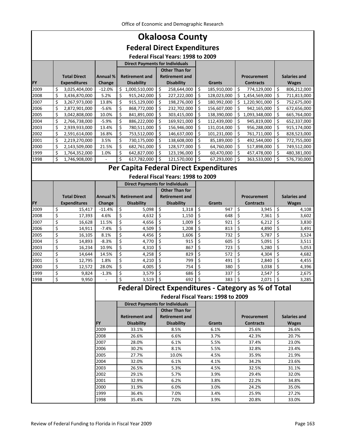| Office of Economic and Definographic Research |    |                     |                 |                                                                 |              |                                                             |    |               |       |                  |                     |                     |
|-----------------------------------------------|----|---------------------|-----------------|-----------------------------------------------------------------|--------------|-------------------------------------------------------------|----|---------------|-------|------------------|---------------------|---------------------|
| <b>Okaloosa County</b>                        |    |                     |                 |                                                                 |              |                                                             |    |               |       |                  |                     |                     |
|                                               |    |                     |                 |                                                                 |              |                                                             |    |               |       |                  |                     |                     |
| <b>Federal Direct Expenditures</b>            |    |                     |                 |                                                                 |              |                                                             |    |               |       |                  |                     |                     |
| Federal Fiscal Years: 1998 to 2009            |    |                     |                 |                                                                 |              |                                                             |    |               |       |                  |                     |                     |
|                                               |    |                     |                 | <b>Direct Payments for Individuals</b>                          |              |                                                             |    |               |       |                  |                     |                     |
|                                               |    |                     |                 |                                                                 |              | <b>Other Than for</b>                                       |    |               |       |                  |                     |                     |
|                                               |    | <b>Total Direct</b> | Annual %        | <b>Retirement and</b>                                           |              | <b>Retirement and</b>                                       |    |               |       | Procurement      | <b>Salaries and</b> |                     |
| <b>FY</b>                                     |    | <b>Expenditures</b> | Change          | <b>Disability</b>                                               |              | <b>Disability</b>                                           |    | Grants        |       | <b>Contracts</b> |                     | <b>Wages</b>        |
| 2009                                          | \$ | 3,025,404,000       | $-12.0%$        | \$<br>1,000,510,000                                             |              | \$<br>258,644,000                                           | \$ | 185,910,000   | \$    | 774,129,000      | \$                  | 806,212,000         |
| 2008                                          | \$ | 3,436,870,000       | 5.2%            | \$<br>915,242,000                                               |              | \$<br>227,222,000                                           | \$ | 128,023,000   | \$    | 1,454,569,000    | \$                  | 711,813,000         |
| 2007                                          | \$ | 3,267,973,000       | 13.8%           | \$<br>915,129,000                                               |              | \$<br>198,276,000                                           | \$ | 180,992,000   | \$    | 1,220,901,000    | \$                  | 752,675,000         |
| 2006                                          | \$ | 2,872,901,000       | $-5.6%$         | \$<br>868,772,000                                               |              | \$<br>232,702,000                                           | \$ | 156,607,000   | \$    | 942,165,000      | \$                  | 672,656,000         |
| 2005                                          | \$ | 3,042,808,000       | 10.0%           | \$<br>841,891,000                                               |              | \$<br>303,415,000                                           | \$ | 138,390,000   | \$    | 1,093,348,000    | \$                  | 665,764,000         |
| 2004                                          | \$ | 2,766,738,000       | $-5.9%$         | \$<br>886,222,000                                               |              | \$<br>169,921,000                                           | \$ | 112,439,000   | \$    | 945,819,000      | \$                  | 652,337,000         |
| 2003                                          | \$ | 2,939,933,000       | 13.4%           | \$<br>780,511,000                                               |              | \$<br>156,946,000                                           | \$ | 131,014,000   | \$    | 956,288,000      | \$                  | 915,174,000         |
| 2002                                          | \$ | 2,591,614,000       | 16.8%           | \$<br>753,512,000                                               |              | \$<br>146,637,000                                           | \$ | 101,231,000   | \$    | 761,711,000      | \$                  | 828,523,000         |
| 2001                                          | \$ | 2,219,270,000       | 3.5%            | \$<br>730,175,000                                               |              | \$<br>138,608,000                                           | \$ | 85,189,000    | \$    | 492,544,000      | \$                  | 772,755,000         |
| 2000                                          | \$ | 2,143,509,000       | 21.5%           | \$<br>682,761,000                                               |              | \$<br>128,577,000                                           | \$ | 64,760,000    | \$    | 517,898,000      | \$                  | 749,512,000         |
| 1999                                          | \$ | 1,764,352,000       | 1.0%            | \$<br>642,827,000                                               |              | \$<br>123,196,000                                           | \$ | 60,470,000    | \$    | 457,478,000      | \$                  | 480,381,000         |
| 1998                                          | \$ | 1,746,908,000       |                 | \$<br>617,782,000                                               |              | \$<br>121,570,000                                           | \$ | 67,293,000    | Ś.    | 363,533,000      | Ś                   | 576,730,000         |
| Per Capita Federal Direct Expenditures        |    |                     |                 |                                                                 |              |                                                             |    |               |       |                  |                     |                     |
| Federal Fiscal Years: 1998 to 2009            |    |                     |                 |                                                                 |              |                                                             |    |               |       |                  |                     |                     |
|                                               |    |                     |                 |                                                                 |              |                                                             |    |               |       |                  |                     |                     |
|                                               |    |                     |                 | <b>Direct Payments for Individuals</b><br><b>Other Than for</b> |              |                                                             |    |               |       |                  |                     |                     |
|                                               |    | <b>Total Direct</b> | <b>Annual %</b> | <b>Retirement and</b>                                           |              | <b>Retirement and</b>                                       |    |               |       | Procurement      |                     | <b>Salaries and</b> |
| FY                                            |    | <b>Expenditures</b> | Change          | <b>Disability</b>                                               |              | <b>Disability</b>                                           |    | <b>Grants</b> |       | <b>Contracts</b> |                     | <b>Wages</b>        |
| 2009                                          | \$ | 15,417              | $-11.4%$        | \$<br>5,098                                                     |              | \$<br>1,318                                                 | \$ | 947           | \$    | 3,945            | \$                  | 4,108               |
| 2008                                          | \$ | 17,393              | 4.6%            | \$<br>4,632                                                     |              | \$<br>1,150                                                 | \$ | 648           | \$    | 7,361            | \$                  | 3,602               |
| 2007                                          | \$ | 16,628              | 11.5%           | \$<br>4,656                                                     |              | \$<br>1,009                                                 | \$ | 921           | \$    | 6,212            | \$                  | 3,830               |
| 2006                                          | \$ | 14,911              | $-7.4%$         | \$<br>4,509                                                     |              | \$<br>1,208                                                 | \$ | 813           | \$    | 4,890            | \$                  | 3,491               |
| 2005                                          | \$ | 16,105              | 8.1%            | \$<br>4,456                                                     |              | \$<br>1,606                                                 | \$ | 732           | \$    | 5,787            | \$                  | 3,524               |
| 2004                                          | \$ | 14,893              | $-8.3%$         | \$<br>4,770                                                     |              | \$<br>915                                                   | \$ | 605           | \$    | 5,091            | \$                  | 3,511               |
| 2003                                          | \$ | 16,234              | 10.9%           | \$<br>4,310                                                     |              | \$<br>867                                                   | \$ | 723           | \$    | 5,280            | \$                  | 5,053               |
| 2002                                          | \$ | 14,644              | 14.5%           | \$<br>4,258                                                     |              | \$<br>829                                                   | \$ | 572           | \$    | 4,304            | \$                  | 4,682               |
| 2001                                          | \$ | 12,795              | 1.8%            | \$<br>4,210                                                     |              | \$<br>799                                                   | \$ | 491           | \$    | 2,840            | \$                  | 4,455               |
| 2000                                          | \$ | 12,572              | 28.0%           | \$<br>4,005                                                     |              | \$<br>754                                                   | \$ | 380           | \$    | 3,038            | \$                  | 4,396               |
| 1999                                          | \$ | 9,824               | $-1.3%$         | \$<br>3,579                                                     |              | \$<br>686                                                   | \$ | 337           | \$    | 2,547            | \$                  | 2,675               |
| 1998                                          | Ş  | 9,950               |                 | Ş                                                               | $3,519$   \$ | $692 \mid 5$                                                |    | 383 \$        |       | $2,071$   \$     |                     | 3,285               |
|                                               |    |                     |                 |                                                                 |              | <b>Federal Direct Expenditures - Category as % of Total</b> |    |               |       |                  |                     |                     |
|                                               |    |                     |                 |                                                                 |              |                                                             |    |               |       |                  |                     |                     |
|                                               |    |                     |                 |                                                                 |              | Federal Fiscal Years: 1998 to 2009                          |    |               |       |                  |                     |                     |
|                                               |    |                     |                 |                                                                 |              | <b>Direct Payments for Individuals</b>                      |    |               |       |                  |                     |                     |
|                                               |    |                     |                 |                                                                 |              | <b>Other Than for</b>                                       |    |               |       |                  |                     |                     |
|                                               |    |                     |                 | <b>Retirement and</b>                                           |              | <b>Retirement and</b>                                       |    |               |       | Procurement      |                     | <b>Salaries and</b> |
|                                               |    |                     | FY              | <b>Disability</b>                                               |              | <b>Disability</b>                                           |    | Grants        |       | <b>Contracts</b> |                     | <b>Wages</b>        |
|                                               |    |                     | 2009            | 33.1%                                                           |              | 8.5%                                                        |    | 6.1%          | 25.6% |                  | 26.6%               |                     |
|                                               |    |                     | 2008            | 26.6%                                                           |              | 6.6%                                                        |    | 3.7%          | 42.3% |                  | 20.7%               |                     |
|                                               |    |                     | 2007            | 28.0%                                                           |              | 6.1%                                                        |    | 5.5%          | 37.4% |                  | 23.0%               |                     |
|                                               |    |                     | 2006            | 30.2%                                                           |              | 8.1%                                                        |    | 5.5%          | 32.8% |                  | 23.4%               |                     |
|                                               |    |                     | 2005            | 27.7%                                                           |              | 10.0%                                                       |    | 4.5%          |       | 35.9%            |                     | 21.9%               |
|                                               |    |                     | 2004            | 32.0%                                                           |              | 6.1%                                                        |    | 4.1%          |       | 34.2%            |                     | 23.6%               |
|                                               |    |                     | 2003            | 26.5%                                                           |              | 5.3%                                                        |    | 4.5%          |       | 32.5%            |                     | 31.1%               |
|                                               |    |                     | 2002            | 29.1%                                                           |              | 5.7%                                                        |    | 3.9%          |       | 29.4%            |                     | 32.0%               |
|                                               |    |                     | 2001            | 32.9%                                                           |              | 6.2%                                                        |    | 3.8%          |       | 22.2%            |                     | 34.8%               |

2000 31.9% 6.0% 3.0% 24.2% 35.0% 1999 36.4% 7.0% 3.4% 25.9% 27.2% 1998 35.4% 7.0% 3.9% 20.8% 33.0%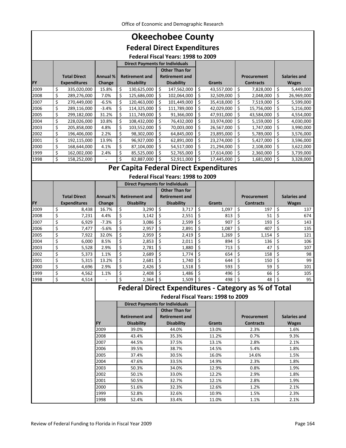| <b>Okeechobee County</b>           |          |                            |                   |          |                                        |          |                                                      |          |                          |          |                        |                  |                        |
|------------------------------------|----------|----------------------------|-------------------|----------|----------------------------------------|----------|------------------------------------------------------|----------|--------------------------|----------|------------------------|------------------|------------------------|
| <b>Federal Direct Expenditures</b> |          |                            |                   |          |                                        |          |                                                      |          |                          |          |                        |                  |                        |
|                                    |          |                            |                   |          |                                        |          | Federal Fiscal Years: 1998 to 2009                   |          |                          |          |                        |                  |                        |
|                                    |          |                            |                   |          | <b>Direct Payments for Individuals</b> |          |                                                      |          |                          |          |                        |                  |                        |
|                                    |          |                            |                   |          |                                        |          | <b>Other Than for</b>                                |          |                          |          |                        |                  |                        |
|                                    |          | <b>Total Direct</b>        | Annual %          |          | <b>Retirement and</b>                  |          | <b>Retirement and</b>                                |          |                          |          | Procurement            |                  | <b>Salaries and</b>    |
| FY                                 |          | <b>Expenditures</b>        | Change            |          | <b>Disability</b>                      |          | <b>Disability</b>                                    |          | Grants                   |          | <b>Contracts</b>       |                  | <b>Wages</b>           |
| 2009                               | \$       | 335,020,000                | 15.8%             | \$       | 130,625,000                            | \$       | 147,562,000                                          | \$       | 43,557,000               | \$       | 7,828,000              | \$               | 5,449,000              |
| 2008                               | \$       | 289,276,000                | 7.0%              | \$       | 125,686,000                            | \$       | 102,064,000                                          | \$       | 32,509,000               | \$       | 2,048,000              | Ś                | 26,969,000             |
| 2007                               | \$       | 270,449,000                | $-6.5%$           | \$       | 120,463,000                            | \$       | 101,449,000                                          | \$       | 35,418,000               | \$       | 7,519,000              | \$               | 5,599,000              |
| 2006                               | \$       | 289,116,000                | $-3.4%$           | \$       | 114,325,000                            | \$       | 111,789,000                                          | \$       | 42,029,000               | Ś        | 15,756,000             | \$               | 5,216,000              |
| 2005                               | \$       | 299,182,000                | 31.2%             | \$       | 111,749,000                            | \$       | 91,366,000                                           | \$       | 47,931,000               | \$       | 43,584,000             | \$               | 4,554,000              |
| 2004                               | \$       | 228,026,000                | 10.8%             | \$       | 108,432,000                            | \$       | 76,432,000                                           | \$       | 33,974,000               | \$       | 5,159,000              | \$               | 4,030,000              |
| 2003                               | \$<br>\$ | 205,858,000                | 4.8%              | \$<br>\$ | 103,552,000                            | \$<br>\$ | 70,003,000                                           | \$<br>\$ | 26,567,000               | \$<br>\$ | 1,747,000              | \$<br>\$         | 3,990,000              |
| 2002<br>2001                       | \$       | 196,406,000<br>192,115,000 | 2.2%<br>13.9%     | \$       | 98,302,000<br>96,927,000               | \$       | 64,845,000<br>62,891,000                             | \$       | 23,895,000<br>23,274,000 | \$       | 5,789,000<br>5,427,000 | \$               | 3,576,000              |
| 2000                               | \$       | 168,644,000                | 4.1%              | \$       | 87,104,000                             | \$       | 54,517,000                                           | \$       | 21,294,000               | \$       | 2,108,000              | \$               | 3,596,000<br>3,622,000 |
| 1999                               | \$       | 162,002,000                | 2.4%              | \$       | 85,525,000                             | \$       | 52,765,000                                           | \$       | 17,614,000               | \$       | 2,360,000              | \$               | 3,739,000              |
| 1998                               | \$       | 158,252,000                |                   | Ś        | 82,887,000                             | \$       | 52,911,000                                           | Ś        | 17,445,000               | Ś.       | 1,681,000              | \$               | 3,328,000              |
|                                    |          |                            |                   |          |                                        |          |                                                      |          |                          |          |                        |                  |                        |
|                                    |          |                            |                   |          |                                        |          | Per Capita Federal Direct Expenditures               |          |                          |          |                        |                  |                        |
|                                    |          |                            |                   |          |                                        |          | Federal Fiscal Years: 1998 to 2009                   |          |                          |          |                        |                  |                        |
|                                    |          |                            |                   |          | <b>Direct Payments for Individuals</b> |          |                                                      |          |                          |          |                        |                  |                        |
|                                    |          |                            |                   |          |                                        |          | <b>Other Than for</b>                                |          |                          |          |                        |                  |                        |
|                                    |          | <b>Total Direct</b>        | Annual %          |          | <b>Retirement and</b>                  |          | <b>Retirement and</b>                                |          |                          |          | Procurement            |                  | <b>Salaries and</b>    |
| FY                                 |          | <b>Expenditures</b>        | Change            |          | <b>Disability</b>                      |          | <b>Disability</b>                                    |          | <b>Grants</b>            |          | <b>Contracts</b>       |                  | <b>Wages</b>           |
| 2009                               | \$       | 8,438                      | 16.7%             | \$       | 3,290                                  | \$       | 3,717                                                | \$       | 1,097                    | \$       | 197                    | \$               | 137                    |
| 2008                               | \$       | 7,231                      | 4.4%              | \$       | 3,142                                  | \$       | 2,551                                                | \$       | 813                      | \$       | 51                     | \$               | 674                    |
| 2007                               | \$       | 6,929                      | $-7.3%$           | \$       | 3,086                                  | \$       | 2,599                                                | \$       | 907                      | \$       | 193                    | \$               | 143                    |
| 2006                               | \$       | 7,477                      | $-5.6%$           | \$       | 2,957                                  | \$       | 2,891                                                | \$       | 1,087                    | \$       | 407                    | \$               | 135                    |
| 2005                               | \$       | 7,922                      | 32.0%             | \$       | 2,959                                  | \$       | 2,419                                                | \$       | 1,269                    | \$       | 1,154                  | \$               | 121                    |
| 2004                               | \$       | 6,000                      | 8.5%              | \$       | 2,853                                  | \$       | 2,011                                                | \$       | 894                      | \$       | 136                    | \$               | 106                    |
| 2003                               | \$       | 5,528                      | 2.9%              | \$       | 2,781                                  | \$       | 1,880                                                | \$       | 713                      | \$       | 47                     | \$               | 107                    |
| 2002                               | \$       | 5,373                      | 1.1%              | \$       | 2,689                                  | \$       | 1,774                                                | \$       | 654                      | \$       | 158                    | $\overline{\xi}$ | 98                     |
| 2001                               | \$       | 5,315                      | 13.2%             | \$       | 2,681                                  | \$       | 1,740                                                | \$       | 644                      | \$       | 150                    | $\overline{\xi}$ | 99                     |
| 2000                               | \$       | 4,696                      | 2.9%              | \$       | 2,426                                  | \$       | 1,518                                                | \$       | 593                      | \$       | 59                     | $\overline{\xi}$ | 101                    |
| 1999                               | \$       | 4,562                      | 1.1%              | \$       | 2,408                                  | \$       | 1,486                                                | \$       | 496                      | \$       | 66                     | $\overline{\xi}$ | 105                    |
| 1998                               | \$       | 4,514                      |                   | \$       | $2,364$ \$                             |          | $1,509$ \$                                           |          | $498 \zeta$              |          | $48 \mid 5$            |                  | 95                     |
|                                    |          |                            |                   |          |                                        |          | Federal Direct Expenditures - Category as % of Total |          |                          |          |                        |                  |                        |
|                                    |          |                            |                   |          |                                        |          | Federal Fiscal Years: 1998 to 2009                   |          |                          |          |                        |                  |                        |
|                                    |          |                            |                   |          |                                        |          |                                                      |          |                          |          |                        |                  |                        |
|                                    |          |                            |                   |          | <b>Direct Payments for Individuals</b> |          |                                                      |          |                          |          |                        |                  |                        |
|                                    |          |                            |                   |          |                                        |          | <b>Other Than for</b>                                |          |                          |          |                        |                  |                        |
|                                    |          |                            |                   |          | <b>Retirement and</b>                  |          | <b>Retirement and</b>                                |          |                          |          | Procurement            |                  | <b>Salaries and</b>    |
|                                    |          |                            | <b>FY</b><br>2009 |          | <b>Disability</b>                      |          | <b>Disability</b><br>44.0%                           |          | Grants                   |          | <b>Contracts</b>       |                  | <b>Wages</b>           |
|                                    |          |                            |                   |          | 39.0%                                  |          |                                                      |          | 13.0%                    |          | 2.3%                   |                  | 1.6%                   |
|                                    |          |                            | 2008              |          | 43.4%                                  |          | 35.3%                                                |          | 11.2%                    |          | 0.7%                   |                  | 9.3%                   |
|                                    |          |                            | 2007              |          | 44.5%                                  |          | 37.5%                                                |          | 13.1%                    |          | 2.8%                   |                  | 2.1%                   |
|                                    |          |                            | 2006              |          | 39.5%                                  |          | 38.7%                                                |          | 14.5%                    | 5.4%     |                        | 1.8%             |                        |
|                                    |          |                            | 2005<br>2004      |          | 37.4%                                  |          | 30.5%                                                |          | 16.0%                    | 14.6%    |                        | 1.5%             |                        |
|                                    |          |                            |                   |          | 47.6%                                  |          | 33.5%                                                |          | 14.9%                    |          | 2.3%                   |                  | 1.8%                   |
|                                    |          |                            | 2003              |          | 50.3%                                  |          | 34.0%                                                |          | 12.9%                    |          | 0.8%                   |                  | 1.9%                   |
|                                    |          |                            | 2002              |          | 50.1%                                  |          | 33.0%                                                |          | 12.2%                    |          | 2.9%                   |                  | 1.8%                   |
|                                    |          |                            | 2001              |          | 50.5%                                  |          | 32.7%                                                |          | 12.1%                    |          | 2.8%                   |                  | 1.9%                   |
|                                    |          |                            | 2000<br>1999      |          | 51.6%<br>52.8%                         |          | 32.3%<br>32.6%                                       |          | 12.6%<br>10.9%           |          | 1.2%<br>1.5%           |                  | 2.1%<br>2.3%           |
|                                    |          |                            |                   |          |                                        |          |                                                      |          |                          |          |                        |                  |                        |

1998 52.4% 33.4% 11.0% 1.1% 2.1%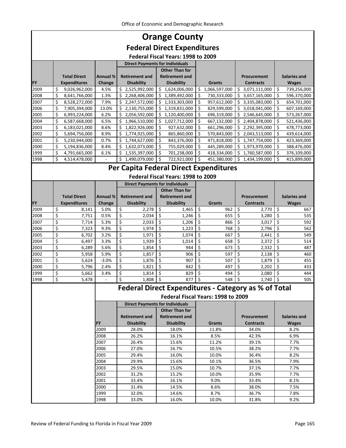|                                        | <b>Orange County</b>                   |                     |                 |                                                      |          |                                    |          |               |          |                    |          |                     |
|----------------------------------------|----------------------------------------|---------------------|-----------------|------------------------------------------------------|----------|------------------------------------|----------|---------------|----------|--------------------|----------|---------------------|
| <b>Federal Direct Expenditures</b>     |                                        |                     |                 |                                                      |          |                                    |          |               |          |                    |          |                     |
| Federal Fiscal Years: 1998 to 2009     |                                        |                     |                 |                                                      |          |                                    |          |               |          |                    |          |                     |
| <b>Direct Payments for Individuals</b> |                                        |                     |                 |                                                      |          |                                    |          |               |          |                    |          |                     |
|                                        |                                        |                     |                 |                                                      |          | <b>Other Than for</b>              |          |               |          |                    |          |                     |
|                                        |                                        | <b>Total Direct</b> | <b>Annual %</b> | <b>Retirement and</b>                                |          | <b>Retirement and</b>              |          |               |          | Procurement        |          | <b>Salaries and</b> |
| FY                                     |                                        | <b>Expenditures</b> | Change          | <b>Disability</b>                                    |          | <b>Disability</b>                  |          | Grants        |          | <b>Contracts</b>   |          | <b>Wages</b>        |
| 2009                                   | \$                                     | 9,026,962,000       | 4.5%            | \$<br>2,525,992,000                                  |          | \$1,624,006,000                    | \$       | 1,066,597,000 | \$       | 3,071,111,000      | \$       | 739,256,000         |
| 2008                                   | \$                                     | 8,641,766,000       | 1.3%            | \$<br>2,268,406,000                                  | \$       | 1,389,492,000                      | \$       | 730,333,000   | \$       | 3,657,165,000      | \$       | 596,370,000         |
| 2007                                   | \$                                     | 8,528,272,000       | 7.9%            | \$<br>2,247,572,000                                  | \$       | 1,333,303,000                      | \$       | 957,612,000   | \$       | 3,335,083,000      | \$       | 654,701,000         |
| 2006                                   | \$                                     | 7,905,394,000       | 13.0%           | \$<br>2,130,755,000                                  | \$       | 1,319,831,000                      | \$       | 829,599,000   | \$       | 3,018,041,000      | \$       | 607,169,000         |
| 2005                                   | \$                                     | 6,993,224,000       | 6.2%            | \$<br>2,056,592,000                                  | \$       | 1,120,400,000                      | \$       | 696,319,000   | \$       | 2,546,645,000      | \$       | 573,267,000         |
| 2004                                   | \$                                     | 6,587,668,000       | 6.5%            | \$<br>1,966,510,000                                  | \$       | 1,027,712,000                      | \$       | 667,132,000   | Ś.       | 2,404,878,000      | \$       | 521,436,000         |
| 2003                                   | \$                                     | 6,183,021,000       | 8.6%            | \$<br>1,822,926,000                                  | \$       | 927,632,000                        | \$       | 661,296,000   | \$       | 2,292,395,000      | \$       | 478,773,000         |
| 2002                                   | \$                                     | 5,694,756,000       | 8.9%            | \$<br>1,774,925,000                                  | \$       | 865,860,000                        | \$       | 570,843,000   | \$       | 2,043,513,000      | \$       | 439,614,000         |
| 2001                                   | \$                                     | 5,230,944,000       | 0.7%            | \$<br>1,744,627,000                                  | \$       | 843,376,000                        | \$       | 471,818,000   | \$       | 1,747,754,000      | \$       | 423,369,000         |
| 2000                                   | \$                                     | 5,194,836,000       | 8.4%            | \$<br>1,632,073,000                                  | \$       | 755,029,000                        | \$       | 445,289,000   | \$       | 1,973,970,000      | \$       | 388,476,000         |
| 1999                                   | \$                                     | 4,791,665,000       | 6.1%            | \$<br>1,535,397,000                                  | \$       | 701,238,000                        | \$       | 418,334,000   | \$       | 1,760,587,000      | \$       | 376,109,000         |
| 1998                                   | \$                                     | 4,514,478,000       |                 | \$<br>1,490,079,000                                  | \$       | 722,921,000                        | \$       | 451,380,000   | \$       | 1,434,199,000      | Ś        | 415,899,000         |
|                                        | Per Capita Federal Direct Expenditures |                     |                 |                                                      |          |                                    |          |               |          |                    |          |                     |
|                                        |                                        |                     |                 |                                                      |          | Federal Fiscal Years: 1998 to 2009 |          |               |          |                    |          |                     |
|                                        |                                        |                     |                 | <b>Direct Payments for Individuals</b>               |          |                                    |          |               |          |                    |          |                     |
|                                        |                                        |                     |                 |                                                      |          | <b>Other Than for</b>              |          |               |          |                    |          |                     |
|                                        |                                        | <b>Total Direct</b> | Annual %        | <b>Retirement and</b>                                |          | <b>Retirement and</b>              |          |               |          | Procurement        |          | <b>Salaries and</b> |
| FY                                     |                                        | <b>Expenditures</b> | Change          | <b>Disability</b>                                    |          | <b>Disability</b>                  |          | <b>Grants</b> |          | <b>Contracts</b>   |          | <b>Wages</b>        |
| 2009                                   | \$                                     | 8,141               | 5.0%            | \$<br>2,278                                          | \$       | 1,465                              | \$       | 962           | \$       | 2,770              | \$       | 667                 |
| 2008                                   | \$                                     | 7,751               | 0.5%            | \$<br>2,034                                          | \$       | 1,246                              | \$       | 655           | \$       | 3,280              | \$       | 535                 |
| 2007<br>2006                           | \$<br>\$                               | 7,714<br>7,323      | 5.3%<br>9.3%    | \$<br>2,033<br>\$                                    | \$<br>\$ | 1,206<br>1,223                     | \$<br>\$ | 866<br>768    | \$<br>\$ | 3,017<br>2,796     | \$<br>\$ | 592<br>562          |
| 2005                                   | \$                                     | 6,702               | 3.2%            | 1,974<br>\$<br>1,971                                 | \$       | 1,074                              | \$       | 667           | \$       | 2,441              | \$       | 549                 |
| 2004                                   | \$                                     | 6,497               | 3.3%            | \$<br>1,939                                          | \$       | 1,014                              | \$       | 658           | \$       | 2,372              | \$       | 514                 |
| 2003                                   | \$                                     | 6,289               | 5.6%            | \$<br>1,854                                          | \$       | 944                                | \$       | 673           | \$       | 2,332              | \$       | 487                 |
| 2002                                   | \$                                     | 5,958               | 5.9%            | \$<br>1,857                                          | \$       | 906                                | \$       | 597           | \$       | 2,138              | \$       | 460                 |
| 2001                                   | \$                                     | 5,624               | $-3.0%$         | \$<br>1,876                                          | \$       | 907                                | \$       | 507           | \$       | 1,879              | \$       | 455                 |
| 2000                                   | \$                                     | 5.796               | 2.4%            | \$<br>1,821                                          | \$       | 842                                | \$       | 497           | \$       | 2,202              | \$       | 433                 |
| 1999                                   | \$                                     | 5,662               | 3.4%            | \$<br>1,814                                          | \$       | 829                                | \$       | 494           | \$       | 2,080              | \$       | 444                 |
| 1998                                   | \$                                     | 5,478               | $\sim$          | Ś<br>1,808                                           | \$       | 877                                | Ś.       | 548           | \$       | 1,740              | \$       | 505                 |
|                                        |                                        |                     |                 | Federal Direct Expenditures - Category as % of Total |          |                                    |          |               |          |                    |          |                     |
|                                        |                                        |                     |                 |                                                      |          | Federal Fiscal Years: 1998 to 2009 |          |               |          |                    |          |                     |
|                                        |                                        |                     |                 |                                                      |          |                                    |          |               |          |                    |          |                     |
|                                        |                                        |                     |                 | <b>Direct Payments for Individuals</b>               |          | <b>Other Than for</b>              |          |               |          |                    |          |                     |
|                                        |                                        |                     |                 | <b>Retirement and</b>                                |          | <b>Retirement and</b>              |          |               |          | <b>Procurement</b> |          | <b>Salaries and</b> |
|                                        |                                        |                     | <b>FY</b>       | <b>Disability</b>                                    |          | <b>Disability</b>                  |          | <b>Grants</b> |          | <b>Contracts</b>   |          | Wages               |
|                                        |                                        |                     | 2009            | 28.0%                                                |          | 18.0%                              |          | 11.8%         |          | 34.0%              |          | 8.2%                |
|                                        |                                        |                     | 2008            | 26.2%                                                |          | 16.1%                              |          | 8.5%          |          | 42.3%              |          | 6.9%                |
|                                        |                                        |                     | 2007            | 26.4%                                                |          | 15.6%                              |          | 11.2%         |          | 39.1%              | 7.7%     |                     |
|                                        |                                        |                     | 2006            | 27.0%                                                |          | 16.7%                              |          | 10.5%         |          | 38.2%              |          | 7.7%                |
|                                        |                                        |                     | 2005            | 29.4%                                                |          | 16.0%                              |          | 10.0%         |          | 36.4%              |          | 8.2%                |
|                                        |                                        |                     | 2004            | 29.9%                                                |          | 15.6%                              |          | 10.1%         |          | 36.5%              |          | 7.9%                |
|                                        |                                        |                     | 2003            | 29.5%                                                |          | 15.0%                              |          | 10.7%         |          | 37.1%              | 7.7%     |                     |
|                                        |                                        |                     | 2002            | 31.2%                                                |          | 15.2%                              |          | 10.0%         |          | 35.9%              |          | 7.7%                |
|                                        |                                        |                     | 2001            | 33.4%                                                |          | 16.1%                              |          | 9.0%          |          | 33.4%              |          | 8.1%                |
|                                        |                                        |                     | 2000            | 31.4%                                                |          | 14.5%                              |          | 8.6%          |          | 38.0%              |          | 7.5%                |
|                                        |                                        |                     | 1999            | 32.0%                                                |          | 14.6%                              |          | 8.7%          |          | 36.7%              |          | 7.8%                |
|                                        |                                        |                     | 1998            | 33.0%                                                |          | 16.0%                              |          | 10.0%         |          | 31.8%              |          | 9.2%                |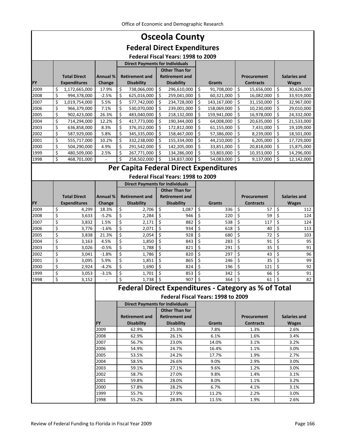| <b>Osceola County</b>              |                                                                 |                            |                 |                                        |                                        |                       |                                                             |                |                            |                     |                          |                  |                          |
|------------------------------------|-----------------------------------------------------------------|----------------------------|-----------------|----------------------------------------|----------------------------------------|-----------------------|-------------------------------------------------------------|----------------|----------------------------|---------------------|--------------------------|------------------|--------------------------|
|                                    |                                                                 |                            |                 |                                        |                                        |                       |                                                             |                |                            |                     |                          |                  |                          |
| <b>Federal Direct Expenditures</b> |                                                                 |                            |                 |                                        |                                        |                       |                                                             |                |                            |                     |                          |                  |                          |
| Federal Fiscal Years: 1998 to 2009 |                                                                 |                            |                 |                                        |                                        |                       |                                                             |                |                            |                     |                          |                  |                          |
|                                    |                                                                 |                            |                 | <b>Direct Payments for Individuals</b> |                                        |                       |                                                             |                |                            |                     |                          |                  |                          |
|                                    |                                                                 |                            |                 |                                        |                                        |                       | <b>Other Than for</b>                                       |                |                            |                     |                          |                  |                          |
|                                    |                                                                 | <b>Total Direct</b>        | <b>Annual %</b> |                                        | <b>Retirement and</b>                  |                       | <b>Retirement and</b>                                       |                |                            |                     | Procurement              |                  | <b>Salaries and</b>      |
| FY                                 |                                                                 | <b>Expenditures</b>        | Change          |                                        | <b>Disability</b>                      |                       | <b>Disability</b>                                           |                | <b>Grants</b>              |                     | <b>Contracts</b>         |                  | <b>Wages</b>             |
| 2009                               | \$                                                              | 1,172,665,000              | 17.9%           | \$                                     | 738,066,000                            | \$                    | 296,610,000                                                 | \$             | 91,708,000                 | \$                  | 15,656,000               | \$               | 30,626,000               |
| 2008                               | \$                                                              | 994,378,000                | $-2.5%$         | \$                                     | 625,016,000                            | \$                    | 259,041,000                                                 | \$             | 60,321,000                 | \$<br>Ś             | 16,082,000               | \$               | 33,919,000               |
| 2007                               | \$<br>\$                                                        | 1,019,754,000              | 5.5%            | \$                                     | 577,742,000                            | \$                    | 234,728,000                                                 | \$             | 143,167,000                | \$                  | 31,150,000               | \$               | 32,967,000               |
| 2006<br>2005                       | \$                                                              | 966,379,000<br>902,423,000 | 7.1%<br>26.3%   | \$<br>\$                               | 530,070,000<br>483,040,000             | \$<br>\$              | 239,001,000                                                 | \$<br>\$       | 158,069,000<br>159,941,000 | Ś                   | 10,230,000<br>16,978,000 | \$<br>\$         | 29,010,000               |
| 2004                               | \$                                                              | 714,294,000                | 12.2%           | \$                                     | 417,773,000                            | \$                    | 218,132,000<br>190,344,000                                  | \$             | 64,008,000                 | \$                  | 20,635,000               | \$               | 24,332,000<br>21,533,000 |
| 2003                               | \$                                                              | 636,858,000                | 8.3%            | \$                                     | 376,352,000                            | \$                    | 172,812,000                                                 | \$             | 61,155,000                 | \$                  | 7,431,000                | \$               | 19,109,000               |
| 2002                               | \$                                                              | 587,929,000                | 5.8%            | \$                                     | 345,335,000                            | \$                    | 158,467,000                                                 | \$             | 57,386,000                 | \$                  | 8,239,000                | \$               | 18,501,000               |
| 2001                               | \$                                                              | 555,717,000                | 10.2%           | \$                                     | 332,238,000                            | \$                    | 155,334,000                                                 | \$             | 44,210,000                 | \$                  | 6,205,000                | \$               | 17,729,000               |
| 2000                               | \$                                                              | 504,290,000                | 4.9%            | \$                                     | 291,542,000                            | \$                    | 142,205,000                                                 | \$             | 33,851,000                 | \$                  | 20,818,000               | \$               | 15,875,000               |
| 1999                               | \$                                                              | 480,509,000                | 2.5%            | \$                                     | 267,771,000                            | \$                    | 134,286,000                                                 | \$             | 53,803,000                 | \$                  | 10,353,000               | \$               | 14,296,000               |
| 1998                               | \$                                                              | 468,701,000                |                 | \$                                     | 258,502,000                            | \$                    | 134,837,000                                                 | \$             | 54,083,000                 | \$                  | 9,137,000                | \$               | 12,142,000               |
|                                    |                                                                 |                            |                 |                                        |                                        |                       |                                                             |                |                            |                     |                          |                  |                          |
|                                    | Per Capita Federal Direct Expenditures                          |                            |                 |                                        |                                        |                       |                                                             |                |                            |                     |                          |                  |                          |
|                                    |                                                                 |                            |                 |                                        |                                        |                       | Federal Fiscal Years: 1998 to 2009                          |                |                            |                     |                          |                  |                          |
|                                    |                                                                 |                            |                 |                                        | <b>Direct Payments for Individuals</b> |                       |                                                             |                |                            |                     |                          |                  |                          |
|                                    |                                                                 |                            |                 |                                        |                                        | <b>Other Than for</b> |                                                             |                |                            |                     |                          |                  |                          |
|                                    | <b>Total Direct</b><br><b>Annual %</b><br><b>Retirement and</b> |                            |                 | <b>Retirement and</b>                  |                                        |                       |                                                             | Procurement    |                            | <b>Salaries and</b> |                          |                  |                          |
| <b>FY</b>                          |                                                                 | <b>Expenditures</b>        | Change          |                                        | <b>Disability</b>                      |                       | <b>Disability</b>                                           |                | <b>Grants</b>              |                     | <b>Contracts</b>         |                  | <b>Wages</b>             |
| 2009                               | \$                                                              | 4,299                      | 18.3%           | \$                                     | 2,706                                  | \$                    | 1,087                                                       | \$             | 336                        | \$                  | 57                       | \$               | 112                      |
| 2008                               | \$                                                              | 3,633                      | $-5.2%$         | \$                                     | 2,284                                  | \$                    | 946                                                         | \$             | 220                        | $\zeta$             | 59                       | \$               | 124                      |
| 2007                               | \$                                                              | 3,832                      | 1.5%            | \$                                     | 2,171                                  | \$                    | 882                                                         | \$             | 538                        | \$                  | 117                      | \$               | 124                      |
| 2006                               | \$                                                              | 3,776                      | $-1.6%$         | \$                                     | 2,071                                  | \$                    | 934                                                         | \$             | 618                        | \$                  | 40                       | \$               | 113                      |
| 2005                               | \$                                                              | 3,838                      | 21.3%           | \$                                     | 2,054                                  | \$                    | 928                                                         | \$             | 680                        | \$                  | 72                       | \$               | 103                      |
| 2004                               | \$                                                              | 3,163                      | 4.5%            | \$                                     | 1,850                                  | \$                    | 843                                                         | \$             | 283                        | \$                  | 91                       | \$               | 95                       |
| 2003                               | \$                                                              | 3,026                      | $-0.5%$         | \$                                     | 1,788                                  | \$                    | 821                                                         | \$             | 291                        | \$                  | 35                       | $\overline{\xi}$ | 91                       |
| 2002                               | \$                                                              | 3,041                      | $-1.8%$         | \$                                     | 1,786                                  | \$                    | 820                                                         | \$             | 297                        | $\overline{\xi}$    | 43                       | $\overline{\xi}$ | 96                       |
| 2001                               | \$                                                              | 3,095                      | 5.9%            | \$                                     | 1,851                                  | \$                    | 865                                                         | \$             | 246                        | \$                  | 35                       | \$               | 99                       |
| 2000                               | \$                                                              | 2,924                      | $-4.2%$         | \$                                     | 1,690                                  | \$                    | 824                                                         | \$             | 196                        | \$                  | 121                      | \$               | 92                       |
| 1999                               | \$                                                              | 3,053                      | $-3.1%$         | \$                                     | 1,701                                  | \$                    | 853                                                         | \$             | 342                        | \$                  | 66                       | \$               | 91                       |
| 1998                               | \$                                                              | 3.152                      |                 | $\zeta$                                | 1,738                                  | Ś.                    | 907                                                         | Ś              | 364                        | $\zeta$             | 61                       | \$               | 82                       |
|                                    |                                                                 |                            |                 |                                        |                                        |                       | <b>Federal Direct Expenditures - Category as % of Total</b> |                |                            |                     |                          |                  |                          |
|                                    |                                                                 |                            |                 |                                        |                                        |                       | Federal Fiscal Years: 1998 to 2009                          |                |                            |                     |                          |                  |                          |
|                                    |                                                                 |                            |                 |                                        | <b>Direct Payments for Individuals</b> |                       |                                                             |                |                            |                     |                          |                  |                          |
|                                    |                                                                 |                            |                 |                                        |                                        |                       | <b>Other Than for</b>                                       |                |                            |                     |                          |                  |                          |
|                                    |                                                                 |                            |                 |                                        | <b>Retirement and</b>                  |                       | <b>Retirement and</b>                                       |                |                            |                     | Procurement              |                  | <b>Salaries and</b>      |
|                                    |                                                                 |                            | FY              |                                        | <b>Disability</b>                      |                       | <b>Disability</b>                                           |                | Grants                     |                     | <b>Contracts</b>         |                  |                          |
|                                    |                                                                 |                            | 2009            |                                        | 62.9%                                  |                       | 25.3%                                                       |                | 7.8%                       |                     | 1.3%                     |                  | Wages<br>2.6%            |
|                                    |                                                                 |                            | 2008            |                                        | 62.9%                                  |                       | 26.1%                                                       |                | 6.1%                       |                     | 1.6%                     |                  | 3.4%                     |
|                                    |                                                                 |                            | 2007            |                                        | 56.7%                                  |                       | 23.0%                                                       |                | 14.0%                      |                     | 3.1%                     |                  |                          |
|                                    |                                                                 |                            | 2006            |                                        | 54.9%                                  |                       | 24.7%                                                       |                |                            |                     |                          | 3.2%             |                          |
|                                    |                                                                 |                            | 2005            |                                        | 53.5%                                  |                       | 24.2%                                                       | 16.4%<br>17.7% |                            | 1.1%                |                          | 3.0%             |                          |
|                                    |                                                                 |                            | 2004            |                                        | 58.5%                                  |                       | 26.6%                                                       |                | 9.0%                       | 1.9%                |                          | 2.7%             |                          |
|                                    |                                                                 |                            | 2003            |                                        | 59.1%                                  |                       | 27.1%                                                       | 9.6%           |                            | 2.9%<br>1.2%        |                          | 3.0%<br>3.0%     |                          |
|                                    |                                                                 |                            | 2002            |                                        | 58.7%                                  |                       | 27.0%                                                       |                | 9.8%                       |                     | 1.4%                     |                  | 3.1%                     |
|                                    |                                                                 |                            | 2001            |                                        | 59.8%                                  |                       | 28.0%                                                       |                | 8.0%                       |                     | 1.1%                     |                  | 3.2%                     |
|                                    |                                                                 |                            | 2000            |                                        | 57.8%                                  |                       | 28.2%                                                       |                | 6.7%                       |                     | 4.1%                     |                  | 3.1%                     |
|                                    |                                                                 |                            | 1999            |                                        | 55.7%                                  |                       | 27.9%                                                       |                | 11.2%                      |                     | 2.2%                     |                  | 3.0%                     |
|                                    |                                                                 |                            |                 |                                        |                                        |                       |                                                             |                |                            |                     |                          |                  |                          |

1998 55.2% 28.8% 11.5% 1.9% 2.6%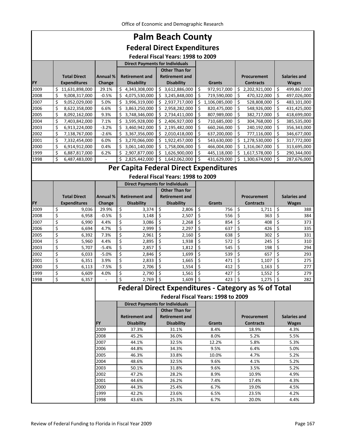|           |                      |          |                                        |    | <b>Palm Beach County</b>           |                     |    |                  |                     |
|-----------|----------------------|----------|----------------------------------------|----|------------------------------------|---------------------|----|------------------|---------------------|
|           |                      |          |                                        |    | <b>Federal Direct Expenditures</b> |                     |    |                  |                     |
|           |                      |          |                                        |    | Federal Fiscal Years: 1998 to 2009 |                     |    |                  |                     |
|           |                      |          | <b>Direct Payments for Individuals</b> |    |                                    |                     |    |                  |                     |
|           |                      |          |                                        |    | <b>Other Than for</b>              |                     |    |                  |                     |
|           | <b>Total Direct</b>  | Annual % | <b>Retirement and</b>                  |    | <b>Retirement and</b>              |                     |    | Procurement      | <b>Salaries and</b> |
| <b>FY</b> | <b>Expenditures</b>  | Change   | <b>Disability</b>                      |    | <b>Disability</b>                  | <b>Grants</b>       |    | <b>Contracts</b> | <b>Wages</b>        |
| 2009      | \$<br>11,631,898,000 | 29.1%    | \$<br>4,343,308,000                    | Ś. | 3,612,886,000                      | \$<br>972,917,000   | \$ | 2,202,921,000    | \$<br>499,867,000   |
| 2008      | \$<br>9,008,317,000  | $-0.5%$  | \$<br>4,075,530,000                    | Ś. | 3,245,848,000                      | \$<br>719,590,000   | \$ | 470,322,000      | \$<br>497,026,000   |
| 2007      | \$<br>9,052,029,000  | 5.0%     | 3,996,319,000                          | Ś. | 2,937,717,000                      | \$<br>1,106,085,000 | \$ | 528,808,000      | \$<br>483,101,000   |
| 2006      | \$<br>8,622,358,000  | 6.6%     | 3,863,250,000<br>\$                    | Ś  | 2,958,282,000                      | \$<br>820,475,000   | \$ | 548,926,000      | \$<br>431,425,000   |
| 2005      | \$<br>8,092,162,000  | 9.3%     | 3,748,346,000                          | Ś  | 2,734,411,000                      | \$<br>807,989,000   | \$ | 382,717,000      | \$<br>418,699,000   |
| 2004      | \$<br>7,403,842,000  | 7.1%     | 3,595,928,000<br>\$                    |    | 2,406,927,000                      | \$<br>710,685,000   |    | 304,768,000      | \$<br>385,535,000   |
| 2003      | \$<br>6,913,224,000  | $-3.2%$  | 3,460,942,000                          | Ś  | 2,195,482,000                      | \$<br>660,266,000   | \$ | 240,192,000      | \$<br>356,343,000   |
| 2002      | \$<br>7,138,767,000  | $-2.6%$  | 3,367,356,000                          | Ś  | 2,010,418,000                      | \$<br>637,200,000   |    | 777,116,000      | \$<br>346,677,000   |
| 2001      | \$<br>7,332,454,000  | 6.0%     | 3,270,066,000                          | Ś  | 1,922,457,000                      | \$<br>543,630,000   | Ś  | 1,278,530,000    | \$<br>317,772,000   |
| 2000      | \$<br>6,914,912,000  | 0.4%     | 3,061,140,000                          | Ś  | 1,758,006,000                      | \$<br>466,004,000   | Ś  | 1,316,067,000    | \$<br>313,695,000   |
| 1999      | \$<br>6,887,817,000  | 6.2%     | 2,907,877,000                          | Ś  | 1,626,900,000                      | \$<br>445,118,000   | Ś  | 1,617,578,000    | \$<br>290,344,000   |
| 1998      | \$<br>6,487,483,000  |          | Ś<br>2,825,442,000                     | Ś  | 1,642,062,000                      | \$<br>431,629,000   | Ś  | 1,300,674,000    | \$<br>287,676,000   |
|           |                      |          | Per Capita Federal Direct Expenditures |    |                                    |                     |    |                  |                     |
|           |                      |          |                                        |    | Federal Fiscal Years: 1998 to 2009 |                     |    |                  |                     |
|           |                      |          | <b>Direct Payments for Individuals</b> |    |                                    |                     |    |                  |                     |

|            |                     |          | Direct Payments for municipals |    |                       |    |               |    |                    |              |
|------------|---------------------|----------|--------------------------------|----|-----------------------|----|---------------|----|--------------------|--------------|
|            |                     |          |                                |    | <b>Other Than for</b> |    |               |    |                    |              |
|            | <b>Total Direct</b> | Annual % | <b>Retirement and</b>          |    | <b>Retirement and</b> |    |               |    | <b>Procurement</b> | Salaries and |
| <b>IFY</b> | <b>Expenditures</b> | Change   | <b>Disability</b>              |    | <b>Disability</b>     |    | <b>Grants</b> |    | <b>Contracts</b>   | <b>Wages</b> |
| 2009       | \$<br>9,036         | 29.9%    | 3,374                          |    | 2,806                 |    | 756           |    | 1,711              | 388          |
| 2008       | \$<br>6,958         | $-0.5%$  | 3,148                          |    | 2,507                 | \$ | 556           | \$ | 363                | 384          |
| 2007       | \$<br>6,990         | 4.4%     | 3,086                          |    | 2,268                 |    | 854           |    | 408                | 373          |
| 2006       | \$<br>6,694         | 4.7%     | 2,999                          | s  | 2,297                 | Ŝ. | 637           | S  | 426                | 335          |
| 2005       | \$<br>6,392         | 7.3%     | 2,961                          |    | 2,160                 |    | 638           |    | 302                | 331          |
| 2004       | \$<br>5,960         | 4.4%     | 2,895                          | Ś  | 1,938                 | \$ | 572           |    | 245                | 310          |
| 2003       | \$<br>5,707         | $-5.4%$  | 2,857                          | Ś. | 1,812                 | Ś. | 545           |    | 198                | 294          |
| 2002       | \$<br>6,033         | $-5.0%$  | 2,846                          |    | 1,699                 |    | 539           |    | 657                | 293          |
| 2001       | \$<br>6,351         | 3.9%     | 2,833                          |    | 1,665                 |    | 471           |    | 1,107              | 275          |
| 2000       | \$<br>6,113         | $-7.5%$  | 2,706                          |    | 1,554                 |    | 412           |    | 1,163              | 277          |
| 1999       | \$<br>6.609         | 4.0%     | 2,790                          |    | 1,561                 |    | 427           |    | 1,552              | 279          |
| 1998       | \$<br>6,357         |          | 2,769                          |    | 1,609                 | \$ | 423           |    | 1,275              | 282          |

|           |                       | <b>Direct Payments for Individuals</b> |               |                    |              |
|-----------|-----------------------|----------------------------------------|---------------|--------------------|--------------|
|           |                       | <b>Other Than for</b>                  |               |                    |              |
|           | <b>Retirement and</b> | <b>Retirement and</b>                  |               | <b>Procurement</b> | Salaries and |
| <b>FY</b> | <b>Disability</b>     | <b>Disability</b>                      | <b>Grants</b> | <b>Contracts</b>   | <b>Wages</b> |
| 2009      | 37.3%                 | 31.1%                                  | 8.4%          | 18.9%              | 4.3%         |
| 2008      | 45.2%                 | 36.0%                                  | 8.0%          | 5.2%               | 5.5%         |
| 2007      | 44.1%                 | 32.5%                                  | 12.2%         | 5.8%               | 5.3%         |
| 2006      | 44.8%                 | 34.3%                                  | 9.5%          | 6.4%               | 5.0%         |
| 2005      | 46.3%                 | 33.8%                                  | 10.0%         | 4.7%               | 5.2%         |
| 2004      | 48.6%                 | 32.5%                                  | 9.6%          | 4.1%               | 5.2%         |
| 2003      | 50.1%                 | 31.8%                                  | 9.6%          | 3.5%               | 5.2%         |
| 2002      | 47.2%                 | 28.2%                                  | 8.9%          | 10.9%              | 4.9%         |
| 2001      | 44.6%                 | 26.2%                                  | 7.4%          | 17.4%              | 4.3%         |
| 2000      | 44.3%                 | 25.4%                                  | 6.7%          | 19.0%              | 4.5%         |
| 1999      | 42.2%                 | 23.6%                                  | 6.5%          | 23.5%              | 4.2%         |
| 1998      | 43.6%                 | 25.3%                                  | 6.7%          | 20.0%              | 4.4%         |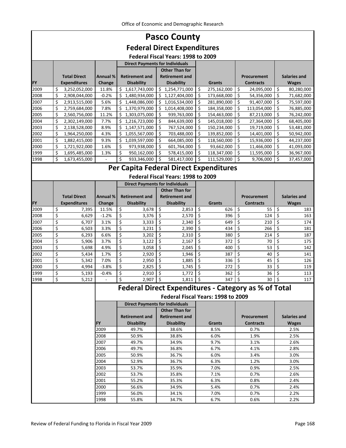|              |                                            |                        |                                        | <b>Pasco County</b>                                  |          |               |                                         |                        |
|--------------|--------------------------------------------|------------------------|----------------------------------------|------------------------------------------------------|----------|---------------|-----------------------------------------|------------------------|
|              |                                            |                        |                                        | <b>Federal Direct Expenditures</b>                   |          |               |                                         |                        |
|              |                                            |                        |                                        | Federal Fiscal Years: 1998 to 2009                   |          |               |                                         |                        |
|              |                                            |                        | <b>Direct Payments for Individuals</b> |                                                      |          |               |                                         |                        |
|              |                                            |                        |                                        | <b>Other Than for</b>                                |          |               |                                         |                        |
|              | <b>Total Direct</b>                        | Annual %               | <b>Retirement and</b>                  | <b>Retirement and</b>                                |          |               | Procurement                             | <b>Salaries and</b>    |
| FY           | <b>Expenditures</b>                        | Change                 | <b>Disability</b>                      | <b>Disability</b>                                    |          | <b>Grants</b> | <b>Contracts</b>                        | <b>Wages</b>           |
| 2009         | \$<br>3,252,052,000                        | 11.8%                  | 1,617,743,000<br>\$                    | \$<br>1,254,771,000                                  | \$       | 275,162,000   | \$<br>24,095,000                        | \$<br>80,280,000       |
| 2008         | \$<br>2,908,044,000                        | $-0.2%$                | \$<br>1,480,934,000                    | \$<br>1,127,404,000                                  | \$       | 173,668,000   | \$<br>54,356,000                        | \$<br>71,682,000       |
| 2007         | \$<br>2,913,515,000                        | 5.6%                   | \$<br>1,448,086,000                    | \$<br>1,016,534,000                                  | \$       | 281,890,000   | Ś<br>91,407,000                         | \$<br>75,597,000       |
| 2006         | \$<br>2,759,684,000                        | 7.8%                   | \$<br>1,370,979,000                    | \$<br>1,014,408,000                                  | \$       | 184,358,000   | \$<br>113,054,000                       | \$<br>76,885,000       |
| 2005         | \$<br>2,560,756,000                        | 11.2%                  | Ś<br>1,303,075,000                     | \$<br>939,763,000                                    | \$       | 154,463,000   | \$<br>87,213,000                        | \$<br>76,242,000       |
| 2004         | \$<br>2,302,149,000                        | 7.7%                   | \$<br>1,216,723,000                    | \$<br>844,639,000                                    | \$       | 145,018,000   | \$<br>27,364,000                        | \$<br>68,405,000       |
| 2003         | \$<br>2,138,528,000                        | 8.9%                   | \$<br>1,147,571,000                    | \$<br>767,524,000                                    | \$       | 150,234,000   | \$<br>19,719,000                        | \$<br>53,481,000       |
| 2002         | \$<br>1,964,250,000                        | 4.3%                   | \$<br>1,055,567,000                    | \$<br>703,488,000                                    | \$       | 139,852,000   | \$<br>14,401,000                        | \$<br>50,942,000       |
| 2001         | \$<br>1,882,415,000                        | 9.3%                   | \$<br>1,039,597,000                    | \$<br>664,085,000                                    | \$       | 118,560,000   | \$<br>15,936,000                        | \$<br>44,237,000       |
| 2000         | \$<br>1,721,922,000                        | 1.6%                   | \$<br>973,938,000                      | \$<br>601,764,000                                    | \$       | 93,662,000    | \$<br>11,466,000                        | \$<br>41,093,000       |
| 1999         | \$<br>1,695,485,000<br>\$<br>1,673,455,000 | 1.3%<br>$\overline{a}$ | \$<br>950,162,000<br>\$                | \$<br>578,415,000                                    | \$       | 118,347,000   | \$<br>11,595,000<br>$\ddot{\mathsf{S}}$ | \$<br>36,967,000<br>\$ |
| 1998         |                                            |                        | 933,346,000                            | \$<br>581,417,000                                    | \$       | 111,529,000   | 9,706,000                               | 37,457,000             |
|              |                                            |                        |                                        | Per Capita Federal Direct Expenditures               |          |               |                                         |                        |
|              |                                            |                        |                                        | Federal Fiscal Years: 1998 to 2009                   |          |               |                                         |                        |
|              |                                            |                        | <b>Direct Payments for Individuals</b> |                                                      |          |               |                                         |                        |
|              |                                            |                        |                                        | <b>Other Than for</b>                                |          |               |                                         |                        |
|              | <b>Total Direct</b>                        | <b>Annual %</b>        | <b>Retirement and</b>                  | <b>Retirement and</b>                                |          |               | Procurement                             | <b>Salaries and</b>    |
| <b>FY</b>    | <b>Expenditures</b>                        | Change                 | <b>Disability</b>                      | <b>Disability</b>                                    |          | <b>Grants</b> | <b>Contracts</b>                        | <b>Wages</b>           |
| 2009         | \$<br>7,395                                | 11.5%                  | \$<br>3,678<br>\$                      | \$<br>2,853                                          | \$       | 626           | \$<br>55                                | \$<br>183<br>\$        |
| 2008<br>2007 | \$<br>6,629<br>\$<br>6,707                 | $-1.2%$<br>3.1%        | 3,376<br>\$                            | \$<br>2,570<br>\$                                    | \$<br>\$ | 396<br>649    | \$<br>124<br>\$<br>210                  | 163<br>\$<br>174       |
| 2006         | \$<br>6,503                                | 3.3%                   | 3,333<br>\$<br>3,231                   | 2,340<br>\$<br>2,390                                 | \$       | 434           | \$<br>266                               | \$<br>181              |
| 2005         | \$<br>6,293                                | 6.6%                   | \$<br>3,202                            | \$<br>2,310                                          | \$       | 380           | \$<br>214                               | \$<br>187              |
| 2004         | \$<br>5,906                                | 3.7%                   | \$<br>3,122                            | \$<br>2,167                                          | \$       | 372           | \$<br>70                                | \$<br>175              |
| 2003         | \$<br>5,698                                | 4.9%                   | \$<br>3,058                            | \$<br>2,045                                          | \$       | 400           | \$<br>53                                | \$<br>142              |
| 2002         | \$<br>5,434                                | 1.7%                   | \$<br>2,920                            | \$<br>1,946                                          | \$       | 387           | \$<br>40                                | \$<br>141              |
| 2001         | \$<br>5,342                                | 7.0%                   | \$<br>2,950                            | \$<br>1,885                                          | \$       | 336           | \$<br>45                                | \$<br>126              |
| 2000         | \$<br>4,994                                | $-3.8%$                | \$<br>2,825                            | \$<br>1,745                                          | \$       | 272           | \$<br>33                                | \$<br>119              |
| 1999         | \$<br>5,193                                | $-0.4%$                | \$<br>2,910                            | \$<br>1,772                                          | \$       | 362           | \$<br>36                                | \$<br>113              |
| 1998         | \$<br>5,212                                |                        | \$<br>2,907                            | \$<br>1.811                                          | \$       | 347           | $\zeta$<br>30                           | \$<br>117              |
|              |                                            |                        |                                        | Federal Direct Expenditures - Category as % of Total |          |               |                                         |                        |
|              |                                            |                        |                                        | Federal Fiscal Years: 1998 to 2009                   |          |               |                                         |                        |
|              |                                            |                        | <b>Direct Payments for Individuals</b> |                                                      |          |               |                                         |                        |
|              |                                            |                        |                                        | <b>Other Than for</b>                                |          |               |                                         |                        |
|              |                                            |                        | <b>Retirement and</b>                  | <b>Retirement and</b>                                |          |               | Procurement                             | <b>Salaries and</b>    |
|              |                                            | <b>FY</b>              | <b>Disability</b>                      | <b>Disability</b>                                    |          | Grants        | <b>Contracts</b>                        | Wages                  |
|              |                                            | 2009                   | 49.7%                                  | 38.6%                                                |          | 8.5%          | 0.7%                                    | 2.5%                   |
|              |                                            | 2008                   | 50.9%                                  | 38.8%                                                |          | 6.0%          | 1.9%                                    | 2.5%                   |
|              |                                            | 2007                   | 49.7%                                  | 34.9%                                                |          | 9.7%          | 3.1%                                    | 2.6%                   |
|              |                                            | 2006                   | 49.7%                                  | 36.8%                                                |          | 6.7%          | 4.1%                                    | 2.8%                   |
|              |                                            | 2005                   | 50.9%                                  | 36.7%                                                |          | 6.0%          | 3.4%                                    | 3.0%                   |
|              |                                            | 2004                   | 52.9%                                  | 36.7%                                                |          | 6.3%          | 1.2%                                    | 3.0%                   |
|              |                                            | 2003                   | 53.7%                                  | 35.9%                                                |          | 7.0%          | 0.9%                                    | 2.5%                   |
|              |                                            | 2002                   | 53.7%                                  | 35.8%                                                |          | 7.1%          | 0.7%                                    | 2.6%                   |
|              |                                            | 2001                   | 55.2%                                  | 35.3%                                                |          | 6.3%          | 0.8%                                    | 2.4%                   |
|              |                                            | 2000<br>1999           | 56.6%                                  | 34.9%                                                |          | 5.4%          | 0.7%                                    | 2.4%                   |
|              |                                            | 1998                   | 56.0%<br>55.8%                         | 34.1%<br>34.7%                                       |          | 7.0%<br>6.7%  | 0.7%<br>0.6%                            | 2.2%<br>2.2%           |
|              |                                            |                        |                                        |                                                      |          |               |                                         |                        |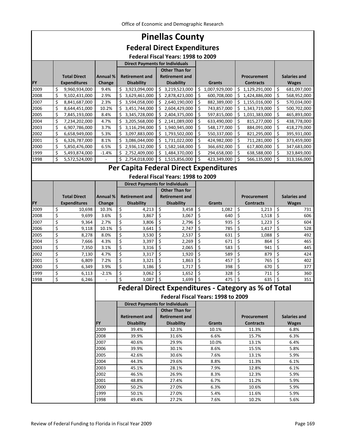|              |          |                                |                 |                                                             |          | <b>Pinellas County</b>             |          |                            |          |                                |          |                            |
|--------------|----------|--------------------------------|-----------------|-------------------------------------------------------------|----------|------------------------------------|----------|----------------------------|----------|--------------------------------|----------|----------------------------|
|              |          |                                |                 |                                                             |          |                                    |          |                            |          |                                |          |                            |
|              |          |                                |                 |                                                             |          | <b>Federal Direct Expenditures</b> |          |                            |          |                                |          |                            |
|              |          |                                |                 |                                                             |          | Federal Fiscal Years: 1998 to 2009 |          |                            |          |                                |          |                            |
|              |          |                                |                 | <b>Direct Payments for Individuals</b>                      |          |                                    |          |                            |          |                                |          |                            |
|              |          |                                |                 |                                                             |          | <b>Other Than for</b>              |          |                            |          |                                |          |                            |
|              |          | <b>Total Direct</b>            | <b>Annual %</b> | <b>Retirement and</b>                                       |          | <b>Retirement and</b>              |          |                            |          | Procurement                    |          | <b>Salaries and</b>        |
| FY           |          | <b>Expenditures</b>            | Change          | <b>Disability</b>                                           |          | <b>Disability</b>                  |          | Grants                     |          | <b>Contracts</b>               |          | <b>Wages</b>               |
| 2009<br>2008 | \$<br>\$ | 9,960,934,000                  | 9.4%<br>2.9%    | 3,923,094,000<br>\$.                                        | \$       | \$3,219,523,000                    | \$<br>\$ | 1,007,929,000              | \$       | 1,129,291,000<br>1,424,886,000 | \$<br>\$ | 681,097,000<br>568,952,000 |
| 2007         | \$       | 9,102,431,000<br>8,841,687,000 | 2.3%            | \$<br>3,629,461,000<br>\$<br>3,594,058,000                  | \$       | 2,878,423,000<br>2,640,190,000     | \$       | 600,708,000<br>882,389,000 | \$<br>\$ | 1,155,016,000                  | \$       | 570,034,000                |
| 2006         | \$       | 8,644,451,000                  | 10.2%           | \$<br>3,451,744,000                                         | \$       | 2,604,429,000                      | \$       | 743,857,000                | \$       | 1,343,719,000                  | \$       | 500,702,000                |
| 2005         | \$       | 7,845,193,000                  | 8.4%            | \$<br>3,345,728,000                                         | \$       | 2,404,375,000                      | \$       | 597,815,000                | \$       | 1,031,383,000                  | \$       | 465,893,000                |
| 2004         | \$       | 7,234,202,000                  | 4.7%            | \$<br>3,205,568,000                                         | \$       | 2,141,089,000                      | \$       | 633,490,000                | \$       | 815,277,000                    | \$       | 438,778,000                |
| 2003         | \$       | 6,907,786,000                  | 3.7%            | \$<br>3,116,294,000                                         | \$       | 1,940,945,000                      | \$       | 548,177,000                | \$       | 884,091,000                    | Ś        | 418,279,000                |
| 2002         | \$       | 6,658,949,000                  | 5.3%            | \$<br>3,097,883,000                                         | Ś        | 1,793,502,000                      | \$       | 550,337,000                | \$       | 821,295,000                    | Ś        | 395,931,000                |
| 2001         | \$       | 6,326,787,000                  | 8.1%            | \$<br>3,086,044,000                                         | \$       | 1,731,022,000                      | \$       | 424,982,000                | \$       | 711,281,000                    | \$       | 373,459,000                |
| 2000         | \$       | 5,850,476,000                  | 6.5%            | \$<br>2,936,132,000                                         | \$       | 1,582,168,000                      | \$       | 366,692,000                | \$       | 617,800,000                    | \$       | 347,683,000                |
| 1999         | \$       | 5,493,874,000                  | $-1.4%$         | \$<br>2,752,409,000                                         | \$       | 1,484,370,000                      | \$       | 294,658,000                | \$       | 638,588,000                    | \$       | 323,849,000                |
| 1998         | \$       | 5,572,524,000                  |                 | \$<br>2,754,018,000                                         | \$       | 1,515,856,000                      | \$       | 423,349,000                | Ś        | 566,135,000                    | Ś        | 313,166,000                |
|              |          |                                |                 | Per Capita Federal Direct Expenditures                      |          |                                    |          |                            |          |                                |          |                            |
|              |          |                                |                 |                                                             |          |                                    |          |                            |          |                                |          |                            |
|              |          |                                |                 |                                                             |          | Federal Fiscal Years: 1998 to 2009 |          |                            |          |                                |          |                            |
|              |          |                                |                 | <b>Direct Payments for Individuals</b>                      |          |                                    |          |                            |          |                                |          |                            |
|              |          |                                |                 |                                                             |          | <b>Other Than for</b>              |          |                            |          |                                |          |                            |
|              |          | <b>Total Direct</b>            | <b>Annual %</b> | <b>Retirement and</b>                                       |          | <b>Retirement and</b>              |          |                            |          | Procurement                    |          | <b>Salaries and</b>        |
| FY           |          | <b>Expenditures</b>            | Change          | <b>Disability</b>                                           |          | <b>Disability</b>                  |          | Grants                     |          | <b>Contracts</b>               |          | <b>Wages</b>               |
| 2009         | \$       | 10,698                         | 10.3%           | \$<br>4,213                                                 | \$       | 3,458                              | \$       | 1,082                      | \$       | 1,213                          | \$       | 731                        |
| 2008         | \$       | 9,699                          | 3.6%            | \$<br>3,867                                                 | \$       | 3,067                              | \$       | 640                        | \$       | 1,518                          | \$       | 606                        |
| 2007         | \$       | 9,364                          | 2.7%            | \$<br>3,806                                                 | \$       | 2,796                              | \$       | 935                        | \$       | 1,223                          | \$       | 604                        |
| 2006         | \$       | 9,118                          | 10.1%           | \$<br>3,641                                                 | \$       | 2,747                              | \$       | 785                        | \$       | 1,417                          | \$       | 528                        |
| 2005         | \$       | 8,278                          | 8.0%            | \$<br>3,530                                                 | \$       | 2,537                              | \$       | 631                        | \$       | 1,088                          | \$       | 492                        |
| 2004         | \$       | 7,666                          | 4.3%            | \$<br>3,397                                                 | \$       | 2,269                              | \$       | 671                        | \$       | 864                            | \$       | 465                        |
| 2003         | \$<br>\$ | 7,350                          | 3.1%            | \$<br>3,316<br>\$                                           | \$<br>\$ | 2,065                              | \$<br>\$ | 583                        | \$<br>\$ | 941                            | \$<br>\$ | 445<br>424                 |
| 2002         | \$       | 7,130                          | 4.7%            | 3,317<br>\$                                                 | \$       | 1,920                              | \$       | 589                        | \$       | 879                            | \$       |                            |
| 2001<br>2000 | \$       | 6,809                          | 7.2%            | 3,321<br>\$                                                 | \$       | 1,863                              | \$       | 457                        | \$       | 765                            | \$       | 402                        |
| 1999         | \$       | 6,349<br>6,113                 | 3.9%<br>$-2.1%$ | 3,186<br>\$<br>3,062                                        | \$       | 1,717<br>1,652                     | \$       | 398<br>328                 | \$       | 670<br>711                     | \$       | 377<br>360                 |
| 1998         | Ś        | 6,246                          |                 | Ś<br>3,087                                                  | \$       | 1,699                              | $\zeta$  | 475                        | \$       | 635                            | \$       | 351                        |
|              |          |                                |                 |                                                             |          |                                    |          |                            |          |                                |          |                            |
|              |          |                                |                 | <b>Federal Direct Expenditures - Category as % of Total</b> |          |                                    |          |                            |          |                                |          |                            |
|              |          |                                |                 |                                                             |          | Federal Fiscal Years: 1998 to 2009 |          |                            |          |                                |          |                            |
|              |          |                                |                 | <b>Direct Payments for Individuals</b>                      |          |                                    |          |                            |          |                                |          |                            |
|              |          |                                |                 |                                                             |          | <b>Other Than for</b>              |          |                            |          |                                |          |                            |
|              |          |                                |                 | <b>Retirement and</b>                                       |          | <b>Retirement and</b>              |          |                            |          | <b>Procurement</b>             |          | <b>Salaries and</b>        |
|              |          |                                | <b>FY</b>       | <b>Disability</b>                                           |          | <b>Disability</b>                  |          | Grants                     |          | <b>Contracts</b>               |          | <b>Wages</b>               |
|              |          |                                | 2009            | 39.4%                                                       |          | 32.3%                              |          | 10.1%                      |          | 11.3%                          |          | 6.8%                       |
|              |          |                                | 2008            | 39.9%                                                       |          | 31.6%                              |          | 6.6%                       |          | 15.7%                          |          | 6.3%                       |
|              |          |                                | 2007            | 40.6%                                                       |          | 29.9%                              |          | 10.0%                      |          | 13.1%                          |          | 6.4%                       |
|              |          |                                | 2006            | 39.9%                                                       |          | 30.1%                              |          | 8.6%                       |          | 15.5%                          |          | 5.8%                       |
|              |          |                                | 2005            | 42.6%                                                       |          | 30.6%                              |          | 7.6%                       |          | 13.1%                          |          | 5.9%                       |
|              |          |                                | 2004            | 44.3%                                                       |          | 29.6%                              |          | 8.8%                       |          | 11.3%                          |          | 6.1%                       |
|              |          |                                | 2003            | 45.1%                                                       |          | 28.1%                              |          | 7.9%                       |          | 12.8%                          |          | 6.1%                       |
|              |          |                                | 2002            | 46.5%                                                       |          | 26.9%                              |          | 8.3%                       |          | 12.3%                          |          | 5.9%                       |
|              |          |                                | 2001            | 48.8%                                                       |          | 27.4%                              |          | 6.7%                       |          | 11.2%                          |          | 5.9%                       |
|              |          |                                | 2000            | 50.2%                                                       |          | 27.0%                              |          | 6.3%                       |          | 10.6%                          |          | 5.9%                       |
|              |          |                                | 1999            | 50.1%                                                       |          | 27.0%                              |          | 5.4%                       |          | 11.6%                          |          | 5.9%                       |

1998 49.4% 27.2% 7.6% 10.2% 5.6%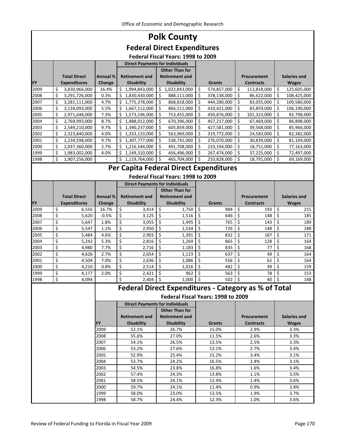|                   |                           |                 |                                        | <b>Polk County</b>                     |          |                      |                                                      |                     |
|-------------------|---------------------------|-----------------|----------------------------------------|----------------------------------------|----------|----------------------|------------------------------------------------------|---------------------|
|                   |                           |                 |                                        | <b>Federal Direct Expenditures</b>     |          |                      |                                                      |                     |
|                   |                           |                 |                                        | Federal Fiscal Years: 1998 to 2009     |          |                      |                                                      |                     |
|                   |                           |                 | <b>Direct Payments for Individuals</b> |                                        |          |                      |                                                      |                     |
|                   |                           |                 |                                        | <b>Other Than for</b>                  |          |                      |                                                      |                     |
|                   | <b>Total Direct</b>       | Annual %        | <b>Retirement and</b>                  | <b>Retirement and</b>                  |          |                      | Procurement                                          | <b>Salaries and</b> |
| FY                | <b>Expenditures</b>       | Change          | <b>Disability</b>                      | <b>Disability</b>                      |          | <b>Grants</b>        | <b>Contracts</b>                                     | <b>Wages</b>        |
| 2009              | \$<br>3,830,966,000       | 16.4%           | 1,994,843,000<br>\$                    | \$<br>1,022,843,000                    | \$       | 574,857,000          | \$<br>112,818,000                                    | \$<br>125,605,000   |
| 2008              | \$<br>3,291,726,000       | 0.3%            | \$<br>1,830,430,000                    | \$<br>888,111,000                      | \$       | 378,138,000          | \$<br>86,622,000                                     | \$<br>108,425,000   |
| 2007              | \$<br>3,281,111,000       | 4.7%            | \$<br>1,775,378,000                    | \$<br>868,818,000                      | \$       | 444,280,000          | \$<br>83,055,000                                     | \$<br>109,580,000   |
| 2006              | \$<br>3,134,093,000       | 5.5%            | \$<br>1,667,112,000                    | \$<br>866,511,000                      | \$       | 410,421,000          | \$<br>83,859,000                                     | \$<br>106,190,000   |
| 2005              | \$<br>2,971,648,000       | 7.3%            | Ś<br>1,573,196,000                     | \$<br>753,455,000                      | \$       | 450,876,000          | \$<br>101,323,000                                    | \$<br>92,798,000    |
| 2004              | \$<br>2,769,993,000       | 8.7%            | \$<br>1,488,012,000                    | \$<br>670,396,000                      | \$       | 457,217,000          | \$<br>67,469,000                                     | \$<br>86,898,000    |
| 2003              | \$<br>2,549,210,000       | 9.7%            | \$<br>1,390,237,000                    | \$<br>605,859,000                      | \$       | 427,581,000          | \$<br>39,568,000                                     | \$<br>85,966,000    |
| 2002              | \$<br>2,323,840,000       | 4.0%            | \$<br>1,333,133,000                    | \$<br>563,969,000                      | \$       | 319,772,000          | \$<br>24,583,000                                     | \$<br>82,382,000    |
| 2001              | \$<br>2,234,598,000       | 9.7%            | \$<br>1,307,777,000                    | \$<br>538,741,000                      | \$       | 276,070,000          | \$<br>30,839,000                                     | \$<br>81,169,000    |
| 2000              | \$<br>2,037,360,000       | 2.7%            | \$<br>1,216,544,000                    | \$<br>491,708,000                      | \$       | 233,194,000          | \$<br>18,751,000                                     | \$<br>77,163,000    |
| 1999              | \$<br>1,983,002,000       | 4.0%            | \$<br>1,149,310,000                    | \$<br>456,496,000                      | \$       | 267,474,000          | \$<br>37,225,000                                     | \$<br>72,497,000    |
| 1998              | \$<br>1,907,256,000       | $\overline{a}$  | \$<br>1,119,764,000                    | \$<br>465,704,000                      | \$       | 233,828,000          | $\zeta$<br>18,791,000                                | \$<br>69,169,000    |
|                   |                           |                 |                                        | Per Capita Federal Direct Expenditures |          |                      |                                                      |                     |
|                   |                           |                 |                                        | Federal Fiscal Years: 1998 to 2009     |          |                      |                                                      |                     |
|                   |                           |                 | <b>Direct Payments for Individuals</b> |                                        |          |                      |                                                      |                     |
|                   |                           |                 |                                        | <b>Other Than for</b>                  |          |                      |                                                      |                     |
|                   | <b>Total Direct</b>       | <b>Annual %</b> | <b>Retirement and</b>                  | <b>Retirement and</b>                  |          |                      | Procurement                                          | <b>Salaries and</b> |
| <b>FY</b><br>2009 | <b>Expenditures</b><br>\$ | Change<br>16.7% | <b>Disability</b>                      | <b>Disability</b><br>\$                |          | <b>Grants</b><br>984 | <b>Contracts</b>                                     | <b>Wages</b><br>\$  |
| 2008              | 6,556<br>\$<br>5,620      | $-0.5%$         | \$<br>3,414<br>\$<br>3,125             | 1,750<br>\$<br>1,516                   | \$<br>\$ | 646                  | \$<br>193<br>\$<br>148                               | 215<br>\$<br>185    |
| 2007              | \$<br>5,647               | 1.8%            | \$<br>3,055                            | \$<br>1,495                            | \$       | 765                  | \$<br>143                                            | \$<br>189           |
| 2006              | \$<br>5,547               | 1.1%            | \$<br>2,950                            | \$<br>1,534                            | \$       | 726                  | \$<br>148                                            | \$<br>188           |
| 2005              | \$<br>5,484               | 4.6%            | \$<br>2,903                            | \$<br>1,391                            | \$       | 832                  | \$<br>187                                            | \$<br>171           |
| 2004              | \$<br>5,242               | 5.3%            | \$<br>2,816                            | \$<br>1,269                            | \$       | 865                  | \$<br>128                                            | \$<br>164           |
| 2003              | \$<br>4,980               | 7.7%            | \$<br>2,716                            | \$<br>1,183                            | \$       | 835                  | \$<br>77                                             | \$<br>168           |
| 2002              | \$<br>4,626               | 2.7%            | \$<br>2,654                            | \$<br>1,123                            | \$       | 637                  | \$<br>49                                             | \$<br>164           |
| 2001              | \$<br>4,504               | 7.0%            | \$<br>2,636                            | \$<br>1,086                            | \$       | 556                  | \$<br>62                                             | \$<br>164           |
| 2000              | \$<br>4,210               | 0.8%            | \$<br>2,514                            | \$<br>1,016                            | \$       | 482                  | \$<br>39                                             | \$<br>159           |
| 1999              | \$<br>4,177               | 2.0%            | \$<br>2,421                            | \$<br>962                              | \$       | 563                  | \$<br>78                                             | \$<br>153           |
| 1998              | \$<br>4,094               |                 | \$<br>2,404                            | \$<br>1,000                            | \$       | 502                  | $\zeta$<br>40                                        | \$<br>148           |
|                   |                           |                 |                                        |                                        |          |                      | Federal Direct Expenditures - Category as % of Total |                     |
|                   |                           |                 |                                        | Federal Fiscal Years: 1998 to 2009     |          |                      |                                                      |                     |
|                   |                           |                 | <b>Direct Payments for Individuals</b> |                                        |          |                      |                                                      |                     |
|                   |                           |                 |                                        | <b>Other Than for</b>                  |          |                      |                                                      |                     |
|                   |                           |                 | <b>Retirement and</b>                  | <b>Retirement and</b>                  |          |                      | Procurement                                          | <b>Salaries and</b> |
|                   |                           | <b>FY</b>       | <b>Disability</b>                      | <b>Disability</b>                      |          | <b>Grants</b>        | <b>Contracts</b>                                     | Wages               |
|                   |                           | 2009            | 52.1%                                  | 26.7%                                  |          | 15.0%                | 2.9%                                                 | 3.3%                |
|                   |                           | 2008            | 55.6%                                  | 27.0%                                  |          | 11.5%                | 2.6%                                                 | 3.3%                |
|                   |                           | 2007            | 54.1%                                  | 26.5%                                  |          | 13.5%                | 2.5%                                                 | 3.3%                |
|                   |                           | 2006            | 53.2%                                  | 27.6%                                  |          | 13.1%                | 2.7%                                                 | 3.4%                |
|                   |                           | 2005            | 52.9%                                  | 25.4%                                  |          | 15.2%                | 3.4%                                                 | 3.1%                |
|                   |                           | 2004            | 53.7%                                  | 24.2%                                  |          | 16.5%                | 2.4%                                                 | 3.1%                |
|                   |                           | 2003            | 54.5%                                  | 23.8%                                  |          | 16.8%                | 1.6%                                                 | 3.4%                |
|                   |                           | 2002            | 57.4%                                  | 24.3%                                  |          | 13.8%                | 1.1%                                                 | 3.5%                |
|                   |                           | 2001            | 58.5%                                  | 24.1%                                  |          | 12.4%                | 1.4%                                                 | 3.6%                |
|                   |                           | 2000            | 59.7%                                  | 24.1%                                  |          | 11.4%                | 0.9%                                                 | 3.8%                |
|                   |                           | 1999            | 58.0%                                  | 23.0%                                  |          | 13.5%                | 1.9%                                                 | 3.7%                |
|                   |                           | 1998            | 58.7%                                  | 24.4%                                  |          | 12.3%                | 1.0%                                                 | 3.6%                |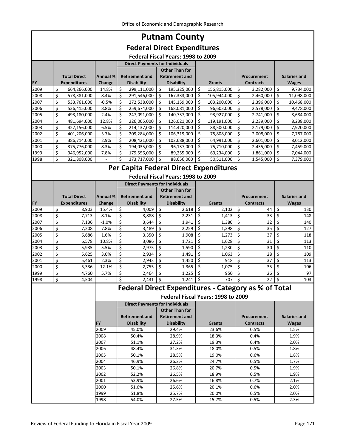|           |                           |                 |                                        | mee or economic and bemographic research                        |         |                   |                                  |                         |
|-----------|---------------------------|-----------------|----------------------------------------|-----------------------------------------------------------------|---------|-------------------|----------------------------------|-------------------------|
|           |                           |                 |                                        | <b>Putnam County</b>                                            |         |                   |                                  |                         |
|           |                           |                 |                                        | <b>Federal Direct Expenditures</b>                              |         |                   |                                  |                         |
|           |                           |                 |                                        | Federal Fiscal Years: 1998 to 2009                              |         |                   |                                  |                         |
|           |                           |                 |                                        |                                                                 |         |                   |                                  |                         |
|           |                           |                 |                                        | <b>Direct Payments for Individuals</b><br><b>Other Than for</b> |         |                   |                                  |                         |
|           | <b>Total Direct</b>       | Annual %        | <b>Retirement and</b>                  | <b>Retirement and</b>                                           |         |                   | <b>Procurement</b>               | <b>Salaries and</b>     |
| <b>FY</b> | <b>Expenditures</b>       | Change          | <b>Disability</b>                      | <b>Disability</b>                                               |         | Grants            | <b>Contracts</b>                 | <b>Wages</b>            |
| 2009      | \$<br>664,266,000         | 14.8%           | \$<br>299,111,000                      | \$<br>195,325,000                                               | \$      | 156,815,000       | \$<br>3,282,000                  | \$<br>9,734,000         |
| 2008      | \$<br>578,381,000         | 8.4%            | \$<br>291,546,000                      | \$<br>167,333,000                                               | \$      | 105,944,000       | $\zeta$<br>2,460,000             | \$<br>11,098,000        |
| 2007      | \$<br>533,761,000         | $-0.5%$         | \$<br>272,538,000                      | \$<br>145,159,000                                               | \$      | 103,200,000       | $\zeta$<br>2,396,000             | \$<br>10,468,000        |
| 2006      | \$<br>536,415,000         | 8.8%            | \$<br>259,674,000                      | \$<br>168,081,000                                               | \$      | 96,603,000        | $\zeta$<br>2,578,000             | \$<br>9,478,000         |
| 2005      | \$<br>493,180,000         | 2.4%            | \$<br>247,091,000                      | \$<br>140,737,000                                               | \$      | 93,927,000        | $\zeta$<br>2,741,000             | \$<br>8,684,000         |
| 2004      | \$<br>481,694,000         | 12.8%           | \$<br>226,005,000                      | \$<br>126,021,000                                               | \$      | 119,191,000       | \$<br>2,239,000                  | \$<br>8,238,000         |
| 2003      | \$<br>427,156,000         | 6.5%            | \$<br>214,137,000                      | \$<br>114,420,000                                               | \$      | 88,500,000        | \$<br>2,179,000                  | \$<br>7,920,000         |
| 2002      | \$<br>401,206,000         | 3.7%            | \$<br>209,284,000                      | \$<br>106,319,000                                               | \$      | 75,808,000        | $\zeta$<br>2,008,000             | \$<br>7,787,000         |
| 2001      | \$<br>386,714,000         | 2.9%            | \$<br>208,421,000                      | \$<br>102,688,000                                               | \$      | 64,991,000        | $\zeta$<br>2,601,000             | \$<br>8,012,000         |
| 2000      | \$<br>375,776,000         | 8.3%            | \$<br>194,035,000                      | \$<br>96,137,000                                                | \$      | 75,710,000        | $\zeta$<br>2,435,000             | \$<br>7,459,000         |
| 1999      | \$<br>346,952,000         | 7.8%            | \$<br>179,556,000                      | \$<br>89,255,000                                                | \$      | 69,234,000        | $\zeta$<br>1,861,000             | \$<br>7,044,000         |
| 1998      | \$<br>321,808,000         |                 | \$<br>173,717,000                      | \$<br>88,656,000                                                | $\zeta$ | 50,511,000        | $\ddot{\mathsf{s}}$<br>1,545,000 | \$<br>7,379,000         |
|           |                           |                 |                                        |                                                                 |         |                   |                                  |                         |
|           |                           |                 | Per Capita Federal Direct Expenditures |                                                                 |         |                   |                                  |                         |
|           |                           |                 |                                        | Federal Fiscal Years: 1998 to 2009                              |         |                   |                                  |                         |
|           |                           |                 |                                        | <b>Direct Payments for Individuals</b>                          |         |                   |                                  |                         |
|           |                           |                 |                                        | <b>Other Than for</b>                                           |         |                   |                                  |                         |
|           | <b>Total Direct</b>       | <b>Annual %</b> | <b>Retirement and</b>                  | <b>Retirement and</b>                                           |         |                   | Procurement                      | <b>Salaries and</b>     |
|           |                           |                 |                                        |                                                                 |         |                   |                                  |                         |
| <b>FY</b> | <b>Expenditures</b>       | Change          | <b>Disability</b>                      | <b>Disability</b>                                               |         | <b>Grants</b>     | <b>Contracts</b>                 | <b>Wages</b>            |
| 2009      | \$<br>8,903               | 15.4%           | \$<br>4,009                            | \$<br>2,618                                                     | \$      | 2,102             | $\zeta$<br>44                    | \$<br>130               |
| 2008      | \$<br>7,713               | 8.1%            | \$<br>3,888                            | \$<br>2,231                                                     | \$      | 1,413             | $\zeta$<br>33                    | \$<br>148               |
| 2007      | \$<br>7,136               | $-1.0%$         | \$<br>3,644                            | \$<br>1,941                                                     | \$      | 1,380             | $\zeta$<br>32                    | \$<br>140               |
| 2006      | \$<br>7,208               | 7.8%            | \$<br>3,489                            | \$<br>2,259                                                     | \$      | 1,298             | \$<br>35                         | $\overline{\xi}$<br>127 |
| 2005      | \$<br>6,686               | 1.6%            | \$<br>3,350                            | \$<br>1,908                                                     | \$      | 1,273             | \$<br>37                         | $\overline{\xi}$<br>118 |
| 2004      | \$<br>6,578               | 10.8%           | \$<br>3,086                            | \$<br>1,721                                                     | \$      | 1,628             | \$<br>31                         | $\overline{\xi}$<br>113 |
| 2003      | \$<br>5,935               | 5.5%            | \$<br>2,975                            | \$<br>1,590                                                     | \$      | 1,230             | $\zeta$<br>30                    | \$<br>110               |
| 2002      | \$<br>5,625               | 3.0%            | \$<br>2,934                            | \$<br>1,491                                                     | \$      | 1,063             | \$<br>28                         | \$<br>109               |
| 2001      | \$<br>5,461               | 2.3%            | \$<br>2,943                            | \$<br>1,450                                                     | \$      | 918               | \$<br>37                         | \$<br>113               |
| 2000      | \$<br>5,336               | 12.1%           | \$<br>2,755                            | \$<br>1,365                                                     | \$      | 1,075             | \$<br>35                         | \$<br>106               |
| 1999      | \$<br>4,760               | 5.7%            | \$<br>2,464                            | \$<br>1,225                                                     | \$      | 950               | \$<br>26                         | \$<br>97                |
|           | $\overline{\xi}$<br>4,504 |                 | $2,431$ \$                             | $1,241$ \$                                                      |         | $707 \frac{1}{5}$ | $\overline{22}$ \$               | 103                     |
|           |                           |                 |                                        | <b>Federal Direct Expenditures - Category as % of Total</b>     |         |                   |                                  |                         |
| 1998      |                           |                 |                                        | Federal Fiscal Years: 1998 to 2009                              |         |                   |                                  |                         |
|           |                           |                 |                                        | <b>Direct Payments for Individuals</b>                          |         |                   |                                  |                         |
|           |                           |                 |                                        | <b>Other Than for</b>                                           |         |                   |                                  |                         |
|           |                           |                 | <b>Retirement and</b>                  | <b>Retirement and</b>                                           |         |                   | Procurement                      | <b>Salaries and</b>     |
|           |                           | <b>FY</b>       | <b>Disability</b>                      | <b>Disability</b>                                               |         | Grants            | <b>Contracts</b>                 | <b>Wages</b>            |
|           |                           | 2009            | 45.0%                                  | 29.4%                                                           |         | 23.6%             | 0.5%                             | 1.5%                    |
|           |                           | 2008            | 50.4%                                  | 28.9%                                                           |         | 18.3%             | 0.4%                             | 1.9%                    |
|           |                           | 2007            | 51.1%                                  | 27.2%                                                           |         | 19.3%             | 0.4%                             | 2.0%                    |
|           |                           | 2006            | 48.4%                                  | 31.3%                                                           |         | 18.0%             | 0.5%                             | 1.8%                    |
|           |                           | 2005            | 50.1%                                  | 28.5%                                                           |         | 19.0%             | 0.6%                             | 1.8%                    |
|           |                           | 2004            | 46.9%                                  | 26.2%                                                           |         | 24.7%             | 0.5%                             | 1.7%                    |
|           |                           | 2003            | 50.1%                                  | 26.8%                                                           |         | 20.7%             | 0.5%                             | 1.9%                    |

2001 | 53.9% | 26.6% | 16.8% | 0.7% | 2.1% 2000 51.6% 25.6% 20.1% 0.6% 2.0% 1999 51.8% 25.7% 20.0% 0.5% 2.0% 1998 54.0% 27.5% 15.7% 0.5% 2.3%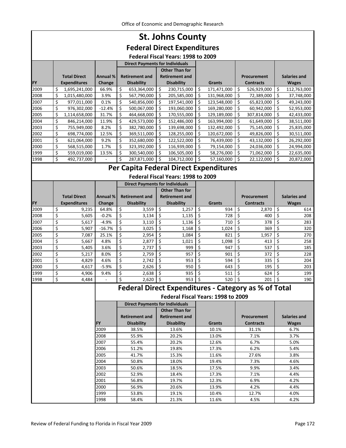|                                   |                    |                            |                          |          |                                        |          | <b>St. Johns County</b>                                     |          |                            |                  |                          |          |                          |
|-----------------------------------|--------------------|----------------------------|--------------------------|----------|----------------------------------------|----------|-------------------------------------------------------------|----------|----------------------------|------------------|--------------------------|----------|--------------------------|
|                                   |                    |                            |                          |          |                                        |          | <b>Federal Direct Expenditures</b>                          |          |                            |                  |                          |          |                          |
|                                   |                    |                            |                          |          |                                        |          | Federal Fiscal Years: 1998 to 2009                          |          |                            |                  |                          |          |                          |
|                                   |                    |                            |                          |          | <b>Direct Payments for Individuals</b> |          |                                                             |          |                            |                  |                          |          |                          |
|                                   |                    |                            |                          |          |                                        |          | <b>Other Than for</b>                                       |          |                            |                  |                          |          |                          |
|                                   |                    | <b>Total Direct</b>        | <b>Annual %</b>          |          | <b>Retirement and</b>                  |          | <b>Retirement and</b>                                       |          |                            |                  | Procurement              |          | <b>Salaries and</b>      |
| <b>FY</b>                         |                    | <b>Expenditures</b>        | Change                   |          | <b>Disability</b>                      |          | <b>Disability</b>                                           |          | <b>Grants</b>              |                  | <b>Contracts</b>         |          | <b>Wages</b>             |
| 2009                              | \$                 | 1,695,241,000              | 66.9%                    | \$       | 653,364,000                            | \$       | 230,715,000                                                 | \$       | 171,471,000                | \$               | 526,929,000              | \$       | 112,763,000              |
| 2008                              | \$                 | 1,015,480,000              | 3.9%                     | \$       | 567,790,000                            | \$       | 205,585,000                                                 | \$       | 131,968,000                | \$               | 72,389,000               | \$       | 37,748,000               |
| 2007                              | \$                 | 977,011,000                | 0.1%                     | \$       | 540,856,000                            | \$       | 197,541,000                                                 | \$       | 123,548,000                | \$               | 65,823,000               | \$       | 49,243,000               |
| 2006                              | \$                 | 976,302,000                | $-12.4%$                 | \$       | 500,067,000                            | \$       | 193,060,000                                                 | \$       | 169,280,000                | \$               | 60,942,000               | \$       | 52,953,000               |
| 2005                              | \$                 | 1,114,658,000              | 31.7%                    | \$       | 464,668,000                            | \$       | 170,555,000                                                 | \$       | 129,189,000                | \$               | 307,814,000              | \$       | 42,433,000               |
| 2004                              | \$<br>\$           | 846,214,000                | 11.9%                    | \$<br>\$ | 429,573,000                            | \$<br>\$ | 152,486,000                                                 | \$<br>\$ | 163,994,000                | \$<br>\$         | 61,649,000               | \$<br>\$ | 38,511,000               |
| 2003<br>2002                      | \$                 | 755,949,000<br>698,774,000 | 8.2%<br>12.5%            | \$       | 382,780,000<br>369,511,000             | \$       | 139,698,000                                                 | \$       | 132,492,000<br>120,672,000 | \$               | 75,145,000               | \$       | 25,835,000               |
| 2001                              | \$                 | 621,064,000                | 9.2%                     | \$       | 352,680,000                            | \$       | 128,255,000<br>122,522,000                                  | \$       | 76,439,000                 | \$               | 49,826,000<br>43,132,000 | \$       | 30,511,000<br>26,292,000 |
| 2000                              | \$                 | 568,515,000                | 1.7%                     | \$       | 323,392,000                            | \$       | 116,939,000                                                 | \$       | 79,154,000                 | \$               | 24,036,000               | \$       | 24,994,000               |
| 1999                              | \$                 | 559,019,000                | 13.5%                    | \$       | 300,540,000                            | \$       | 106,505,000                                                 | \$       | 58,276,000                 | \$               | 71,062,000               | \$       | 22,635,000               |
| 1998                              | \$                 | 492,737,000                |                          | \$       | 287,871,000                            | \$       | 104,712,000                                                 | \$       | 57,160,000                 | Ŝ.               | 22,122,000               | \$       | 20,872,000               |
|                                   |                    |                            |                          |          |                                        |          | Per Capita Federal Direct Expenditures                      |          |                            |                  |                          |          |                          |
|                                   |                    |                            |                          |          |                                        |          | Federal Fiscal Years: 1998 to 2009                          |          |                            |                  |                          |          |                          |
|                                   |                    |                            |                          |          |                                        |          |                                                             |          |                            |                  |                          |          |                          |
|                                   |                    |                            |                          |          |                                        |          |                                                             |          |                            |                  |                          |          |                          |
|                                   |                    |                            |                          |          | <b>Direct Payments for Individuals</b> |          | <b>Other Than for</b>                                       |          |                            |                  |                          |          |                          |
|                                   |                    | <b>Total Direct</b>        | Annual %                 |          | <b>Retirement and</b>                  |          | <b>Retirement and</b>                                       |          |                            |                  | Procurement              |          | <b>Salaries and</b>      |
|                                   |                    | <b>Expenditures</b>        | Change                   |          | <b>Disability</b>                      |          | <b>Disability</b>                                           |          | <b>Grants</b>              |                  | <b>Contracts</b>         |          | <b>Wages</b>             |
| 2009                              | \$                 | 9,235                      | 64.8%                    | \$       | 3,559                                  | \$       | 1,257                                                       | \$       | 934                        | \$               | 2,870                    | \$       | 614                      |
| 2008                              | \$                 | 5,605                      | $-0.2%$                  | \$       | 3,134                                  | \$       | 1,135                                                       | \$       | 728                        | $\overline{\xi}$ | 400                      | \$       | 208                      |
| 2007                              | \$                 | 5,617                      | $-4.9%$                  | \$       | 3,110                                  | \$       | 1,136                                                       | \$       | 710                        | $\zeta$          | 378                      | \$       | 283                      |
| 2006                              | \$                 | 5,907                      | $-16.7%$                 | \$       | 3,025                                  | \$       | 1,168                                                       | \$       | 1,024                      | \$               | 369                      | \$       | 320                      |
| 2005                              | \$                 | 7,087                      | 25.1%                    | \$       | 2,954                                  | \$       | 1,084                                                       | \$       | 821                        | \$               | 1,957                    | \$       | 270                      |
| 2004                              | \$                 | 5,667                      | 4.8%                     | \$       | 2,877                                  | \$       | 1,021                                                       | \$       | 1,098                      | \$               | 413                      | \$       | 258                      |
| 2003                              | \$                 | 5,405                      | 3.6%                     | \$       | 2,737                                  | \$       | 999                                                         | \$       | 947                        | \$               | 537                      | \$       | 185                      |
| 2002                              | \$                 | 5,217                      | 8.0%                     | \$       | 2,759                                  | \$       | 957                                                         | \$       | 901                        | \$               | 372                      | \$       | 228                      |
|                                   | \$                 | 4,829                      | 4.6%                     | \$       | 2,742                                  | \$       | 953                                                         | \$       | 594                        | \$               | 335                      | \$       | 204                      |
| 2000                              | \$                 | 4,617                      | $-5.9%$                  | \$       | 2,626                                  | \$       | 950                                                         | \$       | 643                        | \$               | 195                      | \$       | 203                      |
|                                   | \$                 | 4,906                      | 9.4%                     | \$       | 2,638                                  | \$       | 935                                                         | \$       | 511                        | \$               | 624                      | \$       | 199                      |
|                                   | $\mathsf{\hat{S}}$ | 4,484                      | $\overline{\phantom{a}}$ | $\zeta$  | 2,620                                  | \$       | 953                                                         | \$       | 520                        | $\mathcal{S}$    | 201                      | \$       | 190                      |
|                                   |                    |                            |                          |          |                                        |          | <b>Federal Direct Expenditures - Category as % of Total</b> |          |                            |                  |                          |          |                          |
|                                   |                    |                            |                          |          |                                        |          | Federal Fiscal Years: 1998 to 2009                          |          |                            |                  |                          |          |                          |
|                                   |                    |                            |                          |          | <b>Direct Payments for Individuals</b> |          |                                                             |          |                            |                  |                          |          |                          |
| <b>FY</b><br>2001<br>1999<br>1998 |                    |                            |                          |          | <b>Retirement and</b>                  |          | <b>Other Than for</b><br><b>Retirement and</b>              |          |                            |                  | Procurement              |          | <b>Salaries and</b>      |

2009 | 38.5% | 13.6% | 10.1% | 31.1% | 6.7% 2008 55.9% 20.2% 13.0% 7.1% 3.7% 2007 55.4% 20.2% 12.6% 6.7% 5.0% 2006 51.2% 19.8% 17.3% 6.2% 5.4% 2005 41.7% 15.3% 11.6% 27.6% 3.8% 2004 50.8% 18.0% 19.4% 7.3% 4.6% 2003 50.6% 18.5% 17.5% 9.9% 3.4% 2002 52.9% 18.4% 17.3% 7.1% 4.4% 2001 56.8% 19.7% 12.3% 6.9% 4.2% 2000 56.9% 20.6% 13.9% 4.2% 4.4% 1999 53.8% 19.1% 10.4% 12.7% 4.0% 1998 58.4% 21.3% 11.6% 4.5% 4.2%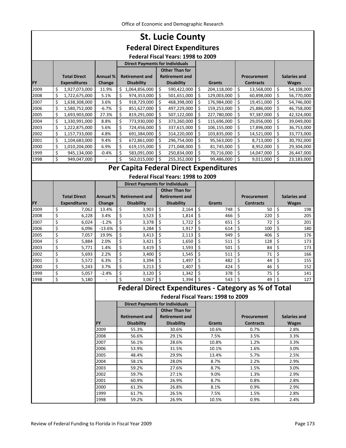|              |          |                                |                   |          |                                                      |          | <b>St. Lucie County</b>            |          |                            |                  |                          |                  |                          |
|--------------|----------|--------------------------------|-------------------|----------|------------------------------------------------------|----------|------------------------------------|----------|----------------------------|------------------|--------------------------|------------------|--------------------------|
|              |          |                                |                   |          |                                                      |          | <b>Federal Direct Expenditures</b> |          |                            |                  |                          |                  |                          |
|              |          |                                |                   |          |                                                      |          | Federal Fiscal Years: 1998 to 2009 |          |                            |                  |                          |                  |                          |
|              |          |                                |                   |          | <b>Direct Payments for Individuals</b>               |          |                                    |          |                            |                  |                          |                  |                          |
|              |          |                                |                   |          |                                                      |          | <b>Other Than for</b>              |          |                            |                  |                          |                  |                          |
|              |          | <b>Total Direct</b>            | <b>Annual %</b>   |          | <b>Retirement and</b>                                |          | <b>Retirement and</b>              |          |                            |                  | Procurement              |                  | <b>Salaries and</b>      |
| FY           |          | <b>Expenditures</b>            | Change            |          | <b>Disability</b>                                    |          | <b>Disability</b>                  |          | <b>Grants</b>              |                  | <b>Contracts</b>         |                  | <b>Wages</b>             |
| 2009         | \$       | 1,927,073,000                  | 11.9%             | \$       | 1,064,856,000                                        | \$       | 590,422,000                        | \$       | 204,118,000                | \$               | 13,568,000               | \$               | 54,108,000               |
| 2008         | \$       | 1,722,675,000                  | 5.1%              | \$       | 974,353,000                                          | \$       | 501,651,000                        | \$       | 129,003,000                | \$               | 60,898,000               | \$               | 56,770,000               |
| 2007         | \$       | 1,638,308,000                  | 3.6%              | \$       | 918,729,000                                          | \$       | 468,398,000                        | \$       | 176,984,000                | Ś                | 19,451,000               | \$               | 54,746,000               |
| 2006<br>2005 | \$<br>\$ | 1,580,752,000                  | $-6.7%$           | \$<br>\$ | 851,627,000                                          | \$<br>\$ | 497,229,000                        | \$<br>\$ | 159,253,000                | \$<br>\$         | 25,886,000               | \$<br>\$         | 46,758,000               |
| 2004         | \$       | 1,693,903,000                  | 27.3%<br>8.8%     | \$       | 819,291,000                                          | \$       | 507,122,000<br>373,260,000         | \$       | 227,780,000<br>115,696,000 | \$               | 97,387,000<br>29,056,000 | \$               | 42,324,000               |
| 2003         | \$       | 1,330,991,000<br>1,222,875,000 | 5.6%              | \$       | 773,930,000<br>724,456,000                           | \$       | 337,615,000                        | \$       | 106,155,000                | \$               | 17,896,000               | \$               | 39,049,000               |
| 2002         | \$       | 1,157,733,000                  | 4.8%              | \$       | 691,384,000                                          | \$       | 314,220,000                        | \$       |                            | \$               | 14,521,000               | \$               | 36,753,000               |
| 2001         | \$       | 1,104,683,000                  | 9.4%              | \$       | 672,861,000                                          | \$       | 296,754,000                        | \$       | 103,835,000<br>95,563,000  | \$               | 8,713,000                | \$               | 33,773,000<br>30,792,000 |
| 2000         | \$       | 1,010,204,000                  | 6.9%              | \$       | 619,155,000                                          | \$       | 271,048,000                        | \$       | 81,745,000                 | \$               | 8,952,000                | \$               | 29,304,000               |
| 1999         | \$       | 945,134,000                    | $-0.4%$           | \$       | 583,091,000                                          | \$       | 250,834,000                        | \$       | 70,716,000                 | \$               | 14,047,000               | \$               | 26,447,000               |
| 1998         | \$       | 949,047,000                    |                   | \$       | 562,015,000                                          | \$       | 255,352,000                        | \$       | 99,486,000                 | \$               | 9,011,000                | \$               | 23,183,000               |
|              |          |                                |                   |          |                                                      |          |                                    |          |                            |                  |                          |                  |                          |
|              |          |                                |                   |          | Per Capita Federal Direct Expenditures               |          |                                    |          |                            |                  |                          |                  |                          |
|              |          |                                |                   |          |                                                      |          | Federal Fiscal Years: 1998 to 2009 |          |                            |                  |                          |                  |                          |
|              |          |                                |                   |          | <b>Direct Payments for Individuals</b>               |          |                                    |          |                            |                  |                          |                  |                          |
|              |          |                                |                   |          |                                                      |          | <b>Other Than for</b>              |          |                            |                  |                          |                  |                          |
|              |          | <b>Total Direct</b>            | <b>Annual %</b>   |          | <b>Retirement and</b>                                |          | <b>Retirement and</b>              |          |                            |                  | Procurement              |                  | <b>Salaries and</b>      |
| FY           |          | <b>Expenditures</b>            | Change            |          | <b>Disability</b>                                    |          | <b>Disability</b>                  |          | Grants                     |                  | <b>Contracts</b>         |                  | <b>Wages</b>             |
| 2009         | \$       | 7,062                          | 13.4%             | \$       | 3,903                                                | \$       | 2,164                              | \$       | 748                        | \$               | 50                       | \$               | 198                      |
| 2008         | \$       | 6,228                          | 3.4%              | \$       | 3,523                                                | \$       | 1,814                              | \$       | 466                        | \$               | 220                      | \$               | 205                      |
| 2007         | \$       | 6,024                          | $-1.2%$           | \$       | 3,378                                                | \$       | 1,722                              | \$       | 651                        | \$               | 72                       | \$               | 201                      |
| 2006         | \$       | 6,096                          | $-13.6%$          | \$       | 3,284                                                | \$       | 1,917                              | \$       | 614                        | \$               | 100                      | \$               | 180                      |
| 2005         | \$       | 7,057                          | 19.9%             | \$       | 3,413                                                | \$       | 2,113                              | \$       | 949                        | \$               | 406                      | \$               | 176                      |
| 2004         | \$       | 5,884                          | 2.0%              | \$       | 3,421                                                | \$       | 1,650                              | \$       | 511                        | $\overline{\xi}$ | 128                      | $\overline{\xi}$ | 173                      |
| 2003         | \$       | 5,771                          | 1.4%              | \$       | 3,419                                                | \$       | 1,593                              | \$       | 501                        | \$               | 84                       | $\overline{\xi}$ | 173                      |
| 2002         | \$       | 5,693                          | 2.2%              | \$       | 3,400                                                | \$       | 1,545                              | \$       | 511                        | \$               | 71                       | $\overline{\xi}$ | 166                      |
| 2001         | \$       | 5,572                          | 6.3%              | \$       | 3,394                                                | \$       | 1,497                              | \$       | 482                        | \$               | 44                       | \$               | 155                      |
| 2000         | \$       | 5,243                          | 3.7%              | \$       | 3,213                                                | \$       | 1,407                              | \$       | 424                        | \$               | 46                       | \$               | 152                      |
| 1999         | \$       | 5,057                          | $-2.4%$           | \$       | 3,120                                                | \$       | 1,342                              | \$       | 378                        | \$               | 75                       | \$               | 141                      |
| 1998         | \$       | 5,180                          |                   | Ś        | 3,067                                                | \$       | 1,394                              | Ś        | 543                        | \$               | 49                       | \$               | 127                      |
|              |          |                                |                   |          | Federal Direct Expenditures - Category as % of Total |          |                                    |          |                            |                  |                          |                  |                          |
|              |          |                                |                   |          |                                                      |          | Federal Fiscal Years: 1998 to 2009 |          |                            |                  |                          |                  |                          |
|              |          |                                |                   |          |                                                      |          |                                    |          |                            |                  |                          |                  |                          |
|              |          |                                |                   |          | <b>Direct Payments for Individuals</b>               |          |                                    |          |                            |                  |                          |                  |                          |
|              |          |                                |                   |          |                                                      |          | <b>Other Than for</b>              |          |                            |                  |                          |                  |                          |
|              |          |                                |                   |          | <b>Retirement and</b><br><b>Disability</b>           |          | <b>Retirement and</b>              |          |                            |                  | Procurement              |                  | <b>Salaries and</b>      |
|              |          |                                | <b>FY</b><br>2009 |          | 55.3%                                                |          | <b>Disability</b><br>30.6%         |          | Grants<br>10.6%            |                  | <b>Contracts</b><br>0.7% |                  | Wages<br>2.8%            |
|              |          |                                | 2008              |          | 56.6%                                                |          | 29.1%                              |          | 7.5%                       |                  | 3.5%                     |                  | 3.3%                     |
|              |          |                                | 2007              |          | 56.1%                                                |          | 28.6%                              |          | 10.8%                      |                  | 1.2%                     |                  | 3.3%                     |
|              |          |                                | 2006              |          | 53.9%                                                |          | 31.5%                              |          | 10.1%                      |                  | 1.6%                     |                  | 3.0%                     |
|              |          |                                | 2005              |          | 48.4%                                                |          | 29.9%                              |          | 13.4%                      |                  | 5.7%                     |                  | 2.5%                     |
|              |          |                                |                   |          |                                                      |          |                                    |          |                            |                  |                          |                  |                          |
|              |          |                                | 2004<br>2003      |          | 58.1%<br>59.2%                                       |          | 28.0%<br>27.6%                     |          | 8.7%<br>8.7%               |                  | 2.2%<br>1.5%             |                  | 2.9%<br>3.0%             |
|              |          |                                | 2002              |          | 59.7%                                                |          | 27.1%                              |          |                            |                  | 1.3%                     |                  | 2.9%                     |
|              |          |                                | 2001              |          | 60.9%                                                |          | 26.9%                              |          | 9.0%<br>8.7%               |                  | 0.8%                     |                  | 2.8%                     |
|              |          |                                | 2000              |          | 61.3%                                                |          | 26.8%                              |          | 8.1%                       |                  | 0.9%                     |                  | 2.9%                     |
|              |          |                                | 1999              |          | 61.7%                                                |          | 26.5%                              |          | 7.5%                       |                  | 1.5%                     |                  | 2.8%                     |
|              |          |                                |                   |          |                                                      |          |                                    |          |                            |                  |                          |                  |                          |

1998 59.2% 26.9% 10.5% 0.9% 2.4%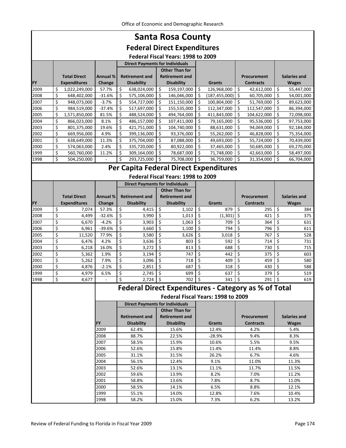|           |                     |          |    |                                        | <b>Santa Rosa County</b>           |    |                                        |                   |                  |
|-----------|---------------------|----------|----|----------------------------------------|------------------------------------|----|----------------------------------------|-------------------|------------------|
|           |                     |          |    |                                        | <b>Federal Direct Expenditures</b> |    |                                        |                   |                  |
|           |                     |          |    |                                        | Federal Fiscal Years: 1998 to 2009 |    |                                        |                   |                  |
|           |                     |          |    | <b>Direct Payments for Individuals</b> |                                    |    |                                        |                   |                  |
|           |                     |          |    |                                        | <b>Other Than for</b>              |    |                                        |                   |                  |
|           | <b>Total Direct</b> | Annual % |    | <b>Retirement and</b>                  | <b>Retirement and</b>              |    |                                        | Procurement       | Salaries and     |
| <b>FY</b> | <b>Expenditures</b> | Change   |    | <b>Disability</b>                      | <b>Disability</b>                  |    | <b>Grants</b>                          | <b>Contracts</b>  | <b>Wages</b>     |
| 2009      | \$<br>1,022,249,000 | 57.7%    | \$ | 638,024,000                            | \$<br>159,197,000                  | \$ | 126,968,000                            | \$<br>42,612,000  | \$<br>55,447,000 |
| 2008      | \$<br>648,402,000   | $-31.6%$ | \$ | 575,106,000                            | \$<br>146,046,000                  | \$ | (187, 455, 000)                        | \$<br>60,705,000  | \$<br>54,001,000 |
| 2007      | \$<br>948,073,000   | $-3.7%$  | \$ | 554,727,000                            | \$<br>151,150,000                  | \$ | 100,804,000                            | \$<br>51,769,000  | \$<br>89,623,000 |
| 2006      | \$<br>984,519,000   | $-37.4%$ | \$ | 517,697,000                            | \$<br>155,535,000                  | \$ | 112,347,000                            | \$<br>112,547,000 | \$<br>86,394,000 |
| 2005      | \$<br>1,571,850,000 | 81.5%    | \$ | 488,524,000                            | \$<br>494,764,000                  | \$ | 411,843,000                            | \$<br>104,622,000 | \$<br>72,098,000 |
| 2004      | \$<br>866,023,000   | 8.1%     | \$ | 486,157,000                            | \$<br>107,411,000                  | \$ | 79,165,000                             | \$<br>95,536,000  | \$<br>97,753,000 |
| 2003      | \$<br>801,375,000   | 19.6%    | \$ | 421,751,000                            | \$<br>104,740,000                  | \$ | 88,631,000                             | \$<br>94,069,000  | \$<br>92,184,000 |
| 2002      | \$<br>669,956,000   | 4.9%     | \$ | 399,136,000                            | \$<br>93,376,000                   | \$ | 55,262,000                             | \$<br>46,828,000  | \$<br>75,354,000 |
| 2001      | \$<br>638,649,000   | 11.3%    | \$ | 375,704,000                            | \$<br>87,088,000                   | \$ | 49,693,000                             | \$<br>55,724,000  | \$<br>70,439,000 |
| 2000      | \$<br>574,063,000   | 2.4%     | \$ | 335,720,000                            | \$<br>80,922,000                   | \$ | 37,465,000                             | \$<br>50,685,000  | \$<br>69,270,000 |
| 1999      | \$<br>560,760,000   | 11.2%    | \$ | 309,164,000                            | \$<br>78,687,000                   | Ś  | 71,748,000                             | \$<br>42,663,000  | \$<br>58,497,000 |
| 1998      | \$<br>504,250,000   |          | Ś  | 293,725,000                            | \$<br>75,708,000                   | Ś  | 36,759,000                             | \$<br>31,354,000  | \$<br>66,704,000 |
|           |                     |          |    |                                        |                                    |    | Per Capita Federal Direct Expenditures |                   |                  |
|           |                     |          |    |                                        | Federal Fiscal Years: 1998 to 2009 |    |                                        |                   |                  |
|           |                     |          |    | Diroct Daymonte for Individuale        |                                    |    |                                        |                   |                  |

|           |                     |               |    | <b>Direct Payments for Individuals</b> |    |                       |    |               |   |                    |              |
|-----------|---------------------|---------------|----|----------------------------------------|----|-----------------------|----|---------------|---|--------------------|--------------|
|           |                     |               |    |                                        |    | <b>Other Than for</b> |    |               |   |                    |              |
|           | <b>Total Direct</b> | Annual %      |    | <b>Retirement and</b>                  |    | <b>Retirement and</b> |    |               |   | <b>Procurement</b> | Salaries and |
| <b>FY</b> | <b>Expenditures</b> | <b>Change</b> |    | <b>Disability</b>                      |    | <b>Disability</b>     |    | <b>Grants</b> |   | <b>Contracts</b>   | <b>Wages</b> |
| 2009      | \$<br>7,074         | 57.3%         |    | 4,415                                  | \$ | 1,102                 | \$ | 879           |   | 295                | 384          |
| 2008      | \$<br>4,499         | $-32.6%$      |    | 3,990                                  |    | 1,013                 |    | (1,301)       |   | 421                | 375          |
| 2007      | \$<br>6,670         | $-4.2%$       | Ś  | 3,903                                  | S  | 1,063                 | Ś  | 709           | S | 364                | 631          |
| 2006      | \$<br>6,961         | $-39.6%$      |    | 3,660                                  | Ś  | 1,100                 |    | 794           |   | 796                | 611          |
| 2005      | \$<br>11,520        | 77.9%         | \$ | 3,580                                  | \$ | 3,626                 | \$ | 3,018         |   | 767                | 528          |
| 2004      | \$<br>6,476         | 4.2%          | Ś  | 3,636                                  | \$ | 803                   |    | 592           |   | 714                | 731          |
| 2003      | \$<br>6,218         | 16.0%         | Ś  | 3,272                                  |    | 813                   |    | 688           |   | 730                | 715          |
| 2002      | \$<br>5,362         | 1.9%          | Ś  | 3,194                                  | \$ | 747                   | Ś  | 442           |   | 375                | 603          |
| 2001      | \$<br>5.262         | 7.9%          | \$ | 3,096                                  | Ś  | 718                   |    | 409           |   | 459                | 580          |
| 2000      | \$<br>4,876         | $-2.1%$       |    | 2,851                                  |    | 687                   |    | 318           |   | 430                | 588          |
| 1999      | \$<br>4,979         | 6.5%          |    | 2,745                                  |    | 699                   |    | 637           |   | 379                | 519          |
| 1998      | \$<br>4,677         |               |    | 2,724                                  | \$ | 702                   |    | 341           |   | 291                | 619          |

|           |                       | <b>Direct Payments for Individuals</b> |               |                    |              |
|-----------|-----------------------|----------------------------------------|---------------|--------------------|--------------|
|           |                       | <b>Other Than for</b>                  |               |                    |              |
|           | <b>Retirement and</b> | <b>Retirement and</b>                  |               | <b>Procurement</b> | Salaries and |
| <b>FY</b> | <b>Disability</b>     | <b>Disability</b>                      | <b>Grants</b> | <b>Contracts</b>   | <b>Wages</b> |
| 2009      | 62.4%                 | 15.6%                                  | 12.4%         | 4.2%               | 5.4%         |
| 2008      | 88.7%                 | 22.5%                                  | $-28.9%$      | 9.4%               | 8.3%         |
| 2007      | 58.5%                 | 15.9%                                  | 10.6%         | 5.5%               | 9.5%         |
| 2006      | 52.6%                 | 15.8%                                  | 11.4%         | 11.4%              | 8.8%         |
| 2005      | 31.1%                 | 31.5%                                  | 26.2%         | 6.7%               | 4.6%         |
| 2004      | 56.1%                 | 12.4%                                  | 9.1%          | 11.0%              | 11.3%        |
| 2003      | 52.6%                 | 13.1%                                  | 11.1%         | 11.7%              | 11.5%        |
| 2002      | 59.6%                 | 13.9%                                  | 8.2%          | 7.0%               | 11.2%        |
| 2001      | 58.8%                 | 13.6%                                  | 7.8%          | 8.7%               | 11.0%        |
| 2000      | 58.5%                 | 14.1%                                  | 6.5%          | 8.8%               | 12.1%        |
| 1999      | 55.1%                 | 14.0%                                  | 12.8%         | 7.6%               | 10.4%        |
| 1998      | 58.2%                 | 15.0%                                  | 7.3%          | 6.2%               | 13.2%        |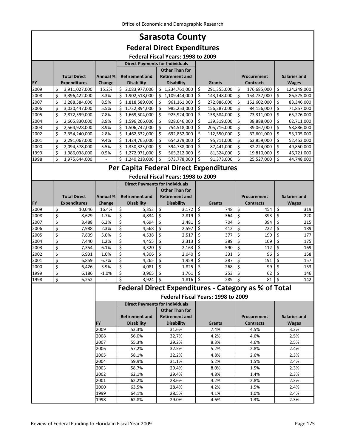| <b>Sarasota County</b> |    |                     |                 |                                        |    |                                    |    |               |         |                  |    |                     |
|------------------------|----|---------------------|-----------------|----------------------------------------|----|------------------------------------|----|---------------|---------|------------------|----|---------------------|
|                        |    |                     |                 |                                        |    | <b>Federal Direct Expenditures</b> |    |               |         |                  |    |                     |
|                        |    |                     |                 |                                        |    | Federal Fiscal Years: 1998 to 2009 |    |               |         |                  |    |                     |
|                        |    |                     |                 | <b>Direct Payments for Individuals</b> |    |                                    |    |               |         |                  |    |                     |
|                        |    |                     |                 |                                        |    | <b>Other Than for</b>              |    |               |         |                  |    |                     |
|                        |    | <b>Total Direct</b> | <b>Annual %</b> | <b>Retirement and</b>                  |    | <b>Retirement and</b>              |    |               |         | Procurement      |    | <b>Salaries and</b> |
| FY                     |    | <b>Expenditures</b> | Change          | <b>Disability</b>                      |    | <b>Disability</b>                  |    | <b>Grants</b> |         | <b>Contracts</b> |    | <b>Wages</b>        |
| 2009                   | \$ | 3,911,027,000       | 15.2%           | \$<br>2,083,977,000                    |    | \$1,234,761,000                    | \$ | 291,355,000   | \$      | 176,685,000      | \$ | 124,249,000         |
| 2008                   | \$ | 3,396,422,000       | 3.3%            | \$<br>1,902,518,000                    | \$ | 1,109,444,000                      | \$ | 143,148,000   | \$      | 154,737,000      | \$ | 86,575,000          |
| 2007                   | \$ | 3,288,584,000       | 8.5%            | \$<br>1,818,589,000                    | \$ | 961,161,000                        | \$ | 272,886,000   | \$      | 152,602,000      | \$ | 83,346,000          |
| 2006                   | \$ | 3,030,447,000       | 5.5%            | \$<br>1,732,894,000                    | \$ | 985,253,000                        | \$ | 156,287,000   | \$      | 84,156,000       | \$ | 71,857,000          |
| 2005                   | \$ | 2,872,599,000       | 7.8%            | Ś<br>1,669,504,000                     | \$ | 925,924,000                        | \$ | 138,584,000   | \$      | 73,311,000       | \$ | 65,276,000          |
| 2004                   | \$ | 2,665,830,000       | 3.9%            | \$<br>1,596,266,000                    | \$ | 828,646,000                        | \$ | 139,319,000   | \$      | 38,888,000       | \$ | 62,711,000          |
| 2003                   | \$ | 2,564,928,000       | 8.9%            | \$<br>1,506,742,000                    | \$ | 754,518,000                        | \$ | 205,716,000   | \$      | 39,067,000       | \$ | 58,886,000          |
| 2002                   | \$ | 2,354,240,000       | 2.8%            | \$<br>1,462,532,000                    | \$ | 692,852,000                        | \$ | 112,550,000   | \$      | 32,601,000       | \$ | 53,705,000          |
| 2001                   | \$ | 2,291,067,000       | 9.4%            | \$<br>1,424,765,000                    | \$ | 654,279,000                        | \$ | 95,711,000    | \$      | 63,859,000       | \$ | 52,453,000          |
| 2000                   | \$ | 2,094,578,000       | 5.5%            | \$<br>1,330,325,000                    | \$ | 594,738,000                        | \$ | 87,441,000    | \$      | 32,224,000       | \$ | 49,850,000          |
| 1999                   | \$ | 1,986,038,000       | 0.5%            | 1,272,971,000                          | \$ | 565,212,000                        | \$ | 81,324,000    | \$      | 19,810,000       | \$ | 46,721,000          |
| 1998                   | \$ | 1,975,644,000       |                 | \$<br>1,240,218,000                    | \$ | 573,778,000                        | \$ | 91,373,000    | \$      | 25,527,000       | Ś  | 44,748,000          |
|                        |    |                     |                 | Per Capita Federal Direct Expenditures |    |                                    |    |               |         |                  |    |                     |
|                        |    |                     |                 |                                        |    | Federal Fiscal Years: 1998 to 2009 |    |               |         |                  |    |                     |
|                        |    |                     |                 | <b>Direct Payments for Individuals</b> |    |                                    |    |               |         |                  |    |                     |
|                        |    |                     |                 |                                        |    | <b>Other Than for</b>              |    |               |         |                  |    |                     |
|                        |    | <b>Total Direct</b> | <b>Annual %</b> | <b>Retirement and</b>                  |    | <b>Retirement and</b>              |    |               |         | Procurement      |    | <b>Salaries and</b> |
| <b>FY</b>              |    | <b>Expenditures</b> | Change          | <b>Disability</b>                      |    | <b>Disability</b>                  |    | <b>Grants</b> |         | <b>Contracts</b> |    | <b>Wages</b>        |
| 2009                   | \$ | 10,046              | 16.4%           | \$<br>5,353                            | \$ | 3,172                              | \$ | 748           | \$      | 454              | \$ | 319                 |
| 2008                   | \$ | 8,629               | 1.7%            | \$<br>4,834                            | \$ | 2,819                              | \$ | 364           | $\zeta$ | 393              | \$ | 220                 |
| 2007                   | \$ | 8,488               | 6.3%            | \$<br>4,694                            | \$ | 2,481                              | \$ | 704           | \$      | 394              | \$ | 215                 |
| 2006                   | \$ | 7,988               | 2.3%            | \$<br>4,568                            | \$ | 2,597                              | \$ | 412           | \$      | 222              | \$ | 189                 |

| zuuo | ٬۶۵۵  | <b>2.370</b> | 4,300 | 2,397 | 41Z | ZZZ | 10J |
|------|-------|--------------|-------|-------|-----|-----|-----|
| 2005 | 7,809 | 5.0%         | 4,538 | 2,517 | 377 | 199 | 177 |
| 2004 | 7.440 | 1.2%         | 4,455 | 2,313 | 389 | 109 | 175 |
| 2003 | 7,354 | 6.1%         | 4,320 | 2,163 | 590 | 112 | 169 |
| 2002 | 6,931 | $1.0\%$      | 4,306 | 2,040 | 331 | 96  | 158 |
| 2001 | 6,859 | 6.7%         | 4,265 | 1,959 | 287 | 191 | 157 |
| 2000 | 6,426 | 3.9%         | 4,081 | 1,825 | 268 | 99  | 153 |
| 1999 | 6,186 | $-1.0%$      | 3,965 | 1,761 | 253 | 62  | 146 |
| 1998 | 6,252 |              | 3,924 | 1,816 | 289 | 81  | 142 |

|           |                       | <b>Direct Payments for Individuals</b> |               |                    |              |
|-----------|-----------------------|----------------------------------------|---------------|--------------------|--------------|
|           |                       | <b>Other Than for</b>                  |               |                    |              |
|           | <b>Retirement and</b> | <b>Retirement and</b>                  |               | <b>Procurement</b> | Salaries and |
| <b>FY</b> | <b>Disability</b>     | <b>Disability</b>                      | <b>Grants</b> | <b>Contracts</b>   | <b>Wages</b> |
| 2009      | 53.3%                 | 31.6%                                  | 7.4%          | 4.5%               | 3.2%         |
| 2008      | 56.0%                 | 32.7%                                  | 4.2%          | 4.6%               | 2.5%         |
| 2007      | 55.3%                 | 29.2%                                  | 8.3%          | 4.6%               | 2.5%         |
| 2006      | 57.2%                 | 32.5%                                  | 5.2%          | 2.8%               | 2.4%         |
| 2005      | 58.1%                 | 32.2%                                  | 4.8%          | 2.6%               | 2.3%         |
| 2004      | 59.9%                 | 31.1%                                  | 5.2%          | 1.5%               | 2.4%         |
| 2003      | 58.7%                 | 29.4%                                  | 8.0%          | 1.5%               | 2.3%         |
| 2002      | 62.1%                 | 29.4%                                  | 4.8%          | 1.4%               | 2.3%         |
| 2001      | 62.2%                 | 28.6%                                  | 4.2%          | 2.8%               | 2.3%         |
| 2000      | 63.5%                 | 28.4%                                  | 4.2%          | 1.5%               | 2.4%         |
| 1999      | 64.1%                 | 28.5%                                  | 4.1%          | 1.0%               | 2.4%         |
| 1998      | 62.8%                 | 29.0%                                  | 4.6%          | 1.3%               | 2.3%         |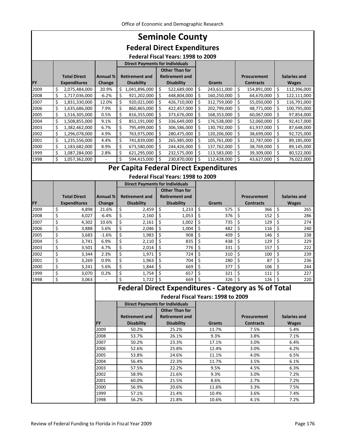| <b>Federal Direct Expenditures</b><br>Federal Fiscal Years: 1998 to 2009<br><b>Direct Payments for Individuals</b><br><b>Other Than for</b><br><b>Total Direct</b><br><b>Retirement and</b><br><b>Retirement and</b><br>Annual %<br>Procurement<br><b>Salaries and</b><br>FY<br><b>Expenditures</b><br><b>Disability</b><br><b>Disability</b><br>Change<br><b>Contracts</b><br><b>Wages</b><br><b>Grants</b><br>\$<br>2009<br>20.9%<br>\$<br>\$<br>\$<br>\$<br>2,075,484,000<br>\$<br>1,041,896,000<br>522,689,000<br>243,611,000<br>154,891,000<br>112,396,000<br>\$<br>\$<br>\$<br>\$<br>\$<br>\$<br>2008<br>$-6.2%$<br>1,717,036,000<br>921,202,000<br>448,804,000<br>160,250,000<br>64,670,000<br>122,111,000<br>\$<br>\$<br>\$<br>\$<br>\$<br>\$<br>2007<br>1,831,330,000<br>12.0%<br>920,021,000<br>426,710,000<br>312,759,000<br>55,050,000<br>116,791,000<br>\$<br>\$<br>\$<br>\$<br>\$<br>\$<br>2006<br>7.9%<br>1,635,686,000<br>860,865,000<br>422,457,000<br>202,799,000<br>48,771,000<br>100,795,000<br>\$<br>\$<br>\$<br>\$<br>\$<br>\$<br>2005<br>1,516,305,000<br>0.5%<br>816,355,000<br>373,676,000<br>168,353,000<br>60,067,000<br>97,854,000<br>\$<br>\$<br>\$<br>\$<br>\$<br>\$<br>2004<br>9.1%<br>851,191,000<br>336,649,000<br>176,538,000<br>52,060,000<br>1,508,855,000<br>92,417,000<br>\$<br>\$<br>\$<br>\$<br>\$<br>\$<br>1,382,462,000<br>6.7%<br>795,499,000<br>306,586,000<br>130,792,000<br>61,937,000<br>87,648,000<br>\$<br>\$<br>\$<br>\$<br>\$<br>\$<br>2002<br>4.9%<br>1,296,078,000<br>763,975,000<br>280,475,000<br>120,206,000<br>38,699,000<br>92,725,000<br>\$<br>\$<br>\$<br>\$<br>\$<br>\$<br>2001<br>1,235,556,000<br>4.4%<br>741,839,000<br>265,985,000<br>105,761,000<br>32,787,000<br>89,185,000<br>\$<br>\$<br>\$<br>\$<br>\$<br>\$<br>2000<br>8.9%<br>673,580,000<br>38,769,000<br>1,183,682,000<br>244,426,000<br>137,762,000<br>89,145,000<br>\$<br>\$<br>\$<br>\$<br>\$<br>1999<br>\$<br>1,087,284,000<br>2.8%<br>621,295,000<br>232,575,000<br>113,583,000<br>39,309,000<br>80,522,000<br>\$<br>\$<br>Ś<br>\$<br>\$<br>Ś<br>1998<br>1,057,362,000<br>594,415,000<br>230,870,000<br>112,428,000<br>43,627,000<br>76,022,000<br>Per Capita Federal Direct Expenditures<br>Federal Fiscal Years: 1998 to 2009<br><b>Direct Payments for Individuals</b><br><b>Other Than for</b><br><b>Total Direct</b><br><b>Annual %</b><br><b>Retirement and</b><br><b>Retirement and</b><br><b>Salaries and</b><br>Procurement<br><b>Expenditures</b><br><b>Disability</b><br><b>Disability</b><br>FY<br>Change<br><b>Contracts</b><br><b>Wages</b><br>Grants<br>\$<br>\$<br>$\zeta$<br>\$<br>\$<br>2009<br>\$<br>21.6%<br>2,459<br>575<br>366<br>4,898<br>1,233<br>265<br>\$<br>\$<br>\$<br>\$<br>\$<br>\$<br>2008<br>4,027<br>$-6.4%$<br>2,160<br>1,053<br>376<br>152<br>286<br>\$<br>\$<br>\$<br>\$<br>\$<br>\$<br>2007<br>129<br>274<br>10.6%<br>2,161<br>1,002<br>735<br>4,302<br>\$<br>\$<br>\$<br>\$<br>\$<br>\$<br>2006<br>3,888<br>5.6%<br>2,046<br>1,004<br>482<br>116<br>240<br>\$<br>\$<br>\$<br>\$<br>\$<br>\$<br>146<br>2005<br>$-1.6%$<br>908<br>409<br>238<br>3,683<br>1,983<br>$\overline{\xi}$<br>\$<br>\$<br>$\overline{\xi}$<br>\$<br>\$<br>2004<br>3,741<br>6.9%<br>2,110<br>835<br>438<br>129<br>229<br>\$<br>$\overline{\xi}$<br>\$<br>\$<br>\$<br>\$<br>222<br>2003<br>3,501<br>4.7%<br>2,014<br>776<br>331<br>157<br>\$<br>\$<br>\$<br>\$<br>\$<br>\$<br>2002<br>2.3%<br>1,971<br>724<br>310<br>100<br>239<br>3,344<br>\$<br>\$<br>\$<br>\$<br>\$<br>\$<br>704<br>87<br>2001<br>3,269<br>0.9%<br>1,963<br>280<br>236<br>\$<br>\$<br>\$<br>\$<br>\$<br>\$<br>2000<br>5.6%<br>1,844<br>669<br>377<br>106<br>244<br>3,241<br>\$<br>\$<br>\$<br>\$<br>\$<br>\$<br>1999<br>227<br>0.2%<br>1,754<br>657<br>321<br>111<br>3.070<br>Ś<br>Ś<br>\$<br>\$<br>\$<br>Ś<br>1998<br>1,722<br>669<br>326<br>126<br>220<br>3,063<br><b>Federal Direct Expenditures - Category as % of Total</b><br>Federal Fiscal Years: 1998 to 2009<br><b>Direct Payments for Individuals</b><br><b>Other Than for</b><br><b>Retirement and</b><br><b>Retirement and</b><br><b>Salaries and</b><br>Procurement<br>FY<br><b>Disability</b><br><b>Disability</b><br>Grants<br><b>Contracts</b><br>Wages<br>2009<br>5.4%<br>50.2%<br>25.2%<br>11.7%<br>7.5%<br>2008<br>53.7%<br>26.1%<br>9.3%<br>3.8%<br>7.1%<br>2007<br>23.3%<br>17.1%<br>3.0%<br>50.2%<br>6.4%<br>2006<br>52.6%<br>25.8%<br>12.4%<br>3.0%<br>6.2%<br>2005<br>53.8%<br>24.6%<br>11.1%<br>4.0%<br>6.5%<br>2004<br>56.4%<br>22.3%<br>11.7%<br>3.5%<br>6.1%<br>2003<br>57.5%<br>22.2%<br>9.5%<br>4.5%<br>6.3%<br>2002<br>7.2%<br>58.9%<br>21.6%<br>9.3%<br>3.0%<br>2001<br>21.5%<br>2.7%<br>7.2%<br>60.0%<br>8.6%<br>2000<br>3.3%<br>7.5%<br>56.9%<br>20.6%<br>11.6%<br>1999<br>21.4%<br>57.1%<br>10.4%<br>3.6%<br>7.4%<br>1998<br>21.8%<br>7.2%<br>56.2%<br>10.6%<br>4.1% | <b>Seminole County</b> |  |  |  |  |  |  |  |  |  |  |  |  |
|----------------------------------------------------------------------------------------------------------------------------------------------------------------------------------------------------------------------------------------------------------------------------------------------------------------------------------------------------------------------------------------------------------------------------------------------------------------------------------------------------------------------------------------------------------------------------------------------------------------------------------------------------------------------------------------------------------------------------------------------------------------------------------------------------------------------------------------------------------------------------------------------------------------------------------------------------------------------------------------------------------------------------------------------------------------------------------------------------------------------------------------------------------------------------------------------------------------------------------------------------------------------------------------------------------------------------------------------------------------------------------------------------------------------------------------------------------------------------------------------------------------------------------------------------------------------------------------------------------------------------------------------------------------------------------------------------------------------------------------------------------------------------------------------------------------------------------------------------------------------------------------------------------------------------------------------------------------------------------------------------------------------------------------------------------------------------------------------------------------------------------------------------------------------------------------------------------------------------------------------------------------------------------------------------------------------------------------------------------------------------------------------------------------------------------------------------------------------------------------------------------------------------------------------------------------------------------------------------------------------------------------------------------------------------------------------------------------------------------------------------------------------------------------------------------------------------------------------------------------------------------------------------------------------------------------------------------------------------------------------------------------------------------------------------------------------------------------------------------------------------------------------------------------------------------------------------------------------------------------------------------------------------------------------------------------------------------------------------------------------------------------------------------------------------------------------------------------------------------------------------------------------------------------------------------------------------------------------------------------------------------------------------------------------------------------------------------------------------------------------------------------------------------------------------------------------------------------------------------------------------------------------------------------------------------------------------------------------------------------------------------------------------------------------------------------------------------------------------------------------------------------------------------------------------------------------------------------------------------------------------------------------------------------------------------------------------------------------------------------------------------------------------------------------------------------------------------------------------------------------------------------------------------------------------------------------------------------------------------------------------------------------------------------------------------------------------------------------------------------------------------------------------------------------------------------------------------------------------------------------|------------------------|--|--|--|--|--|--|--|--|--|--|--|--|
|                                                                                                                                                                                                                                                                                                                                                                                                                                                                                                                                                                                                                                                                                                                                                                                                                                                                                                                                                                                                                                                                                                                                                                                                                                                                                                                                                                                                                                                                                                                                                                                                                                                                                                                                                                                                                                                                                                                                                                                                                                                                                                                                                                                                                                                                                                                                                                                                                                                                                                                                                                                                                                                                                                                                                                                                                                                                                                                                                                                                                                                                                                                                                                                                                                                                                                                                                                                                                                                                                                                                                                                                                                                                                                                                                                                                                                                                                                                                                                                                                                                                                                                                                                                                                                                                                                                                                                                                                                                                                                                                                                                                                                                                                                                                                                                                                                                                      |                        |  |  |  |  |  |  |  |  |  |  |  |  |
|                                                                                                                                                                                                                                                                                                                                                                                                                                                                                                                                                                                                                                                                                                                                                                                                                                                                                                                                                                                                                                                                                                                                                                                                                                                                                                                                                                                                                                                                                                                                                                                                                                                                                                                                                                                                                                                                                                                                                                                                                                                                                                                                                                                                                                                                                                                                                                                                                                                                                                                                                                                                                                                                                                                                                                                                                                                                                                                                                                                                                                                                                                                                                                                                                                                                                                                                                                                                                                                                                                                                                                                                                                                                                                                                                                                                                                                                                                                                                                                                                                                                                                                                                                                                                                                                                                                                                                                                                                                                                                                                                                                                                                                                                                                                                                                                                                                                      |                        |  |  |  |  |  |  |  |  |  |  |  |  |
|                                                                                                                                                                                                                                                                                                                                                                                                                                                                                                                                                                                                                                                                                                                                                                                                                                                                                                                                                                                                                                                                                                                                                                                                                                                                                                                                                                                                                                                                                                                                                                                                                                                                                                                                                                                                                                                                                                                                                                                                                                                                                                                                                                                                                                                                                                                                                                                                                                                                                                                                                                                                                                                                                                                                                                                                                                                                                                                                                                                                                                                                                                                                                                                                                                                                                                                                                                                                                                                                                                                                                                                                                                                                                                                                                                                                                                                                                                                                                                                                                                                                                                                                                                                                                                                                                                                                                                                                                                                                                                                                                                                                                                                                                                                                                                                                                                                                      |                        |  |  |  |  |  |  |  |  |  |  |  |  |
|                                                                                                                                                                                                                                                                                                                                                                                                                                                                                                                                                                                                                                                                                                                                                                                                                                                                                                                                                                                                                                                                                                                                                                                                                                                                                                                                                                                                                                                                                                                                                                                                                                                                                                                                                                                                                                                                                                                                                                                                                                                                                                                                                                                                                                                                                                                                                                                                                                                                                                                                                                                                                                                                                                                                                                                                                                                                                                                                                                                                                                                                                                                                                                                                                                                                                                                                                                                                                                                                                                                                                                                                                                                                                                                                                                                                                                                                                                                                                                                                                                                                                                                                                                                                                                                                                                                                                                                                                                                                                                                                                                                                                                                                                                                                                                                                                                                                      |                        |  |  |  |  |  |  |  |  |  |  |  |  |
|                                                                                                                                                                                                                                                                                                                                                                                                                                                                                                                                                                                                                                                                                                                                                                                                                                                                                                                                                                                                                                                                                                                                                                                                                                                                                                                                                                                                                                                                                                                                                                                                                                                                                                                                                                                                                                                                                                                                                                                                                                                                                                                                                                                                                                                                                                                                                                                                                                                                                                                                                                                                                                                                                                                                                                                                                                                                                                                                                                                                                                                                                                                                                                                                                                                                                                                                                                                                                                                                                                                                                                                                                                                                                                                                                                                                                                                                                                                                                                                                                                                                                                                                                                                                                                                                                                                                                                                                                                                                                                                                                                                                                                                                                                                                                                                                                                                                      |                        |  |  |  |  |  |  |  |  |  |  |  |  |
|                                                                                                                                                                                                                                                                                                                                                                                                                                                                                                                                                                                                                                                                                                                                                                                                                                                                                                                                                                                                                                                                                                                                                                                                                                                                                                                                                                                                                                                                                                                                                                                                                                                                                                                                                                                                                                                                                                                                                                                                                                                                                                                                                                                                                                                                                                                                                                                                                                                                                                                                                                                                                                                                                                                                                                                                                                                                                                                                                                                                                                                                                                                                                                                                                                                                                                                                                                                                                                                                                                                                                                                                                                                                                                                                                                                                                                                                                                                                                                                                                                                                                                                                                                                                                                                                                                                                                                                                                                                                                                                                                                                                                                                                                                                                                                                                                                                                      |                        |  |  |  |  |  |  |  |  |  |  |  |  |
|                                                                                                                                                                                                                                                                                                                                                                                                                                                                                                                                                                                                                                                                                                                                                                                                                                                                                                                                                                                                                                                                                                                                                                                                                                                                                                                                                                                                                                                                                                                                                                                                                                                                                                                                                                                                                                                                                                                                                                                                                                                                                                                                                                                                                                                                                                                                                                                                                                                                                                                                                                                                                                                                                                                                                                                                                                                                                                                                                                                                                                                                                                                                                                                                                                                                                                                                                                                                                                                                                                                                                                                                                                                                                                                                                                                                                                                                                                                                                                                                                                                                                                                                                                                                                                                                                                                                                                                                                                                                                                                                                                                                                                                                                                                                                                                                                                                                      |                        |  |  |  |  |  |  |  |  |  |  |  |  |
|                                                                                                                                                                                                                                                                                                                                                                                                                                                                                                                                                                                                                                                                                                                                                                                                                                                                                                                                                                                                                                                                                                                                                                                                                                                                                                                                                                                                                                                                                                                                                                                                                                                                                                                                                                                                                                                                                                                                                                                                                                                                                                                                                                                                                                                                                                                                                                                                                                                                                                                                                                                                                                                                                                                                                                                                                                                                                                                                                                                                                                                                                                                                                                                                                                                                                                                                                                                                                                                                                                                                                                                                                                                                                                                                                                                                                                                                                                                                                                                                                                                                                                                                                                                                                                                                                                                                                                                                                                                                                                                                                                                                                                                                                                                                                                                                                                                                      |                        |  |  |  |  |  |  |  |  |  |  |  |  |
|                                                                                                                                                                                                                                                                                                                                                                                                                                                                                                                                                                                                                                                                                                                                                                                                                                                                                                                                                                                                                                                                                                                                                                                                                                                                                                                                                                                                                                                                                                                                                                                                                                                                                                                                                                                                                                                                                                                                                                                                                                                                                                                                                                                                                                                                                                                                                                                                                                                                                                                                                                                                                                                                                                                                                                                                                                                                                                                                                                                                                                                                                                                                                                                                                                                                                                                                                                                                                                                                                                                                                                                                                                                                                                                                                                                                                                                                                                                                                                                                                                                                                                                                                                                                                                                                                                                                                                                                                                                                                                                                                                                                                                                                                                                                                                                                                                                                      |                        |  |  |  |  |  |  |  |  |  |  |  |  |
|                                                                                                                                                                                                                                                                                                                                                                                                                                                                                                                                                                                                                                                                                                                                                                                                                                                                                                                                                                                                                                                                                                                                                                                                                                                                                                                                                                                                                                                                                                                                                                                                                                                                                                                                                                                                                                                                                                                                                                                                                                                                                                                                                                                                                                                                                                                                                                                                                                                                                                                                                                                                                                                                                                                                                                                                                                                                                                                                                                                                                                                                                                                                                                                                                                                                                                                                                                                                                                                                                                                                                                                                                                                                                                                                                                                                                                                                                                                                                                                                                                                                                                                                                                                                                                                                                                                                                                                                                                                                                                                                                                                                                                                                                                                                                                                                                                                                      |                        |  |  |  |  |  |  |  |  |  |  |  |  |
|                                                                                                                                                                                                                                                                                                                                                                                                                                                                                                                                                                                                                                                                                                                                                                                                                                                                                                                                                                                                                                                                                                                                                                                                                                                                                                                                                                                                                                                                                                                                                                                                                                                                                                                                                                                                                                                                                                                                                                                                                                                                                                                                                                                                                                                                                                                                                                                                                                                                                                                                                                                                                                                                                                                                                                                                                                                                                                                                                                                                                                                                                                                                                                                                                                                                                                                                                                                                                                                                                                                                                                                                                                                                                                                                                                                                                                                                                                                                                                                                                                                                                                                                                                                                                                                                                                                                                                                                                                                                                                                                                                                                                                                                                                                                                                                                                                                                      |                        |  |  |  |  |  |  |  |  |  |  |  |  |
|                                                                                                                                                                                                                                                                                                                                                                                                                                                                                                                                                                                                                                                                                                                                                                                                                                                                                                                                                                                                                                                                                                                                                                                                                                                                                                                                                                                                                                                                                                                                                                                                                                                                                                                                                                                                                                                                                                                                                                                                                                                                                                                                                                                                                                                                                                                                                                                                                                                                                                                                                                                                                                                                                                                                                                                                                                                                                                                                                                                                                                                                                                                                                                                                                                                                                                                                                                                                                                                                                                                                                                                                                                                                                                                                                                                                                                                                                                                                                                                                                                                                                                                                                                                                                                                                                                                                                                                                                                                                                                                                                                                                                                                                                                                                                                                                                                                                      |                        |  |  |  |  |  |  |  |  |  |  |  |  |
|                                                                                                                                                                                                                                                                                                                                                                                                                                                                                                                                                                                                                                                                                                                                                                                                                                                                                                                                                                                                                                                                                                                                                                                                                                                                                                                                                                                                                                                                                                                                                                                                                                                                                                                                                                                                                                                                                                                                                                                                                                                                                                                                                                                                                                                                                                                                                                                                                                                                                                                                                                                                                                                                                                                                                                                                                                                                                                                                                                                                                                                                                                                                                                                                                                                                                                                                                                                                                                                                                                                                                                                                                                                                                                                                                                                                                                                                                                                                                                                                                                                                                                                                                                                                                                                                                                                                                                                                                                                                                                                                                                                                                                                                                                                                                                                                                                                                      | 2003                   |  |  |  |  |  |  |  |  |  |  |  |  |
|                                                                                                                                                                                                                                                                                                                                                                                                                                                                                                                                                                                                                                                                                                                                                                                                                                                                                                                                                                                                                                                                                                                                                                                                                                                                                                                                                                                                                                                                                                                                                                                                                                                                                                                                                                                                                                                                                                                                                                                                                                                                                                                                                                                                                                                                                                                                                                                                                                                                                                                                                                                                                                                                                                                                                                                                                                                                                                                                                                                                                                                                                                                                                                                                                                                                                                                                                                                                                                                                                                                                                                                                                                                                                                                                                                                                                                                                                                                                                                                                                                                                                                                                                                                                                                                                                                                                                                                                                                                                                                                                                                                                                                                                                                                                                                                                                                                                      |                        |  |  |  |  |  |  |  |  |  |  |  |  |
|                                                                                                                                                                                                                                                                                                                                                                                                                                                                                                                                                                                                                                                                                                                                                                                                                                                                                                                                                                                                                                                                                                                                                                                                                                                                                                                                                                                                                                                                                                                                                                                                                                                                                                                                                                                                                                                                                                                                                                                                                                                                                                                                                                                                                                                                                                                                                                                                                                                                                                                                                                                                                                                                                                                                                                                                                                                                                                                                                                                                                                                                                                                                                                                                                                                                                                                                                                                                                                                                                                                                                                                                                                                                                                                                                                                                                                                                                                                                                                                                                                                                                                                                                                                                                                                                                                                                                                                                                                                                                                                                                                                                                                                                                                                                                                                                                                                                      |                        |  |  |  |  |  |  |  |  |  |  |  |  |
|                                                                                                                                                                                                                                                                                                                                                                                                                                                                                                                                                                                                                                                                                                                                                                                                                                                                                                                                                                                                                                                                                                                                                                                                                                                                                                                                                                                                                                                                                                                                                                                                                                                                                                                                                                                                                                                                                                                                                                                                                                                                                                                                                                                                                                                                                                                                                                                                                                                                                                                                                                                                                                                                                                                                                                                                                                                                                                                                                                                                                                                                                                                                                                                                                                                                                                                                                                                                                                                                                                                                                                                                                                                                                                                                                                                                                                                                                                                                                                                                                                                                                                                                                                                                                                                                                                                                                                                                                                                                                                                                                                                                                                                                                                                                                                                                                                                                      |                        |  |  |  |  |  |  |  |  |  |  |  |  |
|                                                                                                                                                                                                                                                                                                                                                                                                                                                                                                                                                                                                                                                                                                                                                                                                                                                                                                                                                                                                                                                                                                                                                                                                                                                                                                                                                                                                                                                                                                                                                                                                                                                                                                                                                                                                                                                                                                                                                                                                                                                                                                                                                                                                                                                                                                                                                                                                                                                                                                                                                                                                                                                                                                                                                                                                                                                                                                                                                                                                                                                                                                                                                                                                                                                                                                                                                                                                                                                                                                                                                                                                                                                                                                                                                                                                                                                                                                                                                                                                                                                                                                                                                                                                                                                                                                                                                                                                                                                                                                                                                                                                                                                                                                                                                                                                                                                                      |                        |  |  |  |  |  |  |  |  |  |  |  |  |
|                                                                                                                                                                                                                                                                                                                                                                                                                                                                                                                                                                                                                                                                                                                                                                                                                                                                                                                                                                                                                                                                                                                                                                                                                                                                                                                                                                                                                                                                                                                                                                                                                                                                                                                                                                                                                                                                                                                                                                                                                                                                                                                                                                                                                                                                                                                                                                                                                                                                                                                                                                                                                                                                                                                                                                                                                                                                                                                                                                                                                                                                                                                                                                                                                                                                                                                                                                                                                                                                                                                                                                                                                                                                                                                                                                                                                                                                                                                                                                                                                                                                                                                                                                                                                                                                                                                                                                                                                                                                                                                                                                                                                                                                                                                                                                                                                                                                      |                        |  |  |  |  |  |  |  |  |  |  |  |  |
|                                                                                                                                                                                                                                                                                                                                                                                                                                                                                                                                                                                                                                                                                                                                                                                                                                                                                                                                                                                                                                                                                                                                                                                                                                                                                                                                                                                                                                                                                                                                                                                                                                                                                                                                                                                                                                                                                                                                                                                                                                                                                                                                                                                                                                                                                                                                                                                                                                                                                                                                                                                                                                                                                                                                                                                                                                                                                                                                                                                                                                                                                                                                                                                                                                                                                                                                                                                                                                                                                                                                                                                                                                                                                                                                                                                                                                                                                                                                                                                                                                                                                                                                                                                                                                                                                                                                                                                                                                                                                                                                                                                                                                                                                                                                                                                                                                                                      |                        |  |  |  |  |  |  |  |  |  |  |  |  |
|                                                                                                                                                                                                                                                                                                                                                                                                                                                                                                                                                                                                                                                                                                                                                                                                                                                                                                                                                                                                                                                                                                                                                                                                                                                                                                                                                                                                                                                                                                                                                                                                                                                                                                                                                                                                                                                                                                                                                                                                                                                                                                                                                                                                                                                                                                                                                                                                                                                                                                                                                                                                                                                                                                                                                                                                                                                                                                                                                                                                                                                                                                                                                                                                                                                                                                                                                                                                                                                                                                                                                                                                                                                                                                                                                                                                                                                                                                                                                                                                                                                                                                                                                                                                                                                                                                                                                                                                                                                                                                                                                                                                                                                                                                                                                                                                                                                                      |                        |  |  |  |  |  |  |  |  |  |  |  |  |
|                                                                                                                                                                                                                                                                                                                                                                                                                                                                                                                                                                                                                                                                                                                                                                                                                                                                                                                                                                                                                                                                                                                                                                                                                                                                                                                                                                                                                                                                                                                                                                                                                                                                                                                                                                                                                                                                                                                                                                                                                                                                                                                                                                                                                                                                                                                                                                                                                                                                                                                                                                                                                                                                                                                                                                                                                                                                                                                                                                                                                                                                                                                                                                                                                                                                                                                                                                                                                                                                                                                                                                                                                                                                                                                                                                                                                                                                                                                                                                                                                                                                                                                                                                                                                                                                                                                                                                                                                                                                                                                                                                                                                                                                                                                                                                                                                                                                      |                        |  |  |  |  |  |  |  |  |  |  |  |  |
|                                                                                                                                                                                                                                                                                                                                                                                                                                                                                                                                                                                                                                                                                                                                                                                                                                                                                                                                                                                                                                                                                                                                                                                                                                                                                                                                                                                                                                                                                                                                                                                                                                                                                                                                                                                                                                                                                                                                                                                                                                                                                                                                                                                                                                                                                                                                                                                                                                                                                                                                                                                                                                                                                                                                                                                                                                                                                                                                                                                                                                                                                                                                                                                                                                                                                                                                                                                                                                                                                                                                                                                                                                                                                                                                                                                                                                                                                                                                                                                                                                                                                                                                                                                                                                                                                                                                                                                                                                                                                                                                                                                                                                                                                                                                                                                                                                                                      |                        |  |  |  |  |  |  |  |  |  |  |  |  |
|                                                                                                                                                                                                                                                                                                                                                                                                                                                                                                                                                                                                                                                                                                                                                                                                                                                                                                                                                                                                                                                                                                                                                                                                                                                                                                                                                                                                                                                                                                                                                                                                                                                                                                                                                                                                                                                                                                                                                                                                                                                                                                                                                                                                                                                                                                                                                                                                                                                                                                                                                                                                                                                                                                                                                                                                                                                                                                                                                                                                                                                                                                                                                                                                                                                                                                                                                                                                                                                                                                                                                                                                                                                                                                                                                                                                                                                                                                                                                                                                                                                                                                                                                                                                                                                                                                                                                                                                                                                                                                                                                                                                                                                                                                                                                                                                                                                                      |                        |  |  |  |  |  |  |  |  |  |  |  |  |
|                                                                                                                                                                                                                                                                                                                                                                                                                                                                                                                                                                                                                                                                                                                                                                                                                                                                                                                                                                                                                                                                                                                                                                                                                                                                                                                                                                                                                                                                                                                                                                                                                                                                                                                                                                                                                                                                                                                                                                                                                                                                                                                                                                                                                                                                                                                                                                                                                                                                                                                                                                                                                                                                                                                                                                                                                                                                                                                                                                                                                                                                                                                                                                                                                                                                                                                                                                                                                                                                                                                                                                                                                                                                                                                                                                                                                                                                                                                                                                                                                                                                                                                                                                                                                                                                                                                                                                                                                                                                                                                                                                                                                                                                                                                                                                                                                                                                      |                        |  |  |  |  |  |  |  |  |  |  |  |  |
|                                                                                                                                                                                                                                                                                                                                                                                                                                                                                                                                                                                                                                                                                                                                                                                                                                                                                                                                                                                                                                                                                                                                                                                                                                                                                                                                                                                                                                                                                                                                                                                                                                                                                                                                                                                                                                                                                                                                                                                                                                                                                                                                                                                                                                                                                                                                                                                                                                                                                                                                                                                                                                                                                                                                                                                                                                                                                                                                                                                                                                                                                                                                                                                                                                                                                                                                                                                                                                                                                                                                                                                                                                                                                                                                                                                                                                                                                                                                                                                                                                                                                                                                                                                                                                                                                                                                                                                                                                                                                                                                                                                                                                                                                                                                                                                                                                                                      |                        |  |  |  |  |  |  |  |  |  |  |  |  |
|                                                                                                                                                                                                                                                                                                                                                                                                                                                                                                                                                                                                                                                                                                                                                                                                                                                                                                                                                                                                                                                                                                                                                                                                                                                                                                                                                                                                                                                                                                                                                                                                                                                                                                                                                                                                                                                                                                                                                                                                                                                                                                                                                                                                                                                                                                                                                                                                                                                                                                                                                                                                                                                                                                                                                                                                                                                                                                                                                                                                                                                                                                                                                                                                                                                                                                                                                                                                                                                                                                                                                                                                                                                                                                                                                                                                                                                                                                                                                                                                                                                                                                                                                                                                                                                                                                                                                                                                                                                                                                                                                                                                                                                                                                                                                                                                                                                                      |                        |  |  |  |  |  |  |  |  |  |  |  |  |
|                                                                                                                                                                                                                                                                                                                                                                                                                                                                                                                                                                                                                                                                                                                                                                                                                                                                                                                                                                                                                                                                                                                                                                                                                                                                                                                                                                                                                                                                                                                                                                                                                                                                                                                                                                                                                                                                                                                                                                                                                                                                                                                                                                                                                                                                                                                                                                                                                                                                                                                                                                                                                                                                                                                                                                                                                                                                                                                                                                                                                                                                                                                                                                                                                                                                                                                                                                                                                                                                                                                                                                                                                                                                                                                                                                                                                                                                                                                                                                                                                                                                                                                                                                                                                                                                                                                                                                                                                                                                                                                                                                                                                                                                                                                                                                                                                                                                      |                        |  |  |  |  |  |  |  |  |  |  |  |  |
|                                                                                                                                                                                                                                                                                                                                                                                                                                                                                                                                                                                                                                                                                                                                                                                                                                                                                                                                                                                                                                                                                                                                                                                                                                                                                                                                                                                                                                                                                                                                                                                                                                                                                                                                                                                                                                                                                                                                                                                                                                                                                                                                                                                                                                                                                                                                                                                                                                                                                                                                                                                                                                                                                                                                                                                                                                                                                                                                                                                                                                                                                                                                                                                                                                                                                                                                                                                                                                                                                                                                                                                                                                                                                                                                                                                                                                                                                                                                                                                                                                                                                                                                                                                                                                                                                                                                                                                                                                                                                                                                                                                                                                                                                                                                                                                                                                                                      |                        |  |  |  |  |  |  |  |  |  |  |  |  |
|                                                                                                                                                                                                                                                                                                                                                                                                                                                                                                                                                                                                                                                                                                                                                                                                                                                                                                                                                                                                                                                                                                                                                                                                                                                                                                                                                                                                                                                                                                                                                                                                                                                                                                                                                                                                                                                                                                                                                                                                                                                                                                                                                                                                                                                                                                                                                                                                                                                                                                                                                                                                                                                                                                                                                                                                                                                                                                                                                                                                                                                                                                                                                                                                                                                                                                                                                                                                                                                                                                                                                                                                                                                                                                                                                                                                                                                                                                                                                                                                                                                                                                                                                                                                                                                                                                                                                                                                                                                                                                                                                                                                                                                                                                                                                                                                                                                                      |                        |  |  |  |  |  |  |  |  |  |  |  |  |
|                                                                                                                                                                                                                                                                                                                                                                                                                                                                                                                                                                                                                                                                                                                                                                                                                                                                                                                                                                                                                                                                                                                                                                                                                                                                                                                                                                                                                                                                                                                                                                                                                                                                                                                                                                                                                                                                                                                                                                                                                                                                                                                                                                                                                                                                                                                                                                                                                                                                                                                                                                                                                                                                                                                                                                                                                                                                                                                                                                                                                                                                                                                                                                                                                                                                                                                                                                                                                                                                                                                                                                                                                                                                                                                                                                                                                                                                                                                                                                                                                                                                                                                                                                                                                                                                                                                                                                                                                                                                                                                                                                                                                                                                                                                                                                                                                                                                      |                        |  |  |  |  |  |  |  |  |  |  |  |  |
|                                                                                                                                                                                                                                                                                                                                                                                                                                                                                                                                                                                                                                                                                                                                                                                                                                                                                                                                                                                                                                                                                                                                                                                                                                                                                                                                                                                                                                                                                                                                                                                                                                                                                                                                                                                                                                                                                                                                                                                                                                                                                                                                                                                                                                                                                                                                                                                                                                                                                                                                                                                                                                                                                                                                                                                                                                                                                                                                                                                                                                                                                                                                                                                                                                                                                                                                                                                                                                                                                                                                                                                                                                                                                                                                                                                                                                                                                                                                                                                                                                                                                                                                                                                                                                                                                                                                                                                                                                                                                                                                                                                                                                                                                                                                                                                                                                                                      |                        |  |  |  |  |  |  |  |  |  |  |  |  |
|                                                                                                                                                                                                                                                                                                                                                                                                                                                                                                                                                                                                                                                                                                                                                                                                                                                                                                                                                                                                                                                                                                                                                                                                                                                                                                                                                                                                                                                                                                                                                                                                                                                                                                                                                                                                                                                                                                                                                                                                                                                                                                                                                                                                                                                                                                                                                                                                                                                                                                                                                                                                                                                                                                                                                                                                                                                                                                                                                                                                                                                                                                                                                                                                                                                                                                                                                                                                                                                                                                                                                                                                                                                                                                                                                                                                                                                                                                                                                                                                                                                                                                                                                                                                                                                                                                                                                                                                                                                                                                                                                                                                                                                                                                                                                                                                                                                                      |                        |  |  |  |  |  |  |  |  |  |  |  |  |
|                                                                                                                                                                                                                                                                                                                                                                                                                                                                                                                                                                                                                                                                                                                                                                                                                                                                                                                                                                                                                                                                                                                                                                                                                                                                                                                                                                                                                                                                                                                                                                                                                                                                                                                                                                                                                                                                                                                                                                                                                                                                                                                                                                                                                                                                                                                                                                                                                                                                                                                                                                                                                                                                                                                                                                                                                                                                                                                                                                                                                                                                                                                                                                                                                                                                                                                                                                                                                                                                                                                                                                                                                                                                                                                                                                                                                                                                                                                                                                                                                                                                                                                                                                                                                                                                                                                                                                                                                                                                                                                                                                                                                                                                                                                                                                                                                                                                      |                        |  |  |  |  |  |  |  |  |  |  |  |  |
|                                                                                                                                                                                                                                                                                                                                                                                                                                                                                                                                                                                                                                                                                                                                                                                                                                                                                                                                                                                                                                                                                                                                                                                                                                                                                                                                                                                                                                                                                                                                                                                                                                                                                                                                                                                                                                                                                                                                                                                                                                                                                                                                                                                                                                                                                                                                                                                                                                                                                                                                                                                                                                                                                                                                                                                                                                                                                                                                                                                                                                                                                                                                                                                                                                                                                                                                                                                                                                                                                                                                                                                                                                                                                                                                                                                                                                                                                                                                                                                                                                                                                                                                                                                                                                                                                                                                                                                                                                                                                                                                                                                                                                                                                                                                                                                                                                                                      |                        |  |  |  |  |  |  |  |  |  |  |  |  |
|                                                                                                                                                                                                                                                                                                                                                                                                                                                                                                                                                                                                                                                                                                                                                                                                                                                                                                                                                                                                                                                                                                                                                                                                                                                                                                                                                                                                                                                                                                                                                                                                                                                                                                                                                                                                                                                                                                                                                                                                                                                                                                                                                                                                                                                                                                                                                                                                                                                                                                                                                                                                                                                                                                                                                                                                                                                                                                                                                                                                                                                                                                                                                                                                                                                                                                                                                                                                                                                                                                                                                                                                                                                                                                                                                                                                                                                                                                                                                                                                                                                                                                                                                                                                                                                                                                                                                                                                                                                                                                                                                                                                                                                                                                                                                                                                                                                                      |                        |  |  |  |  |  |  |  |  |  |  |  |  |
|                                                                                                                                                                                                                                                                                                                                                                                                                                                                                                                                                                                                                                                                                                                                                                                                                                                                                                                                                                                                                                                                                                                                                                                                                                                                                                                                                                                                                                                                                                                                                                                                                                                                                                                                                                                                                                                                                                                                                                                                                                                                                                                                                                                                                                                                                                                                                                                                                                                                                                                                                                                                                                                                                                                                                                                                                                                                                                                                                                                                                                                                                                                                                                                                                                                                                                                                                                                                                                                                                                                                                                                                                                                                                                                                                                                                                                                                                                                                                                                                                                                                                                                                                                                                                                                                                                                                                                                                                                                                                                                                                                                                                                                                                                                                                                                                                                                                      |                        |  |  |  |  |  |  |  |  |  |  |  |  |
|                                                                                                                                                                                                                                                                                                                                                                                                                                                                                                                                                                                                                                                                                                                                                                                                                                                                                                                                                                                                                                                                                                                                                                                                                                                                                                                                                                                                                                                                                                                                                                                                                                                                                                                                                                                                                                                                                                                                                                                                                                                                                                                                                                                                                                                                                                                                                                                                                                                                                                                                                                                                                                                                                                                                                                                                                                                                                                                                                                                                                                                                                                                                                                                                                                                                                                                                                                                                                                                                                                                                                                                                                                                                                                                                                                                                                                                                                                                                                                                                                                                                                                                                                                                                                                                                                                                                                                                                                                                                                                                                                                                                                                                                                                                                                                                                                                                                      |                        |  |  |  |  |  |  |  |  |  |  |  |  |
|                                                                                                                                                                                                                                                                                                                                                                                                                                                                                                                                                                                                                                                                                                                                                                                                                                                                                                                                                                                                                                                                                                                                                                                                                                                                                                                                                                                                                                                                                                                                                                                                                                                                                                                                                                                                                                                                                                                                                                                                                                                                                                                                                                                                                                                                                                                                                                                                                                                                                                                                                                                                                                                                                                                                                                                                                                                                                                                                                                                                                                                                                                                                                                                                                                                                                                                                                                                                                                                                                                                                                                                                                                                                                                                                                                                                                                                                                                                                                                                                                                                                                                                                                                                                                                                                                                                                                                                                                                                                                                                                                                                                                                                                                                                                                                                                                                                                      |                        |  |  |  |  |  |  |  |  |  |  |  |  |
|                                                                                                                                                                                                                                                                                                                                                                                                                                                                                                                                                                                                                                                                                                                                                                                                                                                                                                                                                                                                                                                                                                                                                                                                                                                                                                                                                                                                                                                                                                                                                                                                                                                                                                                                                                                                                                                                                                                                                                                                                                                                                                                                                                                                                                                                                                                                                                                                                                                                                                                                                                                                                                                                                                                                                                                                                                                                                                                                                                                                                                                                                                                                                                                                                                                                                                                                                                                                                                                                                                                                                                                                                                                                                                                                                                                                                                                                                                                                                                                                                                                                                                                                                                                                                                                                                                                                                                                                                                                                                                                                                                                                                                                                                                                                                                                                                                                                      |                        |  |  |  |  |  |  |  |  |  |  |  |  |
|                                                                                                                                                                                                                                                                                                                                                                                                                                                                                                                                                                                                                                                                                                                                                                                                                                                                                                                                                                                                                                                                                                                                                                                                                                                                                                                                                                                                                                                                                                                                                                                                                                                                                                                                                                                                                                                                                                                                                                                                                                                                                                                                                                                                                                                                                                                                                                                                                                                                                                                                                                                                                                                                                                                                                                                                                                                                                                                                                                                                                                                                                                                                                                                                                                                                                                                                                                                                                                                                                                                                                                                                                                                                                                                                                                                                                                                                                                                                                                                                                                                                                                                                                                                                                                                                                                                                                                                                                                                                                                                                                                                                                                                                                                                                                                                                                                                                      |                        |  |  |  |  |  |  |  |  |  |  |  |  |
|                                                                                                                                                                                                                                                                                                                                                                                                                                                                                                                                                                                                                                                                                                                                                                                                                                                                                                                                                                                                                                                                                                                                                                                                                                                                                                                                                                                                                                                                                                                                                                                                                                                                                                                                                                                                                                                                                                                                                                                                                                                                                                                                                                                                                                                                                                                                                                                                                                                                                                                                                                                                                                                                                                                                                                                                                                                                                                                                                                                                                                                                                                                                                                                                                                                                                                                                                                                                                                                                                                                                                                                                                                                                                                                                                                                                                                                                                                                                                                                                                                                                                                                                                                                                                                                                                                                                                                                                                                                                                                                                                                                                                                                                                                                                                                                                                                                                      |                        |  |  |  |  |  |  |  |  |  |  |  |  |
|                                                                                                                                                                                                                                                                                                                                                                                                                                                                                                                                                                                                                                                                                                                                                                                                                                                                                                                                                                                                                                                                                                                                                                                                                                                                                                                                                                                                                                                                                                                                                                                                                                                                                                                                                                                                                                                                                                                                                                                                                                                                                                                                                                                                                                                                                                                                                                                                                                                                                                                                                                                                                                                                                                                                                                                                                                                                                                                                                                                                                                                                                                                                                                                                                                                                                                                                                                                                                                                                                                                                                                                                                                                                                                                                                                                                                                                                                                                                                                                                                                                                                                                                                                                                                                                                                                                                                                                                                                                                                                                                                                                                                                                                                                                                                                                                                                                                      |                        |  |  |  |  |  |  |  |  |  |  |  |  |
|                                                                                                                                                                                                                                                                                                                                                                                                                                                                                                                                                                                                                                                                                                                                                                                                                                                                                                                                                                                                                                                                                                                                                                                                                                                                                                                                                                                                                                                                                                                                                                                                                                                                                                                                                                                                                                                                                                                                                                                                                                                                                                                                                                                                                                                                                                                                                                                                                                                                                                                                                                                                                                                                                                                                                                                                                                                                                                                                                                                                                                                                                                                                                                                                                                                                                                                                                                                                                                                                                                                                                                                                                                                                                                                                                                                                                                                                                                                                                                                                                                                                                                                                                                                                                                                                                                                                                                                                                                                                                                                                                                                                                                                                                                                                                                                                                                                                      |                        |  |  |  |  |  |  |  |  |  |  |  |  |
|                                                                                                                                                                                                                                                                                                                                                                                                                                                                                                                                                                                                                                                                                                                                                                                                                                                                                                                                                                                                                                                                                                                                                                                                                                                                                                                                                                                                                                                                                                                                                                                                                                                                                                                                                                                                                                                                                                                                                                                                                                                                                                                                                                                                                                                                                                                                                                                                                                                                                                                                                                                                                                                                                                                                                                                                                                                                                                                                                                                                                                                                                                                                                                                                                                                                                                                                                                                                                                                                                                                                                                                                                                                                                                                                                                                                                                                                                                                                                                                                                                                                                                                                                                                                                                                                                                                                                                                                                                                                                                                                                                                                                                                                                                                                                                                                                                                                      |                        |  |  |  |  |  |  |  |  |  |  |  |  |
|                                                                                                                                                                                                                                                                                                                                                                                                                                                                                                                                                                                                                                                                                                                                                                                                                                                                                                                                                                                                                                                                                                                                                                                                                                                                                                                                                                                                                                                                                                                                                                                                                                                                                                                                                                                                                                                                                                                                                                                                                                                                                                                                                                                                                                                                                                                                                                                                                                                                                                                                                                                                                                                                                                                                                                                                                                                                                                                                                                                                                                                                                                                                                                                                                                                                                                                                                                                                                                                                                                                                                                                                                                                                                                                                                                                                                                                                                                                                                                                                                                                                                                                                                                                                                                                                                                                                                                                                                                                                                                                                                                                                                                                                                                                                                                                                                                                                      |                        |  |  |  |  |  |  |  |  |  |  |  |  |
|                                                                                                                                                                                                                                                                                                                                                                                                                                                                                                                                                                                                                                                                                                                                                                                                                                                                                                                                                                                                                                                                                                                                                                                                                                                                                                                                                                                                                                                                                                                                                                                                                                                                                                                                                                                                                                                                                                                                                                                                                                                                                                                                                                                                                                                                                                                                                                                                                                                                                                                                                                                                                                                                                                                                                                                                                                                                                                                                                                                                                                                                                                                                                                                                                                                                                                                                                                                                                                                                                                                                                                                                                                                                                                                                                                                                                                                                                                                                                                                                                                                                                                                                                                                                                                                                                                                                                                                                                                                                                                                                                                                                                                                                                                                                                                                                                                                                      |                        |  |  |  |  |  |  |  |  |  |  |  |  |
|                                                                                                                                                                                                                                                                                                                                                                                                                                                                                                                                                                                                                                                                                                                                                                                                                                                                                                                                                                                                                                                                                                                                                                                                                                                                                                                                                                                                                                                                                                                                                                                                                                                                                                                                                                                                                                                                                                                                                                                                                                                                                                                                                                                                                                                                                                                                                                                                                                                                                                                                                                                                                                                                                                                                                                                                                                                                                                                                                                                                                                                                                                                                                                                                                                                                                                                                                                                                                                                                                                                                                                                                                                                                                                                                                                                                                                                                                                                                                                                                                                                                                                                                                                                                                                                                                                                                                                                                                                                                                                                                                                                                                                                                                                                                                                                                                                                                      |                        |  |  |  |  |  |  |  |  |  |  |  |  |
|                                                                                                                                                                                                                                                                                                                                                                                                                                                                                                                                                                                                                                                                                                                                                                                                                                                                                                                                                                                                                                                                                                                                                                                                                                                                                                                                                                                                                                                                                                                                                                                                                                                                                                                                                                                                                                                                                                                                                                                                                                                                                                                                                                                                                                                                                                                                                                                                                                                                                                                                                                                                                                                                                                                                                                                                                                                                                                                                                                                                                                                                                                                                                                                                                                                                                                                                                                                                                                                                                                                                                                                                                                                                                                                                                                                                                                                                                                                                                                                                                                                                                                                                                                                                                                                                                                                                                                                                                                                                                                                                                                                                                                                                                                                                                                                                                                                                      |                        |  |  |  |  |  |  |  |  |  |  |  |  |
|                                                                                                                                                                                                                                                                                                                                                                                                                                                                                                                                                                                                                                                                                                                                                                                                                                                                                                                                                                                                                                                                                                                                                                                                                                                                                                                                                                                                                                                                                                                                                                                                                                                                                                                                                                                                                                                                                                                                                                                                                                                                                                                                                                                                                                                                                                                                                                                                                                                                                                                                                                                                                                                                                                                                                                                                                                                                                                                                                                                                                                                                                                                                                                                                                                                                                                                                                                                                                                                                                                                                                                                                                                                                                                                                                                                                                                                                                                                                                                                                                                                                                                                                                                                                                                                                                                                                                                                                                                                                                                                                                                                                                                                                                                                                                                                                                                                                      |                        |  |  |  |  |  |  |  |  |  |  |  |  |
|                                                                                                                                                                                                                                                                                                                                                                                                                                                                                                                                                                                                                                                                                                                                                                                                                                                                                                                                                                                                                                                                                                                                                                                                                                                                                                                                                                                                                                                                                                                                                                                                                                                                                                                                                                                                                                                                                                                                                                                                                                                                                                                                                                                                                                                                                                                                                                                                                                                                                                                                                                                                                                                                                                                                                                                                                                                                                                                                                                                                                                                                                                                                                                                                                                                                                                                                                                                                                                                                                                                                                                                                                                                                                                                                                                                                                                                                                                                                                                                                                                                                                                                                                                                                                                                                                                                                                                                                                                                                                                                                                                                                                                                                                                                                                                                                                                                                      |                        |  |  |  |  |  |  |  |  |  |  |  |  |
|                                                                                                                                                                                                                                                                                                                                                                                                                                                                                                                                                                                                                                                                                                                                                                                                                                                                                                                                                                                                                                                                                                                                                                                                                                                                                                                                                                                                                                                                                                                                                                                                                                                                                                                                                                                                                                                                                                                                                                                                                                                                                                                                                                                                                                                                                                                                                                                                                                                                                                                                                                                                                                                                                                                                                                                                                                                                                                                                                                                                                                                                                                                                                                                                                                                                                                                                                                                                                                                                                                                                                                                                                                                                                                                                                                                                                                                                                                                                                                                                                                                                                                                                                                                                                                                                                                                                                                                                                                                                                                                                                                                                                                                                                                                                                                                                                                                                      |                        |  |  |  |  |  |  |  |  |  |  |  |  |
|                                                                                                                                                                                                                                                                                                                                                                                                                                                                                                                                                                                                                                                                                                                                                                                                                                                                                                                                                                                                                                                                                                                                                                                                                                                                                                                                                                                                                                                                                                                                                                                                                                                                                                                                                                                                                                                                                                                                                                                                                                                                                                                                                                                                                                                                                                                                                                                                                                                                                                                                                                                                                                                                                                                                                                                                                                                                                                                                                                                                                                                                                                                                                                                                                                                                                                                                                                                                                                                                                                                                                                                                                                                                                                                                                                                                                                                                                                                                                                                                                                                                                                                                                                                                                                                                                                                                                                                                                                                                                                                                                                                                                                                                                                                                                                                                                                                                      |                        |  |  |  |  |  |  |  |  |  |  |  |  |
|                                                                                                                                                                                                                                                                                                                                                                                                                                                                                                                                                                                                                                                                                                                                                                                                                                                                                                                                                                                                                                                                                                                                                                                                                                                                                                                                                                                                                                                                                                                                                                                                                                                                                                                                                                                                                                                                                                                                                                                                                                                                                                                                                                                                                                                                                                                                                                                                                                                                                                                                                                                                                                                                                                                                                                                                                                                                                                                                                                                                                                                                                                                                                                                                                                                                                                                                                                                                                                                                                                                                                                                                                                                                                                                                                                                                                                                                                                                                                                                                                                                                                                                                                                                                                                                                                                                                                                                                                                                                                                                                                                                                                                                                                                                                                                                                                                                                      |                        |  |  |  |  |  |  |  |  |  |  |  |  |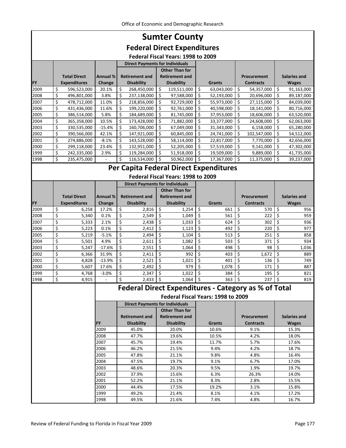| <b>Sumter County</b> |    |                     |                 |    |                                        |    |                                                      |    |               |         |                  |                  |                     |
|----------------------|----|---------------------|-----------------|----|----------------------------------------|----|------------------------------------------------------|----|---------------|---------|------------------|------------------|---------------------|
|                      |    |                     |                 |    |                                        |    |                                                      |    |               |         |                  |                  |                     |
|                      |    |                     |                 |    |                                        |    | <b>Federal Direct Expenditures</b>                   |    |               |         |                  |                  |                     |
|                      |    |                     |                 |    |                                        |    | Federal Fiscal Years: 1998 to 2009                   |    |               |         |                  |                  |                     |
|                      |    |                     |                 |    | <b>Direct Payments for Individuals</b> |    |                                                      |    |               |         |                  |                  |                     |
|                      |    |                     |                 |    |                                        |    | <b>Other Than for</b>                                |    |               |         |                  |                  |                     |
|                      |    | <b>Total Direct</b> | Annual %        |    | <b>Retirement and</b>                  |    | <b>Retirement and</b>                                |    |               |         | Procurement      |                  | <b>Salaries and</b> |
| <b>FY</b>            |    | <b>Expenditures</b> | Change          |    | <b>Disability</b>                      |    | <b>Disability</b>                                    |    | <b>Grants</b> |         | <b>Contracts</b> |                  | Wages               |
| 2009                 | \$ | 596,523,000         | 20.1%           | \$ | 268,450,000                            | \$ | 119,511,000                                          | \$ | 63,043,000    | \$      | 54,357,000       | \$               | 91,163,000          |
| 2008                 | \$ | 496,801,000         | 3.8%            | \$ | 237,138,000                            | \$ | 97,588,000                                           | \$ | 52,193,000    | \$      | 20,696,000       | \$               | 89,187,000          |
| 2007                 | \$ | 478,712,000         | 11.0%           | \$ | 218,856,000                            | \$ | 92,729,000                                           | \$ | 55,973,000    | \$      | 27,115,000       | \$               | 84,039,000          |
| 2006                 | \$ | 431,436,000         | 11.6%           | \$ | 199,220,000                            | \$ | 92,761,000                                           | \$ | 40,598,000    | \$      | 18,141,000       | \$               | 80,716,000          |
| 2005                 | \$ | 386,514,000         | 5.8%            | \$ | 184,689,000                            | \$ | 81,745,000                                           | \$ | 37,953,000    | \$      | 18,606,000       | \$               | 63,520,000          |
| 2004                 | \$ | 365,358,000         | 10.5%           | \$ | 173,428,000                            | \$ | 71,882,000                                           | \$ | 33,377,000    | \$      | 24,608,000       | \$               | 62,063,000          |
| 2003                 | \$ | 330,535,000         | $-15.4%$        | \$ | 160,706,000                            | \$ | 67,049,000                                           | \$ | 31,343,000    | \$      | 6,158,000        | \$               | 65,280,000          |
| 2002                 | \$ | 390,566,000         | 42.1%           | \$ | 147,921,000                            | \$ | 60,845,000                                           | \$ | 24,741,000    | \$      | 102,547,000      | Ś                | 54,512,000          |
| 2001                 | \$ | 274,886,000         | $-8.1%$         | \$ | 143,528,000                            | \$ | 58,114,000                                           | \$ | 22,817,000    | \$      | 7,770,000        | \$               | 42,656,000          |
| 2000                 | \$ | 299,118,000         | 23.4%           | \$ | 132,951,000                            | \$ | 52,205,000                                           | \$ | 57,519,000    | \$      | 9,141,000        | \$               | 47,302,000          |
| 1999                 | \$ | 242,335,000         | 2.9%            | \$ | 119,284,000                            | \$ | 51,918,000                                           | \$ | 19,509,000    | \$      | 9,889,000        | \$               | 41,735,000          |
| 1998                 | \$ | 235,475,000         |                 | Ś  | 116,534,000                            | \$ | 50,962,000                                           | \$ | 17,367,000    | -Ś      | 11,375,000       | \$               | 39,237,000          |
|                      |    |                     |                 |    |                                        |    | Per Capita Federal Direct Expenditures               |    |               |         |                  |                  |                     |
|                      |    |                     |                 |    |                                        |    | Federal Fiscal Years: 1998 to 2009                   |    |               |         |                  |                  |                     |
|                      |    |                     |                 |    | <b>Direct Payments for Individuals</b> |    |                                                      |    |               |         |                  |                  |                     |
|                      |    |                     |                 |    |                                        |    | <b>Other Than for</b>                                |    |               |         |                  |                  |                     |
|                      |    | <b>Total Direct</b> | <b>Annual %</b> |    | <b>Retirement and</b>                  |    | <b>Retirement and</b>                                |    |               |         | Procurement      |                  | <b>Salaries and</b> |
| <b>FY</b>            |    | <b>Expenditures</b> | Change          |    | <b>Disability</b>                      |    | <b>Disability</b>                                    |    | <b>Grants</b> |         | <b>Contracts</b> |                  | <b>Wages</b>        |
| 2009                 | \$ | 6,258               | 17.2%           | \$ | 2,816                                  | \$ | 1,254                                                | \$ | 661           | \$      | 570              | \$               | 956                 |
| 2008                 | \$ | 5,340               | 0.1%            | \$ | 2,549                                  | \$ | 1,049                                                | \$ | 561           | \$      | 222              | \$               | 959                 |
| 2007                 | \$ | 5,333               | 2.1%            | \$ | 2,438                                  | \$ | 1,033                                                | \$ | 624           | \$      | 302              | \$               | 936                 |
| 2006                 | \$ | 5,223               | 0.1%            | \$ | 2,412                                  | \$ | 1,123                                                | \$ | 492           | \$      | 220              | \$               | 977                 |
| 2005                 | \$ | 5,219               | $-5.1%$         | \$ | 2,494                                  | \$ | 1,104                                                | \$ | 513           | \$      | 251              | \$               | 858                 |
| 2004                 | \$ | 5,501               | 4.9%            | \$ | 2,611                                  | \$ | 1,082                                                | \$ | 503           | \$      | 371              | \$               | 934                 |
| 2003                 | \$ | 5.247               | $-17.6%$        | \$ | 2,551                                  | \$ | 1,064                                                | \$ | 498           | \$      | 98               | \$               | 1,036               |
| 2002                 | \$ | 6,366               | 31.9%           | \$ | 2,411                                  | \$ | 992                                                  | \$ | 403           | \$      | 1,672            | \$               | 889                 |
| 2001                 | \$ | 4,828               | $-13.9%$        | \$ | 2,521                                  | \$ | 1,021                                                | \$ | 401           | $\zeta$ | 136              | \$               | 749                 |
| 2000                 | \$ | 5,607               | 17.6%           | \$ | 2,492                                  | \$ | 979                                                  | \$ | 1,078         | \$      | 171              | $\overline{\xi}$ | 887                 |
| 1999                 | \$ | 4,768               | $-3.0%$         | \$ | 2,347                                  | \$ | 1,022                                                | \$ | 384           | \$      | 195              | \$               | 821                 |
| 1998                 | Ś  | 4,915               |                 | \$ | $2,433$ \$                             |    | $1,064$ \$                                           |    | $363 \mid 5$  |         | $237$ \$         |                  | 819                 |
|                      |    |                     |                 |    |                                        |    | Federal Direct Expenditures - Category as % of Total |    |               |         |                  |                  |                     |
|                      |    |                     |                 |    |                                        |    | Federal Fiscal Years: 1998 to 2009                   |    |               |         |                  |                  |                     |
|                      |    |                     |                 |    | <b>Direct Payments for Individuals</b> |    |                                                      |    |               |         |                  |                  |                     |
|                      |    |                     |                 |    |                                        |    | <b>Other Than for</b>                                |    |               |         |                  |                  |                     |
|                      |    |                     |                 |    | <b>Retirement and</b>                  |    | <b>Retirement and</b>                                |    |               |         | Procurement      |                  | <b>Salaries and</b> |
|                      |    |                     | <b>FY</b>       |    | <b>Disability</b>                      |    | <b>Disability</b>                                    |    | Grants        |         | <b>Contracts</b> |                  | <b>Wages</b>        |
|                      |    |                     | 2009            |    | 45.0%                                  |    | 20.0%                                                |    | 10.6%         |         | 9.1%             |                  | 15.3%               |
|                      |    |                     | 2008            |    | 47.7%                                  |    | 19.6%                                                |    | 10.5%         |         | 4.2%             |                  | 18.0%               |
|                      |    |                     | 2007            |    | 45.7%                                  |    | 19.4%                                                |    | 11.7%         |         | 5.7%             |                  | 17.6%               |
|                      |    |                     | 2006            |    | 46.2%                                  |    | 21.5%                                                |    | 9.4%          |         | 4.2%             |                  | 18.7%               |
|                      |    |                     | 2005            |    | 47.8%                                  |    | 21.1%                                                |    | 9.8%          |         | 4.8%             |                  | 16.4%               |
|                      |    |                     | 2004            |    | 47.5%                                  |    | 19.7%                                                |    | 9.1%          |         | 6.7%             |                  | 17.0%               |
|                      |    |                     | 2003            |    | 48.6%                                  |    | 20.3%                                                |    | 9.5%          |         | 1.9%             |                  | 19.7%               |
|                      |    |                     | 2002            |    | 37.9%                                  |    | 15.6%                                                |    | 6.3%          |         | 26.3%            |                  | 14.0%               |
|                      |    |                     | 2001            |    | 52.2%                                  |    | 21.1%                                                |    | 8.3%          |         | 2.8%             |                  | 15.5%               |
|                      |    |                     | 2000            |    | 44.4%                                  |    | 17.5%                                                |    | 19.2%         |         | 3.1%             |                  | 15.8%               |
|                      |    |                     | 1999            |    | 49.2%                                  |    | 21.4%                                                |    | 8.1%          |         | 4.1%             |                  | 17.2%               |

1998 49.5% 21.6% 7.4% 4.8% 16.7%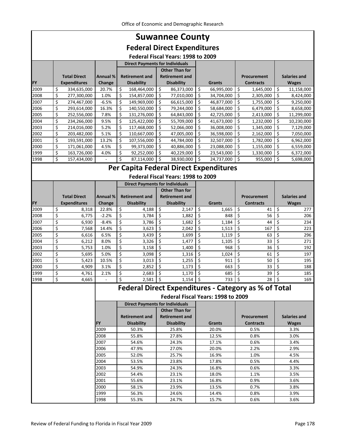| <b>Suwannee County</b> |                                        |                     |                          |    |                                        |    |                                    |    |               |    |                  |    |              |
|------------------------|----------------------------------------|---------------------|--------------------------|----|----------------------------------------|----|------------------------------------|----|---------------|----|------------------|----|--------------|
|                        |                                        |                     |                          |    |                                        |    | <b>Federal Direct Expenditures</b> |    |               |    |                  |    |              |
|                        |                                        |                     |                          |    |                                        |    | Federal Fiscal Years: 1998 to 2009 |    |               |    |                  |    |              |
|                        |                                        |                     |                          |    | <b>Direct Payments for Individuals</b> |    |                                    |    |               |    |                  |    |              |
|                        |                                        |                     |                          |    |                                        |    | <b>Other Than for</b>              |    |               |    |                  |    |              |
|                        |                                        | <b>Total Direct</b> | <b>Annual %</b>          |    | <b>Retirement and</b>                  |    | <b>Retirement and</b>              |    |               |    | Procurement      |    | Salaries and |
| <b>FY</b>              |                                        | <b>Expenditures</b> | Change                   |    | <b>Disability</b>                      |    | <b>Disability</b>                  |    | <b>Grants</b> |    | <b>Contracts</b> |    | <b>Wages</b> |
| 2009                   | \$                                     | 334,635,000         | 20.7%                    | \$ | 168,464,000                            | \$ | 86,373,000                         | \$ | 66,995,000    | \$ | 1,645,000        | \$ | 11,158,000   |
| 2008                   | \$                                     | 277,300,000         | 1.0%                     | \$ | 154,857,000                            | \$ | 77,010,000                         | Ś  | 34,704,000    | \$ | 2,305,000        | \$ | 8,424,000    |
| 2007                   | \$                                     | 274,467,000         | $-6.5%$                  | \$ | 149,969,000                            | \$ | 66,615,000                         | Ś  | 46,877,000    | \$ | 1,755,000        | \$ | 9,250,000    |
| 2006                   | \$                                     | 293,614,000         | 16.3%                    | \$ | 140,550,000                            | \$ | 79,244,000                         | \$ | 58,684,000    | \$ | 6,479,000        | \$ | 8,658,000    |
| 2005                   | \$                                     | 252,556,000         | 7.8%                     | \$ | 131,276,000                            | \$ | 64,843,000                         | Ś  | 42,725,000    | \$ | 2,413,000        | \$ | 11,299,000   |
| 2004                   | \$                                     | 234,266,000         | 9.5%                     | \$ | 125,422,000                            | \$ | 55,709,000                         | \$ | 41,673,000    | \$ | 1,232,000        | \$ | 10,230,000   |
| 2003                   | \$                                     | 214,016,000         | 5.2%                     | \$ | 117,468,000                            | \$ | 52,066,000                         | Ś  | 36,008,000    | \$ | 1,345,000        | \$ | 7,129,000    |
| 2002                   | \$                                     | 203,482,000         | 5.1%                     | \$ | 110,667,000                            | \$ | 47,005,000                         | Ś  | 36,598,000    | \$ | 2,162,000        | \$ | 7,050,000    |
| 2001                   | \$                                     | 193,591,000         | 13.2%                    | \$ | 107,556,000                            | \$ | 44,784,000                         | \$ | 32,507,000    | \$ | 1,782,000        | \$ | 6,962,000    |
| 2000                   | \$                                     | 171,061,000         | 4.5%                     | \$ | 99,373,000                             | \$ | 40,886,000                         | \$ | 23,088,000    | \$ | 1,155,000        | \$ | 6,559,000    |
| 1999                   | \$                                     | 163,726,000         | 4.0%                     | \$ | 92,252,000                             | \$ | 40,229,000                         | Ś  | 23,543,000    | \$ | 1,330,000        | \$ | 6,372,000    |
| 1998                   | \$                                     | 157,434,000         | $\overline{\phantom{a}}$ | \$ | 87,114,000                             | Ś  | 38,930,000                         | Ś  | 24,737,000    | Ś  | 955,000          | \$ | 5,698,000    |
|                        | Per Capita Federal Direct Expenditures |                     |                          |    |                                        |    |                                    |    |               |    |                  |    |              |
|                        |                                        |                     |                          |    |                                        |    | Federal Fiscal Years: 1998 to 2009 |    |               |    |                  |    |              |

|      |                     |          | <b>Direct Payments for Individuals</b> |    |                       |    |               |   |                  |              |
|------|---------------------|----------|----------------------------------------|----|-----------------------|----|---------------|---|------------------|--------------|
|      |                     |          |                                        |    | <b>Other Than for</b> |    |               |   |                  |              |
|      | <b>Total Direct</b> | Annual % | <b>Retirement and</b>                  |    | <b>Retirement and</b> |    |               |   | Procurement      | Salaries and |
| FY   | <b>Expenditures</b> | Change   | <b>Disability</b>                      |    | <b>Disability</b>     |    | <b>Grants</b> |   | <b>Contracts</b> | <b>Wages</b> |
| 2009 | \$<br>8,318         | 22.8%    | \$<br>4,188                            | \$ | 2,147                 |    | 1,665         |   | 41               | 277          |
| 2008 | \$<br>6,775         | $-2.2%$  | \$<br>3,784                            | Ś  | 1,882                 | S  | 848           | S | 56               | 206          |
| 2007 | \$<br>6,930         | $-8.4%$  | 3,786                                  | \$ | 1,682                 | \$ | 1,184         |   | 44               | 234          |
| 2006 | \$<br>7,568         | 14.4%    | 3,623                                  |    | 2,042                 |    | 1,513         |   | 167              | 223          |
| 2005 | \$<br>6,616         | 6.5%     | \$<br>3,439                            | \$ | 1,699                 | Ś  | 1,119         | Ś | 63               | 296          |
| 2004 | \$<br>6,212         | 8.0%     | \$<br>3,326                            | Ś  | 1,477                 | Ś  | 1,105         |   | 33               | 271          |
| 2003 | \$<br>5,753         | 1.0%     | \$<br>3,158                            | \$ | 1,400                 |    | 968           |   | 36               | 192          |
| 2002 | \$<br>5,695         | 5.0%     | \$<br>3,098                            | \$ | 1,316                 | Ś  | 1,024         | Ś | 61               | 197          |
| 2001 | \$<br>5,423         | 10.5%    | \$<br>3,013                            | Ś  | 1,255                 |    | 911           |   | 50               | 195          |
| 2000 | \$<br>4,909         | 3.1%     | 2,852                                  |    | 1,173                 |    | 663           |   | 33               | 188          |
| 1999 | \$<br>4,761         | 2.1%     | \$<br>2,683                            |    | 1,170                 |    | 685           |   | 39               | 185          |
| 1998 | \$<br>4,665         |          | 2,581                                  |    | 1,154                 |    | 733           |   | 28               | 169          |

|           |                       | <b>Direct Payments for Individuals</b> |               |                  |              |
|-----------|-----------------------|----------------------------------------|---------------|------------------|--------------|
|           |                       | <b>Other Than for</b>                  |               |                  |              |
|           | <b>Retirement and</b> | <b>Retirement and</b>                  |               | Procurement      | Salaries and |
| <b>FY</b> | <b>Disability</b>     | <b>Disability</b>                      | <b>Grants</b> | <b>Contracts</b> | <b>Wages</b> |
| 2009      | 50.3%                 | 25.8%                                  | 20.0%         | 0.5%             | 3.3%         |
| 2008      | 55.8%                 | 27.8%                                  | 12.5%         | 0.8%             | 3.0%         |
| 2007      | 54.6%                 | 24.3%                                  | 17.1%         | 0.6%             | 3.4%         |
| 2006      | 47.9%                 | 27.0%                                  | 20.0%         | 2.2%             | 2.9%         |
| 2005      | 52.0%                 | 25.7%                                  | 16.9%         | 1.0%             | 4.5%         |
| 2004      | 53.5%                 | 23.8%                                  | 17.8%         | 0.5%             | 4.4%         |
| 2003      | 54.9%                 | 24.3%                                  | 16.8%         | 0.6%             | 3.3%         |
| 2002      | 54.4%                 | 23.1%                                  | 18.0%         | 1.1%             | 3.5%         |
| 2001      | 55.6%                 | 23.1%                                  | 16.8%         | 0.9%             | 3.6%         |
| 2000      | 58.1%                 | 23.9%                                  | 13.5%         | 0.7%             | 3.8%         |
| 1999      | 56.3%                 | 24.6%                                  | 14.4%         | 0.8%             | 3.9%         |
| 1998      | 55.3%                 | 24.7%                                  | 15.7%         | 0.6%             | 3.6%         |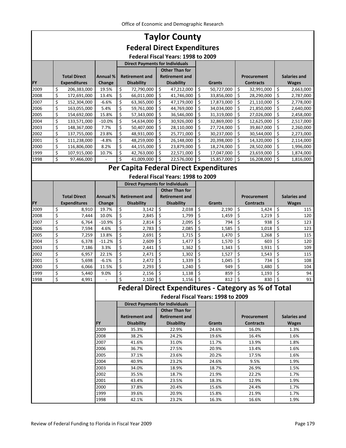| <b>Taylor County</b> |                      |                  |                                        |                                                             |          |                |                           |                                |  |  |  |  |  |  |
|----------------------|----------------------|------------------|----------------------------------------|-------------------------------------------------------------|----------|----------------|---------------------------|--------------------------------|--|--|--|--|--|--|
|                      |                      |                  |                                        | <b>Federal Direct Expenditures</b>                          |          |                |                           |                                |  |  |  |  |  |  |
|                      |                      |                  |                                        | Federal Fiscal Years: 1998 to 2009                          |          |                |                           |                                |  |  |  |  |  |  |
|                      |                      |                  | <b>Direct Payments for Individuals</b> |                                                             |          |                |                           |                                |  |  |  |  |  |  |
|                      |                      |                  |                                        | <b>Other Than for</b>                                       |          |                |                           |                                |  |  |  |  |  |  |
|                      | <b>Total Direct</b>  | Annual %         | <b>Retirement and</b>                  | <b>Retirement and</b>                                       |          |                | Procurement               | <b>Salaries and</b>            |  |  |  |  |  |  |
| <b>FY</b>            | <b>Expenditures</b>  | Change           | <b>Disability</b>                      | <b>Disability</b>                                           |          | Grants         | <b>Contracts</b>          | Wages                          |  |  |  |  |  |  |
| 2009                 | \$<br>206,383,000    | 19.5%            | \$<br>72,790,000                       | \$<br>47,212,000                                            | \$       | 50,727,000     | \$<br>32,991,000          | \$<br>2,663,000                |  |  |  |  |  |  |
| 2008                 | \$<br>172,691,000    | 13.4%            | \$<br>66,011,000                       | \$<br>41,746,000                                            | \$       | 33,856,000     | \$<br>28,290,000          | \$<br>2,787,000                |  |  |  |  |  |  |
| 2007                 | \$<br>152,304,000    | $-6.6%$          | \$<br>63,365,000                       | \$<br>47,179,000                                            | \$       | 17,873,000     | \$<br>21,110,000          | \$<br>2,778,000                |  |  |  |  |  |  |
| 2006                 | \$<br>163,055,000    | 5.4%             | \$<br>59,761,000                       | \$<br>44,769,000                                            | \$       | 34,034,000     | \$<br>21,850,000          | Ś.<br>2,640,000                |  |  |  |  |  |  |
| 2005                 | \$<br>154,692,000    | 15.8%            | \$<br>57,343,000                       | \$<br>36,546,000                                            | \$       | 31,319,000     | \$<br>27,026,000          | \$<br>2,458,000                |  |  |  |  |  |  |
| 2004                 | \$<br>133,571,000    | $-10.0%$         | \$<br>54,634,000                       | \$<br>30,926,000                                            | \$       | 32,869,000     | \$<br>12,625,000          | \$<br>2,517,000                |  |  |  |  |  |  |
| 2003                 | \$<br>148,367,000    | 7.7%             | \$<br>50,407,000                       | \$<br>28,110,000                                            | \$       | 27,724,000     | \$<br>39,867,000          | \$<br>2,260,000                |  |  |  |  |  |  |
| 2002                 | \$<br>137,755,000    | 23.8%            | \$<br>48,931,000                       | \$<br>25,771,000                                            | \$       | 30,237,000     | \$<br>30,544,000          | \$<br>2,273,000                |  |  |  |  |  |  |
| 2001                 | \$<br>111,238,000    | $-4.8%$          | \$<br>48,259,000                       | \$<br>26,148,000                                            | \$       | 20,398,000     | \$<br>14,320,000          | \$<br>2,114,000                |  |  |  |  |  |  |
| 2000                 | \$<br>116,806,000    | 8.2%             | \$<br>44,155,000                       | \$<br>23,879,000                                            | \$       | 18,274,000     | \$<br>28,502,000          | \$<br>1,996,000                |  |  |  |  |  |  |
| 1999                 | \$<br>107,915,000    | 10.7%            | \$<br>42,763,000                       | \$<br>22,571,000                                            | \$       | 17,047,000     | \$<br>23,659,000          | \$<br>1,874,000                |  |  |  |  |  |  |
| 1998                 | \$<br>97,466,000     |                  | Ś<br>41,009,000                        | \$<br>22,576,000                                            | \$       | 15,857,000     | Ś<br>16,208,000           | \$<br>1,816,000                |  |  |  |  |  |  |
|                      |                      |                  |                                        | Per Capita Federal Direct Expenditures                      |          |                |                           |                                |  |  |  |  |  |  |
|                      |                      |                  |                                        | Federal Fiscal Years: 1998 to 2009                          |          |                |                           |                                |  |  |  |  |  |  |
|                      |                      |                  | <b>Direct Payments for Individuals</b> |                                                             |          |                |                           |                                |  |  |  |  |  |  |
|                      |                      |                  |                                        | <b>Other Than for</b>                                       |          |                |                           |                                |  |  |  |  |  |  |
|                      | <b>Total Direct</b>  | Annual %         | <b>Retirement and</b>                  | <b>Retirement and</b>                                       |          |                | Procurement               | <b>Salaries and</b>            |  |  |  |  |  |  |
| <b>FY</b>            | <b>Expenditures</b>  | Change           | <b>Disability</b>                      | <b>Disability</b>                                           |          | <b>Grants</b>  | <b>Contracts</b>          | <b>Wages</b>                   |  |  |  |  |  |  |
| 2009                 | \$<br>8,910          | 19.7%            | \$<br>3,142                            | \$<br>2,038                                                 | \$       | 2,190          | \$<br>1,424               | \$<br>115                      |  |  |  |  |  |  |
| 2008                 | \$<br>7,444          | 10.0%            | \$<br>2,845                            | \$<br>1,799                                                 | \$       | 1,459          | \$<br>1,219               | \$<br>120                      |  |  |  |  |  |  |
| 2007                 | \$<br>6,764          | $-10.9%$         | \$<br>2,814                            | \$<br>2,095                                                 | \$       | 794            | \$<br>938                 | \$<br>123                      |  |  |  |  |  |  |
| 2006                 | \$<br>7,594<br>\$    | 4.6%             | \$<br>2,783                            | \$<br>2,085                                                 | \$       | 1,585          | \$<br>1,018<br>\$         | \$<br>123<br>\$                |  |  |  |  |  |  |
| 2005                 | 7,259<br>\$          | 13.8%            | \$<br>2,691                            | \$<br>1,715<br>\$                                           | \$<br>\$ | 1,470          | 1,268<br>$\overline{\xi}$ | 115<br>$\overline{\xi}$<br>120 |  |  |  |  |  |  |
| 2004<br>2003         | 6,378<br>\$          | $-11.2%$<br>3.3% | \$<br>2,609<br>\$                      | 1,477<br>\$                                                 | \$       | 1,570          | 603<br>\$                 | \$<br>109                      |  |  |  |  |  |  |
| 2002                 | 7,186<br>\$          | 22.1%            | 2,441<br>\$<br>2,471                   | 1,362<br>\$<br>1,302                                        | \$       | 1,343<br>1,527 | 1,931<br>\$<br>1,543      | \$<br>115                      |  |  |  |  |  |  |
| 2001                 | 6,957<br>\$<br>5,698 | $-6.1%$          | \$<br>2,472                            | \$<br>1,339                                                 | \$       | 1,045          | \$<br>734                 | \$<br>108                      |  |  |  |  |  |  |
| 2000                 | \$<br>6,066          | 11.5%            | \$<br>2,293                            | \$<br>1,240                                                 | \$       | 949            | \$<br>1,480               | \$<br>104                      |  |  |  |  |  |  |
| 1999                 | \$<br>5,440          | 9.0%             | \$<br>2,156                            | \$<br>1,138                                                 | \$       | 859            | \$<br>1,193               | \$<br>94                       |  |  |  |  |  |  |
| 1998                 | \$<br>4,991          | $\sim$           | \$<br>2,100                            | \$<br>1,156                                                 | \$       | 812            | \$<br>830                 | \$<br>93                       |  |  |  |  |  |  |
|                      |                      |                  |                                        | <b>Federal Direct Expenditures - Category as % of Total</b> |          |                |                           |                                |  |  |  |  |  |  |
|                      |                      |                  |                                        |                                                             |          |                |                           |                                |  |  |  |  |  |  |
|                      |                      |                  |                                        | Federal Fiscal Years: 1998 to 2009                          |          |                |                           |                                |  |  |  |  |  |  |
|                      |                      |                  |                                        |                                                             |          |                |                           |                                |  |  |  |  |  |  |
|                      |                      |                  | <b>Direct Payments for Individuals</b> |                                                             |          |                |                           |                                |  |  |  |  |  |  |
|                      |                      |                  |                                        | <b>Other Than for</b>                                       |          |                |                           |                                |  |  |  |  |  |  |
|                      |                      |                  | <b>Retirement and</b>                  | <b>Retirement and</b>                                       |          |                | Procurement               | <b>Salaries and</b>            |  |  |  |  |  |  |
|                      |                      | <b>FY</b>        | <b>Disability</b>                      | <b>Disability</b>                                           |          | Grants         | <b>Contracts</b>          | Wages                          |  |  |  |  |  |  |
|                      |                      | 2009             | 35.3%                                  | 22.9%                                                       |          | 24.6%          | 16.0%                     | 1.3%                           |  |  |  |  |  |  |
|                      |                      | 2008             | 38.2%                                  | 24.2%                                                       |          | 19.6%          | 16.4%                     | 1.6%                           |  |  |  |  |  |  |
|                      |                      | 2007             | 41.6%                                  | 31.0%                                                       |          | 11.7%          | 13.9%                     | 1.8%                           |  |  |  |  |  |  |
|                      |                      | 2006             | 36.7%                                  | 27.5%                                                       |          | 20.9%          | 13.4%                     | 1.6%                           |  |  |  |  |  |  |
|                      |                      | 2005             | 37.1%                                  | 23.6%                                                       |          | 20.2%          | 17.5%                     | 1.6%                           |  |  |  |  |  |  |
|                      |                      | 2004             | 40.9%                                  | 23.2%                                                       |          | 24.6%          | 9.5%                      | 1.9%                           |  |  |  |  |  |  |
|                      |                      | 2003             | 34.0%                                  | 18.9%                                                       |          | 18.7%          | 26.9%                     | 1.5%                           |  |  |  |  |  |  |
|                      |                      | 2002             | 35.5%                                  | 18.7%                                                       |          | 21.9%          | 22.2%                     | 1.7%                           |  |  |  |  |  |  |
|                      |                      | 2001             | 43.4%                                  | 23.5%                                                       |          | 18.3%          | 12.9%                     | 1.9%                           |  |  |  |  |  |  |
|                      |                      | 2000<br>1999     | 37.8%<br>39.6%                         | 20.4%<br>20.9%                                              |          | 15.6%<br>15.8% | 24.4%<br>21.9%            | 1.7%<br>1.7%                   |  |  |  |  |  |  |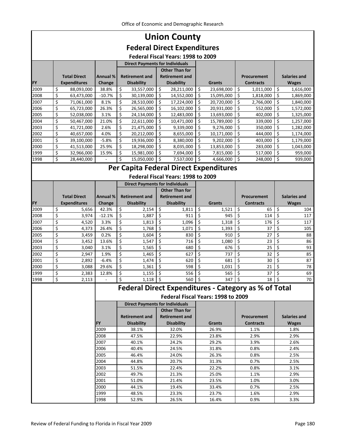|           |                     |           |                                        | <b>Union County</b>                                  |                    |               |                                |                     |
|-----------|---------------------|-----------|----------------------------------------|------------------------------------------------------|--------------------|---------------|--------------------------------|---------------------|
|           |                     |           |                                        | <b>Federal Direct Expenditures</b>                   |                    |               |                                |                     |
|           |                     |           |                                        | Federal Fiscal Years: 1998 to 2009                   |                    |               |                                |                     |
|           |                     |           |                                        | <b>Direct Payments for Individuals</b>               |                    |               |                                |                     |
|           |                     |           |                                        | <b>Other Than for</b>                                |                    |               |                                |                     |
|           | <b>Total Direct</b> | Annual %  | <b>Retirement and</b>                  | <b>Retirement and</b>                                |                    |               | Procurement                    | <b>Salaries and</b> |
| FY        | <b>Expenditures</b> | Change    | <b>Disability</b>                      | <b>Disability</b>                                    |                    | Grants        | <b>Contracts</b>               | <b>Wages</b>        |
| 2009      | \$<br>88,093,000    | 38.8%     | \$<br>33,557,000                       | \$<br>28,211,000                                     | \$                 | 23,698,000    | \$<br>1,011,000                | \$<br>1,616,000     |
| 2008      | \$<br>63,473,000    | $-10.7%$  | \$<br>30,139,000                       | \$<br>14,552,000                                     | \$                 | 15,095,000    | \$<br>1,818,000                | Ś.<br>1,869,000     |
| 2007      | \$<br>71,061,000    | 8.1%      | \$<br>28,510,000                       | \$<br>17,224,000                                     | \$                 | 20,720,000    | \$<br>2,766,000                | \$<br>1,840,000     |
| 2006      | \$<br>65,723,000    | 26.3%     | \$<br>26,565,000                       | \$<br>16,102,000                                     | \$                 | 20,931,000    | Ś<br>552,000                   | \$<br>1,572,000     |
| 2005      | \$<br>52,038,000    | 3.1%      | \$<br>24,134,000                       | \$<br>12,483,000                                     | \$                 | 13,693,000    | \$<br>402,000                  | \$<br>1,325,000     |
| 2004      | \$<br>50,467,000    | 21.0%     | \$<br>22,611,000                       | \$<br>10,471,000                                     | \$                 | 15,789,000    | \$<br>339,000                  | \$<br>1,257,000     |
| 2003      | \$<br>41,721,000    | 2.6%      | \$<br>21,475,000                       | \$<br>9,339,000                                      | \$                 | 9,276,000     | \$<br>350,000                  | \$<br>1,282,000     |
| 2002      | \$<br>40,657,000    | 4.0%      | \$<br>20,212,000                       | \$<br>8,655,000                                      | \$                 | 10,171,000    | Ś<br>444,000                   | Ś<br>1,174,000      |
| 2001      | \$<br>39,100,000    | $-5.8%$   | \$<br>19,936,000                       | \$<br>8,380,000                                      | \$                 | 9,202,000     | \$<br>403,000                  | \$<br>1,179,000     |
| 2000      | \$<br>41,513,000    | 25.9%     | \$<br>18,298,000                       | \$<br>8,035,000                                      | \$                 | 13,853,000    | \$<br>283,000                  | \$<br>1,043,000     |
| 1999      | \$<br>32,966,000    | 15.9%     | \$<br>15,981,000                       | \$<br>7,694,000                                      | \$                 | 7,815,000     | $\zeta$<br>517,000             | \$<br>959,000       |
| 1998      | \$<br>28,440,000    |           | Ś<br>15,050,000                        | $\zeta$<br>7,537,000                                 | $\zeta$            | 4,666,000     | l \$<br>248,000                | Ś.<br>939,000       |
|           |                     |           | Per Capita Federal Direct Expenditures |                                                      |                    |               |                                |                     |
|           |                     |           |                                        |                                                      |                    |               |                                |                     |
|           |                     |           |                                        | Federal Fiscal Years: 1998 to 2009                   |                    |               |                                |                     |
|           |                     |           |                                        | <b>Direct Payments for Individuals</b>               |                    |               |                                |                     |
|           |                     |           |                                        | <b>Other Than for</b>                                |                    |               |                                |                     |
|           | <b>Total Direct</b> | Annual %  | <b>Retirement and</b>                  | <b>Retirement and</b>                                |                    |               | Procurement                    | <b>Salaries and</b> |
| <b>FY</b> | <b>Expenditures</b> | Change    | <b>Disability</b>                      | <b>Disability</b>                                    |                    | <b>Grants</b> | <b>Contracts</b>               | <b>Wages</b>        |
|           |                     |           |                                        |                                                      |                    |               |                                |                     |
| 2009      | \$<br>5,656         | 42.3%     | \$<br>2,154                            | \$<br>1,811                                          | \$                 | 1,521         | \$<br>65                       | \$<br>104           |
| 2008      | \$<br>3,974         | $-12.1%$  | \$<br>1,887                            | \$<br>911                                            | \$                 | 945           | \$<br>114                      | \$<br>117           |
| 2007      | \$<br>4,520         | 3.3%      | \$<br>1,813                            | \$<br>1,096                                          | \$                 | 1,318         | \$<br>176                      | \$<br>117           |
| 2006      | \$<br>4,373         | 26.4%     | \$<br>1,768                            | \$<br>1,071                                          | \$                 | 1,393         | \$<br>37                       | \$<br>105           |
| 2005      | \$<br>3,459         | 0.2%      | \$<br>1,604                            | \$<br>830                                            | \$                 | 910           | \$<br>27                       | \$<br>88            |
| 2004      | \$<br>3,452         | 13.6%     | \$<br>1,547                            | \$<br>716                                            | \$                 | 1,080         | \$<br>23                       | \$<br>86            |
| 2003      | \$<br>3,040         | 3.1%      | \$<br>1,565                            | \$<br>680                                            | \$                 | 676           | \$<br>25                       | \$<br>93            |
| 2002      | \$<br>2,947         | 1.9%      | \$<br>1,465                            | \$<br>627                                            | \$                 | 737           | \$<br>32                       | \$<br>85            |
| 2001      | \$<br>2,892         | $-6.4%$   | \$<br>1,474                            | \$<br>620                                            | \$                 | 681           | \$<br>30                       | \$<br>87            |
| 2000      | \$<br>3,088         | 29.6%     | \$<br>1,361                            | \$<br>598                                            | \$                 | 1,031         | \$<br>21                       | \$<br>78            |
| 1999      | \$<br>2,383         | 12.8%     | \$<br>1,155                            | $\zeta$<br>556                                       | $\ddot{\varsigma}$ | 565           | $\zeta$<br>37                  | \$<br>69            |
|           | \$<br>2,113         |           | $1,118$ \$<br>\$                       | $560 \mid \xi$ 347 \emails                           |                    |               | $18\overline{\smash{\big)}\,}$ | $\overline{70}$     |
|           |                     |           |                                        | Federal Direct Expenditures - Category as % of Total |                    |               |                                |                     |
|           |                     |           |                                        | Federal Fiscal Years: 1998 to 2009                   |                    |               |                                |                     |
|           |                     |           |                                        | <b>Direct Payments for Individuals</b>               |                    |               |                                |                     |
|           |                     |           |                                        | <b>Other Than for</b>                                |                    |               |                                |                     |
|           |                     |           | <b>Retirement and</b>                  | <b>Retirement and</b>                                |                    |               | Procurement                    | <b>Salaries and</b> |
|           |                     | <b>FY</b> | <b>Disability</b>                      | <b>Disability</b>                                    |                    | <b>Grants</b> | <b>Contracts</b>               | Wages               |
|           |                     | 2009      | 38.1%                                  | 32.0%                                                |                    | 26.9%         | 1.1%                           | 1.8%                |
| 1998      |                     | 2008      | 47.5%                                  | 22.9%                                                |                    | 23.8%         | 2.9%                           | 2.9%                |
|           |                     | 2007      | 40.1%                                  | 24.2%                                                |                    | 29.2%         | 3.9%                           | 2.6%                |
|           |                     | 2006      | 40.4%                                  | 24.5%                                                |                    | 31.8%         | 0.8%                           | 2.4%                |
|           |                     | 2005      | 46.4%                                  | 24.0%                                                |                    | 26.3%         | 0.8%                           | 2.5%                |
|           |                     | 2004      | 44.8%                                  | 20.7%                                                |                    | 31.3%         | 0.7%                           | 2.5%                |
|           |                     | 2003      | 51.5%                                  | 22.4%                                                |                    | 22.2%         | 0.8%                           | 3.1%                |

2001 51.0% 21.4% 23.5% 1.0% 3.0% 2000 44.1% 19.4% 33.4% 0.7% 2.5% 1999 48.5% 23.3% 23.7% 1.6% 2.9% 1998 52.9% 26.5% 16.4% 0.9% 3.3%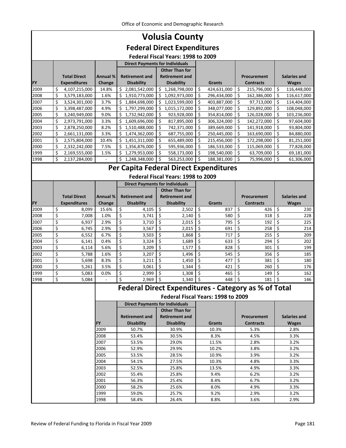| <b>Volusia County</b> |          |                     |              |                       |                                                             |          |               |                                 |                                |  |  |
|-----------------------|----------|---------------------|--------------|-----------------------|-------------------------------------------------------------|----------|---------------|---------------------------------|--------------------------------|--|--|
|                       |          |                     |              |                       | <b>Federal Direct Expenditures</b>                          |          |               |                                 |                                |  |  |
|                       |          |                     |              |                       | Federal Fiscal Years: 1998 to 2009                          |          |               |                                 |                                |  |  |
|                       |          |                     |              |                       | <b>Direct Payments for Individuals</b>                      |          |               |                                 |                                |  |  |
|                       |          |                     |              |                       | <b>Other Than for</b>                                       |          |               |                                 |                                |  |  |
|                       |          | <b>Total Direct</b> | Annual %     | <b>Retirement and</b> | <b>Retirement and</b>                                       |          |               | Procurement                     | <b>Salaries and</b>            |  |  |
| <b>FY</b>             |          | <b>Expenditures</b> | Change       | <b>Disability</b>     | <b>Disability</b>                                           |          | <b>Grants</b> | <b>Contracts</b>                | <b>Wages</b>                   |  |  |
| 2009                  | \$       | 4,107,215,000       | 14.8%        | \$<br>2,081,542,000   | \$<br>1,268,798,000                                         | \$       | 424,631,000   | \$<br>215,796,000               | \$<br>116,448,000              |  |  |
| 2008                  | \$       | 3,579,183,000       | 1.6%         | \$<br>1,910,773,000   | \$<br>1,092,973,000                                         | \$       | 296,434,000   | \$<br>162,386,000               | \$<br>116,617,000              |  |  |
| 2007                  | \$       | 3,524,301,000       | 3.7%         | \$<br>1,884,698,000   | \$<br>1,023,599,000                                         | \$       | 403,887,000   | \$<br>97,713,000                | \$<br>114,404,000              |  |  |
| 2006                  | \$       | 3,398,487,000       | 4.9%         | \$<br>1,797,299,000   | \$<br>1,015,172,000                                         | \$       | 348,077,000   | \$<br>129,892,000               | \$<br>108,048,000              |  |  |
| 2005                  | \$       | 3,240,949,000       | 9.0%         | \$<br>1,732,942,000   | \$<br>923,928,000                                           | \$       | 354,814,000   | \$<br>126,028,000               | \$<br>103,236,000              |  |  |
| 2004                  | \$       | 2,973,791,000       | 3.3%         | \$<br>1,609,696,000   | \$<br>817,895,000                                           | \$       | 306,324,000   | \$<br>142,272,000               | \$<br>97,604,000               |  |  |
| 2003                  | \$       | 2,878,250,000       | 8.2%         | Ś<br>1,510,488,000    | \$<br>742,371,000                                           | \$       | 389,669,000   | \$<br>141,918,000               | \$<br>93,804,000               |  |  |
| 2002                  | \$       | 2,661,131,000       | 3.3%         | Ś<br>1,474,362,000    | \$<br>687,755,000                                           | \$       | 250,445,000   | \$<br>163,690,000               | \$<br>84,880,000               |  |  |
| 2001                  | \$       | 2,575,804,000       | 10.4%        | \$<br>1,451,311,000   | \$<br>655,489,000                                           | \$       | 215,456,000   | \$<br>172,298,000               | \$<br>81,251,000               |  |  |
| 2000                  | \$       | 2,332,242,000       | 7.5%         | \$<br>1,356,876,000   | \$<br>595,936,000                                           | \$       | 186,533,000   | \$<br>115,069,000               | \$<br>77,828,000               |  |  |
| 1999                  | \$       | 2,169,555,000       | 1.5%         | \$<br>1,279,953,000   | \$<br>558,173,000                                           | \$       | 198,540,000   | \$<br>63,709,000                | \$<br>69,181,000               |  |  |
| 1998                  | \$       | 2,137,284,000       |              | \$<br>1,248,348,000   | \$<br>563,253,000                                           | \$       | 188,381,000   | -Ś<br>75,996,000                | Ś.<br>61,306,000               |  |  |
|                       |          |                     |              |                       | Per Capita Federal Direct Expenditures                      |          |               |                                 |                                |  |  |
|                       |          |                     |              |                       | Federal Fiscal Years: 1998 to 2009                          |          |               |                                 |                                |  |  |
|                       |          |                     |              |                       |                                                             |          |               |                                 |                                |  |  |
|                       |          |                     |              |                       | <b>Direct Payments for Individuals</b>                      |          |               |                                 |                                |  |  |
|                       |          | <b>Total Direct</b> | Annual %     | <b>Retirement and</b> | <b>Other Than for</b><br><b>Retirement and</b>              |          |               | Procurement                     | <b>Salaries and</b>            |  |  |
| <b>FY</b>             |          | <b>Expenditures</b> | Change       | <b>Disability</b>     | <b>Disability</b>                                           |          | <b>Grants</b> | <b>Contracts</b>                | <b>Wages</b>                   |  |  |
| 2009                  | \$       | 8,099               | 15.6%        | \$<br>4,105           | \$<br>2,502                                                 | \$       | 837           | \$<br>426                       | \$<br>230                      |  |  |
| 2008                  |          | 7,008               | 1.0%         | \$<br>3,741           | \$<br>2,140                                                 |          | 580           | \$<br>318                       | \$                             |  |  |
|                       |          |                     |              |                       |                                                             |          |               |                                 |                                |  |  |
|                       | \$       |                     |              |                       |                                                             | \$       |               |                                 | 228                            |  |  |
| 2007                  | \$       | 6,937               | 2.9%         | \$<br>3,710           | \$<br>2,015                                                 | \$       | 795           | \$<br>192                       | \$<br>225                      |  |  |
| 2006                  | \$       | 6,745               | 2.9%         | \$<br>3,567           | \$<br>2,015                                                 | \$       | 691           | \$<br>258                       | \$<br>214                      |  |  |
| 2005                  | \$       | 6,552               | 6.7%         | \$<br>3,503           | \$<br>1,868                                                 | \$       | 717           | \$<br>255                       | \$<br>209                      |  |  |
| 2004                  | \$       | 6,141               | 0.4%         | \$<br>3,324           | \$<br>1,689                                                 | \$       | 633           | \$<br>294                       | $\overline{\xi}$<br>202        |  |  |
| 2003                  | \$       | 6,114               | 5.6%         | \$<br>3,209           | \$<br>1,577                                                 | \$       | 828           | \$<br>301                       | $\overline{\xi}$<br>199        |  |  |
| 2002                  | \$       | 5,788               | 1.6%<br>8.3% | \$<br>3,207           | \$<br>1,496                                                 | \$       | 545<br>477    | \$<br>356<br>381                | $\overline{\xi}$<br>185<br>180 |  |  |
| 2001<br>2000          | \$       | 5,698<br>5,261      | 3.5%         | \$<br>3,211<br>3,061  | \$<br>1,450<br>1,344                                        | \$<br>\$ | 421           | \$<br>\$<br>260                 | \$<br>\$<br>176                |  |  |
| 1999                  | \$<br>\$ | 5,083               | 0.0%         | \$<br>\$<br>2,999     | \$<br>\$<br>1,308                                           | \$       | 465           | 149                             | \$<br>162                      |  |  |
|                       | Ś        | 5,084               |              | Ś<br>2,969            | \$<br>1,340                                                 | Ś.       | 448           | \$<br>$\mathsf{\hat{S}}$<br>181 | $\mathsf{\hat{S}}$<br>146      |  |  |
|                       |          |                     |              |                       |                                                             |          |               |                                 |                                |  |  |
|                       |          |                     |              |                       | <b>Federal Direct Expenditures - Category as % of Total</b> |          |               |                                 |                                |  |  |
|                       |          |                     |              |                       | Federal Fiscal Years: 1998 to 2009                          |          |               |                                 |                                |  |  |
|                       |          |                     |              |                       | <b>Direct Payments for Individuals</b>                      |          |               |                                 |                                |  |  |
|                       |          |                     |              |                       | <b>Other Than for</b>                                       |          |               |                                 |                                |  |  |
|                       |          |                     |              | <b>Retirement and</b> | <b>Retirement and</b>                                       |          |               | Procurement                     | <b>Salaries and</b>            |  |  |
|                       |          |                     | <b>FY</b>    | <b>Disability</b>     | <b>Disability</b>                                           |          | Grants        | <b>Contracts</b>                | Wages                          |  |  |
|                       |          |                     | 2009         | 50.7%                 | 30.9%                                                       |          | 10.3%         | 5.3%                            | 2.8%                           |  |  |
| 1998                  |          |                     | 2008         | 53.4%                 | 30.5%                                                       |          | 8.3%          | 4.5%                            | 3.3%                           |  |  |
|                       |          |                     | 2007         | 53.5%                 | 29.0%                                                       |          | 11.5%         | 2.8%                            | 3.2%                           |  |  |
|                       |          |                     | 2006         | 52.9%                 | 29.9%                                                       |          | 10.2%         | 3.8%                            | 3.2%                           |  |  |
|                       |          |                     | 2005         | 53.5%                 | 28.5%                                                       |          | 10.9%         | 3.9%                            | 3.2%                           |  |  |
|                       |          |                     | 2004         | 54.1%                 | 27.5%                                                       |          | 10.3%         | 4.8%                            | 3.3%                           |  |  |
|                       |          |                     | 2003         | 52.5%                 | 25.8%                                                       |          | 13.5%         | 4.9%                            | 3.3%                           |  |  |
|                       |          |                     | 2002         | 55.4%                 | 25.8%                                                       |          | 9.4%          | 6.2%                            | 3.2%                           |  |  |
|                       |          |                     | 2001<br>2000 | 56.3%<br>58.2%        | 25.4%<br>25.6%                                              |          | 8.4%<br>8.0%  | 6.7%<br>4.9%                    | 3.2%<br>3.3%                   |  |  |

1998 | 58.4% | 26.4% | 8.8% | 3.6% | 2.9%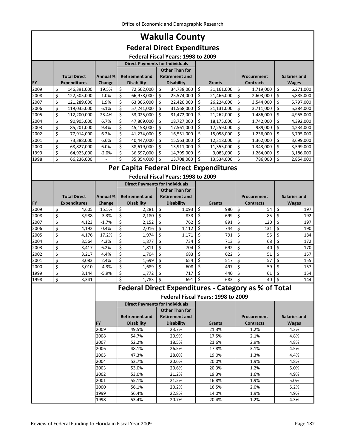|              |                  |                     |                           |          |                                        |               | Office of Economic and Demographic Research          |          |               |                     |                      |                         |                     |
|--------------|------------------|---------------------|---------------------------|----------|----------------------------------------|---------------|------------------------------------------------------|----------|---------------|---------------------|----------------------|-------------------------|---------------------|
|              |                  |                     |                           |          |                                        |               | <b>Wakulla County</b>                                |          |               |                     |                      |                         |                     |
|              |                  |                     |                           |          |                                        |               |                                                      |          |               |                     |                      |                         |                     |
|              |                  |                     |                           |          |                                        |               | <b>Federal Direct Expenditures</b>                   |          |               |                     |                      |                         |                     |
|              |                  |                     |                           |          |                                        |               | Federal Fiscal Years: 1998 to 2009                   |          |               |                     |                      |                         |                     |
|              |                  |                     |                           |          | <b>Direct Payments for Individuals</b> |               |                                                      |          |               |                     |                      |                         |                     |
|              |                  |                     |                           |          |                                        |               | <b>Other Than for</b>                                |          |               |                     |                      |                         |                     |
|              |                  | <b>Total Direct</b> | Annual %                  |          | <b>Retirement and</b>                  |               | <b>Retirement and</b>                                |          |               |                     | Procurement          |                         | <b>Salaries and</b> |
| FY           |                  | <b>Expenditures</b> | Change                    |          | <b>Disability</b>                      |               | <b>Disability</b>                                    |          | <b>Grants</b> |                     | <b>Contracts</b>     |                         | <b>Wages</b>        |
| 2009         | \$               | 146,391,000         | 19.5%                     | \$       | 72,502,000                             | \$            | 34,738,000                                           | \$       | 31,161,000    | \$                  | 1,719,000            | \$                      | 6,271,000           |
| 2008         | \$               | 122,505,000         | 1.0%                      | \$       | 66,978,000                             | \$            | 25,574,000                                           | \$       | 21,466,000    | \$                  | 2,603,000            | \$                      | 5,885,000           |
| 2007         | \$               | 121,289,000         | 1.9%                      | \$       | 63,306,000                             | \$            | 22,420,000                                           | \$       | 26,224,000    | \$                  | 3,544,000            | \$                      | 5,797,000           |
| 2006         | \$               | 119,035,000         | 6.1%                      | \$       | 57,241,000                             | \$            | 31,568,000                                           | \$       | 21,131,000    | \$                  | 3,711,000            | \$                      | 5,384,000           |
| 2005         | \$               | 112,200,000         | 23.4%                     | \$       | 53,025,000                             | \$            | 31,472,000                                           | \$       | 21,262,000    | \$                  | 1,486,000            | \$                      | 4,955,000           |
| 2004         | \$               | 90,905,000          | 6.7%                      | \$       | 47,869,000                             | \$            | 18,727,000                                           | \$       | 18,175,000    | \$<br>Ś             | 1,742,000            | \$                      | 4,392,000           |
| 2003         | \$               | 85,201,000          | 9.4%                      | \$       | 45,158,000                             | \$            | 17,561,000                                           | \$       | 17,259,000    |                     | 989,000              | \$                      | 4,234,000           |
| 2002         | \$               | 77,914,000          | 6.2%                      | \$       | 41,274,000                             | \$            | 16,551,000                                           | \$       | 15,058,000    | \$                  | 1,236,000            | \$<br>Ś                 | 3,795,000           |
| 2001         | \$               | 73,388,000          | 6.6%                      | \$       | 40,447,000                             | \$            | 15,563,000                                           | \$       | 12,318,000    | \$                  | 1,362,000            |                         | 3,699,000           |
| 2000         | \$<br>\$         | 68,827,000          | 6.0%                      | \$       | 38,619,000                             | \$            | 13,911,000                                           | \$<br>\$ | 11,355,000    | \$<br>\$            | 1,343,000            | \$<br>\$                | 3,599,000           |
| 1999<br>1998 | \$               | 64,925,000          | $-2.0%$<br>$\overline{a}$ | \$<br>\$ | 36,597,000                             | \$<br>$\zeta$ | 14,795,000                                           | \$       | 9,083,000     | $\ddot{\mathsf{S}}$ | 1,264,000<br>786,000 | \$                      | 3,186,000           |
|              |                  | 66,236,000          |                           |          | 35,354,000                             |               | 13,708,000                                           |          | 13,534,000    |                     |                      |                         | 2,854,000           |
|              |                  |                     |                           |          |                                        |               | Per Capita Federal Direct Expenditures               |          |               |                     |                      |                         |                     |
|              |                  |                     |                           |          |                                        |               | Federal Fiscal Years: 1998 to 2009                   |          |               |                     |                      |                         |                     |
|              |                  |                     |                           |          | <b>Direct Payments for Individuals</b> |               |                                                      |          |               |                     |                      |                         |                     |
|              |                  |                     |                           |          |                                        |               | <b>Other Than for</b>                                |          |               |                     |                      |                         |                     |
|              |                  | <b>Total Direct</b> | <b>Annual %</b>           |          | <b>Retirement and</b>                  |               | <b>Retirement and</b>                                |          |               |                     | Procurement          |                         | <b>Salaries and</b> |
| FY           |                  | <b>Expenditures</b> | Change                    |          | <b>Disability</b>                      |               | <b>Disability</b>                                    |          | Grants        |                     | <b>Contracts</b>     |                         | <b>Wages</b>        |
| 2009         | \$               | 4,605               | 15.5%                     | \$       | 2,281                                  | \$            | 1,093                                                | \$       | 980           | \$                  | 54                   | \$                      | 197                 |
| 2008         | \$               | 3,988               | $-3.3%$                   | \$       | 2,180                                  | \$            | 833                                                  | \$       | 699           | \$                  | 85                   | \$                      | 192                 |
| 2007         | \$               | 4,123               | $-1.7%$                   | \$       | 2,152                                  | \$            | 762                                                  | \$       | 891           | \$                  | 120                  | \$                      | 197                 |
| 2006         | \$               | 4,192               | 0.4%                      | \$       | 2,016                                  | \$            | 1,112                                                | \$       | 744           | \$                  | 131                  | \$                      | 190                 |
| 2005         | \$               | 4,176               | 17.2%                     | \$       | 1,974                                  | \$            | 1,171                                                | \$       | 791           | \$                  | 55                   | \$                      | 184                 |
| 2004         | \$               | 3,564               | 4.3%                      | \$       | 1,877                                  | \$            | 734                                                  | \$       | 713           | \$                  | 68                   | $\overline{\mathsf{S}}$ | 172                 |
| 2003         | \$               | 3,417               | 6.2%                      | \$       | 1,811                                  | \$            | 704                                                  | \$       | 692           | \$                  | 40                   | \$                      | 170                 |
| 2002         | \$               | 3,217               | 4.4%                      | \$       | 1,704                                  | \$            | 683                                                  | \$       | 622           | \$                  | 51                   | \$                      | 157                 |
| 2001         | \$               | 3,083               | 2.4%                      | \$       | 1,699                                  | \$            | 654                                                  | \$       | 517           | \$                  | 57                   | \$                      | 155                 |
| 2000         | \$               | 3,010               | $-4.3%$                   | \$       | 1,689                                  | \$            | 608                                                  | \$       | 497           | \$                  | 59                   | \$                      | 157                 |
| 1999         | \$               | 3,144               | $-5.9%$                   | \$       | 1,772                                  | \$            | 717                                                  | \$       | 440           | \$                  | 61                   | \$                      | 154                 |
| 1998         | $\overline{\xi}$ | 3,341               |                           |          | $1,783$ \$                             |               | $691 \mid \xi$                                       |          | $683 \mid 5$  |                     | $40 \,$ \$           |                         | 144                 |
|              |                  |                     |                           |          |                                        |               | Federal Direct Expenditures - Category as % of Total |          |               |                     |                      |                         |                     |
|              |                  |                     |                           |          |                                        |               | Federal Fiscal Years: 1998 to 2009                   |          |               |                     |                      |                         |                     |
|              |                  |                     |                           |          | <b>Direct Payments for Individuals</b> |               |                                                      |          |               |                     |                      |                         |                     |
|              |                  |                     |                           |          |                                        |               | <b>Other Than for</b>                                |          |               |                     |                      |                         |                     |
|              |                  |                     |                           |          | <b>Retirement and</b>                  |               | <b>Retirement and</b>                                |          |               |                     | Procurement          |                         | <b>Salaries and</b> |
|              |                  |                     | <b>FY</b>                 |          | <b>Disability</b>                      |               | <b>Disability</b>                                    |          | Grants        |                     | <b>Contracts</b>     |                         | Wages               |
|              |                  |                     | 2009                      |          | 49.5%                                  |               | 23.7%                                                |          | 21.3%         |                     | 1.2%                 |                         | 4.3%                |
|              |                  |                     | 2008                      |          | 54.7%                                  |               | 20.9%                                                |          | 17.5%         |                     | 2.1%                 |                         | 4.8%                |
|              |                  |                     | 2007                      |          | 52.2%                                  |               | 18.5%                                                |          | 21.6%         |                     | 2.9%                 |                         | 4.8%                |
|              |                  |                     | 2006                      |          | 48.1%                                  |               | 26.5%                                                |          | 17.8%         |                     | 3.1%                 |                         | 4.5%                |
|              |                  |                     | 2005                      |          | 47.3%                                  |               | 28.0%                                                |          | 19.0%         |                     | 1.3%                 |                         | 4.4%                |
|              |                  |                     | 2004                      |          | 52.7%                                  |               | 20.6%                                                |          | 20.0%         |                     | 1.9%                 |                         | 4.8%                |
|              |                  |                     | 2003                      |          | 53.0%                                  |               | 20.6%                                                |          | 20.3%         |                     | 1.2%                 |                         | 5.0%                |
|              |                  |                     | 2002                      |          | 53.0%                                  |               | 21.2%                                                |          | 19.3%         |                     | 1.6%                 |                         | 4.9%                |
|              |                  |                     | 2001                      |          | 55.1%                                  |               | 21.2%                                                |          | 16.8%         |                     | 1.9%                 |                         | 5.0%                |

2000 56.1% 20.2% 16.5% 2.0% 5.2% 1999 56.4% 22.8% 14.0% 1.9% 4.9% 1998 53.4% 20.7% 20.4% 1.2% 4.3%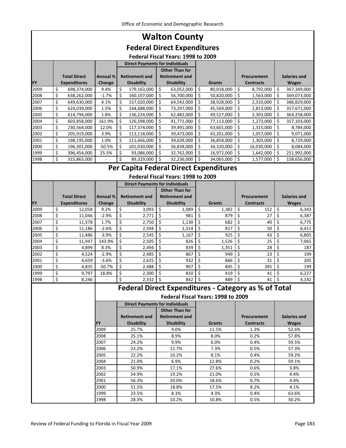| <b>Walton County</b>               |    |                     |              |    |                                        |    |                                                      |                  |                  |                        |                  |                     |
|------------------------------------|----|---------------------|--------------|----|----------------------------------------|----|------------------------------------------------------|------------------|------------------|------------------------|------------------|---------------------|
| <b>Federal Direct Expenditures</b> |    |                     |              |    |                                        |    |                                                      |                  |                  |                        |                  |                     |
| Federal Fiscal Years: 1998 to 2009 |    |                     |              |    |                                        |    |                                                      |                  |                  |                        |                  |                     |
|                                    |    |                     |              |    | <b>Direct Payments for Individuals</b> |    |                                                      |                  |                  |                        |                  |                     |
|                                    |    |                     |              |    |                                        |    | <b>Other Than for</b>                                |                  |                  |                        |                  |                     |
|                                    |    | <b>Total Direct</b> | Annual %     |    | <b>Retirement and</b>                  |    | <b>Retirement and</b>                                |                  |                  | Procurement            |                  | <b>Salaries and</b> |
| FY                                 |    | <b>Expenditures</b> | Change       |    | <b>Disability</b>                      |    | <b>Disability</b>                                    | <b>Grants</b>    |                  | <b>Contracts</b>       |                  | <b>Wages</b>        |
| 2009                               | \$ | 698,374,000         | 9.4%         | \$ | 179,163,000                            | \$ | 63,052,000                                           | \$<br>80,018,000 | \$               | 8,792,000              | \$               | 367,349,000         |
| 2008                               | \$ | 638,262,000         | $-1.7%$      | \$ | 160,107,000                            | \$ | 56,700,000                                           | \$<br>50,820,000 | $\zeta$          | 1,563,000              | \$               | 369,073,000         |
| 2007                               | \$ | 649,630,000         | 4.1%         | \$ | 157,020,000                            | \$ | 64,542,000                                           | \$<br>38,928,000 | \$               | 2,310,000              | \$               | 386,829,000         |
| 2006                               | \$ | 624,039,000         | 1.5%         | \$ | 144,688,000                            | \$ | 73,297,000                                           | \$<br>45,569,000 | \$               | 2,813,000              | \$               | 357,671,000         |
| 2005                               | \$ | 614,794,000         | 1.8%         | \$ | 136,224,000                            | \$ | 62,482,000                                           | \$<br>49,527,000 | \$               | 2,303,000              | \$               | 364,258,000         |
| 2004                               | \$ | 603,858,000         | 161.9%       | \$ | 126,598,000                            | \$ | 41,771,000                                           | \$<br>77,113,000 | \$               | 1,273,000              | \$               | 357,103,000         |
| 2003                               | \$ | 230,564,000         | 12.0%        | \$ | 117,374,000                            | \$ | 39,491,000                                           | \$<br>63,601,000 | \$               | 1,315,000              | \$               | 8,784,000           |
| 2002                               | \$ | 205,919,000         | 3.9%         | \$ | 113,118,000                            | \$ | 39,473,000                                           | \$<br>43,201,000 | \$               | 1,057,000              | \$               | 9,071,000           |
| 2001                               | \$ | 198,195,000         | 1.0%         | \$ | 111,666,000                            | \$ | 39,639,000                                           | \$<br>36,858,000 | \$               | 1,303,000              | \$               | 8,729,000           |
| 2000                               | \$ | 196,301,000         | $-50.5%$     | \$ | 101,030,000                            | \$ | 36,838,000                                           | \$<br>34,320,000 | $\zeta$          | 16,030,000             | \$               | 8,084,000           |
| 1999                               | \$ | 396,454,000         | 25.5%        | \$ | 93,086,000                             | \$ | 32,762,000                                           | \$<br>16,972,000 | \$               | 1,642,000              | \$               | 251,992,000         |
| 1998                               | \$ | 315,863,000         |              | Ś  | 89,329,000                             | \$ | 32,236,000                                           | \$<br>34,065,000 | -\$              | 1,577,000              | \$               | 158,656,000         |
|                                    |    |                     |              |    |                                        |    | Per Capita Federal Direct Expenditures               |                  |                  |                        |                  |                     |
|                                    |    |                     |              |    |                                        |    | Federal Fiscal Years: 1998 to 2009                   |                  |                  |                        |                  |                     |
|                                    |    |                     |              |    | <b>Direct Payments for Individuals</b> |    |                                                      |                  |                  |                        |                  |                     |
|                                    |    |                     |              |    |                                        |    | <b>Other Than for</b>                                |                  |                  |                        |                  |                     |
|                                    |    | <b>Total Direct</b> | Annual %     |    | <b>Retirement and</b>                  |    | <b>Retirement and</b>                                |                  |                  | Procurement            |                  | <b>Salaries and</b> |
| FY                                 |    | <b>Expenditures</b> | Change       |    | <b>Disability</b>                      |    | <b>Disability</b>                                    | <b>Grants</b>    |                  | <b>Contracts</b>       |                  | <b>Wages</b>        |
| 2009                               | \$ | 12,058              | 9.2%         | \$ | 3,093                                  | \$ | 1,089                                                | \$<br>1,382      | \$               | 152                    | \$               | 6,343               |
| 2008                               | \$ | 11,046              | $-2.9%$      | \$ | 2,771                                  | \$ | 981                                                  | \$<br>879        | $\overline{\xi}$ | 27                     | $\overline{\xi}$ | 6,387               |
| 2007                               | \$ | 11,378              | 1.7%         | \$ | 2,750                                  | \$ | 1,130                                                | \$<br>682        | \$               | 40                     | \$               | 6,775               |
|                                    |    |                     |              |    |                                        |    |                                                      |                  |                  |                        |                  |                     |
| 2006                               | \$ | 11,186              | $-2.6%$      | \$ | 2,594                                  | \$ | 1,314                                                | \$<br>817        | \$               | 50                     | \$               | 6,411               |
| 2005                               | \$ | 11,486              | $-3.9%$      | \$ | 2,545                                  | \$ | 1,167                                                | \$<br>925        | $\zeta$          | 43                     | \$               | 6,805               |
| 2004                               | \$ | 11,947              | 143.9%       | \$ | 2,505                                  | \$ | 826                                                  | \$<br>1,526      | \$               | 25                     | \$               | 7,065               |
| 2003                               | \$ | 4,899               | 8.3%         | \$ | 2,494                                  | \$ | 839                                                  | \$<br>1,351      | \$               | 28                     | \$               | 187                 |
| 2002                               | \$ | 4,524               | $-2.9%$      | \$ | 2,485                                  | \$ | 867                                                  | \$<br>949        | \$               | 23                     | $\overline{\xi}$ | 199                 |
| 2001                               | \$ | 4,659               | $-3.6%$      | \$ | 2,625                                  | \$ | 932                                                  | \$<br>866        | \$               | 31                     | \$               | 205                 |
| 2000                               | \$ | 4,835               | $-50.7%$     | \$ | 2,488                                  | \$ | 907                                                  | \$<br>845        | \$               | 395                    | \$               | 199                 |
| 1999                               | \$ | 9,797               | 18.8%        | \$ | 2,300                                  | \$ | 810                                                  | \$<br>419        | \$               | 41                     | \$               | 6,227               |
|                                    | \$ | 8,246               |              | \$ | $2,332$ \$                             |    | $842 \frac{1}{5}$                                    | $889 \big  5$    |                  | $41 \overline{\right}$ |                  | 4,142               |
|                                    |    |                     |              |    |                                        |    |                                                      |                  |                  |                        |                  |                     |
|                                    |    |                     |              |    |                                        |    | Federal Direct Expenditures - Category as % of Total |                  |                  |                        |                  |                     |
|                                    |    |                     |              |    |                                        |    | Federal Fiscal Years: 1998 to 2009                   |                  |                  |                        |                  |                     |
|                                    |    |                     |              |    | <b>Direct Payments for Individuals</b> |    |                                                      |                  |                  |                        |                  |                     |
| 1998                               |    |                     |              |    |                                        |    | <b>Other Than for</b>                                |                  |                  |                        |                  |                     |
|                                    |    |                     |              |    | <b>Retirement and</b>                  |    | <b>Retirement and</b>                                |                  |                  | Procurement            |                  | <b>Salaries and</b> |
|                                    |    |                     | <b>FY</b>    |    | <b>Disability</b>                      |    | <b>Disability</b>                                    | <b>Grants</b>    |                  | <b>Contracts</b>       |                  | <b>Wages</b>        |
|                                    |    |                     | 2009         |    | 25.7%                                  |    | 9.0%                                                 | 11.5%            |                  | 1.3%                   |                  | 52.6%               |
|                                    |    |                     | 2008         |    | 25.1%                                  |    | 8.9%                                                 | 8.0%             |                  | 0.2%                   |                  | 57.8%               |
|                                    |    |                     | 2007         |    | 24.2%                                  |    | 9.9%                                                 | 6.0%             |                  | 0.4%                   |                  | 59.5%               |
|                                    |    |                     | 2006         |    | 23.2%                                  |    | 11.7%                                                | 7.3%             |                  | 0.5%                   |                  | 57.3%               |
|                                    |    |                     | 2005         |    | 22.2%                                  |    | 10.2%                                                | 8.1%             |                  | 0.4%                   |                  | 59.2%               |
|                                    |    |                     | 2004         |    | 21.0%                                  |    | 6.9%                                                 | 12.8%            |                  | 0.2%                   |                  | 59.1%               |
|                                    |    |                     | 2003         |    | 50.9%                                  |    | 17.1%                                                | 27.6%            |                  | 0.6%                   |                  | 3.8%                |
|                                    |    |                     | 2002         |    | 54.9%                                  |    | 19.2%                                                | 21.0%            |                  | 0.5%                   |                  | 4.4%                |
|                                    |    |                     | 2001<br>2000 |    | 56.3%<br>51.5%                         |    | 20.0%<br>18.8%                                       | 18.6%<br>17.5%   |                  | 0.7%<br>8.2%           |                  | 4.4%<br>4.1%        |

1998 28.3% 10.2% 10.8% 0.5% 50.2%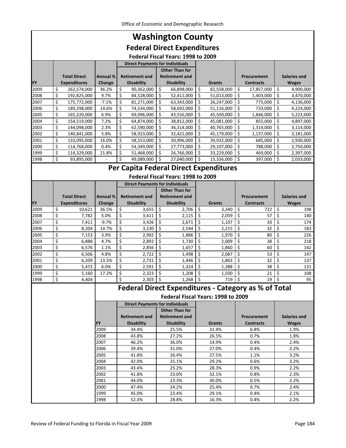| <b>Washington County</b>           |                      |                                                             |                                        |                                                |          |                |                                 |                                     |  |  |
|------------------------------------|----------------------|-------------------------------------------------------------|----------------------------------------|------------------------------------------------|----------|----------------|---------------------------------|-------------------------------------|--|--|
| <b>Federal Direct Expenditures</b> |                      |                                                             |                                        |                                                |          |                |                                 |                                     |  |  |
| Federal Fiscal Years: 1998 to 2009 |                      |                                                             |                                        |                                                |          |                |                                 |                                     |  |  |
|                                    |                      |                                                             |                                        | <b>Direct Payments for Individuals</b>         |          |                |                                 |                                     |  |  |
|                                    | <b>Total Direct</b>  | Annual %                                                    | <b>Retirement and</b>                  | <b>Other Than for</b><br><b>Retirement and</b> |          |                |                                 |                                     |  |  |
| <b>FY</b>                          | <b>Expenditures</b>  | Change                                                      | <b>Disability</b>                      | <b>Disability</b>                              |          | <b>Grants</b>  | Procurement<br><b>Contracts</b> | <b>Salaries and</b><br><b>Wages</b> |  |  |
| 2009                               | \$<br>262,574,000    | 36.2%                                                       | \$<br>90,362,000                       | \$<br>66,898,000                               | \$       | 82,558,000     | \$<br>17,857,000                | \$<br>4,900,000                     |  |  |
| 2008                               | \$<br>192,825,000    | 9.7%                                                        | \$<br>84,528,000                       | \$<br>52,411,000                               | \$       | 51,013,000     | \$<br>1,403,000                 | \$<br>3,470,000                     |  |  |
| 2007                               | \$<br>175,772,000    | $-7.1%$                                                     | \$<br>81,271,000                       | \$<br>63,343,000                               | \$       | 26,247,000     | \$<br>775,000                   | \$<br>4,136,000                     |  |  |
| 2006                               | \$<br>189,298,000    | 14.6%                                                       | \$<br>74,534,000                       | \$<br>58,692,000                               | \$       | 51,116,000     | \$<br>733,000                   | \$<br>4,224,000                     |  |  |
| 2005                               | \$<br>165,220,000    | 6.9%                                                        | \$<br>69,096,000                       | \$<br>43,556,000                               | \$       | 45,500,000     | \$<br>1,846,000                 | \$<br>5,223,000                     |  |  |
| 2004                               | \$<br>154,519,000    | 7.2%                                                        | \$<br>64,874,000                       | \$<br>38,812,000                               | \$       | 45,081,000     | \$<br>855,000                   | \$<br>4,897,000                     |  |  |
| 2003                               | \$<br>144,098,000    | 2.3%                                                        | \$<br>62,590,000                       | \$<br>36,314,000                               | Ś        | 40,765,000     | \$<br>1,314,000                 | \$<br>3,114,000                     |  |  |
| 2002                               | \$<br>140,841,000    | 5.8%                                                        | \$<br>58,923,000                       | \$<br>32,421,000                               | \$       | 45,179,000     | \$<br>1,137,000                 | \$<br>3,181,000                     |  |  |
| 2001                               | \$<br>133,095,000    | 16.0%                                                       | \$<br>58,553,000                       | \$<br>30,996,000                               | Ś        | 39,932,000     | \$<br>685,000                   | Ś.<br>2,930,000                     |  |  |
| 2000                               | \$<br>114,768,000    | 0.4%                                                        | \$<br>54,349,000                       | \$<br>27,773,000                               | \$       | 29,107,000     | \$<br>788,000                   | \$<br>2,750,000                     |  |  |
| 1999                               | \$<br>114,329,000    | 21.8%                                                       | \$<br>51,468,000                       | \$<br>26,766,000                               | \$       | 33,229,000     | \$<br>469,000                   | \$<br>2,397,000                     |  |  |
| 1998                               | \$<br>93,895,000     |                                                             | \$<br>49,089,000                       | \$<br>27,040,000                               | \$       | 15,336,000     | \$<br>397,000                   | \$<br>2,033,000                     |  |  |
|                                    |                      |                                                             | Per Capita Federal Direct Expenditures |                                                |          |                |                                 |                                     |  |  |
|                                    |                      |                                                             |                                        | Federal Fiscal Years: 1998 to 2009             |          |                |                                 |                                     |  |  |
|                                    |                      |                                                             |                                        | <b>Direct Payments for Individuals</b>         |          |                |                                 |                                     |  |  |
|                                    |                      |                                                             |                                        | <b>Other Than for</b>                          |          |                |                                 |                                     |  |  |
|                                    | <b>Total Direct</b>  | Annual %                                                    | <b>Retirement and</b>                  | <b>Retirement and</b>                          |          |                | Procurement                     | <b>Salaries and</b>                 |  |  |
| <b>FY</b>                          | <b>Expenditures</b>  | Change                                                      | <b>Disability</b>                      | <b>Disability</b>                              |          | Grants         | <b>Contracts</b>                | <b>Wages</b>                        |  |  |
| 2009                               | \$<br>10,621         | 36.5%                                                       | \$<br>3,655                            | \$<br>2,706                                    | \$       | 3,340          | \$<br>722                       | \$<br>198                           |  |  |
| 2008                               | \$<br>7,782          | 5.0%                                                        | \$<br>3,411                            | \$<br>2,115                                    | \$       | 2,059          | \$<br>57                        | \$<br>140                           |  |  |
| 2007                               | \$<br>7,411          | $-9.7%$                                                     | \$<br>3,426                            | \$<br>2,671                                    | \$       | 1,107          | \$<br>33                        | \$<br>174                           |  |  |
| 2006                               | \$<br>8,204          | 14.7%                                                       | \$<br>3,230                            | \$<br>2,544                                    | \$       | 2,215          | \$<br>32                        | \$<br>183                           |  |  |
| 2005                               | \$<br>7,153          | 3.9%                                                        | \$<br>2,992                            | \$<br>1,886                                    | \$       | 1,970          | \$<br>80                        | \$<br>226                           |  |  |
| 2004                               | \$<br>6,888          | 4.7%                                                        | \$<br>2,892                            | \$<br>1,730                                    | \$       | 2,009          | \$<br>38                        | \$<br>218                           |  |  |
| 2003                               | \$<br>6,576          | 1.1%                                                        | \$<br>2,856                            | \$<br>1,657                                    | \$       | 1,860          | \$<br>60                        | $\overline{\xi}$<br>142<br>\$       |  |  |
| 2002                               | \$<br>6,506<br>\$    | 4.8%                                                        | \$<br>2,722<br>\$                      | \$<br>1,498<br>\$                              | \$<br>\$ | 2,087          | \$<br>53                        | 147<br>\$                           |  |  |
| 2001<br>2000                       | 6,209<br>\$<br>5,472 | 13.5%<br>6.0%                                               | 2,731<br>\$<br>2,591                   | 1,446<br>\$<br>1,324                           | \$       | 1,863<br>1,388 | \$<br>32<br>\$<br>38            | 137<br>$\overline{\xi}$<br>131      |  |  |
| 1999                               | \$<br>5,160          | 17.2%                                                       | \$<br>2,323                            | \$<br>1,208                                    | \$       | 1,500          | \$<br>21                        | \$<br>108                           |  |  |
| 1998                               | Ś<br>4.404           |                                                             | $\zeta$<br>2.303                       | \$<br>1.268                                    | Ś.       | 719            | Ś.<br>19                        | $\zeta$<br>95                       |  |  |
|                                    |                      |                                                             |                                        |                                                |          |                |                                 |                                     |  |  |
|                                    |                      | <b>Federal Direct Expenditures - Category as % of Total</b> |                                        |                                                |          |                |                                 |                                     |  |  |
|                                    |                      | Federal Fiscal Years: 1998 to 2009                          |                                        |                                                |          |                |                                 |                                     |  |  |
|                                    |                      |                                                             |                                        | <b>Direct Payments for Individuals</b>         |          |                |                                 |                                     |  |  |
|                                    |                      |                                                             |                                        | <b>Other Than for</b>                          |          |                |                                 |                                     |  |  |
|                                    |                      |                                                             | <b>Retirement and</b>                  | <b>Retirement and</b>                          |          |                | Procurement                     | <b>Salaries and</b>                 |  |  |
|                                    |                      | FY                                                          | <b>Disability</b>                      | <b>Disability</b>                              |          | <b>Grants</b>  | <b>Contracts</b>                | <b>Wages</b>                        |  |  |
|                                    |                      | 2009                                                        | 34.4%                                  | 25.5%                                          |          | 31.4%          | 6.8%                            | 1.9%                                |  |  |

2008 43.8% 27.2% 26.5% 0.7% 1.8% 2007 46.2% 36.0% 14.9% 0.4% 2.4% 2006 39.4% 31.0% 27.0% 0.4% 2.2% 2005 41.8% 26.4% 27.5% 1.1% 3.2% 2004 42.0% 25.1% 29.2% 0.6% 3.2% 2003 43.4% 25.2% 28.3% 0.9% 2.2% 2002 41.8% 23.0% 32.1% 0.8% 2.3% 2001 44.0% 23.3% 30.0% 0.5% 2.2% 2000 47.4% 24.2% 25.4% 0.7% 2.4% 1999 45.0% 23.4% 29.1% 0.4% 2.1% 1998 | 52.3% | 28.8% | 16.3% | 0.4% | 2.2%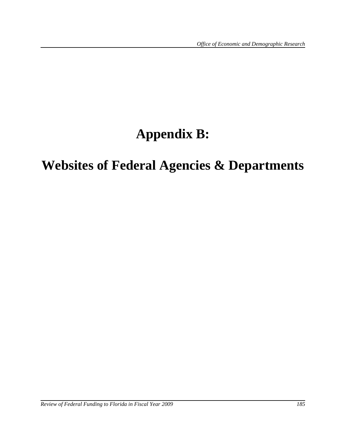# **Appendix B:**

# **Websites of Federal Agencies & Departments**